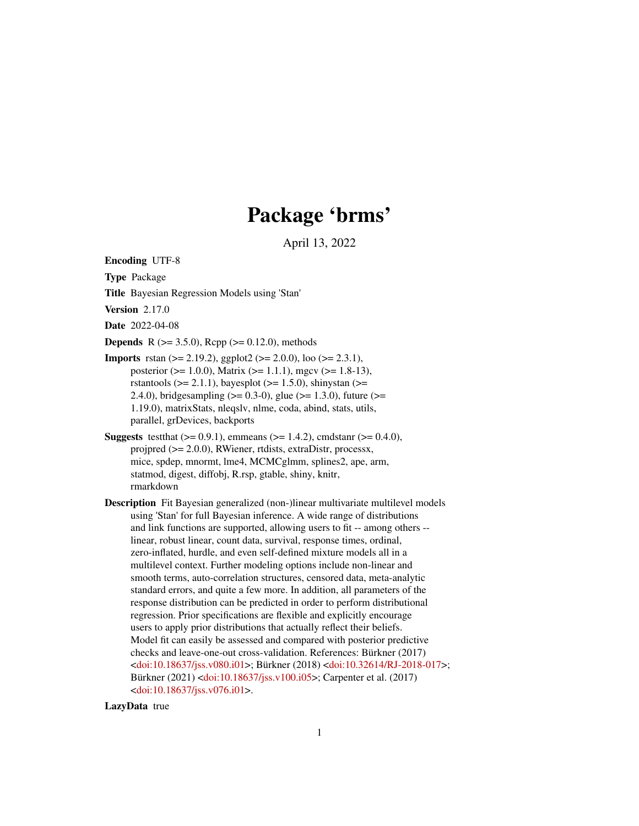# Package 'brms'

April 13, 2022

<span id="page-0-0"></span>Encoding UTF-8

Type Package

Title Bayesian Regression Models using 'Stan'

Version 2.17.0

Date 2022-04-08

**Depends** R ( $>= 3.5.0$ ), Rcpp ( $>= 0.12.0$ ), methods

- **Imports** rstan ( $>= 2.19.2$ ), ggplot2 ( $>= 2.0.0$ ), loo ( $>= 2.3.1$ ), posterior ( $> = 1.0.0$ ), Matrix ( $> = 1.1.1$ ), mgcv ( $> = 1.8-13$ ), rstantools ( $>= 2.1.1$ ), bayesplot ( $>= 1.5.0$ ), shinystan ( $>=$ 2.4.0), bridges ampling ( $> = 0.3-0$ ), glue ( $> = 1.3.0$ ), future ( $> =$ 1.19.0), matrixStats, nleqslv, nlme, coda, abind, stats, utils, parallel, grDevices, backports
- **Suggests** test that  $(>= 0.9.1)$ , emmeans  $(>= 1.4.2)$ , cmdstanr  $(>= 0.4.0)$ , projpred (>= 2.0.0), RWiener, rtdists, extraDistr, processx, mice, spdep, mnormt, lme4, MCMCglmm, splines2, ape, arm, statmod, digest, diffobj, R.rsp, gtable, shiny, knitr, rmarkdown
- Description Fit Bayesian generalized (non-)linear multivariate multilevel models using 'Stan' for full Bayesian inference. A wide range of distributions and link functions are supported, allowing users to fit -- among others - linear, robust linear, count data, survival, response times, ordinal, zero-inflated, hurdle, and even self-defined mixture models all in a multilevel context. Further modeling options include non-linear and smooth terms, auto-correlation structures, censored data, meta-analytic standard errors, and quite a few more. In addition, all parameters of the response distribution can be predicted in order to perform distributional regression. Prior specifications are flexible and explicitly encourage users to apply prior distributions that actually reflect their beliefs. Model fit can easily be assessed and compared with posterior predictive checks and leave-one-out cross-validation. References: Bürkner (2017) [<doi:10.18637/jss.v080.i01>](https://doi.org/10.18637/jss.v080.i01); Bürkner (2018) [<doi:10.32614/RJ-2018-017>](https://doi.org/10.32614/RJ-2018-017); Bürkner (2021) [<doi:10.18637/jss.v100.i05>](https://doi.org/10.18637/jss.v100.i05); Carpenter et al. (2017) [<doi:10.18637/jss.v076.i01>](https://doi.org/10.18637/jss.v076.i01).

LazyData true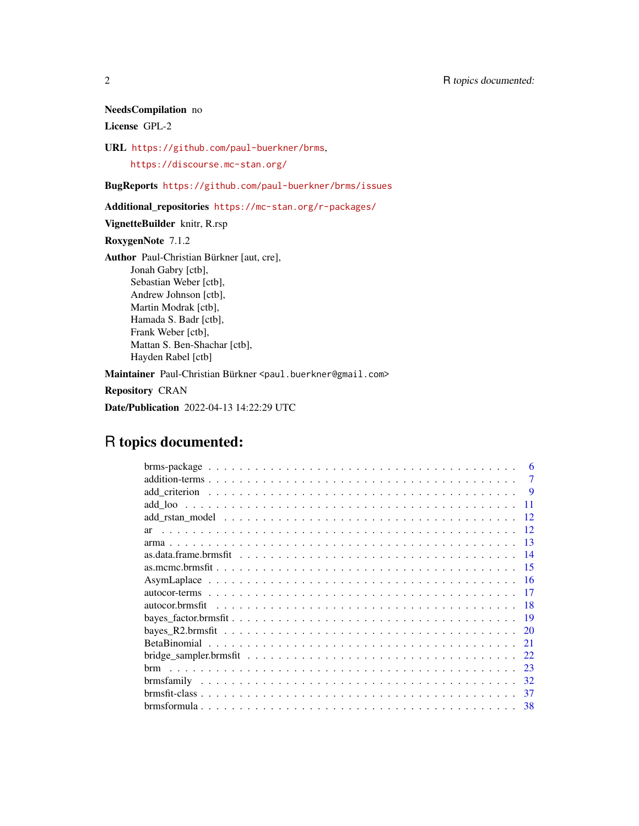# NeedsCompilation no

License GPL-2

URL <https://github.com/paul-buerkner/brms>,

<https://discourse.mc-stan.org/>

BugReports <https://github.com/paul-buerkner/brms/issues>

Additional\_repositories <https://mc-stan.org/r-packages/>

VignetteBuilder knitr, R.rsp

RoxygenNote 7.1.2

Author Paul-Christian Bürkner [aut, cre], Jonah Gabry [ctb], Sebastian Weber [ctb], Andrew Johnson [ctb], Martin Modrak [ctb], Hamada S. Badr [ctb], Frank Weber [ctb], Mattan S. Ben-Shachar [ctb], Hayden Rabel [ctb] Maintainer Paul-Christian Bürkner <paul.buerkner@gmail.com>

Repository CRAN

Date/Publication 2022-04-13 14:22:29 UTC

# R topics documented:

| 7        |
|----------|
| -9       |
| 11       |
| 12       |
| 12<br>ar |
| -13      |
| -14      |
| 15       |
| -16      |
|          |
| -18      |
| 19       |
| 20       |
| 21       |
| 22       |
| 23       |
| 32       |
| 37       |
| 38       |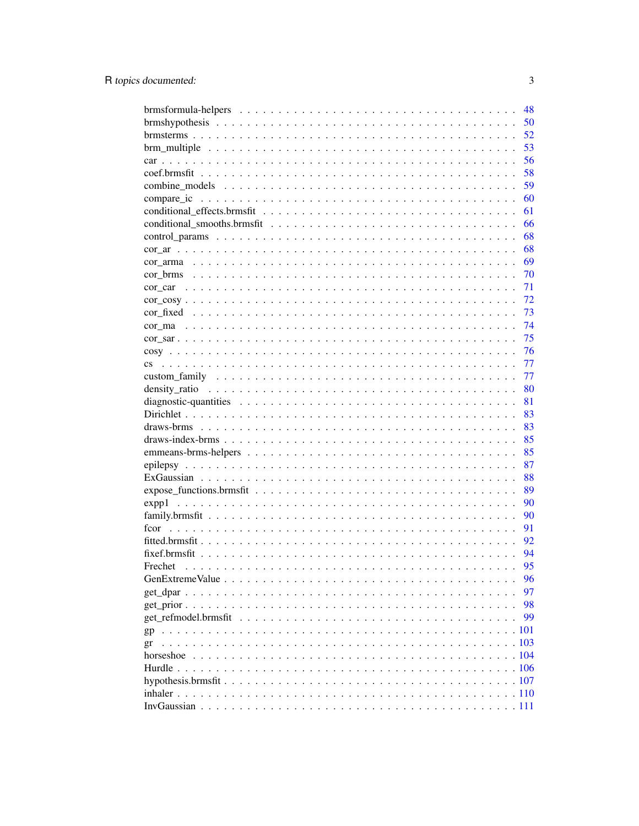| 48            |  |
|---------------|--|
| 50            |  |
| 52            |  |
| 53            |  |
| 56            |  |
| 58            |  |
| 59            |  |
| 60            |  |
| 61            |  |
| 66            |  |
| 68            |  |
| 68            |  |
| 69            |  |
| 70            |  |
| 71            |  |
| 72            |  |
| 73            |  |
| 74            |  |
| 75            |  |
| 76            |  |
| 77            |  |
| 77            |  |
| 80            |  |
| 81            |  |
| 83            |  |
| 83            |  |
| 85            |  |
| 85            |  |
| 87            |  |
| 88            |  |
| 89            |  |
| 90            |  |
| 90            |  |
| 91            |  |
| 92            |  |
| 94            |  |
| 95<br>Frechet |  |
| 96            |  |
| 97            |  |
| 98            |  |
| 99            |  |
| gp            |  |
| gr            |  |
|               |  |
|               |  |
|               |  |
|               |  |
|               |  |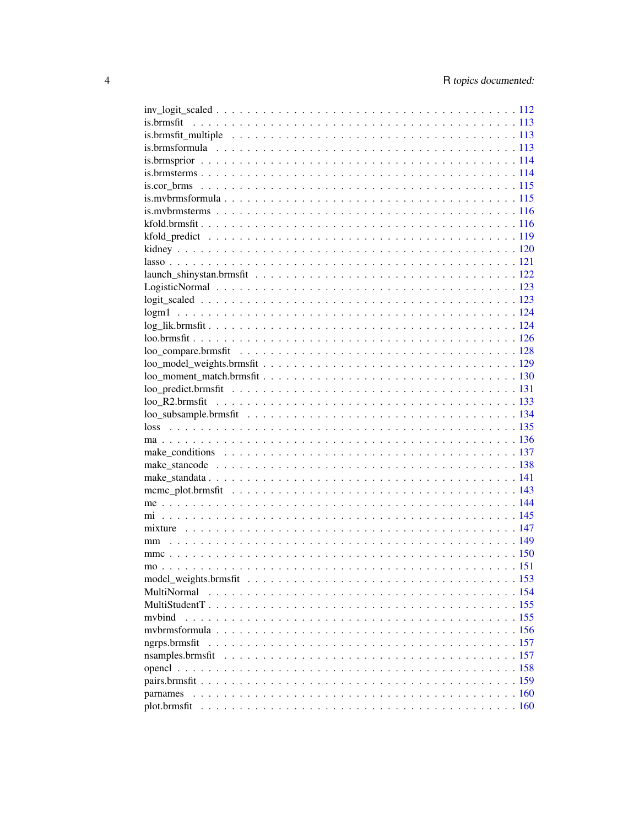| MultiNormal   |  |
|---------------|--|
|               |  |
| mybind        |  |
|               |  |
| ngrps.brmsfit |  |
|               |  |
|               |  |
|               |  |
|               |  |
|               |  |
|               |  |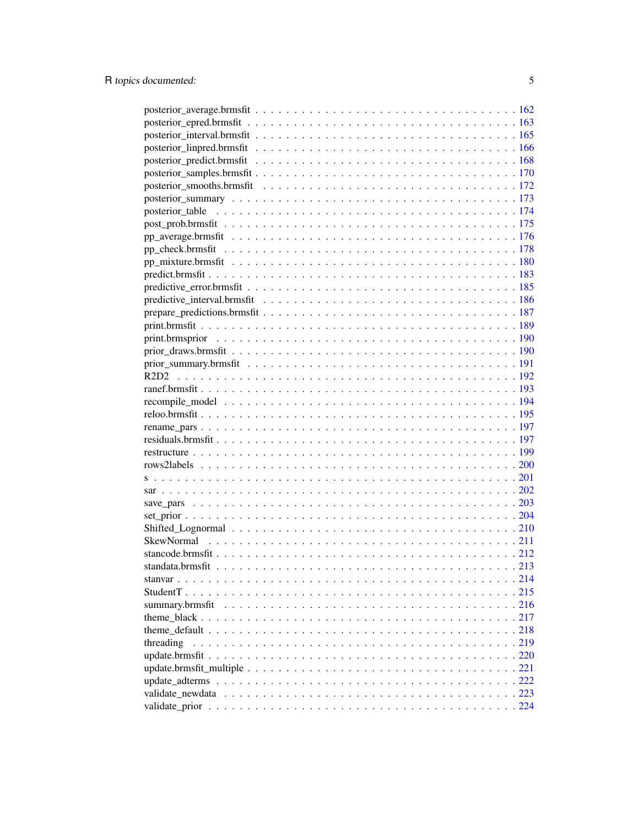| threading |  |
|-----------|--|
|           |  |
|           |  |
|           |  |
|           |  |
|           |  |
|           |  |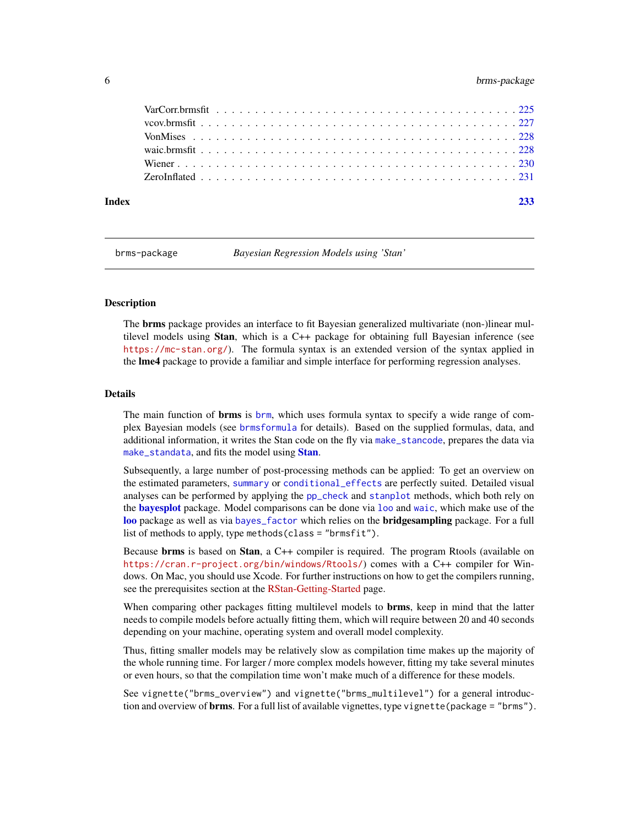#### <span id="page-5-0"></span>6 brms-package

| Index |  |
|-------|--|
|       |  |
|       |  |
|       |  |
|       |  |
|       |  |
|       |  |

brms-package *Bayesian Regression Models using 'Stan'*

### <span id="page-5-1"></span>Description

The brms package provides an interface to fit Bayesian generalized multivariate (non-)linear multilevel models using Stan, which is a C++ package for obtaining full Bayesian inference (see <https://mc-stan.org/>). The formula syntax is an extended version of the syntax applied in the lme4 package to provide a familiar and simple interface for performing regression analyses.

#### Details

The main function of brms is [brm](#page-22-1), which uses formula syntax to specify a wide range of complex Bayesian models (see [brmsformula](#page-37-1) for details). Based on the supplied formulas, data, and additional information, it writes the Stan code on the fly via [make\\_stancode](#page-137-1), prepares the data via [make\\_standata](#page-140-1), and fits the model using [Stan](#page-0-0).

Subsequently, a large number of post-processing methods can be applied: To get an overview on the estimated parameters, [summary](#page-0-0) or [conditional\\_effects](#page-60-1) are perfectly suited. Detailed visual analyses can be performed by applying the [pp\\_check](#page-177-1) and [stanplot](#page-142-1) methods, which both rely on the **[bayesplot](#page-0-0)** package. Model comparisons can be done via [loo](#page-125-1) and [waic](#page-227-1), which make use of the [loo](#page-125-1) package as well as via [bayes\\_factor](#page-18-1) which relies on the bridgesampling package. For a full list of methods to apply, type methods(class = "brmsfit").

Because **brms** is based on **Stan**, a C++ compiler is required. The program Rtools (available on <https://cran.r-project.org/bin/windows/Rtools/>) comes with a C++ compiler for Windows. On Mac, you should use Xcode. For further instructions on how to get the compilers running, see the prerequisites section at the [RStan-Getting-Started](https://github.com/stan-dev/rstan/wiki/RStan-Getting-Started) page.

When comparing other packages fitting multilevel models to **brms**, keep in mind that the latter needs to compile models before actually fitting them, which will require between 20 and 40 seconds depending on your machine, operating system and overall model complexity.

Thus, fitting smaller models may be relatively slow as compilation time makes up the majority of the whole running time. For larger / more complex models however, fitting my take several minutes or even hours, so that the compilation time won't make much of a difference for these models.

See vignette("brms\_overview") and vignette("brms\_multilevel") for a general introduction and overview of **brms**. For a full list of available vignettes, type vignette (package = "brms").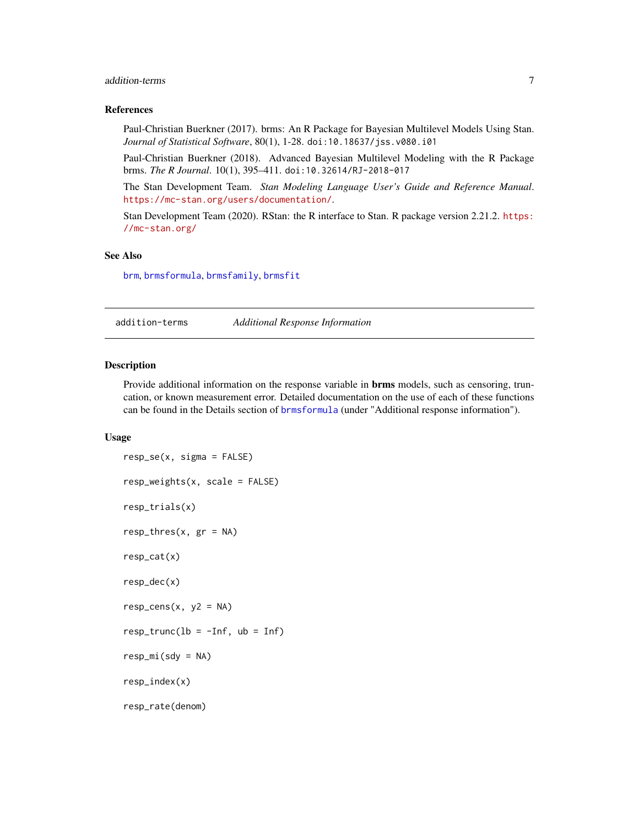#### <span id="page-6-0"></span>addition-terms 7

#### References

Paul-Christian Buerkner (2017). brms: An R Package for Bayesian Multilevel Models Using Stan. *Journal of Statistical Software*, 80(1), 1-28. doi:10.18637/jss.v080.i01

Paul-Christian Buerkner (2018). Advanced Bayesian Multilevel Modeling with the R Package brms. *The R Journal*. 10(1), 395–411. doi:10.32614/RJ-2018-017

The Stan Development Team. *Stan Modeling Language User's Guide and Reference Manual*. <https://mc-stan.org/users/documentation/>.

Stan Development Team (2020). RStan: the R interface to Stan. R package version 2.21.2. [https:](https://mc-stan.org/) [//mc-stan.org/](https://mc-stan.org/)

#### See Also

[brm](#page-22-1), [brmsformula](#page-37-1), [brmsfamily](#page-31-1), [brmsfit](#page-36-1)

addition-terms *Additional Response Information*

#### <span id="page-6-1"></span>Description

Provide additional information on the response variable in brms models, such as censoring, truncation, or known measurement error. Detailed documentation on the use of each of these functions can be found in the Details section of [brmsformula](#page-37-1) (under "Additional response information").

#### Usage

```
resp_se(x, sigma = FALSE)
resp_weights(x, scale = FALSE)
resp_trials(x)
resp_{\text{thres}}(x, gr = NA)resp_cat(x)
resp_dec(x)
resp\_cens(x, y2 = NA)resp\_trunc(lb = -Inf, ub = Inf)resp_mi(sdy = NA)
resp_index(x)
resp_rate(denom)
```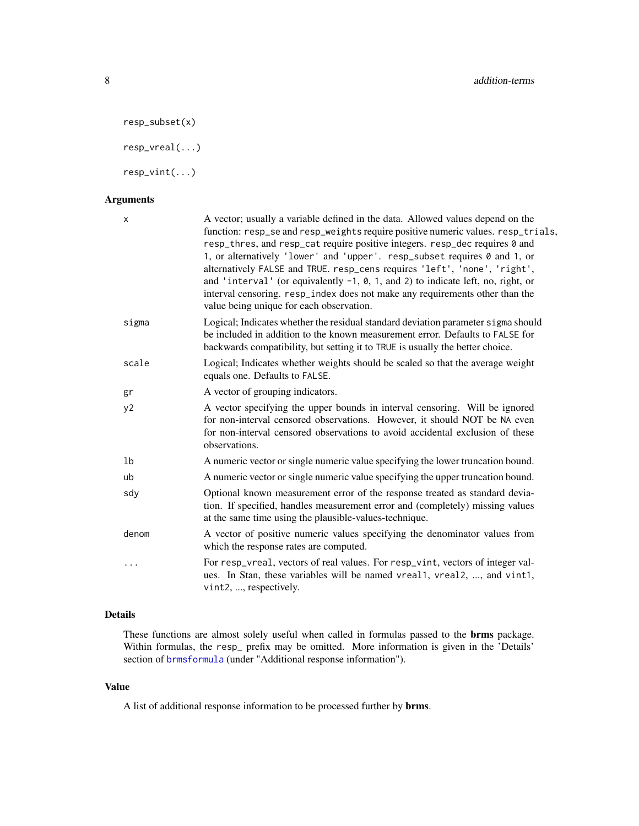```
resp_subset(x)
```
resp\_vreal(...)

resp\_vint(...)

### Arguments

| X     | A vector; usually a variable defined in the data. Allowed values depend on the<br>function: resp_se and resp_weights require positive numeric values. resp_trials,<br>resp_thres, and resp_cat require positive integers. resp_dec requires 0 and<br>1, or alternatively 'lower' and 'upper'. resp_subset requires 0 and 1, or<br>alternatively FALSE and TRUE. resp_cens requires 'left', 'none', 'right',<br>and 'interval' (or equivalently $-1$ , 0, 1, and 2) to indicate left, no, right, or<br>interval censoring. resp_index does not make any requirements other than the<br>value being unique for each observation. |
|-------|--------------------------------------------------------------------------------------------------------------------------------------------------------------------------------------------------------------------------------------------------------------------------------------------------------------------------------------------------------------------------------------------------------------------------------------------------------------------------------------------------------------------------------------------------------------------------------------------------------------------------------|
| sigma | Logical; Indicates whether the residual standard deviation parameter sigma should<br>be included in addition to the known measurement error. Defaults to FALSE for<br>backwards compatibility, but setting it to TRUE is usually the better choice.                                                                                                                                                                                                                                                                                                                                                                            |
| scale | Logical; Indicates whether weights should be scaled so that the average weight<br>equals one. Defaults to FALSE.                                                                                                                                                                                                                                                                                                                                                                                                                                                                                                               |
| gr    | A vector of grouping indicators.                                                                                                                                                                                                                                                                                                                                                                                                                                                                                                                                                                                               |
| y2    | A vector specifying the upper bounds in interval censoring. Will be ignored<br>for non-interval censored observations. However, it should NOT be NA even<br>for non-interval censored observations to avoid accidental exclusion of these<br>observations.                                                                                                                                                                                                                                                                                                                                                                     |
| 1b    | A numeric vector or single numeric value specifying the lower truncation bound.                                                                                                                                                                                                                                                                                                                                                                                                                                                                                                                                                |
| ub    | A numeric vector or single numeric value specifying the upper truncation bound.                                                                                                                                                                                                                                                                                                                                                                                                                                                                                                                                                |
| sdy   | Optional known measurement error of the response treated as standard devia-<br>tion. If specified, handles measurement error and (completely) missing values<br>at the same time using the plausible-values-technique.                                                                                                                                                                                                                                                                                                                                                                                                         |
| denom | A vector of positive numeric values specifying the denominator values from<br>which the response rates are computed.                                                                                                                                                                                                                                                                                                                                                                                                                                                                                                           |
|       | For resp_vreal, vectors of real values. For resp_vint, vectors of integer val-<br>ues. In Stan, these variables will be named vreal1, vreal2, , and vint1,<br>vint2, , respectively.                                                                                                                                                                                                                                                                                                                                                                                                                                           |

# Details

These functions are almost solely useful when called in formulas passed to the brms package. Within formulas, the resp\_ prefix may be omitted. More information is given in the 'Details' section of [brmsformula](#page-37-1) (under "Additional response information").

#### Value

A list of additional response information to be processed further by brms.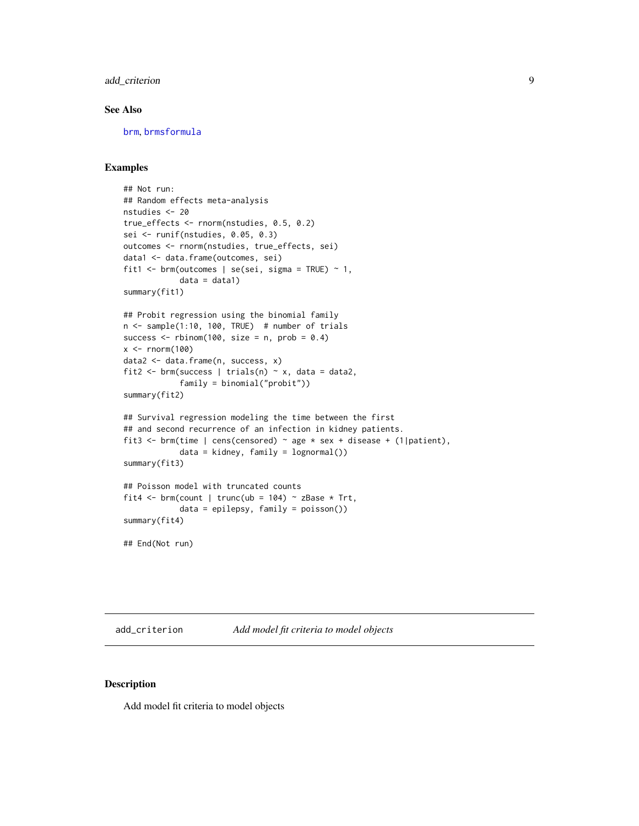#### <span id="page-8-0"></span>add\_criterion 9

#### See Also

[brm](#page-22-1), [brmsformula](#page-37-1)

#### Examples

```
## Not run:
## Random effects meta-analysis
nstudies <- 20
true_effects <- rnorm(nstudies, 0.5, 0.2)
sei <- runif(nstudies, 0.05, 0.3)
outcomes <- rnorm(nstudies, true_effects, sei)
data1 <- data.frame(outcomes, sei)
fit1 \le brm(outcomes | se(sei, sigma = TRUE) \sim 1,
            data = data1)summary(fit1)
## Probit regression using the binomial family
n <- sample(1:10, 100, TRUE) # number of trials
success \le rbinom(100, size = n, prob = 0.4)
x < - rnorm(100)
data2 <- data.frame(n, success, x)
fit2 <- brm(success | trials(n) ~ x, data = data2,
            family = binomial("probit"))
summary(fit2)
## Survival regression modeling the time between the first
## and second recurrence of an infection in kidney patients.
fit3 <- brm(time | cens(censored) ~ age * sex + disease + (1|patient),
            data = kidney, family = lognormal())
summary(fit3)
## Poisson model with truncated counts
fit4 <- brm(count | trunc(ub = 104) ~ zBase * Trt,
            data = epilepsy, family = poisson())
summary(fit4)
## End(Not run)
```
<span id="page-8-1"></span>add\_criterion *Add model fit criteria to model objects*

#### Description

Add model fit criteria to model objects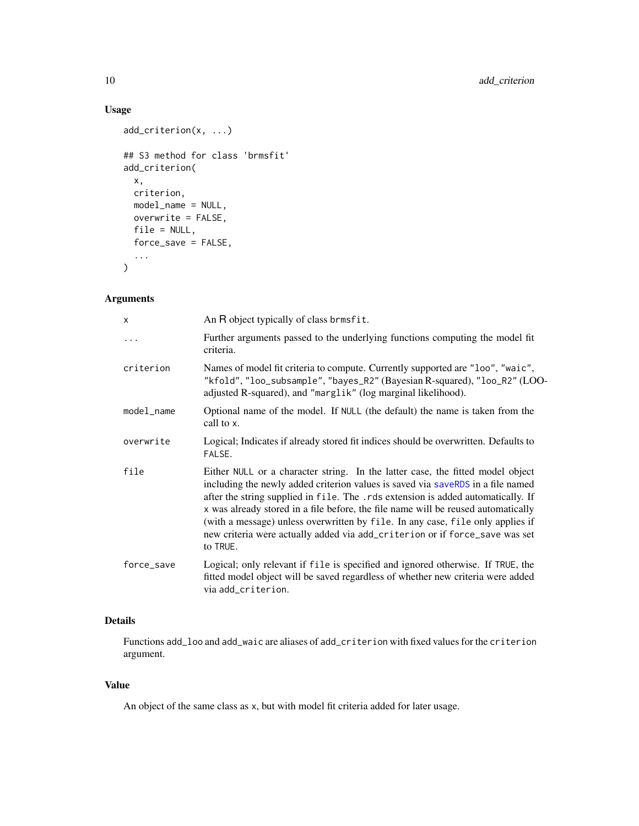# Usage

```
add_criterion(x, ...)
## S3 method for class 'brmsfit'
add_criterion(
 x,
 criterion,
 model_name = NULL,
 overwrite = FALSE,
 file = NULL,
 force_save = FALSE,
  ...
\mathcal{L}
```
# Arguments

| X          | An R object typically of class brmsfit.                                                                                                                                                                                                                                                                                                                                                                                                                                                                                 |
|------------|-------------------------------------------------------------------------------------------------------------------------------------------------------------------------------------------------------------------------------------------------------------------------------------------------------------------------------------------------------------------------------------------------------------------------------------------------------------------------------------------------------------------------|
| .          | Further arguments passed to the underlying functions computing the model fit<br>criteria.                                                                                                                                                                                                                                                                                                                                                                                                                               |
| criterion  | Names of model fit criteria to compute. Currently supported are "loo", "waic",<br>"kfold", "loo_subsample", "bayes_R2" (Bayesian R-squared), "loo_R2" (LOO-<br>adjusted R-squared), and "marglik" (log marginal likelihood).                                                                                                                                                                                                                                                                                            |
| model_name | Optional name of the model. If NULL (the default) the name is taken from the<br>call to x.                                                                                                                                                                                                                                                                                                                                                                                                                              |
| overwrite  | Logical; Indicates if already stored fit indices should be overwritten. Defaults to<br>FALSE.                                                                                                                                                                                                                                                                                                                                                                                                                           |
| file       | Either NULL or a character string. In the latter case, the fitted model object<br>including the newly added criterion values is saved via saveRDS in a file named<br>after the string supplied in file. The .rds extension is added automatically. If<br>x was already stored in a file before, the file name will be reused automatically<br>(with a message) unless overwritten by file. In any case, file only applies if<br>new criteria were actually added via add_criterion or if force_save was set<br>to TRUE. |
| force_save | Logical; only relevant if file is specified and ignored otherwise. If TRUE, the<br>fitted model object will be saved regardless of whether new criteria were added<br>via add_criterion.                                                                                                                                                                                                                                                                                                                                |

# Details

Functions add\_loo and add\_waic are aliases of add\_criterion with fixed values for the criterion argument.

#### Value

An object of the same class as x, but with model fit criteria added for later usage.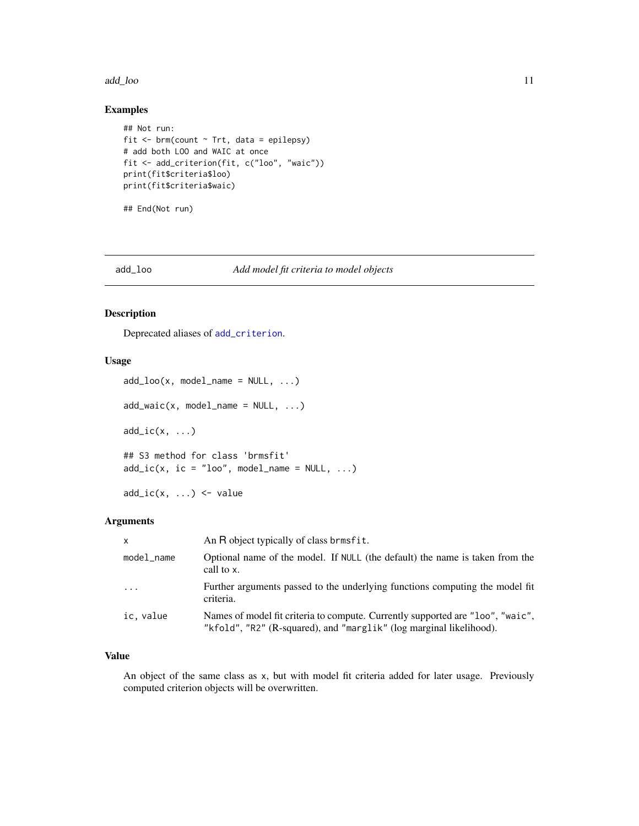#### <span id="page-10-0"></span>add\_loo 11

#### Examples

```
## Not run:
fit \le brm(count \sim Trt, data = epilepsy)
# add both LOO and WAIC at once
fit <- add_criterion(fit, c("loo", "waic"))
print(fit$criteria$loo)
print(fit$criteria$waic)
```
## End(Not run)

### add\_loo *Add model fit criteria to model objects*

#### Description

Deprecated aliases of [add\\_criterion](#page-8-1).

### Usage

```
add\_loo(x, model\_name = NULL, ...)add\_waic(x, model\_name = NULL, ...)add\_ic(x, \ldots)## S3 method for class 'brmsfit'
add\_ic(x, ic = "loo", model_name = NULL, ...)
```
 $add\_ic(x, ...) \leq value$ 

#### Arguments

| $\mathsf{x}$ | An R object typically of class brmsfit.                                                                                                               |
|--------------|-------------------------------------------------------------------------------------------------------------------------------------------------------|
| model_name   | Optional name of the model. If NULL (the default) the name is taken from the<br>call to x.                                                            |
| $\ddotsc$    | Further arguments passed to the underlying functions computing the model fit<br>criteria.                                                             |
| ic, value    | Names of model fit criteria to compute. Currently supported are "loo", "waic",<br>"kfold", "R2" (R-squared), and "marglik" (log marginal likelihood). |

#### Value

An object of the same class as x, but with model fit criteria added for later usage. Previously computed criterion objects will be overwritten.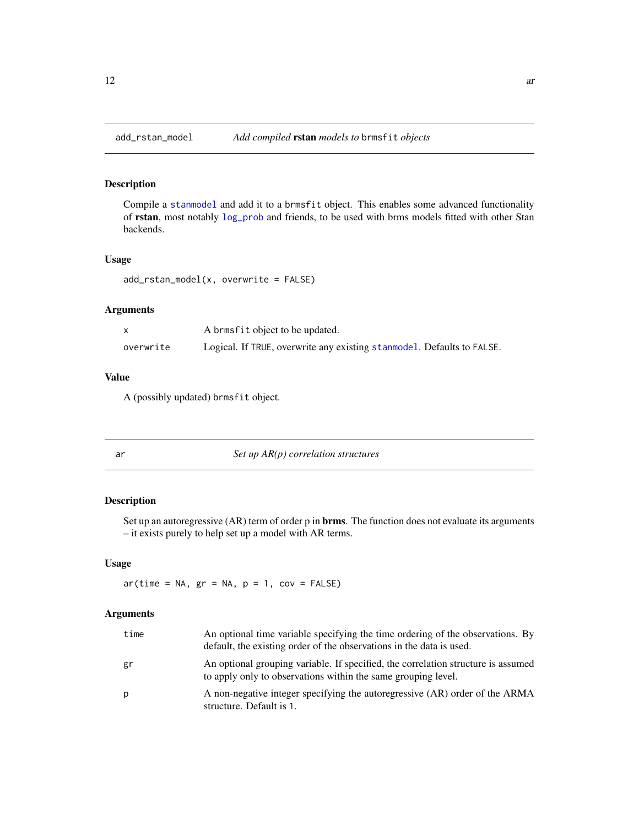<span id="page-11-0"></span>

### Description

Compile a [stanmodel](#page-0-0) and add it to a brmsfit object. This enables some advanced functionality of rstan, most notably [log\\_prob](#page-0-0) and friends, to be used with brms models fitted with other Stan backends.

#### Usage

```
add_rstan_model(x, overwrite = FALSE)
```
### Arguments

|           | A brmsfit object to be updated.                                        |
|-----------|------------------------------------------------------------------------|
| overwrite | Logical. If TRUE, overwrite any existing stanmodel. Defaults to FALSE. |

#### Value

A (possibly updated) brmsfit object.

<span id="page-11-1"></span>

| ٠<br>× | ۰. |
|--------|----|
|        |    |
| ×      |    |

Set up  $AR(p)$  correlation structures

#### Description

Set up an autoregressive (AR) term of order p in **brms**. The function does not evaluate its arguments – it exists purely to help set up a model with AR terms.

#### Usage

 $ar(time = NA, gr = NA, p = 1, cov = FALSE)$ 

### Arguments

| time | An optional time variable specifying the time ordering of the observations. By<br>default, the existing order of the observations in the data is used. |
|------|--------------------------------------------------------------------------------------------------------------------------------------------------------|
| gr   | An optional grouping variable. If specified, the correlation structure is assumed<br>to apply only to observations within the same grouping level.     |
| p    | A non-negative integer specifying the autoregressive (AR) order of the ARMA<br>structure. Default is 1.                                                |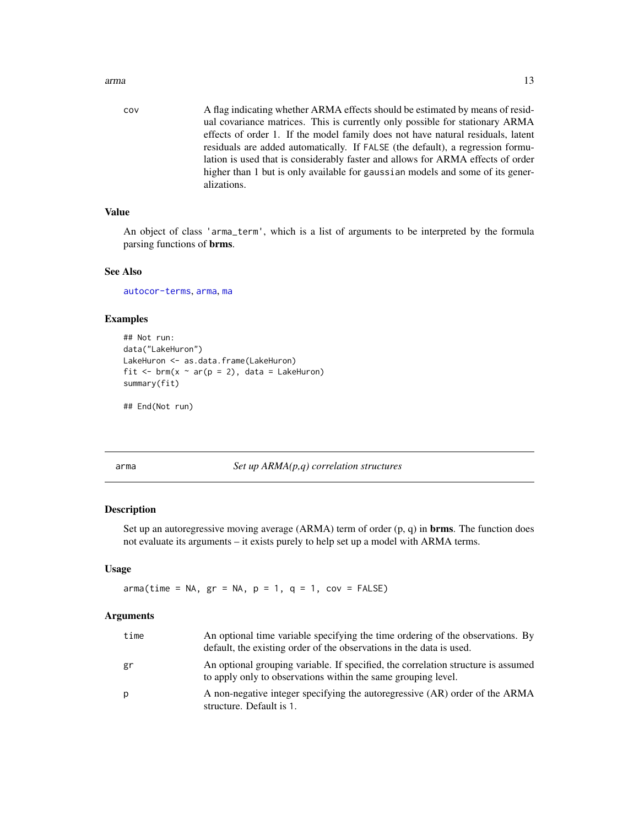<span id="page-12-0"></span>arma and the contract of the contract of the contract of the contract of the contract of the contract of the contract of the contract of the contract of the contract of the contract of the contract of the contract of the c

cov A flag indicating whether ARMA effects should be estimated by means of residual covariance matrices. This is currently only possible for stationary ARMA effects of order 1. If the model family does not have natural residuals, latent residuals are added automatically. If FALSE (the default), a regression formulation is used that is considerably faster and allows for ARMA effects of order higher than 1 but is only available for gaussian models and some of its generalizations.

### Value

An object of class 'arma\_term', which is a list of arguments to be interpreted by the formula parsing functions of brms.

#### See Also

[autocor-terms](#page-16-1), [arma](#page-12-1), [ma](#page-135-1)

#### Examples

```
## Not run:
data("LakeHuron")
LakeHuron <- as.data.frame(LakeHuron)
fit \leq brm(x \sim ar(p = 2), data = LakeHuron)
summary(fit)
```
## End(Not run)

<span id="page-12-1"></span>arma *Set up ARMA(p,q) correlation structures*

#### Description

Set up an autoregressive moving average  $(ARMA)$  term of order  $(p, q)$  in **brms**. The function does not evaluate its arguments – it exists purely to help set up a model with ARMA terms.

#### Usage

 $arma(time = NA, gr = NA, p = 1, q = 1, cov = FALSE)$ 

#### Arguments

| time | An optional time variable specifying the time ordering of the observations. By<br>default, the existing order of the observations in the data is used. |
|------|--------------------------------------------------------------------------------------------------------------------------------------------------------|
| gr   | An optional grouping variable. If specified, the correlation structure is assumed<br>to apply only to observations within the same grouping level.     |
| р    | A non-negative integer specifying the autoregressive (AR) order of the ARMA<br>structure. Default is 1.                                                |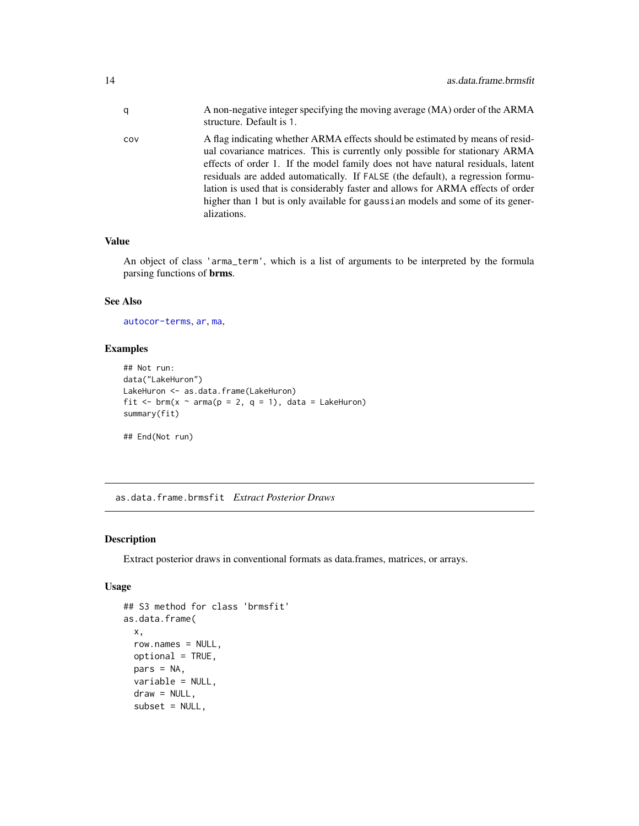<span id="page-13-0"></span>

| q   | A non-negative integer specifying the moving average (MA) order of the ARMA<br>structure. Default is 1.                                                                                                                                                                                                                                                                                                                                                                                                                |
|-----|------------------------------------------------------------------------------------------------------------------------------------------------------------------------------------------------------------------------------------------------------------------------------------------------------------------------------------------------------------------------------------------------------------------------------------------------------------------------------------------------------------------------|
| COV | A flag indicating whether ARMA effects should be estimated by means of resid-<br>ual covariance matrices. This is currently only possible for stationary ARMA<br>effects of order 1. If the model family does not have natural residuals, latent<br>residuals are added automatically. If FALSE (the default), a regression formu-<br>lation is used that is considerably faster and allows for ARMA effects of order<br>higher than 1 but is only available for gaussian models and some of its gener-<br>alizations. |

#### Value

An object of class 'arma\_term', which is a list of arguments to be interpreted by the formula parsing functions of brms.

#### See Also

[autocor-terms](#page-16-1), [ar](#page-11-1), [ma](#page-135-1),

# Examples

```
## Not run:
data("LakeHuron")
LakeHuron <- as.data.frame(LakeHuron)
fit <- brm(x \sim arma(p = 2, q = 1), data = Lakeluron)summary(fit)
## End(Not run)
```
as.data.frame.brmsfit *Extract Posterior Draws*

#### Description

Extract posterior draws in conventional formats as data.frames, matrices, or arrays.

### Usage

```
## S3 method for class 'brmsfit'
as.data.frame(
 x,
 row.names = NULL,
 optional = TRUE,
 pars = NA,
 variable = NULL,
 draw = NULL,subset = NULL,
```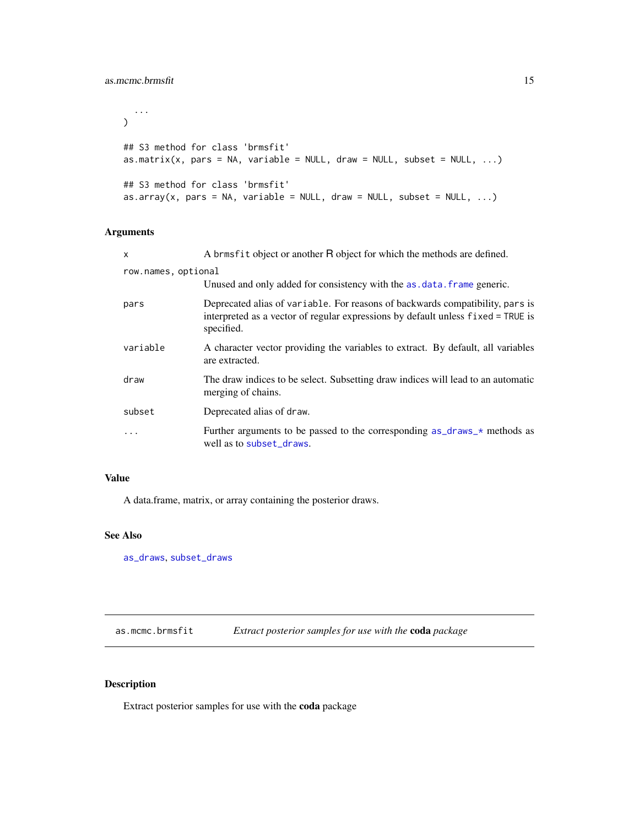```
...
\mathcal{L}## S3 method for class 'brmsfit'
as.matrix(x, pars = NA, variable = NULL, draw = NULL, subset = NULL, ...)## S3 method for class 'brmsfit'
as.array(x, pars = NA, variable = NULL, draw = NULL, subset = NULL, \dots)
```
# Arguments

| $\mathsf{x}$        | A brmsfit object or another R object for which the methods are defined.                                                                                                         |
|---------------------|---------------------------------------------------------------------------------------------------------------------------------------------------------------------------------|
| row.names, optional |                                                                                                                                                                                 |
|                     | Unused and only added for consistency with the as data. frame generic.                                                                                                          |
| pars                | Deprecated alias of variable. For reasons of backwards compatibility, pars is<br>interpreted as a vector of regular expressions by default unless fixed = TRUE is<br>specified. |
| variable            | A character vector providing the variables to extract. By default, all variables<br>are extracted.                                                                              |
| draw                | The draw indices to be select. Subsetting draw indices will lead to an automatic<br>merging of chains.                                                                          |
| subset              | Deprecated alias of draw.                                                                                                                                                       |
| $\cdots$            | Further arguments to be passed to the corresponding $as\_draws$ methods as<br>well as to subset_draws.                                                                          |

#### Value

A data.frame, matrix, or array containing the posterior draws.

### See Also

[as\\_draws](#page-82-1), [subset\\_draws](#page-0-0)

as.mcmc.brmsfit *Extract posterior samples for use with the* coda *package*

### Description

Extract posterior samples for use with the coda package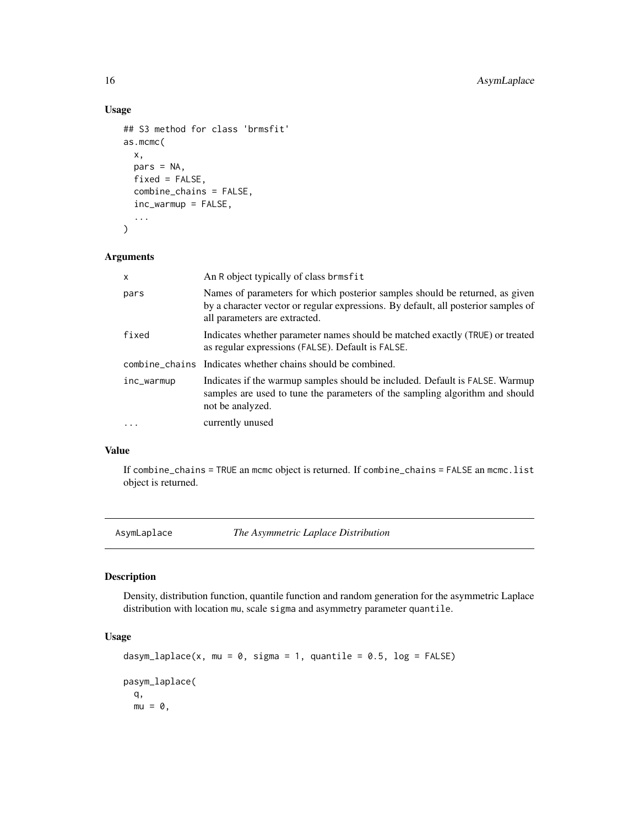#### Usage

```
## S3 method for class 'brmsfit'
as.mcmc(
  x,
 pars = NA,
  fixed = FALSE,
  combine_chains = FALSE,
  inc_warmup = FALSE,
  ...
)
```
### Arguments

| X          | An R object typically of class brmsfit                                                                                                                                                              |
|------------|-----------------------------------------------------------------------------------------------------------------------------------------------------------------------------------------------------|
| pars       | Names of parameters for which posterior samples should be returned, as given<br>by a character vector or regular expressions. By default, all posterior samples of<br>all parameters are extracted. |
| fixed      | Indicates whether parameter names should be matched exactly (TRUE) or treated<br>as regular expressions (FALSE). Default is FALSE.                                                                  |
|            | combine_chains Indicates whether chains should be combined.                                                                                                                                         |
| inc_warmup | Indicates if the warmup samples should be included. Default is FALSE. Warmup<br>samples are used to tune the parameters of the sampling algorithm and should<br>not be analyzed.                    |
| $\ddotsc$  | currently unused                                                                                                                                                                                    |

# Value

If combine\_chains = TRUE an mcmc object is returned. If combine\_chains = FALSE an mcmc.list object is returned.

AsymLaplace *The Asymmetric Laplace Distribution*

# Description

Density, distribution function, quantile function and random generation for the asymmetric Laplace distribution with location mu, scale sigma and asymmetry parameter quantile.

### Usage

```
dasym_laplace(x, mu = 0, sigma = 1, quantile = 0.5, log = FALSE)
pasym_laplace(
 q,
 mu = 0,
```
<span id="page-15-0"></span>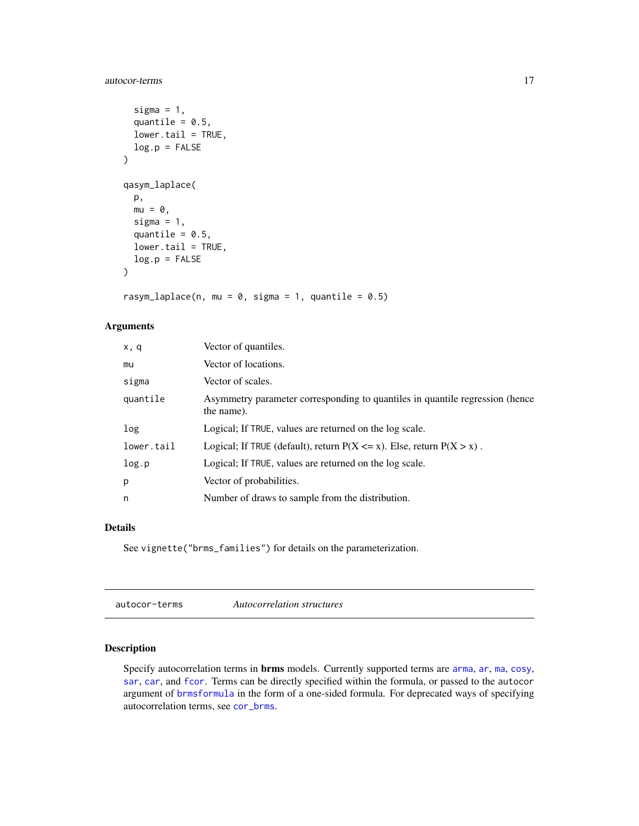### <span id="page-16-0"></span>autocor-terms 17

```
sigma = 1,
  quantile = 0.5,
  lower.tail = TRUE,log.p = FALSE
\lambdaqasym_laplace(
 p,
 mu = 0,
  sigma = 1,
  quantile = 0.5,
  lower.tail = TRUE,
 log.p = FALSE\mathcal{L}
```
rasym\_laplace(n, mu =  $0$ , sigma = 1, quantile =  $0.5$ )

# Arguments

| x, q       | Vector of quantiles.                                                                       |
|------------|--------------------------------------------------------------------------------------------|
| mu         | Vector of locations.                                                                       |
| sigma      | Vector of scales.                                                                          |
| quantile   | Asymmetry parameter corresponding to quantiles in quantile regression (hence<br>the name). |
| log        | Logical; If TRUE, values are returned on the log scale.                                    |
| lower.tail | Logical; If TRUE (default), return $P(X \le x)$ . Else, return $P(X > x)$ .                |
| log.p      | Logical; If TRUE, values are returned on the log scale.                                    |
| p          | Vector of probabilities.                                                                   |
| n          | Number of draws to sample from the distribution.                                           |

# Details

See vignette("brms\_families") for details on the parameterization.

<span id="page-16-1"></span>autocor-terms *Autocorrelation structures*

### Description

Specify autocorrelation terms in **brms** models. Currently supported terms are [arma](#page-12-1), [ar](#page-11-1), [ma](#page-135-1), [cosy](#page-75-1), [sar](#page-201-1), [car](#page-55-1), and [fcor](#page-90-1). Terms can be directly specified within the formula, or passed to the autocor argument of [brmsformula](#page-37-1) in the form of a one-sided formula. For deprecated ways of specifying autocorrelation terms, see [cor\\_brms](#page-69-1).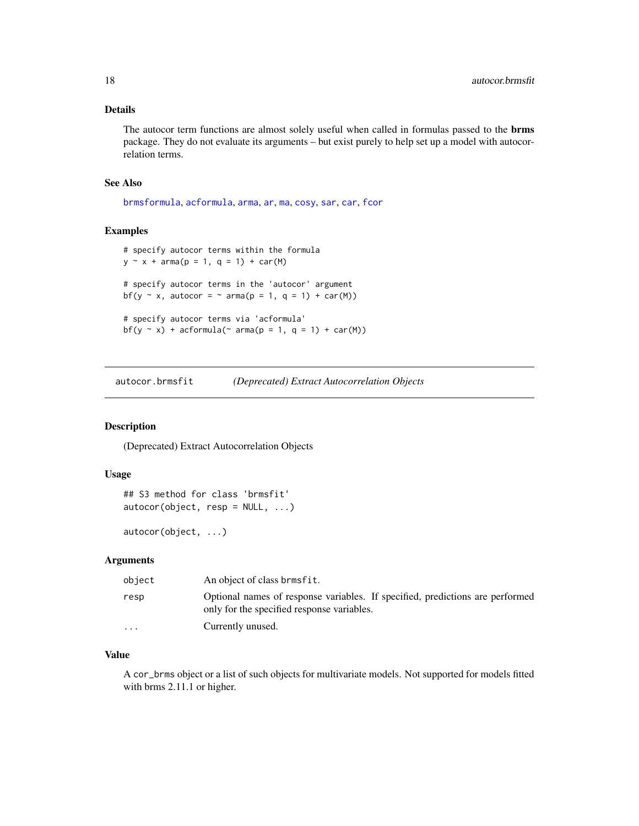#### <span id="page-17-0"></span>Details

The autocor term functions are almost solely useful when called in formulas passed to the brms package. They do not evaluate its arguments – but exist purely to help set up a model with autocorrelation terms.

#### See Also

[brmsformula](#page-37-1), [acformula](#page-47-1), [arma](#page-12-1), [ar](#page-11-1), [ma](#page-135-1), [cosy](#page-75-1), [sar](#page-201-1), [car](#page-55-1), [fcor](#page-90-1)

#### Examples

```
# specify autocor terms within the formula
y \sim x + \text{arma}(p = 1, q = 1) + \text{car}(M)# specify autocor terms in the 'autocor' argument
bf(y \sim x, autocor = \sim arma(p = 1, q = 1) + car(M))
# specify autocor terms via 'acformula'
bf(y \sim x) + acformula(\sim arma(p = 1, q = 1) + car(M))
```
autocor.brmsfit *(Deprecated) Extract Autocorrelation Objects*

#### Description

(Deprecated) Extract Autocorrelation Objects

#### Usage

```
## S3 method for class 'brmsfit'
autocor(object, resp = NULL, ...)
```
autocor(object, ...)

#### Arguments

| object                  | An object of class brmsfit.                                                                                                 |
|-------------------------|-----------------------------------------------------------------------------------------------------------------------------|
| resp                    | Optional names of response variables. If specified, predictions are performed<br>only for the specified response variables. |
| $\cdot$ $\cdot$ $\cdot$ | Currently unused.                                                                                                           |

#### Value

A cor\_brms object or a list of such objects for multivariate models. Not supported for models fitted with brms 2.11.1 or higher.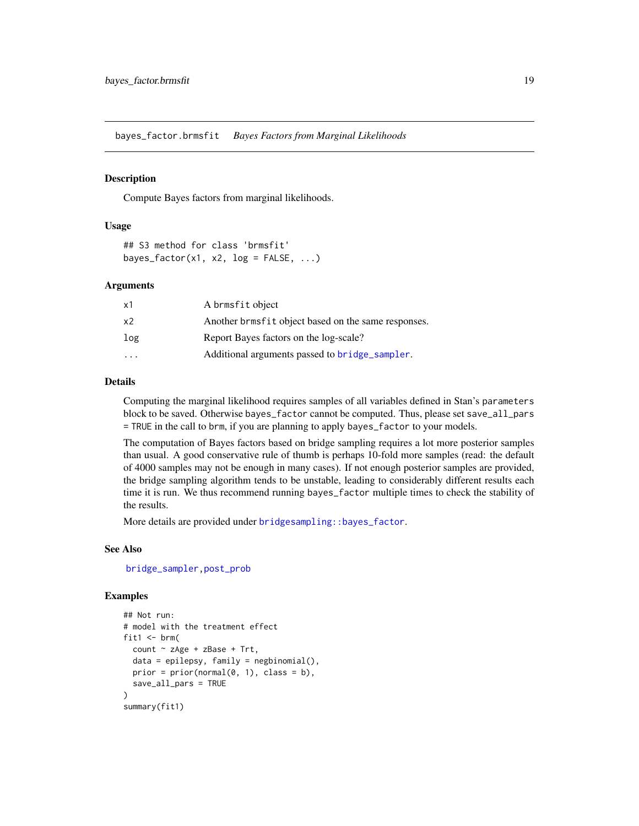<span id="page-18-0"></span>bayes\_factor.brmsfit *Bayes Factors from Marginal Likelihoods*

#### <span id="page-18-1"></span>**Description**

Compute Bayes factors from marginal likelihoods.

#### Usage

```
## S3 method for class 'brmsfit'
bayes_factor(x1, x2, log = FALSE, ...)
```
#### Arguments

| x1                      | A brmsfit object                                    |
|-------------------------|-----------------------------------------------------|
| x <sub>2</sub>          | Another brmsfit object based on the same responses. |
| log                     | Report Bayes factors on the log-scale?              |
| $\cdot$ $\cdot$ $\cdot$ | Additional arguments passed to bridge_sampler.      |

#### Details

Computing the marginal likelihood requires samples of all variables defined in Stan's parameters block to be saved. Otherwise bayes\_factor cannot be computed. Thus, please set save\_all\_pars = TRUE in the call to brm, if you are planning to apply bayes\_factor to your models.

The computation of Bayes factors based on bridge sampling requires a lot more posterior samples than usual. A good conservative rule of thumb is perhaps 10-fold more samples (read: the default of 4000 samples may not be enough in many cases). If not enough posterior samples are provided, the bridge sampling algorithm tends to be unstable, leading to considerably different results each time it is run. We thus recommend running bayes\_factor multiple times to check the stability of the results.

More details are provided under [bridgesampling::bayes\\_factor](#page-0-0).

#### See Also

[bridge\\_sampler,](#page-21-1)[post\\_prob](#page-174-1)

#### Examples

```
## Not run:
# model with the treatment effect
fit1 \le brm(
 count \sim zAge + zBase + Trt,
 data = epilepsy, family = negbinomial(),prior = prior(normal(0, 1), class = b),
 save_all_pars = TRUE
)
summary(fit1)
```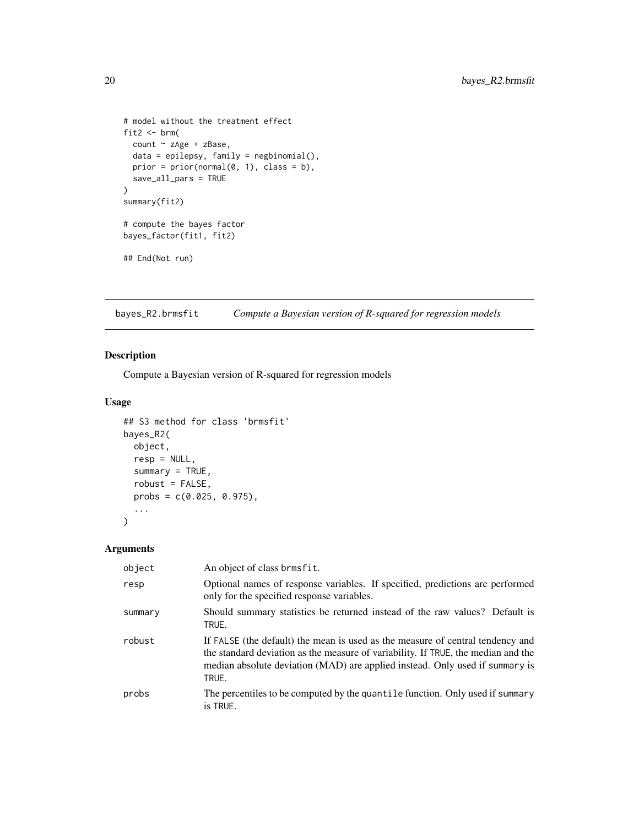```
# model without the treatment effect
fit2 \leftarrow brm(
 count ~ zAge + zBase,
 data = epilepsy, family = negbinomial(),prior = prior(normal(0, 1), class = b),
  save_all_pars = TRUE
\mathcal{L}summary(fit2)
# compute the bayes factor
bayes_factor(fit1, fit2)
## End(Not run)
```
bayes\_R2.brmsfit *Compute a Bayesian version of R-squared for regression models*

### Description

Compute a Bayesian version of R-squared for regression models

#### Usage

```
## S3 method for class 'brmsfit'
bayes_R2(
 object,
 resp = NULL,
 summary = TRUE,
  robust = FALSE,probs = c(0.025, 0.975),
  ...
)
```
### Arguments

| object  | An object of class brmsfit.                                                                                                                                                                                                                                  |
|---------|--------------------------------------------------------------------------------------------------------------------------------------------------------------------------------------------------------------------------------------------------------------|
| resp    | Optional names of response variables. If specified, predictions are performed<br>only for the specified response variables.                                                                                                                                  |
| summary | Should summary statistics be returned instead of the raw values? Default is<br>TRUE.                                                                                                                                                                         |
| robust  | If FALSE (the default) the mean is used as the measure of central tendency and<br>the standard deviation as the measure of variability. If TRUE, the median and the<br>median absolute deviation (MAD) are applied instead. Only used if summary is<br>TRUE. |
| probs   | The percentiles to be computed by the quantile function. Only used if summary<br>is TRUE.                                                                                                                                                                    |

<span id="page-19-0"></span>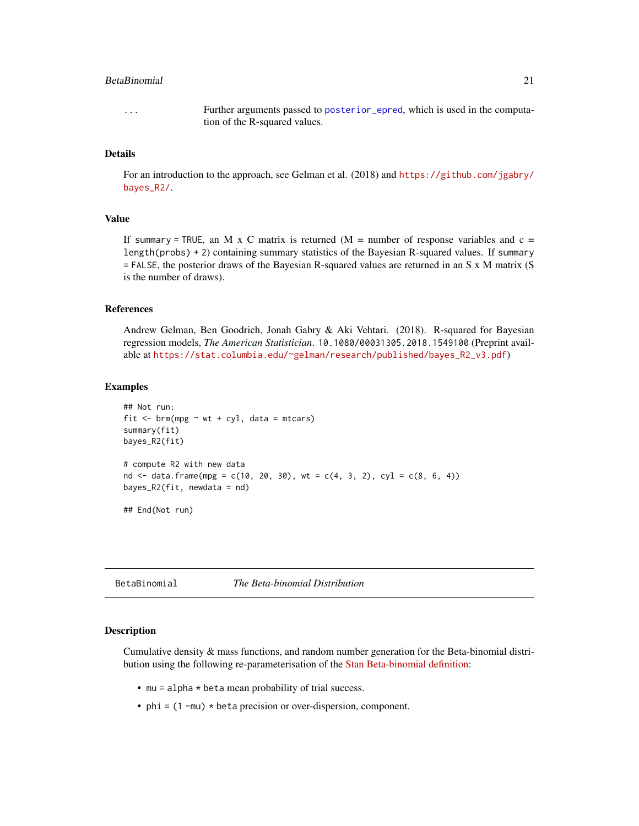#### <span id="page-20-0"></span>**BetaBinomial** 21 and 22

... Further arguments passed to [posterior\\_epred](#page-162-1), which is used in the computation of the R-squared values.

#### Details

For an introduction to the approach, see Gelman et al. (2018) and [https://github.com/jgabry/](https://github.com/jgabry/bayes_R2/) [bayes\\_R2/](https://github.com/jgabry/bayes_R2/).

### Value

If summary = TRUE, an M x C matrix is returned  $(M =$  number of response variables and  $c =$ length(probs) + 2) containing summary statistics of the Bayesian R-squared values. If summary = FALSE, the posterior draws of the Bayesian R-squared values are returned in an S x M matrix (S is the number of draws).

#### References

Andrew Gelman, Ben Goodrich, Jonah Gabry & Aki Vehtari. (2018). R-squared for Bayesian regression models, *The American Statistician*. 10.1080/00031305.2018.1549100 (Preprint available at [https://stat.columbia.edu/~gelman/research/published/bayes\\_R2\\_v3.pdf](https://stat.columbia.edu/~gelman/research/published/bayes_R2_v3.pdf))

#### Examples

```
## Not run:
fit \leq brm(mpg \sim wt + cyl, data = mtcars)
summary(fit)
bayes_R2(fit)
# compute R2 with new data
nd <- data.frame(mpg = c(10, 20, 30), wt = c(4, 3, 2), cyl = c(8, 6, 4))
bayes_R2(fit, newdata = nd)
## End(Not run)
```
BetaBinomial *The Beta-binomial Distribution*

#### **Description**

Cumulative density & mass functions, and random number generation for the Beta-binomial distribution using the following re-parameterisation of the [Stan Beta-binomial definition:](https://mc-stan.org/docs/2_29/functions-reference/beta-binomial-distribution.html)

- mu = alpha \* beta mean probability of trial success.
- $phi = (1 mu) * beta precision or over-dispersion, component.$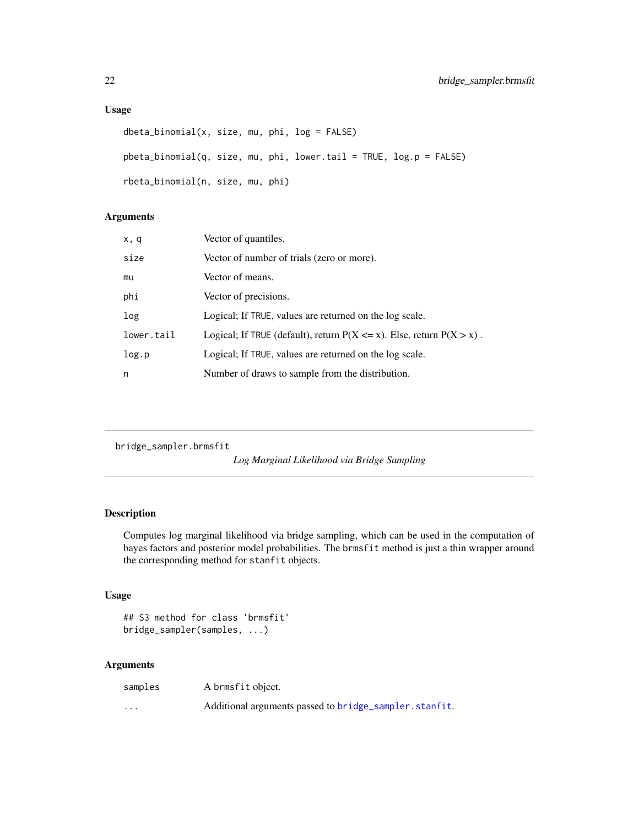### <span id="page-21-0"></span>Usage

```
dbeta_binomial(x, size, mu, phi, log = FALSE)
pbeta_binomial(q, size, mu, phi, lower.tail = TRUE, log.p = FALSE)
rbeta_binomial(n, size, mu, phi)
```
### Arguments

| x, q       | Vector of quantiles.                                                        |
|------------|-----------------------------------------------------------------------------|
| size       | Vector of number of trials (zero or more).                                  |
| mu         | Vector of means.                                                            |
| phi        | Vector of precisions.                                                       |
| log        | Logical; If TRUE, values are returned on the log scale.                     |
| lower.tail | Logical; If TRUE (default), return $P(X \le x)$ . Else, return $P(X > x)$ . |
| log.p      | Logical; If TRUE, values are returned on the log scale.                     |
| n          | Number of draws to sample from the distribution.                            |

bridge\_sampler.brmsfit

*Log Marginal Likelihood via Bridge Sampling*

# <span id="page-21-1"></span>Description

Computes log marginal likelihood via bridge sampling, which can be used in the computation of bayes factors and posterior model probabilities. The brmsfit method is just a thin wrapper around the corresponding method for stanfit objects.

### Usage

```
## S3 method for class 'brmsfit'
bridge_sampler(samples, ...)
```
### Arguments

| samples | A brmsfit object.                                      |
|---------|--------------------------------------------------------|
| $\cdot$ | Additional arguments passed to bridge_sampler.stanfit. |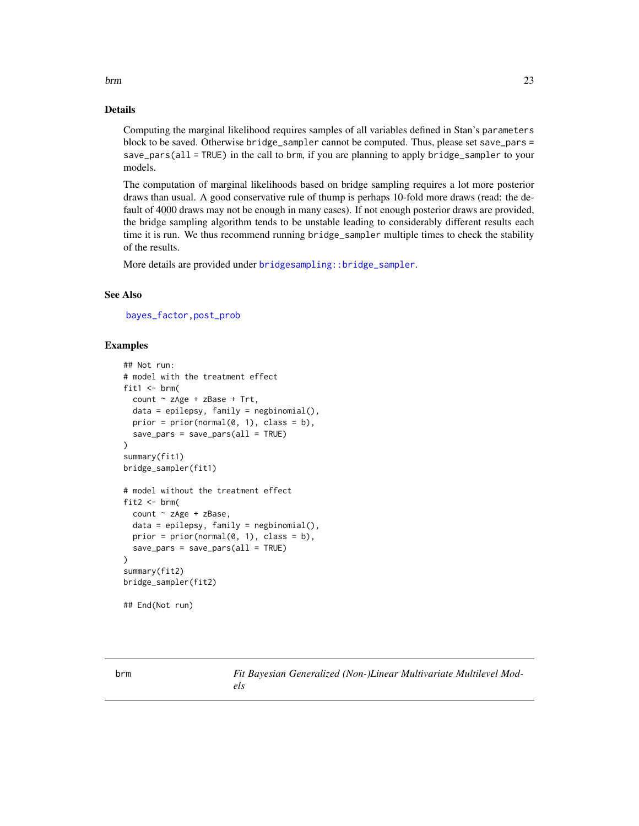<span id="page-22-0"></span>brm 23

#### Details

Computing the marginal likelihood requires samples of all variables defined in Stan's parameters block to be saved. Otherwise bridge\_sampler cannot be computed. Thus, please set save\_pars = save\_pars(all = TRUE) in the call to brm, if you are planning to apply bridge\_sampler to your models.

The computation of marginal likelihoods based on bridge sampling requires a lot more posterior draws than usual. A good conservative rule of thump is perhaps 10-fold more draws (read: the default of 4000 draws may not be enough in many cases). If not enough posterior draws are provided, the bridge sampling algorithm tends to be unstable leading to considerably different results each time it is run. We thus recommend running bridge\_sampler multiple times to check the stability of the results.

More details are provided under [bridgesampling::bridge\\_sampler](#page-0-0).

#### See Also

[bayes\\_factor,](#page-18-1)[post\\_prob](#page-174-1)

#### Examples

```
## Not run:
# model with the treatment effect
fit1 \le brm(
 count ~ zAge + zBase + Trt,
 data = epilepsy, family = negbinomial(),prior = prior(normal(0, 1), class = b),
 save_pars = save_pars(all = TRUE)
)
summary(fit1)
bridge_sampler(fit1)
# model without the treatment effect
fit2 \leftarrow brm(
 count ~ zAge + zBase,
 data = epilepsy, family = negbinomial(),
 prior = prior(normal(0, 1), class = b),
 save\_pars = save\_pars(al1 = TRUE)\lambdasummary(fit2)
bridge_sampler(fit2)
```
## End(Not run)

<span id="page-22-1"></span>

brm *Fit Bayesian Generalized (Non-)Linear Multivariate Multilevel Models*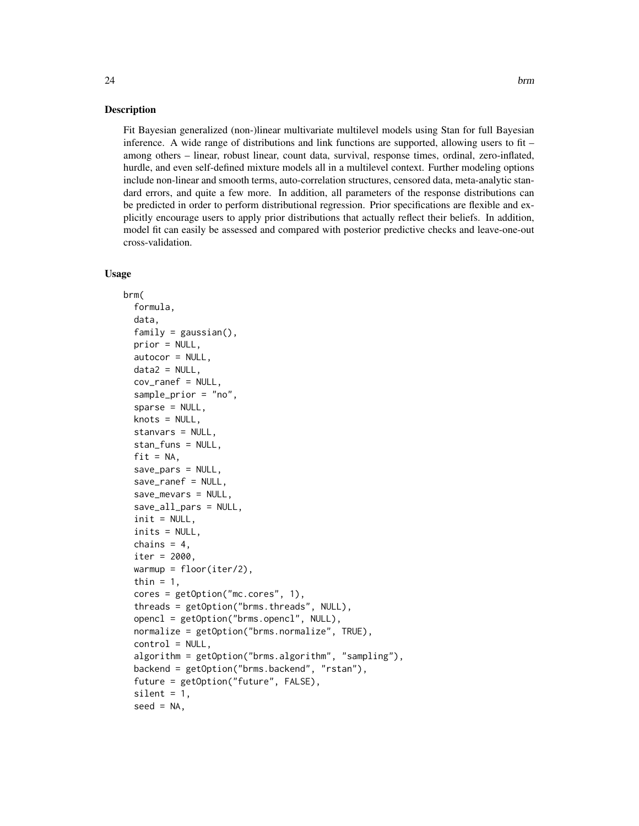#### Description

Fit Bayesian generalized (non-)linear multivariate multilevel models using Stan for full Bayesian inference. A wide range of distributions and link functions are supported, allowing users to fit – among others – linear, robust linear, count data, survival, response times, ordinal, zero-inflated, hurdle, and even self-defined mixture models all in a multilevel context. Further modeling options include non-linear and smooth terms, auto-correlation structures, censored data, meta-analytic standard errors, and quite a few more. In addition, all parameters of the response distributions can be predicted in order to perform distributional regression. Prior specifications are flexible and explicitly encourage users to apply prior distributions that actually reflect their beliefs. In addition, model fit can easily be assessed and compared with posterior predictive checks and leave-one-out cross-validation.

#### Usage

```
brm(
  formula,
  data,
  family = gaussian(),
 prior = NULL,
  autocor = NULL,data2 = NULL,cov_ranef = NULL,
  sample_prior = "no",
  sparse = NULL,knots = NULL,
  stanvars = NULL,
  stan_funs = NULL,
  fit = NA,
  save_pars = NULL,
  save_ranef = NULL,
  save_mevars = NULL,
  save_all_pars = NULL,
  init = NULL,inits = NULL,
  chains = 4,
  iter = 2000,
  warmup = floor(iter/2),
  thin = 1,
  cores = getOption("mc.cores", 1),
  threads = getOption("brms.threads", NULL),
  opencl = getOption("brms.opencl", NULL),
  normalize = getOption("brms.normalize", TRUE),
  control = NULL,
  algorithm = getOption("brms.algorithm", "sampling"),
  backend = getOption("brms.backend", "rstan"),
  future = getOption("future", FALSE),
  silent = 1,
  seed = NA,
```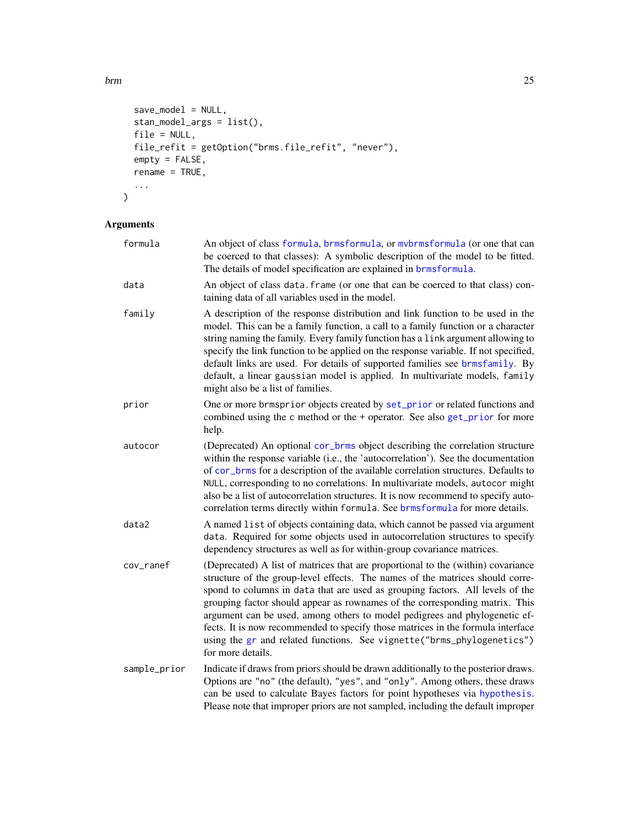brm 25

```
save_model = NULL,
stan_model_args = list(),
file = NULL,
file_refit = getOption("brms.file_refit", "never"),
empty = FALSE,
rename = TRUE,
...
```
# Arguments

 $\mathcal{L}$ 

| formula      | An object of class formula, brmsformula, or mybrmsformula (or one that can<br>be coerced to that classes): A symbolic description of the model to be fitted.<br>The details of model specification are explained in brmsformula.                                                                                                                                                                                                                                                                                                                                                                  |
|--------------|---------------------------------------------------------------------------------------------------------------------------------------------------------------------------------------------------------------------------------------------------------------------------------------------------------------------------------------------------------------------------------------------------------------------------------------------------------------------------------------------------------------------------------------------------------------------------------------------------|
| data         | An object of class data. frame (or one that can be coerced to that class) con-<br>taining data of all variables used in the model.                                                                                                                                                                                                                                                                                                                                                                                                                                                                |
| family       | A description of the response distribution and link function to be used in the<br>model. This can be a family function, a call to a family function or a character<br>string naming the family. Every family function has a link argument allowing to<br>specify the link function to be applied on the response variable. If not specified,<br>default links are used. For details of supported families see brmsfamily. By<br>default, a linear gaussian model is applied. In multivariate models, family<br>might also be a list of families.                                                  |
| prior        | One or more brmsprior objects created by set_prior or related functions and<br>combined using the c method or the + operator. See also get_prior for more<br>help.                                                                                                                                                                                                                                                                                                                                                                                                                                |
| autocor      | (Deprecated) An optional cor_brms object describing the correlation structure<br>within the response variable (i.e., the 'autocorrelation'). See the documentation<br>of cor_brms for a description of the available correlation structures. Defaults to<br>NULL, corresponding to no correlations. In multivariate models, autocor might<br>also be a list of autocorrelation structures. It is now recommend to specify auto-<br>correlation terms directly within formula. See brmsformula for more details.                                                                                   |
| data2        | A named list of objects containing data, which cannot be passed via argument<br>data. Required for some objects used in autocorrelation structures to specify<br>dependency structures as well as for within-group covariance matrices.                                                                                                                                                                                                                                                                                                                                                           |
| cov_ranef    | (Deprecated) A list of matrices that are proportional to the (within) covariance<br>structure of the group-level effects. The names of the matrices should corre-<br>spond to columns in data that are used as grouping factors. All levels of the<br>grouping factor should appear as rownames of the corresponding matrix. This<br>argument can be used, among others to model pedigrees and phylogenetic ef-<br>fects. It is now recommended to specify those matrices in the formula interface<br>using the gr and related functions. See vignette("brms_phylogenetics")<br>for more details. |
| sample_prior | Indicate if draws from priors should be drawn additionally to the posterior draws.<br>Options are "no" (the default), "yes", and "only". Among others, these draws<br>can be used to calculate Bayes factors for point hypotheses via hypothesis.<br>Please note that improper priors are not sampled, including the default improper                                                                                                                                                                                                                                                             |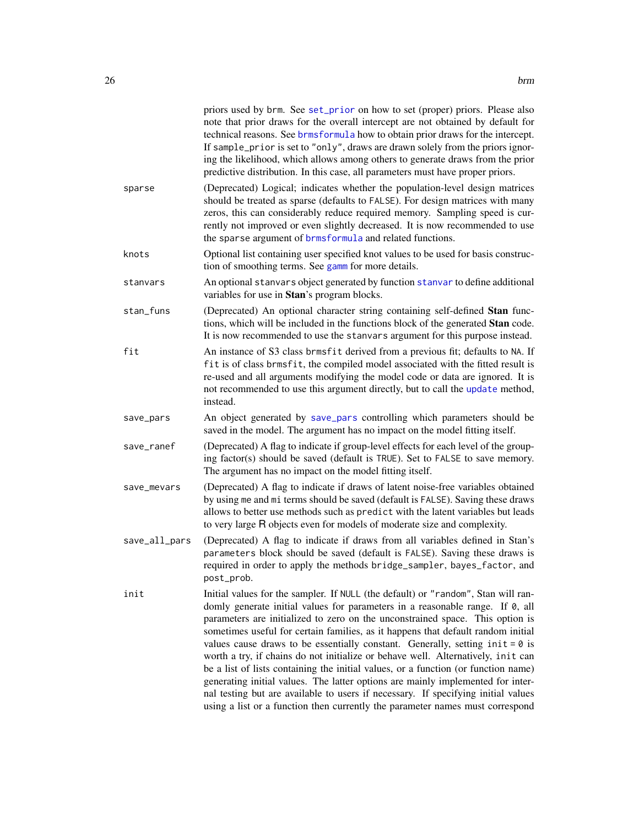|               | priors used by brm. See set_prior on how to set (proper) priors. Please also<br>note that prior draws for the overall intercept are not obtained by default for<br>technical reasons. See brmsformula how to obtain prior draws for the intercept.<br>If sample_prior is set to "only", draws are drawn solely from the priors ignor-<br>ing the likelihood, which allows among others to generate draws from the prior<br>predictive distribution. In this case, all parameters must have proper priors.                                                                                                                                                                                                                                                                                                                                                     |
|---------------|---------------------------------------------------------------------------------------------------------------------------------------------------------------------------------------------------------------------------------------------------------------------------------------------------------------------------------------------------------------------------------------------------------------------------------------------------------------------------------------------------------------------------------------------------------------------------------------------------------------------------------------------------------------------------------------------------------------------------------------------------------------------------------------------------------------------------------------------------------------|
| sparse        | (Deprecated) Logical; indicates whether the population-level design matrices<br>should be treated as sparse (defaults to FALSE). For design matrices with many<br>zeros, this can considerably reduce required memory. Sampling speed is cur-<br>rently not improved or even slightly decreased. It is now recommended to use<br>the sparse argument of brmsformula and related functions.                                                                                                                                                                                                                                                                                                                                                                                                                                                                    |
| knots         | Optional list containing user specified knot values to be used for basis construc-<br>tion of smoothing terms. See gamm for more details.                                                                                                                                                                                                                                                                                                                                                                                                                                                                                                                                                                                                                                                                                                                     |
| stanvars      | An optional stanvars object generated by function stanvar to define additional<br>variables for use in Stan's program blocks.                                                                                                                                                                                                                                                                                                                                                                                                                                                                                                                                                                                                                                                                                                                                 |
| stan_funs     | (Deprecated) An optional character string containing self-defined Stan func-<br>tions, which will be included in the functions block of the generated Stan code.<br>It is now recommended to use the stanvars argument for this purpose instead.                                                                                                                                                                                                                                                                                                                                                                                                                                                                                                                                                                                                              |
| fit           | An instance of S3 class brmsfit derived from a previous fit; defaults to NA. If<br>fit is of class brmsfit, the compiled model associated with the fitted result is<br>re-used and all arguments modifying the model code or data are ignored. It is<br>not recommended to use this argument directly, but to call the update method,<br>instead.                                                                                                                                                                                                                                                                                                                                                                                                                                                                                                             |
| save_pars     | An object generated by save_pars controlling which parameters should be<br>saved in the model. The argument has no impact on the model fitting itself.                                                                                                                                                                                                                                                                                                                                                                                                                                                                                                                                                                                                                                                                                                        |
| save_ranef    | (Deprecated) A flag to indicate if group-level effects for each level of the group-<br>ing factor(s) should be saved (default is TRUE). Set to FALSE to save memory.<br>The argument has no impact on the model fitting itself.                                                                                                                                                                                                                                                                                                                                                                                                                                                                                                                                                                                                                               |
| save_mevars   | (Deprecated) A flag to indicate if draws of latent noise-free variables obtained<br>by using me and mi terms should be saved (default is FALSE). Saving these draws<br>allows to better use methods such as predict with the latent variables but leads<br>to very large R objects even for models of moderate size and complexity.                                                                                                                                                                                                                                                                                                                                                                                                                                                                                                                           |
| save_all_pars | (Deprecated) A flag to indicate if draws from all variables defined in Stan's<br>parameters block should be saved (default is FALSE). Saving these draws is<br>required in order to apply the methods bridge_sampler, bayes_factor, and<br>post_prob.                                                                                                                                                                                                                                                                                                                                                                                                                                                                                                                                                                                                         |
| init          | Initial values for the sampler. If NULL (the default) or "random", Stan will ran-<br>domly generate initial values for parameters in a reasonable range. If 0, all<br>parameters are initialized to zero on the unconstrained space. This option is<br>sometimes useful for certain families, as it happens that default random initial<br>values cause draws to be essentially constant. Generally, setting $init = 0$ is<br>worth a try, if chains do not initialize or behave well. Alternatively, init can<br>be a list of lists containing the initial values, or a function (or function name)<br>generating initial values. The latter options are mainly implemented for inter-<br>nal testing but are available to users if necessary. If specifying initial values<br>using a list or a function then currently the parameter names must correspond |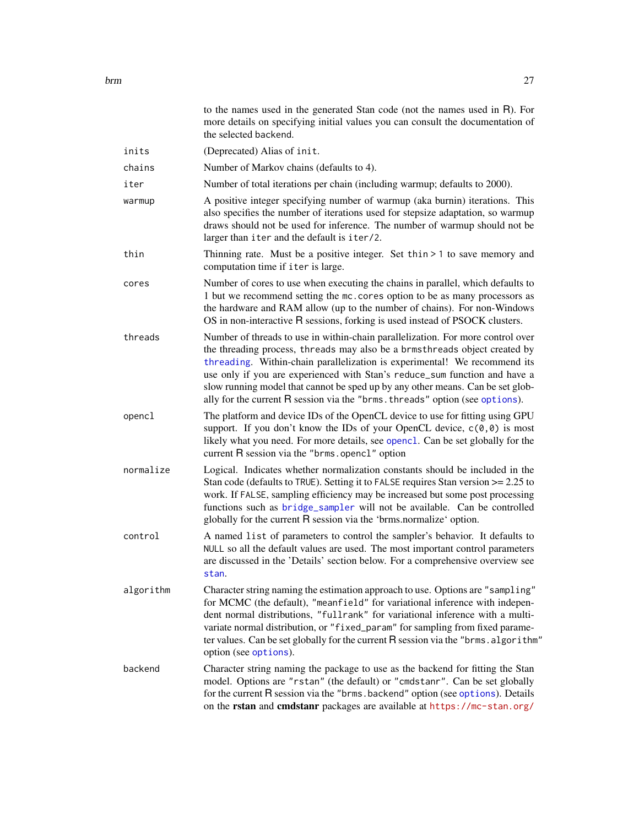|           | more details on specifying initial values you can consult the documentation of<br>the selected backend.                                                                                                                                                                                                                                                                                                                                                                                    |
|-----------|--------------------------------------------------------------------------------------------------------------------------------------------------------------------------------------------------------------------------------------------------------------------------------------------------------------------------------------------------------------------------------------------------------------------------------------------------------------------------------------------|
| inits     | (Deprecated) Alias of init.                                                                                                                                                                                                                                                                                                                                                                                                                                                                |
| chains    | Number of Markov chains (defaults to 4).                                                                                                                                                                                                                                                                                                                                                                                                                                                   |
| iter      | Number of total iterations per chain (including warmup; defaults to 2000).                                                                                                                                                                                                                                                                                                                                                                                                                 |
| warmup    | A positive integer specifying number of warmup (aka burnin) iterations. This<br>also specifies the number of iterations used for stepsize adaptation, so warmup<br>draws should not be used for inference. The number of warmup should not be<br>larger than iter and the default is iter/2.                                                                                                                                                                                               |
| thin      | Thinning rate. Must be a positive integer. Set thin $> 1$ to save memory and<br>computation time if iter is large.                                                                                                                                                                                                                                                                                                                                                                         |
| cores     | Number of cores to use when executing the chains in parallel, which defaults to<br>1 but we recommend setting the mc. cores option to be as many processors as<br>the hardware and RAM allow (up to the number of chains). For non-Windows<br>OS in non-interactive R sessions, forking is used instead of PSOCK clusters.                                                                                                                                                                 |
| threads   | Number of threads to use in within-chain parallelization. For more control over<br>the threading process, threads may also be a brmsthreads object created by<br>threading. Within-chain parallelization is experimental! We recommend its<br>use only if you are experienced with Stan's reduce_sum function and have a<br>slow running model that cannot be sped up by any other means. Can be set glob-<br>ally for the current R session via the "brms. threads" option (see options). |
| opencl    | The platform and device IDs of the OpenCL device to use for fitting using GPU<br>support. If you don't know the IDs of your OpenCL device, $c(0,0)$ is most<br>likely what you need. For more details, see openc1. Can be set globally for the<br>current R session via the "brms.opencl" option                                                                                                                                                                                           |
| normalize | Logical. Indicates whether normalization constants should be included in the<br>Stan code (defaults to TRUE). Setting it to FALSE requires Stan version $\geq$ 2.25 to<br>work. If FALSE, sampling efficiency may be increased but some post processing<br>functions such as bridge_sampler will not be available. Can be controlled<br>globally for the current R session via the 'brms.normalize' option.                                                                                |
| control   | A named list of parameters to control the sampler's behavior. It defaults to<br>NULL so all the default values are used. The most important control parameters<br>are discussed in the 'Details' section below. For a comprehensive overview see<br>stan.                                                                                                                                                                                                                                  |
| algorithm | Character string naming the estimation approach to use. Options are "sampling"<br>for MCMC (the default), "meanfield" for variational inference with indepen-<br>dent normal distributions, "fullrank" for variational inference with a multi-<br>variate normal distribution, or "fixed_param" for sampling from fixed parame-<br>ter values. Can be set globally for the current R session via the "brms. algorithm"<br>option (see options).                                            |
| backend   | Character string naming the package to use as the backend for fitting the Stan<br>model. Options are "rstan" (the default) or "cmdstanr". Can be set globally<br>for the current R session via the "brms.backend" option (see options). Details<br>on the rstan and cmdstanr packages are available at https://mc-stan.org/                                                                                                                                                                |

to the names used in the generated Stan code (not the names used in R). For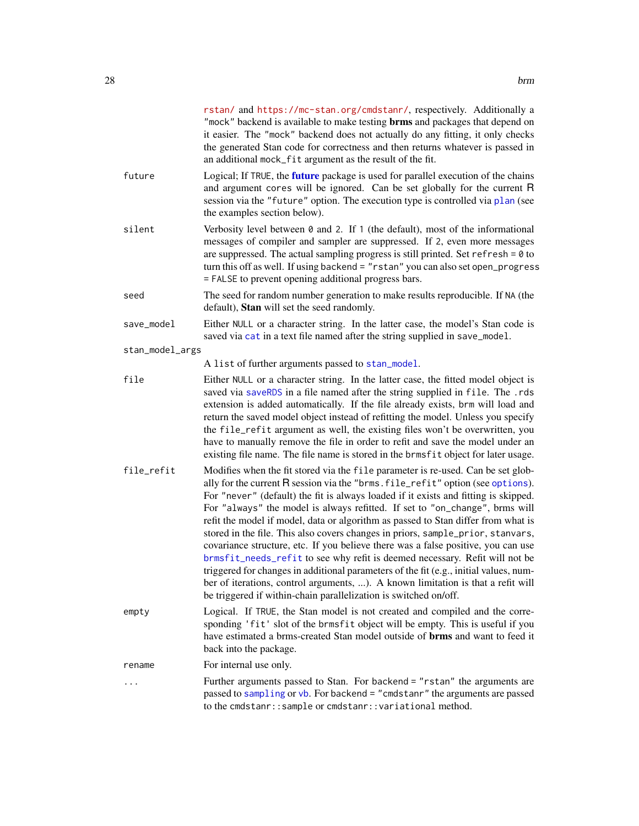|                 | rstan/ and https://mc-stan.org/cmdstanr/, respectively. Additionally a<br>"mock" backend is available to make testing <b>brms</b> and packages that depend on<br>it easier. The "mock" backend does not actually do any fitting, it only checks<br>the generated Stan code for correctness and then returns whatever is passed in<br>an additional mock_fit argument as the result of the fit.                                                                                                                                                                                                                                                                                                                                                                                                                                                                                                                                         |
|-----------------|----------------------------------------------------------------------------------------------------------------------------------------------------------------------------------------------------------------------------------------------------------------------------------------------------------------------------------------------------------------------------------------------------------------------------------------------------------------------------------------------------------------------------------------------------------------------------------------------------------------------------------------------------------------------------------------------------------------------------------------------------------------------------------------------------------------------------------------------------------------------------------------------------------------------------------------|
| future          | Logical; If TRUE, the <b>future</b> package is used for parallel execution of the chains<br>and argument cores will be ignored. Can be set globally for the current R<br>session via the "future" option. The execution type is controlled via plan (see<br>the examples section below).                                                                                                                                                                                                                                                                                                                                                                                                                                                                                                                                                                                                                                               |
| silent          | Verbosity level between $\theta$ and 2. If 1 (the default), most of the informational<br>messages of compiler and sampler are suppressed. If 2, even more messages<br>are suppressed. The actual sampling progress is still printed. Set refresh = $0$ to<br>turn this off as well. If using backend = "rstan" you can also set open_progress<br>= FALSE to prevent opening additional progress bars.                                                                                                                                                                                                                                                                                                                                                                                                                                                                                                                                  |
| seed            | The seed for random number generation to make results reproducible. If NA (the<br>default), Stan will set the seed randomly.                                                                                                                                                                                                                                                                                                                                                                                                                                                                                                                                                                                                                                                                                                                                                                                                           |
| save_model      | Either NULL or a character string. In the latter case, the model's Stan code is<br>saved via cat in a text file named after the string supplied in save_model.                                                                                                                                                                                                                                                                                                                                                                                                                                                                                                                                                                                                                                                                                                                                                                         |
| stan_model_args |                                                                                                                                                                                                                                                                                                                                                                                                                                                                                                                                                                                                                                                                                                                                                                                                                                                                                                                                        |
|                 | A list of further arguments passed to stan_model.                                                                                                                                                                                                                                                                                                                                                                                                                                                                                                                                                                                                                                                                                                                                                                                                                                                                                      |
| file            | Either NULL or a character string. In the latter case, the fitted model object is<br>saved via saveRDS in a file named after the string supplied in file. The .rds<br>extension is added automatically. If the file already exists, brm will load and<br>return the saved model object instead of refitting the model. Unless you specify<br>the file_refit argument as well, the existing files won't be overwritten, you<br>have to manually remove the file in order to refit and save the model under an<br>existing file name. The file name is stored in the brmsfit object for later usage.                                                                                                                                                                                                                                                                                                                                     |
| file_refit      | Modifies when the fit stored via the file parameter is re-used. Can be set glob-<br>ally for the current R session via the "brms. file_refit" option (see options).<br>For "never" (default) the fit is always loaded if it exists and fitting is skipped.<br>For "always" the model is always refitted. If set to "on_change", brms will<br>refit the model if model, data or algorithm as passed to Stan differ from what is<br>stored in the file. This also covers changes in priors, sample_prior, stanvars,<br>covariance structure, etc. If you believe there was a false positive, you can use<br>brmsfit_needs_refit to see why refit is deemed necessary. Refit will not be<br>triggered for changes in additional parameters of the fit (e.g., initial values, num-<br>ber of iterations, control arguments, ). A known limitation is that a refit will<br>be triggered if within-chain parallelization is switched on/off. |
| empty           | Logical. If TRUE, the Stan model is not created and compiled and the corre-<br>sponding 'fit' slot of the brmsfit object will be empty. This is useful if you<br>have estimated a brms-created Stan model outside of <b>brms</b> and want to feed it<br>back into the package.                                                                                                                                                                                                                                                                                                                                                                                                                                                                                                                                                                                                                                                         |
| rename          | For internal use only.                                                                                                                                                                                                                                                                                                                                                                                                                                                                                                                                                                                                                                                                                                                                                                                                                                                                                                                 |
|                 | Further arguments passed to Stan. For backend = "rstan" the arguments are<br>passed to sampling or vb. For backend = "cmdstanr" the arguments are passed<br>to the cmdstanr:: sample or cmdstanr:: variational method.                                                                                                                                                                                                                                                                                                                                                                                                                                                                                                                                                                                                                                                                                                                 |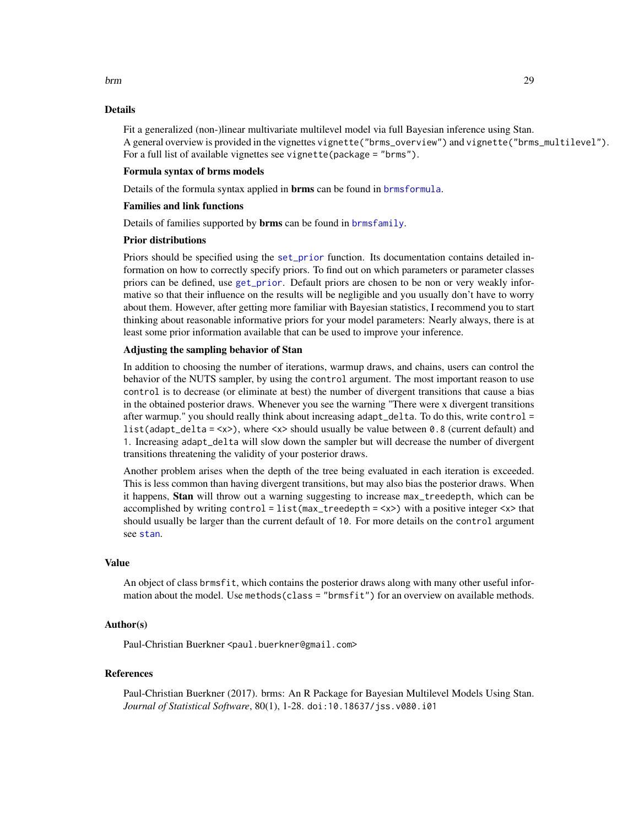#### Details

Fit a generalized (non-)linear multivariate multilevel model via full Bayesian inference using Stan. A general overview is provided in the vignettes vignette("brms\_overview") and vignette("brms\_multilevel"). For a full list of available vignettes see vignette(package = "brms").

#### Formula syntax of brms models

Details of the formula syntax applied in **brms** can be found in **[brmsformula](#page-37-1)**.

#### Families and link functions

Details of families supported by **brms** can be found in **[brmsfamily](#page-31-1)**.

#### Prior distributions

Priors should be specified using the [set\\_prior](#page-203-1) function. Its documentation contains detailed information on how to correctly specify priors. To find out on which parameters or parameter classes priors can be defined, use [get\\_prior](#page-97-1). Default priors are chosen to be non or very weakly informative so that their influence on the results will be negligible and you usually don't have to worry about them. However, after getting more familiar with Bayesian statistics, I recommend you to start thinking about reasonable informative priors for your model parameters: Nearly always, there is at least some prior information available that can be used to improve your inference.

#### Adjusting the sampling behavior of Stan

In addition to choosing the number of iterations, warmup draws, and chains, users can control the behavior of the NUTS sampler, by using the control argument. The most important reason to use control is to decrease (or eliminate at best) the number of divergent transitions that cause a bias in the obtained posterior draws. Whenever you see the warning "There were x divergent transitions after warmup." you should really think about increasing adapt\_delta. To do this, write control = list(adapt\_delta =  $\langle x \rangle$ ), where  $\langle x \rangle$  should usually be value between 0.8 (current default) and 1. Increasing adapt\_delta will slow down the sampler but will decrease the number of divergent transitions threatening the validity of your posterior draws.

Another problem arises when the depth of the tree being evaluated in each iteration is exceeded. This is less common than having divergent transitions, but may also bias the posterior draws. When it happens, Stan will throw out a warning suggesting to increase max\_treedepth, which can be accomplished by writing control = list(max\_treedepth = <x>) with a positive integer <x> that should usually be larger than the current default of 10. For more details on the control argument see [stan](#page-0-0).

#### Value

An object of class brmsfit, which contains the posterior draws along with many other useful information about the model. Use methods(class = "brmsfit") for an overview on available methods.

#### Author(s)

Paul-Christian Buerkner <paul.buerkner@gmail.com>

#### References

Paul-Christian Buerkner (2017). brms: An R Package for Bayesian Multilevel Models Using Stan. *Journal of Statistical Software*, 80(1), 1-28. doi:10.18637/jss.v080.i01

#### brm 29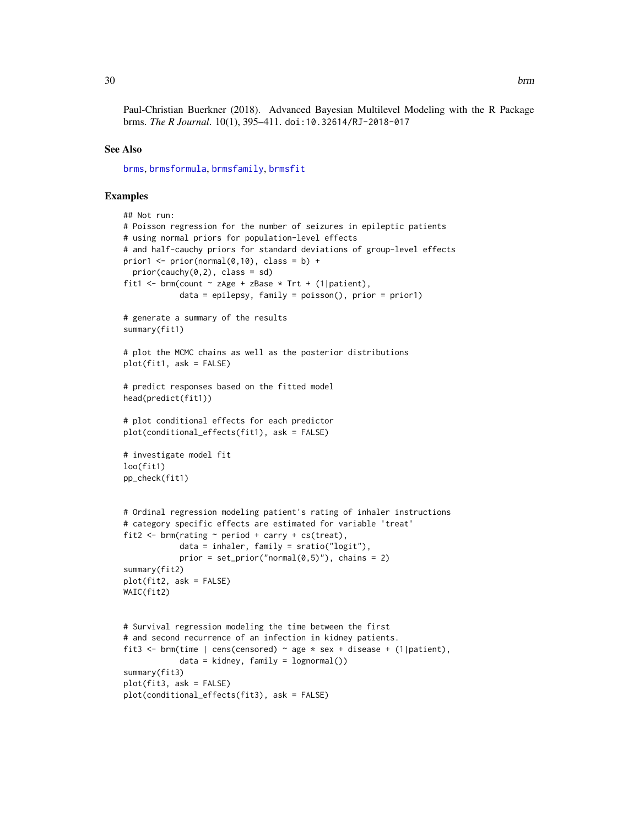Paul-Christian Buerkner (2018). Advanced Bayesian Multilevel Modeling with the R Package brms. *The R Journal*. 10(1), 395–411. doi:10.32614/RJ-2018-017

#### See Also

[brms](#page-5-1), [brmsformula](#page-37-1), [brmsfamily](#page-31-1), [brmsfit](#page-36-1)

#### Examples

```
## Not run:
# Poisson regression for the number of seizures in epileptic patients
# using normal priors for population-level effects
# and half-cauchy priors for standard deviations of group-level effects
prior1 <- prior(normal(0,10), class = b) +
  prior(cauchy(0,2), class = sd)fit1 <- brm(count \sim zAge + zBase \star Trt + (1|patient),
            data = epilepsy, family = poisson(), prior = prior1)
# generate a summary of the results
summary(fit1)
# plot the MCMC chains as well as the posterior distributions
plot(fit1, ask = FALSE)
# predict responses based on the fitted model
head(predict(fit1))
# plot conditional effects for each predictor
plot(conditional_effects(fit1), ask = FALSE)
# investigate model fit
loo(fit1)
pp_check(fit1)
# Ordinal regression modeling patient's rating of inhaler instructions
# category specific effects are estimated for variable 'treat'
fit2 <- brm(rating \sim period + carry + cs(treat),
            data = inhaler, family = sratio("logit"),
            prior = set\_prior("normal(0,5)"), chains = 2)
summary(fit2)
plot(fit2, ask = FALSE)
WAIC(fit2)
# Survival regression modeling the time between the first
# and second recurrence of an infection in kidney patients.
fit3 <- brm(time | cens(censored) ~ age * sex + disease + (1|patient),
            data = kidney, family = lognormal()summary(fit3)
plot(fit3, ask = FALSE)
plot(conditional_effects(fit3), ask = FALSE)
```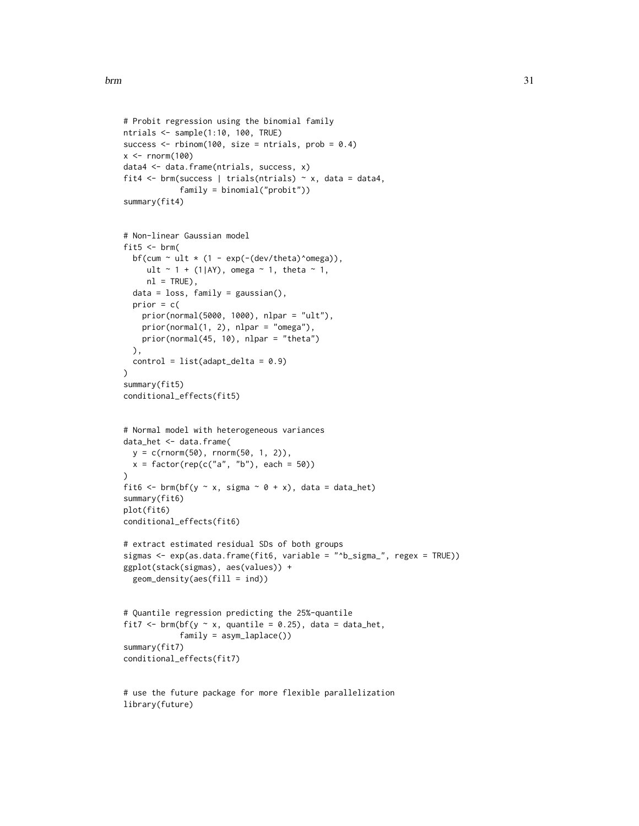```
# Probit regression using the binomial family
ntrials <- sample(1:10, 100, TRUE)
success \le rbinom(100, size = ntrials, prob = 0.4)
x \le rnorm(100)
data4 <- data.frame(ntrials, success, x)
fit4 \le brm(success | trials(ntrials) \sim x, data = data4,
            family = binomial("probit"))
summary(fit4)
# Non-linear Gaussian model
fit5 \le brm(
  bf(cum \sim ult \star (1 - exp(-(dev/theta)^omega)),
     ult \sim 1 + (1|AY), omega \sim 1, theta \sim 1,
     nl = TRUE),
  data = loss, family = gaussian(),
  prior = c(prior(normal(5000, 1000), nlpar = "ult"),
    prior(normal(1, 2), nlpar = "omega"),
   prior(normal(45, 10), nlpar = "theta")
  ),
  control = list(adapt_delta = 0.9)
\mathcal{L}summary(fit5)
conditional_effects(fit5)
# Normal model with heterogeneous variances
data_het <- data.frame(
  y = c(rnorm(50), rnorm(50, 1, 2)),
  x = factor(rep(c("a", "b"), each = 50))\lambdafit6 <- brm(bf(y ~ x, sigma ~ 0 + x), data = data_het)
summary(fit6)
plot(fit6)
conditional_effects(fit6)
# extract estimated residual SDs of both groups
sigmas <- exp(as.data.frame(fit6, variable = "^b_sigma_", regex = TRUE))
ggplot(stack(sigmas), aes(values)) +
  geom_density(aes(fill = ind))
# Quantile regression predicting the 25%-quantile
fit7 <- brm(bf(y \sim x, quantile = 0.25), data = data_het,
            family = asym_laplace())
summary(fit7)
conditional_effects(fit7)
# use the future package for more flexible parallelization
library(future)
```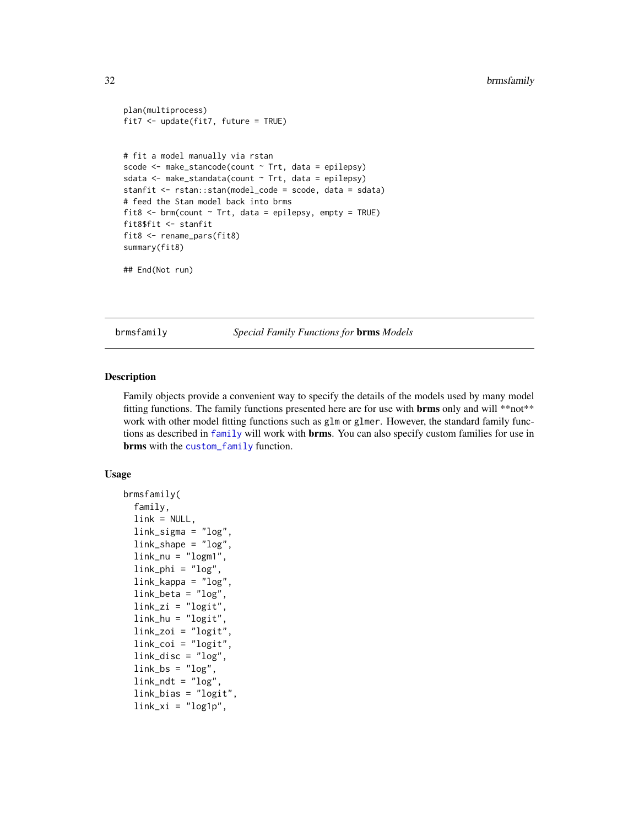```
plan(multiprocess)
fit7 <- update(fit7, future = TRUE)
# fit a model manually via rstan
scode <- make_stancode(count ~ Trt, data = epilepsy)
sdata \leq make_standata(count \sim Trt, data = epilepsy)
stanfit <- rstan::stan(model_code = scode, data = sdata)
# feed the Stan model back into brms
fit8 \leq brm(count \sim Trt, data = epilepsy, empty = TRUE)
fit8$fit <- stanfit
fit8 <- rename_pars(fit8)
summary(fit8)
## End(Not run)
```
<span id="page-31-1"></span>brmsfamily *Special Family Functions for* brms *Models*

#### Description

Family objects provide a convenient way to specify the details of the models used by many model fitting functions. The family functions presented here are for use with **brms** only and will \*\*not\*\* work with other model fitting functions such as glm or glmer. However, the standard family functions as described in [family](#page-0-0) will work with **brms**. You can also specify custom families for use in brms with the [custom\\_family](#page-76-1) function.

#### Usage

```
brmsfamily(
  family,
  link = NULL,
  link_sigma = "log",
  link_shape = "log",
  link_nu = "logm1",link\_phi = "log",link_kappa = "log",
  link_beta = "log",
  link_zi = "logit",link_hu = "logit",link_zoi = "logit",
  link_coi = "logit",
  link\_disc = "log",link_b = "log",link\_ndt = "log",link_bias = "logit",
  link\_xi = "log1p",
```
<span id="page-31-0"></span>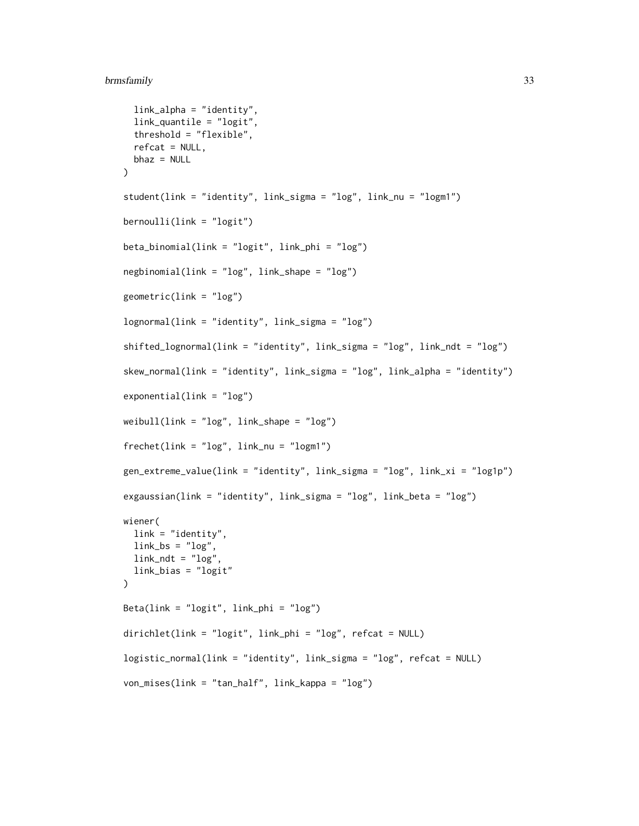#### brmsfamily 33

```
link_alpha = "identity",
  link_quantile = "logit",
  threshold = "flexible",
 refcat = NULL,
 bhaz = NULL
)
student(link = "identity", link_sigma = "log", link_nu = "logm1")
bernoulli(link = "logit")
beta_binomial(link = "logit", link_phi = "log")
negbinomial(link = "log", link_shape = "log")
geometric(link = "log")
lognormal(link = "identity", link_sigma = "log")
shifted_lognormal(link = "identity", link_sigma = "log", link_ndt = "log")
skew_normal(link = "identity", link_sigma = "log", link_alpha = "identity")
exponential(link = "log")
weight(link = "log", link\_shape = "log")frechet(link = "log", link_nu = "logm1")
gen_extreme_value(link = "identity", link_sigma = "log", link_xi = "log1p")
exgaussian(link = "identity", link_sigma = "log", link_beta = "log")
wiener(
 link = "identity",
 link_b = "log",link\_ndt = "log".link_bias = "logit"
)
Beta(link = "logit", link_phi = "log")
dirichlet(link = "logit", link_phi = "log", refcat = NULL)
logistic_normal(link = "identity", link_sigma = "log", refcat = NULL)
von_mises(link = "tan_half", link_kappa = "log")
```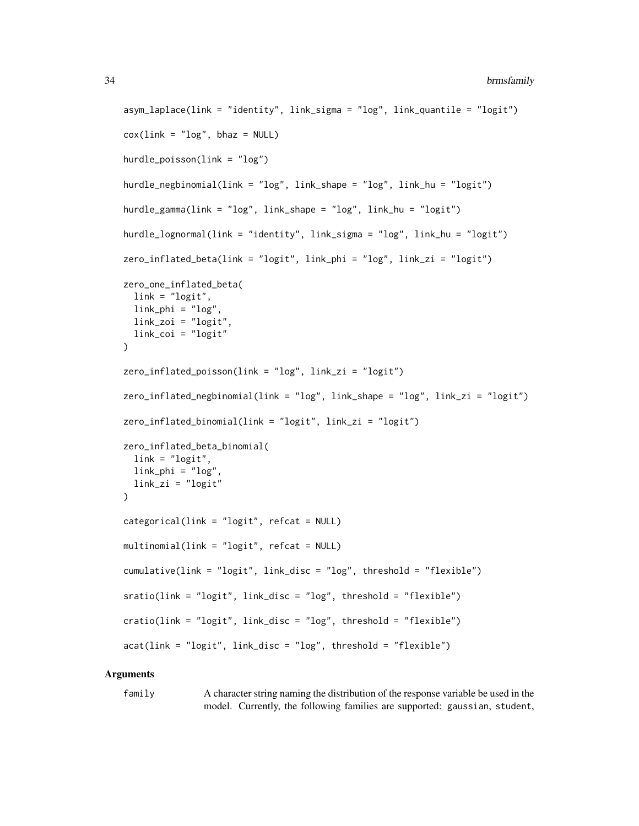#### 34 brmsfamily

```
asym_laplace(link = "identity", link_sigma = "log", link_quantile = "logit")
\cos(\text{link} = \text{"log"}, bhaz = NULL)
hurdle_poisson(link = "log")
hurdle_negbinomial(link = "log", link_shape = "log", link_hu = "logit")
hurdle_gamma(link = "log", link_shape = "log", link_hu = "logit")
hurdle_lognormal(link = "identity", link_sigma = "log", link_hu = "logit")
zero_inflated_beta(link = "logit", link_phi = "log", link_zi = "logit")
zero_one_inflated_beta(
  link = "logit",link\_phi = "log",
  link\_zoi = "logit",link_coi = "logit"
\lambdazero_inflated_poisson(link = "log", link_zi = "logit")
zero_inflated_negbinomial(link = "log", link_shape = "log", link_zi = "logit")
zero_inflated_binomial(link = "logit", link_zi = "logit")
zero_inflated_beta_binomial(
  link = "logit",link\_phi = "log"link_zi = "logit"
)
categorical(link = "logit", refcat = NULL)multinomial(link = "logit", refcat = NULL)
cumulative(link = "logit", link_disc = "log", threshold = "flexible")
sratio(link = "logit", link_disc = "log", threshold = "flexible")
cratio(link = "logit", link_disc = "log", threshold = "flexible")
acat(link = "logit", link_disc = "log", threshold = "flexible")
```
#### Arguments

family A character string naming the distribution of the response variable be used in the model. Currently, the following families are supported: gaussian, student,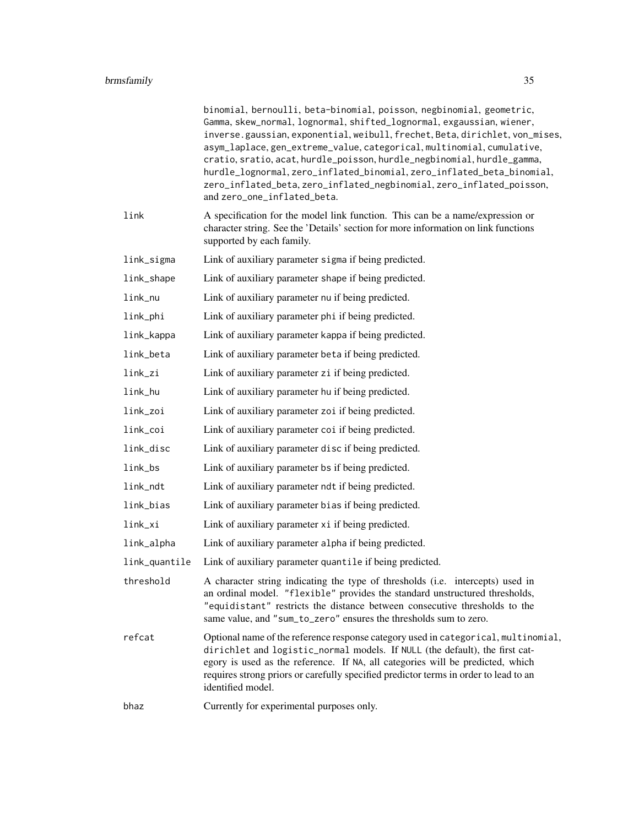|               | binomial, bernoulli, beta-binomial, poisson, negbinomial, geometric,<br>Gamma, skew_normal, lognormal, shifted_lognormal, exgaussian, wiener,<br>inverse.gaussian, exponential, weibull, frechet, Beta, dirichlet, von_mises,<br>asym_laplace, gen_extreme_value, categorical, multinomial, cumulative,<br>cratio, sratio, acat, hurdle_poisson, hurdle_negbinomial, hurdle_gamma,<br>hurdle_lognormal, zero_inflated_binomial, zero_inflated_beta_binomial,<br>zero_inflated_beta, zero_inflated_negbinomial, zero_inflated_poisson,<br>and zero_one_inflated_beta. |
|---------------|----------------------------------------------------------------------------------------------------------------------------------------------------------------------------------------------------------------------------------------------------------------------------------------------------------------------------------------------------------------------------------------------------------------------------------------------------------------------------------------------------------------------------------------------------------------------|
| link          | A specification for the model link function. This can be a name/expression or<br>character string. See the 'Details' section for more information on link functions<br>supported by each family.                                                                                                                                                                                                                                                                                                                                                                     |
| link_sigma    | Link of auxiliary parameter sigma if being predicted.                                                                                                                                                                                                                                                                                                                                                                                                                                                                                                                |
| link_shape    | Link of auxiliary parameter shape if being predicted.                                                                                                                                                                                                                                                                                                                                                                                                                                                                                                                |
| link_nu       | Link of auxiliary parameter nu if being predicted.                                                                                                                                                                                                                                                                                                                                                                                                                                                                                                                   |
| link_phi      | Link of auxiliary parameter phi if being predicted.                                                                                                                                                                                                                                                                                                                                                                                                                                                                                                                  |
| link_kappa    | Link of auxiliary parameter kappa if being predicted.                                                                                                                                                                                                                                                                                                                                                                                                                                                                                                                |
| link_beta     | Link of auxiliary parameter beta if being predicted.                                                                                                                                                                                                                                                                                                                                                                                                                                                                                                                 |
| link_zi       | Link of auxiliary parameter zi if being predicted.                                                                                                                                                                                                                                                                                                                                                                                                                                                                                                                   |
| link_hu       | Link of auxiliary parameter hu if being predicted.                                                                                                                                                                                                                                                                                                                                                                                                                                                                                                                   |
| link_zoi      | Link of auxiliary parameter zoi if being predicted.                                                                                                                                                                                                                                                                                                                                                                                                                                                                                                                  |
| link_coi      | Link of auxiliary parameter coi if being predicted.                                                                                                                                                                                                                                                                                                                                                                                                                                                                                                                  |
| link_disc     | Link of auxiliary parameter disc if being predicted.                                                                                                                                                                                                                                                                                                                                                                                                                                                                                                                 |
| link_bs       | Link of auxiliary parameter bs if being predicted.                                                                                                                                                                                                                                                                                                                                                                                                                                                                                                                   |
| link_ndt      | Link of auxiliary parameter ndt if being predicted.                                                                                                                                                                                                                                                                                                                                                                                                                                                                                                                  |
| link_bias     | Link of auxiliary parameter bias if being predicted.                                                                                                                                                                                                                                                                                                                                                                                                                                                                                                                 |
| link_xi       | Link of auxiliary parameter xi if being predicted.                                                                                                                                                                                                                                                                                                                                                                                                                                                                                                                   |
| link_alpha    | Link of auxiliary parameter alpha if being predicted.                                                                                                                                                                                                                                                                                                                                                                                                                                                                                                                |
| link_quantile | Link of auxiliary parameter quantile if being predicted.                                                                                                                                                                                                                                                                                                                                                                                                                                                                                                             |
| threshold     | A character string indicating the type of thresholds (i.e. intercepts) used in<br>an ordinal model. "flexible" provides the standard unstructured thresholds,<br>"equidistant" restricts the distance between consecutive thresholds to the<br>same value, and "sum_to_zero" ensures the thresholds sum to zero.                                                                                                                                                                                                                                                     |
| refcat        | Optional name of the reference response category used in categorical, multinomial,<br>dirichlet and logistic_normal models. If NULL (the default), the first cat-<br>egory is used as the reference. If NA, all categories will be predicted, which<br>requires strong priors or carefully specified predictor terms in order to lead to an<br>identified model.                                                                                                                                                                                                     |
| bhaz          | Currently for experimental purposes only.                                                                                                                                                                                                                                                                                                                                                                                                                                                                                                                            |
|               |                                                                                                                                                                                                                                                                                                                                                                                                                                                                                                                                                                      |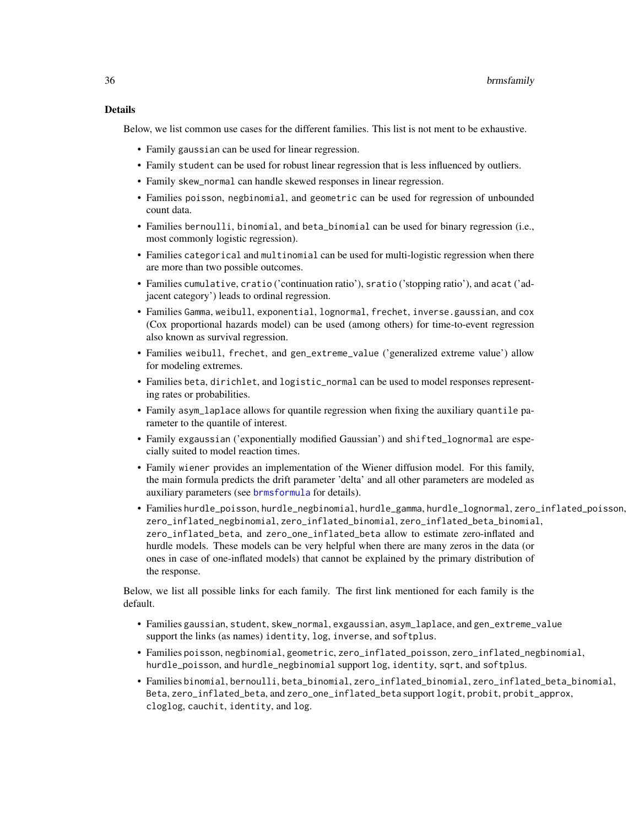#### Details

Below, we list common use cases for the different families. This list is not ment to be exhaustive.

- Family gaussian can be used for linear regression.
- Family student can be used for robust linear regression that is less influenced by outliers.
- Family skew\_normal can handle skewed responses in linear regression.
- Families poisson, negbinomial, and geometric can be used for regression of unbounded count data.
- Families bernoulli, binomial, and beta\_binomial can be used for binary regression (i.e., most commonly logistic regression).
- Families categorical and multinomial can be used for multi-logistic regression when there are more than two possible outcomes.
- Families cumulative, cratio ('continuation ratio'), sratio ('stopping ratio'), and acat ('adjacent category') leads to ordinal regression.
- Families Gamma, weibull, exponential, lognormal, frechet, inverse.gaussian, and cox (Cox proportional hazards model) can be used (among others) for time-to-event regression also known as survival regression.
- Families weibull, frechet, and gen\_extreme\_value ('generalized extreme value') allow for modeling extremes.
- Families beta, dirichlet, and logistic\_normal can be used to model responses representing rates or probabilities.
- Family asym\_laplace allows for quantile regression when fixing the auxiliary quantile parameter to the quantile of interest.
- Family exgaussian ('exponentially modified Gaussian') and shifted\_lognormal are especially suited to model reaction times.
- Family wiener provides an implementation of the Wiener diffusion model. For this family, the main formula predicts the drift parameter 'delta' and all other parameters are modeled as auxiliary parameters (see [brmsformula](#page-37-1) for details).
- Families hurdle\_poisson, hurdle\_negbinomial, hurdle\_gamma, hurdle\_lognormal, zero\_inflated\_poisson, zero\_inflated\_negbinomial, zero\_inflated\_binomial, zero\_inflated\_beta\_binomial, zero\_inflated\_beta, and zero\_one\_inflated\_beta allow to estimate zero-inflated and hurdle models. These models can be very helpful when there are many zeros in the data (or ones in case of one-inflated models) that cannot be explained by the primary distribution of the response.

Below, we list all possible links for each family. The first link mentioned for each family is the default.

- Families gaussian, student, skew\_normal, exgaussian, asym\_laplace, and gen\_extreme\_value support the links (as names) identity, log, inverse, and softplus.
- Families poisson, negbinomial, geometric, zero\_inflated\_poisson, zero\_inflated\_negbinomial, hurdle\_poisson, and hurdle\_negbinomial support log, identity, sqrt, and softplus.
- Families binomial, bernoulli, beta\_binomial, zero\_inflated\_binomial, zero\_inflated\_beta\_binomial, Beta, zero\_inflated\_beta, and zero\_one\_inflated\_beta support logit, probit, probit\_approx, cloglog, cauchit, identity, and log.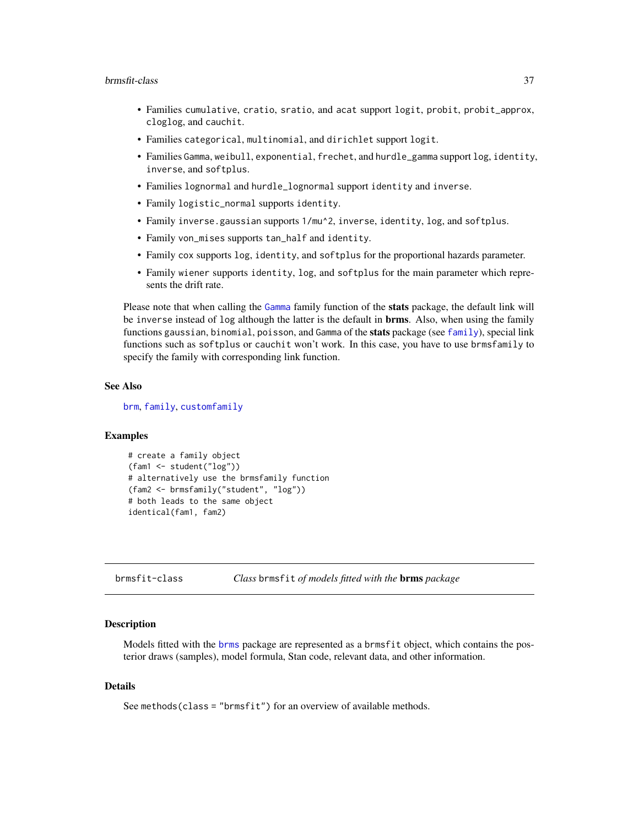#### brmsfit-class 37

- Families cumulative, cratio, sratio, and acat support logit, probit, probit\_approx, cloglog, and cauchit.
- Families categorical, multinomial, and dirichlet support logit.
- Families Gamma, weibull, exponential, frechet, and hurdle\_gamma support log, identity, inverse, and softplus.
- Families lognormal and hurdle\_lognormal support identity and inverse.
- Family logistic\_normal supports identity.
- Family inverse.gaussian supports 1/mu^2, inverse, identity, log, and softplus.
- Family von\_mises supports tan\_half and identity.
- Family cox supports log, identity, and softplus for the proportional hazards parameter.
- Family wiener supports identity, log, and softplus for the main parameter which represents the drift rate.

Please note that when calling the [Gamma](#page-0-0) family function of the **stats** package, the default link will be inverse instead of log although the latter is the default in **brms**. Also, when using the family functions gaussian, binomial, poisson, and Gamma of the stats package (see [family](#page-0-0)), special link functions such as softplus or cauchit won't work. In this case, you have to use brmsfamily to specify the family with corresponding link function.

### See Also

[brm](#page-22-0), [family](#page-0-0), [customfamily](#page-76-0)

## Examples

```
# create a family object
(fam1 <- student("log"))
# alternatively use the brmsfamily function
(fam2 <- brmsfamily("student", "log"))
# both leads to the same object
identical(fam1, fam2)
```
brmsfit-class *Class* brmsfit *of models fitted with the* brms *package*

#### Description

Models fitted with the [brms](#page-5-0) package are represented as a brmsfit object, which contains the posterior draws (samples), model formula, Stan code, relevant data, and other information.

#### Details

See methods(class = "brmsfit") for an overview of available methods.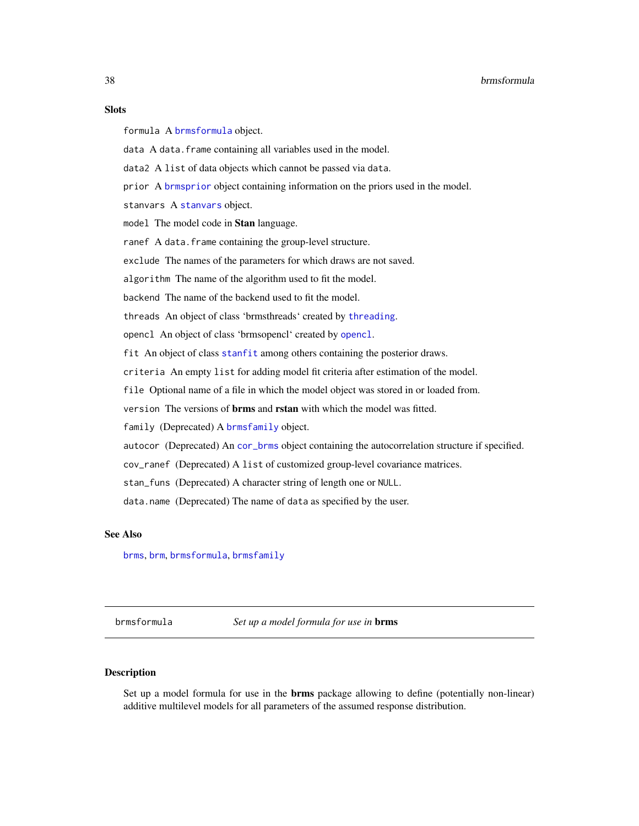### **Slots**

formula A [brmsformula](#page-37-0) object.

data A data. frame containing all variables used in the model.

data2 A list of data objects which cannot be passed via data.

prior A [brmsprior](#page-203-0) object containing information on the priors used in the model.

[stanvars](#page-213-0) A stanvars object.

model The model code in Stan language.

ranef A data.frame containing the group-level structure.

exclude The names of the parameters for which draws are not saved.

algorithm The name of the algorithm used to fit the model.

backend The name of the backend used to fit the model.

threads An object of class 'brmsthreads' created by [threading](#page-218-0).

opencl An object of class 'brmsopencl' created by [opencl](#page-157-0).

fit An object of class [stanfit](#page-0-0) among others containing the posterior draws.

criteria An empty list for adding model fit criteria after estimation of the model.

file Optional name of a file in which the model object was stored in or loaded from.

version The versions of brms and rstan with which the model was fitted.

family (Deprecated) A [brmsfamily](#page-31-0) object.

autocor (Deprecated) An [cor\\_brms](#page-69-0) object containing the autocorrelation structure if specified.

cov\_ranef (Deprecated) A list of customized group-level covariance matrices.

stan\_funs (Deprecated) A character string of length one or NULL.

data.name (Deprecated) The name of data as specified by the user.

### See Also

[brms](#page-5-0), [brm](#page-22-0), [brmsformula](#page-37-0), [brmsfamily](#page-31-0)

<span id="page-37-0"></span>brmsformula *Set up a model formula for use in* brms

### **Description**

Set up a model formula for use in the **brms** package allowing to define (potentially non-linear) additive multilevel models for all parameters of the assumed response distribution.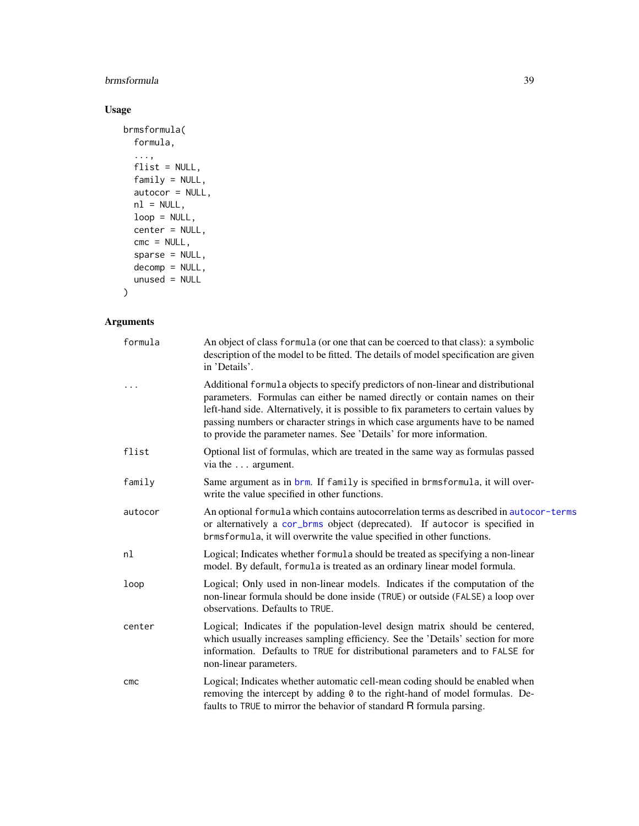# brmsformula 39

# Usage

```
brmsformula(
 formula,
  ...,
 flist = NULL,
 family = NULL,
 autocor = NULL,
 nl = NULL,loop = NULL,
 center = NULL,
 cmc = NULL,sparse = NULL,
 decomp = NULL,
 unused = NULL
)
```
# Arguments

| formula | An object of class formula (or one that can be coerced to that class): a symbolic<br>description of the model to be fitted. The details of model specification are given<br>in 'Details'.                                                                                                                                                                                                                        |
|---------|------------------------------------------------------------------------------------------------------------------------------------------------------------------------------------------------------------------------------------------------------------------------------------------------------------------------------------------------------------------------------------------------------------------|
|         | Additional formula objects to specify predictors of non-linear and distributional<br>parameters. Formulas can either be named directly or contain names on their<br>left-hand side. Alternatively, it is possible to fix parameters to certain values by<br>passing numbers or character strings in which case arguments have to be named<br>to provide the parameter names. See 'Details' for more information. |
| flist   | Optional list of formulas, which are treated in the same way as formulas passed<br>via the  argument.                                                                                                                                                                                                                                                                                                            |
| family  | Same argument as in brm. If family is specified in brmsformula, it will over-<br>write the value specified in other functions.                                                                                                                                                                                                                                                                                   |
| autocor | An optional formula which contains autocorrelation terms as described in autocor-terms<br>or alternatively a cor_brms object (deprecated). If autocor is specified in<br>brmsformula, it will overwrite the value specified in other functions.                                                                                                                                                                  |
| nl      | Logical; Indicates whether formula should be treated as specifying a non-linear<br>model. By default, formula is treated as an ordinary linear model formula.                                                                                                                                                                                                                                                    |
| loop    | Logical; Only used in non-linear models. Indicates if the computation of the<br>non-linear formula should be done inside (TRUE) or outside (FALSE) a loop over<br>observations. Defaults to TRUE.                                                                                                                                                                                                                |
| center  | Logical; Indicates if the population-level design matrix should be centered,<br>which usually increases sampling efficiency. See the 'Details' section for more<br>information. Defaults to TRUE for distributional parameters and to FALSE for<br>non-linear parameters.                                                                                                                                        |
| CMC     | Logical; Indicates whether automatic cell-mean coding should be enabled when<br>removing the intercept by adding 0 to the right-hand of model formulas. De-<br>faults to TRUE to mirror the behavior of standard R formula parsing.                                                                                                                                                                              |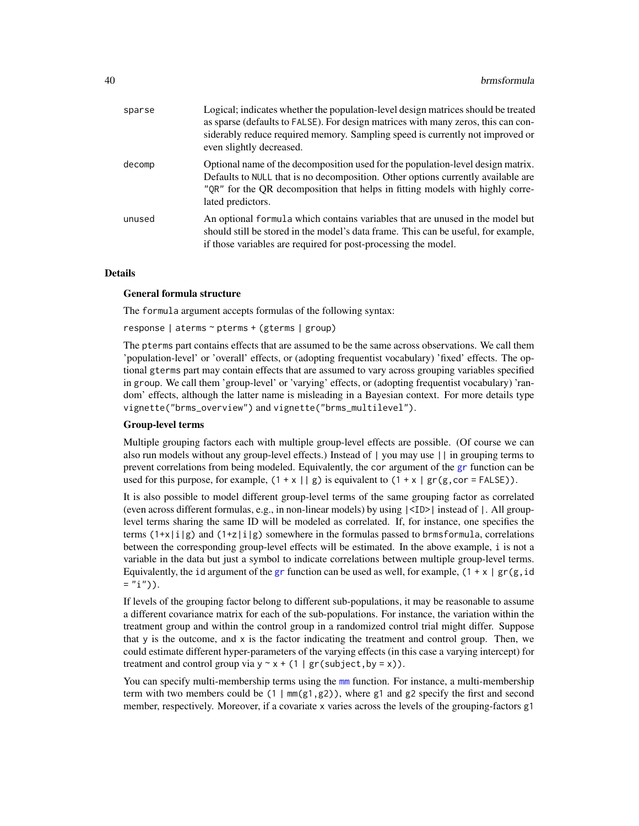| sparse | Logical; indicates whether the population-level design matrices should be treated<br>as sparse (defaults to FALSE). For design matrices with many zeros, this can con-<br>siderably reduce required memory. Sampling speed is currently not improved or<br>even slightly decreased. |
|--------|-------------------------------------------------------------------------------------------------------------------------------------------------------------------------------------------------------------------------------------------------------------------------------------|
| decomp | Optional name of the decomposition used for the population-level design matrix.<br>Defaults to NULL that is no decomposition. Other options currently available are<br>"QR" for the QR decomposition that helps in fitting models with highly corre-<br>lated predictors.           |
| unused | An optional formula which contains variables that are unused in the model but<br>should still be stored in the model's data frame. This can be useful, for example,<br>if those variables are required for post-processing the model.                                               |

#### Details

#### General formula structure

The formula argument accepts formulas of the following syntax:

response | aterms ~ pterms + (gterms | group)

The pterms part contains effects that are assumed to be the same across observations. We call them 'population-level' or 'overall' effects, or (adopting frequentist vocabulary) 'fixed' effects. The optional gterms part may contain effects that are assumed to vary across grouping variables specified in group. We call them 'group-level' or 'varying' effects, or (adopting frequentist vocabulary) 'random' effects, although the latter name is misleading in a Bayesian context. For more details type vignette("brms\_overview") and vignette("brms\_multilevel").

#### Group-level terms

Multiple grouping factors each with multiple group-level effects are possible. (Of course we can also run models without any group-level effects.) Instead of | you may use || in grouping terms to prevent correlations from being modeled. Equivalently, the cor argument of the [gr](#page-102-0) function can be used for this purpose, for example,  $(1 + x \mid g)$  is equivalent to  $(1 + x \mid gr(g, cor = FALSE))$ .

It is also possible to model different group-level terms of the same grouping factor as correlated (even across different formulas, e.g., in non-linear models) by using |<ID>| instead of |. All grouplevel terms sharing the same ID will be modeled as correlated. If, for instance, one specifies the terms  $(1+x|i|g)$  and  $(1+z|i|g)$  somewhere in the formulas passed to brmsformula, correlations between the corresponding group-level effects will be estimated. In the above example, i is not a variable in the data but just a symbol to indicate correlations between multiple group-level terms. Equivalently, the id argument of the [gr](#page-102-0) function can be used as well, for example,  $(1 + x \mid gr(g, id))$  $=$  "i")).

If levels of the grouping factor belong to different sub-populations, it may be reasonable to assume a different covariance matrix for each of the sub-populations. For instance, the variation within the treatment group and within the control group in a randomized control trial might differ. Suppose that  $y$  is the outcome, and  $x$  is the factor indicating the treatment and control group. Then, we could estimate different hyper-parameters of the varying effects (in this case a varying intercept) for treatment and control group via  $y \sim x + (1 | gr(subject, by = x)).$ 

You can specify multi-membership terms using the [mm](#page-148-0) function. For instance, a multi-membership term with two members could be  $(1 \mid mm(g1, g2))$ , where g1 and g2 specify the first and second member, respectively. Moreover, if a covariate x varies across the levels of the grouping-factors g1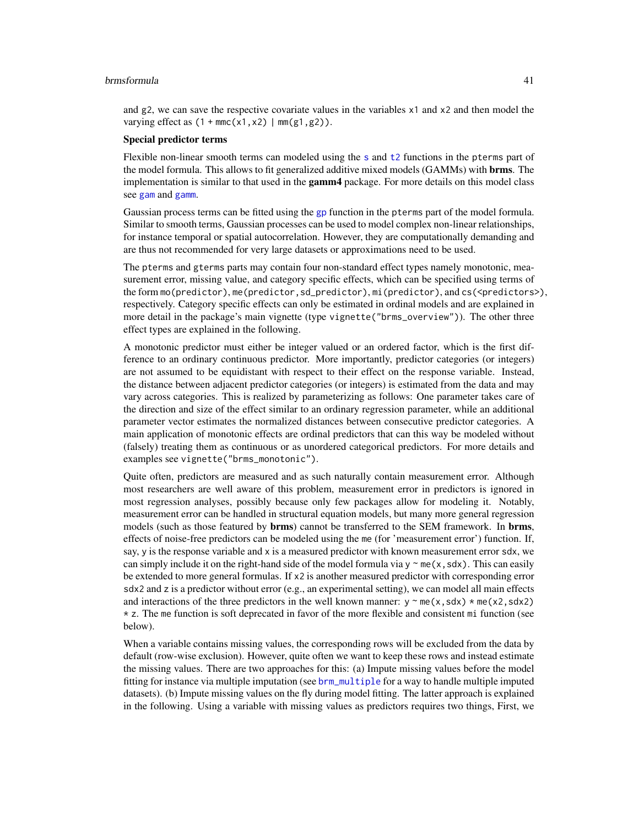#### brmsformula 41

and g2, we can save the respective covariate values in the variables x1 and x2 and then model the varying effect as  $(1 + \text{mmc}(x1, x2) \mid \text{mm(g1, g2)})$ .

#### Special predictor terms

Flexible non-linear smooth terms can modeled using the [s](#page-200-0) and [t2](#page-200-1) functions in the pterms part of the model formula. This allows to fit generalized additive mixed models (GAMMs) with **brms**. The implementation is similar to that used in the **gamm4** package. For more details on this model class see [gam](#page-0-0) and [gamm](#page-0-0).

Gaussian process terms can be fitted using the [gp](#page-100-0) function in the pterms part of the model formula. Similar to smooth terms, Gaussian processes can be used to model complex non-linear relationships, for instance temporal or spatial autocorrelation. However, they are computationally demanding and are thus not recommended for very large datasets or approximations need to be used.

The pterms and gterms parts may contain four non-standard effect types namely monotonic, measurement error, missing value, and category specific effects, which can be specified using terms of the form mo(predictor), me(predictor, sd\_predictor), mi(predictor), and cs(<predictors>), respectively. Category specific effects can only be estimated in ordinal models and are explained in more detail in the package's main vignette (type vignette("brms\_overview")). The other three effect types are explained in the following.

A monotonic predictor must either be integer valued or an ordered factor, which is the first difference to an ordinary continuous predictor. More importantly, predictor categories (or integers) are not assumed to be equidistant with respect to their effect on the response variable. Instead, the distance between adjacent predictor categories (or integers) is estimated from the data and may vary across categories. This is realized by parameterizing as follows: One parameter takes care of the direction and size of the effect similar to an ordinary regression parameter, while an additional parameter vector estimates the normalized distances between consecutive predictor categories. A main application of monotonic effects are ordinal predictors that can this way be modeled without (falsely) treating them as continuous or as unordered categorical predictors. For more details and examples see vignette("brms\_monotonic").

Quite often, predictors are measured and as such naturally contain measurement error. Although most researchers are well aware of this problem, measurement error in predictors is ignored in most regression analyses, possibly because only few packages allow for modeling it. Notably, measurement error can be handled in structural equation models, but many more general regression models (such as those featured by **brms**) cannot be transferred to the SEM framework. In **brms**, effects of noise-free predictors can be modeled using the me (for 'measurement error') function. If, say, y is the response variable and x is a measured predictor with known measurement error sdx, we can simply include it on the right-hand side of the model formula via  $y \sim me(x, sdx)$ . This can easily be extended to more general formulas. If x2 is another measured predictor with corresponding error sdx2 and z is a predictor without error (e.g., an experimental setting), we can model all main effects and interactions of the three predictors in the well known manner:  $y \sim me(x, sdx) * me(x2, sdx2)$ \* z. The me function is soft deprecated in favor of the more flexible and consistent mi function (see below).

When a variable contains missing values, the corresponding rows will be excluded from the data by default (row-wise exclusion). However, quite often we want to keep these rows and instead estimate the missing values. There are two approaches for this: (a) Impute missing values before the model fitting for instance via multiple imputation (see [brm\\_multiple](#page-52-0) for a way to handle multiple imputed datasets). (b) Impute missing values on the fly during model fitting. The latter approach is explained in the following. Using a variable with missing values as predictors requires two things, First, we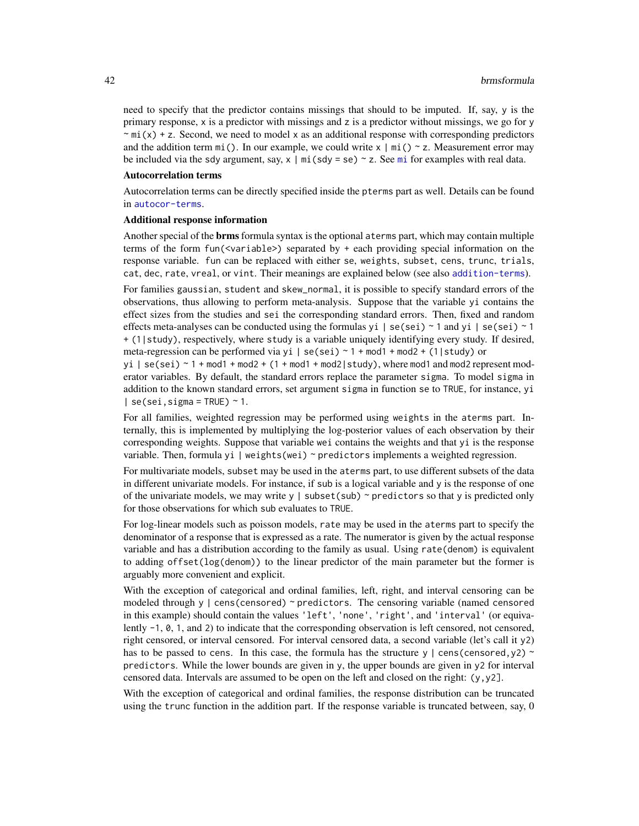need to specify that the predictor contains missings that should to be imputed. If, say, y is the primary response, x is a predictor with missings and z is a predictor without missings, we go for y  $\sim$  mi(x) + z. Second, we need to model x as an additional response with corresponding predictors and the addition term  $m$ i(). In our example, we could write  $x \mid m$ i() ~ z. Measurement error may be included via the sdy argument, say,  $x \mid mi$  $x \mid mi$  $x \mid mi$  (sdy = se) ~ z. See mi for examples with real data.

#### Autocorrelation terms

Autocorrelation terms can be directly specified inside the pterms part as well. Details can be found in [autocor-terms](#page-16-0).

#### Additional response information

Another special of the brms formula syntax is the optional aterms part, which may contain multiple terms of the form fun(<variable>) separated by + each providing special information on the response variable. fun can be replaced with either se, weights, subset, cens, trunc, trials, cat, dec, rate, vreal, or vint. Their meanings are explained below (see also [addition-terms](#page-6-0)).

For families gaussian, student and skew\_normal, it is possible to specify standard errors of the observations, thus allowing to perform meta-analysis. Suppose that the variable yi contains the effect sizes from the studies and sei the corresponding standard errors. Then, fixed and random effects meta-analyses can be conducted using the formulas yi  $\mid$  se(sei)  $\sim$  1 and yi  $\mid$  se(sei)  $\sim$  1 + (1|study), respectively, where study is a variable uniquely identifying every study. If desired, meta-regression can be performed via yi | se(sei)  $\sim$  1 + mod1 + mod2 + (1|study) or

yi |  $se(sei)$  ~ 1 + mod1 + mod2 + (1 + mod1 + mod2 | study), where mod1 and mod2 represent moderator variables. By default, the standard errors replace the parameter sigma. To model sigma in addition to the known standard errors, set argument sigma in function se to TRUE, for instance, yi  $|$  se(sei, sigma = TRUE) ~ 1.

For all families, weighted regression may be performed using weights in the aterms part. Internally, this is implemented by multiplying the log-posterior values of each observation by their corresponding weights. Suppose that variable wei contains the weights and that yi is the response variable. Then, formula yi | weights(wei)  $\sim$  predictors implements a weighted regression.

For multivariate models, subset may be used in the aterms part, to use different subsets of the data in different univariate models. For instance, if sub is a logical variable and y is the response of one of the univariate models, we may write y | subset(sub)  $\sim$  predictors so that y is predicted only for those observations for which sub evaluates to TRUE.

For log-linear models such as poisson models, rate may be used in the aterms part to specify the denominator of a response that is expressed as a rate. The numerator is given by the actual response variable and has a distribution according to the family as usual. Using rate(denom) is equivalent to adding offset(log(denom)) to the linear predictor of the main parameter but the former is arguably more convenient and explicit.

With the exception of categorical and ordinal families, left, right, and interval censoring can be modeled through  $y \mid \text{cens}(\text{censored}) \sim \text{predictors}.$  The censoring variable (named censored in this example) should contain the values 'left', 'none', 'right', and 'interval' (or equivalently -1, 0, 1, and 2) to indicate that the corresponding observation is left censored, not censored, right censored, or interval censored. For interval censored data, a second variable (let's call it y2) has to be passed to cens. In this case, the formula has the structure y  $\vert$  cens(censored, y2) ~ predictors. While the lower bounds are given in y, the upper bounds are given in y2 for interval censored data. Intervals are assumed to be open on the left and closed on the right:  $(y, y2)$ .

With the exception of categorical and ordinal families, the response distribution can be truncated using the trunc function in the addition part. If the response variable is truncated between, say, 0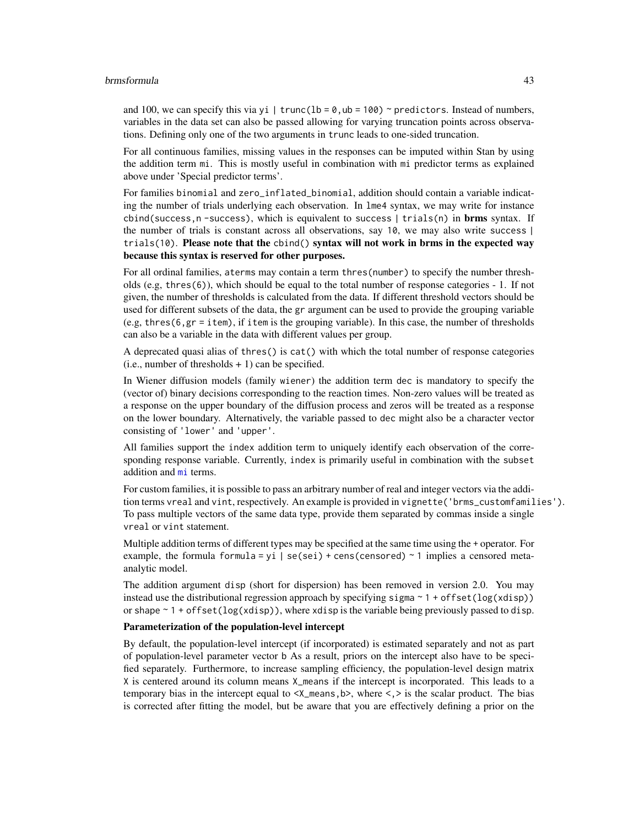#### brmsformula 43

and 100, we can specify this via yi | trunc(lb =  $\theta$ , ub = 100) ~ predictors. Instead of numbers, variables in the data set can also be passed allowing for varying truncation points across observations. Defining only one of the two arguments in trunc leads to one-sided truncation.

For all continuous families, missing values in the responses can be imputed within Stan by using the addition term mi. This is mostly useful in combination with mi predictor terms as explained above under 'Special predictor terms'.

For families binomial and zero\_inflated\_binomial, addition should contain a variable indicating the number of trials underlying each observation. In lme4 syntax, we may write for instance cbind(success,  $n$  -success), which is equivalent to success | trials(n) in **brms** syntax. If the number of trials is constant across all observations, say 10, we may also write success | trials(10). Please note that the cbind() syntax will not work in brms in the expected way because this syntax is reserved for other purposes.

For all ordinal families, aterms may contain a term thres(number) to specify the number thresholds (e.g, thres(6)), which should be equal to the total number of response categories - 1. If not given, the number of thresholds is calculated from the data. If different threshold vectors should be used for different subsets of the data, the gr argument can be used to provide the grouping variable (e.g, thres(6,gr = item), if item is the grouping variable). In this case, the number of thresholds can also be a variable in the data with different values per group.

A deprecated quasi alias of thres() is cat() with which the total number of response categories  $(i.e., number of thresholds + 1) can be specified.$ 

In Wiener diffusion models (family wiener) the addition term dec is mandatory to specify the (vector of) binary decisions corresponding to the reaction times. Non-zero values will be treated as a response on the upper boundary of the diffusion process and zeros will be treated as a response on the lower boundary. Alternatively, the variable passed to dec might also be a character vector consisting of 'lower' and 'upper'.

All families support the index addition term to uniquely identify each observation of the corresponding response variable. Currently, index is primarily useful in combination with the subset addition and [mi](#page-144-0) terms.

For custom families, it is possible to pass an arbitrary number of real and integer vectors via the addition terms vreal and vint, respectively. An example is provided in vignette('brms\_customfamilies'). To pass multiple vectors of the same data type, provide them separated by commas inside a single vreal or vint statement.

Multiple addition terms of different types may be specified at the same time using the + operator. For example, the formula formula = yi | se(sei) + cens(censored)  $\sim$  1 implies a censored metaanalytic model.

The addition argument disp (short for dispersion) has been removed in version 2.0. You may instead use the distributional regression approach by specifying sigma  $\sim 1 +$  of fset(log(xdisp)) or shape  $\sim 1$  + offset(log(xdisp)), where xdisp is the variable being previously passed to disp.

### Parameterization of the population-level intercept

By default, the population-level intercept (if incorporated) is estimated separately and not as part of population-level parameter vector b As a result, priors on the intercept also have to be specified separately. Furthermore, to increase sampling efficiency, the population-level design matrix X is centered around its column means X\_means if the intercept is incorporated. This leads to a temporary bias in the intercept equal to  $\langle x \rangle$  means, b>, where  $\langle x \rangle$  is the scalar product. The bias is corrected after fitting the model, but be aware that you are effectively defining a prior on the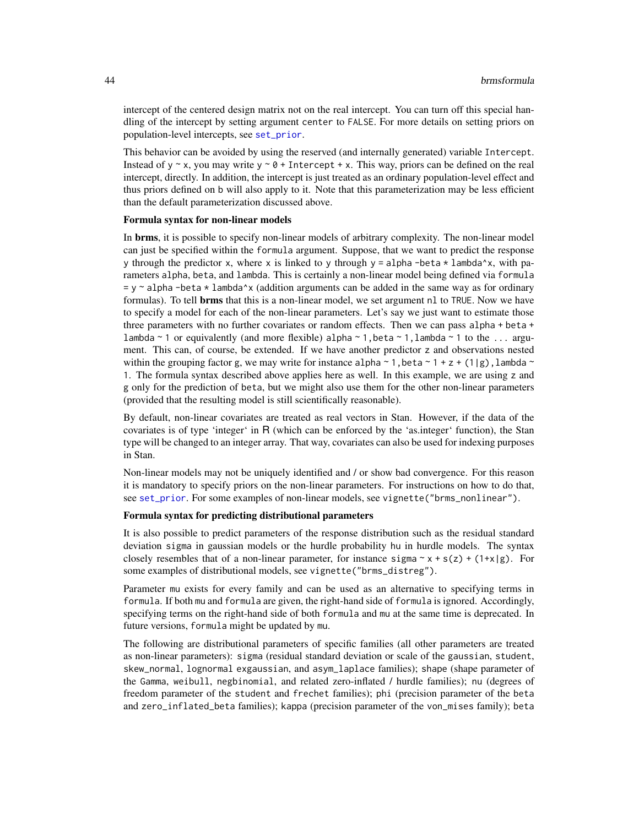intercept of the centered design matrix not on the real intercept. You can turn off this special handling of the intercept by setting argument center to FALSE. For more details on setting priors on population-level intercepts, see [set\\_prior](#page-203-1).

This behavior can be avoided by using the reserved (and internally generated) variable Intercept. Instead of y  $\sim$  x, you may write y  $\sim$  0 + Intercept + x. This way, priors can be defined on the real intercept, directly. In addition, the intercept is just treated as an ordinary population-level effect and thus priors defined on b will also apply to it. Note that this parameterization may be less efficient than the default parameterization discussed above.

#### Formula syntax for non-linear models

In **brms**, it is possible to specify non-linear models of arbitrary complexity. The non-linear model can just be specified within the formula argument. Suppose, that we want to predict the response y through the predictor x, where x is linked to y through  $y = \alpha$  alpha -beta  $*$  lambda^x, with parameters alpha, beta, and lambda. This is certainly a non-linear model being defined via formula  $=$  y  $\sim$  alpha -beta  $\star$  lambda $\sim$ x (addition arguments can be added in the same way as for ordinary formulas). To tell **brms** that this is a non-linear model, we set argument nl to TRUE. Now we have to specify a model for each of the non-linear parameters. Let's say we just want to estimate those three parameters with no further covariates or random effects. Then we can pass alpha + beta + lambda ~ 1 or equivalently (and more flexible) alpha ~ 1, beta ~ 1, lambda ~ 1 to the ... argument. This can, of course, be extended. If we have another predictor z and observations nested within the grouping factor g, we may write for instance alpha  $\sim 1$ , beta  $\sim 1 + z + (1|g)$ , lambda  $\sim$ 1. The formula syntax described above applies here as well. In this example, we are using z and g only for the prediction of beta, but we might also use them for the other non-linear parameters (provided that the resulting model is still scientifically reasonable).

By default, non-linear covariates are treated as real vectors in Stan. However, if the data of the covariates is of type 'integer' in R (which can be enforced by the 'as.integer' function), the Stan type will be changed to an integer array. That way, covariates can also be used for indexing purposes in Stan.

Non-linear models may not be uniquely identified and / or show bad convergence. For this reason it is mandatory to specify priors on the non-linear parameters. For instructions on how to do that, see [set\\_prior](#page-203-1). For some examples of non-linear models, see vignette("brms\_nonlinear").

## Formula syntax for predicting distributional parameters

It is also possible to predict parameters of the response distribution such as the residual standard deviation sigma in gaussian models or the hurdle probability hu in hurdle models. The syntax closely resembles that of a non-linear parameter, for instance sigma  $\sim x + s(z) + (1+x|g)$ . For some examples of distributional models, see vignette("brms\_distreg").

Parameter mu exists for every family and can be used as an alternative to specifying terms in formula. If both mu and formula are given, the right-hand side of formula is ignored. Accordingly, specifying terms on the right-hand side of both formula and mu at the same time is deprecated. In future versions, formula might be updated by mu.

The following are distributional parameters of specific families (all other parameters are treated as non-linear parameters): sigma (residual standard deviation or scale of the gaussian, student, skew\_normal, lognormal exgaussian, and asym\_laplace families); shape (shape parameter of the Gamma, weibull, negbinomial, and related zero-inflated / hurdle families); nu (degrees of freedom parameter of the student and frechet families); phi (precision parameter of the beta and zero\_inflated\_beta families); kappa (precision parameter of the von\_mises family); beta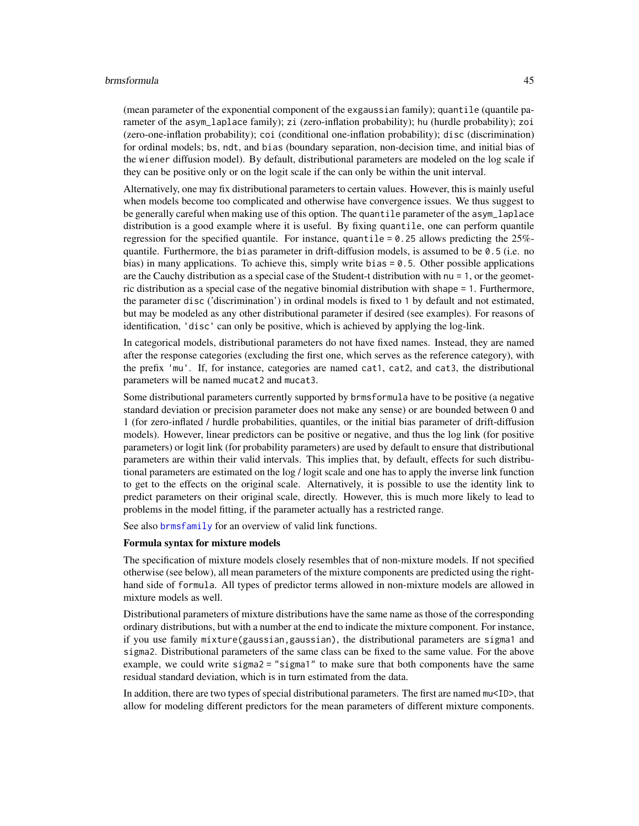#### brmsformula 45

(mean parameter of the exponential component of the exgaussian family); quantile (quantile parameter of the asym\_laplace family); zi (zero-inflation probability); hu (hurdle probability); zoi (zero-one-inflation probability); coi (conditional one-inflation probability); disc (discrimination) for ordinal models; bs, ndt, and bias (boundary separation, non-decision time, and initial bias of the wiener diffusion model). By default, distributional parameters are modeled on the log scale if they can be positive only or on the logit scale if the can only be within the unit interval.

Alternatively, one may fix distributional parameters to certain values. However, this is mainly useful when models become too complicated and otherwise have convergence issues. We thus suggest to be generally careful when making use of this option. The quantile parameter of the asym\_laplace distribution is a good example where it is useful. By fixing quantile, one can perform quantile regression for the specified quantile. For instance, quantile  $= 0.25$  allows predicting the 25%quantile. Furthermore, the bias parameter in drift-diffusion models, is assumed to be 0.5 (i.e. no bias) in many applications. To achieve this, simply write bias = 0.5. Other possible applications are the Cauchy distribution as a special case of the Student-t distribution with nu = 1, or the geometric distribution as a special case of the negative binomial distribution with shape = 1. Furthermore, the parameter disc ('discrimination') in ordinal models is fixed to 1 by default and not estimated, but may be modeled as any other distributional parameter if desired (see examples). For reasons of identification, 'disc' can only be positive, which is achieved by applying the log-link.

In categorical models, distributional parameters do not have fixed names. Instead, they are named after the response categories (excluding the first one, which serves as the reference category), with the prefix 'mu'. If, for instance, categories are named cat1, cat2, and cat3, the distributional parameters will be named mucat2 and mucat3.

Some distributional parameters currently supported by brmsformula have to be positive (a negative standard deviation or precision parameter does not make any sense) or are bounded between 0 and 1 (for zero-inflated / hurdle probabilities, quantiles, or the initial bias parameter of drift-diffusion models). However, linear predictors can be positive or negative, and thus the log link (for positive parameters) or logit link (for probability parameters) are used by default to ensure that distributional parameters are within their valid intervals. This implies that, by default, effects for such distributional parameters are estimated on the log / logit scale and one has to apply the inverse link function to get to the effects on the original scale. Alternatively, it is possible to use the identity link to predict parameters on their original scale, directly. However, this is much more likely to lead to problems in the model fitting, if the parameter actually has a restricted range.

See also [brmsfamily](#page-31-0) for an overview of valid link functions.

#### Formula syntax for mixture models

The specification of mixture models closely resembles that of non-mixture models. If not specified otherwise (see below), all mean parameters of the mixture components are predicted using the righthand side of formula. All types of predictor terms allowed in non-mixture models are allowed in mixture models as well.

Distributional parameters of mixture distributions have the same name as those of the corresponding ordinary distributions, but with a number at the end to indicate the mixture component. For instance, if you use family mixture(gaussian,gaussian), the distributional parameters are sigma1 and sigma2. Distributional parameters of the same class can be fixed to the same value. For the above example, we could write sigma2 = "sigma1" to make sure that both components have the same residual standard deviation, which is in turn estimated from the data.

In addition, there are two types of special distributional parameters. The first are named mu<ID>, that allow for modeling different predictors for the mean parameters of different mixture components.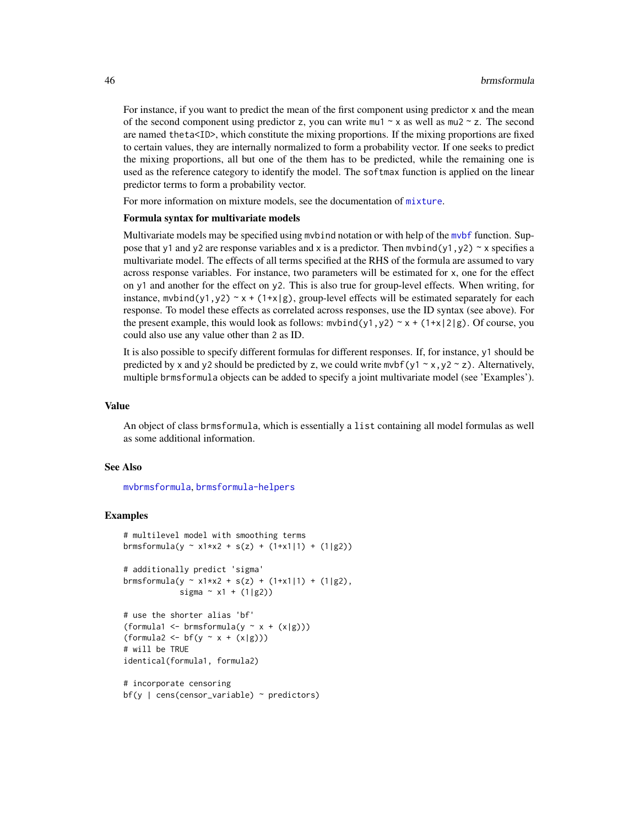For instance, if you want to predict the mean of the first component using predictor x and the mean of the second component using predictor z, you can write mu1  $\sim$  x as well as mu2  $\sim$  z. The second are named theta<ID>, which constitute the mixing proportions. If the mixing proportions are fixed to certain values, they are internally normalized to form a probability vector. If one seeks to predict the mixing proportions, all but one of the them has to be predicted, while the remaining one is used as the reference category to identify the model. The softmax function is applied on the linear predictor terms to form a probability vector.

For more information on mixture models, see the documentation of [mixture](#page-146-0).

#### Formula syntax for multivariate models

Multivariate models may be specified using mvbind notation or with help of the [mvbf](#page-155-0) function. Suppose that y1 and y2 are response variables and x is a predictor. Then mybind(y1,y2) ~ x specifies a multivariate model. The effects of all terms specified at the RHS of the formula are assumed to vary across response variables. For instance, two parameters will be estimated for x, one for the effect on y1 and another for the effect on y2. This is also true for group-level effects. When writing, for instance,  $m\nu$ bind(y1,y2) ~ x + (1+x|g), group-level effects will be estimated separately for each response. To model these effects as correlated across responses, use the ID syntax (see above). For the present example, this would look as follows:  $m \nu \frac{\nu}{2}$ ,  $y^2 \sim x + (1+x/2|g)$ . Of course, you could also use any value other than 2 as ID.

It is also possible to specify different formulas for different responses. If, for instance, y1 should be predicted by x and y2 should be predicted by z, we could write mvbf(y1  $\sim$  x, y2  $\sim$  z). Alternatively, multiple brmsformula objects can be added to specify a joint multivariate model (see 'Examples').

#### Value

An object of class brmsformula, which is essentially a list containing all model formulas as well as some additional information.

### See Also

[mvbrmsformula](#page-155-1), [brmsformula-helpers](#page-47-0)

#### Examples

```
# multilevel model with smoothing terms
brmsformula(y ~ x1*x2 + s(z) + (1+x1|1) + (1|g2))
# additionally predict 'sigma'
brmsformula(y ~ x1*x2 + s(z) + (1+x1|1) + (1|g2),
            sigma ~\sim x1 + (1|g2))
# use the shorter alias 'bf'
(formula1 <- brmsformula(y \sim x + (x|g)))
(formula2 \leq bf(y \sim x + (x|g)))# will be TRUE
identical(formula1, formula2)
# incorporate censoring
bf(y \mid cens(censor\_variable) \sim predictors)
```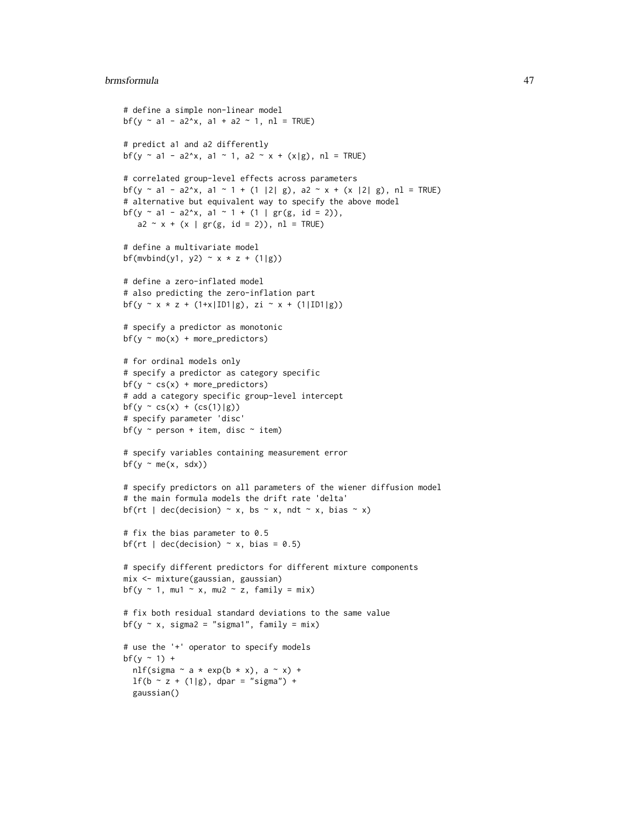#### brmsformula 47

```
# define a simple non-linear model
bf(y \sim a1 - a2\gammax, a1 + a2 \sim 1, n1 = TRUE)
# predict a1 and a2 differently
bf(y ~ a1 - a2^x, a1 ~ 1, a2 ~ x + (x|g), nl = TRUE)
# correlated group-level effects across parameters
bf(y ~ a1 - a2^x, a1 ~ 1 + (1 |2| g), a2 ~ x + (x |2| g), n1 = TRUE)
# alternative but equivalent way to specify the above model
bf(y ~ a1 - a2^x, a1 ~ 1 + (1 | gr(g, id = 2)),
   a2 \sim x + (x \mid gr(g, id = 2)), nl = TRUE)
# define a multivariate model
bf(mvbind(y1, y2) \sim x * z + (1|g))
# define a zero-inflated model
# also predicting the zero-inflation part
bf(y ~ x * z + (1+x|ID1|g), zi ~ x + (1|ID1|g))
# specify a predictor as monotonic
bf(y \sim mo(x) + more\_predictors)# for ordinal models only
# specify a predictor as category specific
bf(y \sim cs(x) + more_predictors)
# add a category specific group-level intercept
bf(y \sim cs(x) + (cs(1)|g))# specify parameter 'disc'
bf(y \sim person + item, disc \sim item)# specify variables containing measurement error
bf(y \sim me(x, sdx))
# specify predictors on all parameters of the wiener diffusion model
# the main formula models the drift rate 'delta'
bf(rt | dec(decision) \sim x, bs \sim x, ndt \sim x, bias \sim x)
# fix the bias parameter to 0.5
bf(rt | dec(decision) \sim x, bias = 0.5)
# specify different predictors for different mixture components
mix <- mixture(gaussian, gaussian)
bf(y \sim 1, mu1 \sim x, mu2 \sim z, family = mix)
# fix both residual standard deviations to the same value
bf(y \sim x, sigma2 = "sigma1", family = mix)
# use the '+' operator to specify models
bf(y \sim 1) +nlf(sigma \sim a * exp(b * x), a \sim x) +
  1f(b - z + (1|g), dpar = "sigma") +gaussian()
```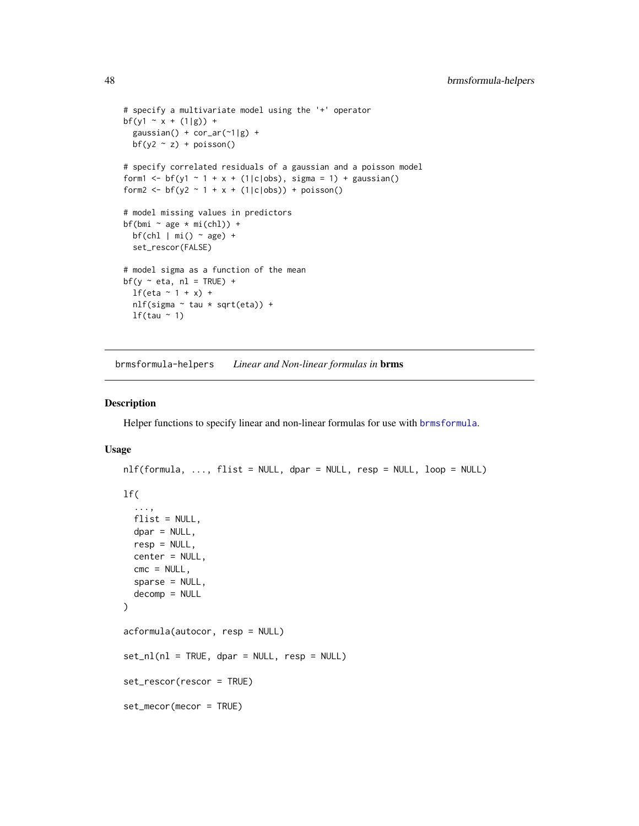```
# specify a multivariate model using the '+' operator
bf(y1 ~ x + (1|g)) +
  gaussian() + cor-ar(^{-1}|g) +bf(y2 \sim z) + poisson()# specify correlated residuals of a gaussian and a poisson model
form1 <- bf(y1 \sim 1 + x + (1|c|obs), sigma = 1) + gaussian()
form2 <- bf(y2 - 1 + x + (1|c|obs)) + poisson()# model missing values in predictors
bf(bmi \sim age * mi(chl)) +
  bf(chl | mi() ~ age) +set_rescor(FALSE)
# model sigma as a function of the mean
bf(y \sim eta, nl = TRUE) +lf(\text{eta} \sim 1 + x) +
  nlf(sigma ~ tau * sqrt(eta)) +
  lf(tau ~ 1)
```
<span id="page-47-0"></span>brmsformula-helpers *Linear and Non-linear formulas in* brms

### Description

Helper functions to specify linear and non-linear formulas for use with [brmsformula](#page-37-0).

### Usage

```
nlf(formula, ..., flist = NULL, dpar = NULL, resp = NULL, loop = NULL)
lf(
  ...,
  flist = NULL,dpar = NULL,resp = NULL,
  center = NULL,
  cmc = NULL,
  sparse = NULL,
  decomp = NULL
)
acformula(autocor, resp = NULL)
set_nl(n] = TRUE, \text{dpar} = NULL, \text{resp} = NULL)set_rescor(rescor = TRUE)
set_mecor(mecor = TRUE)
```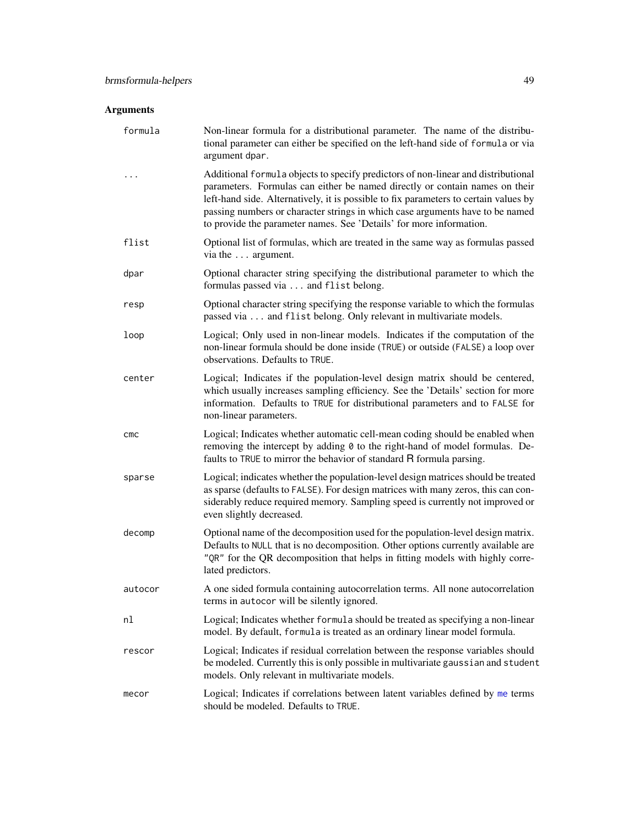# Arguments

| formula | Non-linear formula for a distributional parameter. The name of the distribu-<br>tional parameter can either be specified on the left-hand side of formula or via<br>argument dpar.                                                                                                                                                                                                                               |
|---------|------------------------------------------------------------------------------------------------------------------------------------------------------------------------------------------------------------------------------------------------------------------------------------------------------------------------------------------------------------------------------------------------------------------|
|         | Additional formula objects to specify predictors of non-linear and distributional<br>parameters. Formulas can either be named directly or contain names on their<br>left-hand side. Alternatively, it is possible to fix parameters to certain values by<br>passing numbers or character strings in which case arguments have to be named<br>to provide the parameter names. See 'Details' for more information. |
| flist   | Optional list of formulas, which are treated in the same way as formulas passed<br>via the  argument.                                                                                                                                                                                                                                                                                                            |
| dpar    | Optional character string specifying the distributional parameter to which the<br>formulas passed via  and flist belong.                                                                                                                                                                                                                                                                                         |
| resp    | Optional character string specifying the response variable to which the formulas<br>passed via and flist belong. Only relevant in multivariate models.                                                                                                                                                                                                                                                           |
| loop    | Logical; Only used in non-linear models. Indicates if the computation of the<br>non-linear formula should be done inside (TRUE) or outside (FALSE) a loop over<br>observations. Defaults to TRUE.                                                                                                                                                                                                                |
| center  | Logical; Indicates if the population-level design matrix should be centered,<br>which usually increases sampling efficiency. See the 'Details' section for more<br>information. Defaults to TRUE for distributional parameters and to FALSE for<br>non-linear parameters.                                                                                                                                        |
| CMC     | Logical; Indicates whether automatic cell-mean coding should be enabled when<br>removing the intercept by adding 0 to the right-hand of model formulas. De-<br>faults to TRUE to mirror the behavior of standard R formula parsing.                                                                                                                                                                              |
| sparse  | Logical; indicates whether the population-level design matrices should be treated<br>as sparse (defaults to FALSE). For design matrices with many zeros, this can con-<br>siderably reduce required memory. Sampling speed is currently not improved or<br>even slightly decreased.                                                                                                                              |
| decomp  | Optional name of the decomposition used for the population-level design matrix.<br>Defaults to NULL that is no decomposition. Other options currently available are<br>"QR" for the QR decomposition that helps in fitting models with highly corre-<br>lated predictors.                                                                                                                                        |
| autocor | A one sided formula containing autocorrelation terms. All none autocorrelation<br>terms in autocor will be silently ignored.                                                                                                                                                                                                                                                                                     |
| nl      | Logical; Indicates whether formula should be treated as specifying a non-linear<br>model. By default, formula is treated as an ordinary linear model formula.                                                                                                                                                                                                                                                    |
| rescor  | Logical; Indicates if residual correlation between the response variables should<br>be modeled. Currently this is only possible in multivariate gaussian and student<br>models. Only relevant in multivariate models.                                                                                                                                                                                            |
| mecor   | Logical; Indicates if correlations between latent variables defined by me terms<br>should be modeled. Defaults to TRUE.                                                                                                                                                                                                                                                                                          |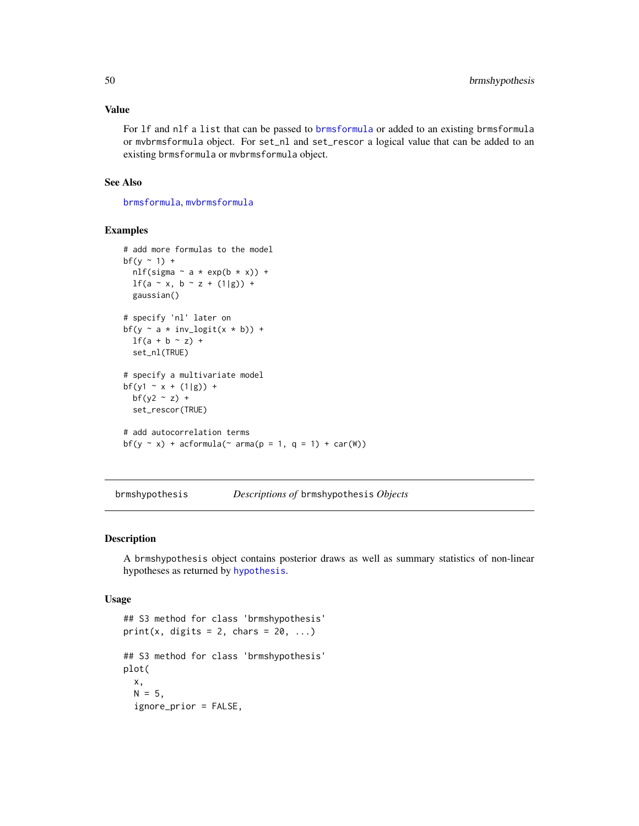### Value

For lf and nlf a list that can be passed to [brmsformula](#page-37-0) or added to an existing brmsformula or mvbrmsformula object. For set\_nl and set\_rescor a logical value that can be added to an existing brmsformula or mvbrmsformula object.

### See Also

[brmsformula](#page-37-0), [mvbrmsformula](#page-155-1)

### Examples

```
# add more formulas to the model
bf(y \sim 1) +
  nlf(sigma \sim a \star exp(b \star x)) +
  1f(a - x, b - z + (1|g)) +gaussian()
# specify 'nl' later on
bf(y \sim a \star inv_logit(x \star b)) +
  lf(a + b \sim z) +set_nl(TRUE)
# specify a multivariate model
bf(y1 ~ x + (1|g)) +
  bf(y2 \sim z) +
  set_rescor(TRUE)
# add autocorrelation terms
bf(y ~ x) + acformula(~ arma(p = 1, q = 1) + car(W))
```
brmshypothesis *Descriptions of* brmshypothesis *Objects*

### Description

A brmshypothesis object contains posterior draws as well as summary statistics of non-linear hypotheses as returned by [hypothesis](#page-106-0).

#### Usage

```
## S3 method for class 'brmshypothesis'
print(x, digits = 2, charts = 20, ...)## S3 method for class 'brmshypothesis'
plot(
  x,
 N = 5,
  ignore_prior = FALSE,
```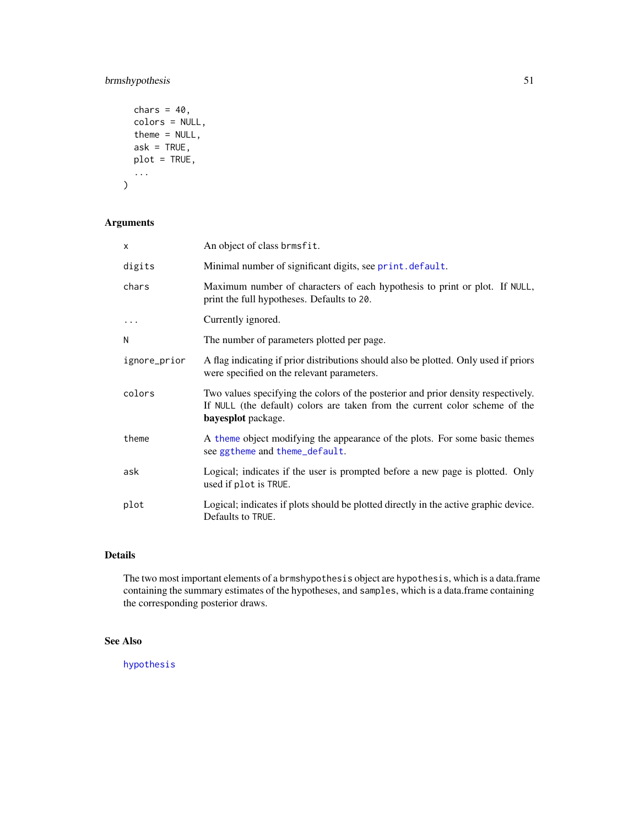## brmshypothesis 51

```
chars = 40,
 colors = NULL,
 theme = NULL,
 ask = TRUE,
 plot = TRUE,
  ...
)
```
# Arguments

| X            | An object of class brmsfit.                                                                                                                                                            |
|--------------|----------------------------------------------------------------------------------------------------------------------------------------------------------------------------------------|
| digits       | Minimal number of significant digits, see print. default.                                                                                                                              |
| chars        | Maximum number of characters of each hypothesis to print or plot. If NULL,<br>print the full hypotheses. Defaults to 20.                                                               |
| $\cdots$     | Currently ignored.                                                                                                                                                                     |
| N            | The number of parameters plotted per page.                                                                                                                                             |
| ignore_prior | A flag indicating if prior distributions should also be plotted. Only used if priors<br>were specified on the relevant parameters.                                                     |
| colors       | Two values specifying the colors of the posterior and prior density respectively.<br>If NULL (the default) colors are taken from the current color scheme of the<br>bayesplot package. |
| theme        | A theme object modifying the appearance of the plots. For some basic themes<br>see ggtheme and theme_default.                                                                          |
| ask          | Logical; indicates if the user is prompted before a new page is plotted. Only<br>used if plot is TRUE.                                                                                 |
| plot         | Logical; indicates if plots should be plotted directly in the active graphic device.<br>Defaults to TRUE.                                                                              |

# Details

The two most important elements of a brmshypothesis object are hypothesis, which is a data.frame containing the summary estimates of the hypotheses, and samples, which is a data.frame containing the corresponding posterior draws.

### See Also

[hypothesis](#page-106-0)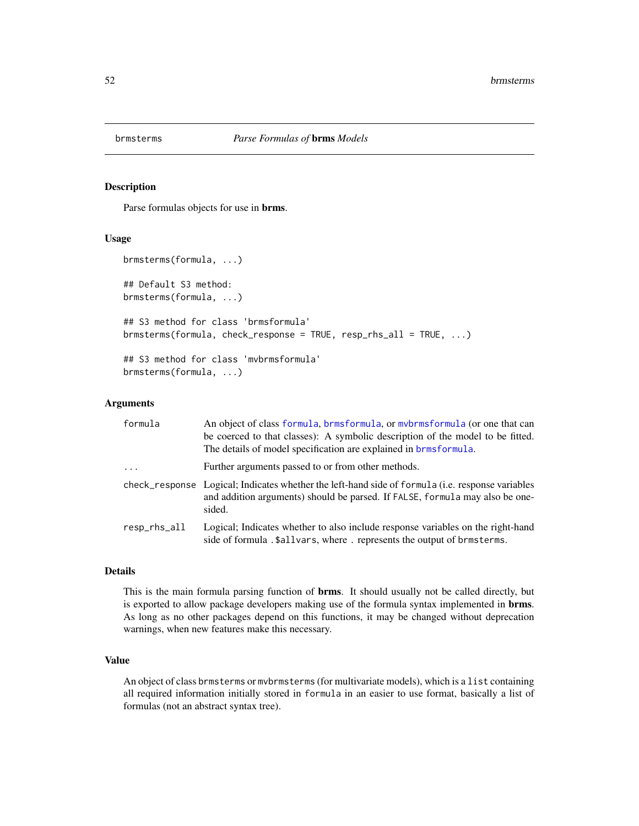### Description

Parse formulas objects for use in brms.

### Usage

```
brmsterms(formula, ...)
## Default S3 method:
brmsterms(formula, ...)
## S3 method for class 'brmsformula'
brmsterms(formula, check_response = TRUE, resp_rhs_all = TRUE, ...)
## S3 method for class 'mvbrmsformula'
brmsterms(formula, ...)
```
#### Arguments

| formula                          | An object of class formula, brmsformula, or mybrmsformula (or one that can<br>be coerced to that classes): A symbolic description of the model to be fitted.<br>The details of model specification are explained in brmsformula. |
|----------------------------------|----------------------------------------------------------------------------------------------------------------------------------------------------------------------------------------------------------------------------------|
| $\cdot$                          | Further arguments passed to or from other methods.                                                                                                                                                                               |
|                                  | check_response Logical; Indicates whether the left-hand side of formula (i.e. response variables<br>and addition arguments) should be parsed. If FALSE, formula may also be one-<br>sided.                                       |
| $resp_{\rm }$ rhs $_{\rm al}$ ll | Logical; Indicates whether to also include response variables on the right-hand<br>side of formula .\$allvars, where. represents the output of brmsterms.                                                                        |

### Details

This is the main formula parsing function of **brms**. It should usually not be called directly, but is exported to allow package developers making use of the formula syntax implemented in brms. As long as no other packages depend on this functions, it may be changed without deprecation warnings, when new features make this necessary.

#### Value

An object of class brmsterms or mvbrmsterms (for multivariate models), which is a list containing all required information initially stored in formula in an easier to use format, basically a list of formulas (not an abstract syntax tree).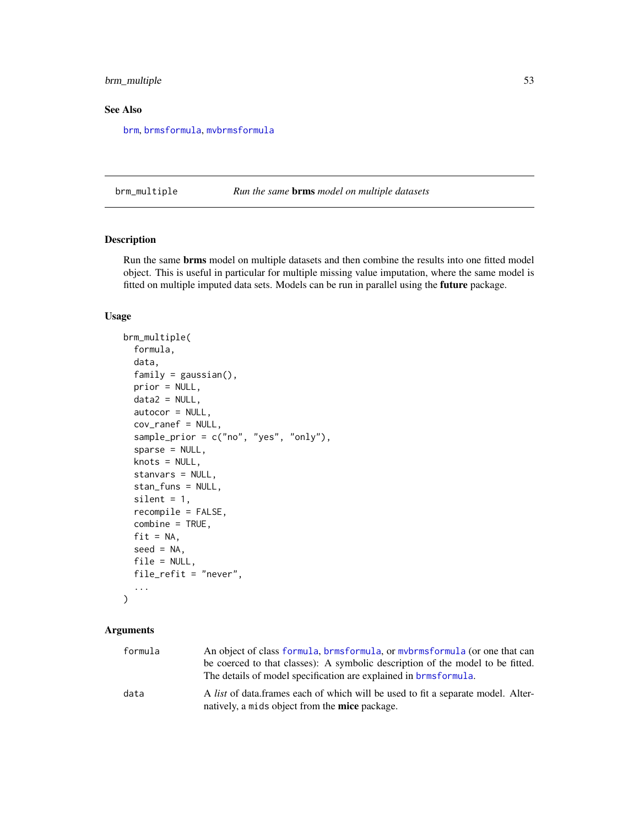## brm\_multiple 53

### See Also

[brm](#page-22-0), [brmsformula](#page-37-0), [mvbrmsformula](#page-155-1)

<span id="page-52-0"></span>brm\_multiple *Run the same* brms *model on multiple datasets*

### Description

Run the same brms model on multiple datasets and then combine the results into one fitted model object. This is useful in particular for multiple missing value imputation, where the same model is fitted on multiple imputed data sets. Models can be run in parallel using the future package.

### Usage

```
brm_multiple(
  formula,
  data,
  family = gaussian(),
  prior = NULL,
  data2 = NULL,autocor = NULL,
  cov_ranef = NULL,
  sample_prior = c("no", "yes", "only"),
  sparse = NULL,
  knots = NULL,
  stanvars = NULL,
  stan_funs = NULL,
  silent = 1,
  recompile = FALSE,
  combine = TRUE,
  fit = NA,
  seed = NA,
  file = NULL,
  file_refit = "never",
  ...
)
```
### Arguments

| formula | An object of class formula, brmsformula, or mybrmsformula (or one that can                                                                         |
|---------|----------------------------------------------------------------------------------------------------------------------------------------------------|
|         | be coerced to that classes): A symbolic description of the model to be fitted.<br>The details of model specification are explained in brmsformula. |
| data    | A list of data frames each of which will be used to fit a separate model. Alter-<br>natively, a mids object from the <b>mice</b> package.          |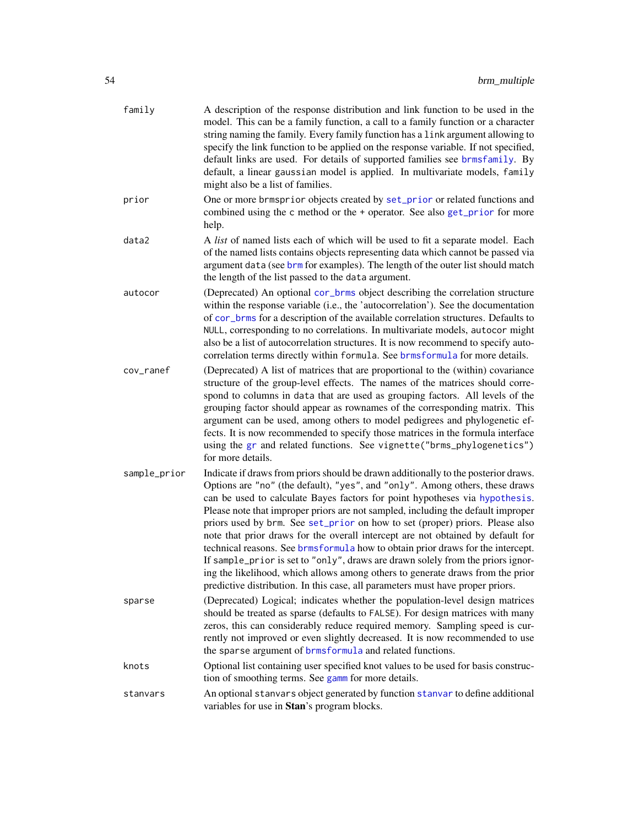| family       | A description of the response distribution and link function to be used in the<br>model. This can be a family function, a call to a family function or a character<br>string naming the family. Every family function has a link argument allowing to<br>specify the link function to be applied on the response variable. If not specified,<br>default links are used. For details of supported families see brmsfamily. By<br>default, a linear gaussian model is applied. In multivariate models, family<br>might also be a list of families.                                                                                                                                                                                                                                                                                                   |
|--------------|----------------------------------------------------------------------------------------------------------------------------------------------------------------------------------------------------------------------------------------------------------------------------------------------------------------------------------------------------------------------------------------------------------------------------------------------------------------------------------------------------------------------------------------------------------------------------------------------------------------------------------------------------------------------------------------------------------------------------------------------------------------------------------------------------------------------------------------------------|
| prior        | One or more brmsprior objects created by set_prior or related functions and<br>combined using the c method or the + operator. See also get_prior for more<br>help.                                                                                                                                                                                                                                                                                                                                                                                                                                                                                                                                                                                                                                                                                 |
| data2        | A list of named lists each of which will be used to fit a separate model. Each<br>of the named lists contains objects representing data which cannot be passed via<br>argument data (see brm for examples). The length of the outer list should match<br>the length of the list passed to the data argument.                                                                                                                                                                                                                                                                                                                                                                                                                                                                                                                                       |
| autocor      | (Deprecated) An optional cor_brms object describing the correlation structure<br>within the response variable (i.e., the 'autocorrelation'). See the documentation<br>of cor_brms for a description of the available correlation structures. Defaults to<br>NULL, corresponding to no correlations. In multivariate models, autocor might<br>also be a list of autocorrelation structures. It is now recommend to specify auto-<br>correlation terms directly within formula. See brmsformula for more details.                                                                                                                                                                                                                                                                                                                                    |
| cov_ranef    | (Deprecated) A list of matrices that are proportional to the (within) covariance<br>structure of the group-level effects. The names of the matrices should corre-<br>spond to columns in data that are used as grouping factors. All levels of the<br>grouping factor should appear as rownames of the corresponding matrix. This<br>argument can be used, among others to model pedigrees and phylogenetic ef-<br>fects. It is now recommended to specify those matrices in the formula interface<br>using the gr and related functions. See vignette("brms_phylogenetics")<br>for more details.                                                                                                                                                                                                                                                  |
| sample_prior | Indicate if draws from priors should be drawn additionally to the posterior draws.<br>Options are "no" (the default), "yes", and "only". Among others, these draws<br>can be used to calculate Bayes factors for point hypotheses via hypothesis.<br>Please note that improper priors are not sampled, including the default improper<br>priors used by brm. See set_prior on how to set (proper) priors. Please also<br>note that prior draws for the overall intercept are not obtained by default for<br>technical reasons. See brmsformula how to obtain prior draws for the intercept.<br>If sample_prior is set to "only", draws are drawn solely from the priors ignor-<br>ing the likelihood, which allows among others to generate draws from the prior<br>predictive distribution. In this case, all parameters must have proper priors. |
| sparse       | (Deprecated) Logical; indicates whether the population-level design matrices<br>should be treated as sparse (defaults to FALSE). For design matrices with many<br>zeros, this can considerably reduce required memory. Sampling speed is cur-<br>rently not improved or even slightly decreased. It is now recommended to use<br>the sparse argument of brmsformula and related functions.                                                                                                                                                                                                                                                                                                                                                                                                                                                         |
| knots        | Optional list containing user specified knot values to be used for basis construc-<br>tion of smoothing terms. See gamm for more details.                                                                                                                                                                                                                                                                                                                                                                                                                                                                                                                                                                                                                                                                                                          |
| stanvars     | An optional stanvars object generated by function stanvar to define additional<br>variables for use in Stan's program blocks.                                                                                                                                                                                                                                                                                                                                                                                                                                                                                                                                                                                                                                                                                                                      |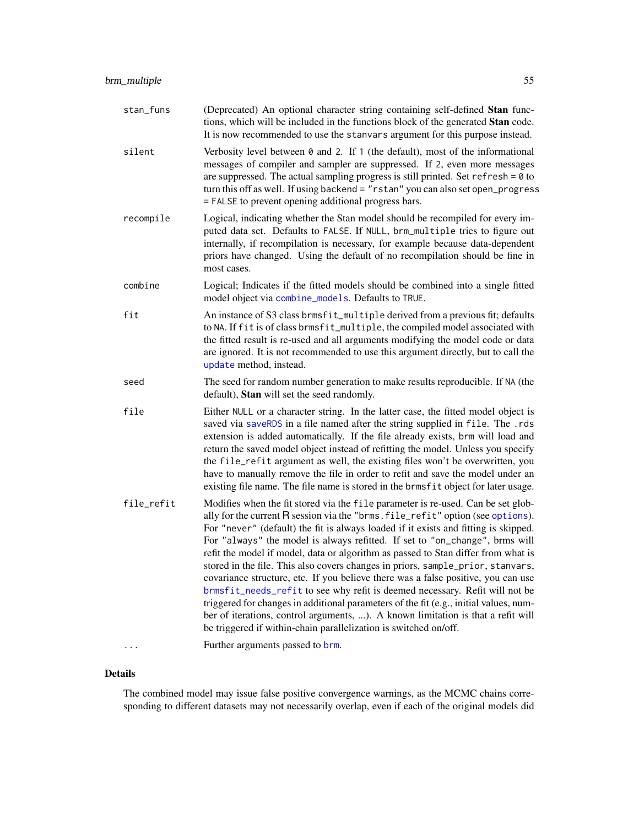| stan_funs  | (Deprecated) An optional character string containing self-defined Stan func-<br>tions, which will be included in the functions block of the generated Stan code.<br>It is now recommended to use the stanvars argument for this purpose instead.                                                                                                                                                                                                                                                                                                                                                                                                                                                                                                                                                                                                                                                                                       |
|------------|----------------------------------------------------------------------------------------------------------------------------------------------------------------------------------------------------------------------------------------------------------------------------------------------------------------------------------------------------------------------------------------------------------------------------------------------------------------------------------------------------------------------------------------------------------------------------------------------------------------------------------------------------------------------------------------------------------------------------------------------------------------------------------------------------------------------------------------------------------------------------------------------------------------------------------------|
| silent     | Verbosity level between $\theta$ and 2. If 1 (the default), most of the informational<br>messages of compiler and sampler are suppressed. If 2, even more messages<br>are suppressed. The actual sampling progress is still printed. Set refresh = $0$ to<br>turn this off as well. If using backend = "rstan" you can also set open_progress<br>= FALSE to prevent opening additional progress bars.                                                                                                                                                                                                                                                                                                                                                                                                                                                                                                                                  |
| recompile  | Logical, indicating whether the Stan model should be recompiled for every im-<br>puted data set. Defaults to FALSE. If NULL, brm_multiple tries to figure out<br>internally, if recompilation is necessary, for example because data-dependent<br>priors have changed. Using the default of no recompilation should be fine in<br>most cases.                                                                                                                                                                                                                                                                                                                                                                                                                                                                                                                                                                                          |
| combine    | Logical; Indicates if the fitted models should be combined into a single fitted<br>model object via combine_models. Defaults to TRUE.                                                                                                                                                                                                                                                                                                                                                                                                                                                                                                                                                                                                                                                                                                                                                                                                  |
| fit        | An instance of S3 class brmsfit_multiple derived from a previous fit; defaults<br>to NA. If fit is of class brmsfit_multiple, the compiled model associated with<br>the fitted result is re-used and all arguments modifying the model code or data<br>are ignored. It is not recommended to use this argument directly, but to call the<br>update method, instead.                                                                                                                                                                                                                                                                                                                                                                                                                                                                                                                                                                    |
| seed       | The seed for random number generation to make results reproducible. If NA (the<br>default), Stan will set the seed randomly.                                                                                                                                                                                                                                                                                                                                                                                                                                                                                                                                                                                                                                                                                                                                                                                                           |
| file       | Either NULL or a character string. In the latter case, the fitted model object is<br>saved via saveRDS in a file named after the string supplied in file. The .rds<br>extension is added automatically. If the file already exists, brm will load and<br>return the saved model object instead of refitting the model. Unless you specify<br>the file_refit argument as well, the existing files won't be overwritten, you<br>have to manually remove the file in order to refit and save the model under an<br>existing file name. The file name is stored in the brmsfit object for later usage.                                                                                                                                                                                                                                                                                                                                     |
| file_refit | Modifies when the fit stored via the file parameter is re-used. Can be set glob-<br>ally for the current R session via the "brms. file_refit" option (see options).<br>For "never" (default) the fit is always loaded if it exists and fitting is skipped.<br>For "always" the model is always refitted. If set to "on_change", brms will<br>refit the model if model, data or algorithm as passed to Stan differ from what is<br>stored in the file. This also covers changes in priors, sample_prior, stanvars,<br>covariance structure, etc. If you believe there was a false positive, you can use<br>brmsfit_needs_refit to see why refit is deemed necessary. Refit will not be<br>triggered for changes in additional parameters of the fit (e.g., initial values, num-<br>ber of iterations, control arguments, ). A known limitation is that a refit will<br>be triggered if within-chain parallelization is switched on/off. |
|            | Further arguments passed to brm.                                                                                                                                                                                                                                                                                                                                                                                                                                                                                                                                                                                                                                                                                                                                                                                                                                                                                                       |

# Details

The combined model may issue false positive convergence warnings, as the MCMC chains corresponding to different datasets may not necessarily overlap, even if each of the original models did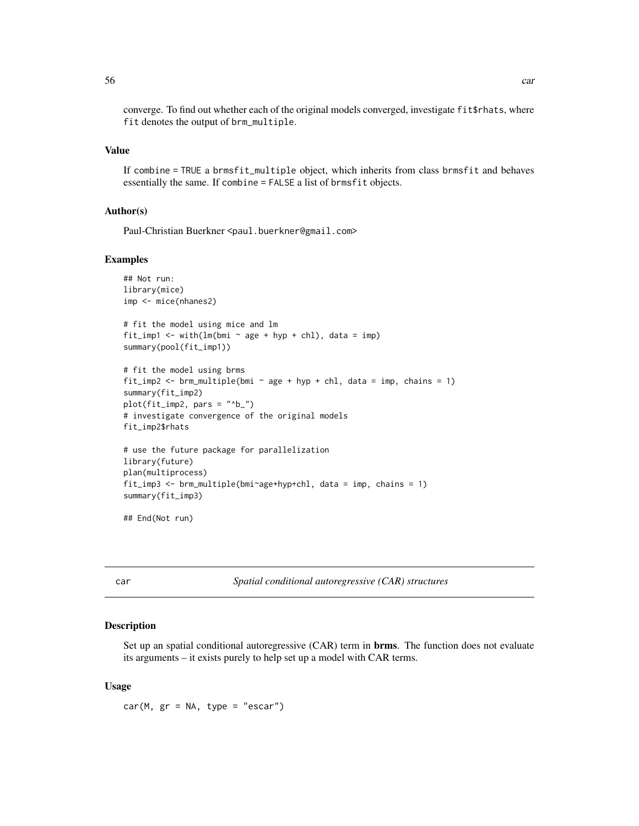converge. To find out whether each of the original models converged, investigate fit\$rhats, where fit denotes the output of brm\_multiple.

#### Value

If combine = TRUE a brmsfit\_multiple object, which inherits from class brmsfit and behaves essentially the same. If combine = FALSE a list of brmsfit objects.

### Author(s)

Paul-Christian Buerkner <paul.buerkner@gmail.com>

#### Examples

```
## Not run:
library(mice)
imp <- mice(nhanes2)
# fit the model using mice and lm
fit_imp1 <- with(lm(bmi \sim age + hyp + chl), data = imp)
summary(pool(fit_imp1))
# fit the model using brms
fit_imp2 <- brm_multiple(bmi \sim age + hyp + chl, data = imp, chains = 1)
summary(fit_imp2)
plot(fit\_imp2, pars = "b_")# investigate convergence of the original models
fit_imp2$rhats
# use the future package for parallelization
library(future)
plan(multiprocess)
fit_imp3 <- brm_multiple(bmi~age+hyp+chl, data = imp, chains = 1)
summary(fit_imp3)
```
## End(Not run)

<span id="page-55-0"></span>

| ×                | ٠       |
|------------------|---------|
| ×<br>٠<br>$\sim$ | . .<br> |
|                  |         |

car *Spatial conditional autoregressive (CAR) structures*

### Description

Set up an spatial conditional autoregressive (CAR) term in **brms**. The function does not evaluate its arguments – it exists purely to help set up a model with CAR terms.

#### Usage

 $car(M, gr = NA, type = "escar")$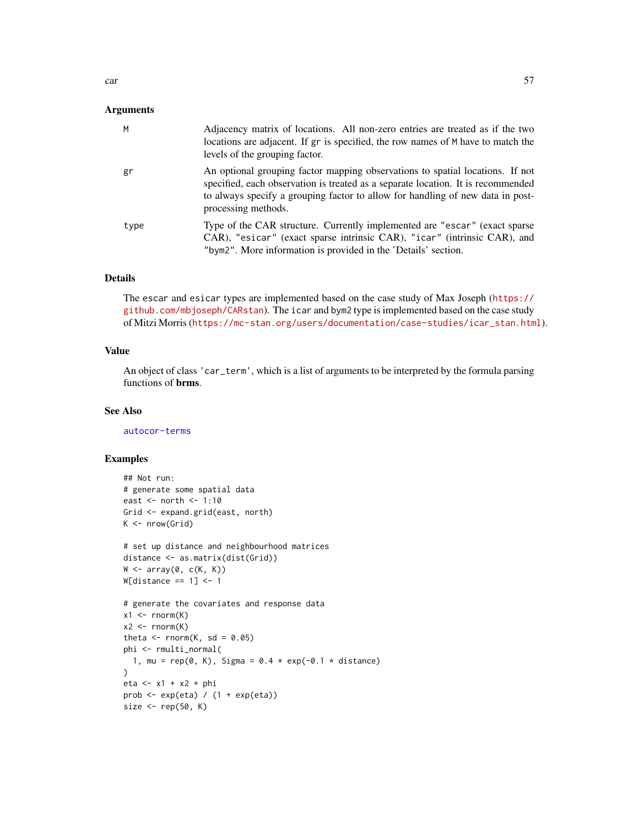### Arguments

| M    | Adjacency matrix of locations. All non-zero entries are treated as if the two<br>locations are adjacent. If gr is specified, the row names of M have to match the<br>levels of the grouping factor.                                                                        |
|------|----------------------------------------------------------------------------------------------------------------------------------------------------------------------------------------------------------------------------------------------------------------------------|
| gr   | An optional grouping factor mapping observations to spatial locations. If not<br>specified, each observation is treated as a separate location. It is recommended<br>to always specify a grouping factor to allow for handling of new data in post-<br>processing methods. |
| type | Type of the CAR structure. Currently implemented are "escar" (exact sparse<br>CAR), "esicar" (exact sparse intrinsic CAR), "icar" (intrinsic CAR), and<br>"bym2". More information is provided in the 'Details' section.                                                   |

#### Details

The escar and esicar types are implemented based on the case study of Max Joseph ([https://](https://github.com/mbjoseph/CARstan) [github.com/mbjoseph/CARstan](https://github.com/mbjoseph/CARstan)). The icar and bym2 type is implemented based on the case study of Mitzi Morris ([https://mc-stan.org/users/documentation/case-studies/icar\\_stan.html](https://mc-stan.org/users/documentation/case-studies/icar_stan.html)).

## Value

An object of class 'car\_term', which is a list of arguments to be interpreted by the formula parsing functions of brms.

#### See Also

[autocor-terms](#page-16-0)

### Examples

```
## Not run:
# generate some spatial data
east <- north <- 1:10
Grid <- expand.grid(east, north)
K \leq -\text{nrow}(Grid)# set up distance and neighbourhood matrices
distance <- as.matrix(dist(Grid))
W \leftarrow \text{array}(\emptyset, c(K, K))W[distance == 1] <- 1
# generate the covariates and response data
x1 \leftarrow \text{rnorm}(K)x2 \le- rnorm(K)theta \leq rnorm(K, sd = 0.05)
phi <- rmulti_normal(
  1, mu = rep(0, K), Sigma = 0.4 * exp(-0.1 * distance)\lambdaeta <- x1 + x2 + phi
prob \leq -\exp(\epsilon t a) / (1 + \exp(\epsilon t a))size \leq rep(50, K)
```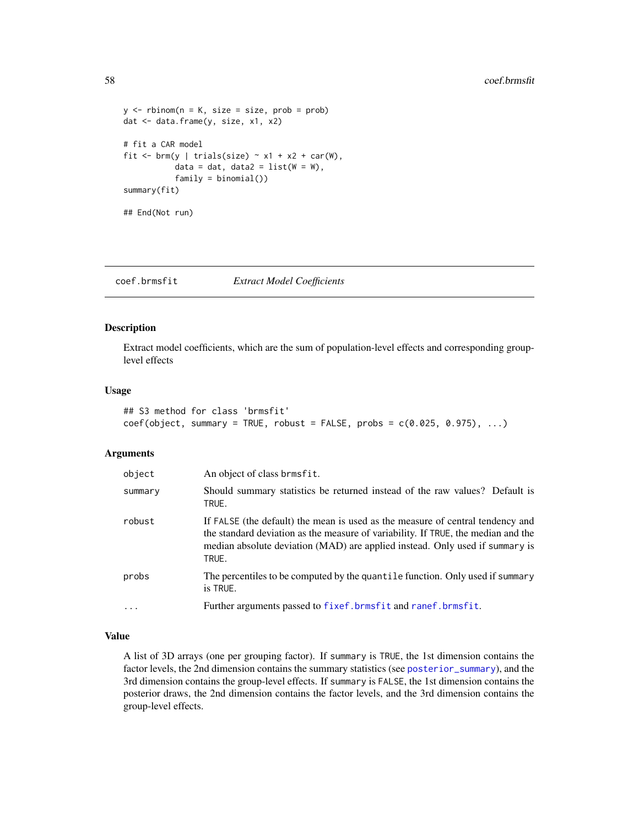```
y \le - rbinom(n = K, size = size, prob = prob)
dat <- data.frame(y, size, x1, x2)
# fit a CAR model
fit \le brm(y | trials(size) \sim x1 + x2 + car(W),
           data = dat, data2 = list(W = W),
           family = binomial()summary(fit)
## End(Not run)
```
coef.brmsfit *Extract Model Coefficients*

### Description

Extract model coefficients, which are the sum of population-level effects and corresponding grouplevel effects

#### Usage

```
## S3 method for class 'brmsfit'
coef(objject, summary = TRUE, robust = FALSE, probes = c(0.025, 0.975), ...)
```
#### Arguments

| object     | An object of class brmsfit.                                                                                                                                                                                                                                  |  |
|------------|--------------------------------------------------------------------------------------------------------------------------------------------------------------------------------------------------------------------------------------------------------------|--|
| summary    | Should summary statistics be returned instead of the raw values? Default is<br>TRUE.                                                                                                                                                                         |  |
| robust     | If FALSE (the default) the mean is used as the measure of central tendency and<br>the standard deviation as the measure of variability. If TRUE, the median and the<br>median absolute deviation (MAD) are applied instead. Only used if summary is<br>TRUE. |  |
| probs      | The percentiles to be computed by the quantile function. Only used if summary<br>is TRUE.                                                                                                                                                                    |  |
| $\ddots$ . | Further arguments passed to fixef.brmsfit and ranef.brmsfit.                                                                                                                                                                                                 |  |

#### Value

A list of 3D arrays (one per grouping factor). If summary is TRUE, the 1st dimension contains the factor levels, the 2nd dimension contains the summary statistics (see [posterior\\_summary](#page-172-0)), and the 3rd dimension contains the group-level effects. If summary is FALSE, the 1st dimension contains the posterior draws, the 2nd dimension contains the factor levels, and the 3rd dimension contains the group-level effects.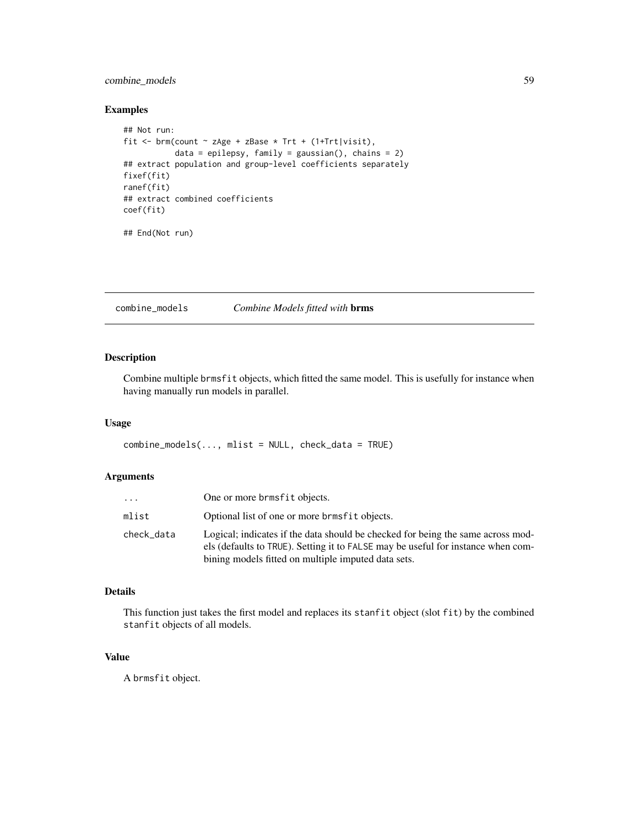## combine\_models 59

### Examples

```
## Not run:
fit <- brm(count ~ zAge + zBase * Trt + (1+Trt|visit),
           data = epilepsy, family = gaussian(), chains = 2)
## extract population and group-level coefficients separately
fixef(fit)
ranef(fit)
## extract combined coefficients
coef(fit)
## End(Not run)
```
<span id="page-58-0"></span>combine\_models *Combine Models fitted with* brms

### Description

Combine multiple brmsfit objects, which fitted the same model. This is usefully for instance when having manually run models in parallel.

### Usage

combine\_models(..., mlist = NULL, check\_data = TRUE)

### Arguments

| .          | One or more brmsfit objects.                                                                                                                                                                                               |
|------------|----------------------------------------------------------------------------------------------------------------------------------------------------------------------------------------------------------------------------|
| mlist      | Optional list of one or more brmsfit objects.                                                                                                                                                                              |
| check_data | Logical; indicates if the data should be checked for being the same across mod-<br>els (defaults to TRUE). Setting it to FALSE may be useful for instance when com-<br>bining models fitted on multiple imputed data sets. |

# Details

This function just takes the first model and replaces its stanfit object (slot fit) by the combined stanfit objects of all models.

### Value

A brmsfit object.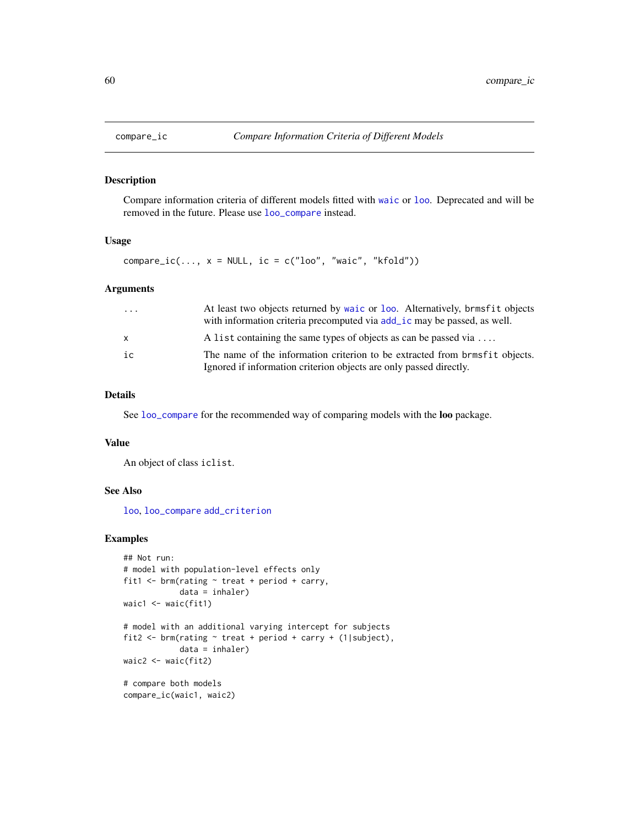#### Description

Compare information criteria of different models fitted with [waic](#page-227-0) or [loo](#page-125-0). Deprecated and will be removed in the future. Please use [loo\\_compare](#page-127-0) instead.

### Usage

compare\_ic(...,  $x = NULL$ , ic = c("loo", "waic", "kfold"))

### Arguments

| $\cdots$     | At least two objects returned by waic or loo. Alternatively, brmsfit objects<br>with information criteria precomputed via add_ic may be passed, as well. |
|--------------|----------------------------------------------------------------------------------------------------------------------------------------------------------|
| $\mathsf{x}$ | A list containing the same types of objects as can be passed via $\dots$                                                                                 |
| ic           | The name of the information criterion to be extracted from brmsfit objects.<br>Ignored if information criterion objects are only passed directly.        |

## Details

See [loo\\_compare](#page-127-0) for the recommended way of comparing models with the loo package.

#### Value

An object of class iclist.

## See Also

[loo](#page-125-0), [loo\\_compare](#page-127-0) [add\\_criterion](#page-8-0)

### Examples

```
## Not run:
# model with population-level effects only
fit1 \le brm(rating \sim treat + period + carry,
            data = inhaler)
waic1 <- waic(fit1)
# model with an additional varying intercept for subjects
fit2 <- brm(rating \sim treat + period + carry + (1|subject),
            data = inhaler)
waic2 <- waic(fit2)
# compare both models
compare_ic(waic1, waic2)
```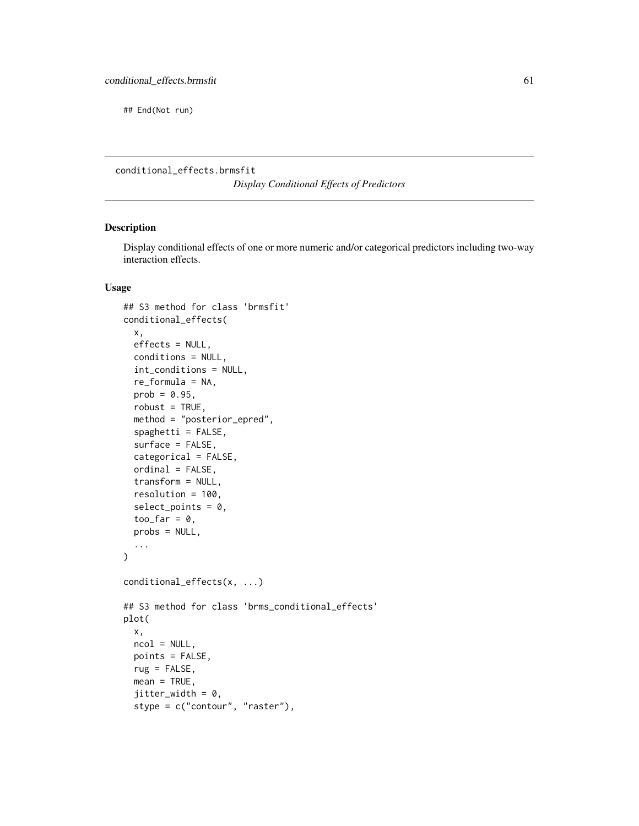## End(Not run)

conditional\_effects.brmsfit

*Display Conditional Effects of Predictors*

### <span id="page-60-0"></span>Description

Display conditional effects of one or more numeric and/or categorical predictors including two-way interaction effects.

### Usage

```
## S3 method for class 'brmsfit'
conditional_effects(
  x,
 effects = NULL,
  conditions = NULL,
  int_conditions = NULL,
  re_formula = NA,
  prob = 0.95,
  robust = TRUE,method = "posterior_epred",
  spaghetti = FALSE,surface = FALSE,
  categorical = FALSE,
  ordinal = FALSE,
  transform = NULL,
  resolution = 100,
  select\_points = 0,too_{\text{far}} = 0,
 probs = NULL,
  ...
\mathcal{E}conditional_effects(x, ...)
## S3 method for class 'brms_conditional_effects'
plot(
  x,
  ncol = NULL,
 points = FALSE,
  rug = FALSE,mean = TRUE,jitter\_width = 0,stype = c("contour", "raster"),
```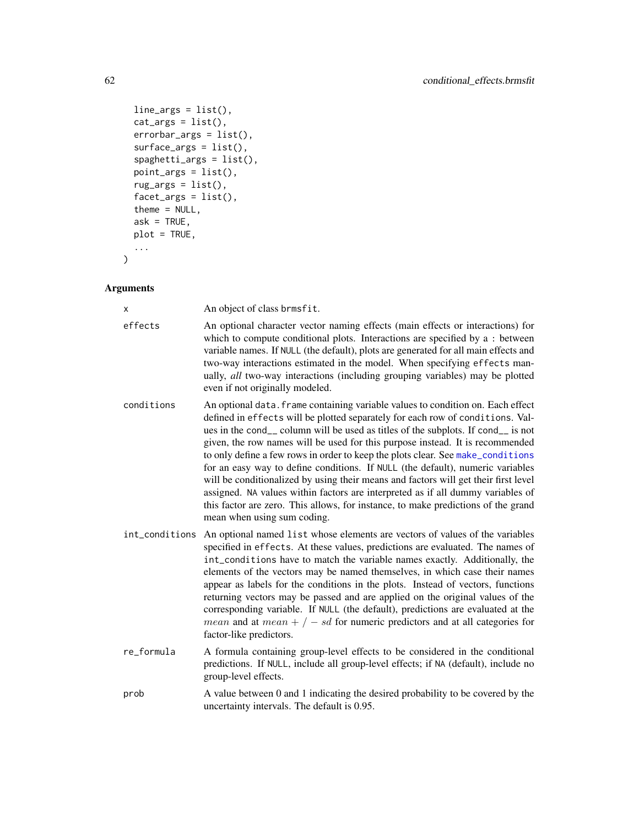```
line_{args} = list(),
  cat_{args} = list(),
  errorbar_{args} = list(),
  surface_{args} = list(),
  spaghetti_{args} = list(),
  point_{args} = list(),rug_{args} = list(),
  facet_{args} = list(),
  theme = NULL,
  ask = TRUE,plot = TRUE,
  ...
)
```
#### Arguments

x An object of class brmsfit.

- effects An optional character vector naming effects (main effects or interactions) for which to compute conditional plots. Interactions are specified by a : between variable names. If NULL (the default), plots are generated for all main effects and two-way interactions estimated in the model. When specifying effects manually, *all* two-way interactions (including grouping variables) may be plotted even if not originally modeled.
- conditions An optional data.frame containing variable values to condition on. Each effect defined in effects will be plotted separately for each row of conditions. Values in the cond\_\_ column will be used as titles of the subplots. If cond\_\_ is not given, the row names will be used for this purpose instead. It is recommended to only define a few rows in order to keep the plots clear. See [make\\_conditions](#page-136-0) for an easy way to define conditions. If NULL (the default), numeric variables will be conditionalized by using their means and factors will get their first level assigned. NA values within factors are interpreted as if all dummy variables of this factor are zero. This allows, for instance, to make predictions of the grand mean when using sum coding.
- int\_conditions An optional named list whose elements are vectors of values of the variables specified in effects. At these values, predictions are evaluated. The names of int\_conditions have to match the variable names exactly. Additionally, the elements of the vectors may be named themselves, in which case their names appear as labels for the conditions in the plots. Instead of vectors, functions returning vectors may be passed and are applied on the original values of the corresponding variable. If NULL (the default), predictions are evaluated at the *mean* and at  $mean + / - sd$  for numeric predictors and at all categories for factor-like predictors.
- re\_formula A formula containing group-level effects to be considered in the conditional predictions. If NULL, include all group-level effects; if NA (default), include no group-level effects.
- prob A value between 0 and 1 indicating the desired probability to be covered by the uncertainty intervals. The default is 0.95.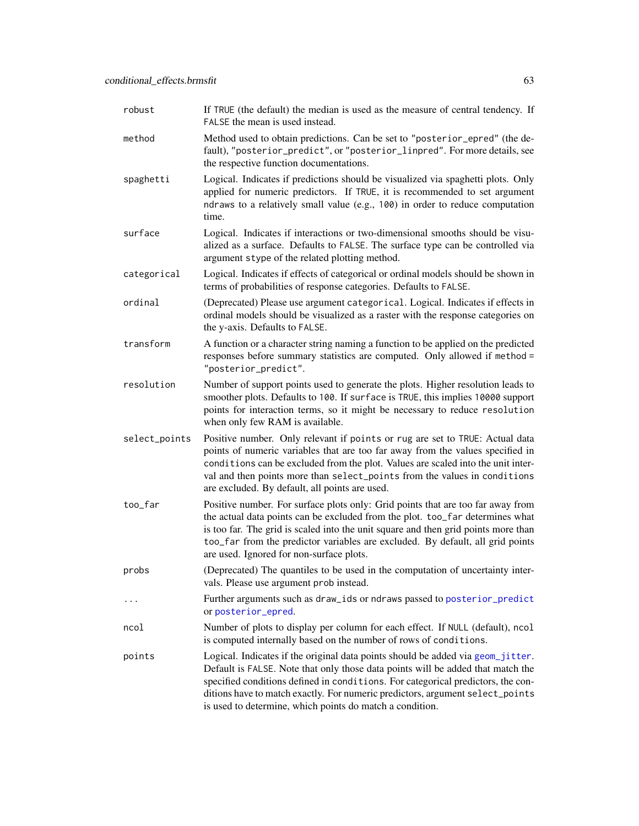| robust        | If TRUE (the default) the median is used as the measure of central tendency. If<br>FALSE the mean is used instead.                                                                                                                                                                                                                                                                                  |  |
|---------------|-----------------------------------------------------------------------------------------------------------------------------------------------------------------------------------------------------------------------------------------------------------------------------------------------------------------------------------------------------------------------------------------------------|--|
| method        | Method used to obtain predictions. Can be set to "posterior_epred" (the de-<br>fault), "posterior_predict", or "posterior_linpred". For more details, see<br>the respective function documentations.                                                                                                                                                                                                |  |
| spaghetti     | Logical. Indicates if predictions should be visualized via spaghetti plots. Only<br>applied for numeric predictors. If TRUE, it is recommended to set argument<br>ndraws to a relatively small value (e.g., 100) in order to reduce computation<br>time.                                                                                                                                            |  |
| surface       | Logical. Indicates if interactions or two-dimensional smooths should be visu-<br>alized as a surface. Defaults to FALSE. The surface type can be controlled via<br>argument stype of the related plotting method.                                                                                                                                                                                   |  |
| categorical   | Logical. Indicates if effects of categorical or ordinal models should be shown in<br>terms of probabilities of response categories. Defaults to FALSE.                                                                                                                                                                                                                                              |  |
| ordinal       | (Deprecated) Please use argument categorical. Logical. Indicates if effects in<br>ordinal models should be visualized as a raster with the response categories on<br>the y-axis. Defaults to FALSE.                                                                                                                                                                                                 |  |
| transform     | A function or a character string naming a function to be applied on the predicted<br>responses before summary statistics are computed. Only allowed if method =<br>"posterior_predict".                                                                                                                                                                                                             |  |
| resolution    | Number of support points used to generate the plots. Higher resolution leads to<br>smoother plots. Defaults to 100. If surface is TRUE, this implies 10000 support<br>points for interaction terms, so it might be necessary to reduce resolution<br>when only few RAM is available.                                                                                                                |  |
| select_points | Positive number. Only relevant if points or rug are set to TRUE: Actual data<br>points of numeric variables that are too far away from the values specified in<br>conditions can be excluded from the plot. Values are scaled into the unit inter-<br>val and then points more than select_points from the values in conditions<br>are excluded. By default, all points are used.                   |  |
| too_far       | Positive number. For surface plots only: Grid points that are too far away from<br>the actual data points can be excluded from the plot. too_far determines what<br>is too far. The grid is scaled into the unit square and then grid points more than<br>too_far from the predictor variables are excluded. By default, all grid points<br>are used. Ignored for non-surface plots.                |  |
| probs         | (Deprecated) The quantiles to be used in the computation of uncertainty inter-<br>vals. Please use argument prob instead.                                                                                                                                                                                                                                                                           |  |
|               | Further arguments such as draw_ids or ndraws passed to posterior_predict<br>or posterior_epred.                                                                                                                                                                                                                                                                                                     |  |
| ncol          | Number of plots to display per column for each effect. If NULL (default), ncol<br>is computed internally based on the number of rows of conditions.                                                                                                                                                                                                                                                 |  |
| points        | Logical. Indicates if the original data points should be added via geom_jitter.<br>Default is FALSE. Note that only those data points will be added that match the<br>specified conditions defined in conditions. For categorical predictors, the con-<br>ditions have to match exactly. For numeric predictors, argument select_points<br>is used to determine, which points do match a condition. |  |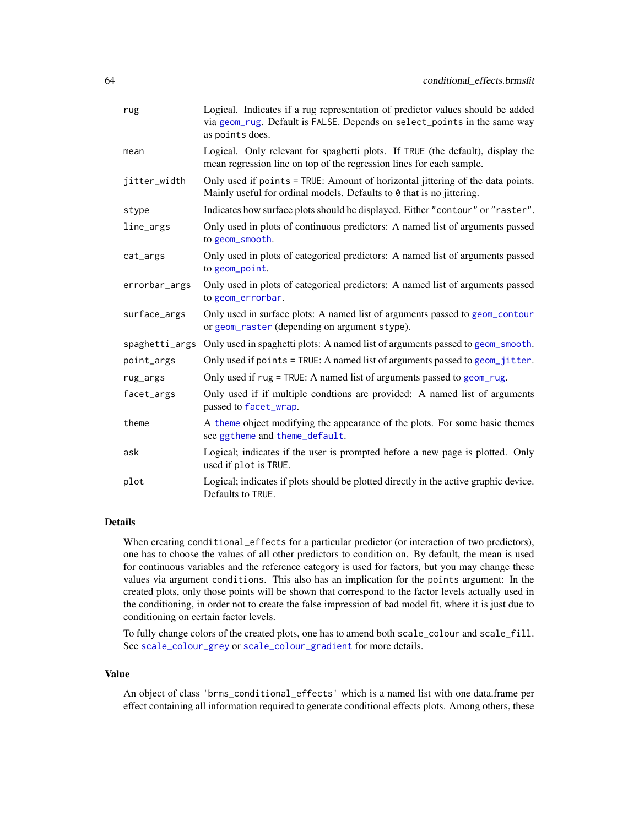| rug            | Logical. Indicates if a rug representation of predictor values should be added<br>via geom_rug. Default is FALSE. Depends on select_points in the same way<br>as points does. |  |
|----------------|-------------------------------------------------------------------------------------------------------------------------------------------------------------------------------|--|
| mean           | Logical. Only relevant for spaghetti plots. If TRUE (the default), display the<br>mean regression line on top of the regression lines for each sample.                        |  |
| jitter_width   | Only used if points = TRUE: Amount of horizontal jittering of the data points.<br>Mainly useful for ordinal models. Defaults to 0 that is no jittering.                       |  |
| stype          | Indicates how surface plots should be displayed. Either "contour" or "raster".                                                                                                |  |
| line_args      | Only used in plots of continuous predictors: A named list of arguments passed<br>to geom_smooth.                                                                              |  |
| cat_args       | Only used in plots of categorical predictors: A named list of arguments passed<br>to geom_point.                                                                              |  |
| errorbar_args  | Only used in plots of categorical predictors: A named list of arguments passed<br>to geom_errorbar.                                                                           |  |
| surface_args   | Only used in surface plots: A named list of arguments passed to geom_contour<br>or geom_raster (depending on argument stype).                                                 |  |
| spaghetti_args | Only used in spaghetti plots: A named list of arguments passed to geom_smooth.                                                                                                |  |
| point_args     | Only used if points = TRUE: A named list of arguments passed to geom_jitter.                                                                                                  |  |
| rug_args       | Only used if rug = TRUE: A named list of arguments passed to geom_rug.                                                                                                        |  |
| facet_args     | Only used if if multiple condtions are provided: A named list of arguments<br>passed to facet_wrap.                                                                           |  |
| theme          | A theme object modifying the appearance of the plots. For some basic themes<br>see ggtheme and theme_default.                                                                 |  |
| ask            | Logical; indicates if the user is prompted before a new page is plotted. Only<br>used if plot is TRUE.                                                                        |  |
| plot           | Logical; indicates if plots should be plotted directly in the active graphic device.<br>Defaults to TRUE.                                                                     |  |

### Details

When creating conditional\_effects for a particular predictor (or interaction of two predictors), one has to choose the values of all other predictors to condition on. By default, the mean is used for continuous variables and the reference category is used for factors, but you may change these values via argument conditions. This also has an implication for the points argument: In the created plots, only those points will be shown that correspond to the factor levels actually used in the conditioning, in order not to create the false impression of bad model fit, where it is just due to conditioning on certain factor levels.

To fully change colors of the created plots, one has to amend both scale\_colour and scale\_fill. See [scale\\_colour\\_grey](#page-0-0) or [scale\\_colour\\_gradient](#page-0-0) for more details.

#### Value

An object of class 'brms\_conditional\_effects' which is a named list with one data.frame per effect containing all information required to generate conditional effects plots. Among others, these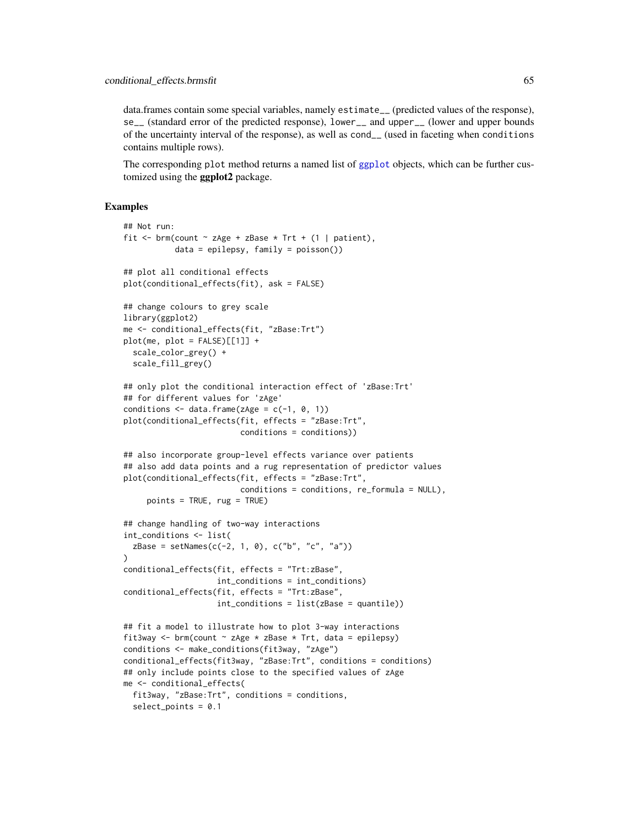data.frames contain some special variables, namely estimate\_\_ (predicted values of the response), se\_\_ (standard error of the predicted response), lower\_\_ and upper\_\_ (lower and upper bounds of the uncertainty interval of the response), as well as cond\_\_ (used in faceting when conditions contains multiple rows).

The corresponding plot method returns a named list of [ggplot](#page-0-0) objects, which can be further customized using the ggplot2 package.

### Examples

```
## Not run:
fit <- brm(count \sim zAge + zBase * Trt + (1 | patient),
           data = epilepsy, family = poisson())
## plot all conditional effects
plot(conditional_effects(fit), ask = FALSE)
## change colours to grey scale
library(ggplot2)
me <- conditional_effects(fit, "zBase:Trt")
plot(me, plot = FALSE)[[1]] +scale_color_grey() +
  scale_fill_grey()
## only plot the conditional interaction effect of 'zBase: Trt'
## for different values for 'zAge'
conditions \leq data.frame(zAge = c(-1, 0, 1))
plot(conditional_effects(fit, effects = "zBase:Trt",
                         conditions = conditions))
## also incorporate group-level effects variance over patients
## also add data points and a rug representation of predictor values
plot(conditional_effects(fit, effects = "zBase:Trt",
                         conditions = conditions, re_formula = NULL),
     points = TRUE, rug = TRUE)
## change handling of two-way interactions
int_conditions <- list(
  zBase = setNames(c(-2, 1, 0), c("b", "c", "a")))
conditional_effects(fit, effects = "Trt:zBase",
                    int_conditions = int_conditions)
conditional_effects(fit, effects = "Trt:zBase",
                    int_conditions = list(zBase = quantile))
## fit a model to illustrate how to plot 3-way interactions
fit3way <- brm(count \sim zAge \star zBase \star Trt, data = epilepsy)
conditions <- make_conditions(fit3way, "zAge")
conditional_effects(fit3way, "zBase:Trt", conditions = conditions)
## only include points close to the specified values of zAge
me <- conditional_effects(
  fit3way, "zBase:Trt", conditions = conditions,
  select_points = 0.1
```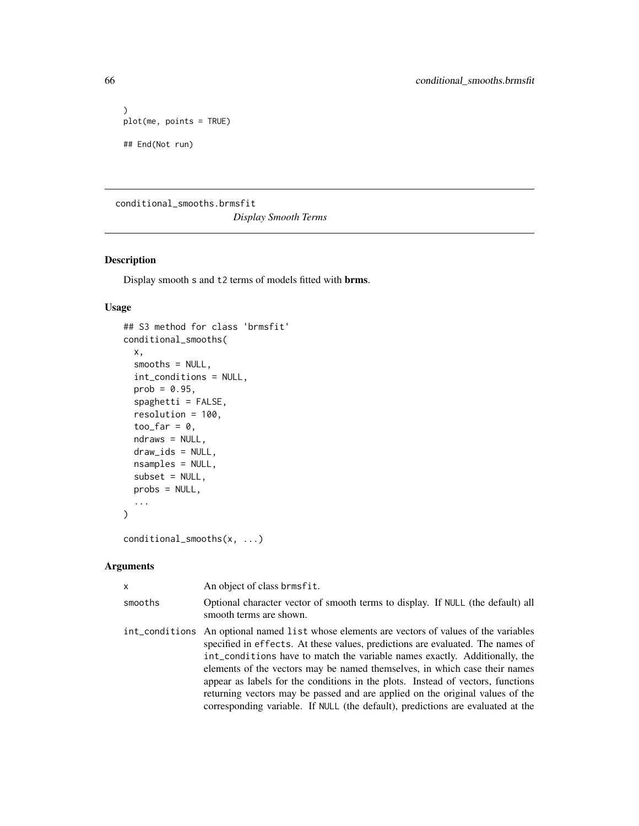```
)
plot(me, points = TRUE)
## End(Not run)
```
conditional\_smooths.brmsfit

*Display Smooth Terms*

# Description

Display smooth s and t2 terms of models fitted with brms.

## Usage

```
## S3 method for class 'brmsfit'
conditional_smooths(
  x,
  smooths = NULL,
  int_conditions = NULL,
 prob = 0.95,spaghetti = FALSE,
  resolution = 100,
  too_far = 0,
 ndraws = NULL,
 draw_ids = NULL,
 nsamples = NULL,
  subset = NULL,
 probs = NULL,
  ...
\mathcal{L}
```

```
conditional_smooths(x, ...)
```
## Arguments

| $\mathsf{x}$ | An object of class brmsfit.                                                                                                                                                                                                                                                                                                                                                                                                                                                                                                                                                                      |
|--------------|--------------------------------------------------------------------------------------------------------------------------------------------------------------------------------------------------------------------------------------------------------------------------------------------------------------------------------------------------------------------------------------------------------------------------------------------------------------------------------------------------------------------------------------------------------------------------------------------------|
| smooths      | Optional character vector of smooth terms to display. If NULL (the default) all<br>smooth terms are shown.                                                                                                                                                                                                                                                                                                                                                                                                                                                                                       |
|              | int_conditions An optional named list whose elements are vectors of values of the variables<br>specified in effects. At these values, predictions are evaluated. The names of<br>int_conditions have to match the variable names exactly. Additionally, the<br>elements of the vectors may be named themselves, in which case their names<br>appear as labels for the conditions in the plots. Instead of vectors, functions<br>returning vectors may be passed and are applied on the original values of the<br>corresponding variable. If NULL (the default), predictions are evaluated at the |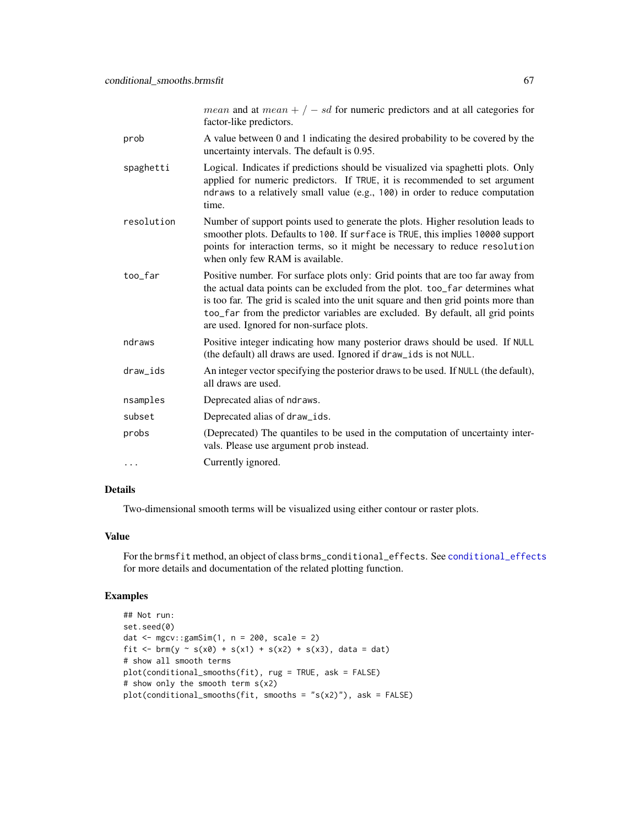|            | <i>mean</i> and at $mean + / - sd$ for numeric predictors and at all categories for<br>factor-like predictors.                                                                                                                                                                                                                                                                       |
|------------|--------------------------------------------------------------------------------------------------------------------------------------------------------------------------------------------------------------------------------------------------------------------------------------------------------------------------------------------------------------------------------------|
| prob       | A value between 0 and 1 indicating the desired probability to be covered by the<br>uncertainty intervals. The default is 0.95.                                                                                                                                                                                                                                                       |
| spaghetti  | Logical. Indicates if predictions should be visualized via spaghetti plots. Only<br>applied for numeric predictors. If TRUE, it is recommended to set argument<br>ndraws to a relatively small value (e.g., 100) in order to reduce computation<br>time.                                                                                                                             |
| resolution | Number of support points used to generate the plots. Higher resolution leads to<br>smoother plots. Defaults to 100. If surface is TRUE, this implies 10000 support<br>points for interaction terms, so it might be necessary to reduce resolution<br>when only few RAM is available.                                                                                                 |
| too_far    | Positive number. For surface plots only: Grid points that are too far away from<br>the actual data points can be excluded from the plot. too_far determines what<br>is too far. The grid is scaled into the unit square and then grid points more than<br>too_far from the predictor variables are excluded. By default, all grid points<br>are used. Ignored for non-surface plots. |
| ndraws     | Positive integer indicating how many posterior draws should be used. If NULL<br>(the default) all draws are used. Ignored if draw_ids is not NULL.                                                                                                                                                                                                                                   |
| draw_ids   | An integer vector specifying the posterior draws to be used. If NULL (the default),<br>all draws are used.                                                                                                                                                                                                                                                                           |
| nsamples   | Deprecated alias of ndraws.                                                                                                                                                                                                                                                                                                                                                          |
| subset     | Deprecated alias of draw_ids.                                                                                                                                                                                                                                                                                                                                                        |
| probs      | (Deprecated) The quantiles to be used in the computation of uncertainty inter-<br>vals. Please use argument prob instead.                                                                                                                                                                                                                                                            |
| .          | Currently ignored.                                                                                                                                                                                                                                                                                                                                                                   |

# Details

Two-dimensional smooth terms will be visualized using either contour or raster plots.

## Value

For the brmsfit method, an object of class brms\_conditional\_effects. See [conditional\\_effects](#page-60-0) for more details and documentation of the related plotting function.

## Examples

```
## Not run:
set.seed(0)
dat \leq mgcv:: gamSim(1, n = 200, scale = 2)
fit <- brm(y ~ s(x0) + s(x1) + s(x2) + s(x3), data = dat)
# show all smooth terms
plot(conditional_smooths(fit), rug = TRUE, ask = FALSE)
# show only the smooth term s(x2)
plot(conditional_smooths(fit, smooths = "s(x2)"), ask = FALSE)
```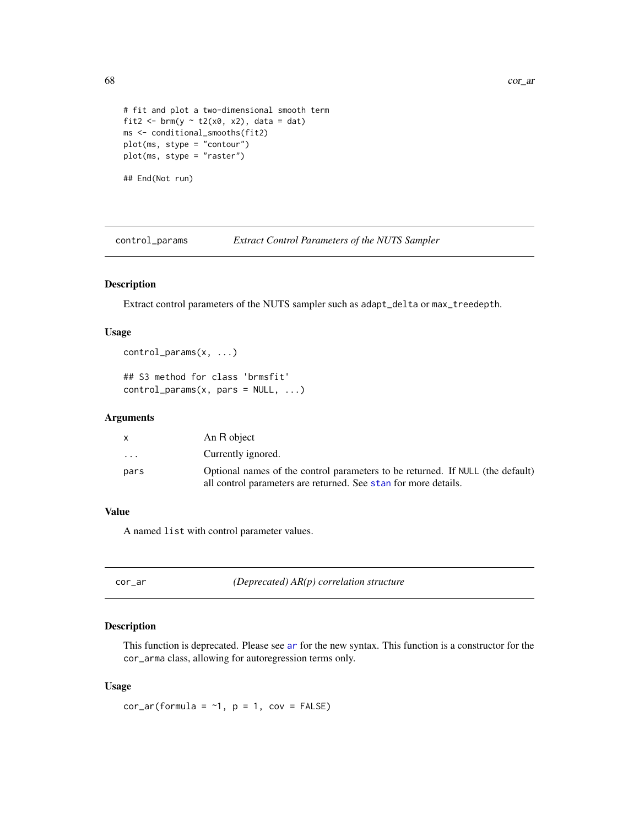```
# fit and plot a two-dimensional smooth term
fit2 <- brm(y \sim t2(x0, x2), data = dat)ms <- conditional_smooths(fit2)
plot(ms, stype = "contour")
plot(ms, stype = "raster")
## End(Not run)
```

| control_params | <b>Extract Control Parameters of the NUTS Sampler</b> |  |
|----------------|-------------------------------------------------------|--|
|                |                                                       |  |

### Description

Extract control parameters of the NUTS sampler such as adapt\_delta or max\_treedepth.

### Usage

```
control_params(x, ...)
```

```
## S3 method for class 'brmsfit'
control\_params(x, pars = NULL, ...)
```
#### Arguments

| X    | An R object                                                                    |
|------|--------------------------------------------------------------------------------|
| .    | Currently ignored.                                                             |
| pars | Optional names of the control parameters to be returned. If NULL (the default) |
|      | all control parameters are returned. See stan for more details.                |

# Value

A named list with control parameter values.

<span id="page-67-0"></span>

| ٠ |  |
|---|--|

cor\_ar *(Deprecated) AR(p) correlation structure*

### Description

This function is deprecated. Please see [ar](#page-11-0) for the new syntax. This function is a constructor for the cor\_arma class, allowing for autoregression terms only.

#### Usage

 $cor_ar(formula = -1, p = 1, cov = FALSE)$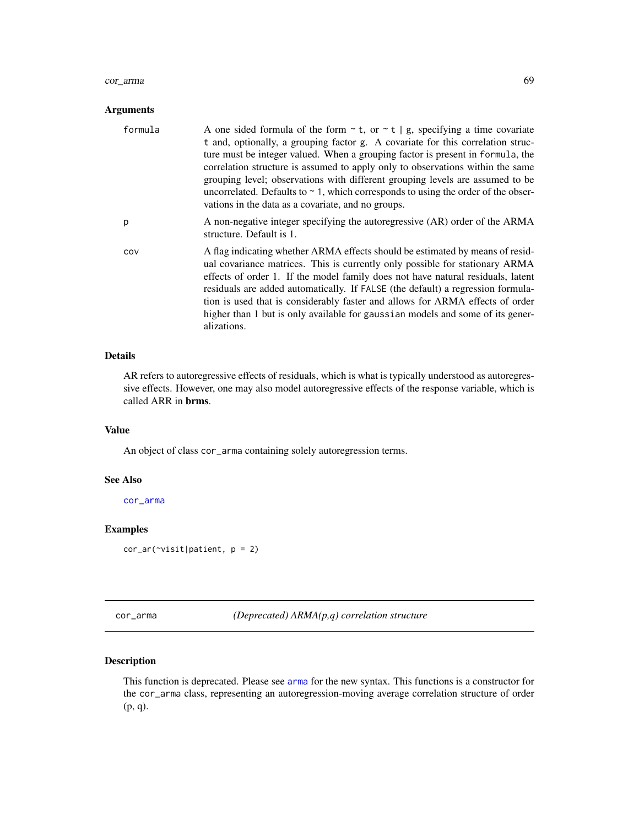#### cor\_arma 69

### Arguments

| formula | A one sided formula of the form $\sim$ t, or $\sim$ t   g, specifying a time covariate<br>t and, optionally, a grouping factor g. A covariate for this correlation struc-<br>ture must be integer valued. When a grouping factor is present in formula, the<br>correlation structure is assumed to apply only to observations within the same<br>grouping level; observations with different grouping levels are assumed to be<br>uncorrelated. Defaults to $\sim$ 1, which corresponds to using the order of the obser-<br>vations in the data as a covariate, and no groups. |
|---------|--------------------------------------------------------------------------------------------------------------------------------------------------------------------------------------------------------------------------------------------------------------------------------------------------------------------------------------------------------------------------------------------------------------------------------------------------------------------------------------------------------------------------------------------------------------------------------|
| p       | A non-negative integer specifying the autoregressive (AR) order of the ARMA<br>structure. Default is 1.                                                                                                                                                                                                                                                                                                                                                                                                                                                                        |
| COV     | A flag indicating whether ARMA effects should be estimated by means of resid-<br>ual covariance matrices. This is currently only possible for stationary ARMA<br>effects of order 1. If the model family does not have natural residuals, latent<br>residuals are added automatically. If FALSE (the default) a regression formula-<br>tion is used that is considerably faster and allows for ARMA effects of order<br>higher than 1 but is only available for gaussian models and some of its gener-<br>alizations.                                                          |

### Details

AR refers to autoregressive effects of residuals, which is what is typically understood as autoregressive effects. However, one may also model autoregressive effects of the response variable, which is called ARR in brms.

## Value

An object of class cor\_arma containing solely autoregression terms.

#### See Also

[cor\\_arma](#page-68-0)

## Examples

```
cor_ar(~visit|patient, p = 2)
```
<span id="page-68-0"></span>cor\_arma *(Deprecated) ARMA(p,q) correlation structure*

## Description

This function is deprecated. Please see [arma](#page-12-0) for the new syntax. This functions is a constructor for the cor\_arma class, representing an autoregression-moving average correlation structure of order (p, q).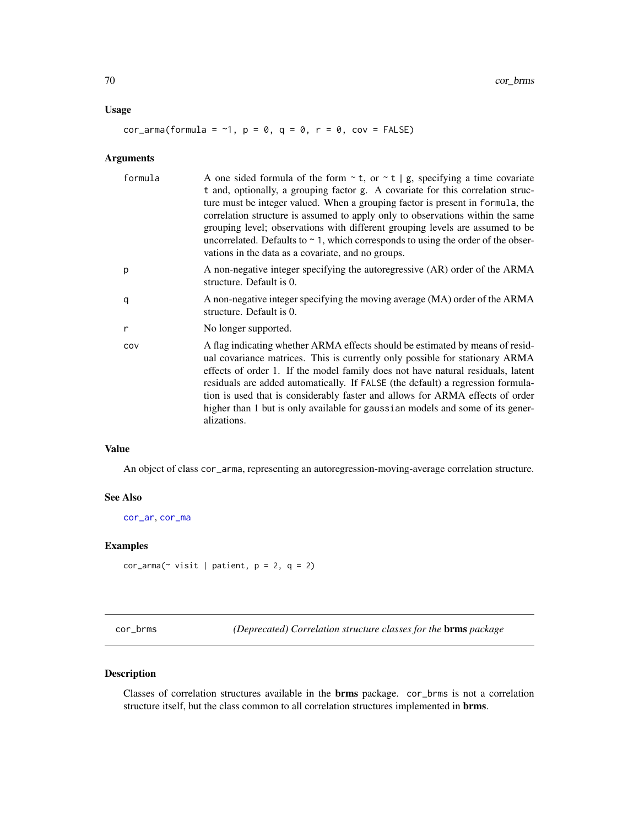### Usage

 $cor_arma (formula = -1, p = 0, q = 0, r = 0, cov = FALSE)$ 

## Arguments

| formula | A one sided formula of the form $\sim$ t, or $\sim$ t   g, specifying a time covariate<br>t and, optionally, a grouping factor g. A covariate for this correlation struc-<br>ture must be integer valued. When a grouping factor is present in formula, the<br>correlation structure is assumed to apply only to observations within the same<br>grouping level; observations with different grouping levels are assumed to be<br>uncorrelated. Defaults to $\sim$ 1, which corresponds to using the order of the obser-<br>vations in the data as a covariate, and no groups. |
|---------|--------------------------------------------------------------------------------------------------------------------------------------------------------------------------------------------------------------------------------------------------------------------------------------------------------------------------------------------------------------------------------------------------------------------------------------------------------------------------------------------------------------------------------------------------------------------------------|
| p       | A non-negative integer specifying the autoregressive (AR) order of the ARMA<br>structure. Default is 0.                                                                                                                                                                                                                                                                                                                                                                                                                                                                        |
| q       | A non-negative integer specifying the moving average (MA) order of the ARMA<br>structure. Default is 0.                                                                                                                                                                                                                                                                                                                                                                                                                                                                        |
| r       | No longer supported.                                                                                                                                                                                                                                                                                                                                                                                                                                                                                                                                                           |
| COV     | A flag indicating whether ARMA effects should be estimated by means of resid-<br>ual covariance matrices. This is currently only possible for stationary ARMA<br>effects of order 1. If the model family does not have natural residuals, latent<br>residuals are added automatically. If FALSE (the default) a regression formula-<br>tion is used that is considerably faster and allows for ARMA effects of order<br>higher than 1 but is only available for gaussian models and some of its gener-<br>alizations.                                                          |

## Value

An object of class cor\_arma, representing an autoregression-moving-average correlation structure.

### See Also

[cor\\_ar](#page-67-0), [cor\\_ma](#page-73-0)

### Examples

```
cor_arna(\sim visit \mid patient, p = 2, q = 2)
```
<span id="page-69-0"></span>cor\_brms *(Deprecated) Correlation structure classes for the* brms *package*

## Description

Classes of correlation structures available in the brms package. cor\_brms is not a correlation structure itself, but the class common to all correlation structures implemented in brms.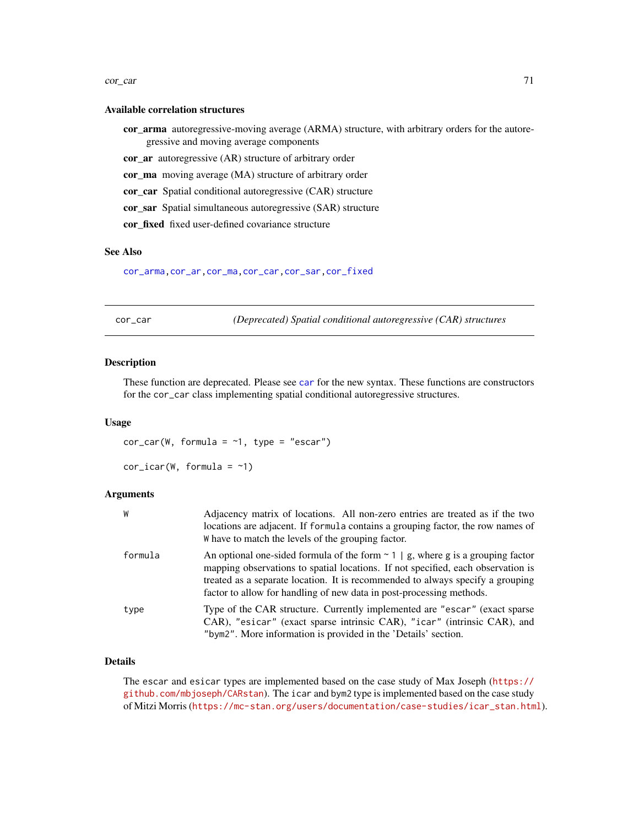#### cor\_car 71

#### Available correlation structures

- cor\_arma autoregressive-moving average (ARMA) structure, with arbitrary orders for the autoregressive and moving average components
- cor\_ar autoregressive (AR) structure of arbitrary order
- cor\_ma moving average (MA) structure of arbitrary order
- cor\_car Spatial conditional autoregressive (CAR) structure
- cor\_sar Spatial simultaneous autoregressive (SAR) structure
- cor\_fixed fixed user-defined covariance structure

### See Also

[cor\\_arma](#page-68-0)[,cor\\_ar](#page-67-0)[,cor\\_ma,](#page-73-0)[cor\\_car,](#page-70-0)[cor\\_sar,](#page-74-0)[cor\\_fixed](#page-72-0)

<span id="page-70-0"></span>cor\_car *(Deprecated) Spatial conditional autoregressive (CAR) structures*

#### **Description**

These function are deprecated. Please see [car](#page-55-0) for the new syntax. These functions are constructors for the cor\_car class implementing spatial conditional autoregressive structures.

#### Usage

 $cor_car(W, formula = -1, type = "escar")$ 

```
cor\_icar(W, formula = -1)
```
#### **Arguments**

| W       | Adjacency matrix of locations. All non-zero entries are treated as if the two<br>locations are adjacent. If formula contains a grouping factor, the row names of<br>W have to match the levels of the grouping factor.                                                                                                             |
|---------|------------------------------------------------------------------------------------------------------------------------------------------------------------------------------------------------------------------------------------------------------------------------------------------------------------------------------------|
| formula | An optional one-sided formula of the form $\sim$ 1   g, where g is a grouping factor<br>mapping observations to spatial locations. If not specified, each observation is<br>treated as a separate location. It is recommended to always specify a grouping<br>factor to allow for handling of new data in post-processing methods. |
| type    | Type of the CAR structure. Currently implemented are "escar" (exact sparse<br>CAR), "esicar" (exact sparse intrinsic CAR), "icar" (intrinsic CAR), and<br>"bym2". More information is provided in the 'Details' section.                                                                                                           |

### Details

The escar and esicar types are implemented based on the case study of Max Joseph ([https://](https://github.com/mbjoseph/CARstan) [github.com/mbjoseph/CARstan](https://github.com/mbjoseph/CARstan)). The icar and bym2 type is implemented based on the case study of Mitzi Morris ([https://mc-stan.org/users/documentation/case-studies/icar\\_stan.html](https://mc-stan.org/users/documentation/case-studies/icar_stan.html)).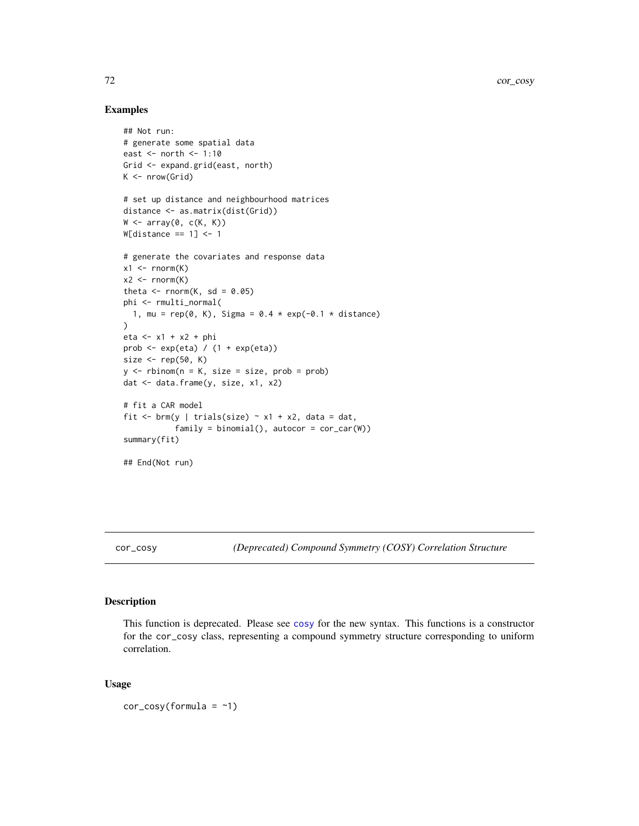### Examples

```
## Not run:
# generate some spatial data
east <- north <- 1:10
Grid <- expand.grid(east, north)
K \leftarrow \text{nrow}(\text{Grid})# set up distance and neighbourhood matrices
distance <- as.matrix(dist(Grid))
W \leftarrow \text{array}(\emptyset, c(K, K))W[distance == 1] <- 1
# generate the covariates and response data
x1 \le- rnorm(K)x2 \le - rnorm(K)theta \leq rnorm(K, sd = 0.05)
phi <- rmulti_normal(
  1, mu = rep(0, K), Sigma = 0.4 * exp(-0.1 * distance))
eta <- x1 + x2 + phi
prob <- exp(eta) / (1 + exp(eta))
size \leftarrow rep(50, K)
y \le - rbinom(n = K, size = size, prob = prob)
dat <- data.frame(y, size, x1, x2)
# fit a CAR model
fit \le brm(y | trials(size) \sim x1 + x2, data = dat,
            family = binomial(), autocor = cor_car(W))
summary(fit)
## End(Not run)
```
cor\_cosy *(Deprecated) Compound Symmetry (COSY) Correlation Structure*

## Description

This function is deprecated. Please see [cosy](#page-75-0) for the new syntax. This functions is a constructor for the cor\_cosy class, representing a compound symmetry structure corresponding to uniform correlation.

#### Usage

 $cor\_cosy(formula = ~1)$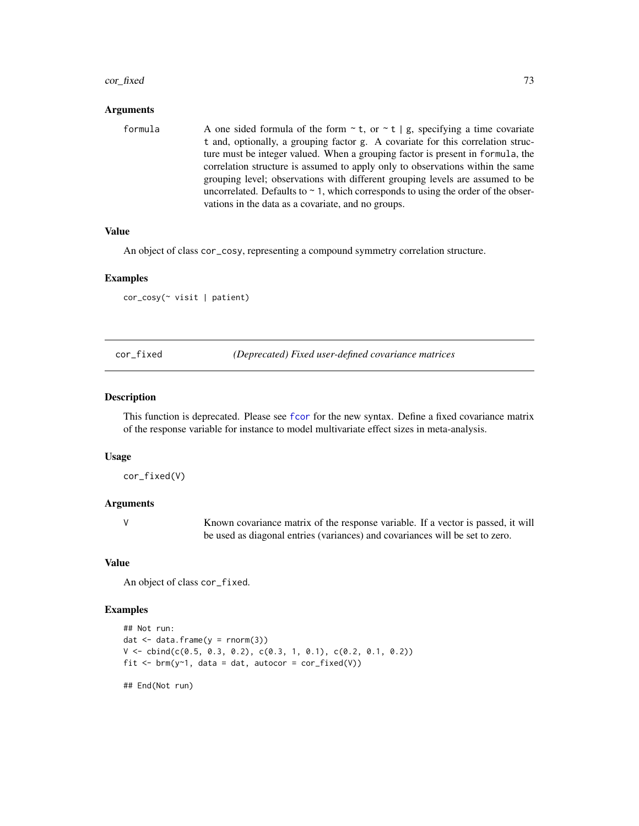#### cor\_fixed 73

## Arguments

| formula | A one sided formula of the form $\sim$ t, or $\sim$ t   g, specifying a time covariate |
|---------|----------------------------------------------------------------------------------------|
|         | t and, optionally, a grouping factor g. A covariate for this correlation struc-        |
|         | ture must be integer valued. When a grouping factor is present in formula, the         |
|         | correlation structure is assumed to apply only to observations within the same         |
|         | grouping level; observations with different grouping levels are assumed to be          |
|         | uncorrelated. Defaults to $\sim$ 1, which corresponds to using the order of the obser- |
|         | vations in the data as a covariate, and no groups.                                     |

#### Value

An object of class cor\_cosy, representing a compound symmetry correlation structure.

#### Examples

cor\_cosy(~ visit | patient)

cor\_fixed *(Deprecated) Fixed user-defined covariance matrices*

#### Description

This function is deprecated. Please see [fcor](#page-90-0) for the new syntax. Define a fixed covariance matrix of the response variable for instance to model multivariate effect sizes in meta-analysis.

#### Usage

cor\_fixed(V)

## Arguments

V Known covariance matrix of the response variable. If a vector is passed, it will be used as diagonal entries (variances) and covariances will be set to zero.

#### Value

An object of class cor\_fixed.

## Examples

```
## Not run:
dat \leq data.frame(y = rnorm(3))
V \le cbind(c(0.5, 0.3, 0.2), c(0.3, 1, 0.1), c(0.2, 0.1, 0.2))
fit \leq brm(y\leq1, data = dat, autocor = cor_fixed(V))
```
## End(Not run)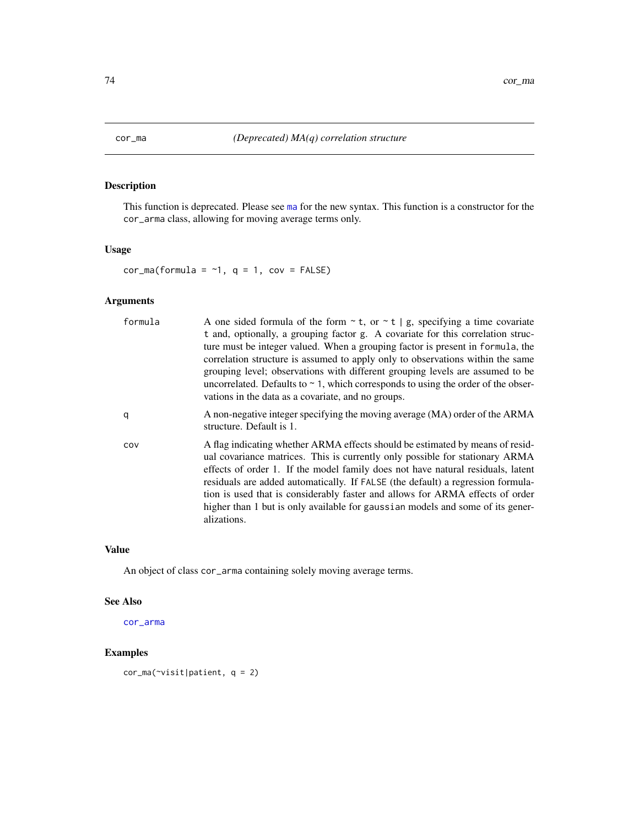This function is deprecated. Please see [ma](#page-135-0) for the new syntax. This function is a constructor for the cor\_arma class, allowing for moving average terms only.

## Usage

 $cor_m\alpha$ (formula = ~1, q = 1, cov = FALSE)

## Arguments

| formula | A one sided formula of the form $\sim$ t, or $\sim$ t   g, specifying a time covariate<br>t and, optionally, a grouping factor g. A covariate for this correlation struc-<br>ture must be integer valued. When a grouping factor is present in formula, the<br>correlation structure is assumed to apply only to observations within the same<br>grouping level; observations with different grouping levels are assumed to be<br>uncorrelated. Defaults to $\sim$ 1, which corresponds to using the order of the obser-<br>vations in the data as a covariate, and no groups. |
|---------|--------------------------------------------------------------------------------------------------------------------------------------------------------------------------------------------------------------------------------------------------------------------------------------------------------------------------------------------------------------------------------------------------------------------------------------------------------------------------------------------------------------------------------------------------------------------------------|
| q       | A non-negative integer specifying the moving average (MA) order of the ARMA<br>structure. Default is 1.                                                                                                                                                                                                                                                                                                                                                                                                                                                                        |
| COV     | A flag indicating whether ARMA effects should be estimated by means of resid-<br>ual covariance matrices. This is currently only possible for stationary ARMA<br>effects of order 1. If the model family does not have natural residuals, latent<br>residuals are added automatically. If FALSE (the default) a regression formula-<br>tion is used that is considerably faster and allows for ARMA effects of order<br>higher than 1 but is only available for gaussian models and some of its gener-<br>alizations.                                                          |

## Value

An object of class cor\_arma containing solely moving average terms.

#### See Also

[cor\\_arma](#page-68-0)

## Examples

cor\_ma(~visit|patient, q = 2)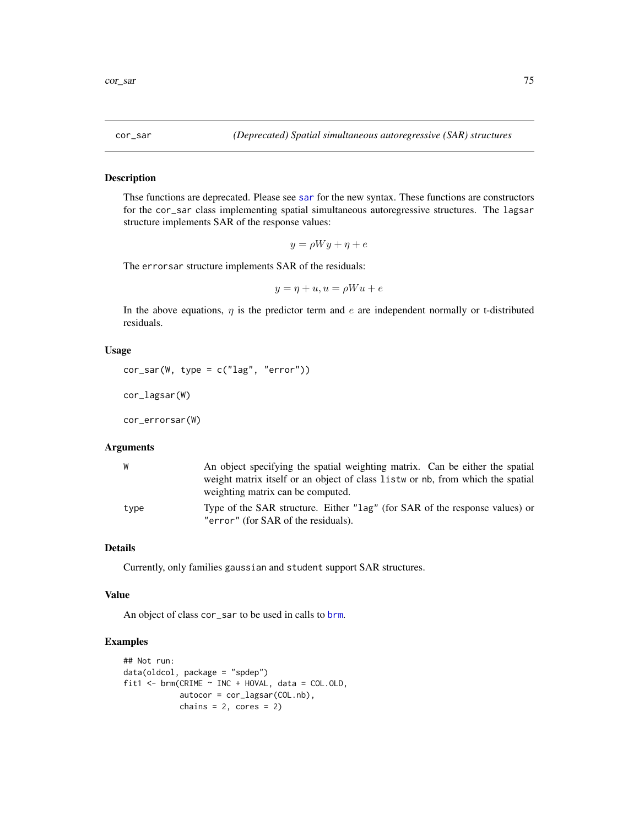Thse functions are deprecated. Please see [sar](#page-201-0) for the new syntax. These functions are constructors for the cor\_sar class implementing spatial simultaneous autoregressive structures. The lagsar structure implements SAR of the response values:

$$
y = \rho Wy + \eta + e
$$

The errorsar structure implements SAR of the residuals:

```
y = \eta + u, u = \rho W u + e
```
In the above equations,  $\eta$  is the predictor term and e are independent normally or t-distributed residuals.

## Usage

```
cor\_sar(W, type = c("lag", "error"))
```
cor\_lagsar(W)

cor\_errorsar(W)

## Arguments

| W    | An object specifying the spatial weighting matrix. Can be either the spatial                                       |
|------|--------------------------------------------------------------------------------------------------------------------|
|      | weight matrix itself or an object of class list wor nb, from which the spatial                                     |
|      | weighting matrix can be computed.                                                                                  |
| type | Type of the SAR structure. Either "lag" (for SAR of the response values) or<br>"error" (for SAR of the residuals). |

#### Details

Currently, only families gaussian and student support SAR structures.

#### Value

An object of class cor\_sar to be used in calls to [brm](#page-22-0).

## Examples

```
## Not run:
data(oldcol, package = "spdep")
fit1 <- brm(CRIME \sim INC + HOVAL, data = COL.OLD,autocor = cor_lagsar(COL.nb),
            chains = 2, cores = 2)
```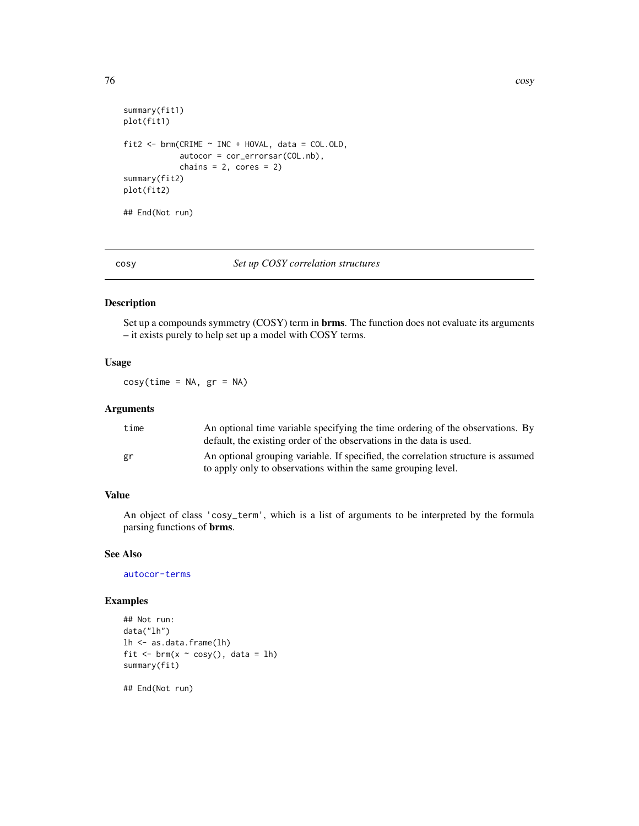```
summary(fit1)
plot(fit1)
fit2 \leq - \text{brm(CRIME} \leq \text{INC} + \text{HOVAL}, \text{ data} = \text{COL.OLD},autocor = cor_errorsar(COL.nb),
               chains = 2, cores = 2)
summary(fit2)
plot(fit2)
## End(Not run)
```
cosy *Set up COSY correlation structures*

## Description

Set up a compounds symmetry (COSY) term in **brms**. The function does not evaluate its arguments – it exists purely to help set up a model with COSY terms.

## Usage

 $cosy(time = NA, gr = NA)$ 

#### Arguments

| time | An optional time variable specifying the time ordering of the observations. By                                                                     |
|------|----------------------------------------------------------------------------------------------------------------------------------------------------|
|      | default, the existing order of the observations in the data is used.                                                                               |
| gr   | An optional grouping variable. If specified, the correlation structure is assumed<br>to apply only to observations within the same grouping level. |
|      |                                                                                                                                                    |

## Value

An object of class 'cosy\_term', which is a list of arguments to be interpreted by the formula parsing functions of brms.

#### See Also

[autocor-terms](#page-16-0)

## Examples

```
## Not run:
data("lh")
lh <- as.data.frame(lh)
fit \leq brm(x \sim cosy(), data = lh)
summary(fit)
```
## End(Not run)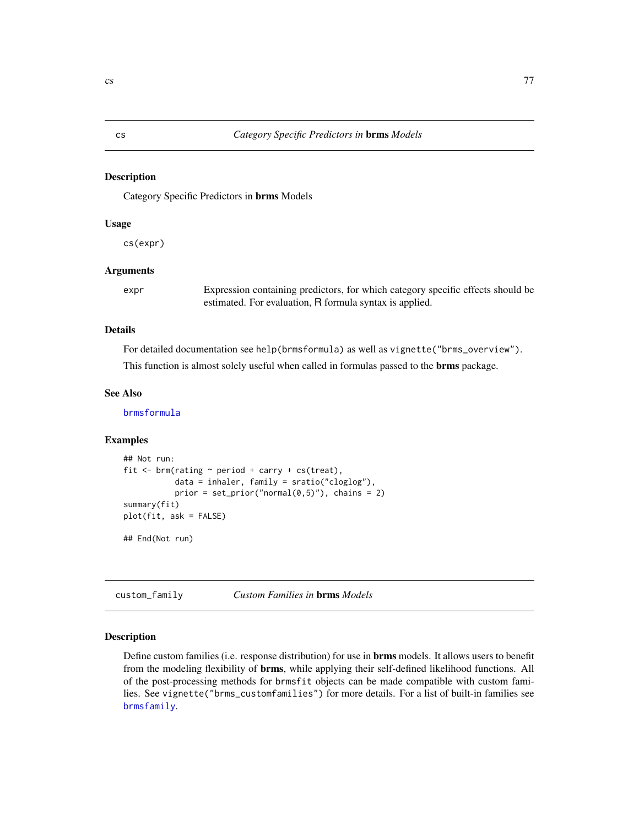Category Specific Predictors in brms Models

#### Usage

cs(expr)

## Arguments

expr Expression containing predictors, for which category specific effects should be estimated. For evaluation, R formula syntax is applied.

#### Details

For detailed documentation see help(brmsformula) as well as vignette("brms\_overview").

This function is almost solely useful when called in formulas passed to the brms package.

#### See Also

[brmsformula](#page-37-0)

#### Examples

```
## Not run:
fit \le brm(rating \sim period + carry + cs(treat),
           data = inhaler, family = sratio("cloglog"),
           prior = set\_prior("normal(0,5)"), chains = 2)
summary(fit)
plot(fit, ask = FALSE)
```
## End(Not run)

custom\_family *Custom Families in* brms *Models*

## **Description**

Define custom families (i.e. response distribution) for use in brms models. It allows users to benefit from the modeling flexibility of brms, while applying their self-defined likelihood functions. All of the post-processing methods for brmsfit objects can be made compatible with custom families. See vignette("brms\_customfamilies") for more details. For a list of built-in families see [brmsfamily](#page-31-0).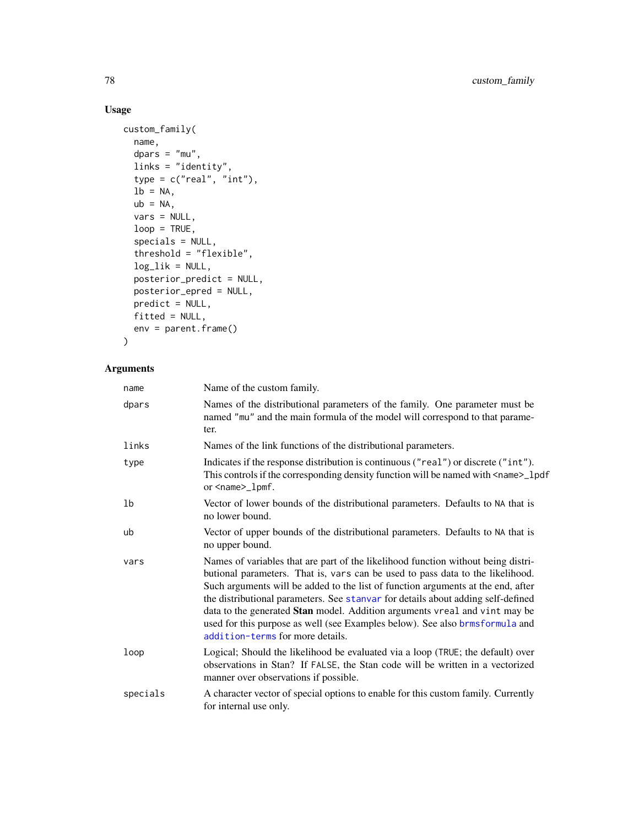# Usage

```
custom_family(
 name,
 dpars = "mu",links = "identity",
  type = c("real", "int"),
 lb = NA,
 ub = NA,
 vars = NULL,loop = TRUE,specials = NULL,
  threshold = "flexible",
 log\_lik = NULL,posterior_predict = NULL,
 posterior_epred = NULL,
 predict = NULL,
 fitted = NULL,
 env = parent.frame()
)
```
## Arguments

| name     | Name of the custom family.                                                                                                                                                                                                                                                                                                                                                                                                                                                                                                                    |
|----------|-----------------------------------------------------------------------------------------------------------------------------------------------------------------------------------------------------------------------------------------------------------------------------------------------------------------------------------------------------------------------------------------------------------------------------------------------------------------------------------------------------------------------------------------------|
| dpars    | Names of the distributional parameters of the family. One parameter must be<br>named "mu" and the main formula of the model will correspond to that parame-<br>ter.                                                                                                                                                                                                                                                                                                                                                                           |
| links    | Names of the link functions of the distributional parameters.                                                                                                                                                                                                                                                                                                                                                                                                                                                                                 |
| type     | Indicates if the response distribution is continuous ("real") or discrete ("int").<br>This controls if the corresponding density function will be named with <name>_lpdf<br/>or <name>_lpmf.</name></name>                                                                                                                                                                                                                                                                                                                                    |
| lb       | Vector of lower bounds of the distributional parameters. Defaults to NA that is<br>no lower bound.                                                                                                                                                                                                                                                                                                                                                                                                                                            |
| ub       | Vector of upper bounds of the distributional parameters. Defaults to NA that is<br>no upper bound.                                                                                                                                                                                                                                                                                                                                                                                                                                            |
| vars     | Names of variables that are part of the likelihood function without being distri-<br>butional parameters. That is, vars can be used to pass data to the likelihood.<br>Such arguments will be added to the list of function arguments at the end, after<br>the distributional parameters. See stanvar for details about adding self-defined<br>data to the generated Stan model. Addition arguments vreal and vint may be<br>used for this purpose as well (see Examples below). See also brmsformula and<br>addition-terms for more details. |
| loop     | Logical; Should the likelihood be evaluated via a loop (TRUE; the default) over<br>observations in Stan? If FALSE, the Stan code will be written in a vectorized<br>manner over observations if possible.                                                                                                                                                                                                                                                                                                                                     |
| specials | A character vector of special options to enable for this custom family. Currently<br>for internal use only.                                                                                                                                                                                                                                                                                                                                                                                                                                   |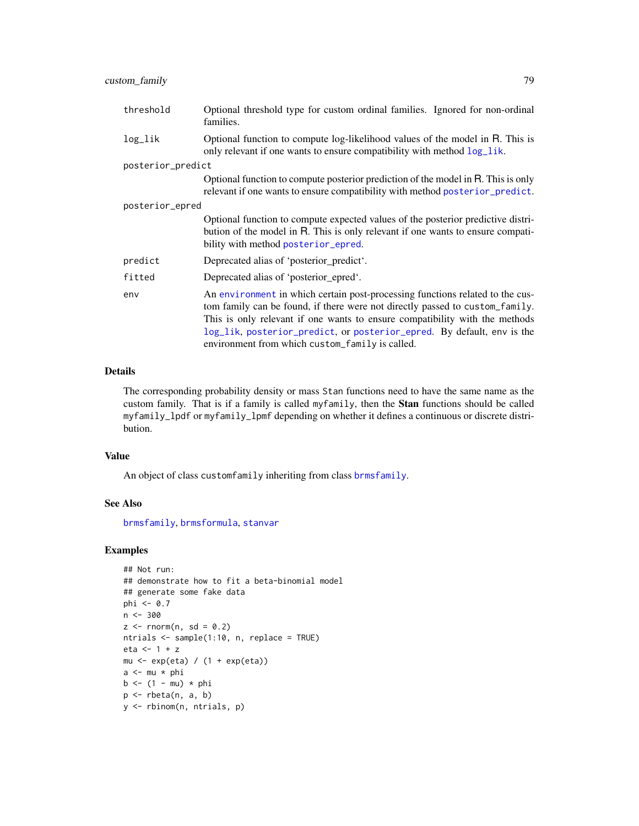| threshold         | Optional threshold type for custom ordinal families. Ignored for non-ordinal<br>families.                                                                                                                                                                                                                              |  |
|-------------------|------------------------------------------------------------------------------------------------------------------------------------------------------------------------------------------------------------------------------------------------------------------------------------------------------------------------|--|
| log_lik           | Optional function to compute log-likelihood values of the model in R. This is<br>only relevant if one wants to ensure compatibility with method $log\_lik$ .                                                                                                                                                           |  |
| posterior_predict |                                                                                                                                                                                                                                                                                                                        |  |
|                   | Optional function to compute posterior prediction of the model in R. This is only<br>relevant if one wants to ensure compatibility with method posterior_predict.                                                                                                                                                      |  |
| posterior_epred   |                                                                                                                                                                                                                                                                                                                        |  |
|                   | Optional function to compute expected values of the posterior predictive distri-<br>bution of the model in R. This is only relevant if one wants to ensure compati-<br>bility with method posterior_epred.                                                                                                             |  |
| predict           | Deprecated alias of 'posterior predict'.                                                                                                                                                                                                                                                                               |  |
| fitted            | Deprecated alias of 'posterior_epred'.                                                                                                                                                                                                                                                                                 |  |
| env               | An environment in which certain post-processing functions related to the cus-<br>tom family can be found, if there were not directly passed to custom_family.<br>This is only relevant if one wants to ensure compatibility with the methods<br>log_lik, posterior_predict, or posterior_epred. By default, env is the |  |

#### Details

The corresponding probability density or mass Stan functions need to have the same name as the custom family. That is if a family is called myfamily, then the Stan functions should be called myfamily\_lpdf or myfamily\_lpmf depending on whether it defines a continuous or discrete distribution.

environment from which custom\_family is called.

#### Value

An object of class customfamily inheriting from class [brmsfamily](#page-31-0).

#### See Also

[brmsfamily](#page-31-0), [brmsformula](#page-37-0), [stanvar](#page-213-0)

## Examples

```
## Not run:
## demonstrate how to fit a beta-binomial model
## generate some fake data
phi <- 0.7
n <- 300
z \le rnorm(n, sd = 0.2)
ntrials <- sample(1:10, n, replace = TRUE)
eta <- 1 + z
mu <- exp(eta) / (1 + exp(eta))
a \leftarrow mu * phib \le -(1 - mu) * phip \leftarrow rbeta(n, a, b)y <- rbinom(n, ntrials, p)
```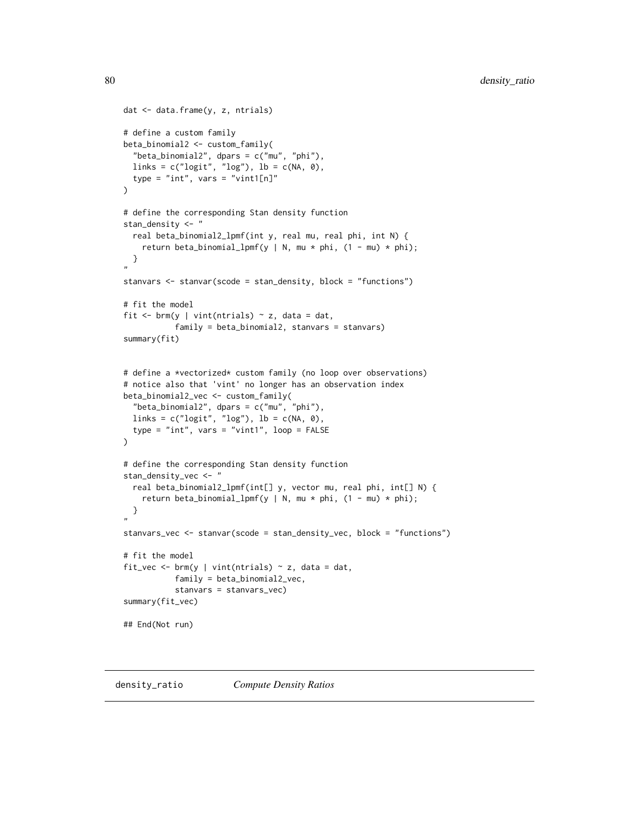```
dat <- data.frame(y, z, ntrials)
# define a custom family
beta_binomial2 <- custom_family(
  "beta_binomial2", dpars = c("mu", "phi"),
  links = c("logit", "log"), lb = c(NA, 0),
  type = "int", vars = "vint1[n]"
)
# define the corresponding Stan density function
stan_density <- "
  real beta_binomial2_lpmf(int y, real mu, real phi, int N) {
    return beta_binomial_lpmf(y | N, mu * phi, (1 - mu) * phi);
 }
"
stanvars <- stanvar(scode = stan_density, block = "functions")
# fit the model
fit \le brm(y | vint(ntrials) \sim z, data = dat,
           family = beta_binomial2, stanvars = stanvars)
summary(fit)
# define a *vectorized* custom family (no loop over observations)
# notice also that 'vint' no longer has an observation index
beta_binomial2_vec <- custom_family(
  "beta_binomial2", dpars = c("mu", "phi"),
 links = c("logit", "log"), lb = c(NA, 0),
  type = "int", vars = "vint1", loop = FALSE
)
# define the corresponding Stan density function
stan_density_vec <- "
  real beta_binomial2_lpmf(int[] y, vector mu, real phi, int[] N) {
    return beta_binomial_lpmf(y | N, mu * phi, (1 - mu) * phi);
 }
"
stanvars_vec <- stanvar(scode = stan_density_vec, block = "functions")
# fit the model
fit_vec <- brm(y \mid vint(ntials) \sim z, data = dat,family = beta_binomial2_vec,
           stanvars = stanvars_vec)
summary(fit_vec)
## End(Not run)
```
density\_ratio *Compute Density Ratios*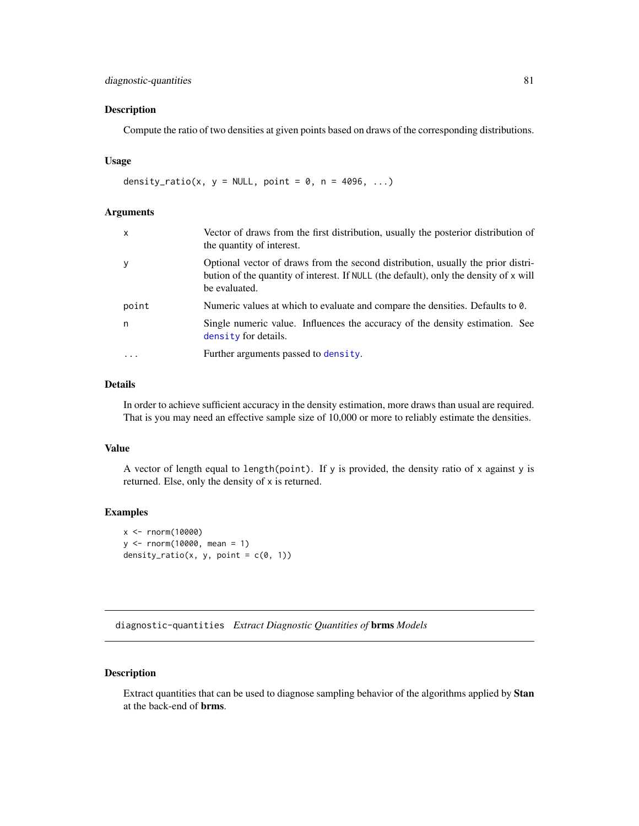## diagnostic-quantities 81

## Description

Compute the ratio of two densities at given points based on draws of the corresponding distributions.

## Usage

```
density_ratio(x, y = NULL, point = 0, n = 4096, ...)
```
#### Arguments

| $\mathsf{x}$ | Vector of draws from the first distribution, usually the posterior distribution of<br>the quantity of interest.                                                                            |
|--------------|--------------------------------------------------------------------------------------------------------------------------------------------------------------------------------------------|
| y            | Optional vector of draws from the second distribution, usually the prior distri-<br>bution of the quantity of interest. If NULL (the default), only the density of x will<br>be evaluated. |
| point        | Numeric values at which to evaluate and compare the densities. Defaults to 0.                                                                                                              |
| n            | Single numeric value. Influences the accuracy of the density estimation. See<br>density for details.                                                                                       |
| $\ddotsc$    | Further arguments passed to density.                                                                                                                                                       |

## Details

In order to achieve sufficient accuracy in the density estimation, more draws than usual are required. That is you may need an effective sample size of 10,000 or more to reliably estimate the densities.

## Value

A vector of length equal to length(point). If y is provided, the density ratio of x against y is returned. Else, only the density of x is returned.

## Examples

```
x <- rnorm(10000)
y <- rnorm(10000, mean = 1)
density_ratio(x, y, point = c(0, 1))
```
diagnostic-quantities *Extract Diagnostic Quantities of* brms *Models*

## Description

Extract quantities that can be used to diagnose sampling behavior of the algorithms applied by Stan at the back-end of brms.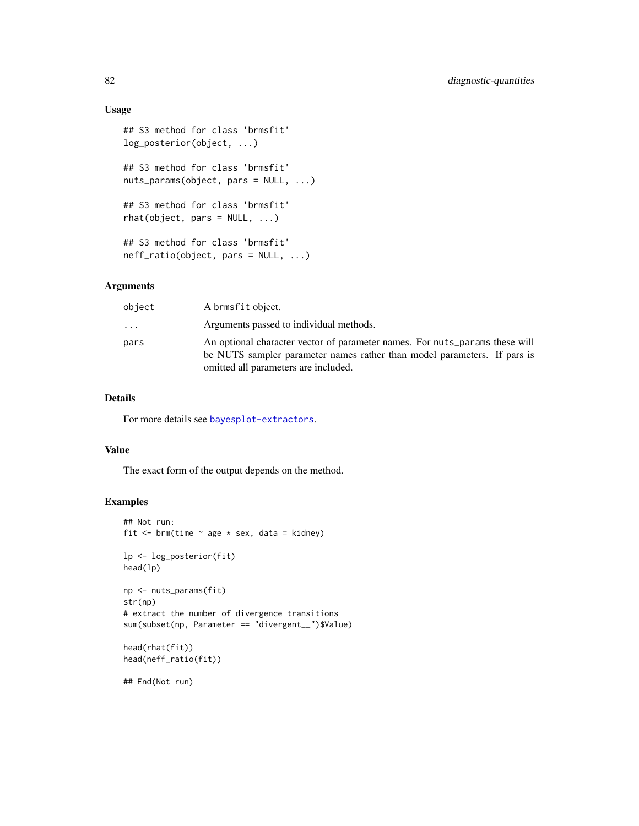## Usage

```
## S3 method for class 'brmsfit'
log_posterior(object, ...)
## S3 method for class 'brmsfit'
nuts_params(object, pars = NULL, ...)
## S3 method for class 'brmsfit'
rhat(object, pars = NULL, ...)## S3 method for class 'brmsfit'
neff_ratio(object, pars = NULL, ...)
```
## Arguments

| object                  | A brmsfit object.                                                                                                                                                                               |
|-------------------------|-------------------------------------------------------------------------------------------------------------------------------------------------------------------------------------------------|
| $\cdot$ $\cdot$ $\cdot$ | Arguments passed to individual methods.                                                                                                                                                         |
| pars                    | An optional character vector of parameter names. For nuts_params these will<br>be NUTS sampler parameter names rather than model parameters. If pars is<br>omitted all parameters are included. |

#### Details

For more details see [bayesplot-extractors](#page-0-0).

## Value

The exact form of the output depends on the method.

## Examples

```
## Not run:
fit \le brm(time \sim age * sex, data = kidney)
lp <- log_posterior(fit)
head(lp)
np <- nuts_params(fit)
str(np)
# extract the number of divergence transitions
sum(subset(np, Parameter == "divergent__")$Value)
head(rhat(fit))
head(neff_ratio(fit))
```
## End(Not run)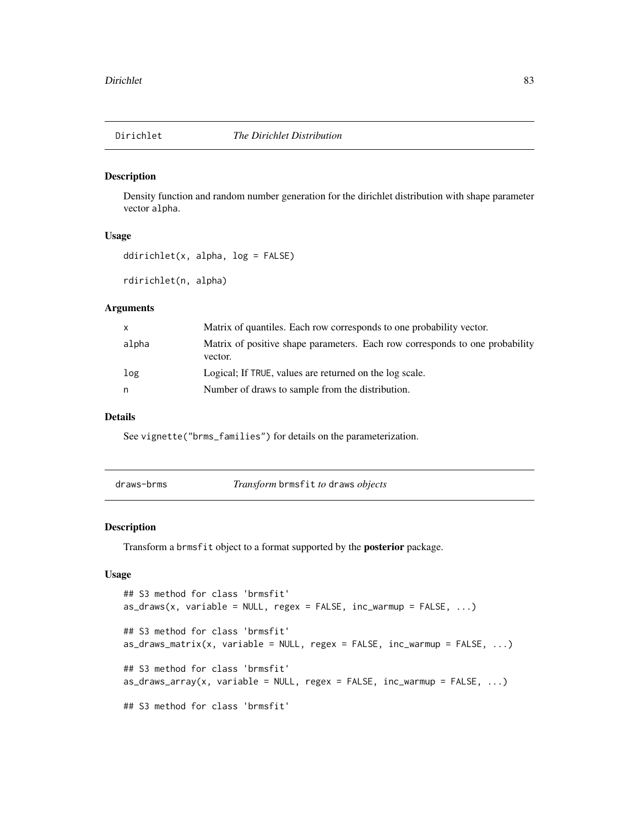Density function and random number generation for the dirichlet distribution with shape parameter vector alpha.

#### Usage

```
ddirichlet(x, alpha, log = FALSE)
```
rdirichlet(n, alpha)

#### Arguments

| X     | Matrix of quantiles. Each row corresponds to one probability vector.                    |
|-------|-----------------------------------------------------------------------------------------|
| alpha | Matrix of positive shape parameters. Each row corresponds to one probability<br>vector. |
| log   | Logical; If TRUE, values are returned on the log scale.                                 |
| n     | Number of draws to sample from the distribution.                                        |

## Details

See vignette("brms\_families") for details on the parameterization.

| draws-brms | <i>Transform</i> brmsfit to draws objects |  |
|------------|-------------------------------------------|--|
|            |                                           |  |

#### Description

Transform a brmsfit object to a format supported by the posterior package.

#### Usage

```
## S3 method for class 'brmsfit'
as\_draws(x, variable = NULL, regex = FALSE, inc\_warmup = FALSE, ...)## S3 method for class 'brmsfit'
as\_draws\_matrix(x, variable = NULL, regex = FALSE, inc\_warmup = FALSE, ...)## S3 method for class 'brmsfit'
as\_draws\_array(x, variable = NULL, regex = FALSE, inc\_warmup = FALSE, ...)## S3 method for class 'brmsfit'
```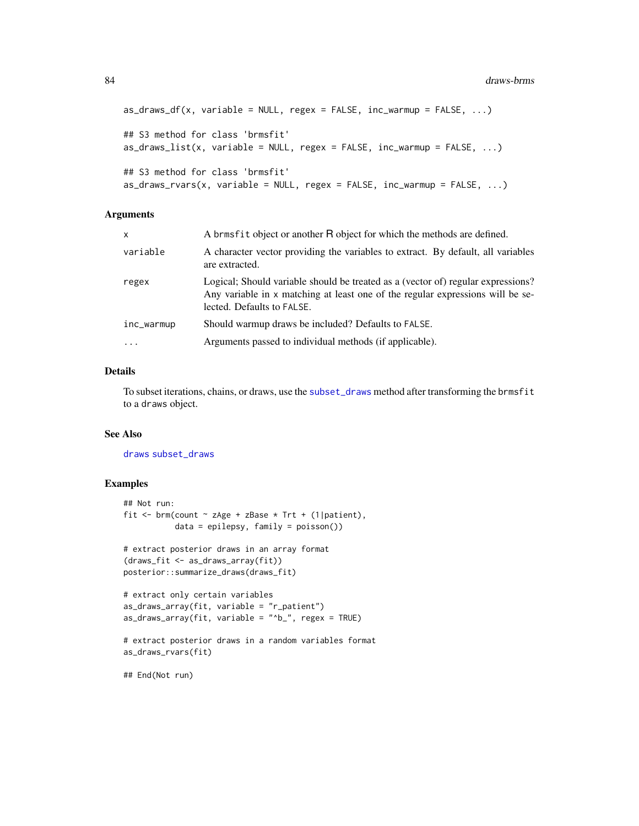```
as\_draws_df(x, variable = NULL, regex = FALSE, inc\_warmup = FALSE, ...)## S3 method for class 'brmsfit'
as\_draws\_list(x, variable = NULL, regex = FALSE, inc\_warmup = FALSE, ...)## S3 method for class 'brmsfit'
as\_draws_rvars(x, variable = NULL, regex = FALSE, inc_warmup = FALSE, ...)
```
#### **Arguments**

| x          | A brmsfit object or another R object for which the methods are defined.                                                                                                                          |
|------------|--------------------------------------------------------------------------------------------------------------------------------------------------------------------------------------------------|
| variable   | A character vector providing the variables to extract. By default, all variables<br>are extracted.                                                                                               |
| regex      | Logical; Should variable should be treated as a (vector of) regular expressions?<br>Any variable in x matching at least one of the regular expressions will be se-<br>lected. Defaults to FALSE. |
| inc_warmup | Should warmup draws be included? Defaults to FALSE.                                                                                                                                              |
| $\ddots$   | Arguments passed to individual methods (if applicable).                                                                                                                                          |
|            |                                                                                                                                                                                                  |

#### Details

To subset iterations, chains, or draws, use the [subset\\_draws](#page-0-0) method after transforming the brmsfit to a draws object.

#### See Also

[draws](#page-0-0) [subset\\_draws](#page-0-0)

#### Examples

```
## Not run:
fit \le brm(count \sim zAge + zBase \star Trt + (1|patient),
           data = epilepsy, family = poisson())
# extract posterior draws in an array format
(draws_fit <- as_draws_array(fit))
posterior::summarize_draws(draws_fit)
# extract only certain variables
as_draws_array(fit, variable = "r_patient")
as_draws_array(fit, variable = "^b_", regex = TRUE)
# extract posterior draws in a random variables format
as_draws_rvars(fit)
```
## End(Not run)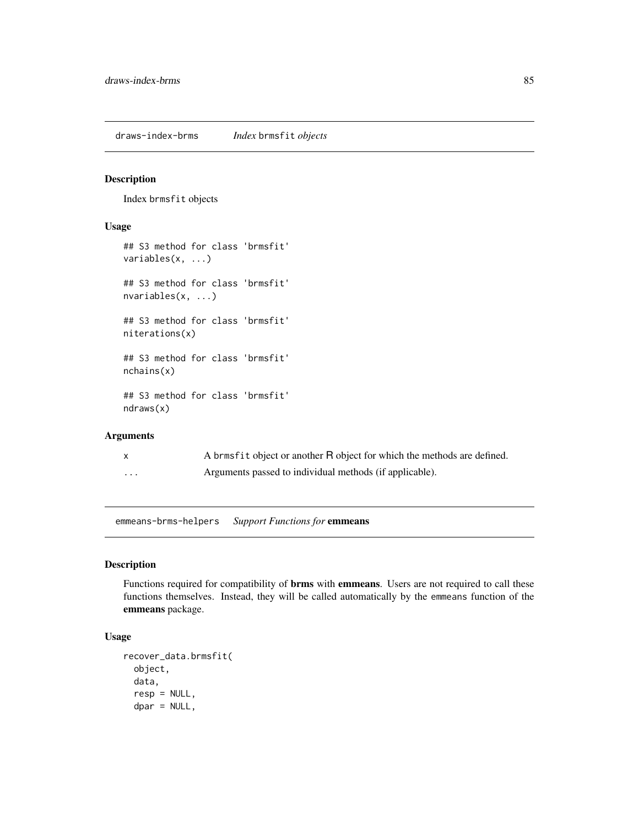draws-index-brms *Index* brmsfit *objects*

## <span id="page-84-0"></span>Description

Index brmsfit objects

## Usage

```
## S3 method for class 'brmsfit'
variables(x, ...)
## S3 method for class 'brmsfit'
nvariables(x, ...)
## S3 method for class 'brmsfit'
niterations(x)
## S3 method for class 'brmsfit'
nchains(x)
## S3 method for class 'brmsfit'
ndraws(x)
```
## Arguments

| X        | A brmsfit object or another R object for which the methods are defined. |
|----------|-------------------------------------------------------------------------|
| $\cdots$ | Arguments passed to individual methods (if applicable).                 |

emmeans-brms-helpers *Support Functions for* emmeans

#### Description

Functions required for compatibility of **brms** with emmeans. Users are not required to call these functions themselves. Instead, they will be called automatically by the emmeans function of the emmeans package.

## Usage

```
recover_data.brmsfit(
  object,
  data,
  resp = NULL,
  dpar = NULL,
```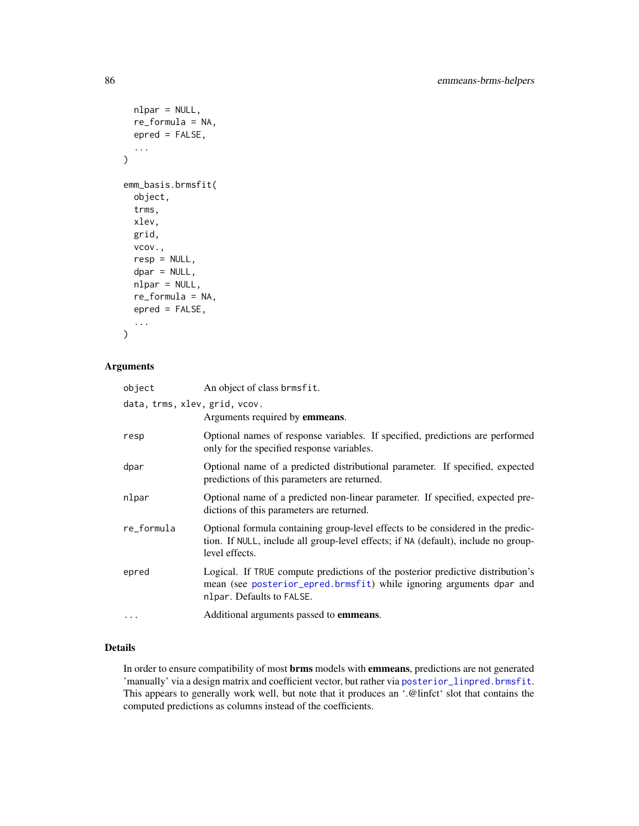```
nlpar = NULL,
  re_formula = NA,
  epred = FALSE,
  ...
)
emm_basis.brmsfit(
 object,
  trms,
 xlev,
 grid,
  vcov.,
  resp = NULL,
  dpar = NULL,nlpar = NULL,
  re_formula = NA,
 epred = FALSE,
  ...
\mathcal{L}
```
## Arguments

| object                        | An object of class brmsfit.                                                                                                                                                             |
|-------------------------------|-----------------------------------------------------------------------------------------------------------------------------------------------------------------------------------------|
| data, trms, xlev, grid, vcov. | Arguments required by <b>emmeans</b> .                                                                                                                                                  |
| resp                          | Optional names of response variables. If specified, predictions are performed<br>only for the specified response variables.                                                             |
| dpar                          | Optional name of a predicted distributional parameter. If specified, expected<br>predictions of this parameters are returned.                                                           |
| nlpar                         | Optional name of a predicted non-linear parameter. If specified, expected pre-<br>dictions of this parameters are returned.                                                             |
| re_formula                    | Optional formula containing group-level effects to be considered in the predic-<br>tion. If NULL, include all group-level effects; if NA (default), include no group-<br>level effects. |
| epred                         | Logical. If TRUE compute predictions of the posterior predictive distribution's<br>mean (see posterior_epred.brmsfit) while ignoring arguments dpar and<br>nlpar. Defaults to FALSE.    |
| $\cdots$                      | Additional arguments passed to <b>emmeans</b> .                                                                                                                                         |

## Details

In order to ensure compatibility of most **brms** models with **emmeans**, predictions are not generated 'manually' via a design matrix and coefficient vector, but rather via [posterior\\_linpred.brmsfit](#page-165-0). This appears to generally work well, but note that it produces an '.@linfct' slot that contains the computed predictions as columns instead of the coefficients.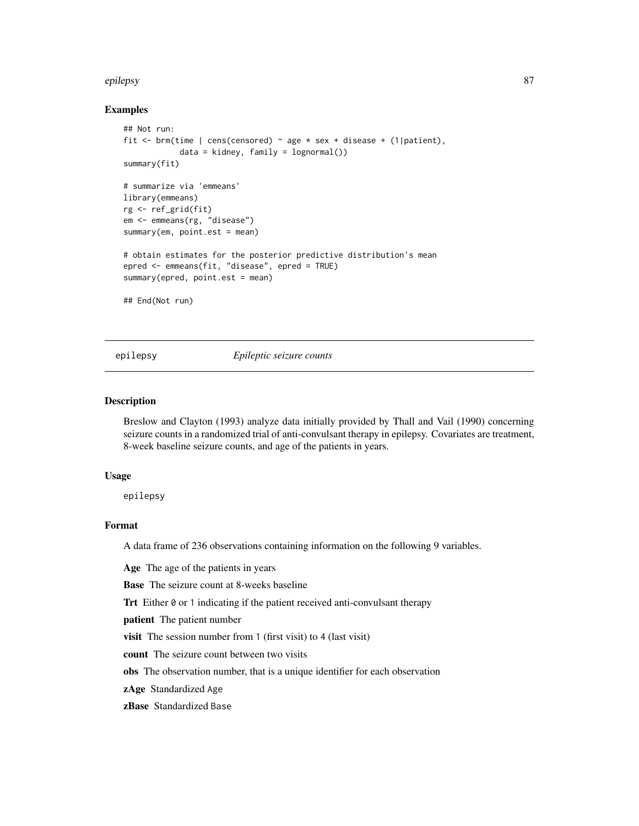#### epilepsy 87

#### Examples

```
## Not run:
fit \le brm(time | cens(censored) \sim age \star sex + disease + (1|patient),
            data = kidney, family = lognormal())
summary(fit)
# summarize via 'emmeans'
library(emmeans)
rg <- ref_grid(fit)
em <- emmeans(rg, "disease")
summary(em, point.est = mean)
# obtain estimates for the posterior predictive distribution's mean
epred <- emmeans(fit, "disease", epred = TRUE)
summary(epred, point.est = mean)
## End(Not run)
```
epilepsy *Epileptic seizure counts*

#### Description

Breslow and Clayton (1993) analyze data initially provided by Thall and Vail (1990) concerning seizure counts in a randomized trial of anti-convulsant therapy in epilepsy. Covariates are treatment, 8-week baseline seizure counts, and age of the patients in years.

#### Usage

epilepsy

#### Format

A data frame of 236 observations containing information on the following 9 variables.

Age The age of the patients in years

Base The seizure count at 8-weeks baseline

Trt Either 0 or 1 indicating if the patient received anti-convulsant therapy

patient The patient number

visit The session number from 1 (first visit) to 4 (last visit)

count The seizure count between two visits

obs The observation number, that is a unique identifier for each observation

zAge Standardized Age

zBase Standardized Base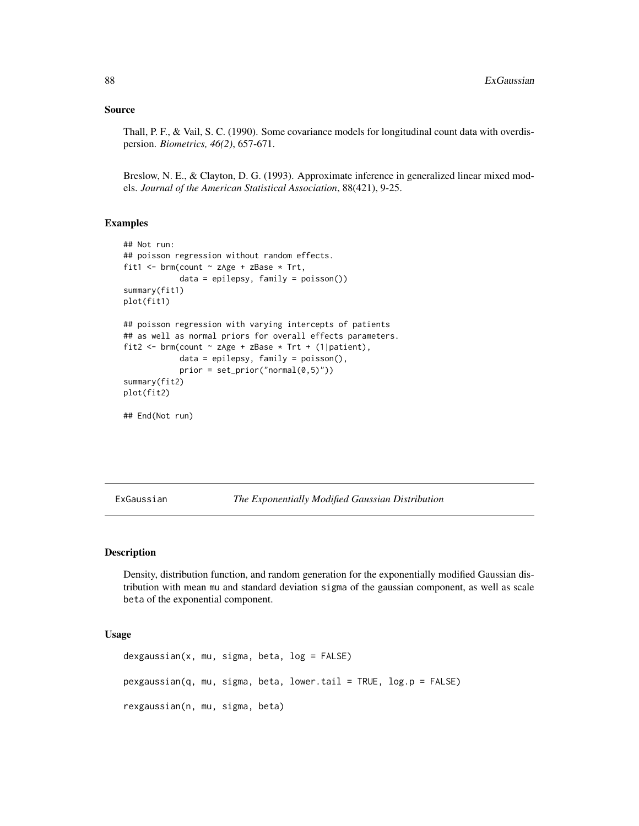#### Source

Thall, P. F., & Vail, S. C. (1990). Some covariance models for longitudinal count data with overdispersion. *Biometrics, 46(2)*, 657-671.

Breslow, N. E., & Clayton, D. G. (1993). Approximate inference in generalized linear mixed models. *Journal of the American Statistical Association*, 88(421), 9-25.

#### Examples

```
## Not run:
## poisson regression without random effects.
fit1 <- brm(count \sim zAge + zBase \star Trt,
            data = epilepsy, family = poisson())
summary(fit1)
plot(fit1)
## poisson regression with varying intercepts of patients
## as well as normal priors for overall effects parameters.
fit2 <- brm(count \sim zAge + zBase * Trt + (1|patient),
            data = epilepsy, family = poisson(),
            prior = set\_prior("normal(0,5)")summary(fit2)
plot(fit2)
## End(Not run)
```
ExGaussian *The Exponentially Modified Gaussian Distribution*

#### Description

Density, distribution function, and random generation for the exponentially modified Gaussian distribution with mean mu and standard deviation sigma of the gaussian component, as well as scale beta of the exponential component.

#### Usage

```
dexgaussian(x, mu, sigma, beta, log = FALSE)
pexgaussian(q, mu, sigma, beta, lower.tail = TRUE, log.p = FALSE)
rexgaussian(n, mu, sigma, beta)
```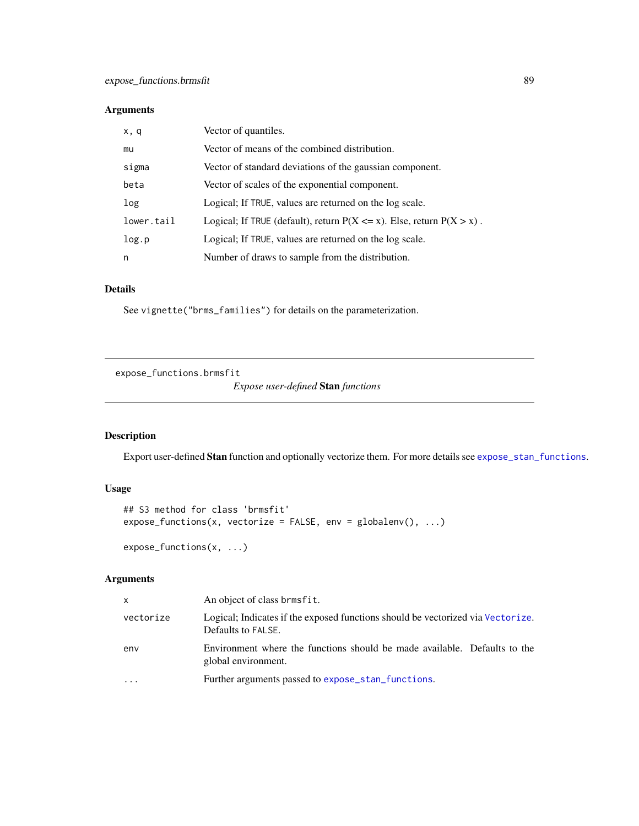## Arguments

| x, q       | Vector of quantiles.                                                        |
|------------|-----------------------------------------------------------------------------|
| mu         | Vector of means of the combined distribution.                               |
| sigma      | Vector of standard deviations of the gaussian component.                    |
| beta       | Vector of scales of the exponential component.                              |
| log        | Logical; If TRUE, values are returned on the log scale.                     |
| lower.tail | Logical; If TRUE (default), return $P(X \le x)$ . Else, return $P(X > x)$ . |
| log.p      | Logical; If TRUE, values are returned on the log scale.                     |
| n          | Number of draws to sample from the distribution.                            |

#### Details

See vignette("brms\_families") for details on the parameterization.

expose\_functions.brmsfit

*Expose user-defined* Stan *functions*

# Description

Export user-defined Stan function and optionally vectorize them. For more details see [expose\\_stan\\_functions](#page-0-0).

## Usage

```
## S3 method for class 'brmsfit'
expose_functions(x, vectorize = FALSE, env = globalenv(), ...)
expose_functions(x, ...)
```
# Arguments

| x         | An object of class brmsfit.                                                                           |
|-----------|-------------------------------------------------------------------------------------------------------|
| vectorize | Logical; Indicates if the exposed functions should be vectorized via Vectorize.<br>Defaults to FALSE. |
| env       | Environment where the functions should be made available. Defaults to the<br>global environment.      |
| $\ddotsc$ | Further arguments passed to expose_stan_functions.                                                    |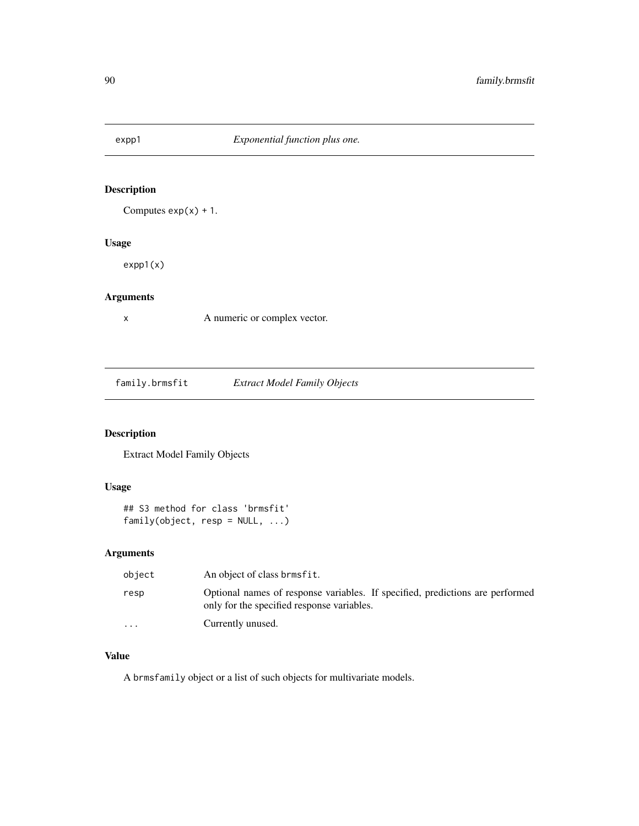Computes  $exp(x) + 1$ .

## Usage

expp1(x)

# Arguments

x A numeric or complex vector.

family.brmsfit *Extract Model Family Objects*

## Description

Extract Model Family Objects

## Usage

```
## S3 method for class 'brmsfit'
family(object, resp = NULL, ...)
```
## Arguments

| object    | An object of class brmsfit.                                                                                                 |
|-----------|-----------------------------------------------------------------------------------------------------------------------------|
| resp      | Optional names of response variables. If specified, predictions are performed<br>only for the specified response variables. |
| $\ddotsc$ | Currently unused.                                                                                                           |

## Value

A brmsfamily object or a list of such objects for multivariate models.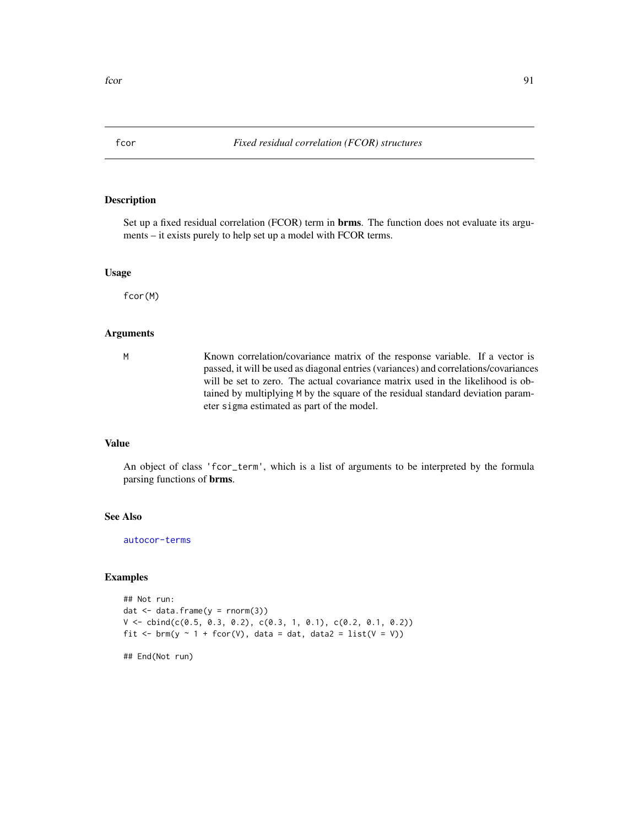<span id="page-90-0"></span>

Set up a fixed residual correlation (FCOR) term in **brms**. The function does not evaluate its arguments – it exists purely to help set up a model with FCOR terms.

#### Usage

fcor(M)

## Arguments

M Known correlation/covariance matrix of the response variable. If a vector is passed, it will be used as diagonal entries (variances) and correlations/covariances will be set to zero. The actual covariance matrix used in the likelihood is obtained by multiplying M by the square of the residual standard deviation parameter sigma estimated as part of the model.

## Value

An object of class 'fcor\_term', which is a list of arguments to be interpreted by the formula parsing functions of brms.

#### See Also

[autocor-terms](#page-16-0)

#### Examples

```
## Not run:
dat \leq data.frame(y = \text{norm}(3))
V \le - \text{cbind}(c(0.5, 0.3, 0.2), c(0.3, 1, 0.1), c(0.2, 0.1, 0.2))fit \le brm(y \sim 1 + fcor(V), data = dat, data2 = list(V = V))
```
## End(Not run)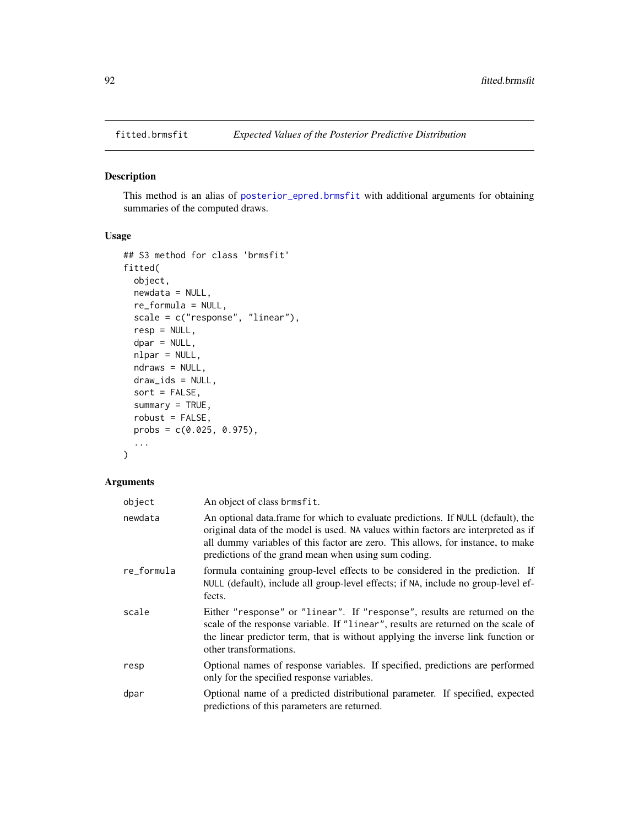This method is an alias of [posterior\\_epred.brmsfit](#page-162-1) with additional arguments for obtaining summaries of the computed draws.

## Usage

```
## S3 method for class 'brmsfit'
fitted(
  object,
 newdata = NULL,
  re_formula = NULL,
  scale = c("response", "linear"),
  resp = NULL,dpar = NULL,nlpar = NULL,
  ndraws = NULL,
  draw_ids = NULL,
  sort = FALSE,summary = TRUE,
  robust = FALSE,
 probs = c(0.025, 0.975),
  ...
\mathcal{L}
```
## Arguments

| object     | An object of class brmsfit.                                                                                                                                                                                                                                                                                       |
|------------|-------------------------------------------------------------------------------------------------------------------------------------------------------------------------------------------------------------------------------------------------------------------------------------------------------------------|
| newdata    | An optional data frame for which to evaluate predictions. If NULL (default), the<br>original data of the model is used. NA values within factors are interpreted as if<br>all dummy variables of this factor are zero. This allows, for instance, to make<br>predictions of the grand mean when using sum coding. |
| re_formula | formula containing group-level effects to be considered in the prediction. If<br>NULL (default), include all group-level effects; if NA, include no group-level ef-<br>fects.                                                                                                                                     |
| scale      | Either "response" or "linear". If "response", results are returned on the<br>scale of the response variable. If "linear", results are returned on the scale of<br>the linear predictor term, that is without applying the inverse link function or<br>other transformations.                                      |
| resp       | Optional names of response variables. If specified, predictions are performed<br>only for the specified response variables.                                                                                                                                                                                       |
| dpar       | Optional name of a predicted distributional parameter. If specified, expected<br>predictions of this parameters are returned.                                                                                                                                                                                     |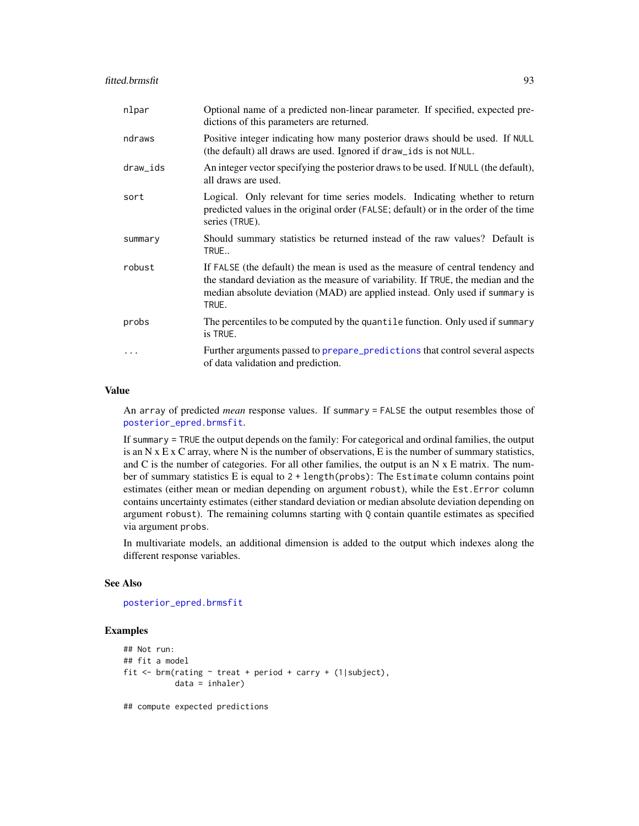#### fitted.brmsfit 93

| nlpar     | Optional name of a predicted non-linear parameter. If specified, expected pre-<br>dictions of this parameters are returned.                                                                                                                                  |
|-----------|--------------------------------------------------------------------------------------------------------------------------------------------------------------------------------------------------------------------------------------------------------------|
| ndraws    | Positive integer indicating how many posterior draws should be used. If NULL<br>(the default) all draws are used. Ignored if draw_ids is not NULL.                                                                                                           |
| draw_ids  | An integer vector specifying the posterior draws to be used. If NULL (the default),<br>all draws are used.                                                                                                                                                   |
| sort      | Logical. Only relevant for time series models. Indicating whether to return<br>predicted values in the original order (FALSE; default) or in the order of the time<br>series (TRUE).                                                                         |
| summary   | Should summary statistics be returned instead of the raw values? Default is<br>TRUE                                                                                                                                                                          |
| robust    | If FALSE (the default) the mean is used as the measure of central tendency and<br>the standard deviation as the measure of variability. If TRUE, the median and the<br>median absolute deviation (MAD) are applied instead. Only used if summary is<br>TRUE. |
| probs     | The percentiles to be computed by the quantile function. Only used if summary<br>is TRUE.                                                                                                                                                                    |
| $\ddotsc$ | Further arguments passed to prepare_predictions that control several aspects<br>of data validation and prediction.                                                                                                                                           |

#### Value

An array of predicted *mean* response values. If summary = FALSE the output resembles those of [posterior\\_epred.brmsfit](#page-162-1).

If summary = TRUE the output depends on the family: For categorical and ordinal families, the output is an N  $x \to x$  C array, where N is the number of observations, E is the number of summary statistics, and  $C$  is the number of categories. For all other families, the output is an  $N \times E$  matrix. The number of summary statistics E is equal to 2 + length(probs): The Estimate column contains point estimates (either mean or median depending on argument robust), while the Est.Error column contains uncertainty estimates (either standard deviation or median absolute deviation depending on argument robust). The remaining columns starting with Q contain quantile estimates as specified via argument probs.

In multivariate models, an additional dimension is added to the output which indexes along the different response variables.

## See Also

```
posterior_epred.brmsfit
```
#### Examples

```
## Not run:
## fit a model
fit \le brm(rating \sim treat + period + carry + (1|subject),
           data = inhaler)
```
## compute expected predictions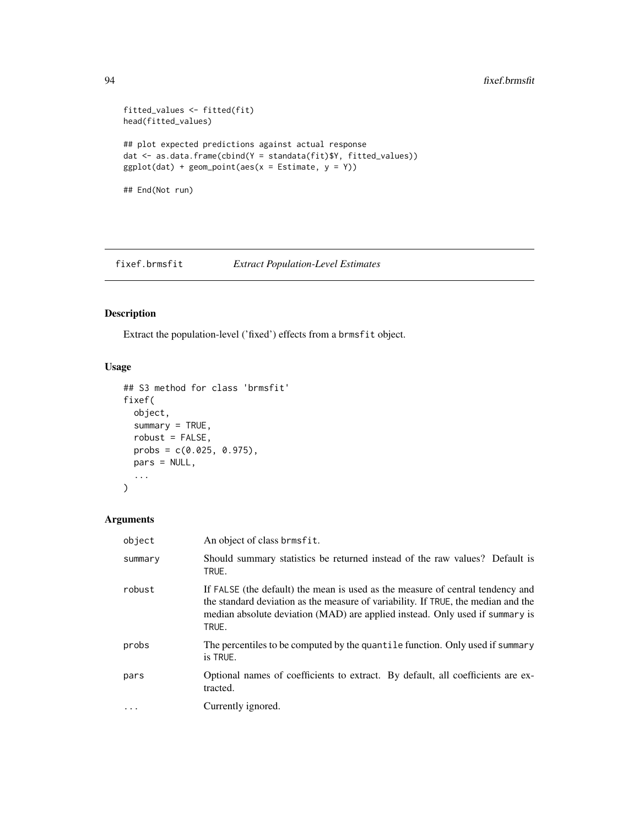## 94 fixef.brmsfit

```
fitted_values <- fitted(fit)
head(fitted_values)
## plot expected predictions against actual response
dat <- as.data.frame(cbind(Y = standata(fit)$Y, fitted_values))
ggplot(data) + geom-point(aes(x = Estimate, y = Y))## End(Not run)
```
fixef.brmsfit *Extract Population-Level Estimates*

## Description

Extract the population-level ('fixed') effects from a brmsfit object.

## Usage

```
## S3 method for class 'brmsfit'
fixef(
 object,
 summary = TRUE,
 robust = FALSE,probs = c(0.025, 0.975),
 pars = NULL,
  ...
)
```
## Arguments

| object    | An object of class brmsfit.                                                                                                                                                                                                                                  |
|-----------|--------------------------------------------------------------------------------------------------------------------------------------------------------------------------------------------------------------------------------------------------------------|
| summary   | Should summary statistics be returned instead of the raw values? Default is<br>TRUE.                                                                                                                                                                         |
| robust    | If FALSE (the default) the mean is used as the measure of central tendency and<br>the standard deviation as the measure of variability. If TRUE, the median and the<br>median absolute deviation (MAD) are applied instead. Only used if summary is<br>TRUE. |
| probs     | The percentiles to be computed by the quantile function. Only used if summary<br>is TRUE.                                                                                                                                                                    |
| pars      | Optional names of coefficients to extract. By default, all coefficients are ex-<br>tracted.                                                                                                                                                                  |
| $\ddotsc$ | Currently ignored.                                                                                                                                                                                                                                           |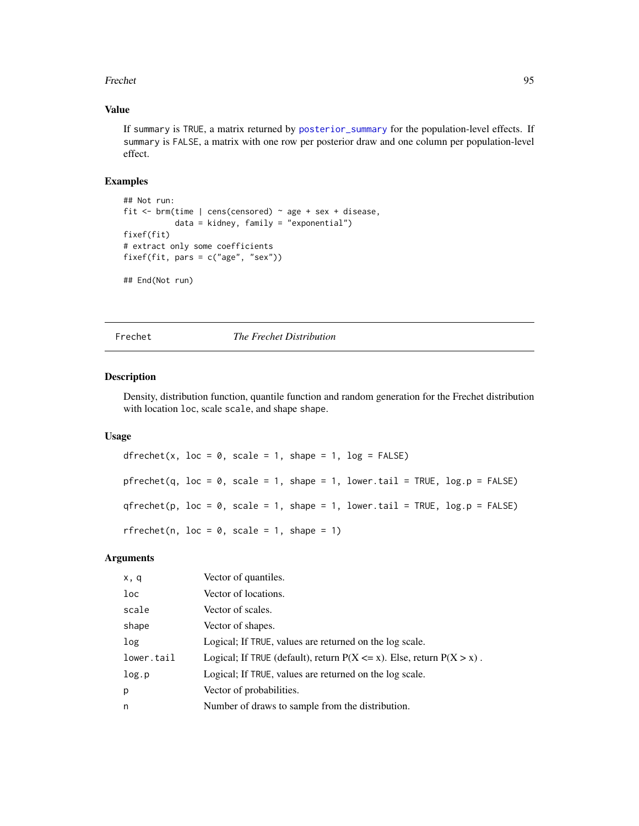#### Frechet 95

## Value

If summary is TRUE, a matrix returned by [posterior\\_summary](#page-172-0) for the population-level effects. If summary is FALSE, a matrix with one row per posterior draw and one column per population-level effect.

#### Examples

```
## Not run:
fit \le brm(time | cens(censored) \sim age + sex + disease,
           data = kidney, family = "exponential")
fixef(fit)
# extract only some coefficients
fixef(fit, pars = c("age", "sex"))
## End(Not run)
```
Frechet *The Frechet Distribution*

#### Description

Density, distribution function, quantile function and random generation for the Frechet distribution with location loc, scale scale, and shape shape.

#### Usage

```
dfrechet(x, loc = 0, scale = 1, shape = 1, log = FALSE)
pfrechet(q, loc = 0, scale = 1, shape = 1, lower.tail = TRUE, log.p = FALSE)
qfrechet(p, loc = 0, scale = 1, shape = 1, lower.tail = TRUE, log.p = FALSE)
rfrechet(n, loc = 0, scale = 1, shape = 1)
```
## Arguments

| x, q            | Vector of quantiles.                                                        |
|-----------------|-----------------------------------------------------------------------------|
| 1 <sub>oc</sub> | Vector of locations.                                                        |
| scale           | Vector of scales.                                                           |
| shape           | Vector of shapes.                                                           |
| log             | Logical; If TRUE, values are returned on the log scale.                     |
| lower.tail      | Logical; If TRUE (default), return $P(X \le x)$ . Else, return $P(X > x)$ . |
| log.p           | Logical; If TRUE, values are returned on the log scale.                     |
| p               | Vector of probabilities.                                                    |
| n               | Number of draws to sample from the distribution.                            |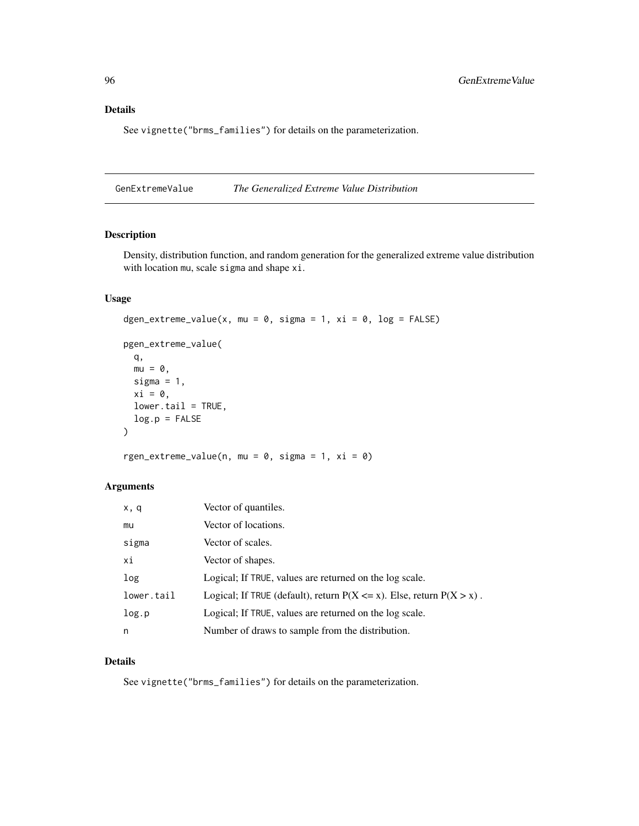# Details

See vignette("brms\_families") for details on the parameterization.

GenExtremeValue *The Generalized Extreme Value Distribution*

## Description

Density, distribution function, and random generation for the generalized extreme value distribution with location mu, scale sigma and shape xi.

## Usage

```
dgen_extreme_value(x, mu = 0, sigma = 1, xi = 0, log = FALSE)
pgen_extreme_value(
 q,
 mu = 0,
 sigma = 1,
 xi = 0,
 lower.tail = TRUE,log.p = FALSE)
```
rgen\_extreme\_value(n, mu =  $0$ , sigma = 1, xi =  $0$ )

## Arguments

| x, q       | Vector of quantiles.                                                        |
|------------|-----------------------------------------------------------------------------|
| mu         | Vector of locations.                                                        |
| sigma      | Vector of scales.                                                           |
| хi         | Vector of shapes.                                                           |
| log        | Logical; If TRUE, values are returned on the log scale.                     |
| lower.tail | Logical; If TRUE (default), return $P(X \le x)$ . Else, return $P(X > x)$ . |
| log.p      | Logical; If TRUE, values are returned on the log scale.                     |
| n          | Number of draws to sample from the distribution.                            |

## Details

See vignette("brms\_families") for details on the parameterization.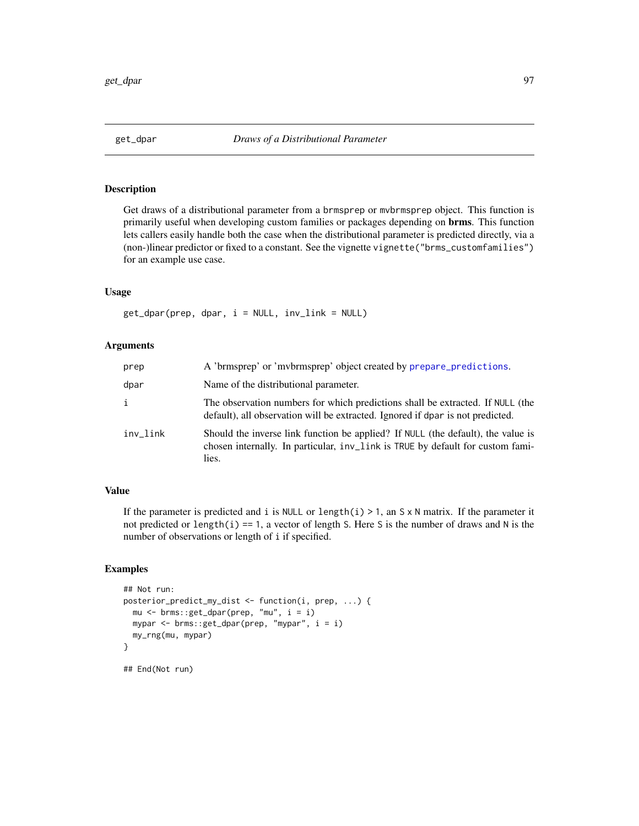Get draws of a distributional parameter from a brmsprep or mvbrmsprep object. This function is primarily useful when developing custom families or packages depending on brms. This function lets callers easily handle both the case when the distributional parameter is predicted directly, via a (non-)linear predictor or fixed to a constant. See the vignette vignette("brms\_customfamilies") for an example use case.

## Usage

 $get_dpar(prep, dpar, i = NULL, inv_link = NULL)$ 

#### Arguments

| prep         | A 'brmsprep' or 'mvbrmsprep' object created by prepare_predictions.                                                                                                         |
|--------------|-----------------------------------------------------------------------------------------------------------------------------------------------------------------------------|
| dpar         | Name of the distributional parameter.                                                                                                                                       |
| $\mathbf{i}$ | The observation numbers for which predictions shall be extracted. If NULL (the<br>default), all observation will be extracted. Ignored if dpar is not predicted.            |
| inv_link     | Should the inverse link function be applied? If NULL (the default), the value is<br>chosen internally. In particular, inv_link is TRUE by default for custom fami-<br>lies. |

## Value

If the parameter is predicted and i is NULL or length(i) > 1, an S  $\times$  N matrix. If the parameter it not predicted or length(i) == 1, a vector of length S. Here S is the number of draws and N is the number of observations or length of i if specified.

## Examples

```
## Not run:
posterior_predict_my_dist <- function(i, prep, ...) {
 mu <- brms::get_dpar(prep, "mu", i = i)
 mypar <- brms::get_dpar(prep, "mypar", i = i)
 my_rng(mu, mypar)
}
## End(Not run)
```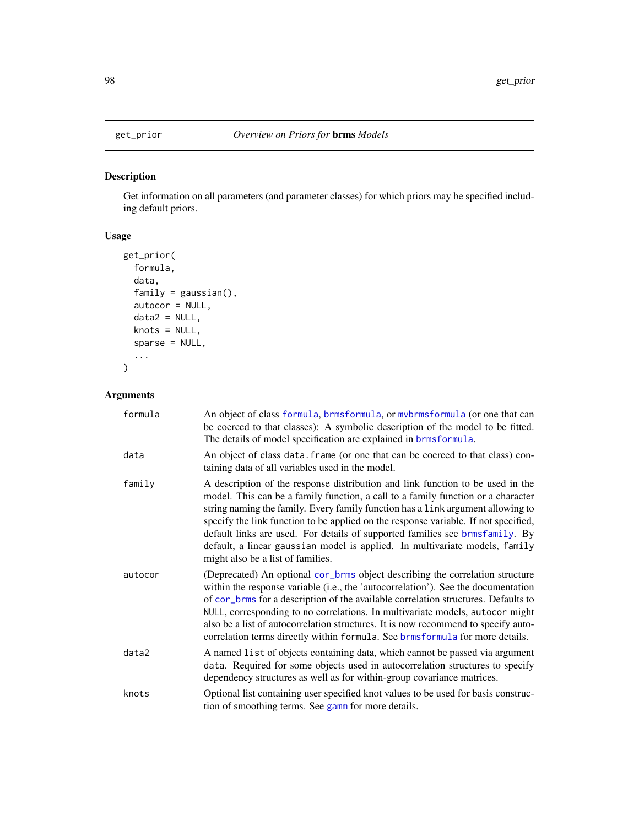Get information on all parameters (and parameter classes) for which priors may be specified including default priors.

# Usage

```
get_prior(
 formula,
  data,
  family = gaussian(),
 autocor = NULL,
 data2 = NULL,knots = NULL,sparse = NULL,
  ...
\mathcal{L}
```
## Arguments

| formula | An object of class formula, brmsformula, or mybrmsformula (or one that can<br>be coerced to that classes): A symbolic description of the model to be fitted.<br>The details of model specification are explained in brmsformula.                                                                                                                                                                                                                                                                                                                 |
|---------|--------------------------------------------------------------------------------------------------------------------------------------------------------------------------------------------------------------------------------------------------------------------------------------------------------------------------------------------------------------------------------------------------------------------------------------------------------------------------------------------------------------------------------------------------|
| data    | An object of class data. frame (or one that can be coerced to that class) con-<br>taining data of all variables used in the model.                                                                                                                                                                                                                                                                                                                                                                                                               |
| family  | A description of the response distribution and link function to be used in the<br>model. This can be a family function, a call to a family function or a character<br>string naming the family. Every family function has a link argument allowing to<br>specify the link function to be applied on the response variable. If not specified,<br>default links are used. For details of supported families see brmsfamily. By<br>default, a linear gaussian model is applied. In multivariate models, family<br>might also be a list of families. |
| autocor | (Deprecated) An optional cor_brms object describing the correlation structure<br>within the response variable (i.e., the 'autocorrelation'). See the documentation<br>of cor_brms for a description of the available correlation structures. Defaults to<br>NULL, corresponding to no correlations. In multivariate models, autocor might<br>also be a list of autocorrelation structures. It is now recommend to specify auto-<br>correlation terms directly within formula. See brmsformula for more details.                                  |
| data2   | A named list of objects containing data, which cannot be passed via argument<br>data. Required for some objects used in autocorrelation structures to specify<br>dependency structures as well as for within-group covariance matrices.                                                                                                                                                                                                                                                                                                          |
| knots   | Optional list containing user specified knot values to be used for basis construc-<br>tion of smoothing terms. See gamm for more details.                                                                                                                                                                                                                                                                                                                                                                                                        |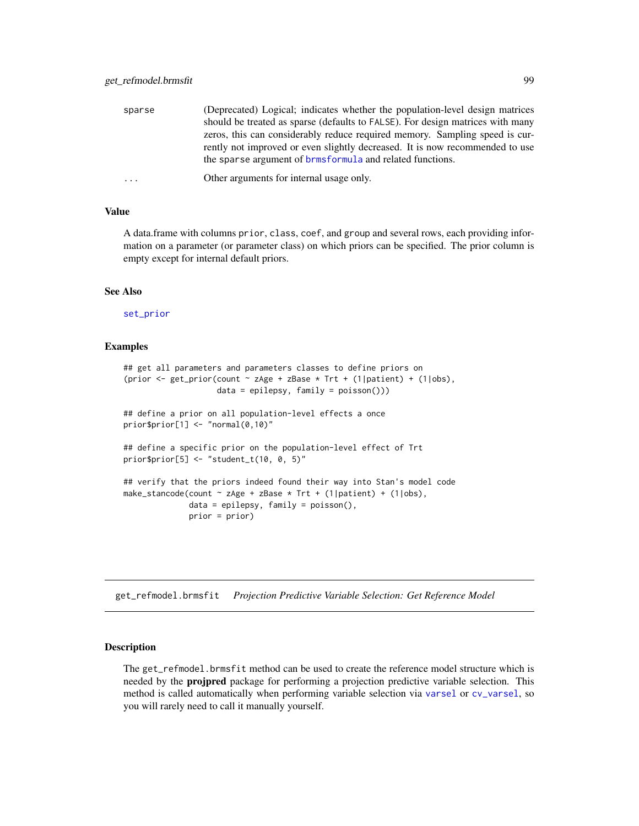| sparse   | (Deprecated) Logical; indicates whether the population-level design matrices   |
|----------|--------------------------------------------------------------------------------|
|          | should be treated as sparse (defaults to FALSE). For design matrices with many |
|          | zeros, this can considerably reduce required memory. Sampling speed is cur-    |
|          | rently not improved or even slightly decreased. It is now recommended to use   |
|          | the sparse argument of <b>brmsformula</b> and related functions.               |
| $\cdots$ | Other arguments for internal usage only.                                       |

#### Value

A data.frame with columns prior, class, coef, and group and several rows, each providing information on a parameter (or parameter class) on which priors can be specified. The prior column is empty except for internal default priors.

#### See Also

[set\\_prior](#page-203-0)

#### Examples

```
## get all parameters and parameters classes to define priors on
(prior \le get_prior(count \sim zAge + zBase * Trt + (1|patient) + (1|obs),
                    data = epilepsy, family = poisson()))
## define a prior on all population-level effects a once
prior$prior[1] <- "normal(0,10)"
## define a specific prior on the population-level effect of Trt
prior$prior[5] <- "student_t(10, 0, 5)"
## verify that the priors indeed found their way into Stan's model code
make_stancode(count \sim zAge + zBase * Trt + (1|patient) + (1|obs),
              data = epilepsy, family = poisson(),
              prior = prior)
```
get\_refmodel.brmsfit *Projection Predictive Variable Selection: Get Reference Model*

## Description

The get\_refmodel.brmsfit method can be used to create the reference model structure which is needed by the projpred package for performing a projection predictive variable selection. This method is called automatically when performing variable selection via [varsel](#page-0-0) or [cv\\_varsel](#page-0-0), so you will rarely need to call it manually yourself.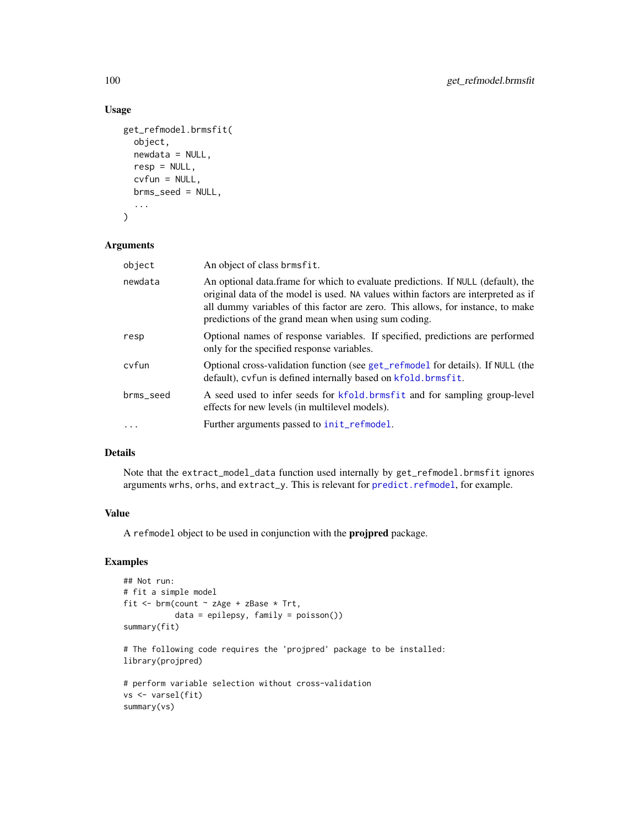## Usage

```
get_refmodel.brmsfit(
  object,
  newdata = NULL,
  resp = NULL,cvfun = NULL,brms_seed = NULL,
  ...
\mathcal{L}
```
## Arguments

| object    | An object of class brmsfit.                                                                                                                                                                                                                                                                                       |
|-----------|-------------------------------------------------------------------------------------------------------------------------------------------------------------------------------------------------------------------------------------------------------------------------------------------------------------------|
| newdata   | An optional data frame for which to evaluate predictions. If NULL (default), the<br>original data of the model is used. NA values within factors are interpreted as if<br>all dummy variables of this factor are zero. This allows, for instance, to make<br>predictions of the grand mean when using sum coding. |
| resp      | Optional names of response variables. If specified, predictions are performed<br>only for the specified response variables.                                                                                                                                                                                       |
| cyfun     | Optional cross-validation function (see get_refmodel for details). If NULL (the<br>default), cvfun is defined internally based on kfold. brmsfit.                                                                                                                                                                 |
| brms_seed | A seed used to infer seeds for kfold. brmsfit and for sampling group-level<br>effects for new levels (in multilevel models).                                                                                                                                                                                      |
| $\ddotsc$ | Further arguments passed to init_refmodel.                                                                                                                                                                                                                                                                        |

## Details

Note that the extract\_model\_data function used internally by get\_refmodel.brmsfit ignores arguments wrhs, orhs, and extract\_y. This is relevant for [predict.refmodel](#page-0-0), for example.

## Value

A refmodel object to be used in conjunction with the projpred package.

#### Examples

```
## Not run:
# fit a simple model
fit <- brm(count ~ zAge + zBase * Trt,
           data = epilepsy, family = poisson())
summary(fit)
# The following code requires the 'projpred' package to be installed:
library(projpred)
```

```
# perform variable selection without cross-validation
vs <- varsel(fit)
summary(vs)
```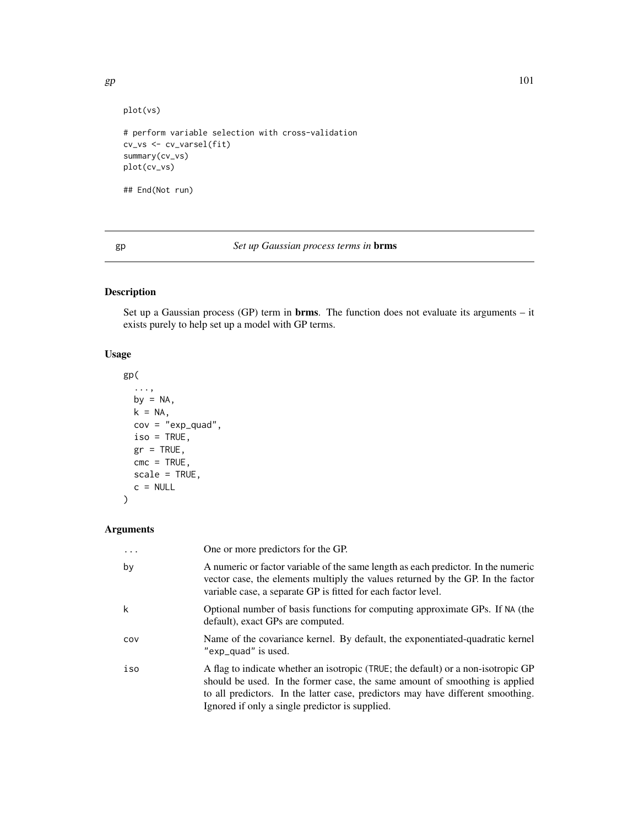```
plot(vs)
```

```
# perform variable selection with cross-validation
cv_vs <- cv_varsel(fit)
summary(cv_vs)
plot(cv_vs)
```
## End(Not run)

## gp *Set up Gaussian process terms in* brms

# Description

Set up a Gaussian process (GP) term in brms. The function does not evaluate its arguments – it exists purely to help set up a model with GP terms.

## Usage

```
gp(
  ...,
 by = NA,
 k = NA,
 cov = "exp_quad",iso = TRUE,gr = TRUE,cmc = TRUE,scale = TRUE,
  c = NULL\mathcal{L}
```
## Arguments

| $\cdots$ | One or more predictors for the GP.                                                                                                                                                                                                                                                                     |
|----------|--------------------------------------------------------------------------------------------------------------------------------------------------------------------------------------------------------------------------------------------------------------------------------------------------------|
| by       | A numeric or factor variable of the same length as each predictor. In the numeric<br>vector case, the elements multiply the values returned by the GP. In the factor<br>variable case, a separate GP is fitted for each factor level.                                                                  |
| k        | Optional number of basis functions for computing approximate GPs. If NA (the<br>default), exact GPs are computed.                                                                                                                                                                                      |
| cov      | Name of the covariance kernel. By default, the exponentiated-quadratic kernel<br>"exp_quad" is used.                                                                                                                                                                                                   |
| iso      | A flag to indicate whether an isotropic (TRUE; the default) or a non-isotropic GP<br>should be used. In the former case, the same amount of smoothing is applied<br>to all predictors. In the latter case, predictors may have different smoothing.<br>Ignored if only a single predictor is supplied. |

 $gp$  101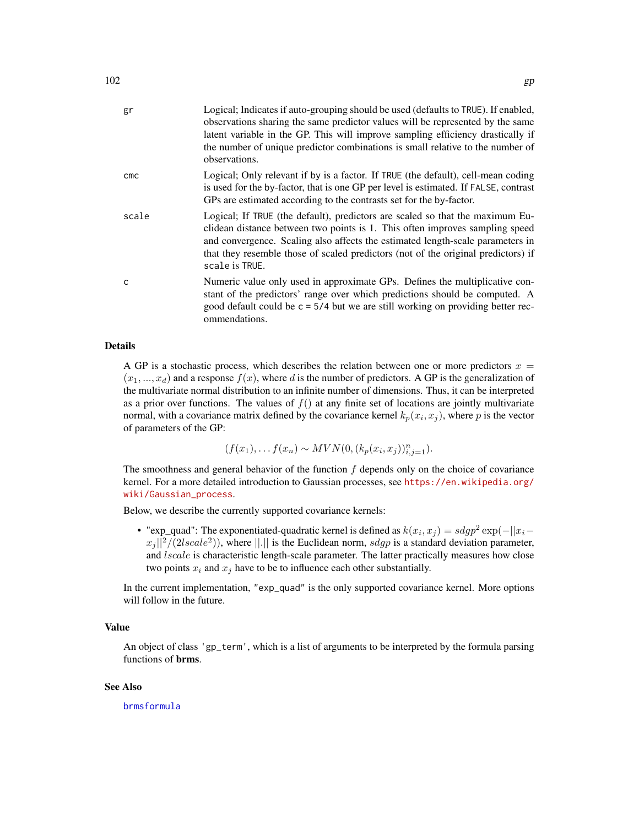| gr    | Logical; Indicates if auto-grouping should be used (defaults to TRUE). If enabled,<br>observations sharing the same predictor values will be represented by the same<br>latent variable in the GP. This will improve sampling efficiency drastically if<br>the number of unique predictor combinations is small relative to the number of<br>observations. |
|-------|------------------------------------------------------------------------------------------------------------------------------------------------------------------------------------------------------------------------------------------------------------------------------------------------------------------------------------------------------------|
| cmc   | Logical; Only relevant if by is a factor. If TRUE (the default), cell-mean coding<br>is used for the by-factor, that is one GP per level is estimated. If FALSE, contrast<br>GPs are estimated according to the contrasts set for the by-factor.                                                                                                           |
| scale | Logical; If TRUE (the default), predictors are scaled so that the maximum Eu-<br>clidean distance between two points is 1. This often improves sampling speed<br>and convergence. Scaling also affects the estimated length-scale parameters in<br>that they resemble those of scaled predictors (not of the original predictors) if<br>scale is TRUE.     |
| Ċ     | Numeric value only used in approximate GPs. Defines the multiplicative con-<br>stant of the predictors' range over which predictions should be computed. A<br>good default could be $c = 5/4$ but we are still working on providing better rec-<br>ommendations.                                                                                           |

#### Details

A GP is a stochastic process, which describes the relation between one or more predictors  $x =$  $(x_1, ..., x_d)$  and a response  $f(x)$ , where d is the number of predictors. A GP is the generalization of the multivariate normal distribution to an infinite number of dimensions. Thus, it can be interpreted as a prior over functions. The values of  $f()$  at any finite set of locations are jointly multivariate normal, with a covariance matrix defined by the covariance kernel  $k_p(x_i, x_j)$ , where p is the vector of parameters of the GP:

$$
(f(x_1), \ldots, f(x_n) \sim MVN(0, (k_p(x_i, x_j))_{i,j=1}^n).
$$

The smoothness and general behavior of the function  $f$  depends only on the choice of covariance kernel. For a more detailed introduction to Gaussian processes, see [https://en.wikipedia.org/](https://en.wikipedia.org/wiki/Gaussian_process) [wiki/Gaussian\\_process](https://en.wikipedia.org/wiki/Gaussian_process).

Below, we describe the currently supported covariance kernels:

• "exp\_quad": The exponentiated-quadratic kernel is defined as  $k(x_i, x_j) = s dgp^2 \exp(-||x_i - y_j||)$  $||x_j||^2/(2lscale^2))$ , where  $||.||$  is the Euclidean norm,  $sdgp$  is a standard deviation parameter, and *lscale* is characteristic length-scale parameter. The latter practically measures how close two points  $x_i$  and  $x_j$  have to be to influence each other substantially.

In the current implementation, "exp\_quad" is the only supported covariance kernel. More options will follow in the future.

#### Value

An object of class 'gp\_term', which is a list of arguments to be interpreted by the formula parsing functions of brms.

#### See Also

[brmsformula](#page-37-0)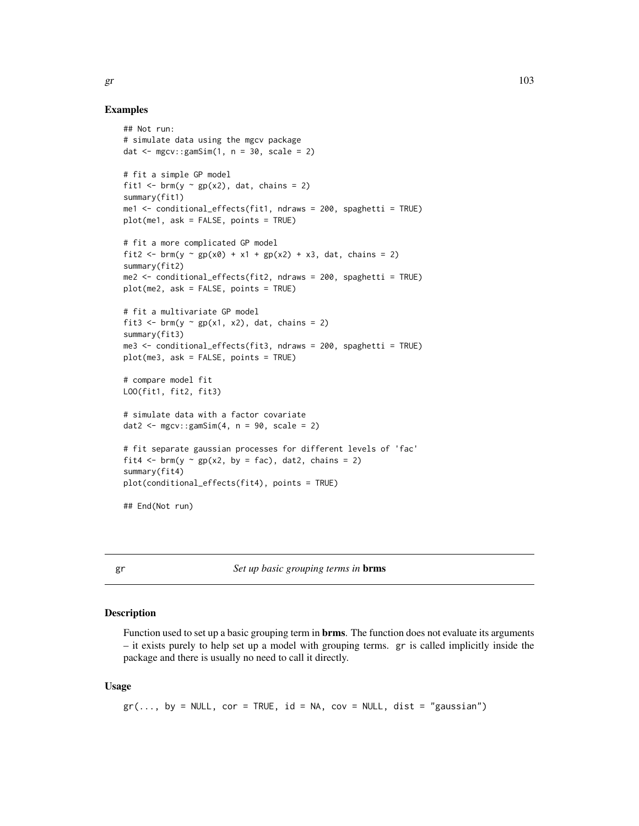# Examples

```
## Not run:
# simulate data using the mgcv package
dat \leq mgcv:: gamSim(1, n = 30, scale = 2)
# fit a simple GP model
fit1 <- brm(y \sim gp(x2)), dat, chains = 2)
summary(fit1)
me1 <- conditional_effects(fit1, ndraws = 200, spaghetti = TRUE)
plot(me1, ask = FALSE, points = TRUE)
# fit a more complicated GP model
fit2 <- brm(y \sim gp(x0) + x1 + gp(x2) + x3, dat, chains = 2)summary(fit2)
me2 <- conditional_effects(fit2, ndraws = 200, spaghetti = TRUE)
plot(me2, ask = FALSE, points = TRUE)
# fit a multivariate GP model
fit3 <- brm(y \sim gp(x1, x2), dat, chains = 2)summary(fit3)
me3 <- conditional_effects(fit3, ndraws = 200, spaghetti = TRUE)
plot(me3, ask = FALSE, points = TRUE)
# compare model fit
LOO(fit1, fit2, fit3)
# simulate data with a factor covariate
dat2 \leq mgcv:: gamSim(4, n = 90, scale = 2)
# fit separate gaussian processes for different levels of 'fac'
fit4 \leftarrow brm(y \sim gp(x2, by = fac), dat2, chains = 2)
summary(fit4)
plot(conditional_effects(fit4), points = TRUE)
## End(Not run)
```
gr *Set up basic grouping terms in* brms

#### **Description**

Function used to set up a basic grouping term in **brms**. The function does not evaluate its arguments – it exists purely to help set up a model with grouping terms. gr is called implicitly inside the package and there is usually no need to call it directly.

#### Usage

 $gr(..., by = NULL, cor = TRUE, id = NA, cov = NULL, dist = "gaussian")$ 

 $gr$  103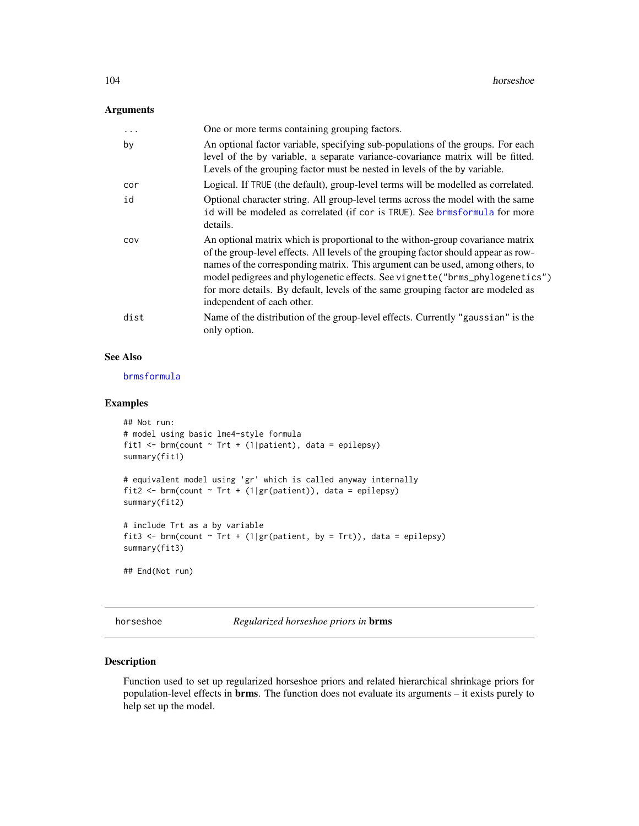## Arguments

| $\ddots$ | One or more terms containing grouping factors.                                                                                                                                                                                                                                                                                                                                                                                                            |
|----------|-----------------------------------------------------------------------------------------------------------------------------------------------------------------------------------------------------------------------------------------------------------------------------------------------------------------------------------------------------------------------------------------------------------------------------------------------------------|
| by       | An optional factor variable, specifying sub-populations of the groups. For each<br>level of the by variable, a separate variance-covariance matrix will be fitted.<br>Levels of the grouping factor must be nested in levels of the by variable.                                                                                                                                                                                                          |
| cor      | Logical. If TRUE (the default), group-level terms will be modelled as correlated.                                                                                                                                                                                                                                                                                                                                                                         |
| id       | Optional character string. All group-level terms across the model with the same<br>id will be modeled as correlated (if cor is TRUE). See brmsformula for more<br>details.                                                                                                                                                                                                                                                                                |
| COV      | An optional matrix which is proportional to the withon-group covariance matrix<br>of the group-level effects. All levels of the grouping factor should appear as row-<br>names of the corresponding matrix. This argument can be used, among others, to<br>model pedigrees and phylogenetic effects. See vignette ("brms_phylogenetics")<br>for more details. By default, levels of the same grouping factor are modeled as<br>independent of each other. |
| dist     | Name of the distribution of the group-level effects. Currently "gaussian" is the<br>only option.                                                                                                                                                                                                                                                                                                                                                          |

# See Also

[brmsformula](#page-37-0)

## Examples

```
## Not run:
# model using basic lme4-style formula
fit1 <- brm(count \sim Trt + (1|patient), data = epilepsy)
summary(fit1)
# equivalent model using 'gr' which is called anyway internally
fit2 <- brm(count \sim Trt + (1|gr(patient)), data = epilepsy)
summary(fit2)
# include Trt as a by variable
fit3 <- brm(count \sim Trt + (1|gr(patient, by = Trt)), data = epilepsy)
summary(fit3)
## End(Not run)
```
horseshoe *Regularized horseshoe priors in* brms

## Description

Function used to set up regularized horseshoe priors and related hierarchical shrinkage priors for population-level effects in brms. The function does not evaluate its arguments – it exists purely to help set up the model.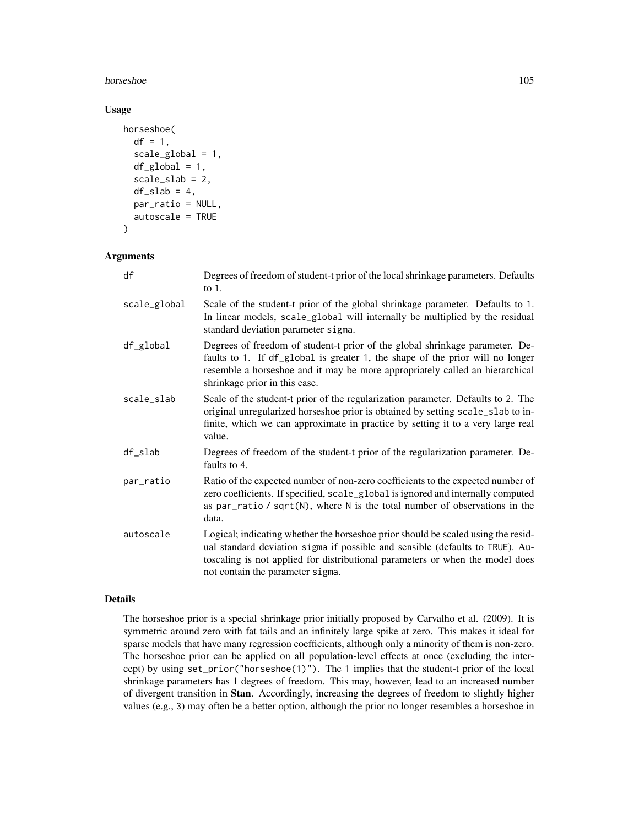#### horseshoe and the state of the state of the state of the state of the state of the state of the state of the state of the state of the state of the state of the state of the state of the state of the state of the state of

## Usage

```
horseshoe(
  df = 1,
  scale_global = 1,
  df_global = 1,
  scale_slab = 2,
  df<sub>_S</sub>lab = 4,
  par_ratio = NULL,
  autoscale = TRUE
)
```
#### Arguments

| df           | Degrees of freedom of student-t prior of the local shrinkage parameters. Defaults<br>to $1$ .                                                                                                                                                                                           |
|--------------|-----------------------------------------------------------------------------------------------------------------------------------------------------------------------------------------------------------------------------------------------------------------------------------------|
| scale_global | Scale of the student-t prior of the global shrinkage parameter. Defaults to 1.<br>In linear models, scale_global will internally be multiplied by the residual<br>standard deviation parameter sigma.                                                                                   |
| df_global    | Degrees of freedom of student-t prior of the global shrinkage parameter. De-<br>faults to 1. If df_global is greater 1, the shape of the prior will no longer<br>resemble a horseshoe and it may be more appropriately called an hierarchical<br>shrinkage prior in this case.          |
| scale_slab   | Scale of the student-t prior of the regularization parameter. Defaults to 2. The<br>original unregularized horseshoe prior is obtained by setting scale_slab to in-<br>finite, which we can approximate in practice by setting it to a very large real<br>value.                        |
| df_slab      | Degrees of freedom of the student-t prior of the regularization parameter. De-<br>faults to 4.                                                                                                                                                                                          |
| par_ratio    | Ratio of the expected number of non-zero coefficients to the expected number of<br>zero coefficients. If specified, scale_global is ignored and internally computed<br>as par_ratio / $sqrt(N)$ , where N is the total number of observations in the<br>data.                           |
| autoscale    | Logical; indicating whether the horseshoe prior should be scaled using the resid-<br>ual standard deviation sigma if possible and sensible (defaults to TRUE). Au-<br>toscaling is not applied for distributional parameters or when the model does<br>not contain the parameter sigma. |

#### Details

The horseshoe prior is a special shrinkage prior initially proposed by Carvalho et al. (2009). It is symmetric around zero with fat tails and an infinitely large spike at zero. This makes it ideal for sparse models that have many regression coefficients, although only a minority of them is non-zero. The horseshoe prior can be applied on all population-level effects at once (excluding the intercept) by using set\_prior("horseshoe(1)"). The 1 implies that the student-t prior of the local shrinkage parameters has 1 degrees of freedom. This may, however, lead to an increased number of divergent transition in Stan. Accordingly, increasing the degrees of freedom to slightly higher values (e.g., 3) may often be a better option, although the prior no longer resembles a horseshoe in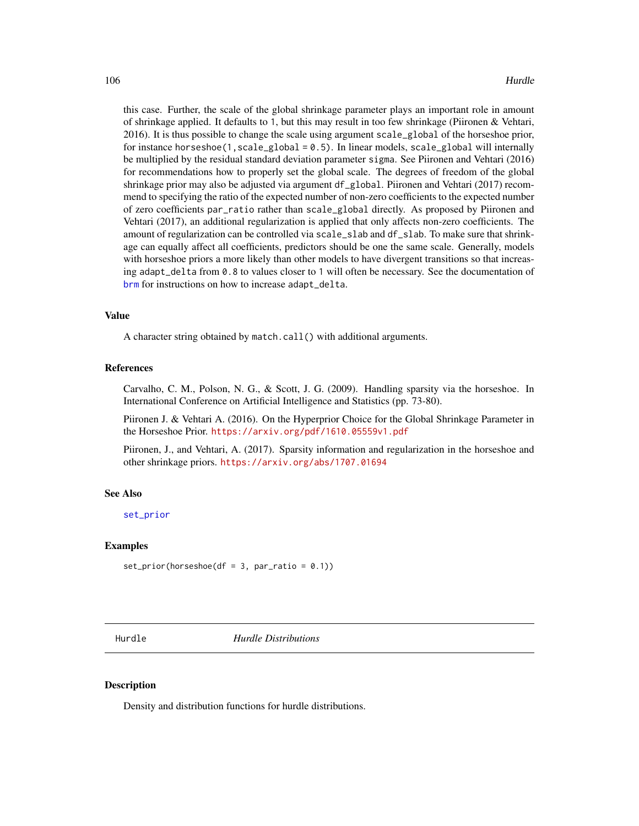this case. Further, the scale of the global shrinkage parameter plays an important role in amount of shrinkage applied. It defaults to 1, but this may result in too few shrinkage (Piironen & Vehtari, 2016). It is thus possible to change the scale using argument scale\_global of the horseshoe prior, for instance horseshoe(1,scale\_global =  $0.5$ ). In linear models, scale\_global will internally be multiplied by the residual standard deviation parameter sigma. See Piironen and Vehtari (2016) for recommendations how to properly set the global scale. The degrees of freedom of the global shrinkage prior may also be adjusted via argument df\_global. Piironen and Vehtari (2017) recommend to specifying the ratio of the expected number of non-zero coefficients to the expected number of zero coefficients par\_ratio rather than scale\_global directly. As proposed by Piironen and Vehtari (2017), an additional regularization is applied that only affects non-zero coefficients. The amount of regularization can be controlled via scale\_slab and df\_slab. To make sure that shrinkage can equally affect all coefficients, predictors should be one the same scale. Generally, models with horseshoe priors a more likely than other models to have divergent transitions so that increasing adapt\_delta from 0.8 to values closer to 1 will often be necessary. See the documentation of [brm](#page-22-0) for instructions on how to increase adapt\_delta.

## Value

A character string obtained by match.call() with additional arguments.

#### References

Carvalho, C. M., Polson, N. G., & Scott, J. G. (2009). Handling sparsity via the horseshoe. In International Conference on Artificial Intelligence and Statistics (pp. 73-80).

Piironen J. & Vehtari A. (2016). On the Hyperprior Choice for the Global Shrinkage Parameter in the Horseshoe Prior. <https://arxiv.org/pdf/1610.05559v1.pdf>

Piironen, J., and Vehtari, A. (2017). Sparsity information and regularization in the horseshoe and other shrinkage priors. <https://arxiv.org/abs/1707.01694>

## See Also

[set\\_prior](#page-203-0)

#### Examples

```
set\_prior(horseshoe(df = 3, par\_ratio = 0.1))
```
Hurdle *Hurdle Distributions*

#### Description

Density and distribution functions for hurdle distributions.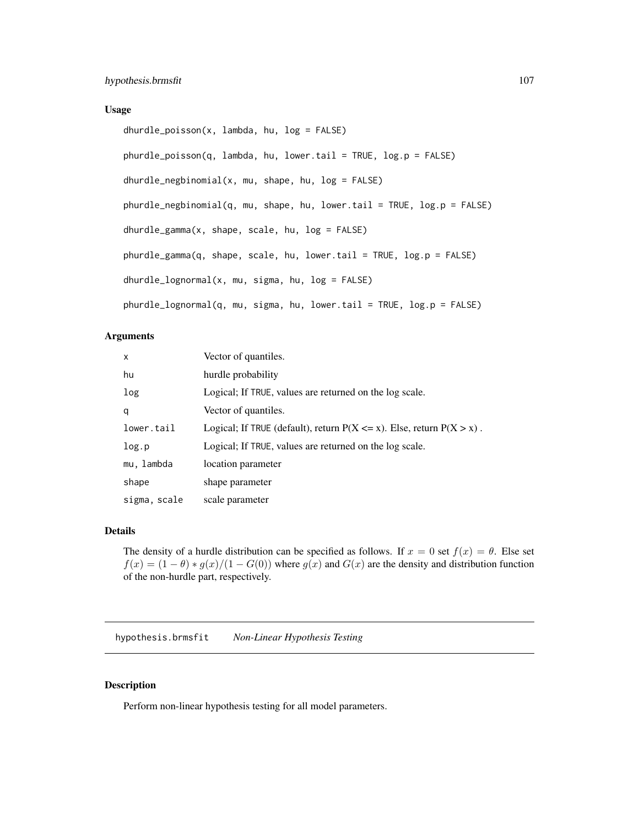#### Usage

```
dhurdle_poisson(x, lambda, hu, log = FALSE)
phurdle_poisson(q, lambda, hu, lower.tail = TRUE, log.p = FALSE)
dhurdle_negbinomial(x, mu, shape, hu, log = FALSE)
phurdle_negbinomial(q, mu, shape, hu, lower.tail = TRUE, log.p = FALSE)
dhurdle_gamma(x, shape, scale, hu, log = FALSE)
phurdle_gamma(q, shape, scale, hu, lower.tail = TRUE, log.p = FALSE)
dhurdle_lognormal(x, mu, sigma, hu, log = FALSE)
phurdle_lognormal(q, mu, sigma, hu, lower.tail = TRUE, log.p = FALSE)
```
#### Arguments

| $\mathsf{x}$ | Vector of quantiles.                                                        |
|--------------|-----------------------------------------------------------------------------|
| hu           | hurdle probability                                                          |
| log          | Logical; If TRUE, values are returned on the log scale.                     |
| q            | Vector of quantiles.                                                        |
| lower.tail   | Logical; If TRUE (default), return $P(X \le x)$ . Else, return $P(X > x)$ . |
| log.p        | Logical; If TRUE, values are returned on the log scale.                     |
| mu, lambda   | location parameter                                                          |
| shape        | shape parameter                                                             |
| sigma, scale | scale parameter                                                             |

## Details

The density of a hurdle distribution can be specified as follows. If  $x = 0$  set  $f(x) = \theta$ . Else set  $f(x) = (1 - \theta) * g(x)/(1 - G(0))$  where  $g(x)$  and  $G(x)$  are the density and distribution function of the non-hurdle part, respectively.

hypothesis.brmsfit *Non-Linear Hypothesis Testing*

## Description

Perform non-linear hypothesis testing for all model parameters.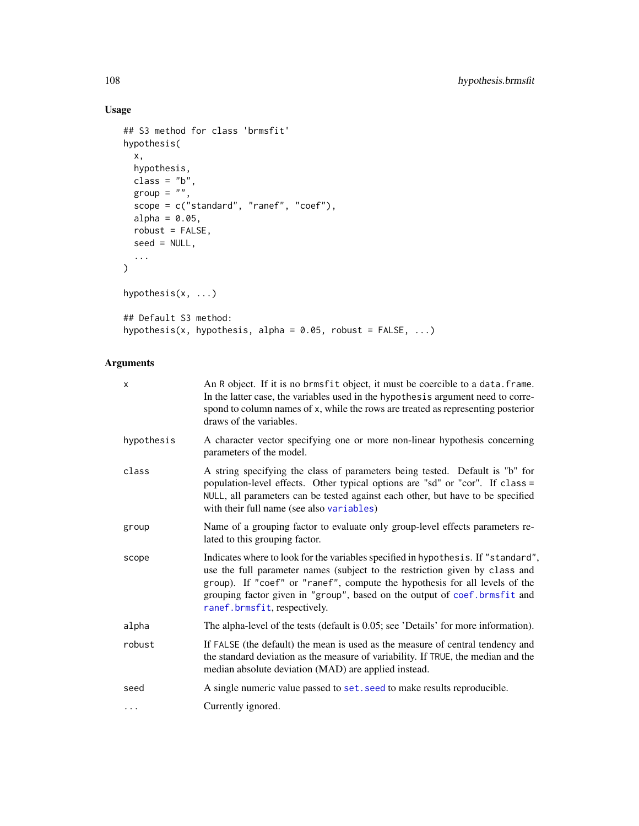# Usage

```
## S3 method for class 'brmsfit'
hypothesis(
 x,
 hypothesis,
 class = "b",\frac{1}{2}group = "",
 scope = c("standard", "ranef", "coef"),
 alpha = 0.05,
 robust = FALSE,
 seed = NULL,
  ...
)
hypothesis(x, ...)
## Default S3 method:
hypothesis(x, hypothesis, alpha = 0.05, robust = FALSE, ...)
```
# Arguments

| X          | An R object. If it is no brmsfit object, it must be coercible to a data. frame.<br>In the latter case, the variables used in the hypothesis argument need to corre-<br>spond to column names of x, while the rows are treated as representing posterior<br>draws of the variables.                                                                           |
|------------|--------------------------------------------------------------------------------------------------------------------------------------------------------------------------------------------------------------------------------------------------------------------------------------------------------------------------------------------------------------|
| hypothesis | A character vector specifying one or more non-linear hypothesis concerning<br>parameters of the model.                                                                                                                                                                                                                                                       |
| class      | A string specifying the class of parameters being tested. Default is "b" for<br>population-level effects. Other typical options are "sd" or "cor". If class =<br>NULL, all parameters can be tested against each other, but have to be specified<br>with their full name (see also variables)                                                                |
| group      | Name of a grouping factor to evaluate only group-level effects parameters re-<br>lated to this grouping factor.                                                                                                                                                                                                                                              |
| scope      | Indicates where to look for the variables specified in hypothesis. If "standard",<br>use the full parameter names (subject to the restriction given by class and<br>group). If "coef" or "ranef", compute the hypothesis for all levels of the<br>grouping factor given in "group", based on the output of coef. brmsfit and<br>ranef.brmsfit, respectively. |
| alpha      | The alpha-level of the tests (default is 0.05; see 'Details' for more information).                                                                                                                                                                                                                                                                          |
| robust     | If FALSE (the default) the mean is used as the measure of central tendency and<br>the standard deviation as the measure of variability. If TRUE, the median and the<br>median absolute deviation (MAD) are applied instead.                                                                                                                                  |
| seed       | A single numeric value passed to set. seed to make results reproducible.                                                                                                                                                                                                                                                                                     |
| $\cdots$   | Currently ignored.                                                                                                                                                                                                                                                                                                                                           |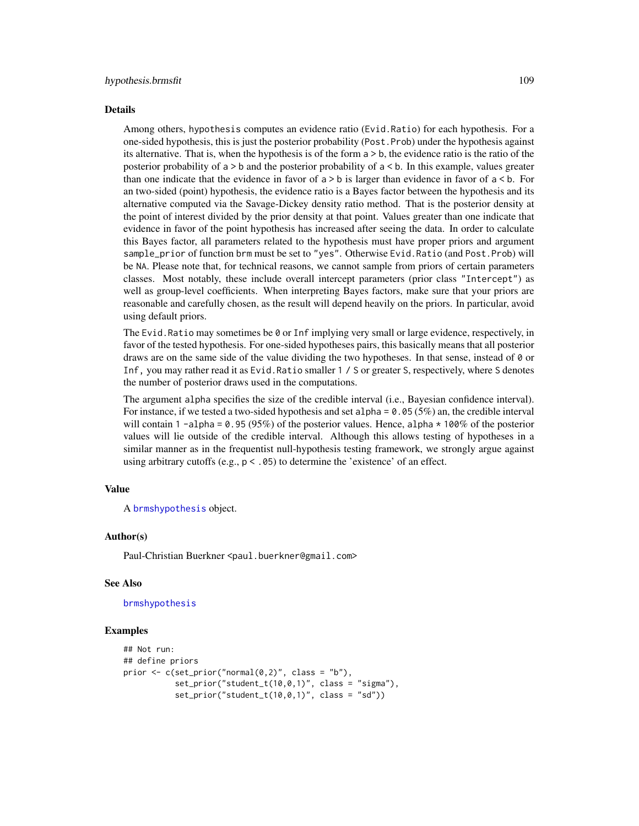#### Details

Among others, hypothesis computes an evidence ratio (Evid.Ratio) for each hypothesis. For a one-sided hypothesis, this is just the posterior probability (Post.Prob) under the hypothesis against its alternative. That is, when the hypothesis is of the form a > b, the evidence ratio is the ratio of the posterior probability of a > b and the posterior probability of a < b. In this example, values greater than one indicate that the evidence in favor of  $a > b$  is larger than evidence in favor of  $a < b$ . For an two-sided (point) hypothesis, the evidence ratio is a Bayes factor between the hypothesis and its alternative computed via the Savage-Dickey density ratio method. That is the posterior density at the point of interest divided by the prior density at that point. Values greater than one indicate that evidence in favor of the point hypothesis has increased after seeing the data. In order to calculate this Bayes factor, all parameters related to the hypothesis must have proper priors and argument sample\_prior of function brm must be set to "yes". Otherwise Evid.Ratio (and Post.Prob) will be NA. Please note that, for technical reasons, we cannot sample from priors of certain parameters classes. Most notably, these include overall intercept parameters (prior class "Intercept") as well as group-level coefficients. When interpreting Bayes factors, make sure that your priors are reasonable and carefully chosen, as the result will depend heavily on the priors. In particular, avoid using default priors.

The Evid. Ratio may sometimes be  $\theta$  or Inf implying very small or large evidence, respectively, in favor of the tested hypothesis. For one-sided hypotheses pairs, this basically means that all posterior draws are on the same side of the value dividing the two hypotheses. In that sense, instead of 0 or Inf, you may rather read it as Evid.Ratio smaller 1 / S or greater S, respectively, where S denotes the number of posterior draws used in the computations.

The argument alpha specifies the size of the credible interval (i.e., Bayesian confidence interval). For instance, if we tested a two-sided hypothesis and set alpha = 0.05 (5%) an, the credible interval will contain 1 -alpha = 0.95 (95%) of the posterior values. Hence, alpha  $\star$  100% of the posterior values will lie outside of the credible interval. Although this allows testing of hypotheses in a similar manner as in the frequentist null-hypothesis testing framework, we strongly argue against using arbitrary cutoffs (e.g.,  $p < .05$ ) to determine the 'existence' of an effect.

#### Value

A [brmshypothesis](#page-49-0) object.

#### Author(s)

Paul-Christian Buerkner <paul.buerkner@gmail.com>

#### See Also

#### [brmshypothesis](#page-49-0)

```
## Not run:
## define priors
prior \leq c(set_prior("normal(0,2)", class = "b"),
           set\_prior("student_t(10,0,1)", class = "sigma"),
           set\_prior("student_t(10,0,1)", class = "sd"))
```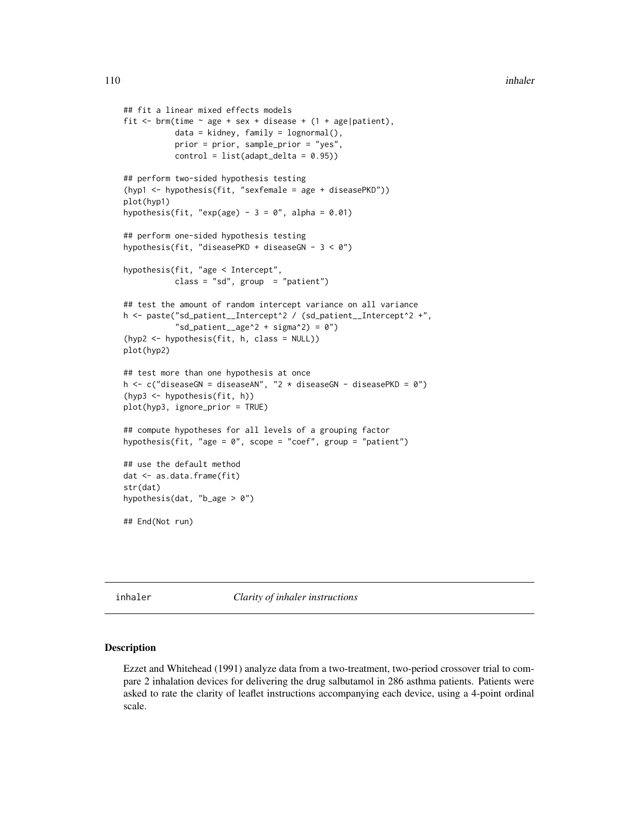```
## fit a linear mixed effects models
fit \le brm(time \sim age + sex + disease + (1 + age|patient),
           data = kidney, family = lognormal(),
           prior = prior, sample_prior = "yes",
           control = list(adapt\_delta = 0.95))## perform two-sided hypothesis testing
(hyp1 <- hypothesis(fit, "sexfemale = age + diseasePKD"))
plot(hyp1)
hypothesis(fit, "exp(age) - 3 = 0", alpha = 0.01)
## perform one-sided hypothesis testing
hypothesis(fit, "diseasePKD + diseaseGN - 3 < 0")
hypothesis(fit, "age < Intercept",
           class = "sd", group = "patient")
## test the amount of random intercept variance on all variance
h <- paste("sd_patient__Intercept^2 / (sd_patient__Intercept^2 +",
           "sd_patient__age^2 + sigma^2) = 0")
(hyp2 <- hypothesis(fit, h, class = NULL))
plot(hyp2)
## test more than one hypothesis at once
h \leq c("diseaseGN = diseaseAN", "2 * diseaseGN - diseasePKD = 0")
(hyp3 <- hypothesis(fit, h))
plot(hyp3, ignore_prior = TRUE)
## compute hypotheses for all levels of a grouping factor
hypothesis(fit, "age = 0", scope = "coef", group = "patient")
## use the default method
dat <- as.data.frame(fit)
str(dat)
hypothesis(dat, "b_age > 0")
## End(Not run)
```
inhaler *Clarity of inhaler instructions*

## Description

Ezzet and Whitehead (1991) analyze data from a two-treatment, two-period crossover trial to compare 2 inhalation devices for delivering the drug salbutamol in 286 asthma patients. Patients were asked to rate the clarity of leaflet instructions accompanying each device, using a 4-point ordinal scale.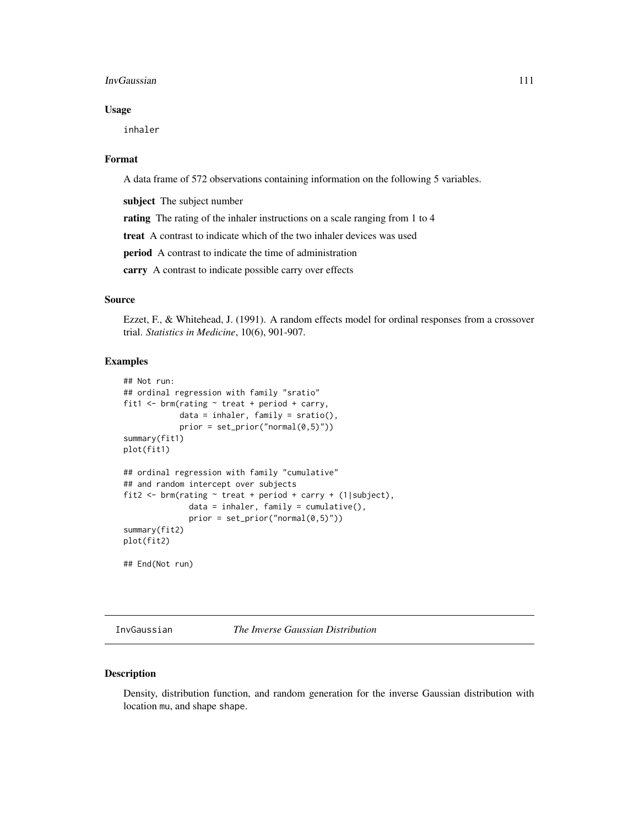#### InvGaussian 111

## Usage

inhaler

## Format

A data frame of 572 observations containing information on the following 5 variables.

subject The subject number

rating The rating of the inhaler instructions on a scale ranging from 1 to 4

treat A contrast to indicate which of the two inhaler devices was used

period A contrast to indicate the time of administration

carry A contrast to indicate possible carry over effects

## Source

Ezzet, F., & Whitehead, J. (1991). A random effects model for ordinal responses from a crossover trial. *Statistics in Medicine*, 10(6), 901-907.

## Examples

```
## Not run:
## ordinal regression with family "sratio"
fit1 \le brm(rating \sim treat + period + carry,
            data = inhaler, family = sratio(),prior = set\_prior("normal(0,5)")summary(fit1)
plot(fit1)
## ordinal regression with family "cumulative"
## and random intercept over subjects
fit2 <- brm(rating ~ treat + period + carry + (1|subject),
              data = inhaler, family = cumulative(),prior = set\_prior("normal(0,5)")summary(fit2)
plot(fit2)
```
## End(Not run)

InvGaussian *The Inverse Gaussian Distribution*

## Description

Density, distribution function, and random generation for the inverse Gaussian distribution with location mu, and shape shape.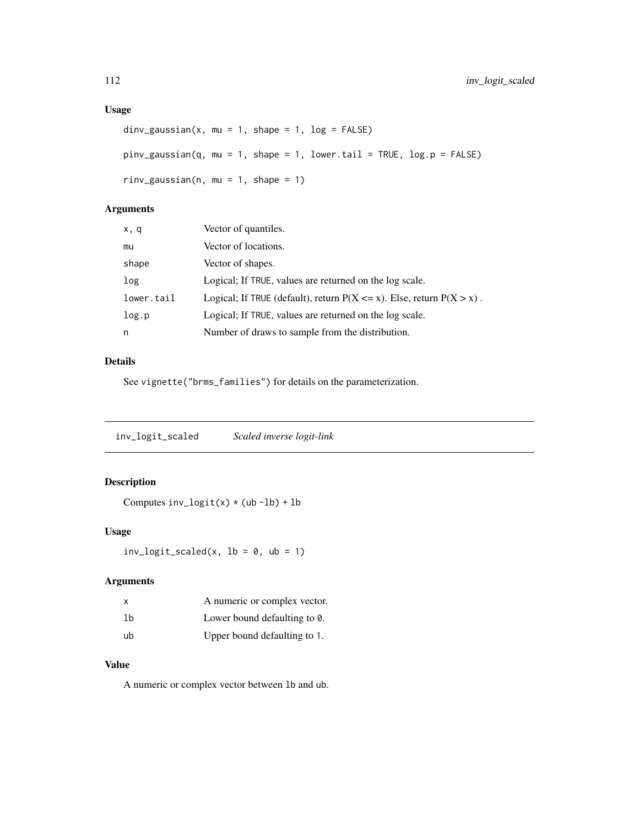# Usage

```
div_gaussian(x, mu = 1, shape = 1, log = FALSE)pinv_gaussian(q, mu = 1, shape = 1, lower.tail = TRUE, log.p = FALSE)
rinv_gaussian(n, mu = 1, shape = 1)
```
## Arguments

| x, q       | Vector of quantiles.                                                        |
|------------|-----------------------------------------------------------------------------|
| mu         | Vector of locations.                                                        |
| shape      | Vector of shapes.                                                           |
| log        | Logical; If TRUE, values are returned on the log scale.                     |
| lower.tail | Logical; If TRUE (default), return $P(X \le x)$ . Else, return $P(X > x)$ . |
| log.p      | Logical; If TRUE, values are returned on the log scale.                     |
| n          | Number of draws to sample from the distribution.                            |

# Details

See vignette("brms\_families") for details on the parameterization.

inv\_logit\_scaled *Scaled inverse logit-link*

# Description

Computes  $inv\_logit(x) * (ub - lb) + lb$ 

## Usage

 $inv\_logit\_scaled(x, lb = 0, ub = 1)$ 

## Arguments

| x  | A numeric or complex vector. |
|----|------------------------------|
| lb | Lower bound defaulting to 0. |
| ub | Upper bound defaulting to 1. |

## Value

A numeric or complex vector between lb and ub.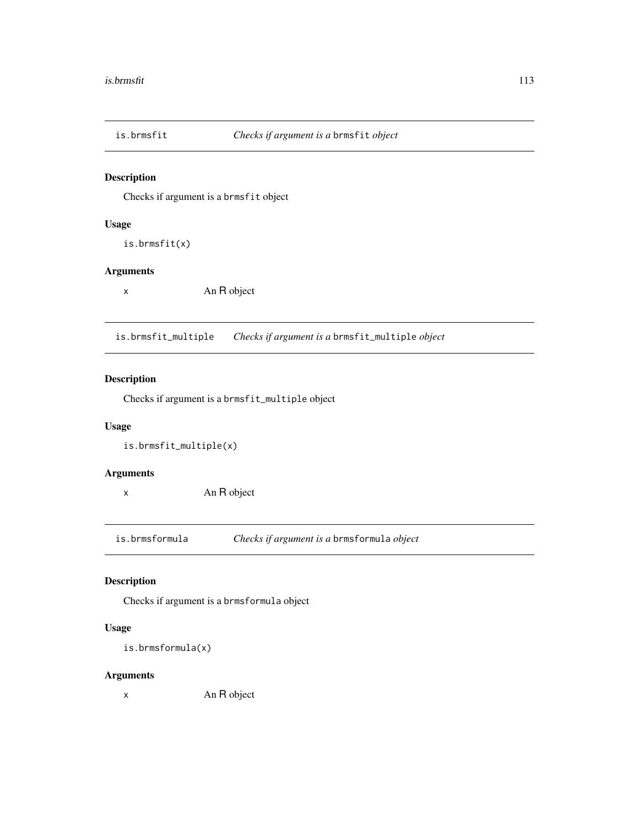Checks if argument is a brmsfit object

## Usage

is.brmsfit(x)

#### Arguments

x An R object

is.brmsfit\_multiple *Checks if argument is a* brmsfit\_multiple *object*

# Description

Checks if argument is a brmsfit\_multiple object

## Usage

is.brmsfit\_multiple(x)

## Arguments

x An R object

is.brmsformula *Checks if argument is a* brmsformula *object*

## Description

Checks if argument is a brmsformula object

## Usage

```
is.brmsformula(x)
```
## Arguments

x An R object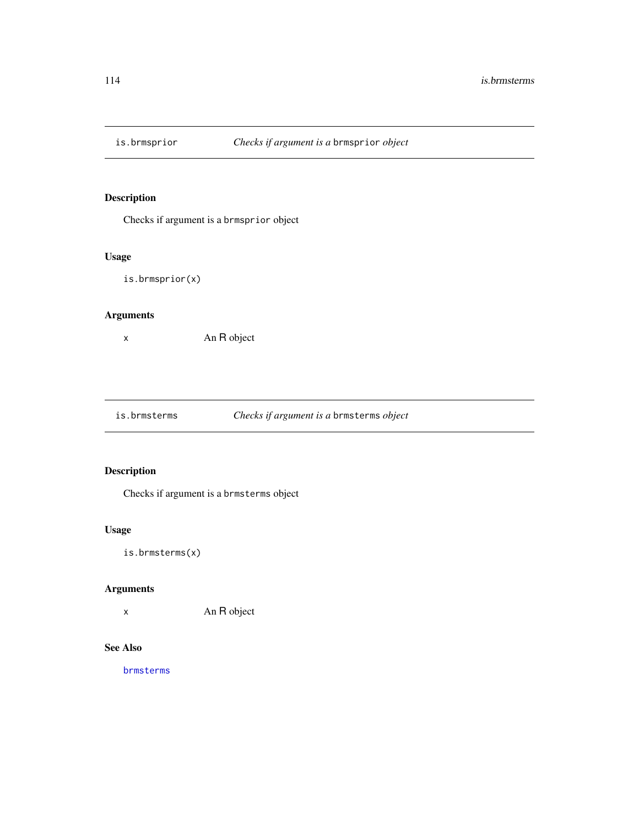Checks if argument is a brmsprior object

## Usage

is.brmsprior(x)

## Arguments

x An R object

is.brmsterms *Checks if argument is a* brmsterms *object*

# Description

Checks if argument is a brmsterms object

# Usage

is.brmsterms(x)

## Arguments

x An R object

# See Also

[brmsterms](#page-51-0)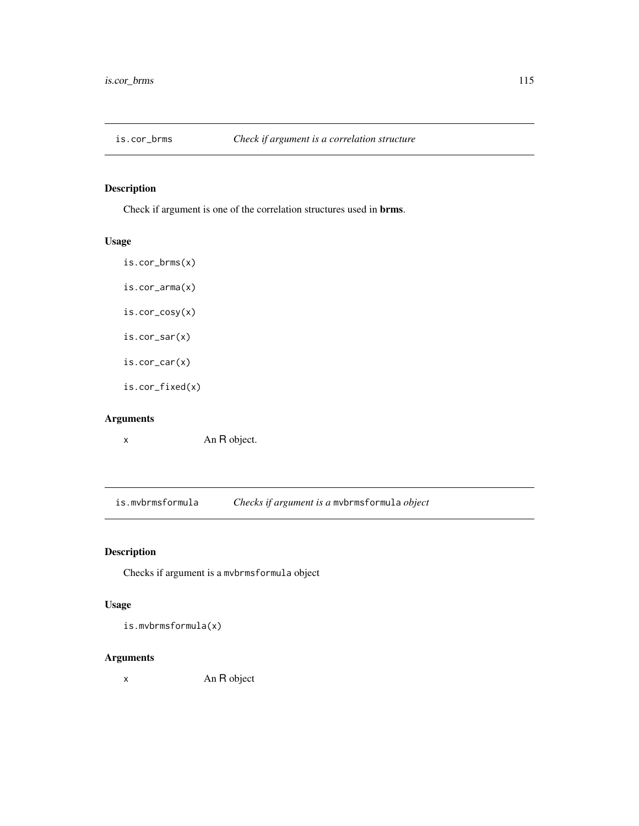Check if argument is one of the correlation structures used in brms.

# Usage

- is.cor\_brms(x) is.cor\_arma(x) is.cor\_cosy(x)
- is.cor\_sar(x)

is.cor\_car(x)

is.cor\_fixed(x)

# Arguments

x An R object.

is.mvbrmsformula *Checks if argument is a* mvbrmsformula *object*

# Description

Checks if argument is a mvbrmsformula object

## Usage

is.mvbrmsformula(x)

#### Arguments

x An R object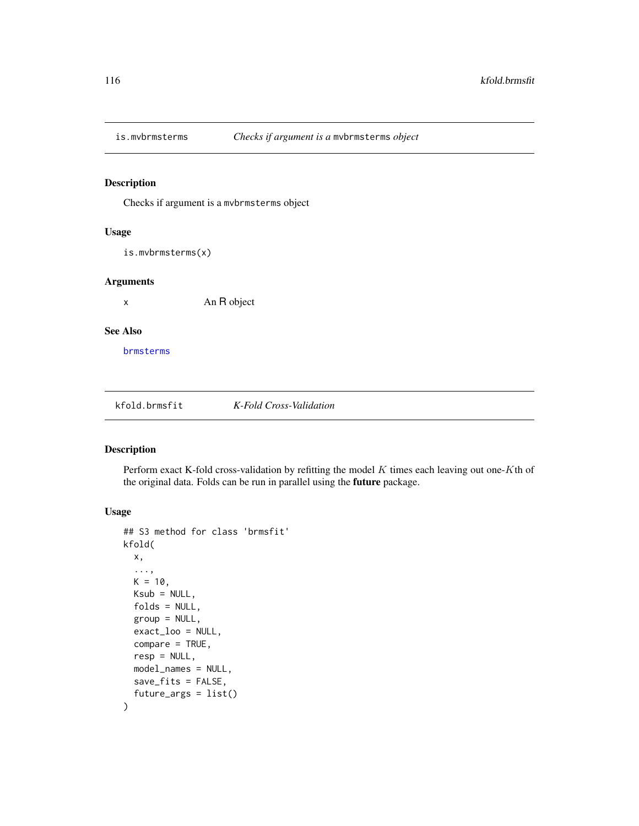Checks if argument is a mvbrmsterms object

## Usage

is.mvbrmsterms(x)

### Arguments

x An R object

## See Also

[brmsterms](#page-51-0)

kfold.brmsfit *K-Fold Cross-Validation*

## <span id="page-115-0"></span>Description

Perform exact K-fold cross-validation by refitting the model  $K$  times each leaving out one-Kth of the original data. Folds can be run in parallel using the future package.

## Usage

```
## S3 method for class 'brmsfit'
kfold(
 x,
  ...,
 K = 10,
 Ksub = NULL,folds = NULL,
  group = NULL,exact_loo = NULL,
  compare = TRUE,resp = NULL,model_names = NULL,
  save_fits = FALSE,
  future_args = list()
\mathcal{E}
```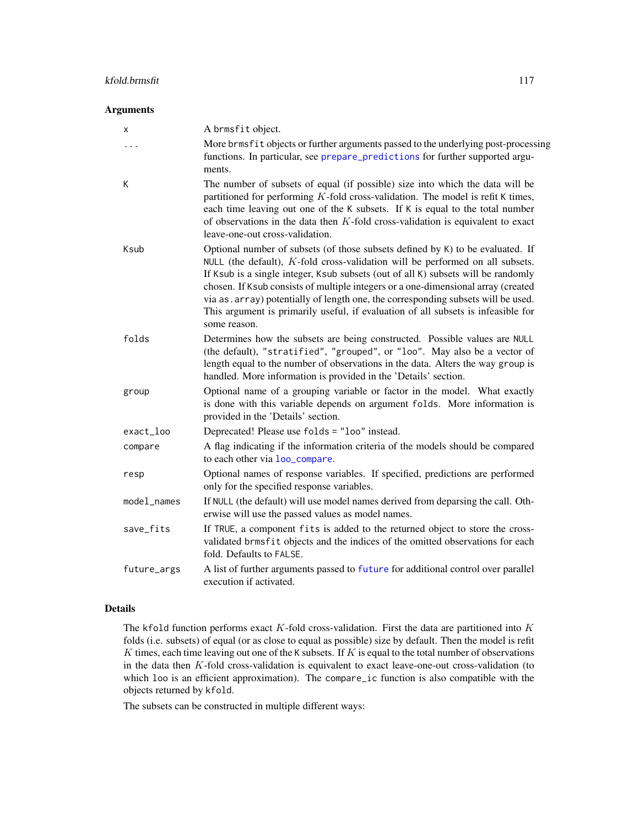## kfold.brmsfit 117

#### Arguments

| х           | A brmsfit object.                                                                                                                                                                                                                                                                                                                                                                                                                                                                                                                      |
|-------------|----------------------------------------------------------------------------------------------------------------------------------------------------------------------------------------------------------------------------------------------------------------------------------------------------------------------------------------------------------------------------------------------------------------------------------------------------------------------------------------------------------------------------------------|
| $\cdots$    | More brmsfit objects or further arguments passed to the underlying post-processing<br>functions. In particular, see prepare_predictions for further supported argu-<br>ments.                                                                                                                                                                                                                                                                                                                                                          |
| К           | The number of subsets of equal (if possible) size into which the data will be<br>partitioned for performing $K$ -fold cross-validation. The model is refit K times,<br>each time leaving out one of the K subsets. If K is equal to the total number<br>of observations in the data then $K$ -fold cross-validation is equivalent to exact<br>leave-one-out cross-validation.                                                                                                                                                          |
| Ksub        | Optional number of subsets (of those subsets defined by K) to be evaluated. If<br>NULL (the default), $K$ -fold cross-validation will be performed on all subsets.<br>If Ksub is a single integer, Ksub subsets (out of all K) subsets will be randomly<br>chosen. If Ksub consists of multiple integers or a one-dimensional array (created<br>via as. array) potentially of length one, the corresponding subsets will be used.<br>This argument is primarily useful, if evaluation of all subsets is infeasible for<br>some reason. |
| folds       | Determines how the subsets are being constructed. Possible values are NULL<br>(the default), "stratified", "grouped", or "loo". May also be a vector of<br>length equal to the number of observations in the data. Alters the way group is<br>handled. More information is provided in the 'Details' section.                                                                                                                                                                                                                          |
| group       | Optional name of a grouping variable or factor in the model. What exactly<br>is done with this variable depends on argument folds. More information is<br>provided in the 'Details' section.                                                                                                                                                                                                                                                                                                                                           |
| exact_loo   | Deprecated! Please use folds = "loo" instead.                                                                                                                                                                                                                                                                                                                                                                                                                                                                                          |
| compare     | A flag indicating if the information criteria of the models should be compared<br>to each other via loo_compare.                                                                                                                                                                                                                                                                                                                                                                                                                       |
| resp        | Optional names of response variables. If specified, predictions are performed<br>only for the specified response variables.                                                                                                                                                                                                                                                                                                                                                                                                            |
| model_names | If NULL (the default) will use model names derived from deparsing the call. Oth-<br>erwise will use the passed values as model names.                                                                                                                                                                                                                                                                                                                                                                                                  |
| save_fits   | If TRUE, a component fits is added to the returned object to store the cross-<br>validated brmsfit objects and the indices of the omitted observations for each<br>fold. Defaults to FALSE.                                                                                                                                                                                                                                                                                                                                            |
| future_args | A list of further arguments passed to future for additional control over parallel<br>execution if activated.                                                                                                                                                                                                                                                                                                                                                                                                                           |

## Details

The kfold function performs exact  $K$ -fold cross-validation. First the data are partitioned into  $K$ folds (i.e. subsets) of equal (or as close to equal as possible) size by default. Then the model is refit  $K$  times, each time leaving out one of the K subsets. If  $K$  is equal to the total number of observations in the data then K-fold cross-validation is equivalent to exact leave-one-out cross-validation (to which loo is an efficient approximation). The compare\_ic function is also compatible with the objects returned by kfold.

The subsets can be constructed in multiple different ways: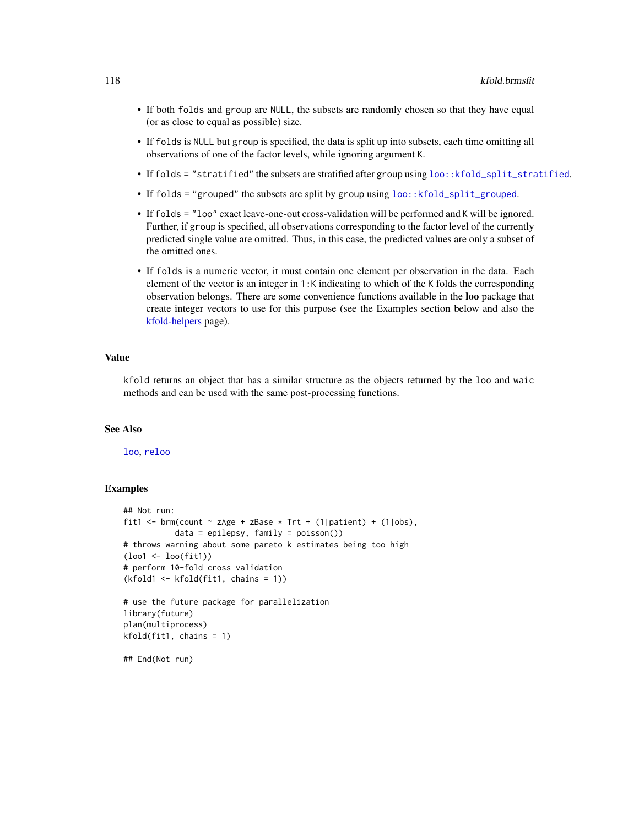- If both folds and group are NULL, the subsets are randomly chosen so that they have equal (or as close to equal as possible) size.
- If folds is NULL but group is specified, the data is split up into subsets, each time omitting all observations of one of the factor levels, while ignoring argument K.
- If folds = "stratified" the subsets are stratified after group using loo:: kfold\_split\_stratified.
- If folds = "grouped" the subsets are split by group using [loo::kfold\\_split\\_grouped](#page-0-0).
- If folds = "loo" exact leave-one-out cross-validation will be performed and K will be ignored. Further, if group is specified, all observations corresponding to the factor level of the currently predicted single value are omitted. Thus, in this case, the predicted values are only a subset of the omitted ones.
- If folds is a numeric vector, it must contain one element per observation in the data. Each element of the vector is an integer in 1:K indicating to which of the K folds the corresponding observation belongs. There are some convenience functions available in the loo package that create integer vectors to use for this purpose (see the Examples section below and also the [kfold-helpers](#page-0-0) page).

#### Value

kfold returns an object that has a similar structure as the objects returned by the loo and waic methods and can be used with the same post-processing functions.

#### See Also

[loo](#page-125-0), [reloo](#page-194-0)

```
## Not run:
fit1 <- brm(count \sim zAge + zBase * Trt + (1|patient) + (1|obs),
           data = epilepsy, family = poisson())
# throws warning about some pareto k estimates being too high
(loo1 <- loo(fit1))
# perform 10-fold cross validation
(kfold1 <- kfold(fit1, chains = 1))
# use the future package for parallelization
library(future)
plan(multiprocess)
kfold(fit1, chains = 1)
## End(Not run)
```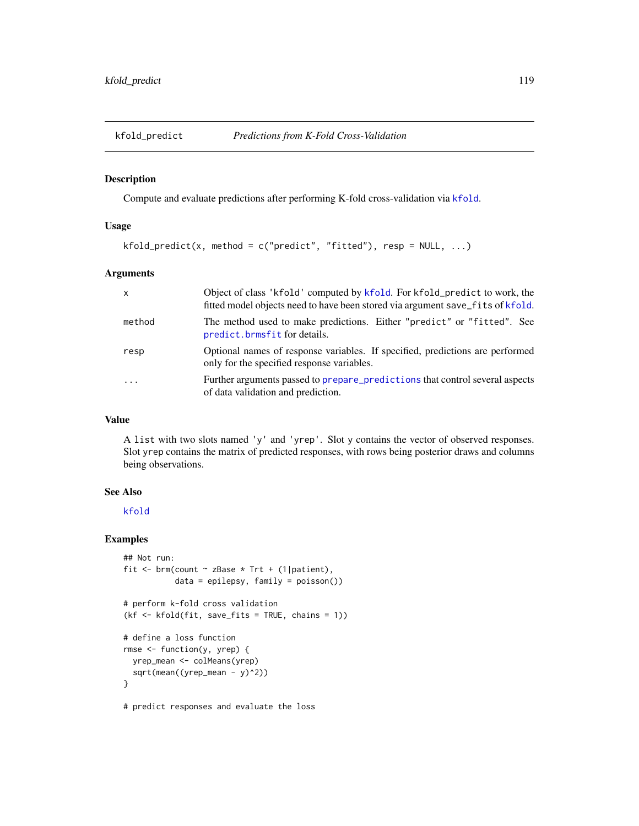Compute and evaluate predictions after performing K-fold cross-validation via [kfold](#page-115-0).

#### Usage

```
kfold\_predict(x, method = c("predict", "fitted"), resp = NULL, ...)
```
#### Arguments

| $\mathsf{x}$ | Object of class 'kfold' computed by kfold. For kfold_predict to work, the<br>fitted model objects need to have been stored via argument save_fits of kfold. |
|--------------|-------------------------------------------------------------------------------------------------------------------------------------------------------------|
| method       | The method used to make predictions. Either "predict" or "fitted". See<br>predict.brmsfit for details.                                                      |
| resp         | Optional names of response variables. If specified, predictions are performed<br>only for the specified response variables.                                 |
| $\cdots$     | Further arguments passed to prepare_predictions that control several aspects<br>of data validation and prediction.                                          |

## Value

A list with two slots named 'y' and 'yrep'. Slot y contains the vector of observed responses. Slot yrep contains the matrix of predicted responses, with rows being posterior draws and columns being observations.

## See Also

[kfold](#page-115-0)

```
## Not run:
fit \le brm(count \sim zBase \star Trt + (1|patient),
           data = epilepsy, family = poisson())
# perform k-fold cross validation
(kf <- kfold(fit, save_fits = TRUE, chains = 1))
# define a loss function
rmse <- function(y, yrep) {
 yrep_mean <- colMeans(yrep)
 sqrt(mean((yrep_mean - y)^2))
}
# predict responses and evaluate the loss
```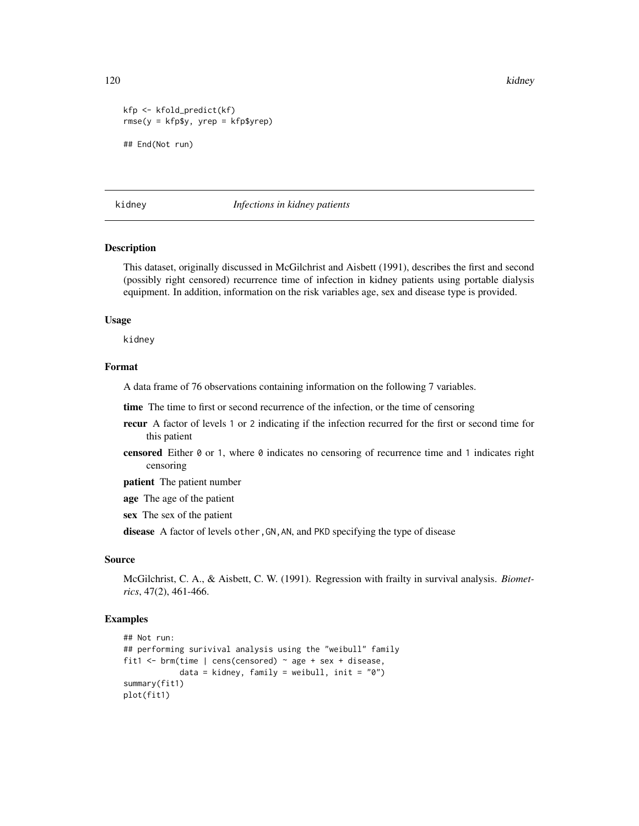120 kidney katalog as a strong strong strong strong strong strong strong strong strong strong strong strong strong strong strong strong strong strong strong strong strong strong strong strong strong strong strong strong st

```
kfp <- kfold_predict(kf)
rmse(y = kfp$y, yrep = kfp$yrep)
## End(Not run)
```
#### kidney *Infections in kidney patients*

## **Description**

This dataset, originally discussed in McGilchrist and Aisbett (1991), describes the first and second (possibly right censored) recurrence time of infection in kidney patients using portable dialysis equipment. In addition, information on the risk variables age, sex and disease type is provided.

#### Usage

kidney

## Format

A data frame of 76 observations containing information on the following 7 variables.

time The time to first or second recurrence of the infection, or the time of censoring

- recur A factor of levels 1 or 2 indicating if the infection recurred for the first or second time for this patient
- censored Either 0 or 1, where 0 indicates no censoring of recurrence time and 1 indicates right censoring

patient The patient number

age The age of the patient

sex The sex of the patient

disease A factor of levels other, GN, AN, and PKD specifying the type of disease

#### Source

McGilchrist, C. A., & Aisbett, C. W. (1991). Regression with frailty in survival analysis. *Biometrics*, 47(2), 461-466.

```
## Not run:
## performing surivival analysis using the "weibull" family
fit1 <- brm(time | cens(censored) ~ age + sex + disease,
            data = kidney, family = weibull, init = "0")
summary(fit1)
plot(fit1)
```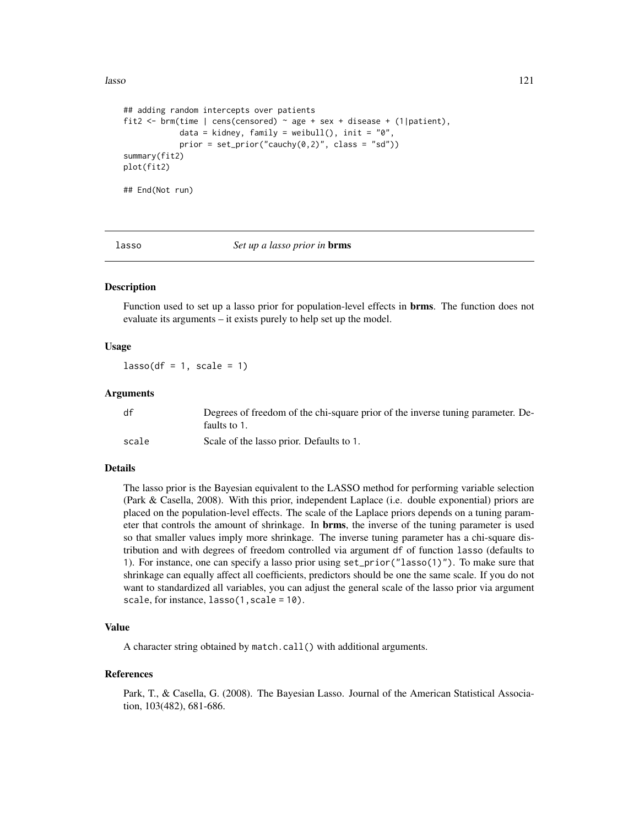```
## adding random intercepts over patients
fit2 <- brm(time | cens(censored) ~ age + sex + disease + (1|patient),
            data = kidney, family = weibull(), init = "0",prior = set\_prior("cauchy(0,2)", class = "sd"))summary(fit2)
plot(fit2)
## End(Not run)
```
lasso *Set up a lasso prior in* brms

## Description

Function used to set up a lasso prior for population-level effects in brms. The function does not evaluate its arguments – it exists purely to help set up the model.

#### Usage

 $lasso(df = 1, scale = 1)$ 

#### Arguments

| df    | Degrees of freedom of the chi-square prior of the inverse tuning parameter. De- |
|-------|---------------------------------------------------------------------------------|
|       | faults to 1.                                                                    |
| scale | Scale of the lasso prior. Defaults to 1.                                        |

#### Details

The lasso prior is the Bayesian equivalent to the LASSO method for performing variable selection (Park & Casella, 2008). With this prior, independent Laplace (i.e. double exponential) priors are placed on the population-level effects. The scale of the Laplace priors depends on a tuning parameter that controls the amount of shrinkage. In **brms**, the inverse of the tuning parameter is used so that smaller values imply more shrinkage. The inverse tuning parameter has a chi-square distribution and with degrees of freedom controlled via argument df of function lasso (defaults to 1). For instance, one can specify a lasso prior using set\_prior("lasso(1)"). To make sure that shrinkage can equally affect all coefficients, predictors should be one the same scale. If you do not want to standardized all variables, you can adjust the general scale of the lasso prior via argument scale, for instance, lasso(1, scale = 10).

#### Value

A character string obtained by match.call() with additional arguments.

#### References

Park, T., & Casella, G. (2008). The Bayesian Lasso. Journal of the American Statistical Association, 103(482), 681-686.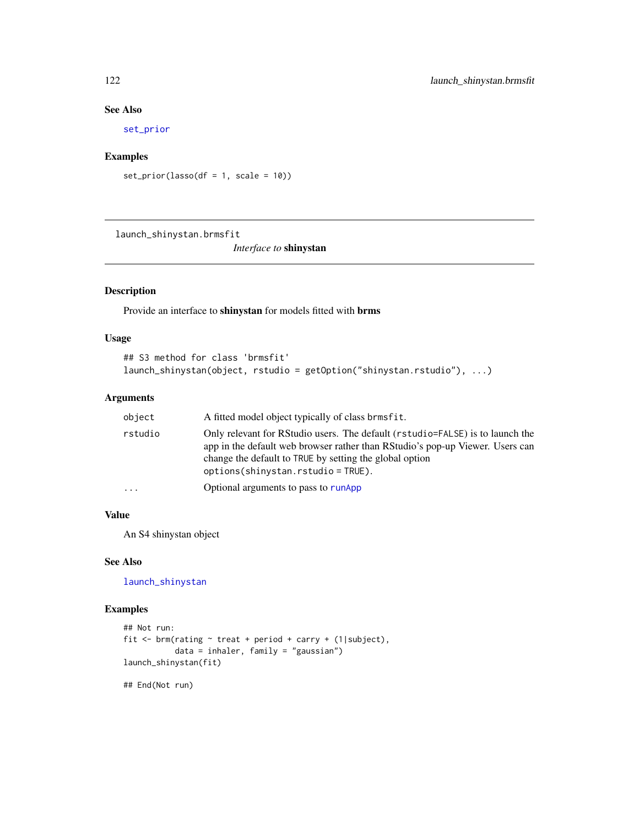## See Also

[set\\_prior](#page-203-0)

## Examples

```
set\_prior(lasso(df = 1, scale = 10))
```
launch\_shinystan.brmsfit

*Interface to* shinystan

# <span id="page-121-0"></span>Description

Provide an interface to shinystan for models fitted with brms

## Usage

```
## S3 method for class 'brmsfit'
launch_shinystan(object, rstudio = getOption("shinystan.rstudio"), ...)
```
## Arguments

| object   | A fitted model object typically of class brmsfit.                                                                                                                                                                                                                 |
|----------|-------------------------------------------------------------------------------------------------------------------------------------------------------------------------------------------------------------------------------------------------------------------|
| rstudio  | Only relevant for RStudio users. The default (rstudio=FALSE) is to launch the<br>app in the default web browser rather than RStudio's pop-up Viewer. Users can<br>change the default to TRUE by setting the global option<br>$options(shinystan.rstudio = TRUE).$ |
| $\cdots$ | Optional arguments to pass to runApp                                                                                                                                                                                                                              |

## Value

An S4 shinystan object

## See Also

[launch\\_shinystan](#page-121-0)

```
## Not run:
fit <- brm(rating ~ treat + period + carry + (1|subject),
          data = inhaler, family = "gaussian")
launch_shinystan(fit)
## End(Not run)
```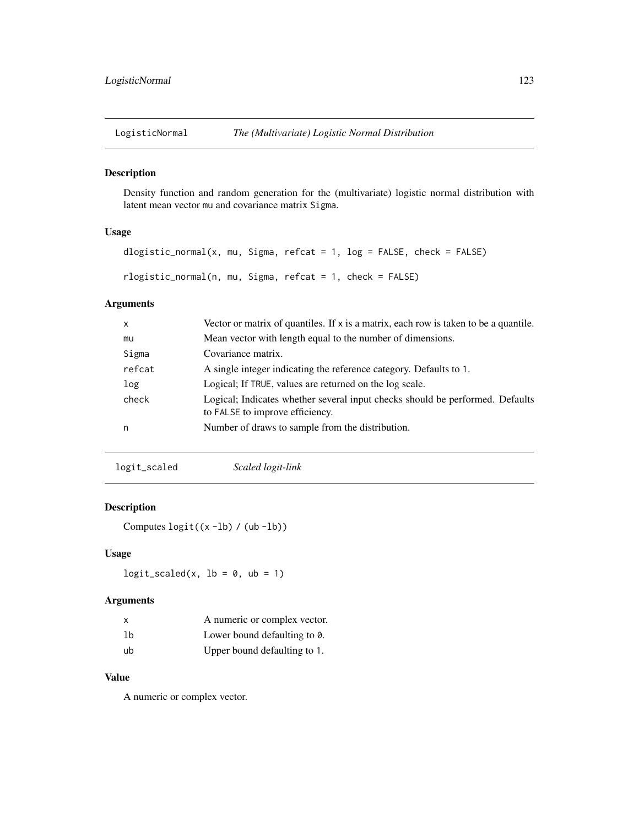Density function and random generation for the (multivariate) logistic normal distribution with latent mean vector mu and covariance matrix Sigma.

## Usage

```
dlogistic_normal(x, mu, Sigma, refcat = 1, log = FALSE, check = FALSE)
rlogistic_normal(n, mu, Sigma, refcat = 1, check = FALSE)
```
## Arguments

| x      | Vector or matrix of quantiles. If $x$ is a matrix, each row is taken to be a quantile.                           |
|--------|------------------------------------------------------------------------------------------------------------------|
| mu     | Mean vector with length equal to the number of dimensions.                                                       |
| Sigma  | Covariance matrix.                                                                                               |
| refcat | A single integer indicating the reference category. Defaults to 1.                                               |
| log    | Logical; If TRUE, values are returned on the log scale.                                                          |
| check  | Logical; Indicates whether several input checks should be performed. Defaults<br>to FALSE to improve efficiency. |
| n      | Number of draws to sample from the distribution.                                                                 |
|        |                                                                                                                  |

logit\_scaled *Scaled logit-link*

## Description

Computes logit((x -lb) / (ub -lb))

## Usage

 $logit\_scaled(x, lb = 0, ub = 1)$ 

## Arguments

| x              | A numeric or complex vector. |
|----------------|------------------------------|
| 1 <sub>b</sub> | Lower bound defaulting to 0. |
| ub             | Upper bound defaulting to 1. |

## Value

A numeric or complex vector.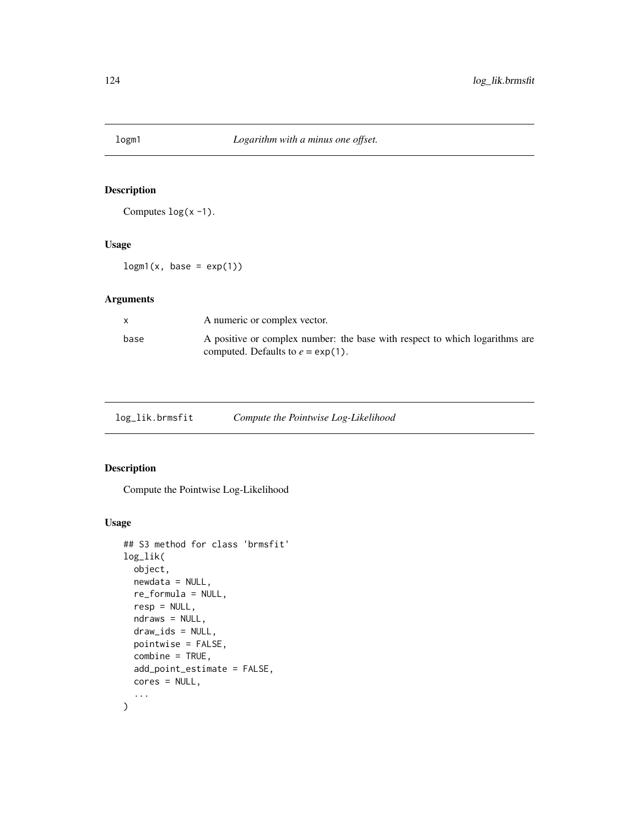Computes  $log(x - 1)$ .

#### Usage

 $log<sub>m1</sub>(x, base = exp(1))$ 

# Arguments

| X    | A numeric or complex vector.                                                                                         |
|------|----------------------------------------------------------------------------------------------------------------------|
| base | A positive or complex number: the base with respect to which logarithms are<br>computed. Defaults to $e = \exp(1)$ . |

| log_lik.brmsfit |  | Compute the Pointwise Log-Likelihood |
|-----------------|--|--------------------------------------|
|                 |  |                                      |

## <span id="page-123-0"></span>Description

Compute the Pointwise Log-Likelihood

## Usage

```
## S3 method for class 'brmsfit'
log_lik(
 object,
 newdata = NULL,
  re_formula = NULL,
  resp = NULL,
 ndraws = NULL,
 draw_ids = NULL,
 pointwise = FALSE,
  combine = TRUE,
  add_point_estimate = FALSE,
 cores = NULL,
  ...
\mathcal{L}
```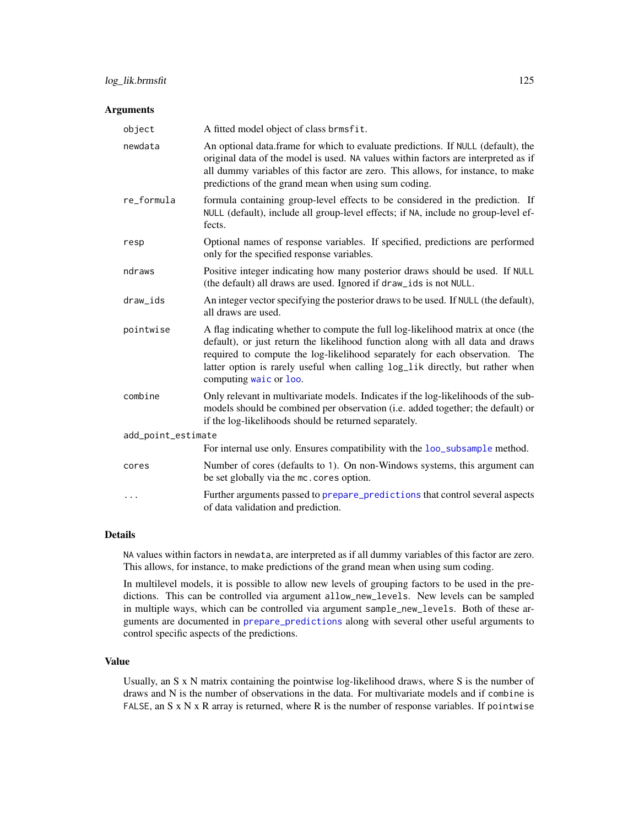## Arguments

| object             | A fitted model object of class brmsfit.                                                                                                                                                                                                                                                                                                                      |
|--------------------|--------------------------------------------------------------------------------------------------------------------------------------------------------------------------------------------------------------------------------------------------------------------------------------------------------------------------------------------------------------|
| newdata            | An optional data.frame for which to evaluate predictions. If NULL (default), the<br>original data of the model is used. NA values within factors are interpreted as if<br>all dummy variables of this factor are zero. This allows, for instance, to make<br>predictions of the grand mean when using sum coding.                                            |
| re_formula         | formula containing group-level effects to be considered in the prediction. If<br>NULL (default), include all group-level effects; if NA, include no group-level ef-<br>fects.                                                                                                                                                                                |
| resp               | Optional names of response variables. If specified, predictions are performed<br>only for the specified response variables.                                                                                                                                                                                                                                  |
| ndraws             | Positive integer indicating how many posterior draws should be used. If NULL<br>(the default) all draws are used. Ignored if draw_ids is not NULL.                                                                                                                                                                                                           |
| draw_ids           | An integer vector specifying the posterior draws to be used. If NULL (the default),<br>all draws are used.                                                                                                                                                                                                                                                   |
| pointwise          | A flag indicating whether to compute the full log-likelihood matrix at once (the<br>default), or just return the likelihood function along with all data and draws<br>required to compute the log-likelihood separately for each observation. The<br>latter option is rarely useful when calling log_lik directly, but rather when<br>computing waic or loo. |
| combine            | Only relevant in multivariate models. Indicates if the log-likelihoods of the sub-<br>models should be combined per observation (i.e. added together; the default) or<br>if the log-likelihoods should be returned separately.                                                                                                                               |
| add_point_estimate |                                                                                                                                                                                                                                                                                                                                                              |
|                    | For internal use only. Ensures compatibility with the loo_subsample method.                                                                                                                                                                                                                                                                                  |
| cores              | Number of cores (defaults to 1). On non-Windows systems, this argument can<br>be set globally via the mc. cores option.                                                                                                                                                                                                                                      |
| $\cdots$           | Further arguments passed to prepare_predictions that control several aspects<br>of data validation and prediction.                                                                                                                                                                                                                                           |

## Details

NA values within factors in newdata, are interpreted as if all dummy variables of this factor are zero. This allows, for instance, to make predictions of the grand mean when using sum coding.

In multilevel models, it is possible to allow new levels of grouping factors to be used in the predictions. This can be controlled via argument allow\_new\_levels. New levels can be sampled in multiple ways, which can be controlled via argument sample\_new\_levels. Both of these arguments are documented in [prepare\\_predictions](#page-186-0) along with several other useful arguments to control specific aspects of the predictions.

## Value

Usually, an S x N matrix containing the pointwise log-likelihood draws, where S is the number of draws and N is the number of observations in the data. For multivariate models and if combine is FALSE, an S x N x R array is returned, where R is the number of response variables. If pointwise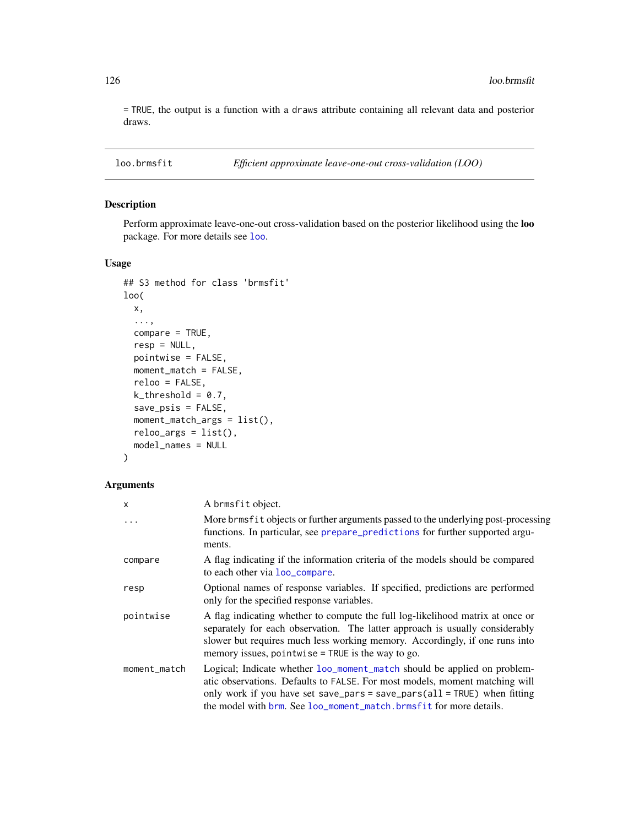= TRUE, the output is a function with a draws attribute containing all relevant data and posterior draws.

loo.brmsfit *Efficient approximate leave-one-out cross-validation (LOO)*

# <span id="page-125-0"></span>Description

Perform approximate leave-one-out cross-validation based on the posterior likelihood using the loo package. For more details see [loo](#page-125-0).

## Usage

```
## S3 method for class 'brmsfit'
loo(
  x,
  ...,
  compare = TRUE,
  resp = NULL,
  pointwise = FALSE,
 moment_match = FALSE,
  reloo = FALSE,
  k_{\text{-}threshold} = 0.7,
  save_psis = FALSE,
 moment_match_args = list(),
  reloo_{args} = list(),
  model_names = NULL
)
```
#### Arguments

| X            | A brmsfit object.                                                                                                                                                                                                                                                                                         |
|--------------|-----------------------------------------------------------------------------------------------------------------------------------------------------------------------------------------------------------------------------------------------------------------------------------------------------------|
| $\cdot$      | More brms fit objects or further arguments passed to the underlying post-processing<br>functions. In particular, see prepare_predictions for further supported argu-<br>ments.                                                                                                                            |
| compare      | A flag indicating if the information criteria of the models should be compared<br>to each other via loo_compare.                                                                                                                                                                                          |
| resp         | Optional names of response variables. If specified, predictions are performed<br>only for the specified response variables.                                                                                                                                                                               |
| pointwise    | A flag indicating whether to compute the full log-likelihood matrix at once or<br>separately for each observation. The latter approach is usually considerably<br>slower but requires much less working memory. Accordingly, if one runs into<br>memory issues, pointwise $=$ TRUE is the way to go.      |
| moment_match | Logical; Indicate whether loo_moment_match should be applied on problem-<br>atic observations. Defaults to FALSE. For most models, moment matching will<br>only work if you have set save_pars = save_pars(all = TRUE) when fitting<br>the model with brm. See loo_moment_match.brmsfit for more details. |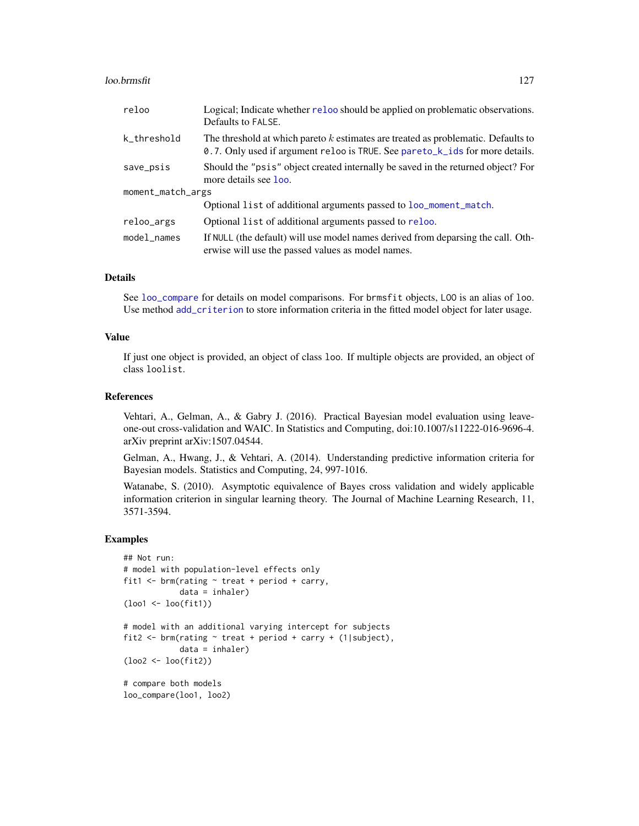#### loo.brmsfit 127

| reloo             | Logical; Indicate whether reloo should be applied on problematic observations.<br>Defaults to FALSE.                                                              |
|-------------------|-------------------------------------------------------------------------------------------------------------------------------------------------------------------|
| k_threshold       | The threshold at which pareto k estimates are treated as problematic. Defaults to<br>0.7. Only used if argument reloo is TRUE. See pareto_k_ids for more details. |
| save_psis         | Should the "psis" object created internally be saved in the returned object? For<br>more details see loo.                                                         |
| moment_match_args |                                                                                                                                                                   |
|                   | Optional list of additional arguments passed to loo_moment_match.                                                                                                 |
| reloo_args        | Optional list of additional arguments passed to reloo.                                                                                                            |
| model_names       | If NULL (the default) will use model names derived from deparsing the call. Oth-<br>erwise will use the passed values as model names.                             |

#### Details

See [loo\\_compare](#page-127-0) for details on model comparisons. For brmsfit objects, LOO is an alias of loo. Use method [add\\_criterion](#page-8-0) to store information criteria in the fitted model object for later usage.

## Value

If just one object is provided, an object of class loo. If multiple objects are provided, an object of class loolist.

## References

Vehtari, A., Gelman, A., & Gabry J. (2016). Practical Bayesian model evaluation using leaveone-out cross-validation and WAIC. In Statistics and Computing, doi:10.1007/s11222-016-9696-4. arXiv preprint arXiv:1507.04544.

Gelman, A., Hwang, J., & Vehtari, A. (2014). Understanding predictive information criteria for Bayesian models. Statistics and Computing, 24, 997-1016.

Watanabe, S. (2010). Asymptotic equivalence of Bayes cross validation and widely applicable information criterion in singular learning theory. The Journal of Machine Learning Research, 11, 3571-3594.

```
## Not run:
# model with population-level effects only
fit1 \le brm(rating \sim treat + period + carry,
            data = inhaler)
(loo1 <- loo(fit1))
# model with an additional varying intercept for subjects
fit2 <- brm(rating \sim treat + period + carry + (1|subject),
            data = inhaler)
(loo2 <- loo(fit2))
# compare both models
loo_compare(loo1, loo2)
```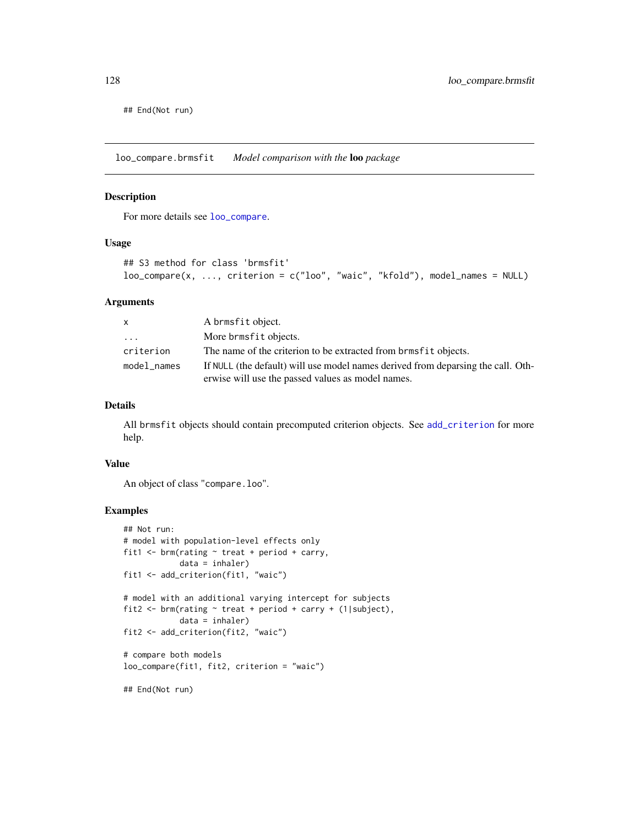## End(Not run)

loo\_compare.brmsfit *Model comparison with the* loo *package*

#### <span id="page-127-0"></span>Description

For more details see [loo\\_compare](#page-127-0).

#### Usage

```
## S3 method for class 'brmsfit'
loo_compare(x, ..., criterion = c("loo", "waic", "kfold"), model_names = NULL)
```
#### Arguments

| X             | A brmsfit object.                                                                |
|---------------|----------------------------------------------------------------------------------|
| .             | More brmsfit objects.                                                            |
| criterion     | The name of the criterion to be extracted from brmsfit objects.                  |
| $model$ names | If NULL (the default) will use model names derived from deparsing the call. Oth- |
|               | erwise will use the passed values as model names.                                |

## Details

All brmsfit objects should contain precomputed criterion objects. See [add\\_criterion](#page-8-0) for more help.

## Value

An object of class "compare.loo".

```
## Not run:
# model with population-level effects only
fit1 \le brm(rating \sim treat + period + carry,
            data = inhaler)
fit1 <- add_criterion(fit1, "waic")
# model with an additional varying intercept for subjects
fit2 <- brm(rating \sim treat + period + carry + (1|subject),
            data = inhaler)
fit2 <- add_criterion(fit2, "waic")
# compare both models
loo_compare(fit1, fit2, criterion = "waic")
## End(Not run)
```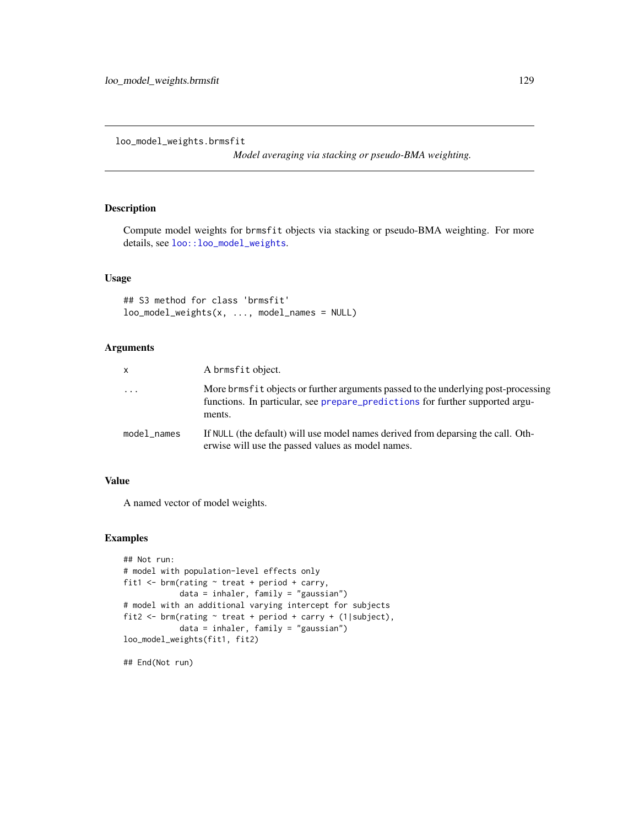loo\_model\_weights.brmsfit

*Model averaging via stacking or pseudo-BMA weighting.*

## Description

Compute model weights for brmsfit objects via stacking or pseudo-BMA weighting. For more details, see [loo::loo\\_model\\_weights](#page-0-0).

#### Usage

## S3 method for class 'brmsfit' loo\_model\_weights(x, ..., model\_names = NULL)

## Arguments

| $\mathsf{x}$ | A brmsfit object.                                                                                                                                                                |
|--------------|----------------------------------------------------------------------------------------------------------------------------------------------------------------------------------|
| $\ddots$     | More brms f i t objects or further arguments passed to the underlying post-processing<br>functions. In particular, see prepare_predictions for further supported argu-<br>ments. |
| model_names  | If NULL (the default) will use model names derived from deparsing the call. Oth-<br>erwise will use the passed values as model names.                                            |

## Value

A named vector of model weights.

## Examples

```
## Not run:
# model with population-level effects only
fit1 <- brm(rating ~ treat + period + carry,
            data = inhaler, family = "gaussian")
# model with an additional varying intercept for subjects
fit2 <- brm(rating ~ treat + period + carry + (1|subject),
            data = inhaler, family = "gaussian")
loo_model_weights(fit1, fit2)
```
## End(Not run)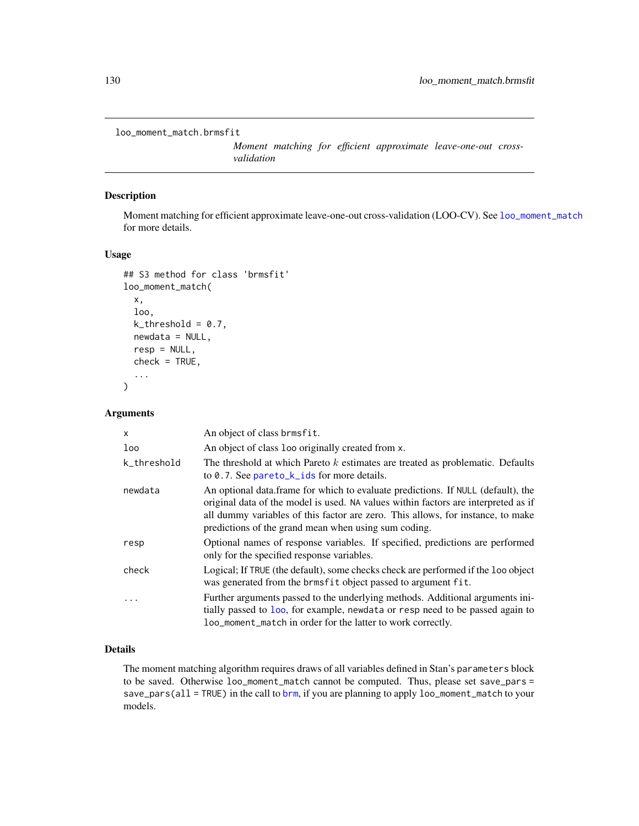```
loo_moment_match.brmsfit
```
*Moment matching for efficient approximate leave-one-out crossvalidation*

## <span id="page-129-0"></span>Description

Moment matching for efficient approximate leave-one-out cross-validation (LOO-CV). See [loo\\_moment\\_match](#page-129-0) for more details.

## Usage

```
## S3 method for class 'brmsfit'
loo_moment_match(
  x,
  loo,
  k_{\text{-}threshold} = 0.7,
  newdata = NULL,
  resp = NULL,check = TRUE,...
)
```
## Arguments

| X           | An object of class brmsfit.                                                                                                                                                                                                                                                                                       |
|-------------|-------------------------------------------------------------------------------------------------------------------------------------------------------------------------------------------------------------------------------------------------------------------------------------------------------------------|
| loo         | An object of class 100 originally created from x.                                                                                                                                                                                                                                                                 |
| k_threshold | The threshold at which Pareto $k$ estimates are treated as problematic. Defaults<br>to $0.7$ . See pareto_k_ids for more details.                                                                                                                                                                                 |
| newdata     | An optional data.frame for which to evaluate predictions. If NULL (default), the<br>original data of the model is used. NA values within factors are interpreted as if<br>all dummy variables of this factor are zero. This allows, for instance, to make<br>predictions of the grand mean when using sum coding. |
| resp        | Optional names of response variables. If specified, predictions are performed<br>only for the specified response variables.                                                                                                                                                                                       |
| check       | Logical; If TRUE (the default), some checks check are performed if the loo object<br>was generated from the brmsfit object passed to argument fit.                                                                                                                                                                |
|             | Further arguments passed to the underlying methods. Additional arguments in-<br>tially passed to loo, for example, newdata or resp need to be passed again to<br>loo_moment_match in order for the latter to work correctly.                                                                                      |

# Details

The moment matching algorithm requires draws of all variables defined in Stan's parameters block to be saved. Otherwise loo\_moment\_match cannot be computed. Thus, please set save\_pars = save\_pars(all = TRUE) in the call to [brm](#page-22-0), if you are planning to apply loo\_moment\_match to your models.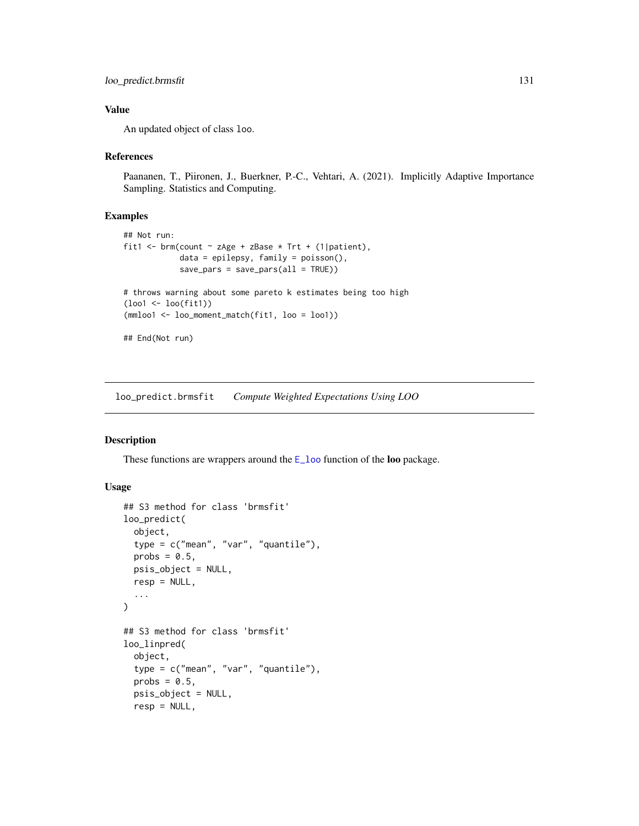## loo\_predict.brmsfit 131

## Value

An updated object of class loo.

#### References

Paananen, T., Piironen, J., Buerkner, P.-C., Vehtari, A. (2021). Implicitly Adaptive Importance Sampling. Statistics and Computing.

## Examples

```
## Not run:
fit1 <- brm(count \sim zAge + zBase * Trt + (1|patient),
            data = epilepsy, family = poisson(),
            save\_pars = save\_pars(all = TRUE))# throws warning about some pareto k estimates being too high
(loo1 <- loo(fit1))
(mmloo1 <- loo_moment_match(fit1, loo = loo1))
## End(Not run)
```
loo\_predict.brmsfit *Compute Weighted Expectations Using LOO*

## Description

These functions are wrappers around the  $E_{\text{1}}$  around the loo package.

### Usage

```
## S3 method for class 'brmsfit'
loo_predict(
  object,
  type = c("mean", "var", "quantile"),
  probs = 0.5,
 psis_object = NULL,
  resp = NULL,
  ...
)
## S3 method for class 'brmsfit'
loo_linpred(
  object,
  type = c("mean", "var", "quantile"),
  probs = 0.5,
  psis_object = NULL,
  resp = NULL,
```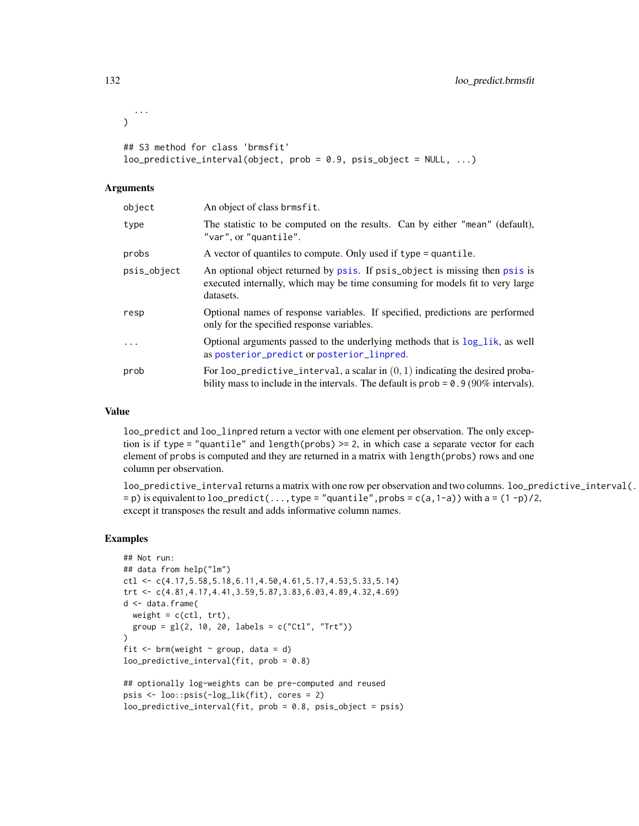```
...
\lambda## S3 method for class 'brmsfit'
loo_predictive_interval(object, prob = 0.9, psis_object = NULL, ...)
```
#### **Arguments**

| object      | An object of class brmsfit.                                                                                                                                               |
|-------------|---------------------------------------------------------------------------------------------------------------------------------------------------------------------------|
| type        | The statistic to be computed on the results. Can by either "mean" (default),<br>"var", or "quantile".                                                                     |
| probs       | A vector of quantiles to compute. Only used if type = quantile.                                                                                                           |
| psis_object | An optional object returned by psis. If psis_object is missing then psis is<br>executed internally, which may be time consuming for models fit to very large<br>datasets. |
| resp        | Optional names of response variables. If specified, predictions are performed<br>only for the specified response variables.                                               |
| $\cdots$    | Optional arguments passed to the underlying methods that is $log\_lik$ , as well<br>as posterior_predict or posterior_linpred.                                            |
| prob        | For loo_predictive_interval, a scalar in $(0, 1)$ indicating the desired proba-<br>bility mass to include in the intervals. The default is $prob = 0.9(90\%$ intervals).  |

#### Value

loo\_predict and loo\_linpred return a vector with one element per observation. The only exception is if type = "quantile" and length(probs)  $> = 2$ , in which case a separate vector for each element of probs is computed and they are returned in a matrix with length(probs) rows and one column per observation.

loo\_predictive\_interval returns a matrix with one row per observation and two columns. loo\_predictive\_interval(.  $=$  p) is equivalent to loo\_predict(..., type = "quantile", probs = c(a, 1-a)) with a = (1-p)/2, except it transposes the result and adds informative column names.

```
## Not run:
## data from help("lm")
ctl <- c(4.17,5.58,5.18,6.11,4.50,4.61,5.17,4.53,5.33,5.14)
trt <- c(4.81,4.17,4.41,3.59,5.87,3.83,6.03,4.89,4.32,4.69)
d <- data.frame(
  weight = c(ct1, trt),
  group = gl(2, 10, 20, labels = c("Ctl", "Trt"))\lambdafit \leq brm(weight \sim group, data = d)
loo_predictive_interval(fit, prob = 0.8)
## optionally log-weights can be pre-computed and reused
psis <- loo::psis(-log_lik(fit), cores = 2)
```

```
loo_predictive_interval(fit, prob = 0.8, psis_object = psis)
```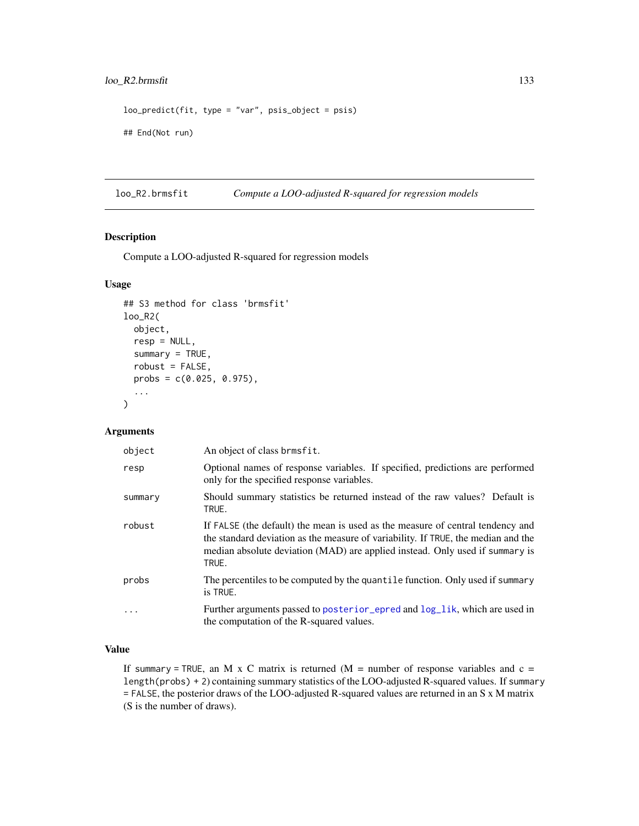## loo\_R2.brmsfit 133

```
loopedict(fit, type = "var", psis\_object = psis)## End(Not run)
```
loo\_R2.brmsfit *Compute a LOO-adjusted R-squared for regression models*

## Description

Compute a LOO-adjusted R-squared for regression models

## Usage

```
## S3 method for class 'brmsfit'
loo_R2(
 object,
  resp = NULL,
  summary = TRUE,
  robust = FALSE,
 probs = c(0.025, 0.975),
  ...
)
```
## Arguments

| object  | An object of class brmsfit.                                                                                                                                                                                                                                  |
|---------|--------------------------------------------------------------------------------------------------------------------------------------------------------------------------------------------------------------------------------------------------------------|
| resp    | Optional names of response variables. If specified, predictions are performed<br>only for the specified response variables.                                                                                                                                  |
| summary | Should summary statistics be returned instead of the raw values? Default is<br>TRUE.                                                                                                                                                                         |
| robust  | If FALSE (the default) the mean is used as the measure of central tendency and<br>the standard deviation as the measure of variability. If TRUE, the median and the<br>median absolute deviation (MAD) are applied instead. Only used if summary is<br>TRUE. |
| probs   | The percentiles to be computed by the quantile function. Only used if summary<br>is TRUE.                                                                                                                                                                    |
|         | Further arguments passed to posterior epred and $log$ lik, which are used in<br>the computation of the R-squared values.                                                                                                                                     |

# Value

If summary = TRUE, an M x C matrix is returned  $(M =$  number of response variables and  $c =$ length(probs) + 2) containing summary statistics of the LOO-adjusted R-squared values. If summary = FALSE, the posterior draws of the LOO-adjusted R-squared values are returned in an S x M matrix (S is the number of draws).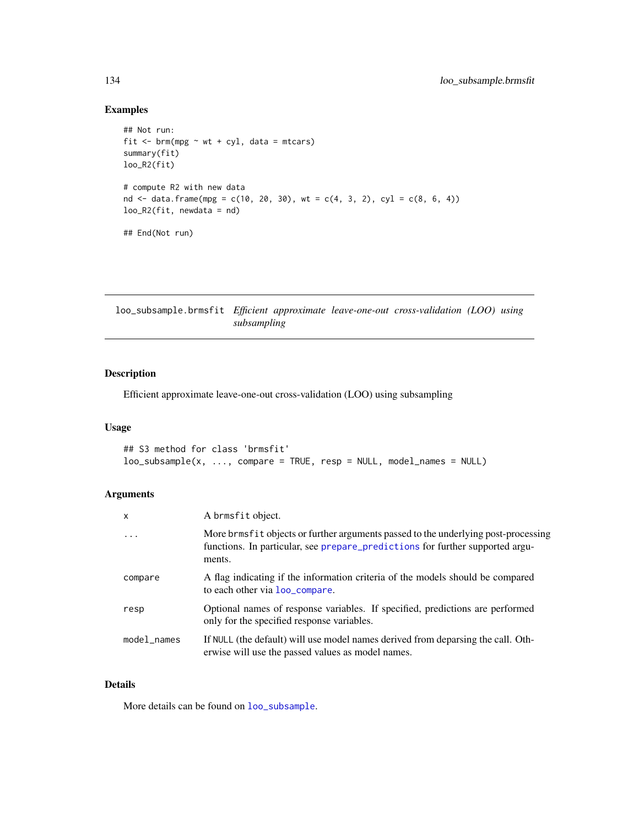## Examples

```
## Not run:
fit \leq brm(mpg \sim wt + cyl, data = mtcars)
summary(fit)
loo_R2(fit)
# compute R2 with new data
nd <- data.frame(mpg = c(10, 20, 30), wt = c(4, 3, 2), cyl = c(8, 6, 4))
loo_R2(fit, newdata = nd)
## End(Not run)
```
loo\_subsample.brmsfit *Efficient approximate leave-one-out cross-validation (LOO) using subsampling*

## <span id="page-133-0"></span>Description

Efficient approximate leave-one-out cross-validation (LOO) using subsampling

## Usage

```
## S3 method for class 'brmsfit'
loo\_subsample(x, ..., compare = TRUE, resp = NULL, model\_names = NULL)
```
## Arguments

| X                 | A brmsfit object.                                                                                                                                                              |
|-------------------|--------------------------------------------------------------------------------------------------------------------------------------------------------------------------------|
| $\cdot\cdot\cdot$ | More brms fit objects or further arguments passed to the underlying post-processing<br>functions. In particular, see prepare_predictions for further supported argu-<br>ments. |
| compare           | A flag indicating if the information criteria of the models should be compared<br>to each other via loo_compare.                                                               |
| resp              | Optional names of response variables. If specified, predictions are performed<br>only for the specified response variables.                                                    |
| model_names       | If NULL (the default) will use model names derived from deparsing the call. Oth-<br>erwise will use the passed values as model names.                                          |

## Details

More details can be found on [loo\\_subsample](#page-133-0).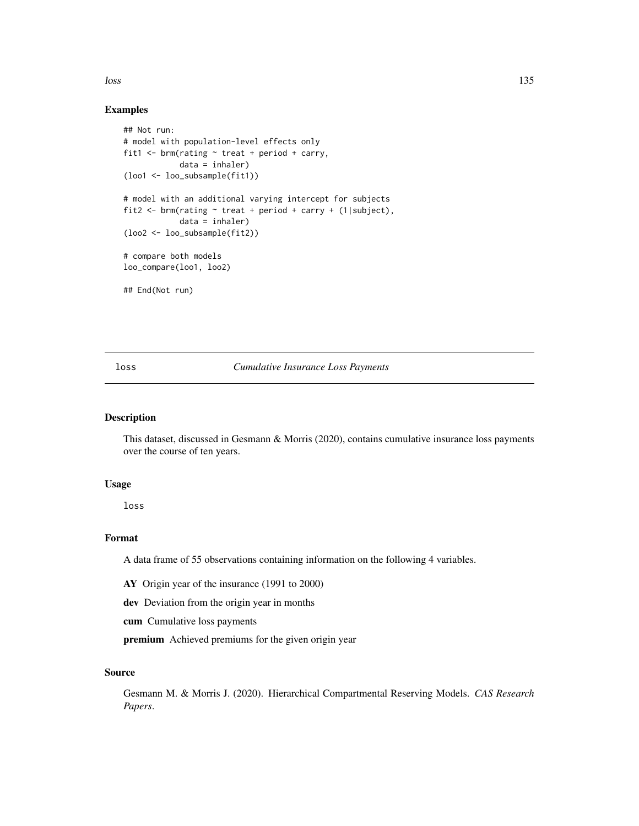loss and the contract of the contract of the contract of the contract of the contract of the contract of the contract of the contract of the contract of the contract of the contract of the contract of the contract of the c

### Examples

```
## Not run:
# model with population-level effects only
fit1 \le brm(rating \sim treat + period + carry,
            data = inhaler)
(loo1 <- loo_subsample(fit1))
# model with an additional varying intercept for subjects
fit2 <- brm(rating ~ treat + period + carry + (1|subject),
            data = inhaler)
(loo2 <- loo_subsample(fit2))
# compare both models
loo_compare(loo1, loo2)
## End(Not run)
```
## loss *Cumulative Insurance Loss Payments*

## Description

This dataset, discussed in Gesmann & Morris (2020), contains cumulative insurance loss payments over the course of ten years.

#### Usage

loss

## Format

A data frame of 55 observations containing information on the following 4 variables.

AY Origin year of the insurance (1991 to 2000)

dev Deviation from the origin year in months

cum Cumulative loss payments

premium Achieved premiums for the given origin year

## Source

Gesmann M. & Morris J. (2020). Hierarchical Compartmental Reserving Models. *CAS Research Papers*.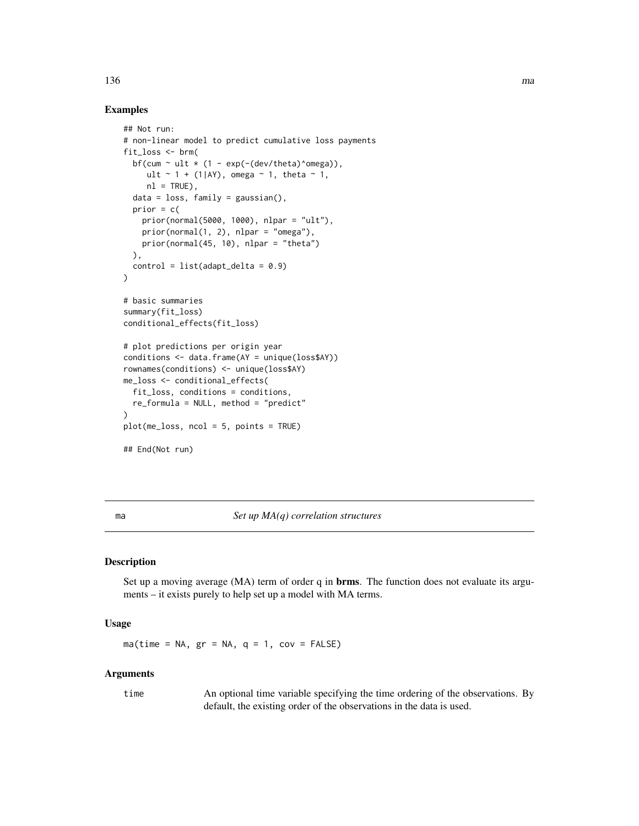## 136 mag

## Examples

```
## Not run:
# non-linear model to predict cumulative loss payments
fit_loss <- brm(
  bf(cum \sim ult \star (1 - exp(-(dev/theta)^omega)),
     ult \sim 1 + (1|AY), omega \sim 1, theta \sim 1,
     nl = TRUE),
  data = loss, family = gaussian(),prior = c(prior(normal(5000, 1000), nlpar = "ult"),
    prior(normal(1, 2), nlpar = "omega"),
    prior(normal(45, 10), nlpar = "theta")
  ),
  control = list(adapt\_delta = 0.9))
# basic summaries
summary(fit_loss)
conditional_effects(fit_loss)
# plot predictions per origin year
conditions <- data.frame(AY = unique(loss$AY))
rownames(conditions) <- unique(loss$AY)
me_loss <- conditional_effects(
  fit_loss, conditions = conditions,
  re_formula = NULL, method = "predict"
)
plot(me_loss, ncol = 5, points = TRUE)
## End(Not run)
```
ma *Set up MA(q) correlation structures*

## Description

Set up a moving average (MA) term of order q in **brms**. The function does not evaluate its arguments – it exists purely to help set up a model with MA terms.

## Usage

 $ma$ (time = NA, gr = NA, q = 1, cov = FALSE)

## Arguments

time An optional time variable specifying the time ordering of the observations. By default, the existing order of the observations in the data is used.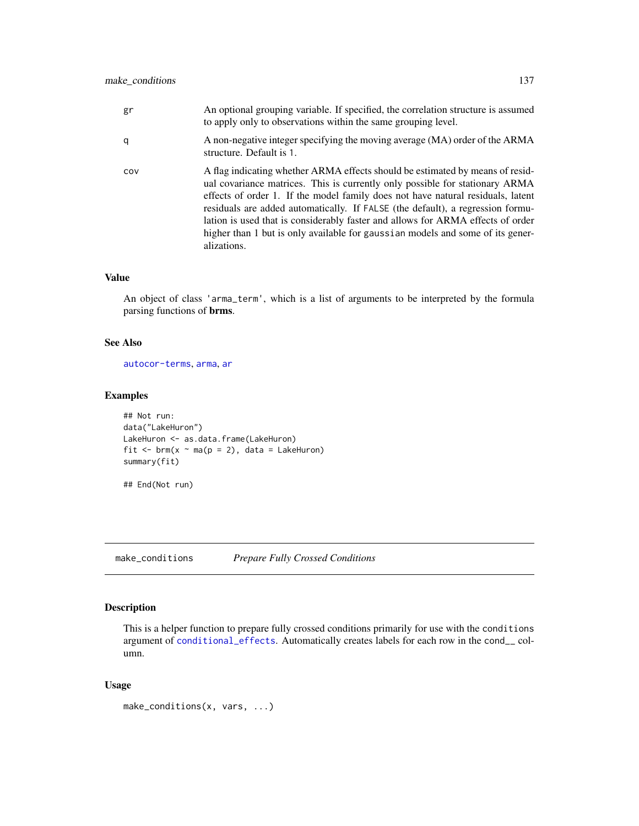| gr  | An optional grouping variable. If specified, the correlation structure is assumed<br>to apply only to observations within the same grouping level.                                                                                                                                                                                                                                                                                                                                                                     |
|-----|------------------------------------------------------------------------------------------------------------------------------------------------------------------------------------------------------------------------------------------------------------------------------------------------------------------------------------------------------------------------------------------------------------------------------------------------------------------------------------------------------------------------|
| q   | A non-negative integer specifying the moving average (MA) order of the ARMA<br>structure. Default is 1.                                                                                                                                                                                                                                                                                                                                                                                                                |
| COV | A flag indicating whether ARMA effects should be estimated by means of resid-<br>ual covariance matrices. This is currently only possible for stationary ARMA<br>effects of order 1. If the model family does not have natural residuals, latent<br>residuals are added automatically. If FALSE (the default), a regression formu-<br>lation is used that is considerably faster and allows for ARMA effects of order<br>higher than 1 but is only available for gaussian models and some of its gener-<br>alizations. |

#### Value

An object of class 'arma\_term', which is a list of arguments to be interpreted by the formula parsing functions of brms.

## See Also

[autocor-terms](#page-16-0), [arma](#page-12-0), [ar](#page-11-0)

## Examples

```
## Not run:
data("LakeHuron")
LakeHuron <- as.data.frame(LakeHuron)
fit \leq brm(x \sim ma(p = 2), data = LakeHuron)
summary(fit)
```
## End(Not run)

make\_conditions *Prepare Fully Crossed Conditions*

## Description

This is a helper function to prepare fully crossed conditions primarily for use with the conditions argument of [conditional\\_effects](#page-60-0). Automatically creates labels for each row in the cond\_\_ column.

## Usage

make\_conditions(x, vars, ...)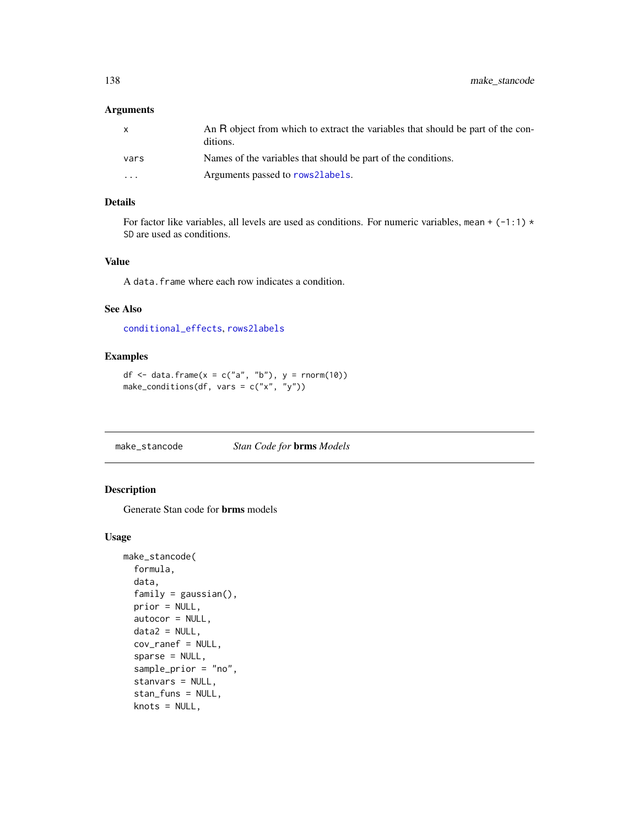## Arguments

| X        | An R object from which to extract the variables that should be part of the con-<br>ditions. |
|----------|---------------------------------------------------------------------------------------------|
| vars     | Names of the variables that should be part of the conditions.                               |
| $\cdots$ | Arguments passed to rows21abe1s.                                                            |

## Details

For factor like variables, all levels are used as conditions. For numeric variables, mean +  $(-1:1)$  \* SD are used as conditions.

### Value

A data.frame where each row indicates a condition.

#### See Also

[conditional\\_effects](#page-60-0), [rows2labels](#page-199-0)

## Examples

```
df \le data.frame(x = c("a", "b"), y = rnorm(10))
make_conditions(df, vars = c("x", "y"))
```
make\_stancode *Stan Code for* brms *Models*

## Description

Generate Stan code for brms models

#### Usage

```
make_stancode(
  formula,
  data,
  family = gaussian(),
 prior = NULL,
  autocor = NULL,
  data2 = NULL,
  cov_ranef = NULL,
  sparse = NULL,
  sample_prior = "no",
  stanvars = NULL,
  stan_funs = NULL,
  knots = NULL,
```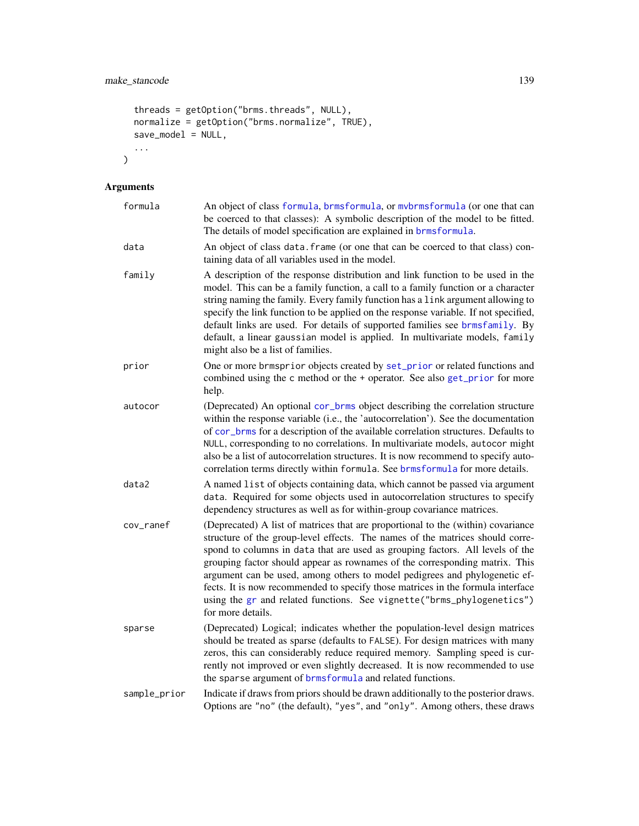```
threads = getOption("brms.threads", NULL),
normalize = getOption("brms.normalize", TRUE),
save_model = NULL,...
```
# Arguments

)

| formula      | An object of class formula, brmsformula, or mvbrmsformula (or one that can<br>be coerced to that classes): A symbolic description of the model to be fitted.<br>The details of model specification are explained in brmsformula.                                                                                                                                                                                                                                                                                                                                                                  |
|--------------|---------------------------------------------------------------------------------------------------------------------------------------------------------------------------------------------------------------------------------------------------------------------------------------------------------------------------------------------------------------------------------------------------------------------------------------------------------------------------------------------------------------------------------------------------------------------------------------------------|
| data         | An object of class data. frame (or one that can be coerced to that class) con-<br>taining data of all variables used in the model.                                                                                                                                                                                                                                                                                                                                                                                                                                                                |
| family       | A description of the response distribution and link function to be used in the<br>model. This can be a family function, a call to a family function or a character<br>string naming the family. Every family function has a link argument allowing to<br>specify the link function to be applied on the response variable. If not specified,<br>default links are used. For details of supported families see brmsfamily. By<br>default, a linear gaussian model is applied. In multivariate models, family<br>might also be a list of families.                                                  |
| prior        | One or more brmsprior objects created by set_prior or related functions and<br>combined using the c method or the + operator. See also get_prior for more<br>help.                                                                                                                                                                                                                                                                                                                                                                                                                                |
| autocor      | (Deprecated) An optional cor_brms object describing the correlation structure<br>within the response variable (i.e., the 'autocorrelation'). See the documentation<br>of cor_brms for a description of the available correlation structures. Defaults to<br>NULL, corresponding to no correlations. In multivariate models, autocor might<br>also be a list of autocorrelation structures. It is now recommend to specify auto-<br>correlation terms directly within formula. See brmsformula for more details.                                                                                   |
| data2        | A named list of objects containing data, which cannot be passed via argument<br>data. Required for some objects used in autocorrelation structures to specify<br>dependency structures as well as for within-group covariance matrices.                                                                                                                                                                                                                                                                                                                                                           |
| cov_ranef    | (Deprecated) A list of matrices that are proportional to the (within) covariance<br>structure of the group-level effects. The names of the matrices should corre-<br>spond to columns in data that are used as grouping factors. All levels of the<br>grouping factor should appear as rownames of the corresponding matrix. This<br>argument can be used, among others to model pedigrees and phylogenetic ef-<br>fects. It is now recommended to specify those matrices in the formula interface<br>using the gr and related functions. See vignette("brms_phylogenetics")<br>for more details. |
| sparse       | (Deprecated) Logical; indicates whether the population-level design matrices<br>should be treated as sparse (defaults to FALSE). For design matrices with many<br>zeros, this can considerably reduce required memory. Sampling speed is cur-<br>rently not improved or even slightly decreased. It is now recommended to use<br>the sparse argument of brmsformula and related functions.                                                                                                                                                                                                        |
| sample_prior | Indicate if draws from priors should be drawn additionally to the posterior draws.<br>Options are "no" (the default), "yes", and "only". Among others, these draws                                                                                                                                                                                                                                                                                                                                                                                                                                |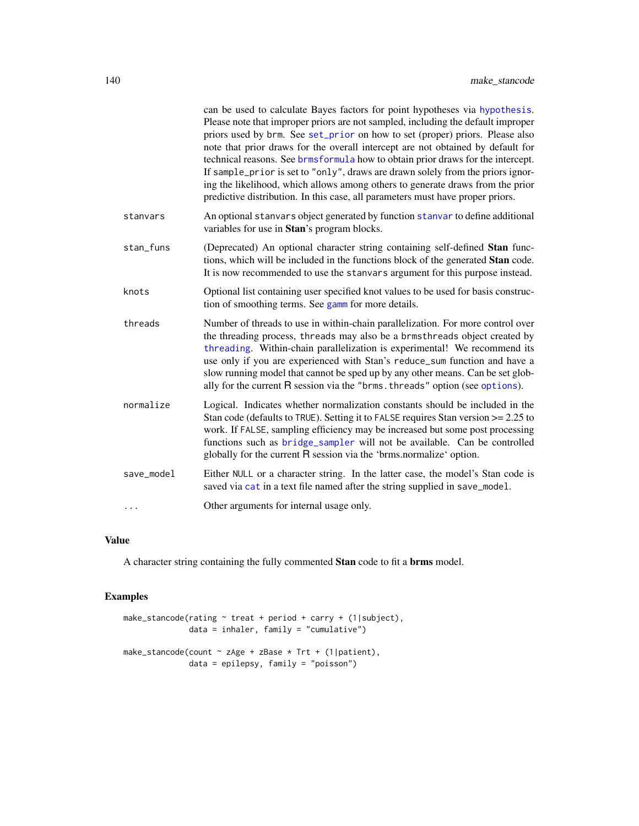|            | can be used to calculate Bayes factors for point hypotheses via hypothesis.<br>Please note that improper priors are not sampled, including the default improper<br>priors used by brm. See set_prior on how to set (proper) priors. Please also<br>note that prior draws for the overall intercept are not obtained by default for<br>technical reasons. See brmsformula how to obtain prior draws for the intercept.<br>If sample_prior is set to "only", draws are drawn solely from the priors ignor-<br>ing the likelihood, which allows among others to generate draws from the prior<br>predictive distribution. In this case, all parameters must have proper priors. |
|------------|------------------------------------------------------------------------------------------------------------------------------------------------------------------------------------------------------------------------------------------------------------------------------------------------------------------------------------------------------------------------------------------------------------------------------------------------------------------------------------------------------------------------------------------------------------------------------------------------------------------------------------------------------------------------------|
| stanvars   | An optional stanvars object generated by function stanvar to define additional<br>variables for use in Stan's program blocks.                                                                                                                                                                                                                                                                                                                                                                                                                                                                                                                                                |
| stan_funs  | (Deprecated) An optional character string containing self-defined Stan func-<br>tions, which will be included in the functions block of the generated Stan code.<br>It is now recommended to use the stanvars argument for this purpose instead.                                                                                                                                                                                                                                                                                                                                                                                                                             |
| knots      | Optional list containing user specified knot values to be used for basis construc-<br>tion of smoothing terms. See gamm for more details.                                                                                                                                                                                                                                                                                                                                                                                                                                                                                                                                    |
| threads    | Number of threads to use in within-chain parallelization. For more control over<br>the threading process, threads may also be a brmsthreads object created by<br>threading. Within-chain parallelization is experimental! We recommend its<br>use only if you are experienced with Stan's reduce_sum function and have a<br>slow running model that cannot be sped up by any other means. Can be set glob-<br>ally for the current R session via the "brms. threads" option (see options).                                                                                                                                                                                   |
| normalize  | Logical. Indicates whether normalization constants should be included in the<br>Stan code (defaults to TRUE). Setting it to FALSE requires Stan version >= 2.25 to<br>work. If FALSE, sampling efficiency may be increased but some post processing<br>functions such as bridge_sampler will not be available. Can be controlled<br>globally for the current R session via the 'brms.normalize' option.                                                                                                                                                                                                                                                                      |
| save_model | Either NULL or a character string. In the latter case, the model's Stan code is<br>saved via cat in a text file named after the string supplied in save_model.                                                                                                                                                                                                                                                                                                                                                                                                                                                                                                               |
| .          | Other arguments for internal usage only.                                                                                                                                                                                                                                                                                                                                                                                                                                                                                                                                                                                                                                     |

# Value

A character string containing the fully commented Stan code to fit a brms model.

```
make_stancode(rating ~ treat + period + carry + (1|subject),
             data = inhaler, family = "cumulative")
make_stancode(count ~ zAge + zBase * Trt + (1|patient),
              data = epilepsy, family = "poisson")
```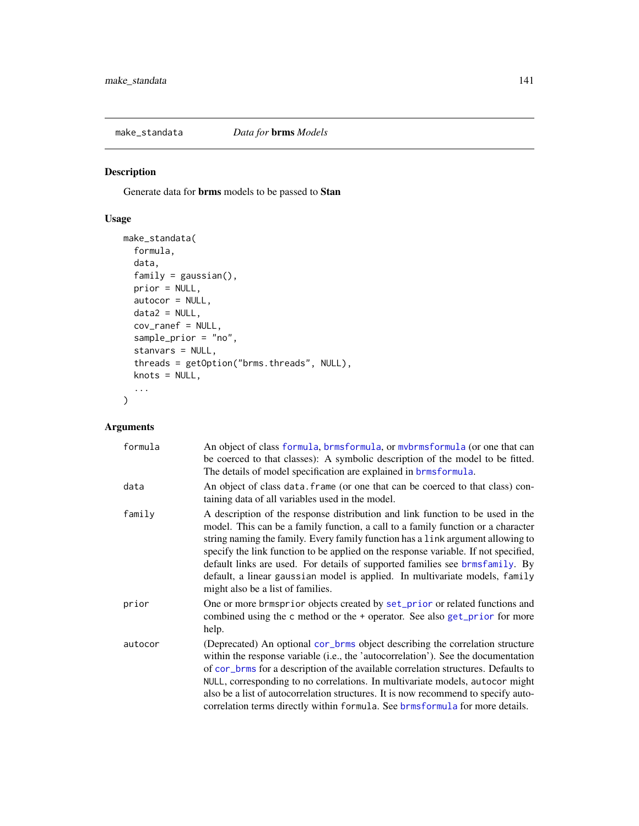Generate data for brms models to be passed to Stan

# Usage

```
make_standata(
  formula,
  data,
  family = gaussian(),prior = NULL,
 autocor = NULL,
 data2 = NULL,cov_ranef = NULL,
  sample_prior = "no",
  stanvars = NULL,
  threads = getOption("brms.threads", NULL),
 knots = NULL,
  ...
\mathcal{L}
```
## Arguments

| formula | An object of class formula, brmsformula, or mybrmsformula (or one that can<br>be coerced to that classes): A symbolic description of the model to be fitted.<br>The details of model specification are explained in <b>brmsformula</b> .                                                                                                                                                                                                                                                                                                         |
|---------|--------------------------------------------------------------------------------------------------------------------------------------------------------------------------------------------------------------------------------------------------------------------------------------------------------------------------------------------------------------------------------------------------------------------------------------------------------------------------------------------------------------------------------------------------|
| data    | An object of class data. frame (or one that can be coerced to that class) con-<br>taining data of all variables used in the model.                                                                                                                                                                                                                                                                                                                                                                                                               |
| family  | A description of the response distribution and link function to be used in the<br>model. This can be a family function, a call to a family function or a character<br>string naming the family. Every family function has a link argument allowing to<br>specify the link function to be applied on the response variable. If not specified,<br>default links are used. For details of supported families see brmsfamily. By<br>default, a linear gaussian model is applied. In multivariate models, family<br>might also be a list of families. |
| prior   | One or more brmsprior objects created by set_prior or related functions and<br>combined using the c method or the + operator. See also get_prior for more<br>help.                                                                                                                                                                                                                                                                                                                                                                               |
| autocor | (Deprecated) An optional cor_brms object describing the correlation structure<br>within the response variable (i.e., the 'autocorrelation'). See the documentation<br>of cor_brms for a description of the available correlation structures. Defaults to<br>NULL, corresponding to no correlations. In multivariate models, autocor might<br>also be a list of autocorrelation structures. It is now recommend to specify auto-<br>correlation terms directly within formula. See brmsformula for more details.                                  |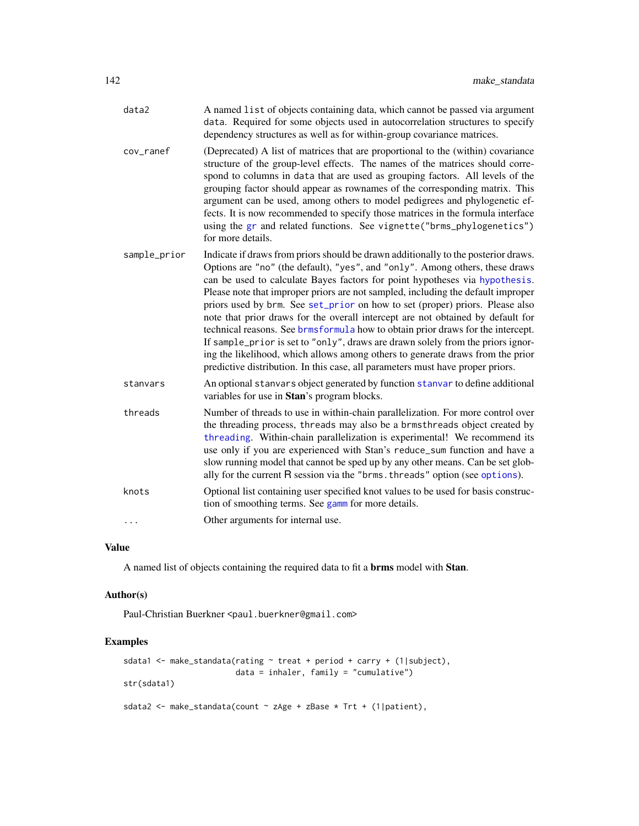| data2        | A named list of objects containing data, which cannot be passed via argument<br>data. Required for some objects used in autocorrelation structures to specify<br>dependency structures as well as for within-group covariance matrices.                                                                                                                                                                                                                                                                                                                                                                                                                                                                                                                                                                                                            |
|--------------|----------------------------------------------------------------------------------------------------------------------------------------------------------------------------------------------------------------------------------------------------------------------------------------------------------------------------------------------------------------------------------------------------------------------------------------------------------------------------------------------------------------------------------------------------------------------------------------------------------------------------------------------------------------------------------------------------------------------------------------------------------------------------------------------------------------------------------------------------|
| cov_ranef    | (Deprecated) A list of matrices that are proportional to the (within) covariance<br>structure of the group-level effects. The names of the matrices should corre-<br>spond to columns in data that are used as grouping factors. All levels of the<br>grouping factor should appear as rownames of the corresponding matrix. This<br>argument can be used, among others to model pedigrees and phylogenetic ef-<br>fects. It is now recommended to specify those matrices in the formula interface<br>using the gr and related functions. See vignette ("brms_phylogenetics")<br>for more details.                                                                                                                                                                                                                                                 |
| sample_prior | Indicate if draws from priors should be drawn additionally to the posterior draws.<br>Options are "no" (the default), "yes", and "only". Among others, these draws<br>can be used to calculate Bayes factors for point hypotheses via hypothesis.<br>Please note that improper priors are not sampled, including the default improper<br>priors used by brm. See set_prior on how to set (proper) priors. Please also<br>note that prior draws for the overall intercept are not obtained by default for<br>technical reasons. See brmsformula how to obtain prior draws for the intercept.<br>If sample_prior is set to "only", draws are drawn solely from the priors ignor-<br>ing the likelihood, which allows among others to generate draws from the prior<br>predictive distribution. In this case, all parameters must have proper priors. |
| stanvars     | An optional stanvars object generated by function stanvar to define additional<br>variables for use in Stan's program blocks.                                                                                                                                                                                                                                                                                                                                                                                                                                                                                                                                                                                                                                                                                                                      |
| threads      | Number of threads to use in within-chain parallelization. For more control over<br>the threading process, threads may also be a brmsthreads object created by<br>threading. Within-chain parallelization is experimental! We recommend its<br>use only if you are experienced with Stan's reduce_sum function and have a<br>slow running model that cannot be sped up by any other means. Can be set glob-<br>ally for the current R session via the "brms. threads" option (see options).                                                                                                                                                                                                                                                                                                                                                         |
| knots        | Optional list containing user specified knot values to be used for basis construc-<br>tion of smoothing terms. See gamm for more details.                                                                                                                                                                                                                                                                                                                                                                                                                                                                                                                                                                                                                                                                                                          |
| $\cdots$     | Other arguments for internal use.                                                                                                                                                                                                                                                                                                                                                                                                                                                                                                                                                                                                                                                                                                                                                                                                                  |

## Value

A named list of objects containing the required data to fit a brms model with Stan.

#### Author(s)

Paul-Christian Buerkner <paul.buerkner@gmail.com>

```
sdata1 <- make_standata(rating ~ treat + period + carry + (1|subject),
                       data = inhaler, family = "cumulative")
str(sdata1)
sdata2 <- make_standata(count ~ zAge + zBase * Trt + (1|patient),
```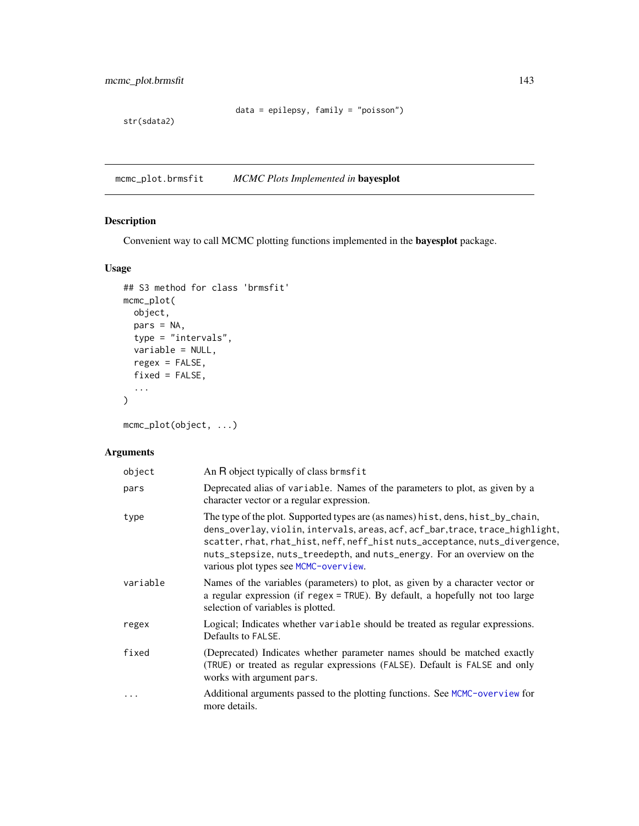mcmc\_plot.brmsfit 143

```
data = epilepsy, family = "poisson")
```
str(sdata2)

mcmc\_plot.brmsfit *MCMC Plots Implemented in* bayesplot

## Description

Convenient way to call MCMC plotting functions implemented in the bayesplot package.

## Usage

```
## S3 method for class 'brmsfit'
mcmc_plot(
 object,
 pars = NA,
 type = "intervals",
 variable = NULL,
 regex = FALSE,
 fixed = FALSE,...
)
```
mcmc\_plot(object, ...)

## Arguments

| object   | An R object typically of class brmsfit                                                                                                                                                                                                                                                                                                                             |
|----------|--------------------------------------------------------------------------------------------------------------------------------------------------------------------------------------------------------------------------------------------------------------------------------------------------------------------------------------------------------------------|
| pars     | Deprecated alias of variable. Names of the parameters to plot, as given by a<br>character vector or a regular expression.                                                                                                                                                                                                                                          |
| type     | The type of the plot. Supported types are (as names) hist, dens, hist_by_chain,<br>dens_overlay, violin, intervals, areas, acf, acf_bar, trace, trace_highlight,<br>scatter, rhat, rhat_hist, neff, neff_hist nuts_acceptance, nuts_divergence,<br>nuts_stepsize, nuts_treedepth, and nuts_energy. For an overview on the<br>various plot types see MCMC-overview. |
| variable | Names of the variables (parameters) to plot, as given by a character vector or<br>a regular expression (if regex $=$ TRUE). By default, a hopefully not too large<br>selection of variables is plotted.                                                                                                                                                            |
| regex    | Logical; Indicates whether variable should be treated as regular expressions.<br>Defaults to FALSE.                                                                                                                                                                                                                                                                |
| fixed    | (Deprecated) Indicates whether parameter names should be matched exactly<br>(TRUE) or treated as regular expressions (FALSE). Default is FALSE and only<br>works with argument pars.                                                                                                                                                                               |
| .        | Additional arguments passed to the plotting functions. See MCMC-overview for<br>more details.                                                                                                                                                                                                                                                                      |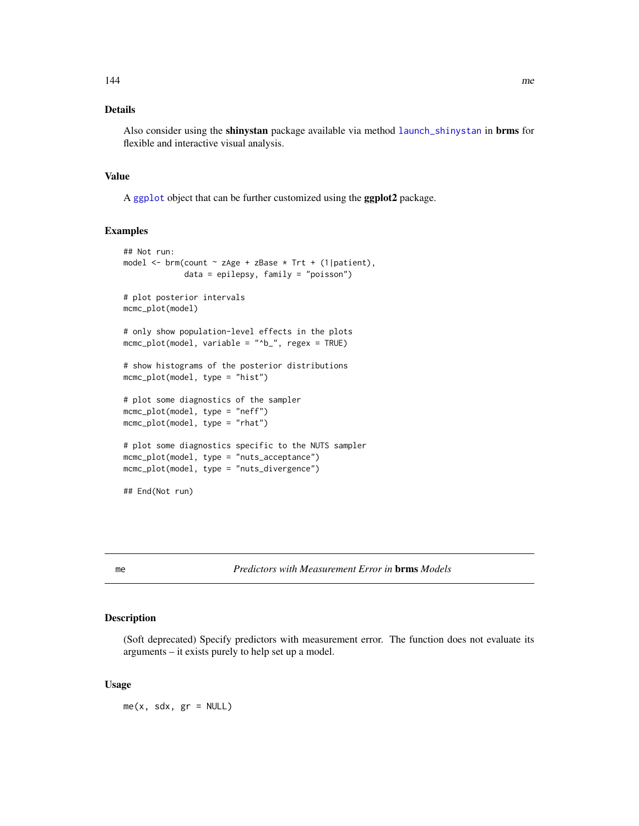## Details

Also consider using the shinystan package available via method [launch\\_shinystan](#page-121-0) in brms for flexible and interactive visual analysis.

#### Value

A [ggplot](#page-0-0) object that can be further customized using the ggplot2 package.

#### Examples

```
## Not run:
model <- brm(count ~ zAge + zBase * Trt + (1|patient),
             data = epilepsy, family = "poisson")
# plot posterior intervals
mcmc_plot(model)
# only show population-level effects in the plots
mcmc_plot(model, variable = "^b_", regex = TRUE)
# show histograms of the posterior distributions
mcmc_plot(model, type = "hist")
# plot some diagnostics of the sampler
mcmc_plot(model, type = "neff")
mcmc_plot(model, type = "rhat")
# plot some diagnostics specific to the NUTS sampler
mcmc_plot(model, type = "nuts_acceptance")
mcmc_plot(model, type = "nuts_divergence")
## End(Not run)
```
me *Predictors with Measurement Error in* brms *Models*

#### Description

(Soft deprecated) Specify predictors with measurement error. The function does not evaluate its arguments – it exists purely to help set up a model.

## Usage

 $me(x, sdx, gr = NULL)$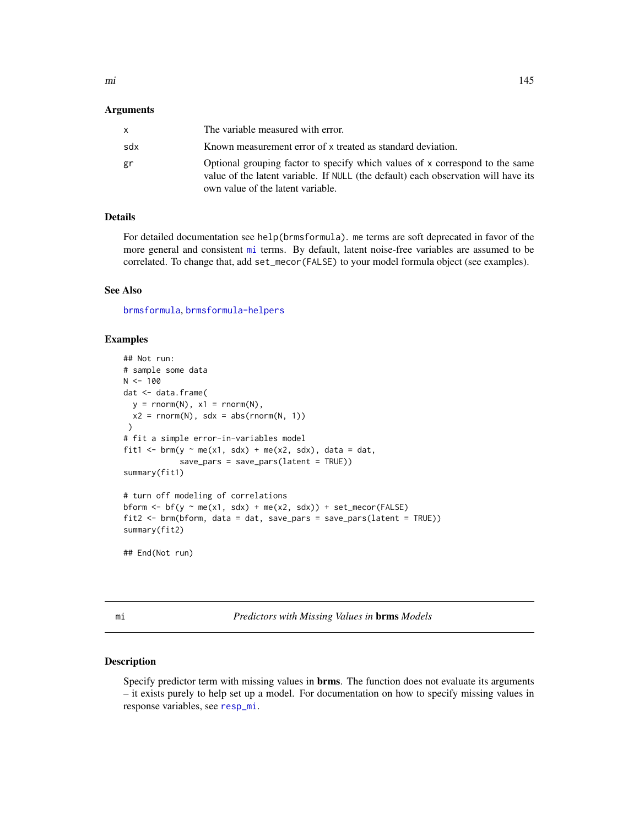#### Arguments

| x.  | The variable measured with error.                                                                                                                                                                       |
|-----|---------------------------------------------------------------------------------------------------------------------------------------------------------------------------------------------------------|
| sdx | Known measurement error of x treated as standard deviation.                                                                                                                                             |
| gr  | Optional grouping factor to specify which values of x correspond to the same<br>value of the latent variable. If NULL (the default) each observation will have its<br>own value of the latent variable. |

# Details

For detailed documentation see help(brmsformula). me terms are soft deprecated in favor of the more general and consistent [mi](#page-144-0) terms. By default, latent noise-free variables are assumed to be correlated. To change that, add set\_mecor(FALSE) to your model formula object (see examples).

#### See Also

[brmsformula](#page-37-0), [brmsformula-helpers](#page-47-0)

# Examples

```
## Not run:
# sample some data
N < - 100dat <- data.frame(
  y = \text{rnorm}(N), x1 = \text{rnorm}(N),x2 = rnorm(N), sdx = abs(rnorm(N, 1)))
# fit a simple error-in-variables model
fit1 <- brm(y ~ me(x1, sdx) + me(x2, sdx), data = dat,
            save_pars = save_pars(latent = TRUE))
summary(fit1)
# turn off modeling of correlations
bform \leq bf(y \sim me(x1, sdx) + me(x2, sdx)) + set_mecor(FALSE)
fit2 <- brm(bform, data = dat, save_pars = save_pars(latent = TRUE))
summary(fit2)
## End(Not run)
```
<span id="page-144-0"></span>mi *Predictors with Missing Values in* brms *Models*

## Description

Specify predictor term with missing values in **brms**. The function does not evaluate its arguments – it exists purely to help set up a model. For documentation on how to specify missing values in response variables, see [resp\\_mi](#page-6-0).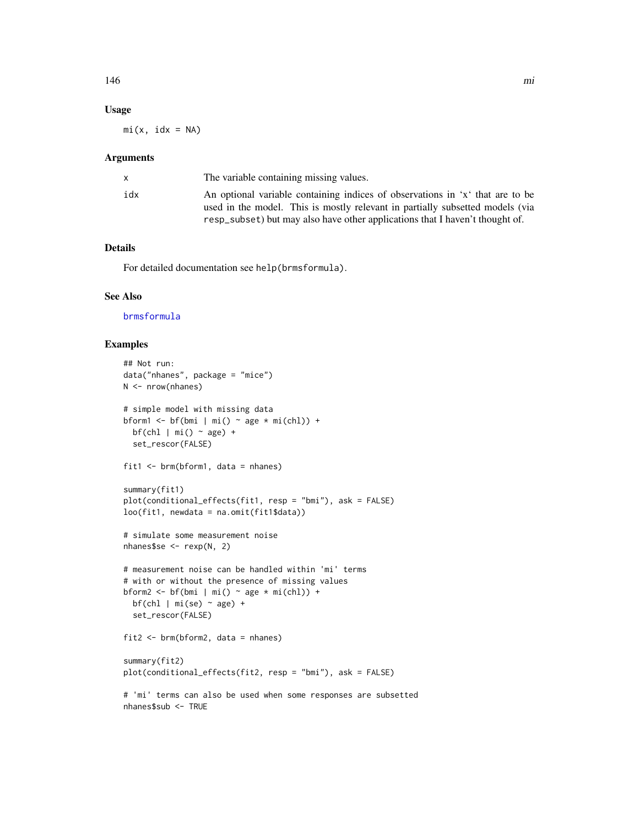### Usage

 $mi(x, idx = NA)$ 

#### Arguments

|     | The variable containing missing values.                                                                                                                                                                                                        |
|-----|------------------------------------------------------------------------------------------------------------------------------------------------------------------------------------------------------------------------------------------------|
| idx | An optional variable containing indices of observations in 'x' that are to be<br>used in the model. This is mostly relevant in partially subsetted models (via<br>resp subset) but may also have other applications that I haven't thought of. |
|     |                                                                                                                                                                                                                                                |

# Details

For detailed documentation see help(brmsformula).

# See Also

[brmsformula](#page-37-0)

## Examples

```
## Not run:
data("nhanes", package = "mice")
N <- nrow(nhanes)
# simple model with missing data
bform1 <- bf(bmi | mi() ~ age * mi(chl)) +
 bf(chl | mi() \sim age) +
  set_rescor(FALSE)
fit1 <- brm(bform1, data = nhanes)
summary(fit1)
plot(conditional_effects(fit1, resp = "bmi"), ask = FALSE)
loo(fit1, newdata = na.omit(fit1$data))
# simulate some measurement noise
nhanes$se <- rexp(N, 2)
# measurement noise can be handled within 'mi' terms
# with or without the presence of missing values
bform2 <- bf(bmi | mi() ~ age * mi(chl)) +
  bf(chl | mi(se) ~ ~ age) +set_rescor(FALSE)
fit2 \leftarrow brm(bform2, data = nhanes)
summary(fit2)
plot(conditional_effects(fit2, resp = "bmi"), ask = FALSE)
# 'mi' terms can also be used when some responses are subsetted
nhanes$sub <- TRUE
```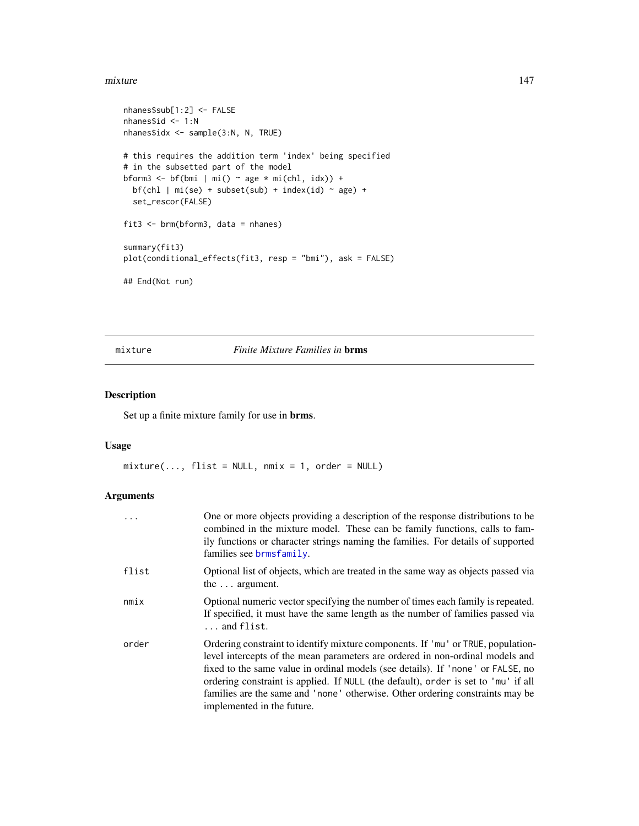#### mixture the contract of the contract of the contract of the contract of the contract of the contract of the contract of the contract of the contract of the contract of the contract of the contract of the contract of the co

```
nhanes$sub[1:2] <- FALSE
nhanes$id <- 1:N
nhanes$idx <- sample(3:N, N, TRUE)
# this requires the addition term 'index' being specified
# in the subsetted part of the model
bform3 <- bf(bmi | mi() ~ age * mi(chl, idx)) +
 bf(chl | mi(se) + subset(sub) + index(id) ~ age) +set_rescor(FALSE)
fit3 <- brm(bform3, data = nhanes)
summary(fit3)
plot(conditional_effects(fit3, resp = "bmi"), ask = FALSE)
## End(Not run)
```
mixture *Finite Mixture Families in* brms

# Description

Set up a finite mixture family for use in brms.

#### Usage

 $mixture(..., \text{flist = NULL}, \text{mmix = 1}, \text{order = NULL})$ 

| $\cdots$ | One or more objects providing a description of the response distributions to be<br>combined in the mixture model. These can be family functions, calls to fam-<br>ily functions or character strings naming the families. For details of supported<br>families see brmsfamily.                                                                                                                                                                            |  |
|----------|-----------------------------------------------------------------------------------------------------------------------------------------------------------------------------------------------------------------------------------------------------------------------------------------------------------------------------------------------------------------------------------------------------------------------------------------------------------|--|
| flist    | Optional list of objects, which are treated in the same way as objects passed via<br>the $\ldots$ argument.                                                                                                                                                                                                                                                                                                                                               |  |
| nmix     | Optional numeric vector specifying the number of times each family is repeated.<br>If specified, it must have the same length as the number of families passed via<br>and flist.                                                                                                                                                                                                                                                                          |  |
| order    | Ordering constraint to identify mixture components. If 'mu' or TRUE, population-<br>level intercepts of the mean parameters are ordered in non-ordinal models and<br>fixed to the same value in ordinal models (see details). If 'none' or FALSE, no<br>ordering constraint is applied. If NULL (the default), order is set to 'mu' if all<br>families are the same and 'none' otherwise. Other ordering constraints may be<br>implemented in the future. |  |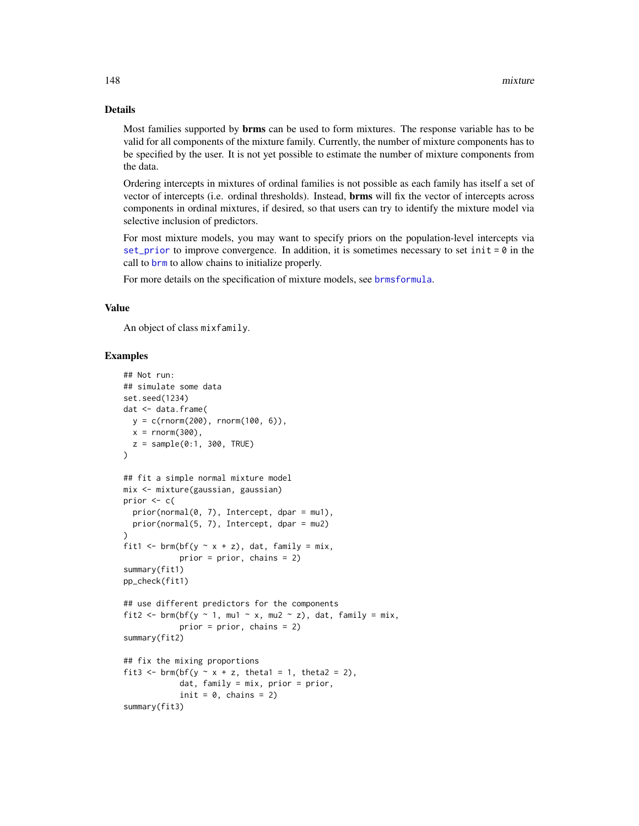#### Details

Most families supported by brms can be used to form mixtures. The response variable has to be valid for all components of the mixture family. Currently, the number of mixture components has to be specified by the user. It is not yet possible to estimate the number of mixture components from the data.

Ordering intercepts in mixtures of ordinal families is not possible as each family has itself a set of vector of intercepts (i.e. ordinal thresholds). Instead, brms will fix the vector of intercepts across components in ordinal mixtures, if desired, so that users can try to identify the mixture model via selective inclusion of predictors.

For most mixture models, you may want to specify priors on the population-level intercepts via [set\\_prior](#page-203-0) to improve convergence. In addition, it is sometimes necessary to set init =  $\theta$  in the call to [brm](#page-22-0) to allow chains to initialize properly.

For more details on the specification of mixture models, see [brmsformula](#page-37-0).

#### Value

An object of class mixfamily.

#### Examples

```
## Not run:
## simulate some data
set.seed(1234)
dat <- data.frame(
 y = c(rnorm(200), rnorm(100, 6)),x = \text{rnorm}(300),
  z = sample(0:1, 300, TRUE))
## fit a simple normal mixture model
mix <- mixture(gaussian, gaussian)
prior <-c(prior(normal(0, 7), Intercept, dpar = mu1),
  prior(normal(5, 7), Intercept, dpar = mu2)
)
fit1 <- brm(bf(y \sim x + z), dat, family = mix,
            prior = prior, chains = 2)
summary(fit1)
pp_check(fit1)
## use different predictors for the components
fit2 <- brm(bf(y \sim 1, mu1 \sim x, mu2 \sim z), dat, family = mix,
            prior = prior, chains = 2)
summary(fit2)
## fix the mixing proportions
fit3 <- brm(bf(y \sim x + z, theta1 = 1, theta2 = 2),
            dat, family = mix, prior = prior,
            init = 0, chains = 2)
summary(fit3)
```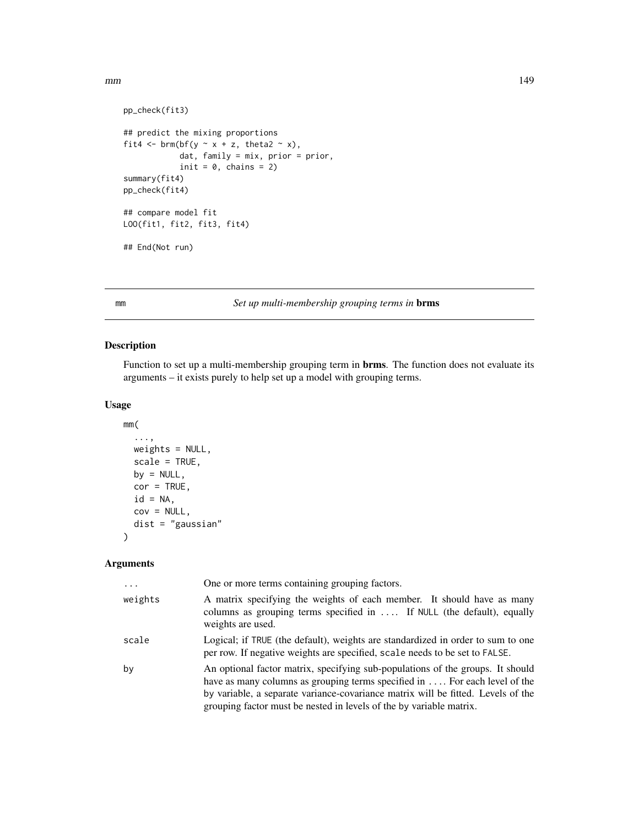```
pp_check(fit3)
## predict the mixing proportions
fit4 \leftarrow brm(bf(y \sim x + z, theta2 \sim x),
            dat, family = mix, prior = prior,
            init = 0, chains = 2)
summary(fit4)
pp_check(fit4)
## compare model fit
LOO(fit1, fit2, fit3, fit4)
## End(Not run)
```
<span id="page-148-0"></span>

# mm *Set up multi-membership grouping terms in* brms

## Description

Function to set up a multi-membership grouping term in brms. The function does not evaluate its arguments – it exists purely to help set up a model with grouping terms.

## Usage

```
mm(
  ...,
  weights = NULL,
  scale = TRUE,
  by = NULL,
  cor = TRUE,id = NA,cov = NULL,dist = "gaussian"
)
```

| $\cdots$ | One or more terms containing grouping factors.                                                                                                                                                                                                                                                                         |  |
|----------|------------------------------------------------------------------------------------------------------------------------------------------------------------------------------------------------------------------------------------------------------------------------------------------------------------------------|--|
| weights  | A matrix specifying the weights of each member. It should have as many<br>columns as grouping terms specified in  If NULL (the default), equally<br>weights are used.                                                                                                                                                  |  |
| scale    | Logical; if TRUE (the default), weights are standardized in order to sum to one<br>per row. If negative weights are specified, scale needs to be set to FALSE.                                                                                                                                                         |  |
| by       | An optional factor matrix, specifying sub-populations of the groups. It should<br>have as many columns as grouping terms specified in For each level of the<br>by variable, a separate variance-covariance matrix will be fitted. Levels of the<br>grouping factor must be nested in levels of the by variable matrix. |  |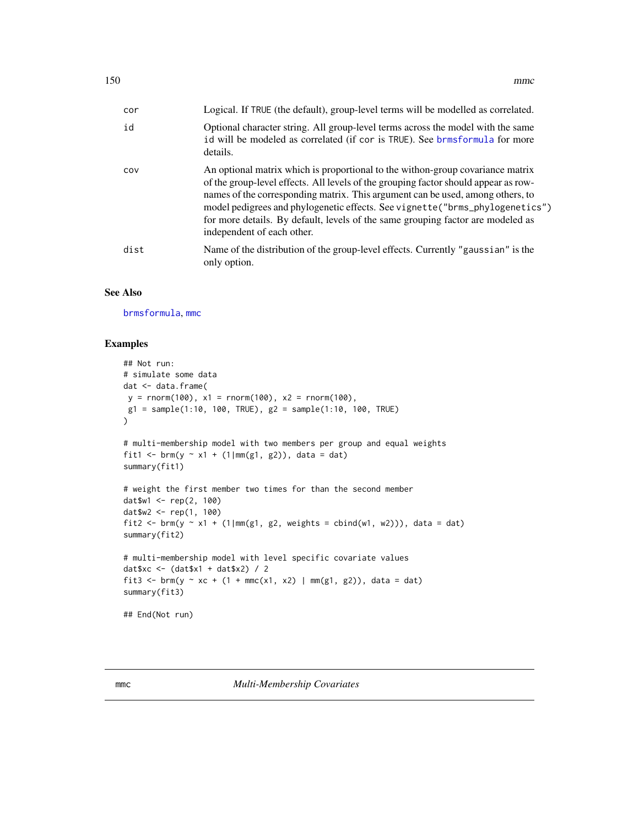| 150 | mmc |
|-----|-----|
|-----|-----|

| cor  | Logical. If TRUE (the default), group-level terms will be modelled as correlated.                                                                                                                                                                                                                                                                                                                                                                         |
|------|-----------------------------------------------------------------------------------------------------------------------------------------------------------------------------------------------------------------------------------------------------------------------------------------------------------------------------------------------------------------------------------------------------------------------------------------------------------|
| id   | Optional character string. All group-level terms across the model with the same<br>id will be modeled as correlated (if cor is TRUE). See brmsformula for more<br>details.                                                                                                                                                                                                                                                                                |
| COV  | An optional matrix which is proportional to the withon-group covariance matrix<br>of the group-level effects. All levels of the grouping factor should appear as row-<br>names of the corresponding matrix. This argument can be used, among others, to<br>model pedigrees and phylogenetic effects. See vignette ("brms_phylogenetics")<br>for more details. By default, levels of the same grouping factor are modeled as<br>independent of each other. |
| dist | Name of the distribution of the group-level effects. Currently "gaussian" is the<br>only option.                                                                                                                                                                                                                                                                                                                                                          |

## See Also

[brmsformula](#page-37-0), [mmc](#page-149-0)

## Examples

```
## Not run:
# simulate some data
dat <- data.frame(
y = rnorm(100), x1 = rnorm(100), x2 = rnorm(100),g1 = sample(1:10, 100, TRUE), g2 = sample(1:10, 100, TRUE)\mathcal{L}# multi-membership model with two members per group and equal weights
fit1 <- brm(y \sim x1 + (1|mm(g1, g2)), data = dat)
summary(fit1)
# weight the first member two times for than the second member
dat$w1 <- rep(2, 100)
dat$w2 <- rep(1, 100)
fit2 <- brm(y ~ x1 + (1|mm(g1, g2, weights = cbind(w1, w2))), data = dat)
summary(fit2)
# multi-membership model with level specific covariate values
dat$xc <- (dat$x1 + dat$x2) / 2
fit3 <- brm(y ~ xc + (1 + mmc(x1, x2) | mm(g1, g2)), data = dat)
summary(fit3)
## End(Not run)
```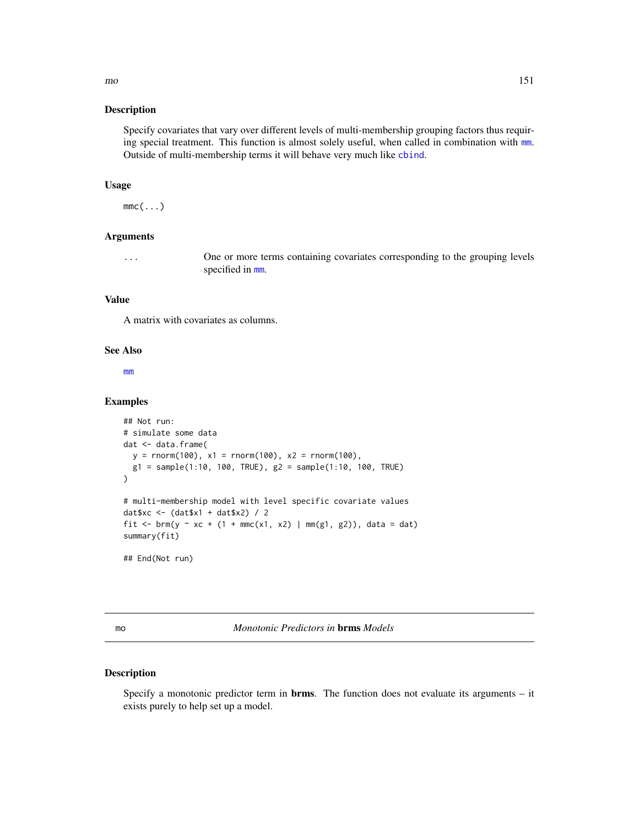Specify covariates that vary over different levels of multi-membership grouping factors thus requiring special treatment. This function is almost solely useful, when called in combination with [mm](#page-148-0). Outside of multi-membership terms it will behave very much like [cbind](#page-0-0).

## Usage

 $mmc(\ldots)$ 

## Arguments

... One or more terms containing covariates corresponding to the grouping levels specified in [mm](#page-148-0).

#### Value

A matrix with covariates as columns.

#### See Also

[mm](#page-148-0)

#### Examples

```
## Not run:
# simulate some data
dat <- data.frame(
 y = rnorm(100), x1 = rnorm(100), x2 = rnorm(100),g1 = sample(1:10, 100, TRUE), g2 = sample(1:10, 100, TRUE))
# multi-membership model with level specific covariate values
dat$xc <- (dat$x1 + dat$x2) / 2
fit <- brm(y ~ xc + (1 + mmc(x1, x2) | mm(g1, g2)), data = dat)
summary(fit)
## End(Not run)
```
mo *Monotonic Predictors in* brms *Models*

## Description

Specify a monotonic predictor term in brms. The function does not evaluate its arguments – it exists purely to help set up a model.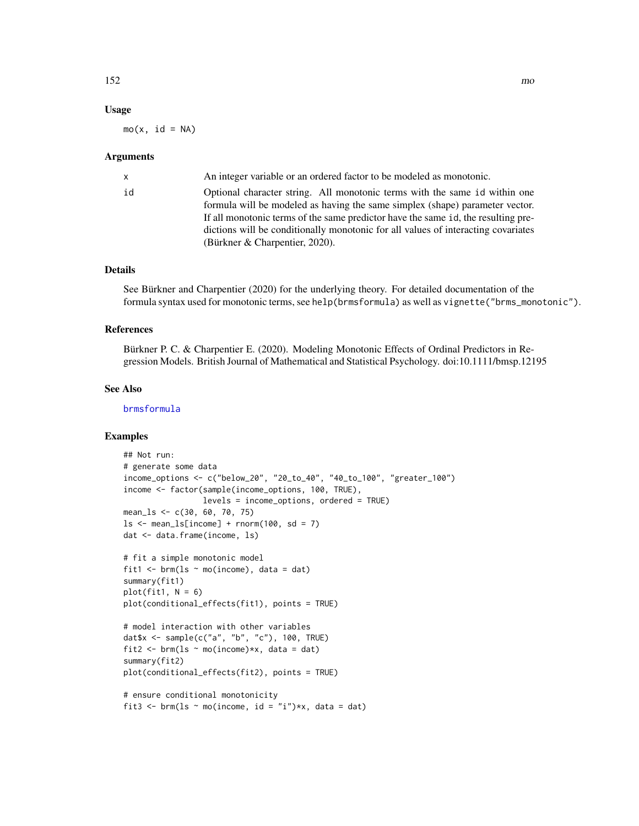## Usage

 $mo(x, id = NA)$ 

#### Arguments

| x  | An integer variable or an ordered factor to be modeled as monotonic.              |  |
|----|-----------------------------------------------------------------------------------|--|
| id | Optional character string. All monotonic terms with the same id within one        |  |
|    | formula will be modeled as having the same simplex (shape) parameter vector.      |  |
|    | If all monotonic terms of the same predictor have the same id, the resulting pre- |  |
|    | dictions will be conditionally monotonic for all values of interacting covariates |  |
|    | (Bürkner $&$ Charpentier, 2020).                                                  |  |
|    |                                                                                   |  |

# Details

See Bürkner and Charpentier (2020) for the underlying theory. For detailed documentation of the formula syntax used for monotonic terms, see help(brmsformula) as well as vignette("brms\_monotonic").

#### References

Bürkner P. C. & Charpentier E. (2020). Modeling Monotonic Effects of Ordinal Predictors in Regression Models. British Journal of Mathematical and Statistical Psychology. doi:10.1111/bmsp.12195

## See Also

[brmsformula](#page-37-0)

# Examples

```
## Not run:
# generate some data
income_options <- c("below_20", "20_to_40", "40_to_100", "greater_100")
income <- factor(sample(income_options, 100, TRUE),
                 levels = income_options, ordered = TRUE)
mean_ls <- c(30, 60, 70, 75)
ls < - mean_ls[income] + rnorm(100, sd = 7)
dat <- data.frame(income, ls)
# fit a simple monotonic model
fit1 \le brm(ls \sim mo(income), data = dat)
summary(fit1)
plot(fit1, N = 6)plot(conditional_effects(fit1), points = TRUE)
# model interaction with other variables
dat$x <- sample(c("a", "b", "c"), 100, TRUE)
fit2 <- brm(ls \sim mo(income) *x, data = dat)summary(fit2)
plot(conditional_effects(fit2), points = TRUE)
# ensure conditional monotonicity
fit3 <- brm(ls ~ mo(income, id = "i")*x, data = dat)
```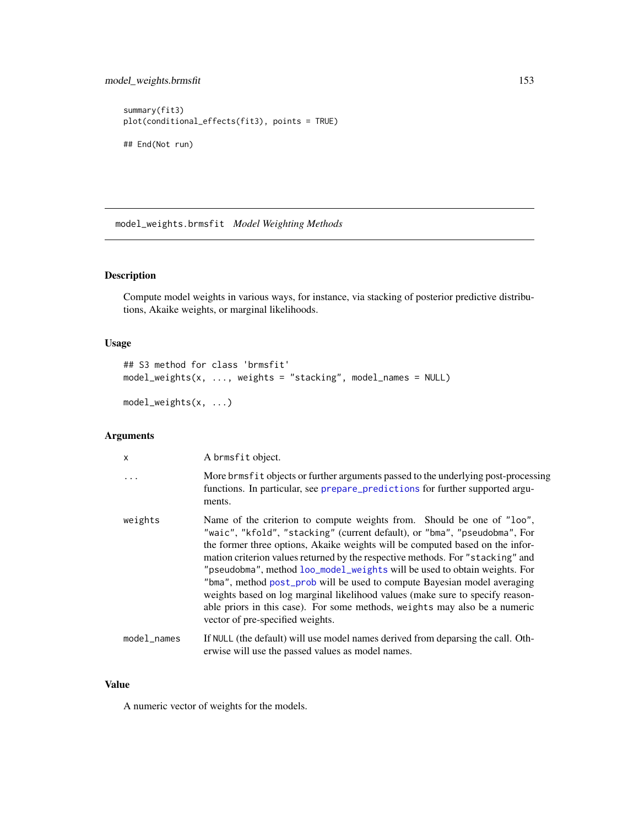```
summary(fit3)
plot(conditional_effects(fit3), points = TRUE)
## End(Not run)
```
model\_weights.brmsfit *Model Weighting Methods*

# <span id="page-152-0"></span>Description

Compute model weights in various ways, for instance, via stacking of posterior predictive distributions, Akaike weights, or marginal likelihoods.

## Usage

```
## S3 method for class 'brmsfit'
model_weights(x, ..., weights = "stacking", model_names = NULL)
```

```
model_weights(x, ...)
```
## Arguments

| $\mathsf{x}$                                                                                                                                                                                                                                                                                                                                                                                                                                                                                                                                                                                                                                                                                  | A brmsfit object.                                                                                                                                                              |  |
|-----------------------------------------------------------------------------------------------------------------------------------------------------------------------------------------------------------------------------------------------------------------------------------------------------------------------------------------------------------------------------------------------------------------------------------------------------------------------------------------------------------------------------------------------------------------------------------------------------------------------------------------------------------------------------------------------|--------------------------------------------------------------------------------------------------------------------------------------------------------------------------------|--|
| $\ddotsc$                                                                                                                                                                                                                                                                                                                                                                                                                                                                                                                                                                                                                                                                                     | More brms fit objects or further arguments passed to the underlying post-processing<br>functions. In particular, see prepare_predictions for further supported argu-<br>ments. |  |
| Name of the criterion to compute weights from. Should be one of "loo",<br>weights<br>"waic", "kfold", "stacking" (current default), or "bma", "pseudobma", For<br>the former three options, Akaike weights will be computed based on the infor-<br>mation criterion values returned by the respective methods. For "stacking" and<br>"pseudobma", method loo_model_weights will be used to obtain weights. For<br>"bma", method post_prob will be used to compute Bayesian model averaging<br>weights based on log marginal likelihood values (make sure to specify reason-<br>able priors in this case). For some methods, weights may also be a numeric<br>vector of pre-specified weights. |                                                                                                                                                                                |  |
| model_names                                                                                                                                                                                                                                                                                                                                                                                                                                                                                                                                                                                                                                                                                   | If NULL (the default) will use model names derived from deparsing the call. Oth-<br>erwise will use the passed values as model names.                                          |  |

#### Value

A numeric vector of weights for the models.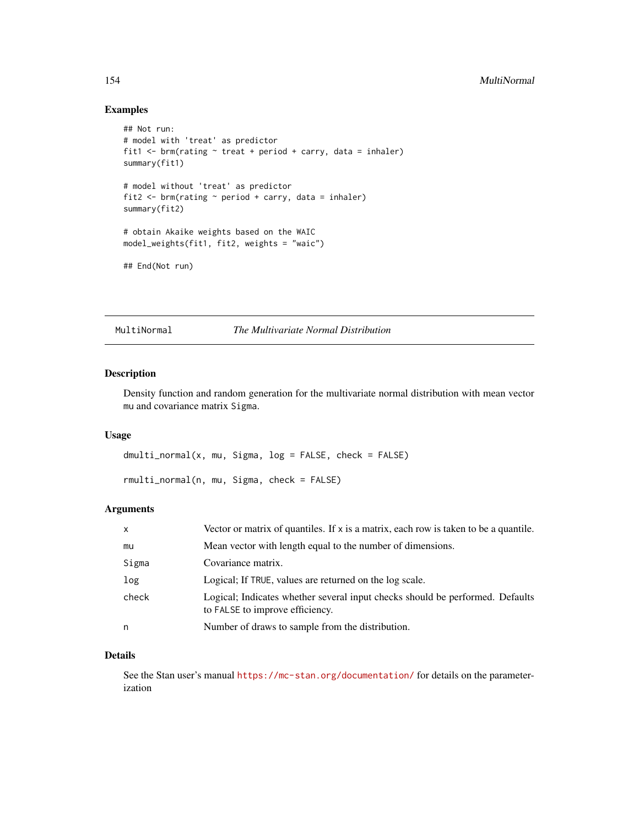# Examples

```
## Not run:
# model with 'treat' as predictor
fit1 \le brm(rating \sim treat + period + carry, data = inhaler)
summary(fit1)
# model without 'treat' as predictor
fit2 \leftarrow brm(rating \sim period + carry, data = inhaler)
summary(fit2)
# obtain Akaike weights based on the WAIC
model_weights(fit1, fit2, weights = "waic")
## End(Not run)
```
MultiNormal *The Multivariate Normal Distribution*

## Description

Density function and random generation for the multivariate normal distribution with mean vector mu and covariance matrix Sigma.

#### Usage

dmulti\_normal(x, mu, Sigma, log = FALSE, check = FALSE) rmulti\_normal(n, mu, Sigma, check = FALSE)

#### Arguments

| X     | Vector or matrix of quantiles. If x is a matrix, each row is taken to be a quantile.                             |  |
|-------|------------------------------------------------------------------------------------------------------------------|--|
| mu    | Mean vector with length equal to the number of dimensions.                                                       |  |
| Sigma | Covariance matrix.                                                                                               |  |
| log   | Logical; If TRUE, values are returned on the log scale.                                                          |  |
| check | Logical; Indicates whether several input checks should be performed. Defaults<br>to FALSE to improve efficiency. |  |
| n     | Number of draws to sample from the distribution.                                                                 |  |

#### Details

See the Stan user's manual <https://mc-stan.org/documentation/> for details on the parameterization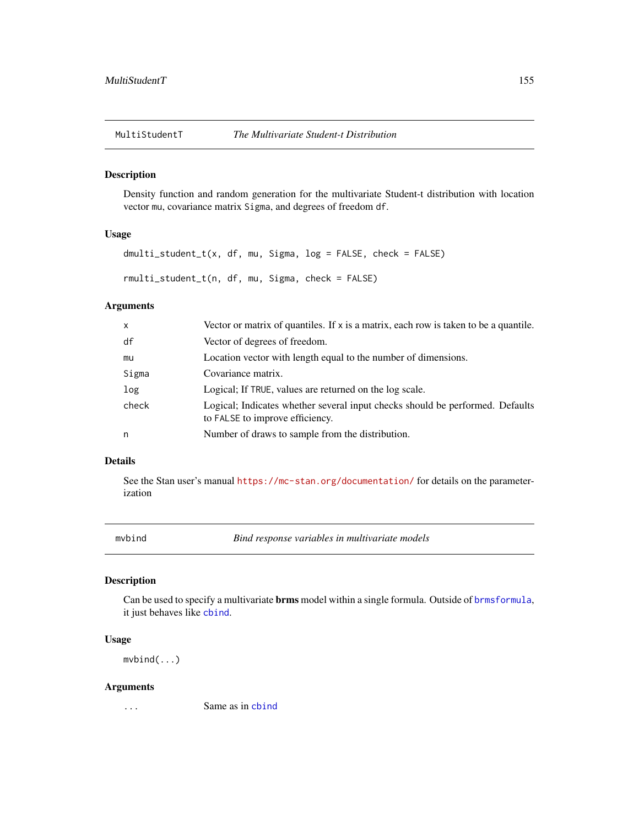Density function and random generation for the multivariate Student-t distribution with location vector mu, covariance matrix Sigma, and degrees of freedom df.

## Usage

dmulti\_student\_t(x, df, mu, Sigma, log = FALSE, check = FALSE) rmulti\_student\_t(n, df, mu, Sigma, check = FALSE)

# Arguments

| $\mathsf{x}$ | Vector or matrix of quantiles. If x is a matrix, each row is taken to be a quantile.                             |
|--------------|------------------------------------------------------------------------------------------------------------------|
| df           | Vector of degrees of freedom.                                                                                    |
| mu           | Location vector with length equal to the number of dimensions.                                                   |
| Sigma        | Covariance matrix.                                                                                               |
| log          | Logical; If TRUE, values are returned on the log scale.                                                          |
| check        | Logical; Indicates whether several input checks should be performed. Defaults<br>to FALSE to improve efficiency. |
| n            | Number of draws to sample from the distribution.                                                                 |

### Details

See the Stan user's manual <https://mc-stan.org/documentation/> for details on the parameterization

mvbind *Bind response variables in multivariate models*

# Description

Can be used to specify a multivariate brms model within a single formula. Outside of [brmsformula](#page-37-0), it just behaves like [cbind](#page-0-0).

### Usage

mvbind(...)

#### Arguments

... Same as in [cbind](#page-0-0)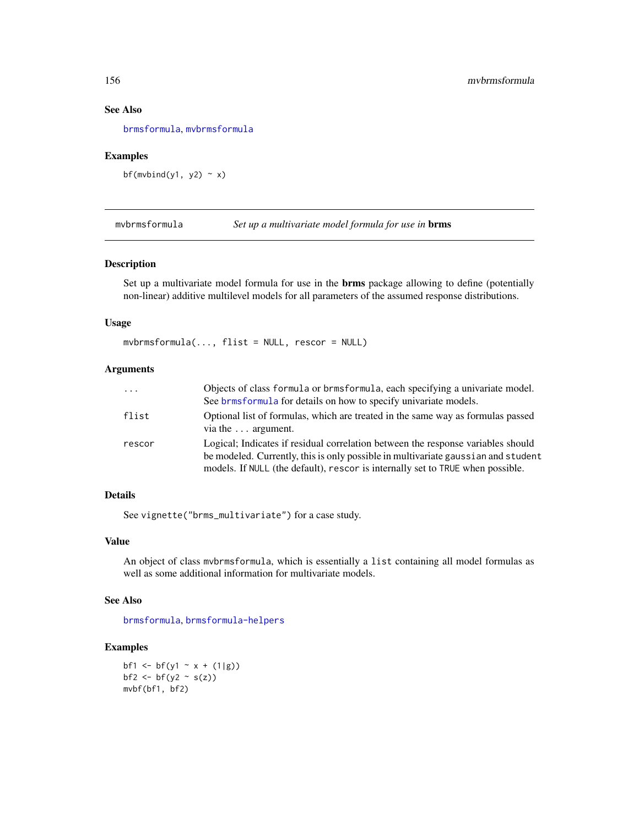## See Also

[brmsformula](#page-37-0), [mvbrmsformula](#page-155-0)

# Examples

bf(mvbind(y1, y2)  $\sim$  x)

<span id="page-155-0"></span>mvbrmsformula *Set up a multivariate model formula for use in* brms

## Description

Set up a multivariate model formula for use in the **brms** package allowing to define (potentially non-linear) additive multilevel models for all parameters of the assumed response distributions.

# Usage

mvbrmsformula(..., flist = NULL, rescor = NULL)

# Arguments

| $\cdots$ | Objects of class formula or brmsformula, each specifying a univariate model.<br>See brms formula for details on how to specify univariate models.                                                                                                       |  |
|----------|---------------------------------------------------------------------------------------------------------------------------------------------------------------------------------------------------------------------------------------------------------|--|
| flist    | Optional list of formulas, which are treated in the same way as formulas passed<br>via the $\dots$ argument.                                                                                                                                            |  |
| rescor   | Logical; Indicates if residual correlation between the response variables should<br>be modeled. Currently, this is only possible in multivariate gaussian and student<br>models. If NULL (the default), rescor is internally set to TRUE when possible. |  |

# Details

See vignette("brms\_multivariate") for a case study.

#### Value

An object of class mvbrmsformula, which is essentially a list containing all model formulas as well as some additional information for multivariate models.

### See Also

[brmsformula](#page-37-0), [brmsformula-helpers](#page-47-0)

## Examples

bf1 <- bf(y1 ~ x + (1|g)) bf2  $\leftarrow$  bf(y2  $\sim$  s(z)) mvbf(bf1, bf2)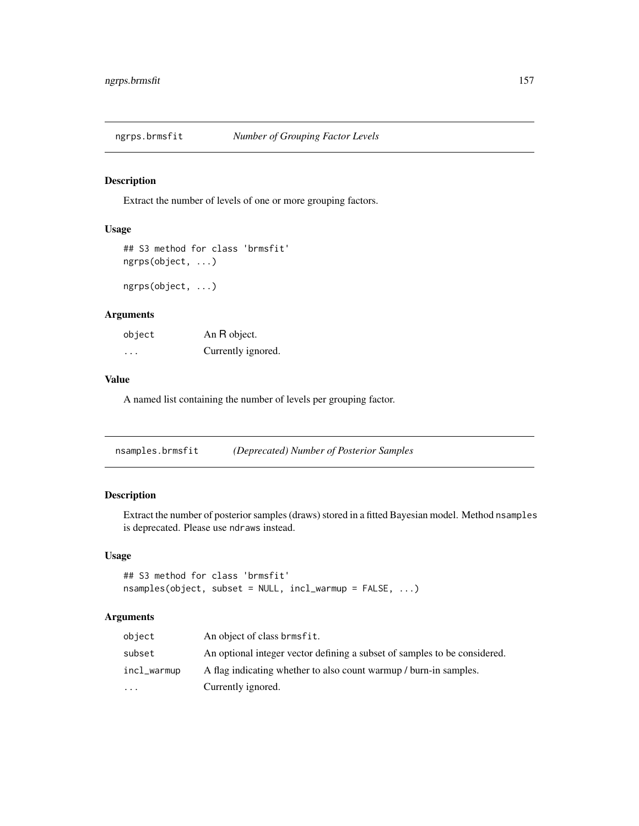Extract the number of levels of one or more grouping factors.

# Usage

```
## S3 method for class 'brmsfit'
ngrps(object, ...)
```
ngrps(object, ...)

# Arguments

| object | An R object.       |
|--------|--------------------|
| .      | Currently ignored. |

## Value

A named list containing the number of levels per grouping factor.

| nsamples.brmsfit | (Deprecated) Number of Posterior Samples |  |
|------------------|------------------------------------------|--|
|                  |                                          |  |

# Description

Extract the number of posterior samples (draws) stored in a fitted Bayesian model. Method nsamples is deprecated. Please use ndraws instead.

# Usage

```
## S3 method for class 'brmsfit'
nsamples(object, subset = NULL, incl_warmup = FALSE, ...)
```

| object      | An object of class brmsfit.                                               |
|-------------|---------------------------------------------------------------------------|
| subset      | An optional integer vector defining a subset of samples to be considered. |
| incl_warmup | A flag indicating whether to also count warmup / burn-in samples.         |
| $\ddotsc$   | Currently ignored.                                                        |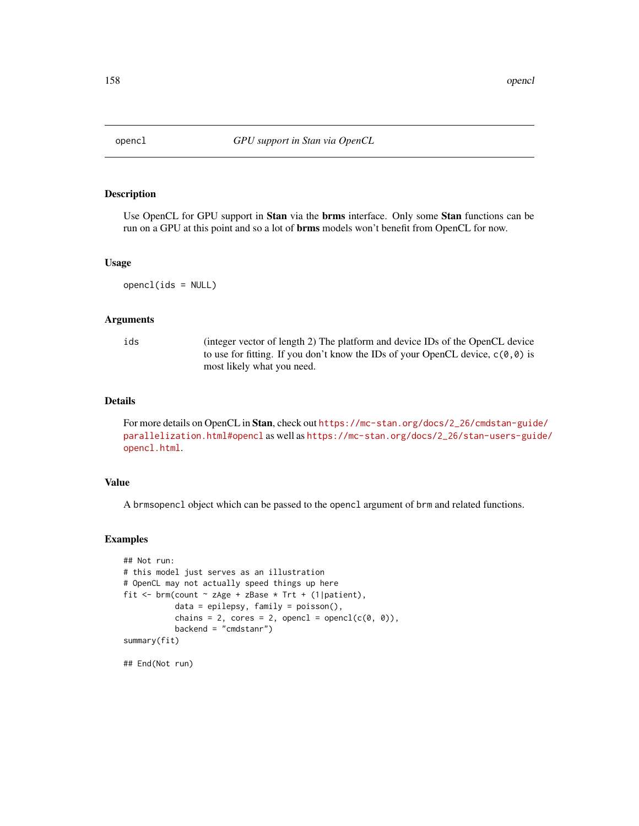Use OpenCL for GPU support in **Stan** via the **brms** interface. Only some **Stan** functions can be run on a GPU at this point and so a lot of **brms** models won't benefit from OpenCL for now.

#### Usage

opencl(ids = NULL)

#### Arguments

ids (integer vector of length 2) The platform and device IDs of the OpenCL device to use for fitting. If you don't know the IDs of your OpenCL device,  $c(\theta, \theta)$  is most likely what you need.

## Details

For more details on OpenCL in Stan, check out [https://mc-stan.org/docs/2\\_26/cmdstan-guid](https://mc-stan.org/docs/2_26/cmdstan-guide/parallelization.html#opencl)e/ [parallelization.html#opencl](https://mc-stan.org/docs/2_26/cmdstan-guide/parallelization.html#opencl) as well as [https://mc-stan.org/docs/2\\_26/stan-users-gui](https://mc-stan.org/docs/2_26/stan-users-guide/opencl.html)de/ [opencl.html](https://mc-stan.org/docs/2_26/stan-users-guide/opencl.html).

## Value

A brmsopencl object which can be passed to the opencl argument of brm and related functions.

## Examples

```
## Not run:
# this model just serves as an illustration
# OpenCL may not actually speed things up here
fit <- brm(count \sim zAge + zBase * Trt + (1|patient),
           data = epilepsy, family = poisson(),
           chains = 2, cores = 2, opencl = opencl(c(\emptyset, \emptyset)),
           backend = "cmdstanr")
summary(fit)
```
## End(Not run)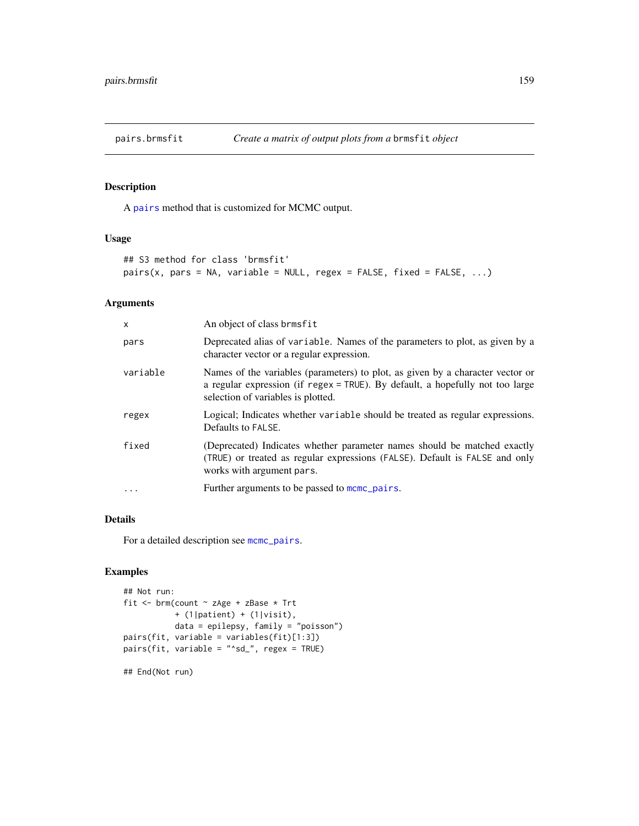A [pairs](#page-0-0) method that is customized for MCMC output.

#### Usage

```
## S3 method for class 'brmsfit'
pairs(x, pars = NA, variable = NULL, regex = FALSE, fixed = FALSE, ...)
```
# Arguments

| $\mathsf{x}$ | An object of class brmsfit                                                                                                                                                                                             |
|--------------|------------------------------------------------------------------------------------------------------------------------------------------------------------------------------------------------------------------------|
| pars         | Deprecated alias of variable. Names of the parameters to plot, as given by a<br>character vector or a regular expression.                                                                                              |
| variable     | Names of the variables (parameters) to plot, as given by a character vector or<br>a regular expression (if $\text{regex} = \text{TRUE}$ ). By default, a hopefully not too large<br>selection of variables is plotted. |
| regex        | Logical; Indicates whether variable should be treated as regular expressions.<br>Defaults to FALSE.                                                                                                                    |
| fixed        | (Deprecated) Indicates whether parameter names should be matched exactly<br>(TRUE) or treated as regular expressions (FALSE). Default is FALSE and only<br>works with argument pars.                                   |
| $\ddotsc$    | Further arguments to be passed to momo pairs.                                                                                                                                                                          |

#### Details

For a detailed description see [mcmc\\_pairs](#page-0-0).

# Examples

```
## Not run:
fit <- brm(count ~ zAge + zBase * Trt
          + (1|patient) + (1|visit),
          data = epilepsy, family = "poisson")
pairs(fit, variable = variables(fit)[1:3])
pairs(fit, variable = "^sd_", regex = TRUE)
```
## End(Not run)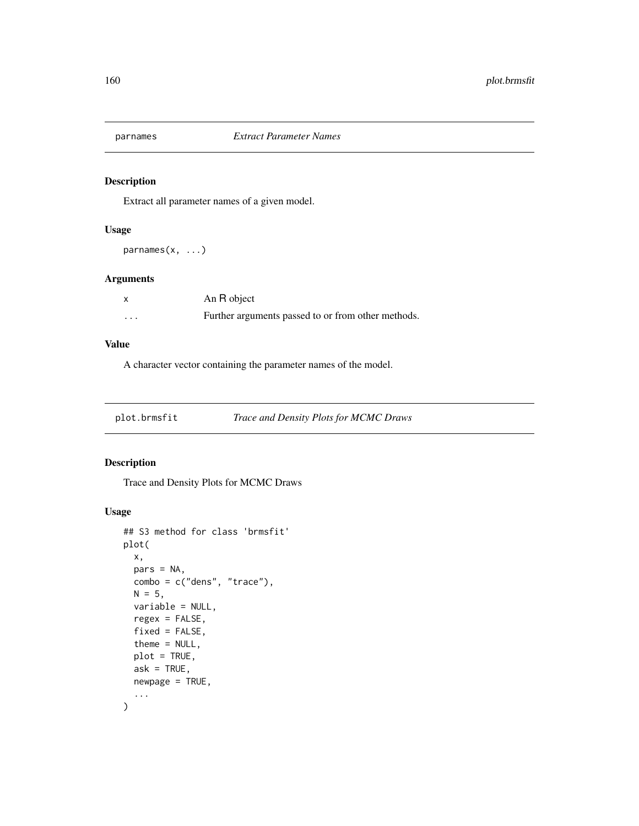Extract all parameter names of a given model.

# Usage

parnames(x, ...)

# Arguments

|          | An R object                                        |
|----------|----------------------------------------------------|
| $\cdots$ | Further arguments passed to or from other methods. |

### Value

A character vector containing the parameter names of the model.

plot.brmsfit *Trace and Density Plots for MCMC Draws*

# Description

Trace and Density Plots for MCMC Draws

# Usage

```
## S3 method for class 'brmsfit'
plot(
 x,
 pars = NA,
 combo = c("dens", "trace"),
 N = 5,
 variable = NULL,
  regex = FALSE,
  fixed = FALSE,
  theme = NULL,
 plot = TRUE,
  ask = TRUE,newpage = TRUE,...
\mathcal{E}
```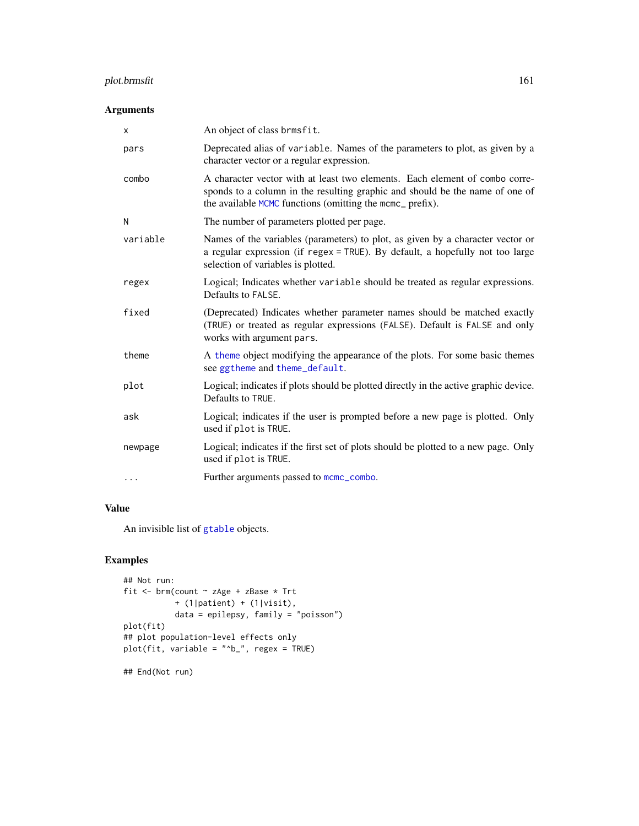# plot.brmsfit 161

# Arguments

| x        | An object of class brmsfit.                                                                                                                                                                                              |
|----------|--------------------------------------------------------------------------------------------------------------------------------------------------------------------------------------------------------------------------|
| pars     | Deprecated alias of variable. Names of the parameters to plot, as given by a<br>character vector or a regular expression.                                                                                                |
| combo    | A character vector with at least two elements. Each element of combo corre-<br>sponds to a column in the resulting graphic and should be the name of one of<br>the available MCMC functions (omitting the mcmc_ prefix). |
| N        | The number of parameters plotted per page.                                                                                                                                                                               |
| variable | Names of the variables (parameters) to plot, as given by a character vector or<br>a regular expression (if $regex = TRUE$ ). By default, a hopefully not too large<br>selection of variables is plotted.                 |
| regex    | Logical; Indicates whether variable should be treated as regular expressions.<br>Defaults to FALSE.                                                                                                                      |
| fixed    | (Deprecated) Indicates whether parameter names should be matched exactly<br>(TRUE) or treated as regular expressions (FALSE). Default is FALSE and only<br>works with argument pars.                                     |
| theme    | A theme object modifying the appearance of the plots. For some basic themes<br>see ggtheme and theme_default.                                                                                                            |
| plot     | Logical; indicates if plots should be plotted directly in the active graphic device.<br>Defaults to TRUE.                                                                                                                |
| ask      | Logical; indicates if the user is prompted before a new page is plotted. Only<br>used if plot is TRUE.                                                                                                                   |
| newpage  | Logical; indicates if the first set of plots should be plotted to a new page. Only<br>used if plot is TRUE.                                                                                                              |
| .        | Further arguments passed to mcmc_combo.                                                                                                                                                                                  |
|          |                                                                                                                                                                                                                          |

# Value

An invisible list of [gtable](#page-0-0) objects.

# Examples

```
## Not run:
fit <- brm(count ~ zAge + zBase * Trt
          + (1|patient) + (1|visit),
          data = epilepsy, family = "poisson")plot(fit)
## plot population-level effects only
plot(fit, variable = "^b_", regex = TRUE)
```
## End(Not run)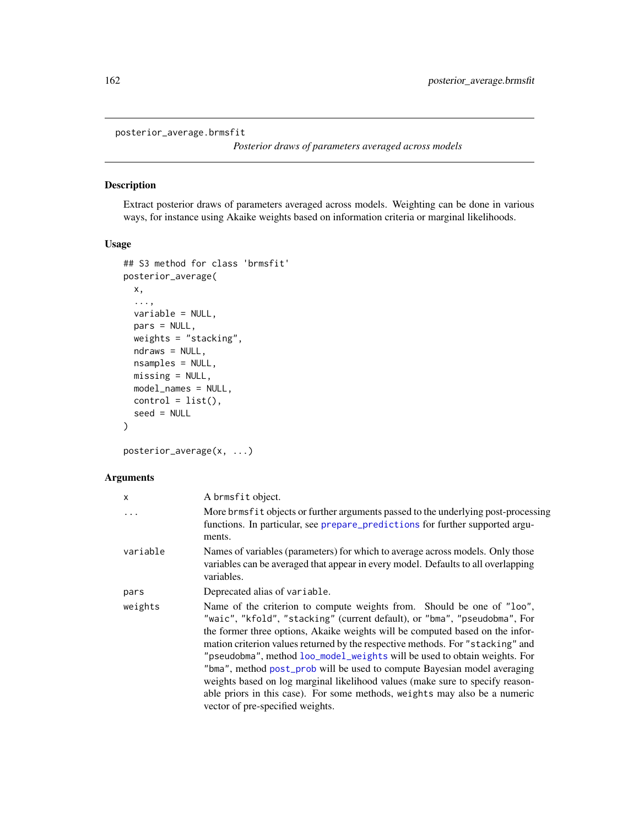```
posterior_average.brmsfit
```
*Posterior draws of parameters averaged across models*

## <span id="page-161-0"></span>Description

Extract posterior draws of parameters averaged across models. Weighting can be done in various ways, for instance using Akaike weights based on information criteria or marginal likelihoods.

## Usage

```
## S3 method for class 'brmsfit'
posterior_average(
  x,
  ...,
  variable = NULL,
 pars = NULL,
 weights = "stacking",
 ndraws = NULL,
  nsamples = NULL,
 missing = NULL,
 model_names = NULL,
 control = list(),seed = NULL
)
```
posterior\_average(x, ...)

| X         | A brmsfit object.                                                                                                                                                                                                                                                                                                                                                                                                                                                                                                                                                                                                                                                                  |
|-----------|------------------------------------------------------------------------------------------------------------------------------------------------------------------------------------------------------------------------------------------------------------------------------------------------------------------------------------------------------------------------------------------------------------------------------------------------------------------------------------------------------------------------------------------------------------------------------------------------------------------------------------------------------------------------------------|
| $\ddotsc$ | More brmsfit objects or further arguments passed to the underlying post-processing<br>functions. In particular, see prepare_predictions for further supported argu-<br>ments.                                                                                                                                                                                                                                                                                                                                                                                                                                                                                                      |
| variable  | Names of variables (parameters) for which to average across models. Only those<br>variables can be averaged that appear in every model. Defaults to all overlapping<br>variables.                                                                                                                                                                                                                                                                                                                                                                                                                                                                                                  |
| pars      | Deprecated alias of variable.                                                                                                                                                                                                                                                                                                                                                                                                                                                                                                                                                                                                                                                      |
| weights   | Name of the criterion to compute weights from. Should be one of "loo",<br>"waic", "kfold", "stacking" (current default), or "bma", "pseudobma", For<br>the former three options, Akaike weights will be computed based on the infor-<br>mation criterion values returned by the respective methods. For "stacking" and<br>"pseudobma", method loo_model_weights will be used to obtain weights. For<br>"bma", method post_prob will be used to compute Bayesian model averaging<br>weights based on log marginal likelihood values (make sure to specify reason-<br>able priors in this case). For some methods, weights may also be a numeric<br>vector of pre-specified weights. |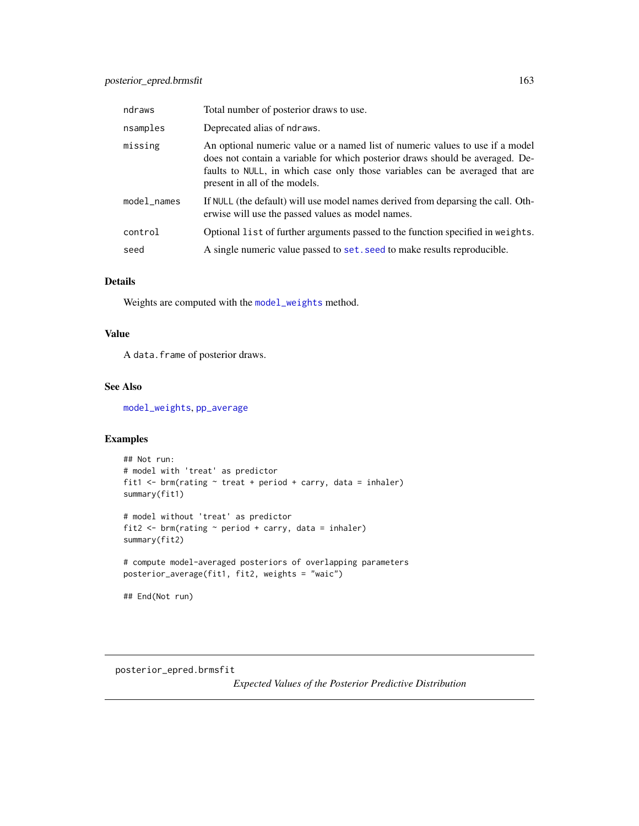| ndraws      | Total number of posterior draws to use.                                                                                                                                                                                                                                        |
|-------------|--------------------------------------------------------------------------------------------------------------------------------------------------------------------------------------------------------------------------------------------------------------------------------|
| nsamples    | Deprecated alias of ndraws.                                                                                                                                                                                                                                                    |
| missing     | An optional numeric value or a named list of numeric values to use if a model<br>does not contain a variable for which posterior draws should be averaged. De-<br>faults to NULL, in which case only those variables can be averaged that are<br>present in all of the models. |
| model_names | If NULL (the default) will use model names derived from deparsing the call. Oth-<br>erwise will use the passed values as model names.                                                                                                                                          |
| control     | Optional list of further arguments passed to the function specified in weights.                                                                                                                                                                                                |
| seed        | A single numeric value passed to set. seed to make results reproducible.                                                                                                                                                                                                       |

## Details

Weights are computed with the [model\\_weights](#page-152-0) method.

## Value

A data.frame of posterior draws.

## See Also

[model\\_weights](#page-152-0), [pp\\_average](#page-175-0)

# Examples

```
## Not run:
# model with 'treat' as predictor
fit1 <- brm(rating ~ treat + period + carry, data = inhaler)
summary(fit1)
# model without 'treat' as predictor
fit2 <- brm(rating ~ period + carry, data = inhaler)
summary(fit2)
# compute model-averaged posteriors of overlapping parameters
posterior_average(fit1, fit2, weights = "waic")
## End(Not run)
```
<span id="page-162-0"></span>posterior\_epred.brmsfit

*Expected Values of the Posterior Predictive Distribution*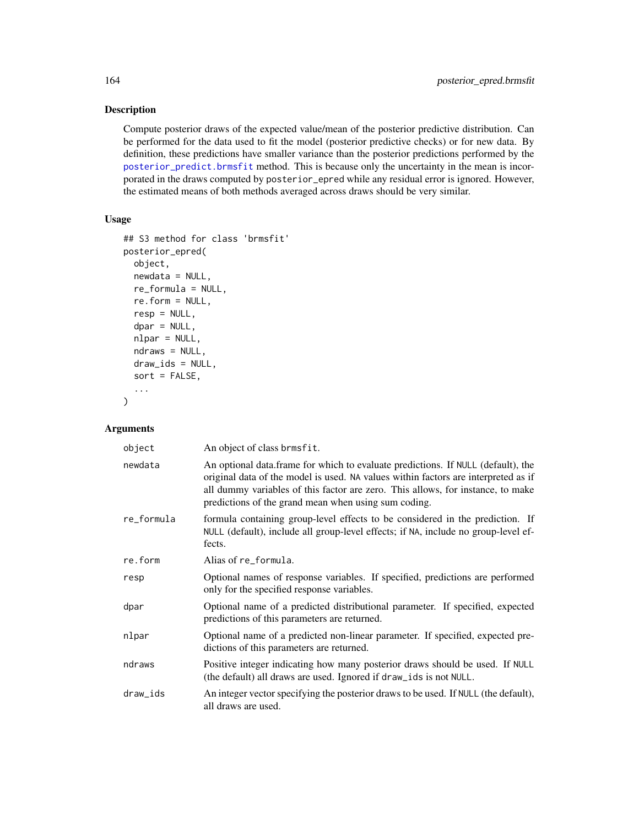Compute posterior draws of the expected value/mean of the posterior predictive distribution. Can be performed for the data used to fit the model (posterior predictive checks) or for new data. By definition, these predictions have smaller variance than the posterior predictions performed by the [posterior\\_predict.brmsfit](#page-167-0) method. This is because only the uncertainty in the mean is incorporated in the draws computed by posterior\_epred while any residual error is ignored. However, the estimated means of both methods averaged across draws should be very similar.

## Usage

```
## S3 method for class 'brmsfit'
posterior_epred(
 object,
 newdata = NULL,
 re_formula = NULL,
 re.form = NULL,
  resp = NULL,dpar = NULL,
  nlpar = NULL,
 ndraws = NULL,
 draw_ids = NULL,
  sort = FALSE,...
\mathcal{E}
```

| object     | An object of class brmsfit.                                                                                                                                                                                                                                                                                       |
|------------|-------------------------------------------------------------------------------------------------------------------------------------------------------------------------------------------------------------------------------------------------------------------------------------------------------------------|
| newdata    | An optional data.frame for which to evaluate predictions. If NULL (default), the<br>original data of the model is used. NA values within factors are interpreted as if<br>all dummy variables of this factor are zero. This allows, for instance, to make<br>predictions of the grand mean when using sum coding. |
| re_formula | formula containing group-level effects to be considered in the prediction. If<br>NULL (default), include all group-level effects; if NA, include no group-level ef-<br>fects.                                                                                                                                     |
| re.form    | Alias of re_formula.                                                                                                                                                                                                                                                                                              |
| resp       | Optional names of response variables. If specified, predictions are performed<br>only for the specified response variables.                                                                                                                                                                                       |
| dpar       | Optional name of a predicted distributional parameter. If specified, expected<br>predictions of this parameters are returned.                                                                                                                                                                                     |
| nlpar      | Optional name of a predicted non-linear parameter. If specified, expected pre-<br>dictions of this parameters are returned.                                                                                                                                                                                       |
| ndraws     | Positive integer indicating how many posterior draws should be used. If NULL<br>(the default) all draws are used. Ignored if draw_ids is not NULL.                                                                                                                                                                |
| draw_ids   | An integer vector specifying the posterior draws to be used. If NULL (the default),<br>all draws are used.                                                                                                                                                                                                        |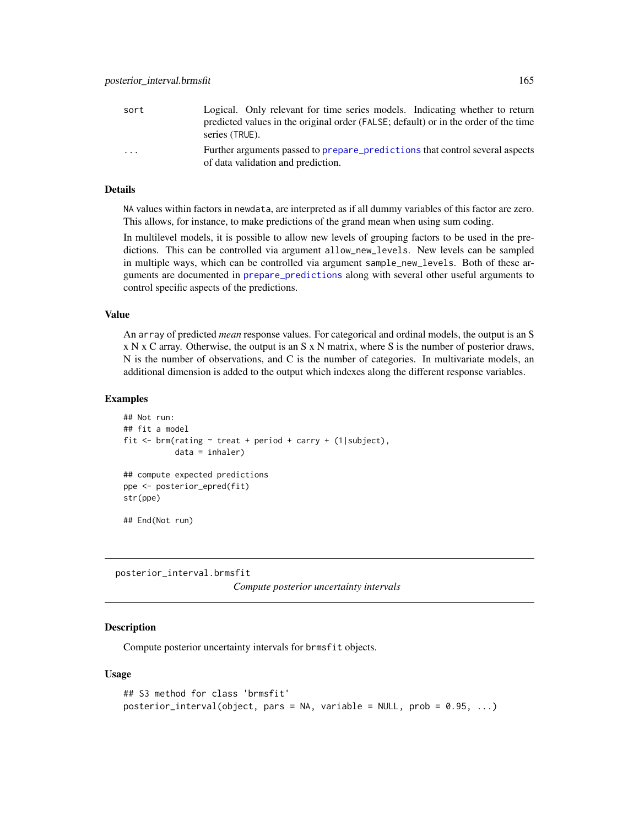| sort    | Logical. Only relevant for time series models. Indicating whether to return                                        |
|---------|--------------------------------------------------------------------------------------------------------------------|
|         | predicted values in the original order (FALSE; default) or in the order of the time<br>series (TRUE).              |
| $\cdot$ | Further arguments passed to prepare predictions that control several aspects<br>of data validation and prediction. |

## Details

NA values within factors in newdata, are interpreted as if all dummy variables of this factor are zero. This allows, for instance, to make predictions of the grand mean when using sum coding.

In multilevel models, it is possible to allow new levels of grouping factors to be used in the predictions. This can be controlled via argument allow\_new\_levels. New levels can be sampled in multiple ways, which can be controlled via argument sample\_new\_levels. Both of these arguments are documented in [prepare\\_predictions](#page-186-0) along with several other useful arguments to control specific aspects of the predictions.

## Value

An array of predicted *mean* response values. For categorical and ordinal models, the output is an S x N x C array. Otherwise, the output is an S x N matrix, where S is the number of posterior draws, N is the number of observations, and C is the number of categories. In multivariate models, an additional dimension is added to the output which indexes along the different response variables.

#### Examples

```
## Not run:
## fit a model
fit <- brm(rating ~ treat + period + carry + (1|subject),
           data = inhaler)
## compute expected predictions
ppe <- posterior_epred(fit)
str(ppe)
## End(Not run)
```
posterior\_interval.brmsfit *Compute posterior uncertainty intervals*

### Description

Compute posterior uncertainty intervals for brmsfit objects.

#### Usage

```
## S3 method for class 'brmsfit'
posterior_interval(object, pars = NA, variable = NULL, prob = 0.95, ...)
```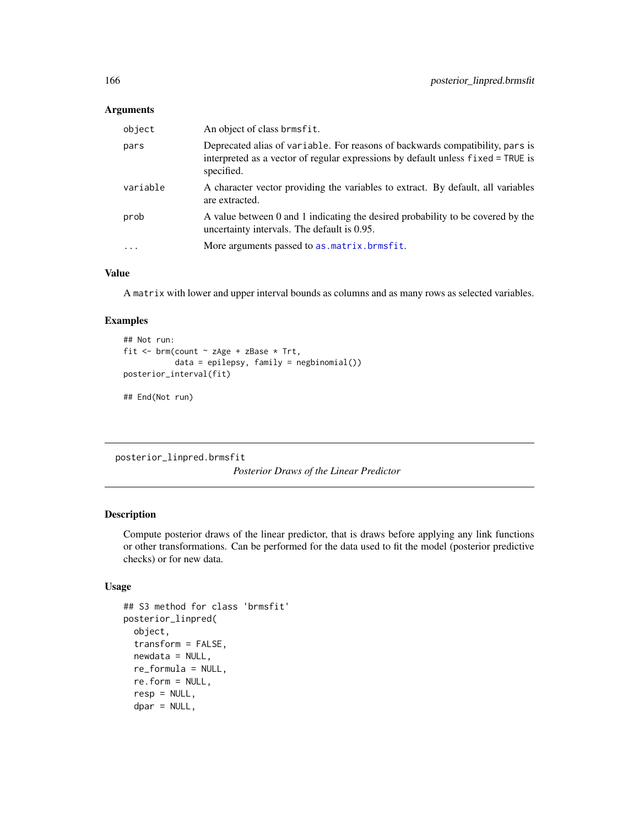# Arguments

| object   | An object of class brmsfit.                                                                                                                                                     |
|----------|---------------------------------------------------------------------------------------------------------------------------------------------------------------------------------|
| pars     | Deprecated alias of variable. For reasons of backwards compatibility, pars is<br>interpreted as a vector of regular expressions by default unless fixed = TRUE is<br>specified. |
| variable | A character vector providing the variables to extract. By default, all variables<br>are extracted.                                                                              |
| prob     | A value between 0 and 1 indicating the desired probability to be covered by the<br>uncertainty intervals. The default is 0.95.                                                  |
| $\cdot$  | More arguments passed to as . matrix. brmsfit.                                                                                                                                  |

# Value

A matrix with lower and upper interval bounds as columns and as many rows as selected variables.

## Examples

```
## Not run:
fit <- brm(count ~ zAge + zBase * Trt,
           data = epilepsy, family = negbinomial())
posterior_interval(fit)
## End(Not run)
```
posterior\_linpred.brmsfit

*Posterior Draws of the Linear Predictor*

# Description

Compute posterior draws of the linear predictor, that is draws before applying any link functions or other transformations. Can be performed for the data used to fit the model (posterior predictive checks) or for new data.

# Usage

```
## S3 method for class 'brmsfit'
posterior_linpred(
  object,
  transform = FALSE,
  newdata = NULL,
  re_formula = NULL,
  re.form = NULL,
  resp = NULL,dpar = NULL,
```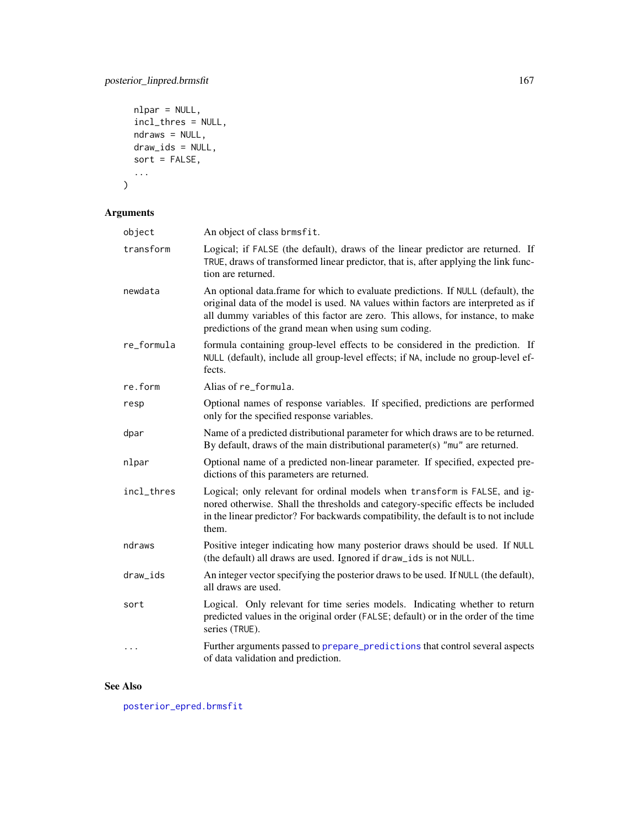```
nlpar = NULL,
  incl_thres = NULL,
  ndraws = NULL,
  draw_ids = NULL,
  sort = FALSE,
  ...
\mathcal{L}
```
# Arguments

| object     | An object of class brmsfit.                                                                                                                                                                                                                                                                                       |
|------------|-------------------------------------------------------------------------------------------------------------------------------------------------------------------------------------------------------------------------------------------------------------------------------------------------------------------|
| transform  | Logical; if FALSE (the default), draws of the linear predictor are returned. If<br>TRUE, draws of transformed linear predictor, that is, after applying the link func-<br>tion are returned.                                                                                                                      |
| newdata    | An optional data frame for which to evaluate predictions. If NULL (default), the<br>original data of the model is used. NA values within factors are interpreted as if<br>all dummy variables of this factor are zero. This allows, for instance, to make<br>predictions of the grand mean when using sum coding. |
| re_formula | formula containing group-level effects to be considered in the prediction. If<br>NULL (default), include all group-level effects; if NA, include no group-level ef-<br>fects.                                                                                                                                     |
| re.form    | Alias of re_formula.                                                                                                                                                                                                                                                                                              |
| resp       | Optional names of response variables. If specified, predictions are performed<br>only for the specified response variables.                                                                                                                                                                                       |
| dpar       | Name of a predicted distributional parameter for which draws are to be returned.<br>By default, draws of the main distributional parameter(s) " $mu$ " are returned.                                                                                                                                              |
| nlpar      | Optional name of a predicted non-linear parameter. If specified, expected pre-<br>dictions of this parameters are returned.                                                                                                                                                                                       |
| incl_thres | Logical; only relevant for ordinal models when transform is FALSE, and ig-<br>nored otherwise. Shall the thresholds and category-specific effects be included<br>in the linear predictor? For backwards compatibility, the default is to not include<br>them.                                                     |
| ndraws     | Positive integer indicating how many posterior draws should be used. If NULL<br>(the default) all draws are used. Ignored if draw_ids is not NULL.                                                                                                                                                                |
| draw_ids   | An integer vector specifying the posterior draws to be used. If NULL (the default),<br>all draws are used.                                                                                                                                                                                                        |
| sort       | Logical. Only relevant for time series models. Indicating whether to return<br>predicted values in the original order (FALSE; default) or in the order of the time<br>series (TRUE).                                                                                                                              |
| $\cdots$   | Further arguments passed to prepare_predictions that control several aspects<br>of data validation and prediction.                                                                                                                                                                                                |

# See Also

[posterior\\_epred.brmsfit](#page-162-0)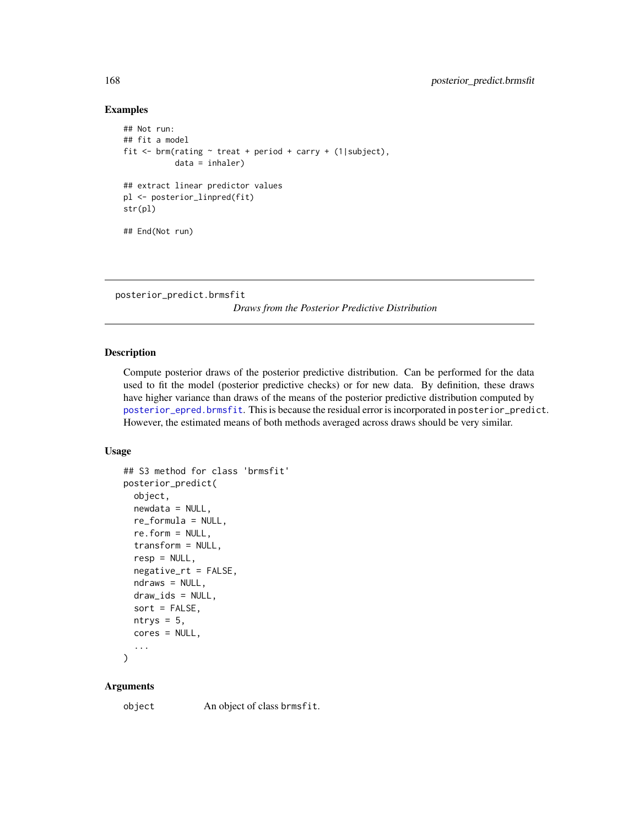### Examples

```
## Not run:
## fit a model
fit <- brm(rating ~ treat + period + carry + (1|subject),
           data = inhaler)
## extract linear predictor values
pl <- posterior_linpred(fit)
str(pl)
## End(Not run)
```
<span id="page-167-0"></span>posterior\_predict.brmsfit

*Draws from the Posterior Predictive Distribution*

#### Description

Compute posterior draws of the posterior predictive distribution. Can be performed for the data used to fit the model (posterior predictive checks) or for new data. By definition, these draws have higher variance than draws of the means of the posterior predictive distribution computed by [posterior\\_epred.brmsfit](#page-162-0). This is because the residual error is incorporated in posterior\_predict. However, the estimated means of both methods averaged across draws should be very similar.

## Usage

```
## S3 method for class 'brmsfit'
posterior_predict(
  object,
  newdata = NULL,
  re_formula = NULL,
  re.form = NULL,
  transform = NULL,
  resp = NULL,negative_rt = FALSE,
  ndraws = NULL,draw_ids = NULL,
  sort = FALSE,ntrys = 5,
  cores = NULL,
  ...
```

```
)
```
#### Arguments

object An object of class brmsfit.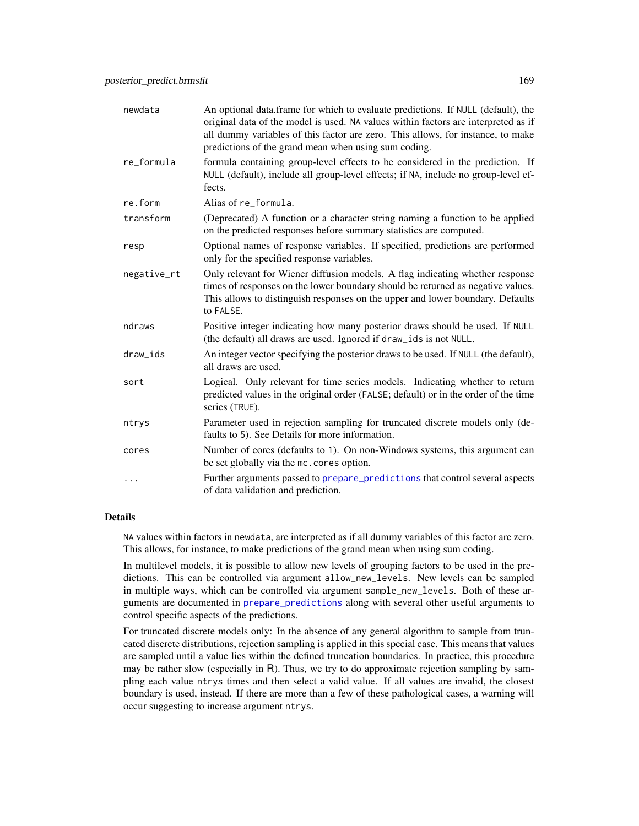| newdata     | An optional data.frame for which to evaluate predictions. If NULL (default), the<br>original data of the model is used. NA values within factors are interpreted as if<br>all dummy variables of this factor are zero. This allows, for instance, to make<br>predictions of the grand mean when using sum coding. |
|-------------|-------------------------------------------------------------------------------------------------------------------------------------------------------------------------------------------------------------------------------------------------------------------------------------------------------------------|
| re_formula  | formula containing group-level effects to be considered in the prediction. If<br>NULL (default), include all group-level effects; if NA, include no group-level ef-<br>fects.                                                                                                                                     |
| re.form     | Alias of re_formula.                                                                                                                                                                                                                                                                                              |
| transform   | (Deprecated) A function or a character string naming a function to be applied<br>on the predicted responses before summary statistics are computed.                                                                                                                                                               |
| resp        | Optional names of response variables. If specified, predictions are performed<br>only for the specified response variables.                                                                                                                                                                                       |
| negative_rt | Only relevant for Wiener diffusion models. A flag indicating whether response<br>times of responses on the lower boundary should be returned as negative values.<br>This allows to distinguish responses on the upper and lower boundary. Defaults<br>to FALSE.                                                   |
| ndraws      | Positive integer indicating how many posterior draws should be used. If NULL<br>(the default) all draws are used. Ignored if draw_ids is not NULL.                                                                                                                                                                |
| draw_ids    | An integer vector specifying the posterior draws to be used. If NULL (the default),<br>all draws are used.                                                                                                                                                                                                        |
| sort        | Logical. Only relevant for time series models. Indicating whether to return<br>predicted values in the original order (FALSE; default) or in the order of the time<br>series (TRUE).                                                                                                                              |
| ntrys       | Parameter used in rejection sampling for truncated discrete models only (de-<br>faults to 5). See Details for more information.                                                                                                                                                                                   |
| cores       | Number of cores (defaults to 1). On non-Windows systems, this argument can<br>be set globally via the mc. cores option.                                                                                                                                                                                           |
| .           | Further arguments passed to prepare_predictions that control several aspects<br>of data validation and prediction.                                                                                                                                                                                                |

## Details

NA values within factors in newdata, are interpreted as if all dummy variables of this factor are zero. This allows, for instance, to make predictions of the grand mean when using sum coding.

In multilevel models, it is possible to allow new levels of grouping factors to be used in the predictions. This can be controlled via argument allow\_new\_levels. New levels can be sampled in multiple ways, which can be controlled via argument sample\_new\_levels. Both of these arguments are documented in [prepare\\_predictions](#page-186-0) along with several other useful arguments to control specific aspects of the predictions.

For truncated discrete models only: In the absence of any general algorithm to sample from truncated discrete distributions, rejection sampling is applied in this special case. This means that values are sampled until a value lies within the defined truncation boundaries. In practice, this procedure may be rather slow (especially in R). Thus, we try to do approximate rejection sampling by sampling each value ntrys times and then select a valid value. If all values are invalid, the closest boundary is used, instead. If there are more than a few of these pathological cases, a warning will occur suggesting to increase argument ntrys.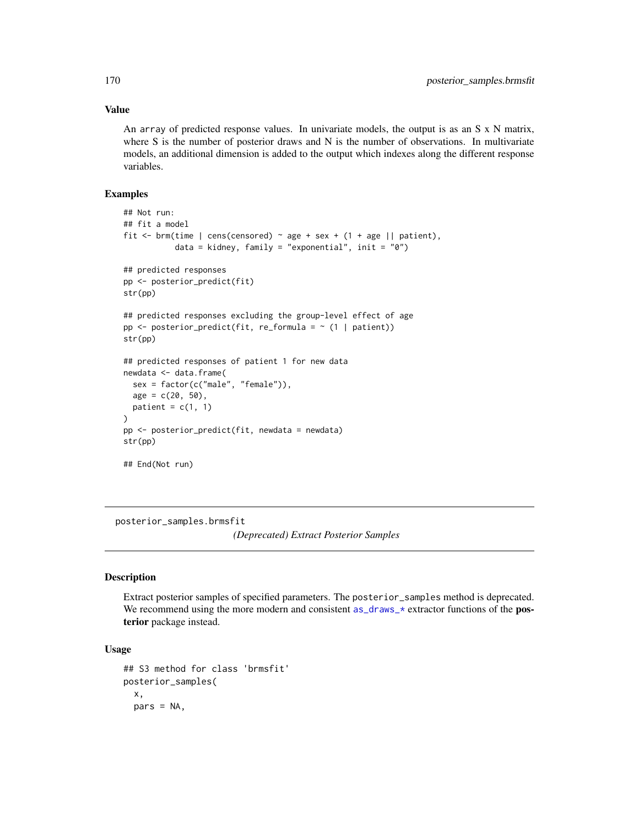## Value

An array of predicted response values. In univariate models, the output is as an S x N matrix, where S is the number of posterior draws and N is the number of observations. In multivariate models, an additional dimension is added to the output which indexes along the different response variables.

## Examples

```
## Not run:
## fit a model
fit <- brm(time | cens(censored) \sim age + sex + (1 + age || patient),
           data = kidney, family = "exponential", init = "0")
## predicted responses
pp <- posterior_predict(fit)
str(pp)
## predicted responses excluding the group-level effect of age
pp \leq posterior_predict(fit, re_formula = \sim (1 | patient))
str(pp)
## predicted responses of patient 1 for new data
newdata <- data.frame(
 sex = factor(c("male", "female")),
 age = c(20, 50),patient = c(1, 1))
pp <- posterior_predict(fit, newdata = newdata)
str(pp)
## End(Not run)
```
posterior\_samples.brmsfit *(Deprecated) Extract Posterior Samples*

### Description

Extract posterior samples of specified parameters. The posterior\_samples method is deprecated. We recommend using the more modern and consistent as  $d$ raws  $\star$  extractor functions of the **pos**terior package instead.

#### Usage

```
## S3 method for class 'brmsfit'
posterior_samples(
  x,
  pars = NA,
```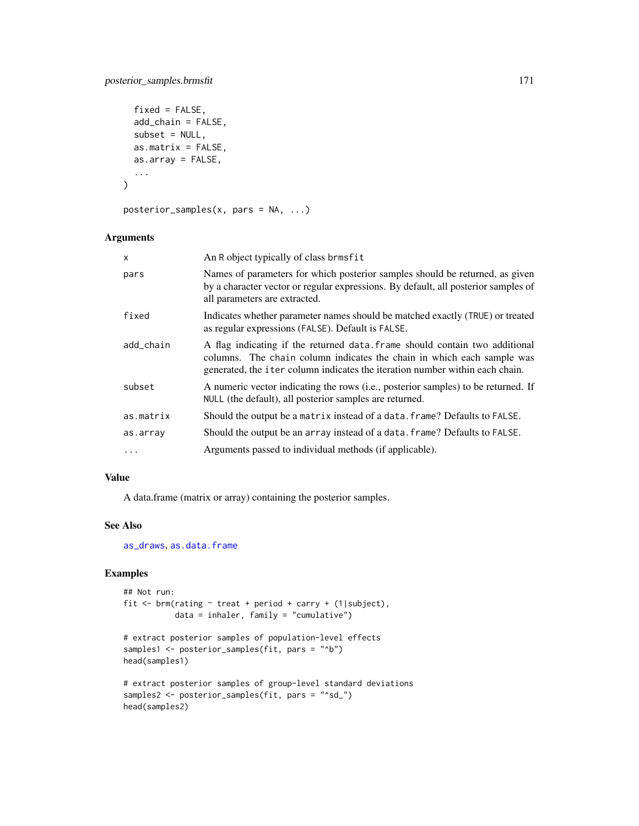```
fixed = FALSE,
  add_chain = FALSE,
  subset = NULL,as.matrix = FALSE,as.array = FALSE,
  ...
\mathcal{L}
```

```
posterior_samples(x, pars = NA, ...)
```
# Arguments

| $\mathsf{x}$ | An R object typically of class brmsfit                                                                                                                                                                                                        |
|--------------|-----------------------------------------------------------------------------------------------------------------------------------------------------------------------------------------------------------------------------------------------|
| pars         | Names of parameters for which posterior samples should be returned, as given<br>by a character vector or regular expressions. By default, all posterior samples of<br>all parameters are extracted.                                           |
| fixed        | Indicates whether parameter names should be matched exactly (TRUE) or treated<br>as regular expressions (FALSE). Default is FALSE.                                                                                                            |
| add_chain    | A flag indicating if the returned data. Frame should contain two additional<br>columns. The chain column indicates the chain in which each sample was<br>generated, the <i>i</i> ter column indicates the iteration number within each chain. |
| subset       | A numeric vector indicating the rows (i.e., posterior samples) to be returned. If<br>NULL (the default), all posterior samples are returned.                                                                                                  |
| as.matrix    | Should the output be a matrix instead of a data. frame? Defaults to FALSE.                                                                                                                                                                    |
| as.array     | Should the output be an array instead of a data. frame? Defaults to FALSE.                                                                                                                                                                    |
| .            | Arguments passed to individual methods (if applicable).                                                                                                                                                                                       |

## Value

A data.frame (matrix or array) containing the posterior samples.

# See Also

[as\\_draws](#page-82-0), [as.data.frame](#page-0-0)

# Examples

head(samples2)

```
## Not run:
fit <- brm(rating ~ treat + period + carry + (1|subject),
          data = inhaler, family = "cumulative")
# extract posterior samples of population-level effects
samples1 <- posterior_samples(fit, pars = "^b")
head(samples1)
# extract posterior samples of group-level standard deviations
samples2 <- posterior_samples(fit, pars = "^sd_")
```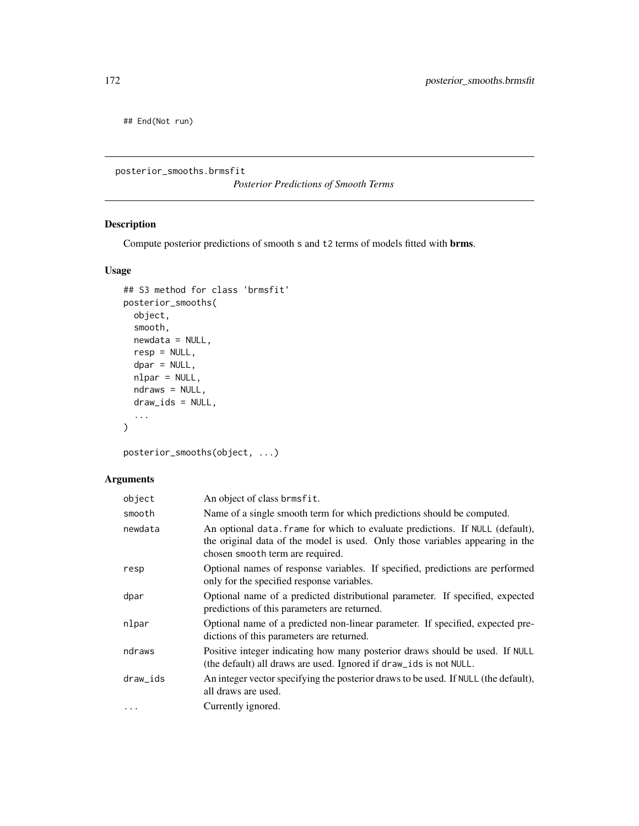## End(Not run)

posterior\_smooths.brmsfit

*Posterior Predictions of Smooth Terms*

# Description

Compute posterior predictions of smooth s and t2 terms of models fitted with brms.

## Usage

```
## S3 method for class 'brmsfit'
posterior_smooths(
 object,
 smooth,
 newdata = NULL,
 resp = NULL,dpar = NULL,nlpar = NULL,
 ndraws = NULL,
 draw_ids = NULL,
  ...
)
```
posterior\_smooths(object, ...)

| object   | An object of class brmsfit.                                                                                                                                                                        |
|----------|----------------------------------------------------------------------------------------------------------------------------------------------------------------------------------------------------|
| smooth   | Name of a single smooth term for which predictions should be computed.                                                                                                                             |
| newdata  | An optional data. frame for which to evaluate predictions. If NULL (default),<br>the original data of the model is used. Only those variables appearing in the<br>chosen smooth term are required. |
| resp     | Optional names of response variables. If specified, predictions are performed<br>only for the specified response variables.                                                                        |
| dpar     | Optional name of a predicted distributional parameter. If specified, expected<br>predictions of this parameters are returned.                                                                      |
| nlpar    | Optional name of a predicted non-linear parameter. If specified, expected pre-<br>dictions of this parameters are returned.                                                                        |
| ndraws   | Positive integer indicating how many posterior draws should be used. If NULL<br>(the default) all draws are used. Ignored if draw_ids is not NULL.                                                 |
| draw_ids | An integer vector specifying the posterior draws to be used. If NULL (the default),<br>all draws are used.                                                                                         |
|          | Currently ignored.                                                                                                                                                                                 |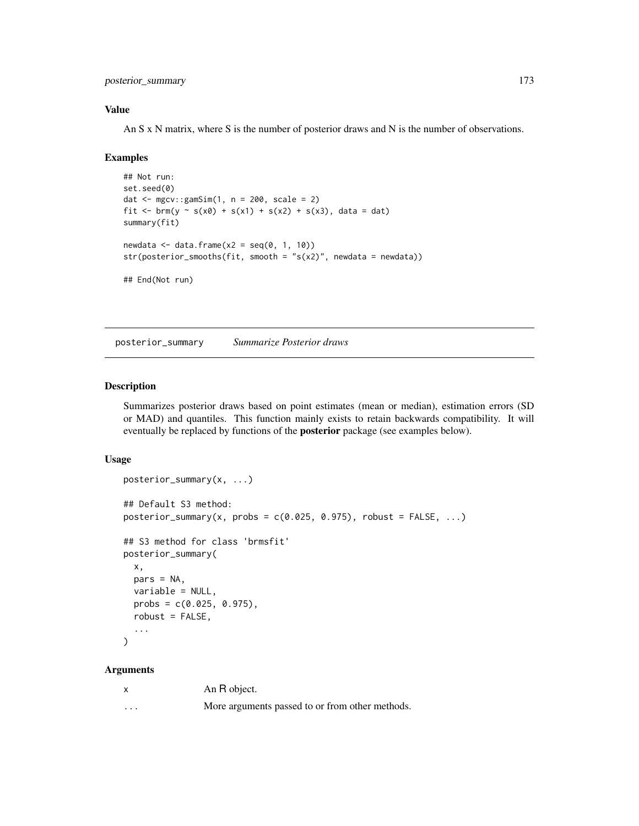posterior\_summary 173

## Value

An S x N matrix, where S is the number of posterior draws and N is the number of observations.

#### Examples

```
## Not run:
set.seed(0)
dat <- mgcv::gamSim(1, n = 200, scale = 2)
fit <- \text{brm}(y \sim s(x0) + s(x1) + s(x2) + s(x3), data = dat)
summary(fit)
newdata \leq data.frame(x2 = seq(0, 1, 10))
str(posterior_smooths(fit, smooth = "s(x2)", newdata = newdata))## End(Not run)
```
posterior\_summary *Summarize Posterior draws*

# Description

Summarizes posterior draws based on point estimates (mean or median), estimation errors (SD or MAD) and quantiles. This function mainly exists to retain backwards compatibility. It will eventually be replaced by functions of the posterior package (see examples below).

### Usage

```
posterior_summary(x, ...)
## Default S3 method:
posterior_summary(x, probs = c(0.025, 0.975), robust = FALSE, ...)
## S3 method for class 'brmsfit'
posterior_summary(
  x,
 pars = NA,
 variable = NULL,
 probs = c(0.025, 0.975),
  robust = FALSE,
  ...
)
```

|          | An R object.                                    |
|----------|-------------------------------------------------|
| $\cdots$ | More arguments passed to or from other methods. |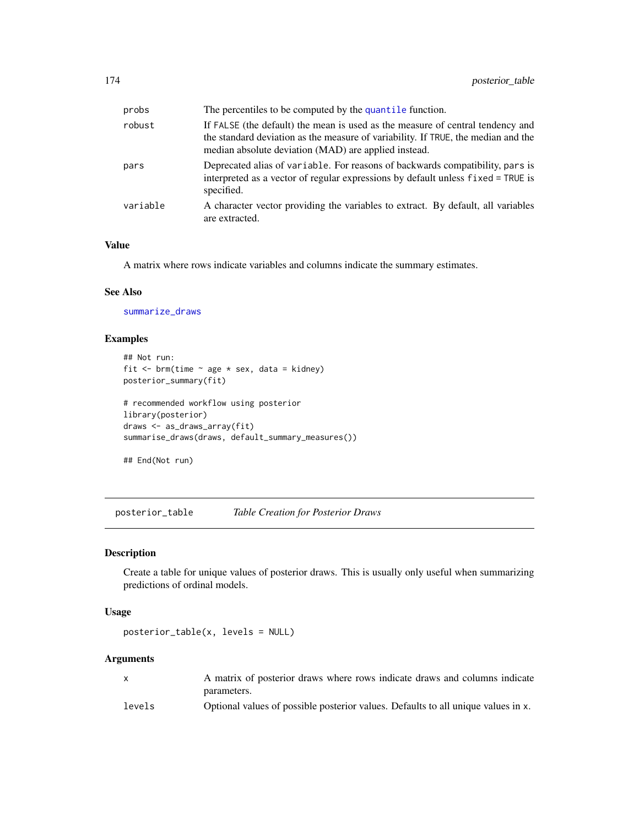| probs    | The percentiles to be computed by the quantile function.                                                                                                                                                                    |
|----------|-----------------------------------------------------------------------------------------------------------------------------------------------------------------------------------------------------------------------------|
| robust   | If FALSE (the default) the mean is used as the measure of central tendency and<br>the standard deviation as the measure of variability. If TRUE, the median and the<br>median absolute deviation (MAD) are applied instead. |
| pars     | Deprecated alias of variable. For reasons of backwards compatibility, pars is<br>interpreted as a vector of regular expressions by default unless fixed = TRUE is<br>specified.                                             |
| variable | A character vector providing the variables to extract. By default, all variables<br>are extracted.                                                                                                                          |

#### Value

A matrix where rows indicate variables and columns indicate the summary estimates.

### See Also

[summarize\\_draws](#page-0-0)

## Examples

```
## Not run:
fit \leq brm(time \sim age * sex, data = kidney)
posterior_summary(fit)
# recommended workflow using posterior
library(posterior)
draws <- as_draws_array(fit)
summarise_draws(draws, default_summary_measures())
```

```
## End(Not run)
```
posterior\_table *Table Creation for Posterior Draws*

# Description

Create a table for unique values of posterior draws. This is usually only useful when summarizing predictions of ordinal models.

#### Usage

posterior\_table(x, levels = NULL)

| $\mathsf{x}$ | A matrix of posterior draws where rows indicate draws and columns indicate        |
|--------------|-----------------------------------------------------------------------------------|
|              | parameters.                                                                       |
| levels       | Optional values of possible posterior values. Defaults to all unique values in x. |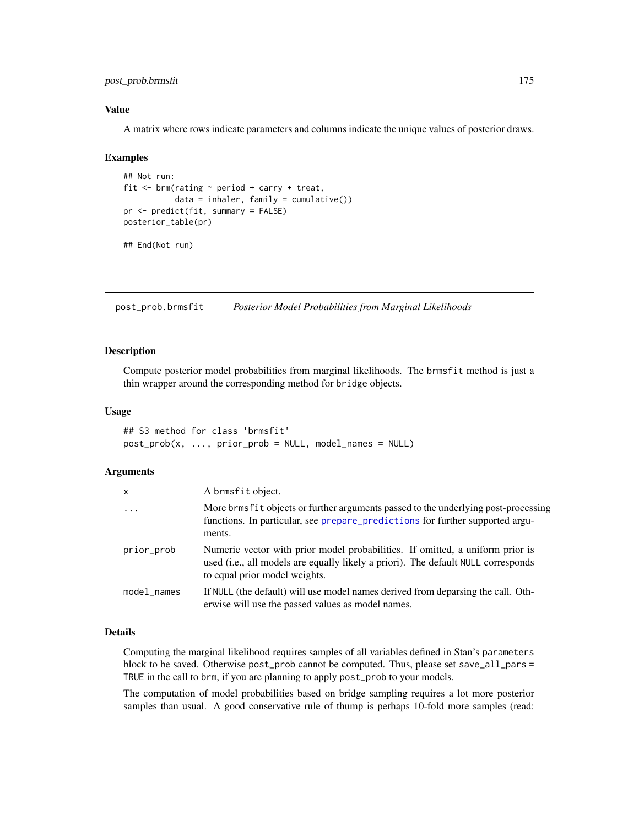# post\_prob.brmsfit 175

## Value

A matrix where rows indicate parameters and columns indicate the unique values of posterior draws.

#### Examples

```
## Not run:
fit <- brm(rating ~ period + carry + treat,
           data = inhaler, family = cumulative())
pr <- predict(fit, summary = FALSE)
posterior_table(pr)
## End(Not run)
```
post\_prob.brmsfit *Posterior Model Probabilities from Marginal Likelihoods*

#### <span id="page-174-0"></span>Description

Compute posterior model probabilities from marginal likelihoods. The brmsfit method is just a thin wrapper around the corresponding method for bridge objects.

## Usage

```
## S3 method for class 'brmsfit'
post\_prob(x, ..., prior\_prob = NULL, model\_names = NULL)
```
## Arguments

| x           | A brmsfit object.                                                                                                                                                                                   |
|-------------|-----------------------------------------------------------------------------------------------------------------------------------------------------------------------------------------------------|
| $\ddots$ .  | More brms fit objects or further arguments passed to the underlying post-processing<br>functions. In particular, see prepare_predictions for further supported argu-<br>ments.                      |
| prior_prob  | Numeric vector with prior model probabilities. If omitted, a uniform prior is<br>used (i.e., all models are equally likely a priori). The default NULL corresponds<br>to equal prior model weights. |
| model names | If NULL (the default) will use model names derived from deparsing the call. Oth-<br>erwise will use the passed values as model names.                                                               |

#### Details

Computing the marginal likelihood requires samples of all variables defined in Stan's parameters block to be saved. Otherwise post\_prob cannot be computed. Thus, please set save\_all\_pars = TRUE in the call to brm, if you are planning to apply post\_prob to your models.

The computation of model probabilities based on bridge sampling requires a lot more posterior samples than usual. A good conservative rule of thump is perhaps 10-fold more samples (read: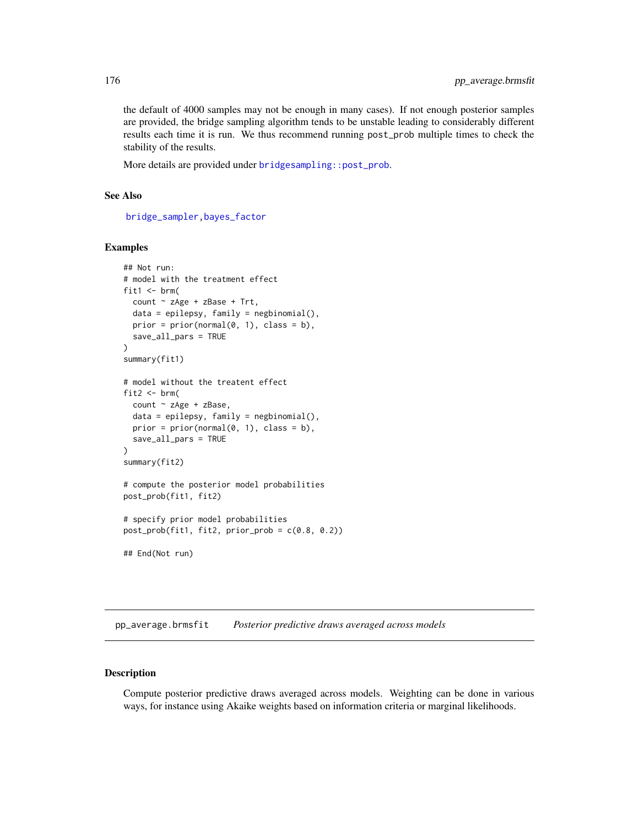the default of 4000 samples may not be enough in many cases). If not enough posterior samples are provided, the bridge sampling algorithm tends to be unstable leading to considerably different results each time it is run. We thus recommend running post\_prob multiple times to check the stability of the results.

More details are provided under [bridgesampling::post\\_prob](#page-0-0).

## See Also

[bridge\\_sampler,](#page-21-0)[bayes\\_factor](#page-18-0)

#### Examples

```
## Not run:
# model with the treatment effect
fit1 \leftarrow brm(
  count \sim zAge + zBase + Trt,
  data = epilepsy, family = negbinomial(),prior = prior(normal(0, 1), class = b),
  save_all_pars = TRUE
)
summary(fit1)
# model without the treatent effect
fit2 \leftarrow brm(
  count \sim zAge + zBase,
  data = epilepsy, family = negbinomial(),prior = prior(normal(0, 1), class = b),
  save_all_pars = TRUE
)
summary(fit2)
# compute the posterior model probabilities
post_prob(fit1, fit2)
# specify prior model probabilities
post_prob(fit1, fit2, prior_prob = c(0.8, 0.2))
## End(Not run)
```
pp\_average.brmsfit *Posterior predictive draws averaged across models*

#### <span id="page-175-0"></span>Description

Compute posterior predictive draws averaged across models. Weighting can be done in various ways, for instance using Akaike weights based on information criteria or marginal likelihoods.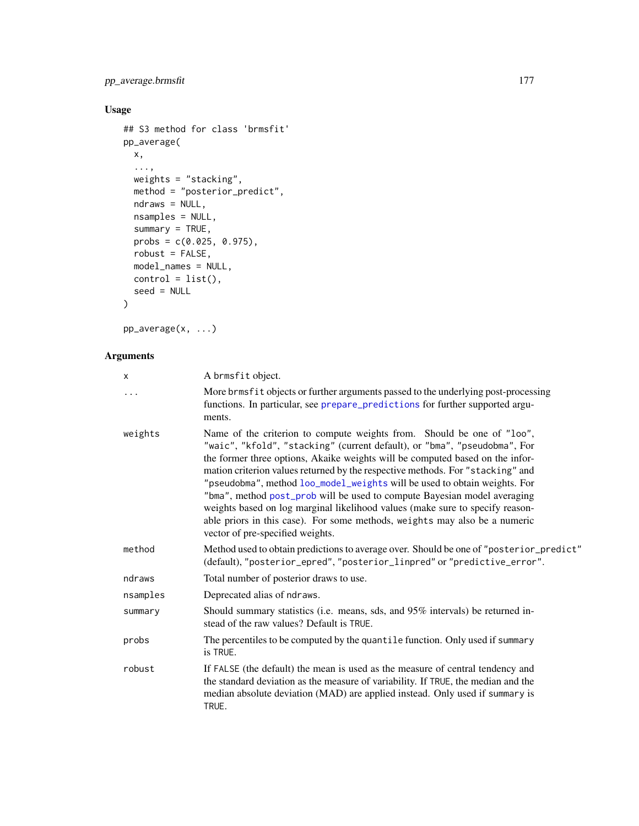# pp\_average.brmsfit 177

# Usage

```
## S3 method for class 'brmsfit'
pp_average(
 x,
 ...,
 weights = "stacking",
 method = "posterior_predict",
 ndraws = NULL,
 nsamples = NULL,
 summary = TRUE,
 probs = c(0.025, 0.975),
 robust = FALSE,
 model_names = NULL,
 control = list(),seed = NULL
)
```
pp\_average(x, ...)

| X        | A brmsfit object.                                                                                                                                                                                                                                                                                                                                                                                                                                                                                                                                                                                                                                                                  |
|----------|------------------------------------------------------------------------------------------------------------------------------------------------------------------------------------------------------------------------------------------------------------------------------------------------------------------------------------------------------------------------------------------------------------------------------------------------------------------------------------------------------------------------------------------------------------------------------------------------------------------------------------------------------------------------------------|
| .        | More brmsfit objects or further arguments passed to the underlying post-processing<br>functions. In particular, see prepare_predictions for further supported argu-<br>ments.                                                                                                                                                                                                                                                                                                                                                                                                                                                                                                      |
| weights  | Name of the criterion to compute weights from. Should be one of "loo",<br>"waic", "kfold", "stacking" (current default), or "bma", "pseudobma", For<br>the former three options, Akaike weights will be computed based on the infor-<br>mation criterion values returned by the respective methods. For "stacking" and<br>"pseudobma", method loo_model_weights will be used to obtain weights. For<br>"bma", method post_prob will be used to compute Bayesian model averaging<br>weights based on log marginal likelihood values (make sure to specify reason-<br>able priors in this case). For some methods, weights may also be a numeric<br>vector of pre-specified weights. |
| method   | Method used to obtain predictions to average over. Should be one of "posterior_predict"<br>(default), "posterior_epred", "posterior_linpred" or "predictive_error".                                                                                                                                                                                                                                                                                                                                                                                                                                                                                                                |
| ndraws   | Total number of posterior draws to use.                                                                                                                                                                                                                                                                                                                                                                                                                                                                                                                                                                                                                                            |
| nsamples | Deprecated alias of ndraws.                                                                                                                                                                                                                                                                                                                                                                                                                                                                                                                                                                                                                                                        |
| summary  | Should summary statistics (i.e. means, sds, and 95% intervals) be returned in-<br>stead of the raw values? Default is TRUE.                                                                                                                                                                                                                                                                                                                                                                                                                                                                                                                                                        |
| probs    | The percentiles to be computed by the quantile function. Only used if summary<br>is TRUE.                                                                                                                                                                                                                                                                                                                                                                                                                                                                                                                                                                                          |
| robust   | If FALSE (the default) the mean is used as the measure of central tendency and<br>the standard deviation as the measure of variability. If TRUE, the median and the<br>median absolute deviation (MAD) are applied instead. Only used if summary is<br>TRUE.                                                                                                                                                                                                                                                                                                                                                                                                                       |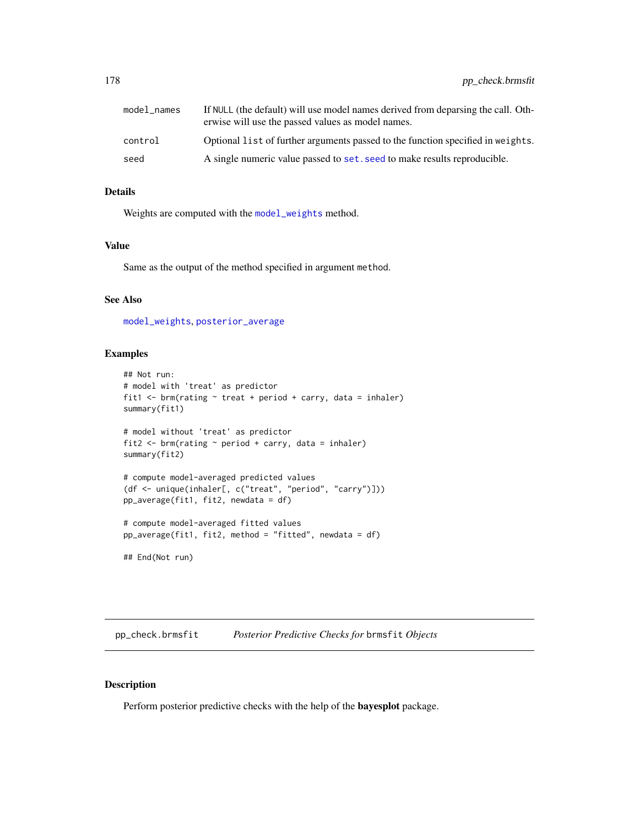| model names | If NULL (the default) will use model names derived from deparsing the call. Oth-<br>erwise will use the passed values as model names. |
|-------------|---------------------------------------------------------------------------------------------------------------------------------------|
| control     | Optional list of further arguments passed to the function specified in weights.                                                       |
| seed        | A single numeric value passed to set. seed to make results reproducible.                                                              |

#### Details

Weights are computed with the [model\\_weights](#page-152-0) method.

## Value

Same as the output of the method specified in argument method.

## See Also

[model\\_weights](#page-152-0), [posterior\\_average](#page-161-0)

### Examples

```
## Not run:
# model with 'treat' as predictor
fit1 <- brm(rating ~ treat + period + carry, data = inhaler)
summary(fit1)
# model without 'treat' as predictor
fit2 <- brm(rating \sim period + carry, data = inhaler)summary(fit2)
# compute model-averaged predicted values
(df <- unique(inhaler[, c("treat", "period", "carry")]))
pp_average(fit1, fit2, newdata = df)
# compute model-averaged fitted values
pp_average(fit1, fit2, method = "fitted", newdata = df)
## End(Not run)
```
pp\_check.brmsfit *Posterior Predictive Checks for* brmsfit *Objects*

#### Description

Perform posterior predictive checks with the help of the bayesplot package.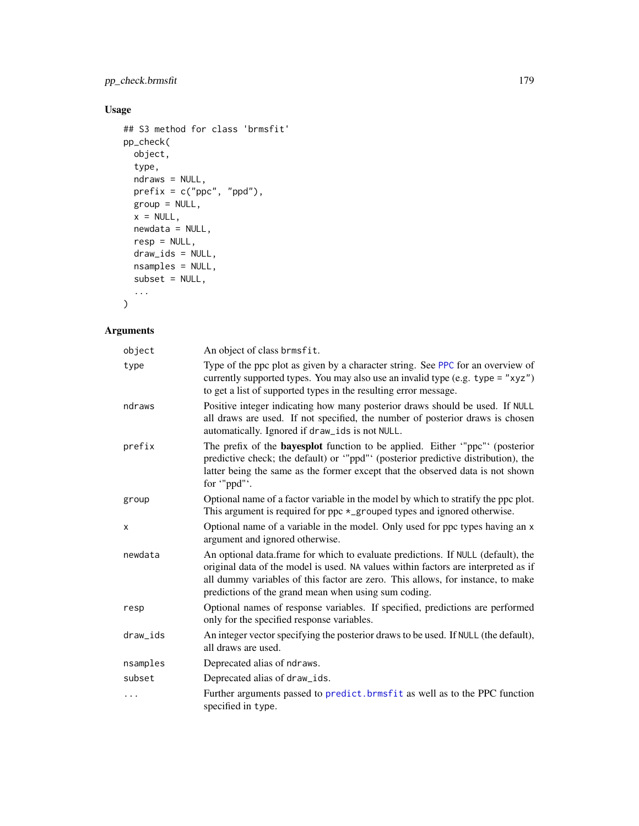# pp\_check.brmsfit 179

# Usage

```
## S3 method for class 'brmsfit'
pp_check(
 object,
 type,
 ndraws = NULL,
 prefix = c("ppc", "ppd"),
 group = NULL,
 x = NULL,newdata = NULL,
 resp = NULL,draw_ids = NULL,
 nsamples = NULL,
 subset = NULL,...
```
 $\mathcal{L}$ 

| object   | An object of class brmsfit.                                                                                                                                                                                                                                                                                       |
|----------|-------------------------------------------------------------------------------------------------------------------------------------------------------------------------------------------------------------------------------------------------------------------------------------------------------------------|
| type     | Type of the ppc plot as given by a character string. See PPC for an overview of<br>currently supported types. You may also use an invalid type (e.g. type = " $xyz$ ")<br>to get a list of supported types in the resulting error message.                                                                        |
| ndraws   | Positive integer indicating how many posterior draws should be used. If NULL<br>all draws are used. If not specified, the number of posterior draws is chosen<br>automatically. Ignored if draw_ids is not NULL.                                                                                                  |
| prefix   | The prefix of the <b>bayesplot</b> function to be applied. Either "ppc" (posterior<br>predictive check; the default) or "ppd" (posterior predictive distribution), the<br>latter being the same as the former except that the observed data is not shown<br>for "ppd".                                            |
| group    | Optional name of a factor variable in the model by which to stratify the ppc plot.<br>This argument is required for ppc $*$ _grouped types and ignored otherwise.                                                                                                                                                 |
| X        | Optional name of a variable in the model. Only used for ppc types having an x<br>argument and ignored otherwise.                                                                                                                                                                                                  |
| newdata  | An optional data.frame for which to evaluate predictions. If NULL (default), the<br>original data of the model is used. NA values within factors are interpreted as if<br>all dummy variables of this factor are zero. This allows, for instance, to make<br>predictions of the grand mean when using sum coding. |
| resp     | Optional names of response variables. If specified, predictions are performed<br>only for the specified response variables.                                                                                                                                                                                       |
| draw_ids | An integer vector specifying the posterior draws to be used. If NULL (the default),<br>all draws are used.                                                                                                                                                                                                        |
| nsamples | Deprecated alias of ndraws.                                                                                                                                                                                                                                                                                       |
| subset   | Deprecated alias of draw_ids.                                                                                                                                                                                                                                                                                     |
| .        | Further arguments passed to predict. brmsfit as well as to the PPC function<br>specified in type.                                                                                                                                                                                                                 |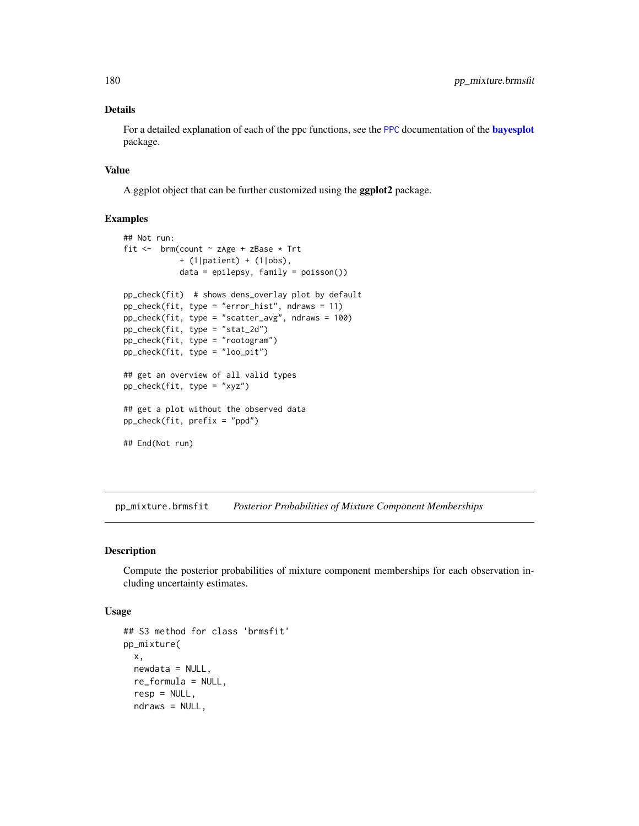## Details

For a detailed explanation of each of the ppc functions, see the [PPC](#page-0-0) documentation of the **[bayesplot](#page-0-0)** package.

#### Value

A ggplot object that can be further customized using the ggplot2 package.

# Examples

```
## Not run:
fit <- brm(count ~ zAge + zBase * Trt
            + (1|patient) + (1|obs),
            data = epilepsy, family = poisson())
pp_check(fit) # shows dens_overlay plot by default
pp_check(fit, type = "error_hist", ndraws = 11)
pp_check(fit, type = "scatter_avg", ndraws = 100)
pp_check(fit, type = "stat_2d")
pp_check(fit, type = "rootogram")
pp_check(fit, type = "loo_pit")
## get an overview of all valid types
pp_check(fit, type = "xyz")
## get a plot without the observed data
pp_check(fit, prefix = "ppd")
## End(Not run)
```
pp\_mixture.brmsfit *Posterior Probabilities of Mixture Component Memberships*

# Description

Compute the posterior probabilities of mixture component memberships for each observation including uncertainty estimates.

# Usage

```
## S3 method for class 'brmsfit'
pp_mixture(
 x,
 newdata = NULL,re_formula = NULL,
 resp = NULL,ndraws = NULL,
```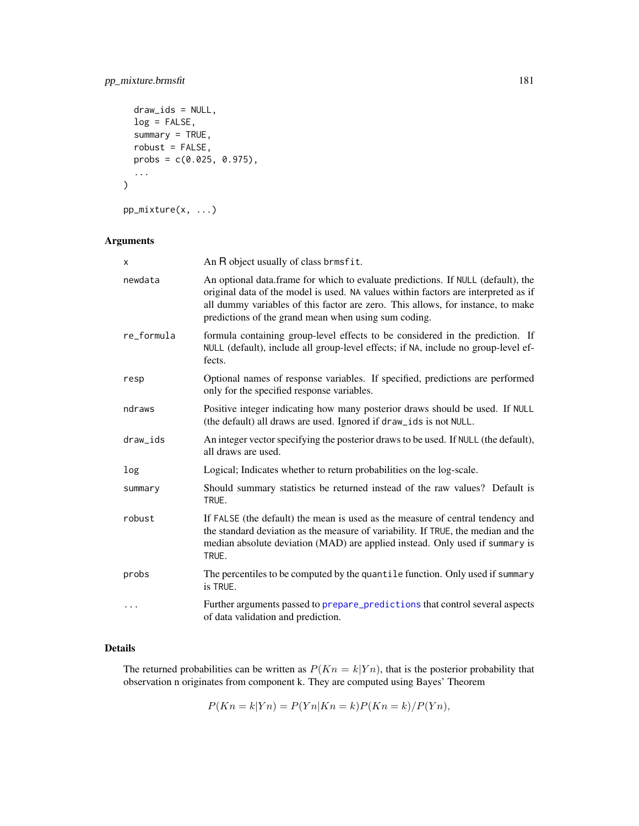# pp\_mixture.brmsfit 181

```
draw\_ids = NULL,log = FALSE,
  summary = TRUE,
  robust = FALSE,
  probs = c(0.025, 0.975),
  ...
\mathcal{L}
```
pp\_mixture(x, ...)

# Arguments

| X          | An R object usually of class brmsfit.                                                                                                                                                                                                                                                                             |
|------------|-------------------------------------------------------------------------------------------------------------------------------------------------------------------------------------------------------------------------------------------------------------------------------------------------------------------|
| newdata    | An optional data.frame for which to evaluate predictions. If NULL (default), the<br>original data of the model is used. NA values within factors are interpreted as if<br>all dummy variables of this factor are zero. This allows, for instance, to make<br>predictions of the grand mean when using sum coding. |
| re_formula | formula containing group-level effects to be considered in the prediction. If<br>NULL (default), include all group-level effects; if NA, include no group-level ef-<br>fects.                                                                                                                                     |
| resp       | Optional names of response variables. If specified, predictions are performed<br>only for the specified response variables.                                                                                                                                                                                       |
| ndraws     | Positive integer indicating how many posterior draws should be used. If NULL<br>(the default) all draws are used. Ignored if draw_ids is not NULL.                                                                                                                                                                |
| draw_ids   | An integer vector specifying the posterior draws to be used. If NULL (the default),<br>all draws are used.                                                                                                                                                                                                        |
| log        | Logical; Indicates whether to return probabilities on the log-scale.                                                                                                                                                                                                                                              |
| summary    | Should summary statistics be returned instead of the raw values? Default is<br>TRUE.                                                                                                                                                                                                                              |
| robust     | If FALSE (the default) the mean is used as the measure of central tendency and<br>the standard deviation as the measure of variability. If TRUE, the median and the<br>median absolute deviation (MAD) are applied instead. Only used if summary is<br>TRUE.                                                      |
| probs      | The percentiles to be computed by the quantile function. Only used if summary<br>is TRUE.                                                                                                                                                                                                                         |
| .          | Further arguments passed to prepare_predictions that control several aspects<br>of data validation and prediction.                                                                                                                                                                                                |

## Details

The returned probabilities can be written as  $P(Kn = k|Yn)$ , that is the posterior probability that observation n originates from component k. They are computed using Bayes' Theorem

$$
P(Kn = k|Yn) = P(Yn|Kn = k)P(Kn = k)/P(Yn),
$$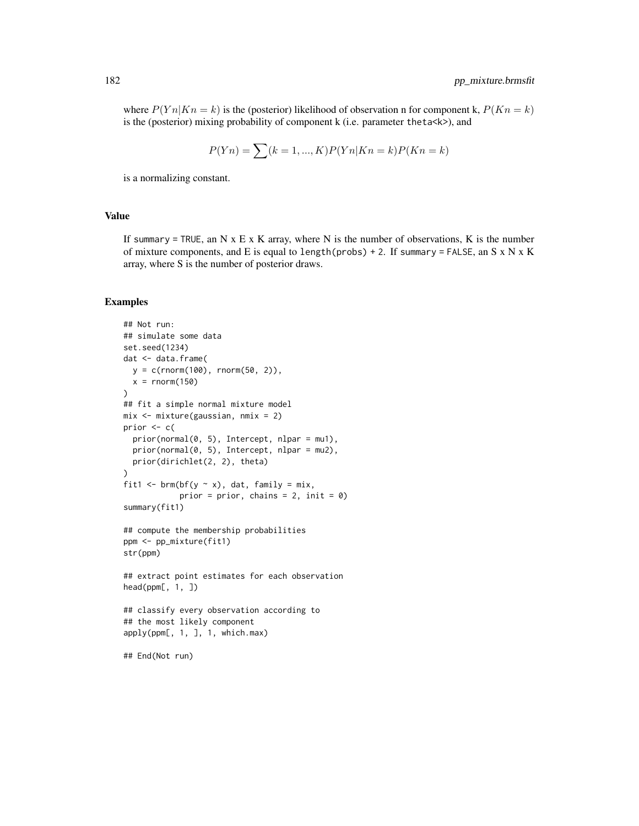where  $P(Yn|Kn = k)$  is the (posterior) likelihood of observation n for component k,  $P(Kn = k)$ is the (posterior) mixing probability of component k (i.e. parameter theta<k>), and

$$
P(Yn) = \sum (k = 1, ..., K)P(Yn|Kn = k)P(Kn = k)
$$

is a normalizing constant.

#### Value

If summary = TRUE, an N  $x \to x$  K array, where N is the number of observations, K is the number of mixture components, and E is equal to length(probs) + 2. If summary = FALSE, an S x N x K array, where S is the number of posterior draws.

#### Examples

```
## Not run:
## simulate some data
set.seed(1234)
dat <- data.frame(
  y = c(rnorm(100), rnorm(50, 2)),
  x = rnorm(150))
## fit a simple normal mixture model
mix <- mixture(gaussian, nmix = 2)
prior <- c(
  prior(normal(0, 5), Intercept, nlpar = mu1),
  prior(normal(0, 5), Intercept, nlpar = mu2),
  prior(dirichlet(2, 2), theta)
)
fit1 <- brm(bf(y \sim x), dat, family = mix,prior = prior, chains = 2, init = 0)
summary(fit1)
## compute the membership probabilities
ppm <- pp_mixture(fit1)
str(ppm)
## extract point estimates for each observation
head(ppm[, 1, ])
## classify every observation according to
## the most likely component
apply(ppm[, 1, ], 1, which.max)
## End(Not run)
```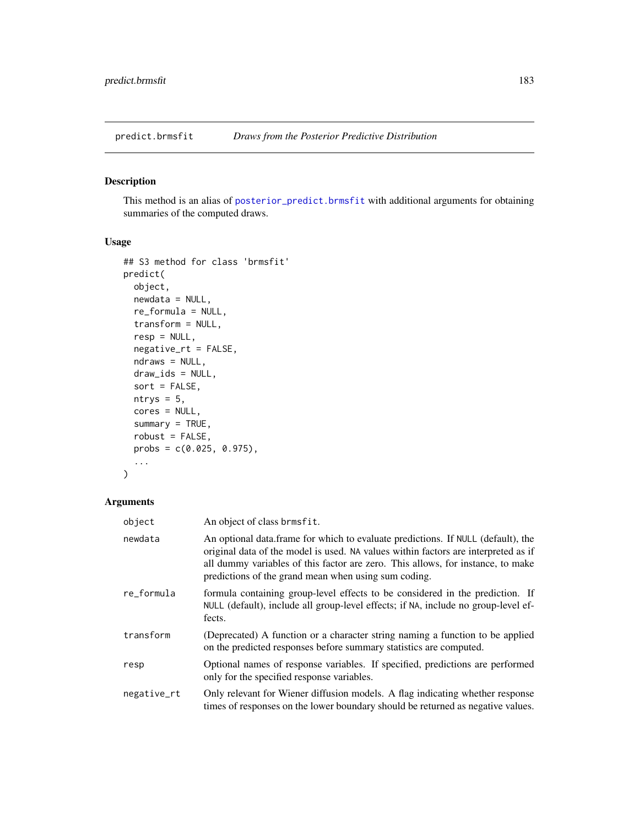## Description

This method is an alias of [posterior\\_predict.brmsfit](#page-167-0) with additional arguments for obtaining summaries of the computed draws.

#### Usage

```
## S3 method for class 'brmsfit'
predict(
 object,
 newdata = NULL,
  re_formula = NULL,
  transform = NULL,
  resp = NULL,negative_rt = FALSE,
  ndraws = NULL,
  draw_ids = NULL,
  sort = FALSE,
  ntrys = 5,
  cores = NULL,
  summary = TRUE,
  robust = FALSE,
 probs = c(0.025, 0.975),
  ...
)
```

| object      | An object of class brmsfit.                                                                                                                                                                                                                                                                                       |
|-------------|-------------------------------------------------------------------------------------------------------------------------------------------------------------------------------------------------------------------------------------------------------------------------------------------------------------------|
| newdata     | An optional data frame for which to evaluate predictions. If NULL (default), the<br>original data of the model is used. NA values within factors are interpreted as if<br>all dummy variables of this factor are zero. This allows, for instance, to make<br>predictions of the grand mean when using sum coding. |
| re_formula  | formula containing group-level effects to be considered in the prediction. If<br>NULL (default), include all group-level effects; if NA, include no group-level ef-<br>fects.                                                                                                                                     |
| transform   | (Deprecated) A function or a character string naming a function to be applied<br>on the predicted responses before summary statistics are computed.                                                                                                                                                               |
| resp        | Optional names of response variables. If specified, predictions are performed<br>only for the specified response variables.                                                                                                                                                                                       |
| negative_rt | Only relevant for Wiener diffusion models. A flag indicating whether response<br>times of responses on the lower boundary should be returned as negative values.                                                                                                                                                  |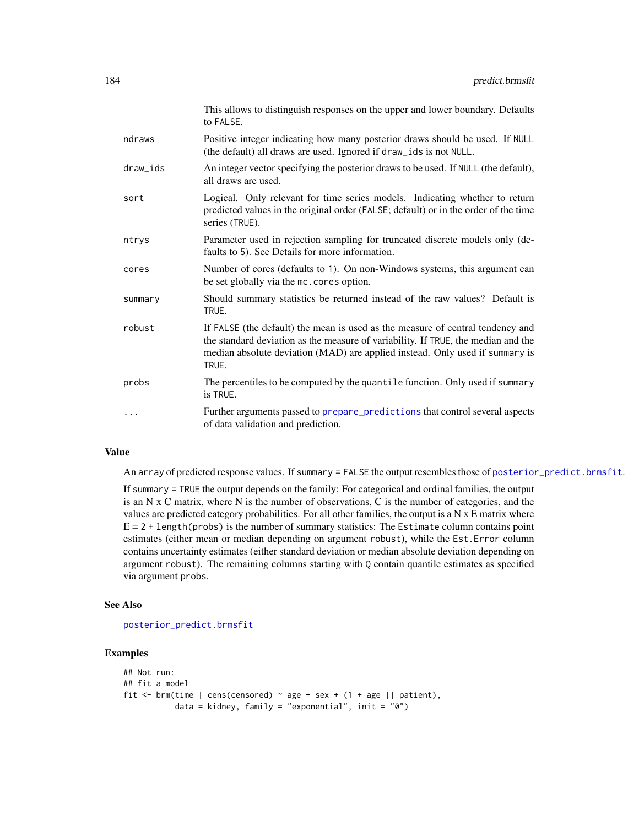|          | This allows to distinguish responses on the upper and lower boundary. Defaults<br>to FALSE.                                                                                                                                                                  |
|----------|--------------------------------------------------------------------------------------------------------------------------------------------------------------------------------------------------------------------------------------------------------------|
| ndraws   | Positive integer indicating how many posterior draws should be used. If NULL<br>(the default) all draws are used. Ignored if draw_ids is not NULL.                                                                                                           |
| draw_ids | An integer vector specifying the posterior draws to be used. If NULL (the default),<br>all draws are used.                                                                                                                                                   |
| sort     | Logical. Only relevant for time series models. Indicating whether to return<br>predicted values in the original order (FALSE; default) or in the order of the time<br>series (TRUE).                                                                         |
| ntrys    | Parameter used in rejection sampling for truncated discrete models only (de-<br>faults to 5). See Details for more information.                                                                                                                              |
| cores    | Number of cores (defaults to 1). On non-Windows systems, this argument can<br>be set globally via the mc. cores option.                                                                                                                                      |
| summary  | Should summary statistics be returned instead of the raw values? Default is<br>TRUE.                                                                                                                                                                         |
| robust   | If FALSE (the default) the mean is used as the measure of central tendency and<br>the standard deviation as the measure of variability. If TRUE, the median and the<br>median absolute deviation (MAD) are applied instead. Only used if summary is<br>TRUE. |
| probs    | The percentiles to be computed by the quantile function. Only used if summary<br>is TRUE.                                                                                                                                                                    |
| $\cdots$ | Further arguments passed to prepare_predictions that control several aspects<br>of data validation and prediction.                                                                                                                                           |

## Value

An array of predicted response values. If summary = FALSE the output resembles those of [posterior\\_predict.brmsfit](#page-167-0).

If summary = TRUE the output depends on the family: For categorical and ordinal families, the output is an N x C matrix, where N is the number of observations, C is the number of categories, and the values are predicted category probabilities. For all other families, the output is a  $N \times E$  matrix where  $E = 2 + length(probs)$  is the number of summary statistics: The Estimate column contains point estimates (either mean or median depending on argument robust), while the Est.Error column contains uncertainty estimates (either standard deviation or median absolute deviation depending on argument robust). The remaining columns starting with Q contain quantile estimates as specified via argument probs.

#### See Also

[posterior\\_predict.brmsfit](#page-167-0)

#### Examples

```
## Not run:
## fit a model
fit \le brm(time | cens(censored) \sim age + sex + (1 + age || patient),
           data = kidney, family = "exponential", init = "0")
```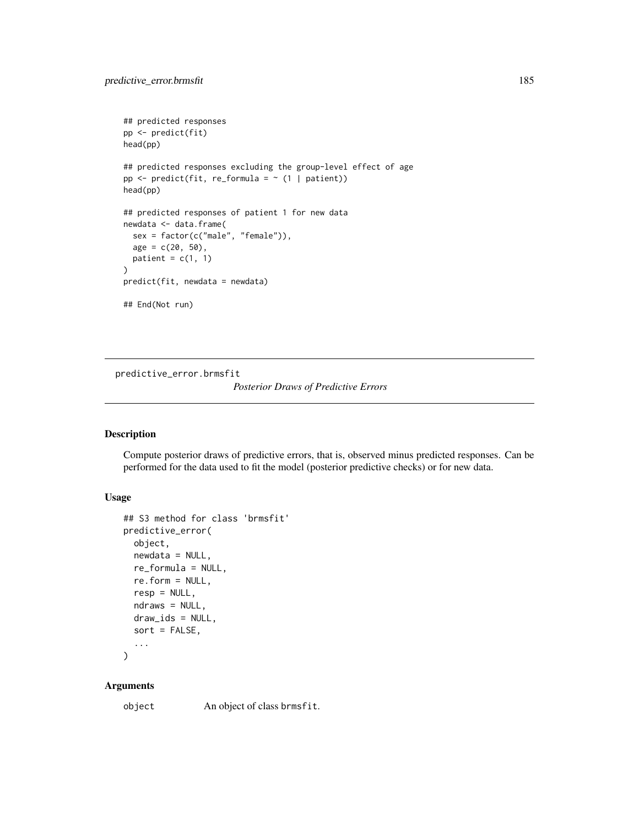```
## predicted responses
pp <- predict(fit)
head(pp)
## predicted responses excluding the group-level effect of age
pp \leq predict(fit, re_formula = \sim (1 | patient))
head(pp)
## predicted responses of patient 1 for new data
newdata <- data.frame(
  sex = factor(c("male", "female")),
  age = c(20, 50),patient = c(1, 1))
predict(fit, newdata = newdata)
## End(Not run)
```
<span id="page-184-0"></span>predictive\_error.brmsfit

#### *Posterior Draws of Predictive Errors*

#### Description

Compute posterior draws of predictive errors, that is, observed minus predicted responses. Can be performed for the data used to fit the model (posterior predictive checks) or for new data.

#### Usage

```
## S3 method for class 'brmsfit'
predictive_error(
  object,
  newdata = NULL,
  re_formula = NULL,
  re.form = NULL,
  resp = NULL,ndraws = NULL,
  draw_ids = NULL,
  sort = FALSE,
  ...
\lambda
```
#### Arguments

object An object of class brmsfit.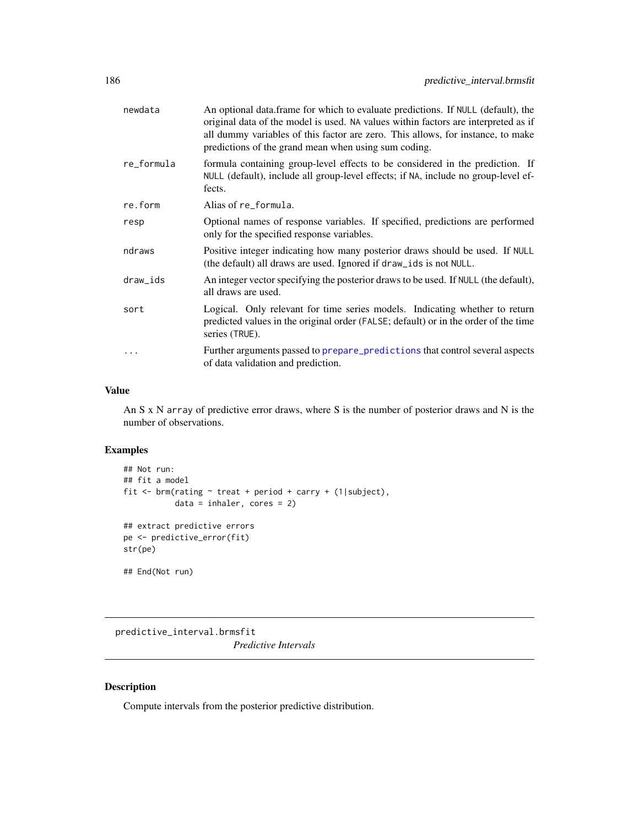| newdata    | An optional data.frame for which to evaluate predictions. If NULL (default), the<br>original data of the model is used. NA values within factors are interpreted as if<br>all dummy variables of this factor are zero. This allows, for instance, to make<br>predictions of the grand mean when using sum coding. |
|------------|-------------------------------------------------------------------------------------------------------------------------------------------------------------------------------------------------------------------------------------------------------------------------------------------------------------------|
| re_formula | formula containing group-level effects to be considered in the prediction. If<br>NULL (default), include all group-level effects; if NA, include no group-level ef-<br>fects.                                                                                                                                     |
| re.form    | Alias of re formula.                                                                                                                                                                                                                                                                                              |
| resp       | Optional names of response variables. If specified, predictions are performed<br>only for the specified response variables.                                                                                                                                                                                       |
| ndraws     | Positive integer indicating how many posterior draws should be used. If NULL<br>(the default) all draws are used. Ignored if draw_ids is not NULL.                                                                                                                                                                |
| draw_ids   | An integer vector specifying the posterior draws to be used. If NULL (the default),<br>all draws are used.                                                                                                                                                                                                        |
| sort       | Logical. Only relevant for time series models. Indicating whether to return<br>predicted values in the original order (FALSE; default) or in the order of the time<br>series (TRUE).                                                                                                                              |
| $\ddotsc$  | Further arguments passed to prepare_predictions that control several aspects<br>of data validation and prediction.                                                                                                                                                                                                |
|            |                                                                                                                                                                                                                                                                                                                   |

#### Value

An S x N array of predictive error draws, where S is the number of posterior draws and N is the number of observations.

# Examples

```
## Not run:
## fit a model
fit <- brm(rating ~ treat + period + carry + (1|subject),
           data = inhaler, cores = 2)
## extract predictive errors
pe <- predictive_error(fit)
str(pe)
## End(Not run)
```
predictive\_interval.brmsfit *Predictive Intervals*

# Description

Compute intervals from the posterior predictive distribution.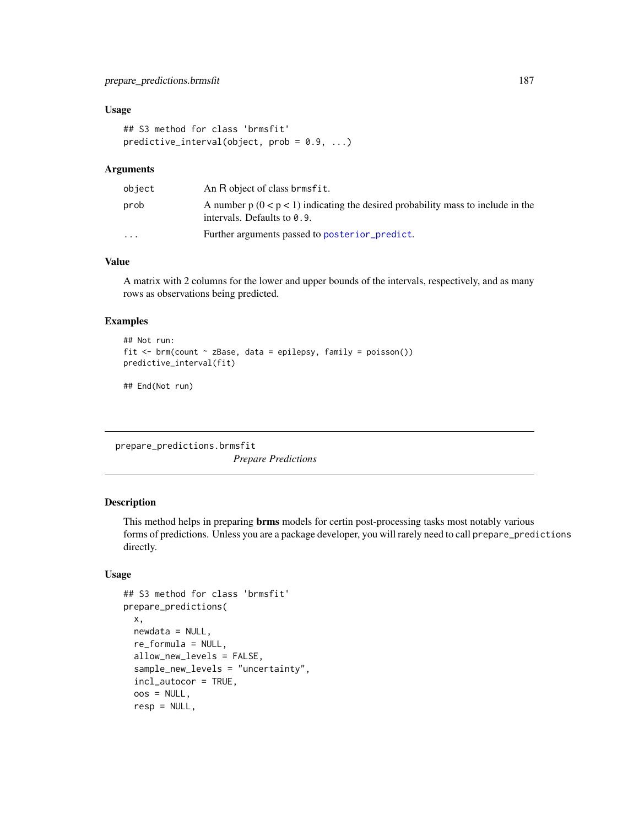#### Usage

```
## S3 method for class 'brmsfit'
predictive_interval(object, prob = 0.9, ...)
```
#### Arguments

| object                  | An R object of class brmsfit.                                                                                       |
|-------------------------|---------------------------------------------------------------------------------------------------------------------|
| prob                    | A number $p(0 < p < 1)$ indicating the desired probability mass to include in the<br>intervals. Defaults to $0.9$ . |
| $\cdot$ $\cdot$ $\cdot$ | Further arguments passed to posterior predict.                                                                      |

## Value

A matrix with 2 columns for the lower and upper bounds of the intervals, respectively, and as many rows as observations being predicted.

## Examples

```
## Not run:
fit \leq brm(count \sim zBase, data = epilepsy, family = poisson())
predictive_interval(fit)
```

```
## End(Not run)
```
prepare\_predictions.brmsfit *Prepare Predictions*

## <span id="page-186-0"></span>Description

This method helps in preparing **brms** models for certin post-processing tasks most notably various forms of predictions. Unless you are a package developer, you will rarely need to call prepare\_predictions directly.

```
## S3 method for class 'brmsfit'
prepare_predictions(
  x,
 newdata = NULL,re_formula = NULL,
  allow_new_levels = FALSE,
  sample_new_levels = "uncertainty",
  incl_autocor = TRUE,
  cos = NULL,resp = NULL,
```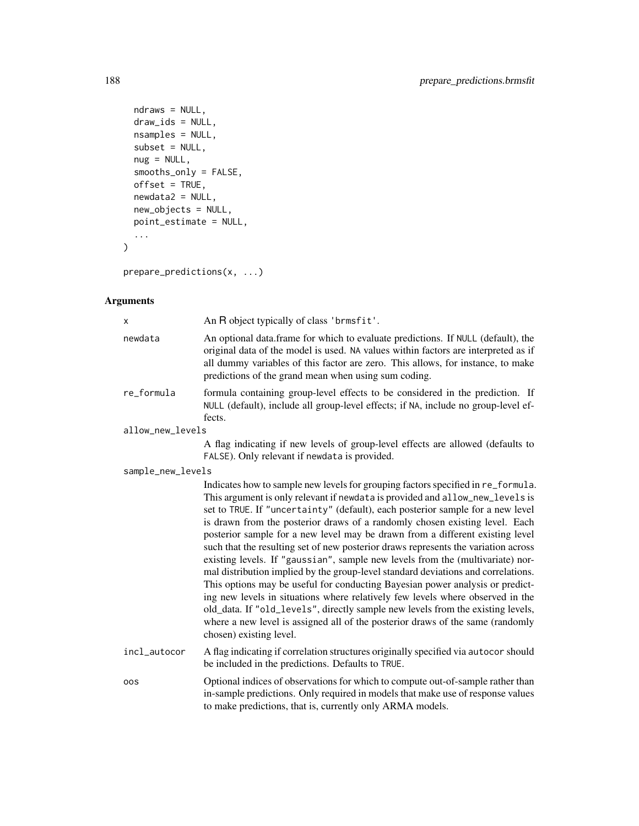```
ndraws = NULL,draw_ids = NULL,
  nsamples = NULL,
  subset = NULL,
  nug = NULL,
  smooths_only = FALSE,
  offset = TRUE,newdata2 = NULL,new_objects = NULL,
  point_estimate = NULL,
  ...
\overline{)}
```
prepare\_predictions(x, ...)

| х                 | An R object typically of class 'brmsfit'.                                                                                                                                                                                                                                                                                                                                                                                                                                                                                                                                                                                                                                                                                                                                                                                                                                                                                                                                                                                                           |
|-------------------|-----------------------------------------------------------------------------------------------------------------------------------------------------------------------------------------------------------------------------------------------------------------------------------------------------------------------------------------------------------------------------------------------------------------------------------------------------------------------------------------------------------------------------------------------------------------------------------------------------------------------------------------------------------------------------------------------------------------------------------------------------------------------------------------------------------------------------------------------------------------------------------------------------------------------------------------------------------------------------------------------------------------------------------------------------|
| newdata           | An optional data.frame for which to evaluate predictions. If NULL (default), the<br>original data of the model is used. NA values within factors are interpreted as if<br>all dummy variables of this factor are zero. This allows, for instance, to make<br>predictions of the grand mean when using sum coding.                                                                                                                                                                                                                                                                                                                                                                                                                                                                                                                                                                                                                                                                                                                                   |
| re_formula        | formula containing group-level effects to be considered in the prediction. If<br>NULL (default), include all group-level effects; if NA, include no group-level ef-<br>fects.                                                                                                                                                                                                                                                                                                                                                                                                                                                                                                                                                                                                                                                                                                                                                                                                                                                                       |
| allow_new_levels  |                                                                                                                                                                                                                                                                                                                                                                                                                                                                                                                                                                                                                                                                                                                                                                                                                                                                                                                                                                                                                                                     |
|                   | A flag indicating if new levels of group-level effects are allowed (defaults to<br>FALSE). Only relevant if newdata is provided.                                                                                                                                                                                                                                                                                                                                                                                                                                                                                                                                                                                                                                                                                                                                                                                                                                                                                                                    |
| sample_new_levels |                                                                                                                                                                                                                                                                                                                                                                                                                                                                                                                                                                                                                                                                                                                                                                                                                                                                                                                                                                                                                                                     |
|                   | Indicates how to sample new levels for grouping factors specified in re_formula.<br>This argument is only relevant if newdata is provided and allow_new_levels is<br>set to TRUE. If "uncertainty" (default), each posterior sample for a new level<br>is drawn from the posterior draws of a randomly chosen existing level. Each<br>posterior sample for a new level may be drawn from a different existing level<br>such that the resulting set of new posterior draws represents the variation across<br>existing levels. If "gaussian", sample new levels from the (multivariate) nor-<br>mal distribution implied by the group-level standard deviations and correlations.<br>This options may be useful for conducting Bayesian power analysis or predict-<br>ing new levels in situations where relatively few levels where observed in the<br>old_data. If "old_levels", directly sample new levels from the existing levels,<br>where a new level is assigned all of the posterior draws of the same (randomly<br>chosen) existing level. |
| incl_autocor      | A flag indicating if correlation structures originally specified via autocor should<br>be included in the predictions. Defaults to TRUE.                                                                                                                                                                                                                                                                                                                                                                                                                                                                                                                                                                                                                                                                                                                                                                                                                                                                                                            |
| <b>OOS</b>        | Optional indices of observations for which to compute out-of-sample rather than<br>in-sample predictions. Only required in models that make use of response values<br>to make predictions, that is, currently only ARMA models.                                                                                                                                                                                                                                                                                                                                                                                                                                                                                                                                                                                                                                                                                                                                                                                                                     |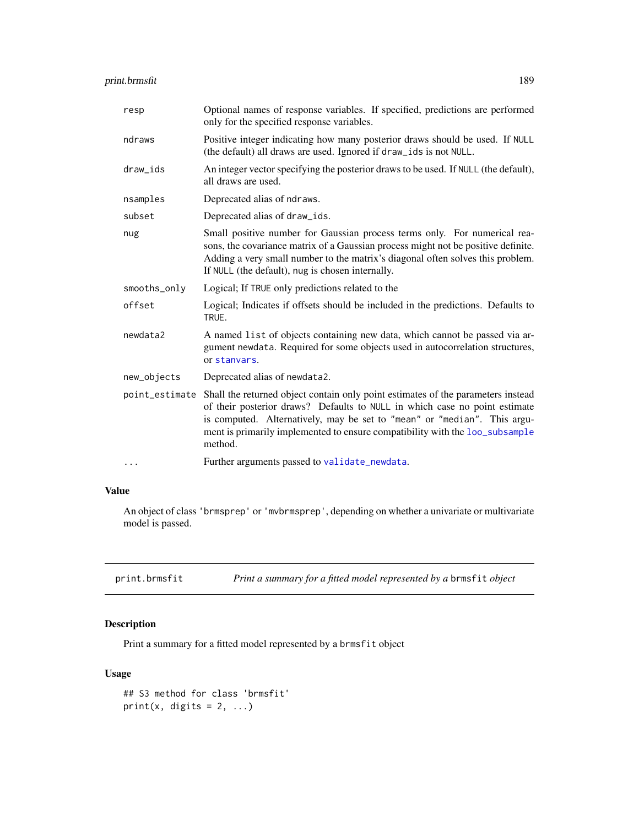| resp           | Optional names of response variables. If specified, predictions are performed<br>only for the specified response variables.                                                                                                                                                                                                           |
|----------------|---------------------------------------------------------------------------------------------------------------------------------------------------------------------------------------------------------------------------------------------------------------------------------------------------------------------------------------|
| ndraws         | Positive integer indicating how many posterior draws should be used. If NULL<br>(the default) all draws are used. Ignored if draw_ids is not NULL.                                                                                                                                                                                    |
| draw_ids       | An integer vector specifying the posterior draws to be used. If NULL (the default),<br>all draws are used.                                                                                                                                                                                                                            |
| nsamples       | Deprecated alias of ndraws.                                                                                                                                                                                                                                                                                                           |
| subset         | Deprecated alias of draw_ids.                                                                                                                                                                                                                                                                                                         |
| nug            | Small positive number for Gaussian process terms only. For numerical rea-<br>sons, the covariance matrix of a Gaussian process might not be positive definite.<br>Adding a very small number to the matrix's diagonal often solves this problem.<br>If NULL (the default), nug is chosen internally.                                  |
| smooths_only   | Logical; If TRUE only predictions related to the                                                                                                                                                                                                                                                                                      |
| offset         | Logical; Indicates if offsets should be included in the predictions. Defaults to<br>TRUE.                                                                                                                                                                                                                                             |
| newdata2       | A named list of objects containing new data, which cannot be passed via ar-<br>gument newdata. Required for some objects used in autocorrelation structures,<br>or stanvars.                                                                                                                                                          |
| new_objects    | Deprecated alias of newdata2.                                                                                                                                                                                                                                                                                                         |
| point_estimate | Shall the returned object contain only point estimates of the parameters instead<br>of their posterior draws? Defaults to NULL in which case no point estimate<br>is computed. Alternatively, may be set to "mean" or "median". This argu-<br>ment is primarily implemented to ensure compatibility with the loo_subsample<br>method. |
| $\cdots$       | Further arguments passed to validate_newdata.                                                                                                                                                                                                                                                                                         |

# Value

An object of class 'brmsprep' or 'mvbrmsprep', depending on whether a univariate or multivariate model is passed.

print.brmsfit *Print a summary for a fitted model represented by a* brmsfit *object*

# Description

Print a summary for a fitted model represented by a brmsfit object

```
## S3 method for class 'brmsfit'
print(x, digits = 2, ...)
```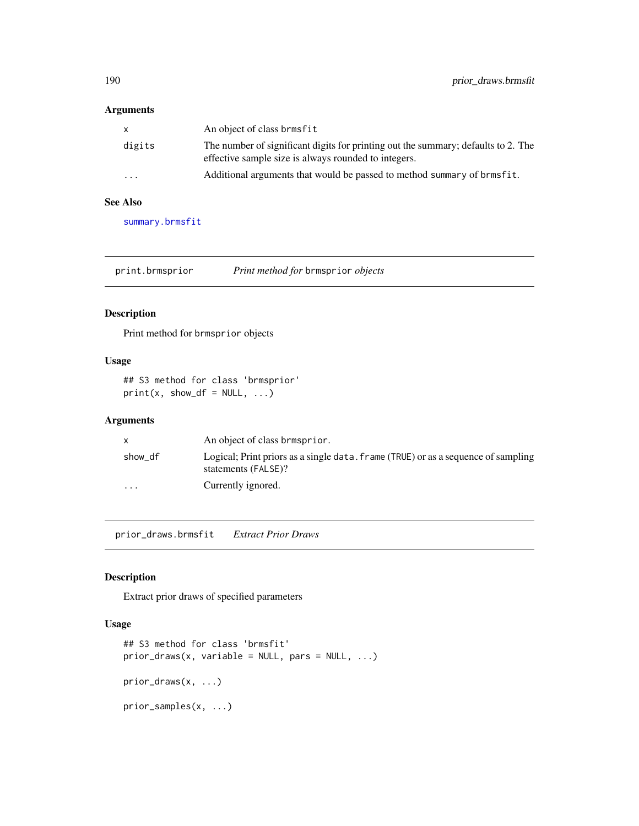#### Arguments

| x                       | An object of class brmsfit                                                                                                                |
|-------------------------|-------------------------------------------------------------------------------------------------------------------------------------------|
| digits                  | The number of significant digits for printing out the summary; defaults to 2. The<br>effective sample size is always rounded to integers. |
| $\cdot$ $\cdot$ $\cdot$ | Additional arguments that would be passed to method summary of brmsfit.                                                                   |

# See Also

[summary.brmsfit](#page-215-0)

print.brmsprior *Print method for* brmsprior *objects*

## Description

Print method for brmsprior objects

## Usage

## S3 method for class 'brmsprior'  $print(x, show_d f = NULL, ...)$ 

#### Arguments

|                         | An object of class brmsprior.                                                                            |
|-------------------------|----------------------------------------------------------------------------------------------------------|
| show df                 | Logical; Print priors as a single data. frame (TRUE) or as a sequence of sampling<br>statements (FALSE)? |
| $\cdot$ $\cdot$ $\cdot$ | Currently ignored.                                                                                       |

prior\_draws.brmsfit *Extract Prior Draws*

## Description

Extract prior draws of specified parameters

```
## S3 method for class 'brmsfit'
prior\_draws(x, variable = NULL, parse = NULL, ...)prior_draws(x, ...)
prior_samples(x, ...)
```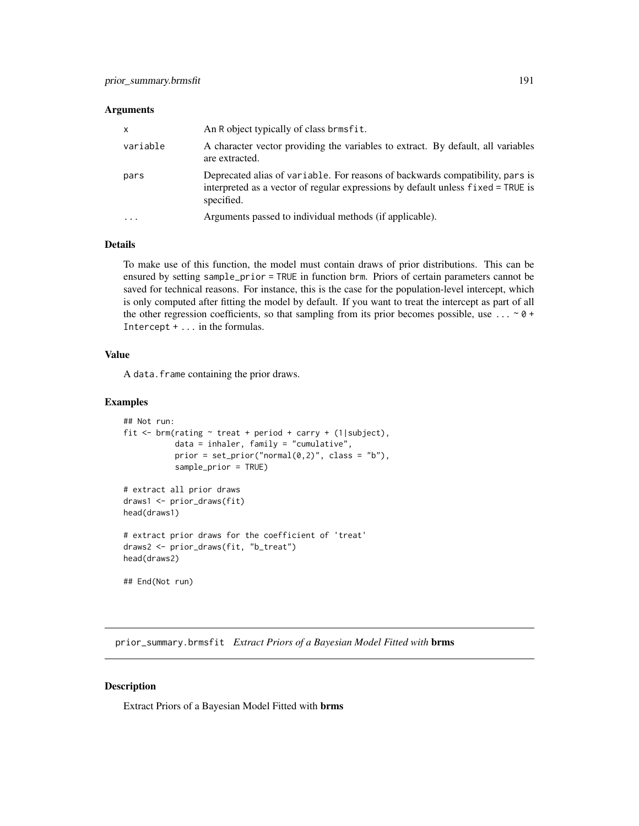#### Arguments

| $\mathsf{x}$            | An R object typically of class brmsfit.                                                                                                                                         |
|-------------------------|---------------------------------------------------------------------------------------------------------------------------------------------------------------------------------|
| variable                | A character vector providing the variables to extract. By default, all variables<br>are extracted.                                                                              |
| pars                    | Deprecated alias of variable. For reasons of backwards compatibility, pars is<br>interpreted as a vector of regular expressions by default unless fixed = TRUE is<br>specified. |
| $\cdot$ $\cdot$ $\cdot$ | Arguments passed to individual methods (if applicable).                                                                                                                         |

#### Details

To make use of this function, the model must contain draws of prior distributions. This can be ensured by setting sample\_prior = TRUE in function brm. Priors of certain parameters cannot be saved for technical reasons. For instance, this is the case for the population-level intercept, which is only computed after fitting the model by default. If you want to treat the intercept as part of all the other regression coefficients, so that sampling from its prior becomes possible, use ...  $\sim$  0 + Intercept + ... in the formulas.

#### Value

A data.frame containing the prior draws.

## Examples

```
## Not run:
fit \le brm(rating \sim treat + period + carry + (1|subject),
           data = inhaler, family = "cumulative",
           prior = set\_prior("normal(0,2)", class = "b"),sample_prior = TRUE)
# extract all prior draws
draws1 <- prior_draws(fit)
head(draws1)
# extract prior draws for the coefficient of 'treat'
draws2 <- prior_draws(fit, "b_treat")
head(draws2)
## End(Not run)
```
prior\_summary.brmsfit *Extract Priors of a Bayesian Model Fitted with* brms

#### Description

Extract Priors of a Bayesian Model Fitted with brms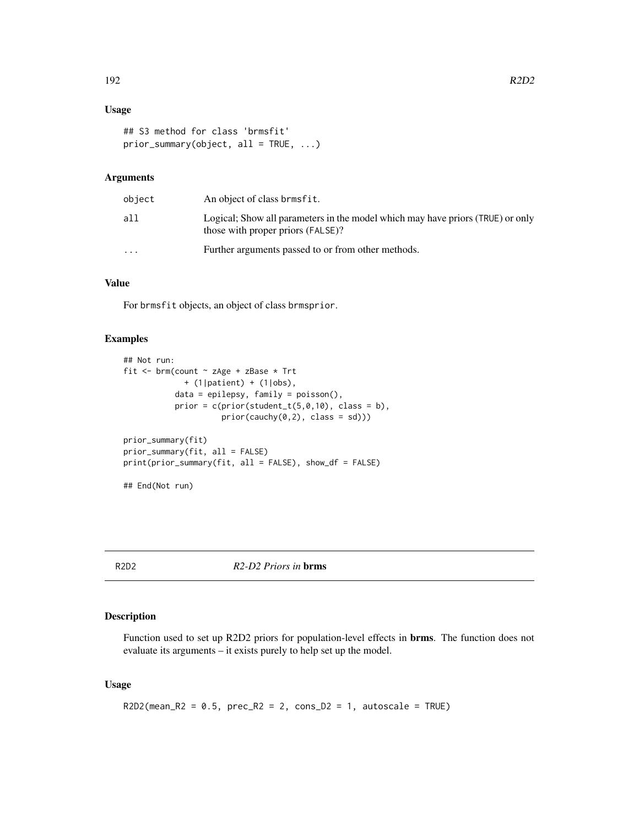## Usage

```
## S3 method for class 'brmsfit'
prior_summary(object, all = TRUE, ...)
```
## Arguments

| object    | An object of class brmsfit.                                                                                         |
|-----------|---------------------------------------------------------------------------------------------------------------------|
| all       | Logical; Show all parameters in the model which may have priors (TRUE) or only<br>those with proper priors (FALSE)? |
| $\ddotsc$ | Further arguments passed to or from other methods.                                                                  |

#### Value

For brmsfit objects, an object of class brmsprior.

#### Examples

```
## Not run:
fit <- brm(count ~ zAge + zBase * Trt
             + (1|patient) + (1|obs),
           data = epilepsy, family = poisson(),
           prior = c(prior(\text{student}_t(5,0,10), \text{class} = b),prior(cauchy(0,2), class = sd)))prior_summary(fit)
prior_summary(fit, all = FALSE)
print(prior_summary(fit, all = FALSE), show_df = FALSE)
## End(Not run)
```
R2D2 *R2-D2 Priors in* brms

#### Description

Function used to set up R2D2 priors for population-level effects in brms. The function does not evaluate its arguments – it exists purely to help set up the model.

```
R2D2(mean_R2 = 0.5, prec_R2 = 2, cons_D2 = 1, autoscale = TRUE)
```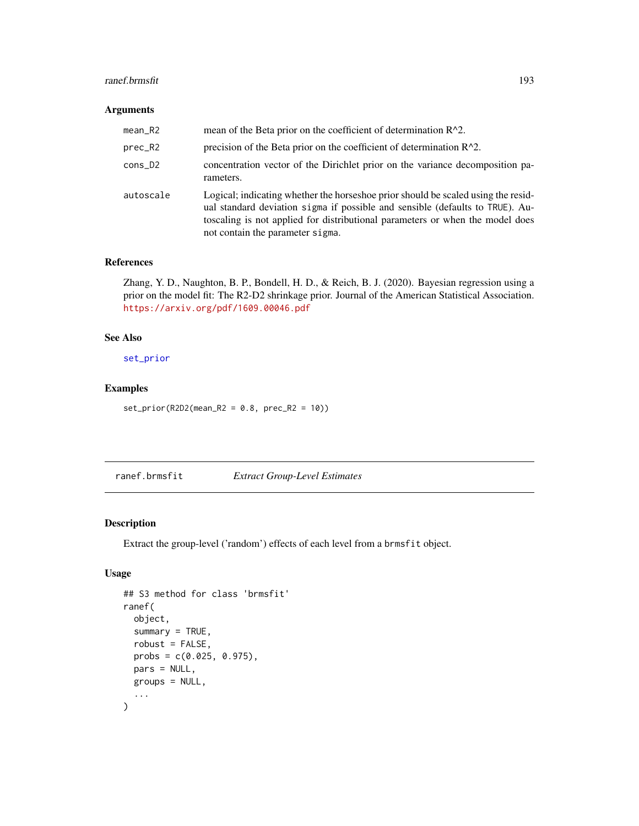#### ranef.brmsfit 193

#### Arguments

| $mean_R2$ | mean of the Beta prior on the coefficient of determination $R^2$ .                                                                                                                                                                                                                      |
|-----------|-----------------------------------------------------------------------------------------------------------------------------------------------------------------------------------------------------------------------------------------------------------------------------------------|
| prec_R2   | precision of the Beta prior on the coefficient of determination $R^2$ .                                                                                                                                                                                                                 |
| $cons_2$  | concentration vector of the Dirichlet prior on the variance decomposition pa-<br>rameters.                                                                                                                                                                                              |
| autoscale | Logical; indicating whether the horseshoe prior should be scaled using the resid-<br>ual standard deviation sigma if possible and sensible (defaults to TRUE). Au-<br>toscaling is not applied for distributional parameters or when the model does<br>not contain the parameter sigma. |

#### References

Zhang, Y. D., Naughton, B. P., Bondell, H. D., & Reich, B. J. (2020). Bayesian regression using a prior on the model fit: The R2-D2 shrinkage prior. Journal of the American Statistical Association. <https://arxiv.org/pdf/1609.00046.pdf>

## See Also

[set\\_prior](#page-203-0)

#### Examples

 $set\_prior(R2D2(mean_R2 = 0.8, prec_R2 = 10))$ 

ranef.brmsfit *Extract Group-Level Estimates*

## Description

Extract the group-level ('random') effects of each level from a brmsfit object.

```
## S3 method for class 'brmsfit'
ranef(
  object,
  summary = TRUE,
  robust = FALSE,
 probs = c(0.025, 0.975),
 pars = NULL,
 groups = NULL,
  ...
\mathcal{L}
```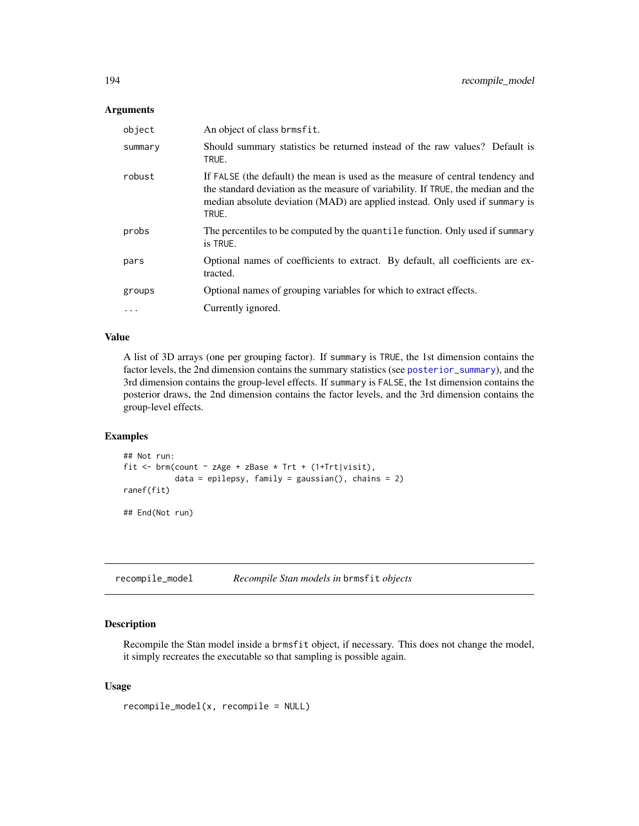#### Arguments

| object   | An object of class brmsfit.                                                                                                                                                                                                                                  |
|----------|--------------------------------------------------------------------------------------------------------------------------------------------------------------------------------------------------------------------------------------------------------------|
| summary  | Should summary statistics be returned instead of the raw values? Default is<br>TRUE.                                                                                                                                                                         |
| robust   | If FALSE (the default) the mean is used as the measure of central tendency and<br>the standard deviation as the measure of variability. If TRUE, the median and the<br>median absolute deviation (MAD) are applied instead. Only used if summary is<br>TRUE. |
| probs    | The percentiles to be computed by the quantile function. Only used if summary<br>is TRUE.                                                                                                                                                                    |
| pars     | Optional names of coefficients to extract. By default, all coefficients are ex-<br>tracted.                                                                                                                                                                  |
| groups   | Optional names of grouping variables for which to extract effects.                                                                                                                                                                                           |
| $\cdots$ | Currently ignored.                                                                                                                                                                                                                                           |

## Value

A list of 3D arrays (one per grouping factor). If summary is TRUE, the 1st dimension contains the factor levels, the 2nd dimension contains the summary statistics (see [posterior\\_summary](#page-172-0)), and the 3rd dimension contains the group-level effects. If summary is FALSE, the 1st dimension contains the posterior draws, the 2nd dimension contains the factor levels, and the 3rd dimension contains the group-level effects.

## Examples

```
## Not run:
fit <- brm(count \sim zAge + zBase * Trt + (1+Trt|visit),
           data = epilepsy, family = gaussian(), chains = 2)
ranef(fit)
## End(Not run)
```
recompile\_model *Recompile Stan models in* brmsfit *objects*

## Description

Recompile the Stan model inside a brmsfit object, if necessary. This does not change the model, it simply recreates the executable so that sampling is possible again.

```
recompile_model(x, recompile = NULL)
```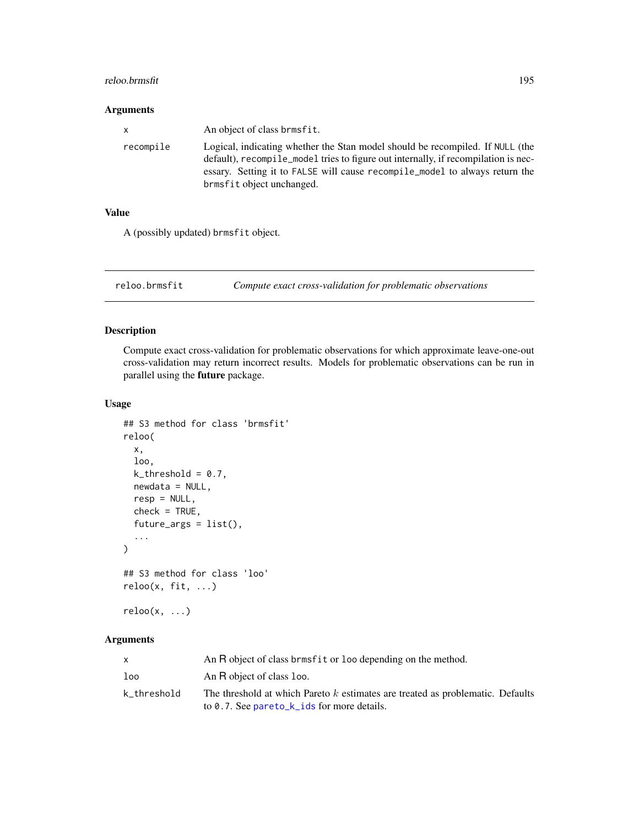#### reloo.brmsfit 195

#### Arguments

| $\mathsf{x}$ | An object of class brmsfit.                                                                                                                                                                                                                                                     |
|--------------|---------------------------------------------------------------------------------------------------------------------------------------------------------------------------------------------------------------------------------------------------------------------------------|
| recompile    | Logical, indicating whether the Stan model should be recompiled. If NULL (the<br>default), recompile model tries to figure out internally, if recompilation is nec-<br>essary. Setting it to FALSE will cause recompile model to always return the<br>brmsfit object unchanged. |
|              |                                                                                                                                                                                                                                                                                 |

## Value

A (possibly updated) brmsfit object.

reloo.brmsfit *Compute exact cross-validation for problematic observations*

## Description

Compute exact cross-validation for problematic observations for which approximate leave-one-out cross-validation may return incorrect results. Models for problematic observations can be run in parallel using the future package.

#### Usage

```
## S3 method for class 'brmsfit'
reloo(
 x,
 loo,
 k_{\text{-}threshold} = 0.7,
 newdata = NULL,
 resp = NULL,
 check = TRUE,future_args = list(),
  ...
)
## S3 method for class 'loo'
reloo(x, fit, ...)
```
# $reloo(x, \ldots)$

|             | An R object of class brmsfit or loo depending on the method.                                                                    |
|-------------|---------------------------------------------------------------------------------------------------------------------------------|
| loo         | An R object of class loo.                                                                                                       |
| k threshold | The threshold at which Pareto k estimates are treated as problematic. Defaults<br>to 0.7. See pare to $k$ ids for more details. |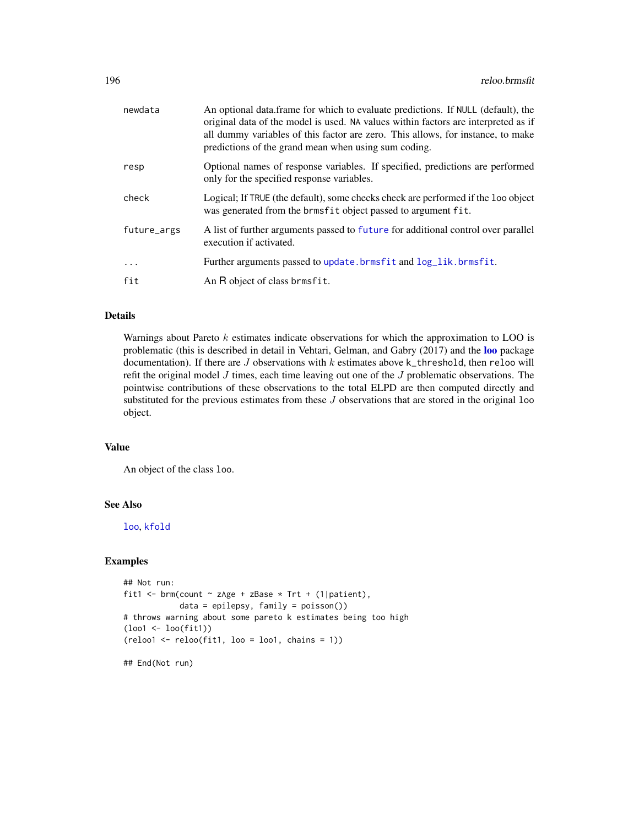| newdata     | An optional data frame for which to evaluate predictions. If NULL (default), the<br>original data of the model is used. NA values within factors are interpreted as if<br>all dummy variables of this factor are zero. This allows, for instance, to make<br>predictions of the grand mean when using sum coding. |
|-------------|-------------------------------------------------------------------------------------------------------------------------------------------------------------------------------------------------------------------------------------------------------------------------------------------------------------------|
| resp        | Optional names of response variables. If specified, predictions are performed<br>only for the specified response variables.                                                                                                                                                                                       |
| check       | Logical; If TRUE (the default), some checks check are performed if the loo object<br>was generated from the brmsfit object passed to argument fit.                                                                                                                                                                |
| future_args | A list of further arguments passed to future for additional control over parallel<br>execution if activated.                                                                                                                                                                                                      |
| $\cdots$    | Further arguments passed to update.brmsfit and log_lik.brmsfit.                                                                                                                                                                                                                                                   |
| fit         | An R object of class brmsfit.                                                                                                                                                                                                                                                                                     |

# Details

Warnings about Pareto  $k$  estimates indicate observations for which the approximation to LOO is problematic (this is described in detail in Vehtari, Gelman, and Gabry (2017) and the [loo](#page-125-0) package documentation). If there are  $J$  observations with  $k$  estimates above  $k$ <sub>-</sub>threshold, then reloo will refit the original model  $J$  times, each time leaving out one of the  $J$  problematic observations. The pointwise contributions of these observations to the total ELPD are then computed directly and substituted for the previous estimates from these  $J$  observations that are stored in the original  $1$ oo object.

# Value

An object of the class loo.

## See Also

[loo](#page-125-0), [kfold](#page-115-0)

## Examples

```
## Not run:
fit1 <- brm(count \sim zAge + zBase * Trt + (1|patient),
            data = epilepsy, family = poisson())
# throws warning about some pareto k estimates being too high
(loo1 <- loo(fit1))
(reloo1 <- reloo(fit1, loo = loo1, chains = 1))
```
## End(Not run)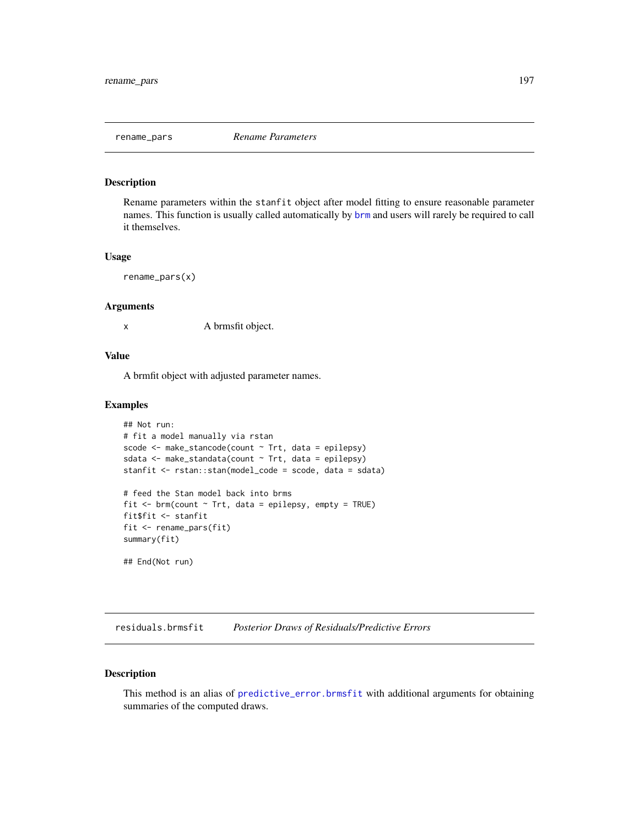#### Description

Rename parameters within the stanfit object after model fitting to ensure reasonable parameter names. This function is usually called automatically by [brm](#page-22-0) and users will rarely be required to call it themselves.

#### Usage

rename\_pars(x)

#### Arguments

x A brmsfit object.

## Value

A brmfit object with adjusted parameter names.

#### Examples

```
## Not run:
# fit a model manually via rstan
scode <- make_stancode(count ~ Trt, data = epilepsy)
sdata <- make_standata(count ~ Trt, data = epilepsy)
stanfit <- rstan::stan(model_code = scode, data = sdata)
# feed the Stan model back into brms
fit \leq brm(count \sim Trt, data = epilepsy, empty = TRUE)
fit$fit <- stanfit
fit <- rename_pars(fit)
summary(fit)
## End(Not run)
```
residuals.brmsfit *Posterior Draws of Residuals/Predictive Errors*

## Description

This method is an alias of [predictive\\_error.brmsfit](#page-184-0) with additional arguments for obtaining summaries of the computed draws.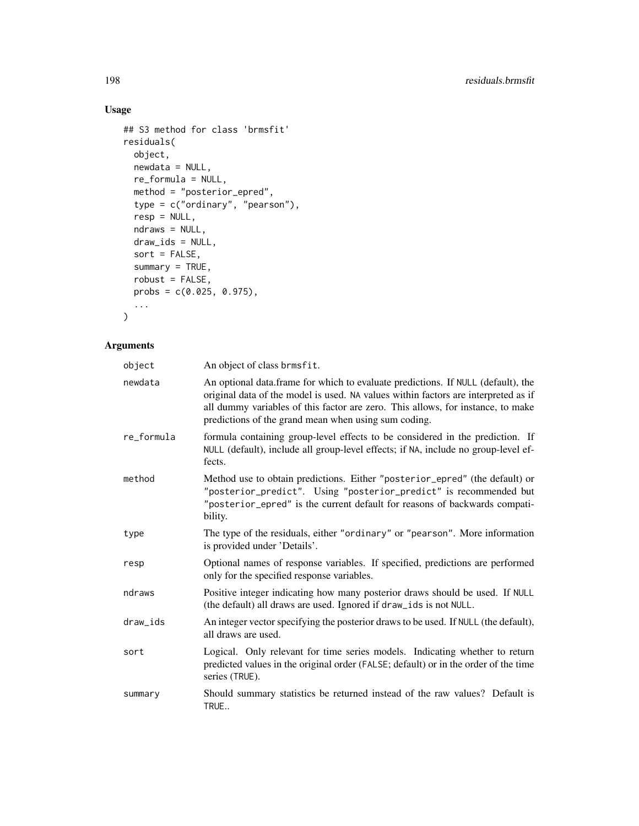# Usage

```
## S3 method for class 'brmsfit'
residuals(
 object,
 newdata = NULL,
 re_formula = NULL,
 method = "posterior_epred",
 type = c("ordinary", "pearson"),
  resp = NULL,ndraws = NULL,
 draw\_ids = NULL,sort = FALSE,
 summary = TRUE,
 robust = FALSE,probs = c(0.025, 0.975),
  ...
\mathcal{L}
```

| object     | An object of class brmsfit.                                                                                                                                                                                                                                                                                       |
|------------|-------------------------------------------------------------------------------------------------------------------------------------------------------------------------------------------------------------------------------------------------------------------------------------------------------------------|
| newdata    | An optional data.frame for which to evaluate predictions. If NULL (default), the<br>original data of the model is used. NA values within factors are interpreted as if<br>all dummy variables of this factor are zero. This allows, for instance, to make<br>predictions of the grand mean when using sum coding. |
| re_formula | formula containing group-level effects to be considered in the prediction. If<br>NULL (default), include all group-level effects; if NA, include no group-level ef-<br>fects.                                                                                                                                     |
| method     | Method use to obtain predictions. Either "posterior_epred" (the default) or<br>"posterior_predict". Using "posterior_predict" is recommended but<br>"posterior_epred" is the current default for reasons of backwards compati-<br>bility.                                                                         |
| type       | The type of the residuals, either "ordinary" or "pearson". More information<br>is provided under 'Details'.                                                                                                                                                                                                       |
| resp       | Optional names of response variables. If specified, predictions are performed<br>only for the specified response variables.                                                                                                                                                                                       |
| ndraws     | Positive integer indicating how many posterior draws should be used. If NULL<br>(the default) all draws are used. Ignored if draw_ids is not NULL.                                                                                                                                                                |
| draw_ids   | An integer vector specifying the posterior draws to be used. If NULL (the default),<br>all draws are used.                                                                                                                                                                                                        |
| sort       | Logical. Only relevant for time series models. Indicating whether to return<br>predicted values in the original order (FALSE; default) or in the order of the time<br>series (TRUE).                                                                                                                              |
| summary    | Should summary statistics be returned instead of the raw values? Default is<br>TRUE                                                                                                                                                                                                                               |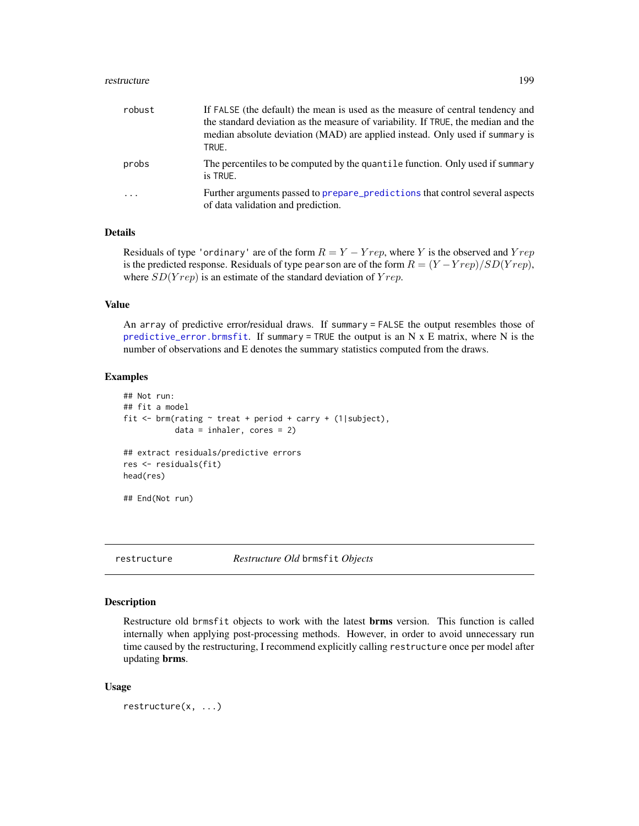#### restructure that the set of the set of the set of the set of the set of the set of the set of the set of the set of the set of the set of the set of the set of the set of the set of the set of the set of the set of the set

| robust  | If FALSE (the default) the mean is used as the measure of central tendency and<br>the standard deviation as the measure of variability. If TRUE, the median and the<br>median absolute deviation (MAD) are applied instead. Only used if summary is<br>TRUE. |
|---------|--------------------------------------------------------------------------------------------------------------------------------------------------------------------------------------------------------------------------------------------------------------|
| probs   | The percentiles to be computed by the quantile function. Only used if summary<br>is TRUE.                                                                                                                                                                    |
| $\cdot$ | Further arguments passed to prepare predictions that control several aspects<br>of data validation and prediction.                                                                                                                                           |

## Details

Residuals of type 'ordinary' are of the form  $R = Y - Yrep$ , where Y is the observed and  $Yrep$ is the predicted response. Residuals of type pearson are of the form  $R = (Y - Yrep)/SD(Yrep)$ , where  $SD(Yrep)$  is an estimate of the standard deviation of  $Yrep$ .

#### Value

An array of predictive error/residual draws. If summary = FALSE the output resembles those of [predictive\\_error.brmsfit](#page-184-0). If summary = TRUE the output is an  $N \times E$  matrix, where  $N$  is the number of observations and E denotes the summary statistics computed from the draws.

#### Examples

```
## Not run:
## fit a model
fit <- brm(rating ~ treat + period + carry + (1|subject),
           data = inhaler, cores = 2)
## extract residuals/predictive errors
res <- residuals(fit)
head(res)
## End(Not run)
```
restructure *Restructure Old* brmsfit *Objects*

## Description

Restructure old brmsfit objects to work with the latest **brms** version. This function is called internally when applying post-processing methods. However, in order to avoid unnecessary run time caused by the restructuring, I recommend explicitly calling restructure once per model after updating brms.

#### Usage

restructure(x, ...)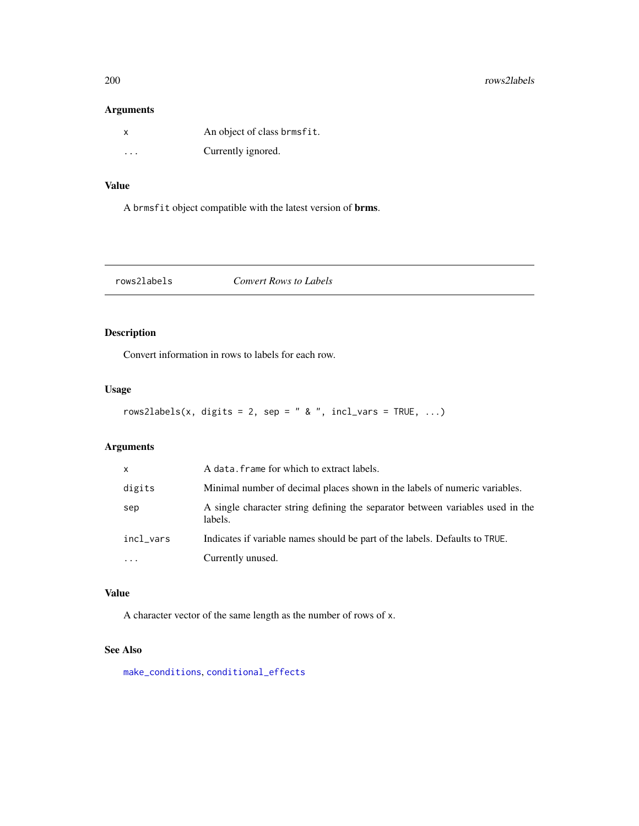#### 200 rows2labels and the contract of the contract of the contract of the contract of the contract of the contract of the contract of the contract of the contract of the contract of the contract of the contract of the contra

## Arguments

| X       | An object of class brmsfit. |
|---------|-----------------------------|
| $\cdot$ | Currently ignored.          |

# Value

A brmsfit object compatible with the latest version of brms.

rows2labels *Convert Rows to Labels*

## Description

Convert information in rows to labels for each row.

## Usage

```
rows2labels(x, digits = 2, sep = " & ", incl_vars = TRUE, ...)
```
## Arguments

| $\mathsf{x}$        | A data. frame for which to extract labels.                                                |
|---------------------|-------------------------------------------------------------------------------------------|
| digits              | Minimal number of decimal places shown in the labels of numeric variables.                |
| sep                 | A single character string defining the separator between variables used in the<br>labels. |
| incl_vars           | Indicates if variable names should be part of the labels. Defaults to TRUE.               |
| $\cdot \cdot \cdot$ | Currently unused.                                                                         |

# Value

A character vector of the same length as the number of rows of x.

# See Also

[make\\_conditions](#page-136-0), [conditional\\_effects](#page-60-0)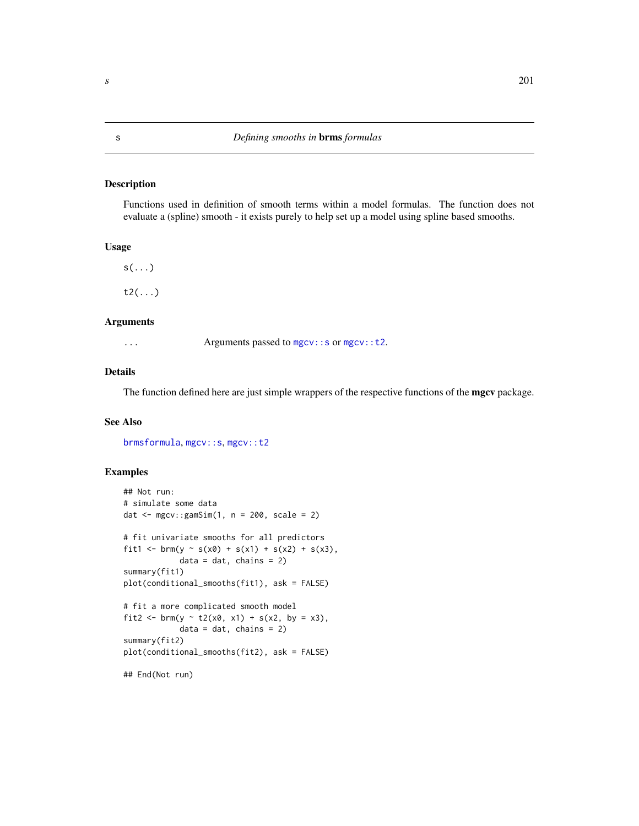### Description

Functions used in definition of smooth terms within a model formulas. The function does not evaluate a (spline) smooth - it exists purely to help set up a model using spline based smooths.

## Usage

 $s(\ldots)$ 

t2(...)

#### Arguments

... Arguments passed to [mgcv::s](#page-0-0) or [mgcv::t2](#page-0-0).

#### Details

The function defined here are just simple wrappers of the respective functions of the **mgcv** package.

#### See Also

[brmsformula](#page-37-0), [mgcv::s](#page-0-0), [mgcv::t2](#page-0-0)

#### Examples

```
## Not run:
# simulate some data
dat \leq mgcv:: gamSim(1, n = 200, scale = 2)
# fit univariate smooths for all predictors
fit1 <- brm(y ~ s(x0) + s(x1) + s(x2) + s(x3),
            data = dat, chains = 2)summary(fit1)
plot(conditional_smooths(fit1), ask = FALSE)
# fit a more complicated smooth model
fit2 <- brm(y ~ t2(x0, x1) + s(x2, by = x3),
            data = dat, chains = 2)summary(fit2)
plot(conditional_smooths(fit2), ask = FALSE)
## End(Not run)
```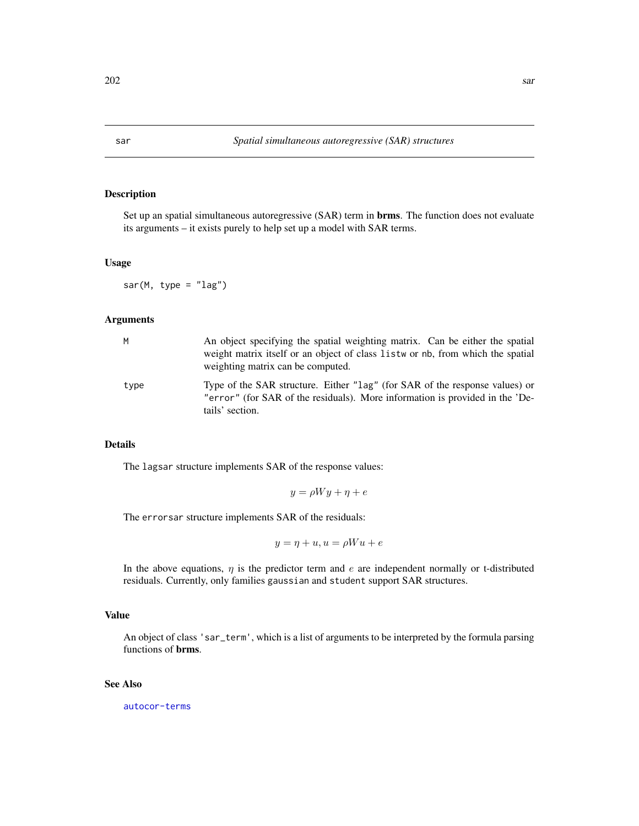## Description

Set up an spatial simultaneous autoregressive (SAR) term in brms. The function does not evaluate its arguments – it exists purely to help set up a model with SAR terms.

## Usage

sar(M, type =  $"lag")$ 

#### Arguments

| M    | An object specifying the spatial weighting matrix. Can be either the spatial<br>weight matrix itself or an object of class list wor nb, from which the spatial<br>weighting matrix can be computed. |
|------|-----------------------------------------------------------------------------------------------------------------------------------------------------------------------------------------------------|
| type | Type of the SAR structure. Either "lag" (for SAR of the response values) or<br>"error" (for SAR of the residuals). More information is provided in the 'De-<br>tails' section.                      |

#### Details

The lagsar structure implements SAR of the response values:

$$
y = \rho Wy + \eta + e
$$

The errorsar structure implements SAR of the residuals:

$$
y = \eta + u, u = \rho W u + e
$$

In the above equations,  $\eta$  is the predictor term and e are independent normally or t-distributed residuals. Currently, only families gaussian and student support SAR structures.

#### Value

An object of class 'sar\_term', which is a list of arguments to be interpreted by the formula parsing functions of brms.

### See Also

[autocor-terms](#page-16-0)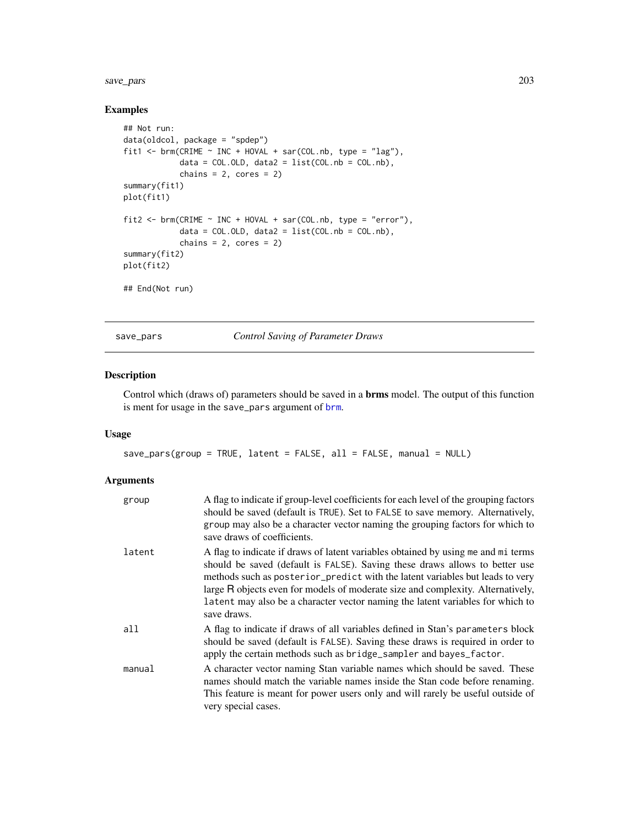#### save\_pars 203

## Examples

```
## Not run:
data(oldcol, package = "spdep")
fit1 <- brm(CRIME \sim INC + HOVAL + sar(COL.nb, type = "lag"),
            data = COL.0LD, data2 = list(COL.nb = COL.nb),
            chains = 2, cores = 2)
summary(fit1)
plot(fit1)
fit2 <- brm(CRIME \sim INC + HOVAL + sar(COL.nb, type = "error"),data = COL.OLD, data2 = list(COL.nb = COL.nb),chains = 2, cores = 2)
summary(fit2)
plot(fit2)
## End(Not run)
```
save\_pars *Control Saving of Parameter Draws*

## Description

Control which (draws of) parameters should be saved in a brms model. The output of this function is ment for usage in the save\_pars argument of [brm](#page-22-0).

#### Usage

```
save\_pars(group = TRUE, latent = FALSE, all = FALSE, manual = NULL)
```

| group  | A flag to indicate if group-level coefficients for each level of the grouping factors<br>should be saved (default is TRUE). Set to FALSE to save memory. Alternatively,<br>group may also be a character vector naming the grouping factors for which to<br>save draws of coefficients.                                                                                                                                               |
|--------|---------------------------------------------------------------------------------------------------------------------------------------------------------------------------------------------------------------------------------------------------------------------------------------------------------------------------------------------------------------------------------------------------------------------------------------|
| latent | A flag to indicate if draws of latent variables obtained by using me and mi terms<br>should be saved (default is FALSE). Saving these draws allows to better use<br>methods such as posterior_predict with the latent variables but leads to very<br>large R objects even for models of moderate size and complexity. Alternatively,<br>latent may also be a character vector naming the latent variables for which to<br>save draws. |
| all    | A flag to indicate if draws of all variables defined in Stan's parameters block<br>should be saved (default is FALSE). Saving these draws is required in order to<br>apply the certain methods such as bridge_sampler and bayes_factor.                                                                                                                                                                                               |
| manual | A character vector naming Stan variable names which should be saved. These<br>names should match the variable names inside the Stan code before renaming.<br>This feature is meant for power users only and will rarely be useful outside of<br>very special cases.                                                                                                                                                                   |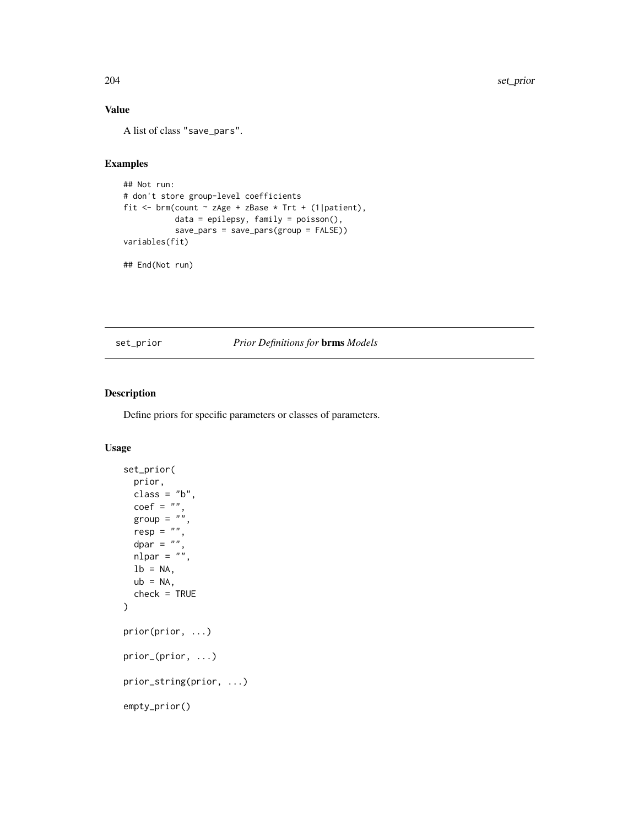# Value

A list of class "save\_pars".

## Examples

```
## Not run:
# don't store group-level coefficients
fit <- brm(count \sim zAge + zBase \star Trt + (1|patient),
           data = epilepsy, family = poisson(),
           save_pars = save_pars(group = FALSE))
variables(fit)
## End(Not run)
```
## <span id="page-203-0"></span>set\_prior *Prior Definitions for* brms *Models*

## Description

Define priors for specific parameters or classes of parameters.

```
set_prior(
 prior,
 class = "b",
  \text{coef} = "",group = ",
 resp = "",dpar = ",
 nlpar = "",1b = NA,
 ub = NA,
  check = TRUE)
prior(prior, ...)
prior_(prior, ...)
prior_string(prior, ...)
empty_prior()
```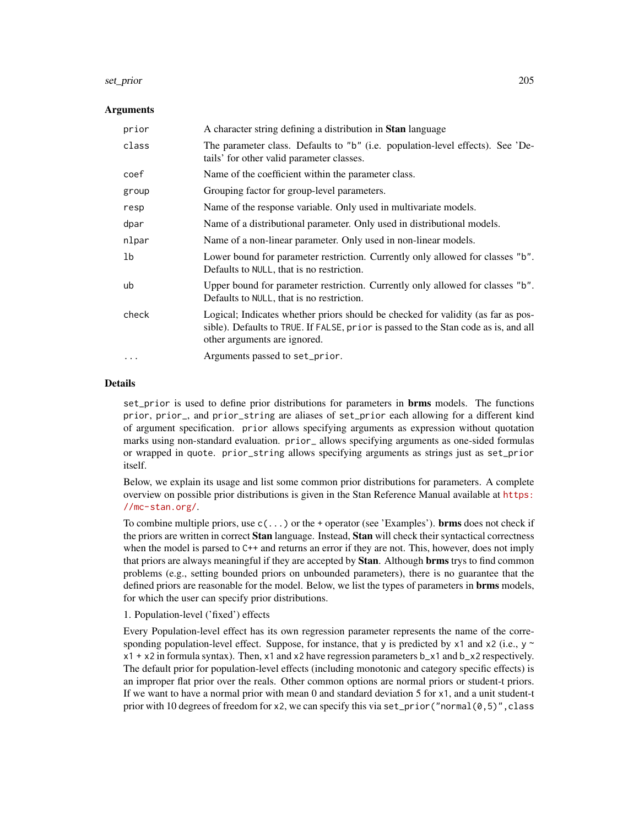#### set\_prior 205

#### Arguments

| prior          | A character string defining a distribution in <b>Stan</b> language                                                                                                                                      |
|----------------|---------------------------------------------------------------------------------------------------------------------------------------------------------------------------------------------------------|
| class          | The parameter class. Defaults to "b" (i.e. population-level effects). See 'De-<br>tails' for other valid parameter classes.                                                                             |
| coef           | Name of the coefficient within the parameter class.                                                                                                                                                     |
| group          | Grouping factor for group-level parameters.                                                                                                                                                             |
| resp           | Name of the response variable. Only used in multivariate models.                                                                                                                                        |
| dpar           | Name of a distributional parameter. Only used in distributional models.                                                                                                                                 |
| nlpar          | Name of a non-linear parameter. Only used in non-linear models.                                                                                                                                         |
| 1 <sub>b</sub> | Lower bound for parameter restriction. Currently only allowed for classes "b".<br>Defaults to NULL, that is no restriction.                                                                             |
| ub             | Upper bound for parameter restriction. Currently only allowed for classes "b".<br>Defaults to NULL, that is no restriction.                                                                             |
| check          | Logical; Indicates whether priors should be checked for validity (as far as pos-<br>sible). Defaults to TRUE. If FALSE, prior is passed to the Stan code as is, and all<br>other arguments are ignored. |
| $\ddotsc$      | Arguments passed to set_prior.                                                                                                                                                                          |

## Details

set\_prior is used to define prior distributions for parameters in **brms** models. The functions prior, prior\_, and prior\_string are aliases of set\_prior each allowing for a different kind of argument specification. prior allows specifying arguments as expression without quotation marks using non-standard evaluation. prior\_ allows specifying arguments as one-sided formulas or wrapped in quote. prior\_string allows specifying arguments as strings just as set\_prior itself.

Below, we explain its usage and list some common prior distributions for parameters. A complete overview on possible prior distributions is given in the Stan Reference Manual available at [https:](https://mc-stan.org/) [//mc-stan.org/](https://mc-stan.org/).

To combine multiple priors, use  $c(\ldots)$  or the + operator (see 'Examples'). **brms** does not check if the priors are written in correct **Stan** language. Instead, **Stan** will check their syntactical correctness when the model is parsed to C++ and returns an error if they are not. This, however, does not imply that priors are always meaningful if they are accepted by **Stan**. Although **brms** trys to find common problems (e.g., setting bounded priors on unbounded parameters), there is no guarantee that the defined priors are reasonable for the model. Below, we list the types of parameters in **brms** models, for which the user can specify prior distributions.

1. Population-level ('fixed') effects

Every Population-level effect has its own regression parameter represents the name of the corresponding population-level effect. Suppose, for instance, that y is predicted by  $x1$  and  $x2$  (i.e., y ~  $x1 + x2$  in formula syntax). Then, x1 and x2 have regression parameters  $b_1x1$  and  $b_2x2$  respectively. The default prior for population-level effects (including monotonic and category specific effects) is an improper flat prior over the reals. Other common options are normal priors or student-t priors. If we want to have a normal prior with mean 0 and standard deviation 5 for x1, and a unit student-t prior with 10 degrees of freedom for x2, we can specify this via set\_prior("normal $(0,5)$ ", class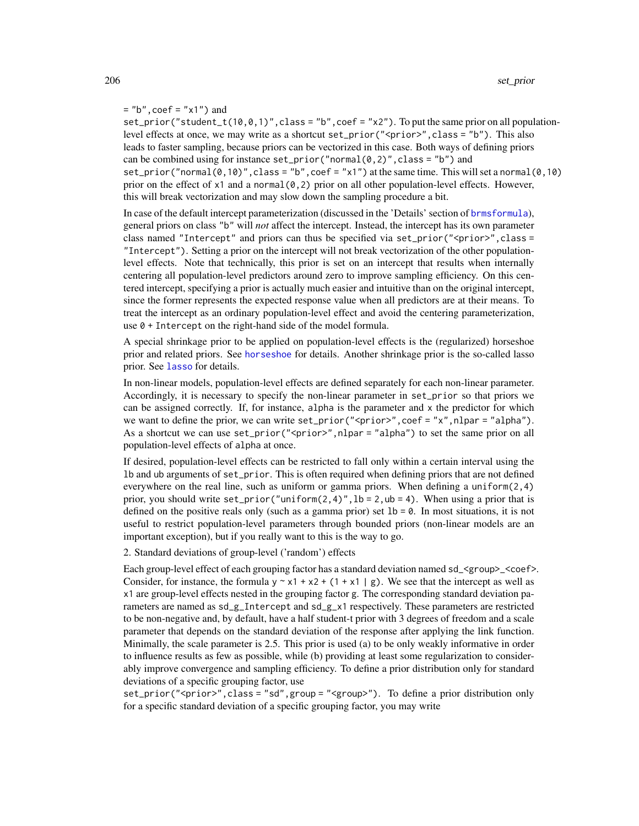#### $=$  "b", coef = "x1") and

set\_prior("student\_t(10,0,1)", class = "b", coef = "x2"). To put the same prior on all populationlevel effects at once, we may write as a shortcut set\_prior(" $\le$ prior $>$ ", class = "b"). This also leads to faster sampling, because priors can be vectorized in this case. Both ways of defining priors can be combined using for instance  $set\_prior("normal(0,2)", class = "b")$  and set\_prior("normal( $\emptyset$ , 10)", class = "b", coef = "x1") at the same time. This will set a normal( $\emptyset$ , 10) prior on the effect of  $x1$  and a normal  $(0, 2)$  prior on all other population-level effects. However, this will break vectorization and may slow down the sampling procedure a bit.

In case of the default intercept parameterization (discussed in the 'Details' section of [brmsformula](#page-37-0)), general priors on class "b" will *not* affect the intercept. Instead, the intercept has its own parameter class named "Intercept" and priors can thus be specified via set\_prior("<prior>",class = "Intercept"). Setting a prior on the intercept will not break vectorization of the other populationlevel effects. Note that technically, this prior is set on an intercept that results when internally centering all population-level predictors around zero to improve sampling efficiency. On this centered intercept, specifying a prior is actually much easier and intuitive than on the original intercept, since the former represents the expected response value when all predictors are at their means. To treat the intercept as an ordinary population-level effect and avoid the centering parameterization, use 0 + Intercept on the right-hand side of the model formula.

A special shrinkage prior to be applied on population-level effects is the (regularized) horseshoe prior and related priors. See [horseshoe](#page-103-0) for details. Another shrinkage prior is the so-called lasso prior. See [lasso](#page-120-0) for details.

In non-linear models, population-level effects are defined separately for each non-linear parameter. Accordingly, it is necessary to specify the non-linear parameter in set\_prior so that priors we can be assigned correctly. If, for instance, alpha is the parameter and x the predictor for which we want to define the prior, we can write set\_prior(" $\le$ prior $>$ ", coef = "x", nlpar = "alpha"). As a shortcut we can use set\_prior("<prior>",nlpar = "alpha") to set the same prior on all population-level effects of alpha at once.

If desired, population-level effects can be restricted to fall only within a certain interval using the lb and ub arguments of set\_prior. This is often required when defining priors that are not defined everywhere on the real line, such as uniform or gamma priors. When defining a uniform $(2,4)$ prior, you should write set\_prior("uniform(2,4)",  $1b = 2$ ,  $ub = 4$ ). When using a prior that is defined on the positive reals only (such as a gamma prior) set  $1b = 0$ . In most situations, it is not useful to restrict population-level parameters through bounded priors (non-linear models are an important exception), but if you really want to this is the way to go.

2. Standard deviations of group-level ('random') effects

Each group-level effect of each grouping factor has a standard deviation named sd\_<group>\_<coef>. Consider, for instance, the formula  $y \sim x1 + x2 + (1 + x1 | g)$ . We see that the intercept as well as x1 are group-level effects nested in the grouping factor g. The corresponding standard deviation parameters are named as sd\_g\_Intercept and sd\_g\_x1 respectively. These parameters are restricted to be non-negative and, by default, have a half student-t prior with 3 degrees of freedom and a scale parameter that depends on the standard deviation of the response after applying the link function. Minimally, the scale parameter is 2.5. This prior is used (a) to be only weakly informative in order to influence results as few as possible, while (b) providing at least some regularization to considerably improve convergence and sampling efficiency. To define a prior distribution only for standard deviations of a specific grouping factor, use

set\_prior("<prior>", class = "sd", group = "<group>"). To define a prior distribution only for a specific standard deviation of a specific grouping factor, you may write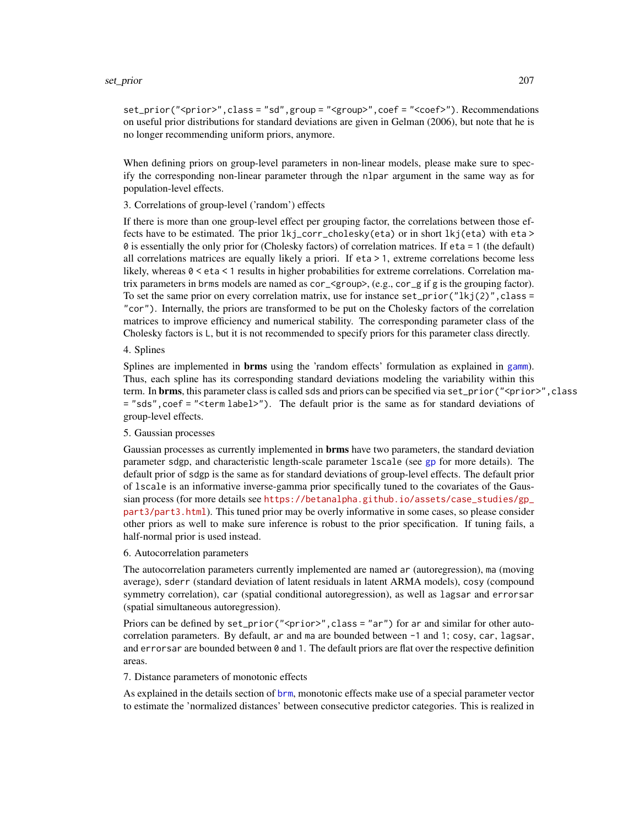#### set\_prior 207

set\_prior("<prior>", class = "sd", group = "<group>", coef = "<coef>"). Recommendations on useful prior distributions for standard deviations are given in Gelman (2006), but note that he is no longer recommending uniform priors, anymore.

When defining priors on group-level parameters in non-linear models, please make sure to specify the corresponding non-linear parameter through the nlpar argument in the same way as for population-level effects.

3. Correlations of group-level ('random') effects

If there is more than one group-level effect per grouping factor, the correlations between those effects have to be estimated. The prior lkj\_corr\_cholesky(eta) or in short lkj(eta) with eta > 0 is essentially the only prior for (Cholesky factors) of correlation matrices. If eta = 1 (the default) all correlations matrices are equally likely a priori. If eta > 1, extreme correlations become less likely, whereas 0 < eta < 1 results in higher probabilities for extreme correlations. Correlation matrix parameters in brms models are named as cor\_<group>, (e.g., cor\_g if g is the grouping factor). To set the same prior on every correlation matrix, use for instance  $set\_prior("lkj(2)"$ , class = "cor"). Internally, the priors are transformed to be put on the Cholesky factors of the correlation matrices to improve efficiency and numerical stability. The corresponding parameter class of the Cholesky factors is L, but it is not recommended to specify priors for this parameter class directly.

#### 4. Splines

Splines are implemented in **brms** using the 'random effects' formulation as explained in [gamm](#page-0-0)). Thus, each spline has its corresponding standard deviations modeling the variability within this term. In **brms**, this parameter class is called sds and priors can be specified via set\_prior("<prior>", class = "sds",coef = "<term label>"). The default prior is the same as for standard deviations of group-level effects.

#### 5. Gaussian processes

Gaussian processes as currently implemented in **brms** have two parameters, the standard deviation parameter sdgp, and characteristic length-scale parameter lscale (see [gp](#page-100-0) for more details). The default prior of sdgp is the same as for standard deviations of group-level effects. The default prior of lscale is an informative inverse-gamma prior specifically tuned to the covariates of the Gaussian process (for more details see [https://betanalpha.github.io/assets/case\\_studies/gp\\_](https://betanalpha.github.io/assets/case_studies/gp_part3/part3.html) [part3/part3.html](https://betanalpha.github.io/assets/case_studies/gp_part3/part3.html)). This tuned prior may be overly informative in some cases, so please consider other priors as well to make sure inference is robust to the prior specification. If tuning fails, a half-normal prior is used instead.

#### 6. Autocorrelation parameters

The autocorrelation parameters currently implemented are named ar (autoregression), ma (moving average), sderr (standard deviation of latent residuals in latent ARMA models), cosy (compound symmetry correlation), car (spatial conditional autoregression), as well as lagsar and errorsar (spatial simultaneous autoregression).

Priors can be defined by set\_prior("<prior>", class = "ar") for ar and similar for other autocorrelation parameters. By default, ar and ma are bounded between -1 and 1; cosy, car, lagsar, and errorsar are bounded between  $\theta$  and 1. The default priors are flat over the respective definition areas.

#### 7. Distance parameters of monotonic effects

As explained in the details section of [brm](#page-22-0), monotonic effects make use of a special parameter vector to estimate the 'normalized distances' between consecutive predictor categories. This is realized in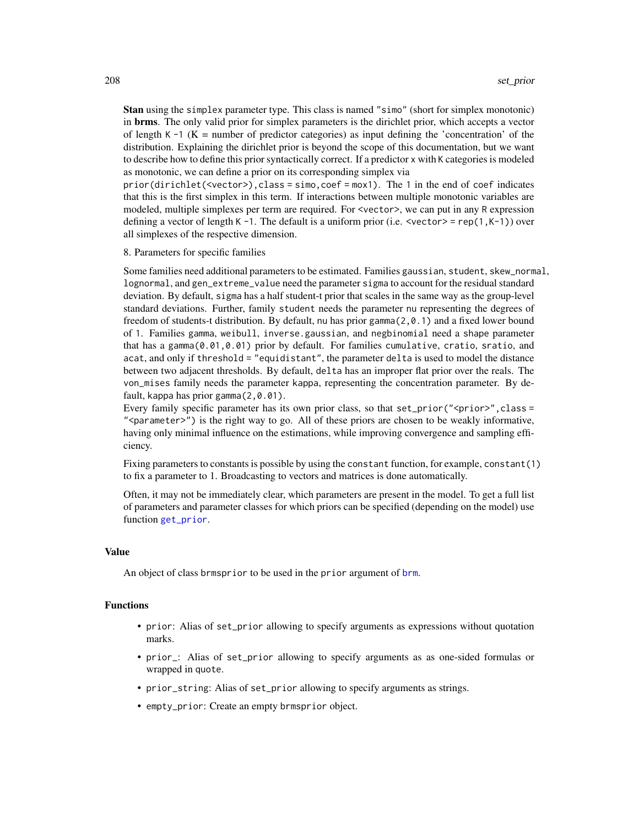Stan using the simplex parameter type. This class is named "simo" (short for simplex monotonic) in brms. The only valid prior for simplex parameters is the dirichlet prior, which accepts a vector of length K  $-1$  (K = number of predictor categories) as input defining the 'concentration' of the distribution. Explaining the dirichlet prior is beyond the scope of this documentation, but we want to describe how to define this prior syntactically correct. If a predictor x with K categories is modeled as monotonic, we can define a prior on its corresponding simplex via

prior(dirichlet(<vector>),class = simo,coef = mox1). The 1 in the end of coef indicates that this is the first simplex in this term. If interactions between multiple monotonic variables are modeled, multiple simplexes per term are required. For <vector>, we can put in any R expression defining a vector of length K -1. The default is a uniform prior (i.e.  $\leq \text{vector}$  = rep(1,K-1)) over all simplexes of the respective dimension.

#### 8. Parameters for specific families

Some families need additional parameters to be estimated. Families gaussian, student, skew\_normal, lognormal, and gen\_extreme\_value need the parameter sigma to account for the residual standard deviation. By default, sigma has a half student-t prior that scales in the same way as the group-level standard deviations. Further, family student needs the parameter nu representing the degrees of freedom of students-t distribution. By default, nu has prior gamma(2,0.1) and a fixed lower bound of 1. Families gamma, weibull, inverse.gaussian, and negbinomial need a shape parameter that has a gamma(0.01,0.01) prior by default. For families cumulative, cratio, sratio, and acat, and only if threshold = "equidistant", the parameter delta is used to model the distance between two adjacent thresholds. By default, delta has an improper flat prior over the reals. The von\_mises family needs the parameter kappa, representing the concentration parameter. By default, kappa has prior gamma(2,0.01).

Every family specific parameter has its own prior class, so that  $set\_prior("$ "<parameter>") is the right way to go. All of these priors are chosen to be weakly informative, having only minimal influence on the estimations, while improving convergence and sampling efficiency.

Fixing parameters to constants is possible by using the constant function, for example, constant(1) to fix a parameter to 1. Broadcasting to vectors and matrices is done automatically.

Often, it may not be immediately clear, which parameters are present in the model. To get a full list of parameters and parameter classes for which priors can be specified (depending on the model) use function [get\\_prior](#page-97-0).

#### Value

An object of class [brm](#page-22-0)sprior to be used in the prior argument of brm.

#### Functions

- prior: Alias of set\_prior allowing to specify arguments as expressions without quotation marks.
- prior\_: Alias of set\_prior allowing to specify arguments as as one-sided formulas or wrapped in quote.
- prior\_string: Alias of set\_prior allowing to specify arguments as strings.
- empty\_prior: Create an empty brmsprior object.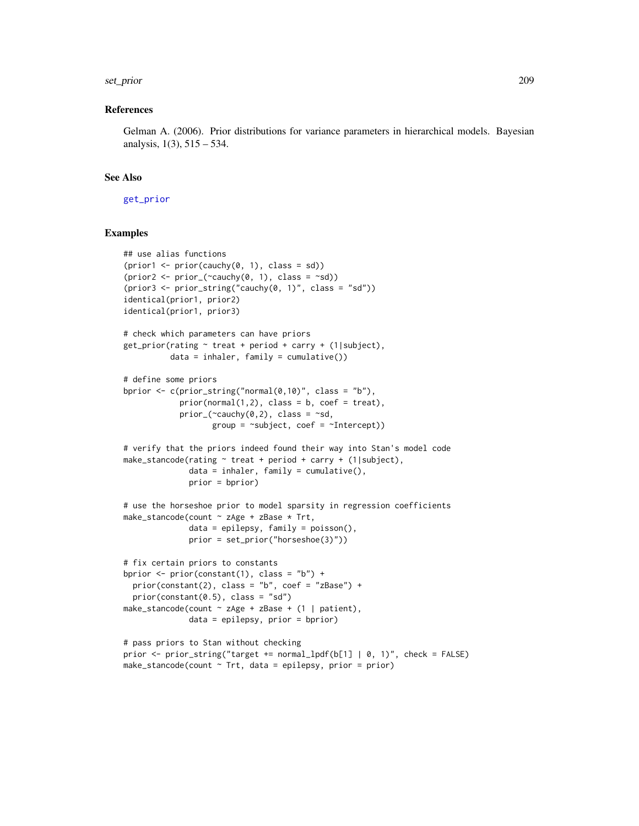#### set\_prior 209

#### References

Gelman A. (2006). Prior distributions for variance parameters in hierarchical models. Bayesian analysis, 1(3), 515 – 534.

### See Also

[get\\_prior](#page-97-0)

#### Examples

```
## use alias functions
(prior1 \leftarrow prior(cauchy(0, 1), class = sd))(prior2 < - prior_{\text{c}}(\text{c}auchy(0, 1), class = \text{c}s](prior3 \le prior_string("cauchy(0, 1)", class = "sd"))identical(prior1, prior2)
identical(prior1, prior3)
# check which parameters can have priors
get\_prior(rating ~ treat + period + carry + (1|subject),data = inhaler, family = cumulative())
# define some priors
bprior \leq c(prior_string("normal(0,10)", class = "b"),
            prior(normal(1,2), class = b, coef = treat),prior_{\text{-}}(\text{``cauchy}(0,2), \text{ class = "sd},group = ~xubject, ~coef = ~xIntercept)# verify that the priors indeed found their way into Stan's model code
make_stancode(rating \sim treat + period + carry + (1|subject),
              data = inhaler, family = cumulative(),
              prior = bprior)
# use the horseshoe prior to model sparsity in regression coefficients
make_stancode(count ~ zAge + zBase * Trt,
               data = epilepsy, family = poisson(),
              prior = set_prior("horseshoe(3)"))
# fix certain priors to constants
bprior <- prior(constant(1), class = "b") +
  prior(constant(2), class = "b", coef = "zBase") +
  prior(constant(0.5), class = "sd")make_stancode(count ~ zAge + zBase + (1 | patient),
              data = epilepsy, prior = bprior)
# pass priors to Stan without checking
prior <- prior_string("target += normal_lpdf(b[1] | 0, 1)", check = FALSE)
make_stancode(count \sim Trt, data = epilepsy, prior = prior)
```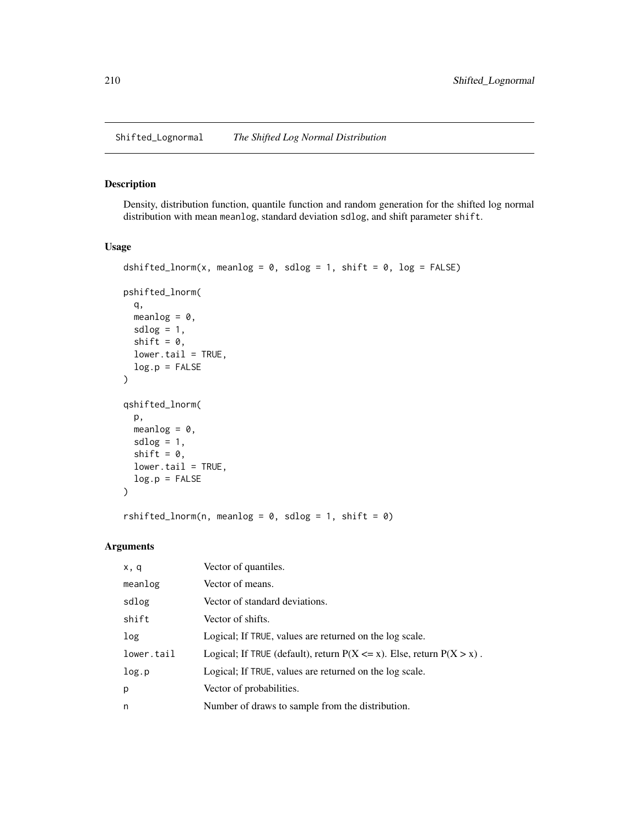Shifted\_Lognormal *The Shifted Log Normal Distribution*

#### Description

Density, distribution function, quantile function and random generation for the shifted log normal distribution with mean meanlog, standard deviation sdlog, and shift parameter shift.

## Usage

```
dshifted_lnorm(x, meanlog = 0, sdlog = 1, shift = 0, log = FALSE)
pshifted_lnorm(
 q,
 meanlog = 0,
 sdlog = 1,
  shift = 0,lower.tail = TRUE,
 log.p = FALSE
\mathcal{L}qshifted_lnorm(
 p,
 meanlog = 0,
 sdlog = 1,
 shift = 0,
 lower.tail = TRUE,
 log.p = FALSE)
```
rshifted\_lnorm(n, meanlog =  $0$ , sdlog = 1, shift =  $0$ )

| x, q       | Vector of quantiles.                                                        |
|------------|-----------------------------------------------------------------------------|
| meanlog    | Vector of means.                                                            |
| sdlog      | Vector of standard deviations.                                              |
| shift      | Vector of shifts.                                                           |
| log        | Logical; If TRUE, values are returned on the log scale.                     |
| lower.tail | Logical; If TRUE (default), return $P(X \le x)$ . Else, return $P(X > x)$ . |
| log.p      | Logical; If TRUE, values are returned on the log scale.                     |
| p          | Vector of probabilities.                                                    |
| n          | Number of draws to sample from the distribution.                            |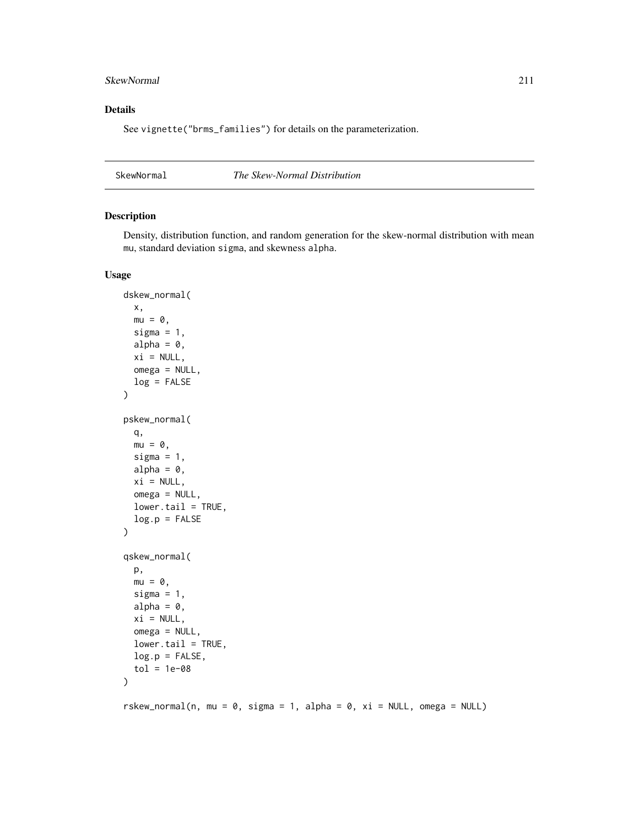### SkewNormal 211

### Details

See vignette("brms\_families") for details on the parameterization.

SkewNormal *The Skew-Normal Distribution*

# Description

Density, distribution function, and random generation for the skew-normal distribution with mean mu, standard deviation sigma, and skewness alpha.

```
dskew_normal(
  x,
 mu = 0,
  sigma = 1,
  alpha = 0,
  xi = NULL,omega = NULL,
  log = FALSE
)
pskew_normal(
  q,
 mu = 0,
  sigma = 1,
  alpha = 0,xi = NULL,omega = NULL,
  lower.tail = TRUE,log.p = FALSE)
qskew_normal(
 p,
 mu = 0,
  sigma = 1,
  alpha = 0,
  xi = NULL,omega = NULL,
  lower.tail = TRUE,log.p = FALSE,tol = 1e-08)
rskew_normal(n, mu = 0, sigma = 1, alpha = 0, xi = NULL, omega = NULL)
```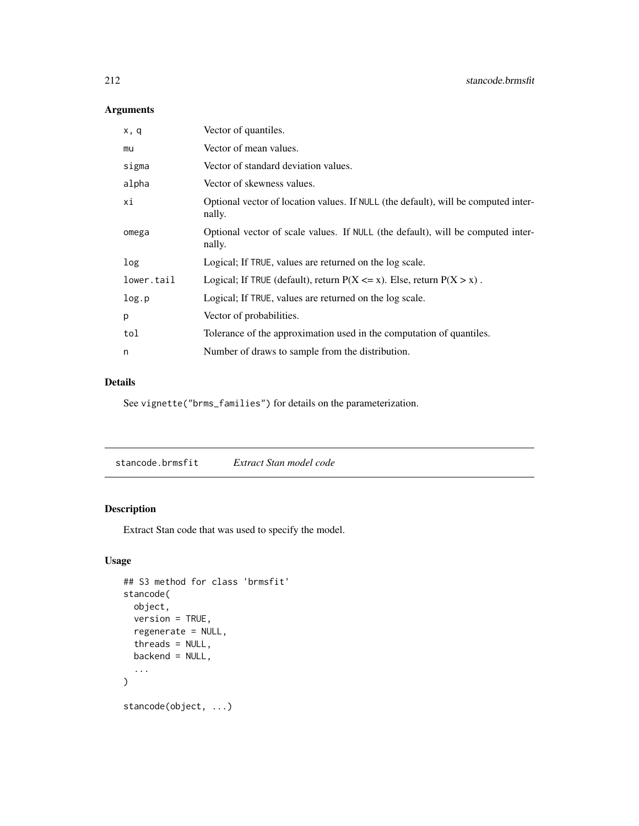# Arguments

| Vector of quantiles.                                                                         |
|----------------------------------------------------------------------------------------------|
| Vector of mean values.                                                                       |
| Vector of standard deviation values.                                                         |
| Vector of skewness values.                                                                   |
| Optional vector of location values. If NULL (the default), will be computed inter-<br>nally. |
| Optional vector of scale values. If NULL (the default), will be computed inter-<br>nally.    |
| Logical; If TRUE, values are returned on the log scale.                                      |
| Logical; If TRUE (default), return $P(X \le x)$ . Else, return $P(X > x)$ .                  |
| Logical; If TRUE, values are returned on the log scale.                                      |
| Vector of probabilities.                                                                     |
| Tolerance of the approximation used in the computation of quantiles.                         |
| Number of draws to sample from the distribution.                                             |
|                                                                                              |

# Details

See vignette("brms\_families") for details on the parameterization.

stancode.brmsfit *Extract Stan model code*

## Description

Extract Stan code that was used to specify the model.

```
## S3 method for class 'brmsfit'
stancode(
 object,
 version = TRUE,
 regenerate = NULL,
  threads = NULL,
 backend = NULL,
  ...
\mathcal{L}stancode(object, ...)
```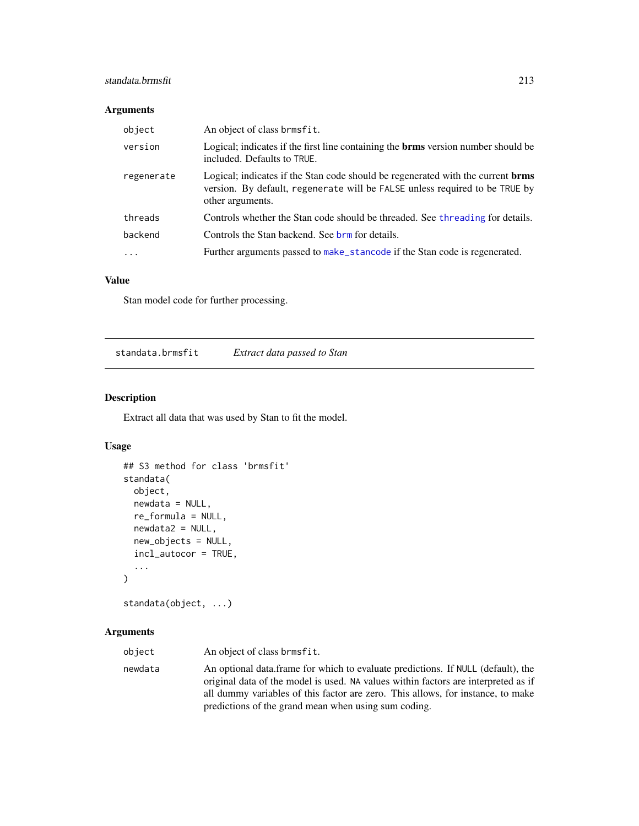### standata.brmsfit 213

## Arguments

| object     | An object of class brmsfit.                                                                                                                                                               |
|------------|-------------------------------------------------------------------------------------------------------------------------------------------------------------------------------------------|
| version    | Logical; indicates if the first line containing the <b>brms</b> version number should be<br>included. Defaults to TRUE.                                                                   |
| regenerate | Logical; indicates if the Stan code should be regenerated with the current <b>brms</b><br>version. By default, regenerate will be FALSE unless required to be TRUE by<br>other arguments. |
| threads    | Controls whether the Stan code should be threaded. See threading for details.                                                                                                             |
| backend    | Controls the Stan backend. See brm for details.                                                                                                                                           |
| $\cdot$    | Further arguments passed to make_stancode if the Stan code is regenerated.                                                                                                                |

## Value

Stan model code for further processing.

standata.brmsfit *Extract data passed to Stan*

## Description

Extract all data that was used by Stan to fit the model.

## Usage

```
## S3 method for class 'brmsfit'
standata(
 object,
 newdata = NULL,
 re_formula = NULL,
 newdata2 = NULL,
 new_objects = NULL,
  incl_autocor = TRUE,
  ...
)
standata(object, ...)
```

| object  | An object of class brmsfit.                                                                                                                                                                                                                                                                                       |
|---------|-------------------------------------------------------------------------------------------------------------------------------------------------------------------------------------------------------------------------------------------------------------------------------------------------------------------|
| newdata | An optional data frame for which to evaluate predictions. If NULL (default), the<br>original data of the model is used. NA values within factors are interpreted as if<br>all dummy variables of this factor are zero. This allows, for instance, to make<br>predictions of the grand mean when using sum coding. |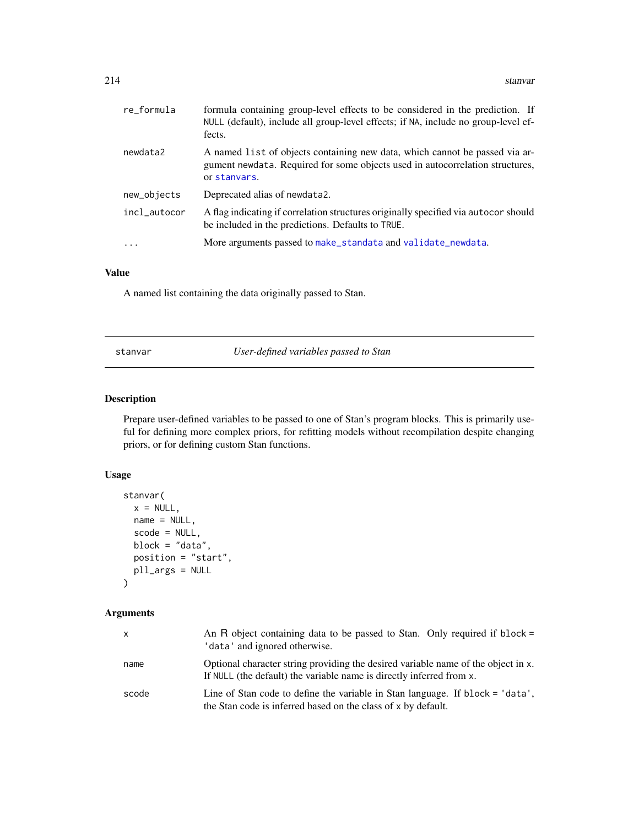| re_formula   | formula containing group-level effects to be considered in the prediction. If<br>NULL (default), include all group-level effects; if NA, include no group-level ef-<br>fects. |
|--------------|-------------------------------------------------------------------------------------------------------------------------------------------------------------------------------|
| newdata2     | A named list of objects containing new data, which cannot be passed via ar-<br>gument newdata. Required for some objects used in autocorrelation structures,<br>or stanvars.  |
| new_objects  | Deprecated alias of newdata2.                                                                                                                                                 |
| incl_autocor | A flag indicating if correlation structures originally specified via autocor should<br>be included in the predictions. Defaults to TRUE.                                      |
| .            | More arguments passed to make_standata and validate_newdata.                                                                                                                  |
|              |                                                                                                                                                                               |

## Value

A named list containing the data originally passed to Stan.

stanvar *User-defined variables passed to Stan*

## <span id="page-213-0"></span>Description

Prepare user-defined variables to be passed to one of Stan's program blocks. This is primarily useful for defining more complex priors, for refitting models without recompilation despite changing priors, or for defining custom Stan functions.

## Usage

```
stanvar(
 x = NULL,name = NULL,
  scode = NULL,
 block = "data",
 position = "start",
 pll_args = NULL
```
)

| X     | An R object containing data to be passed to Stan. Only required if block =<br>'data' and ignored otherwise.                                               |
|-------|-----------------------------------------------------------------------------------------------------------------------------------------------------------|
| name  | Optional character string providing the desired variable name of the object in x.<br>If NULL (the default) the variable name is directly inferred from x. |
| scode | Line of Stan code to define the variable in Stan language. If block = 'data',<br>the Stan code is inferred based on the class of x by default.            |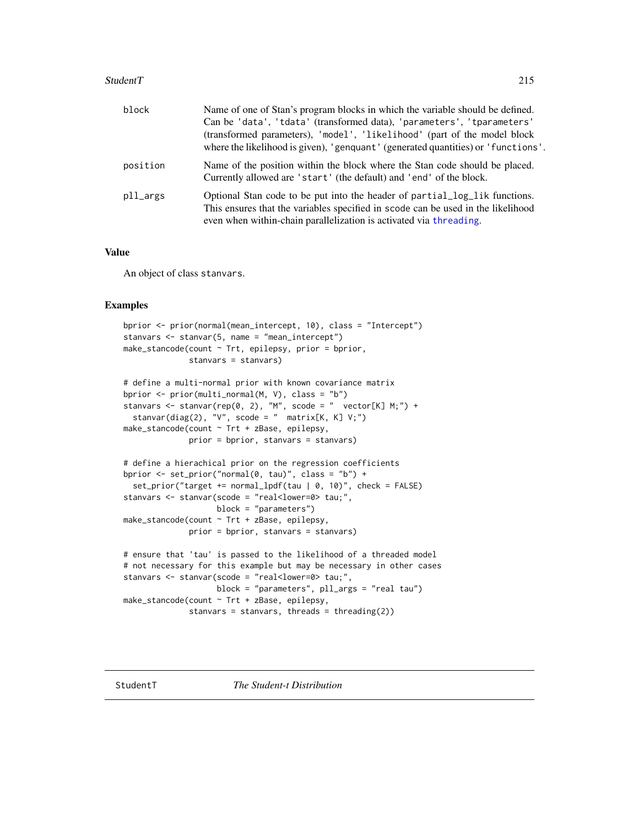#### StudentT 215

| block    | Name of one of Stan's program blocks in which the variable should be defined.                                                                                  |
|----------|----------------------------------------------------------------------------------------------------------------------------------------------------------------|
|          | Can be 'data', 'tdata' (transformed data), 'parameters', 'tparameters'                                                                                         |
|          | (transformed parameters), 'model', 'likelihood' (part of the model block                                                                                       |
|          | where the likelihood is given), 'genquant' (generated quantities) or 'functions'.                                                                              |
| position | Name of the position within the block where the Stan code should be placed.<br>Currently allowed are 'start' (the default) and 'end' of the block.             |
| pll_args | Optional Stan code to be put into the header of partial log lik functions.<br>This ensures that the variables specified in scode can be used in the likelihood |
|          | even when within-chain parallelization is activated via threading.                                                                                             |

## Value

An object of class stanvars.

#### Examples

```
bprior <- prior(normal(mean_intercept, 10), class = "Intercept")
stanvars <- stanvar(5, name = "mean_intercept")
make_stancode(count ~ Trt, epilepsy, prior = bprior,
              stanvars = stanvars)
# define a multi-normal prior with known covariance matrix
bprior <- prior(multi_normal(M, V), class = "b")
stanvars <- stanvar(rep(0, 2), "M", scode = " vector[K] M;") +
  stanvar(diag(2), "V", scode = " matrix[K, K] V;")
make_stancode(count ~ Trt + zBase, epilepsy,
              prior = bprior, stanvars = stanvars)
# define a hierachical prior on the regression coefficients
bprior <- set_prior("normal(0, tau)", class = "b") +
  set_prior("target += normal_lpdf(tau | 0, 10)", check = FALSE)
stanvars <- stanvar(scode = "real<lower=0> tau;",
                   block = "parameters")
make_stancode(count ~ Trt + zBase, epilepsy,
              prior = bprior, stanvars = stanvars)
# ensure that 'tau' is passed to the likelihood of a threaded model
# not necessary for this example but may be necessary in other cases
stanvars <- stanvar(scode = "real<lower=0> tau;",
                    block = "parameters", pll_args = "real tau")
make_stancode(count ~ Trt + zBase, epilepsy,
              stanvars = stanvars, threads = threading(2))
```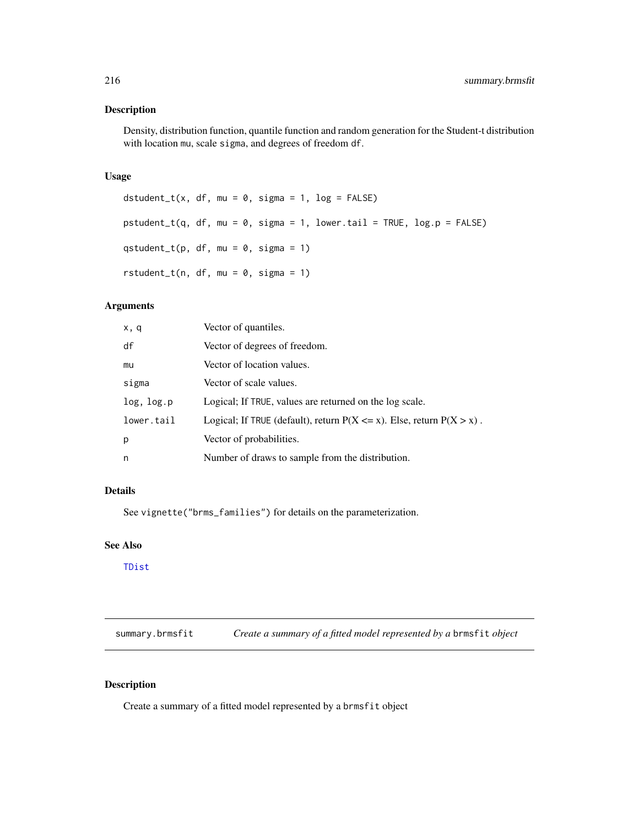#### Description

Density, distribution function, quantile function and random generation for the Student-t distribution with location mu, scale sigma, and degrees of freedom df.

#### Usage

```
dstudent_t(x, df, mu = 0, sigma = 1, log = FALSE)
pstudent_t(q, df, mu = 0, sigma = 1, lower[amara] = TRUE, <math>log.p = FALSE)
qstudent_t(p, df, mu = 0, sigma = 1)
rstudent_t(n, df, mu = 0, sigma = 1)
```
## Arguments

| x, q       | Vector of quantiles.                                                        |
|------------|-----------------------------------------------------------------------------|
| df         | Vector of degrees of freedom.                                               |
| mu         | Vector of location values.                                                  |
| sigma      | Vector of scale values.                                                     |
| log, log.p | Logical; If TRUE, values are returned on the log scale.                     |
| lower.tail | Logical; If TRUE (default), return $P(X \le x)$ . Else, return $P(X > x)$ . |
| p          | Vector of probabilities.                                                    |
| n          | Number of draws to sample from the distribution.                            |

#### Details

See vignette("brms\_families") for details on the parameterization.

## See Also

[TDist](#page-0-0)

<span id="page-215-0"></span>summary.brmsfit *Create a summary of a fitted model represented by a* brmsfit *object*

## Description

Create a summary of a fitted model represented by a brmsfit object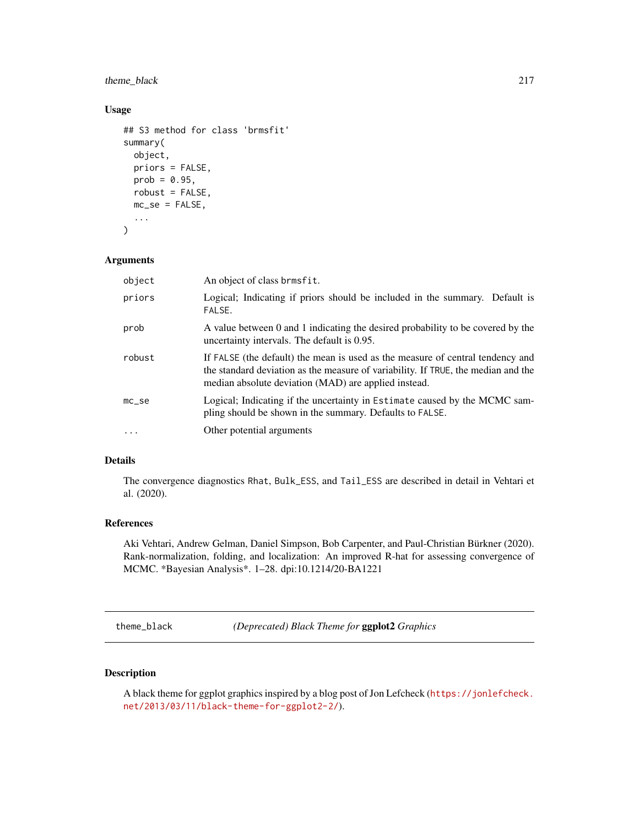# <span id="page-216-0"></span>theme\_black 217

## Usage

```
## S3 method for class 'brmsfit'
summary(
 object,
 priors = FALSE,
 prob = 0.95,robust = FALSE,
 mc\_se = FALSE,...
\mathcal{L}
```
# Arguments

| object    | An object of class brmsfit.                                                                                                                                                                                                 |  |
|-----------|-----------------------------------------------------------------------------------------------------------------------------------------------------------------------------------------------------------------------------|--|
| priors    | Logical; Indicating if priors should be included in the summary. Default is<br>FALSE.                                                                                                                                       |  |
| prob      | A value between 0 and 1 indicating the desired probability to be covered by the<br>uncertainty intervals. The default is 0.95.                                                                                              |  |
| robust    | If FALSE (the default) the mean is used as the measure of central tendency and<br>the standard deviation as the measure of variability. If TRUE, the median and the<br>median absolute deviation (MAD) are applied instead. |  |
| $mc$ _se  | Logical; Indicating if the uncertainty in Estimate caused by the MCMC sam-<br>pling should be shown in the summary. Defaults to FALSE.                                                                                      |  |
| $\ddotsc$ | Other potential arguments                                                                                                                                                                                                   |  |

#### Details

The convergence diagnostics Rhat, Bulk\_ESS, and Tail\_ESS are described in detail in Vehtari et al. (2020).

# References

Aki Vehtari, Andrew Gelman, Daniel Simpson, Bob Carpenter, and Paul-Christian Bürkner (2020). Rank-normalization, folding, and localization: An improved R-hat for assessing convergence of MCMC. \*Bayesian Analysis\*. 1–28. dpi:10.1214/20-BA1221

theme\_black *(Deprecated) Black Theme for* ggplot2 *Graphics*

### Description

A black theme for ggplot graphics inspired by a blog post of Jon Lefcheck ([https://jonlefcheck.](https://jonlefcheck.net/2013/03/11/black-theme-for-ggplot2-2/) [net/2013/03/11/black-theme-for-ggplot2-2/](https://jonlefcheck.net/2013/03/11/black-theme-for-ggplot2-2/)).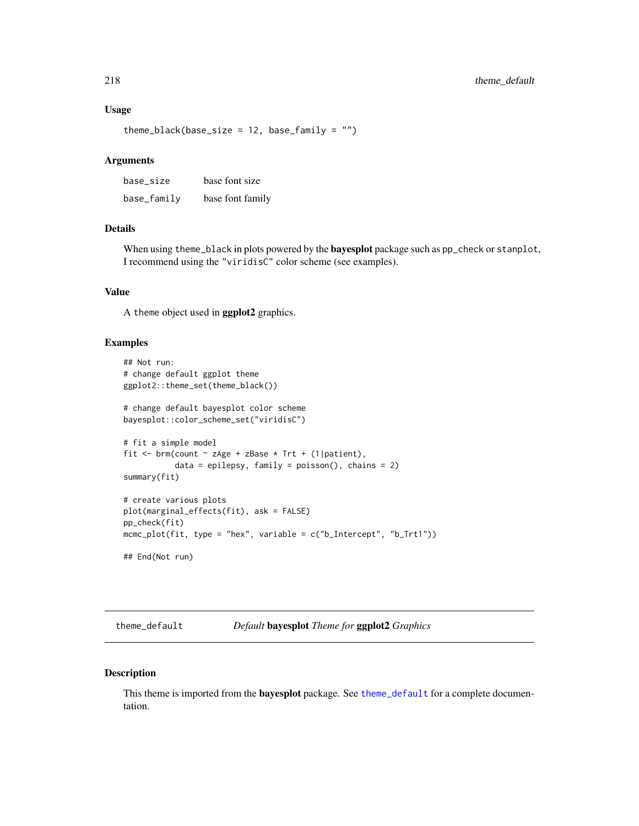#### <span id="page-217-1"></span>Usage

theme\_black(base\_size = 12, base\_family =  $"$ )

# Arguments

| base_size   | base font size   |
|-------------|------------------|
| base_family | base font family |

#### Details

When using theme\_black in plots powered by the **bayesplot** package such as pp\_check or stanplot, I recommend using the "viridisC" color scheme (see examples).

### Value

A theme object used in ggplot2 graphics.

# Examples

```
## Not run:
# change default ggplot theme
ggplot2::theme_set(theme_black())
# change default bayesplot color scheme
bayesplot::color_scheme_set("viridisC")
# fit a simple model
fit \le brm(count \sim zAge + zBase \star Trt + (1|patient),
           data = epilepsy, family = poisson(), chains = 2)
summary(fit)
# create various plots
plot(marginal_effects(fit), ask = FALSE)
pp_check(fit)
mcmc_plot(fit, type = "hex", variable = c("b_Intercept", "b_Trt1"))
## End(Not run)
```
<span id="page-217-0"></span>theme\_default *Default* bayesplot *Theme for* ggplot2 *Graphics*

#### Description

This theme is imported from the **bayesplot** package. See [theme\\_default](#page-217-0) for a complete documentation.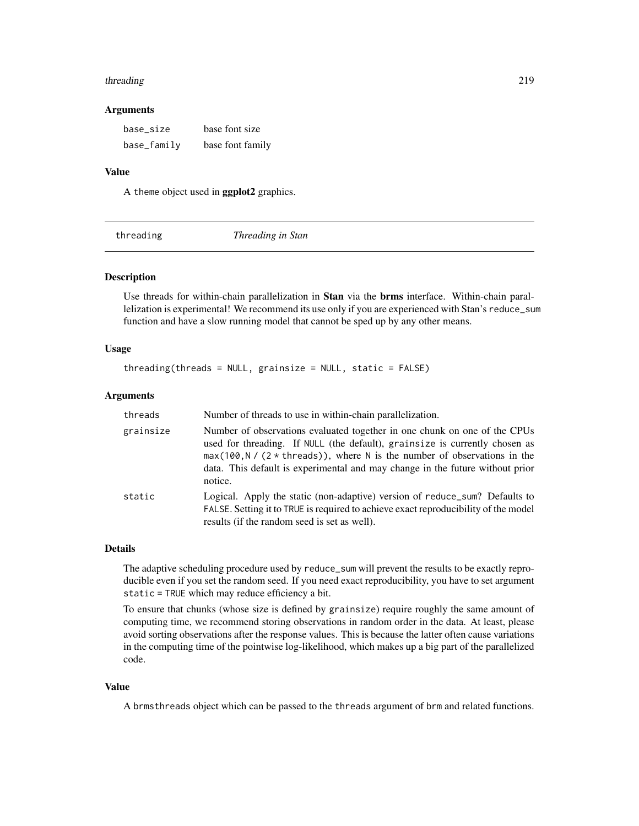#### <span id="page-218-0"></span>threading 219

#### Arguments

| base_size   | base font size   |
|-------------|------------------|
| base_family | base font family |

#### Value

A theme object used in ggplot2 graphics.

threading *Threading in Stan*

#### Description

Use threads for within-chain parallelization in Stan via the brms interface. Within-chain parallelization is experimental! We recommend its use only if you are experienced with Stan's reduce\_sum function and have a slow running model that cannot be sped up by any other means.

#### Usage

 $threading(threads = NULL, grainsize = NULL, static = FALSE)$ 

#### Arguments

| threads   | Number of threads to use in within-chain parallelization.                                                                                                                                                                                                                                                                           |
|-----------|-------------------------------------------------------------------------------------------------------------------------------------------------------------------------------------------------------------------------------------------------------------------------------------------------------------------------------------|
| grainsize | Number of observations evaluated together in one chunk on one of the CPUs<br>used for threading. If NULL (the default), grainsize is currently chosen as<br>$max(100, N / (2 * threads)),$ where N is the number of observations in the<br>data. This default is experimental and may change in the future without prior<br>notice. |
| static    | Logical. Apply the static (non-adaptive) version of reduce_sum? Defaults to<br>FALSE. Setting it to TRUE is required to achieve exact reproducibility of the model<br>results (if the random seed is set as well).                                                                                                                  |

#### Details

The adaptive scheduling procedure used by reduce\_sum will prevent the results to be exactly reproducible even if you set the random seed. If you need exact reproducibility, you have to set argument static = TRUE which may reduce efficiency a bit.

To ensure that chunks (whose size is defined by grainsize) require roughly the same amount of computing time, we recommend storing observations in random order in the data. At least, please avoid sorting observations after the response values. This is because the latter often cause variations in the computing time of the pointwise log-likelihood, which makes up a big part of the parallelized code.

#### Value

A brmsthreads object which can be passed to the threads argument of brm and related functions.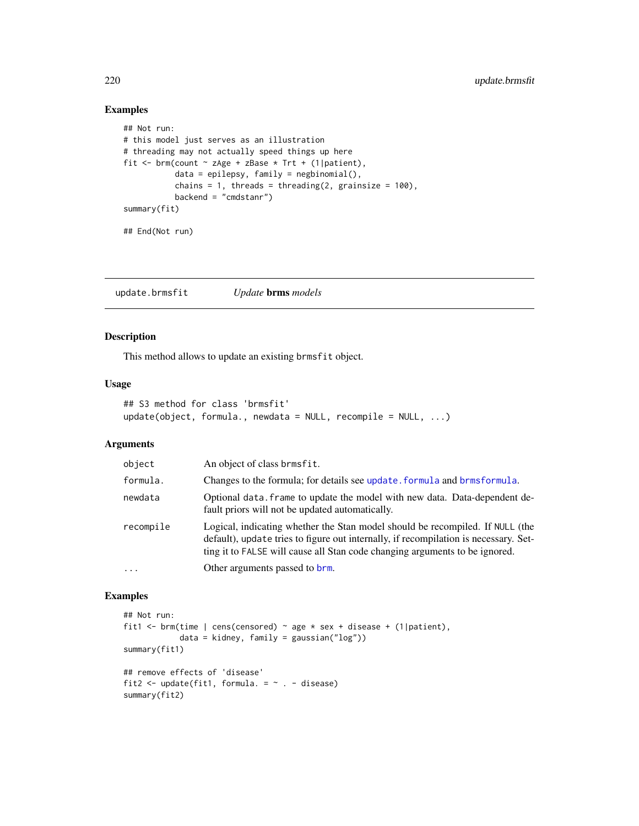# Examples

```
## Not run:
# this model just serves as an illustration
# threading may not actually speed things up here
fit \le brm(count \sim zAge + zBase \star Trt + (1|patient),
           data = epilepsy, family = negbinomial(),
           chains = 1, threads = threading(2, grainsize = 100),
           backend = "cmdstanr")
summary(fit)
## End(Not run)
```
<span id="page-219-0"></span>update.brmsfit *Update* brms *models*

#### Description

This method allows to update an existing brmsfit object.

#### Usage

```
## S3 method for class 'brmsfit'
update(object, formula., newdata = NULL, recompile = NULL, ...)
```
# Arguments

| object    | An object of class brmsfit.                                                                                                                                                                                                                          |
|-----------|------------------------------------------------------------------------------------------------------------------------------------------------------------------------------------------------------------------------------------------------------|
| formula.  | Changes to the formula; for details see update. formula and brmsformula.                                                                                                                                                                             |
| newdata   | Optional data. Frame to update the model with new data. Data-dependent de-<br>fault priors will not be updated automatically.                                                                                                                        |
| recompile | Logical, indicating whether the Stan model should be recompiled. If NULL (the<br>default), update tries to figure out internally, if recompilation is necessary. Set-<br>ting it to FALSE will cause all Stan code changing arguments to be ignored. |
| $\cdots$  | Other arguments passed to brm.                                                                                                                                                                                                                       |

```
## Not run:
fit1 <- brm(time | cens(censored) ~ age * sex + disease + (1|patient),
            data = kidney, family = gaussian("log"))
summary(fit1)
## remove effects of 'disease'
fit2 <- update(fit1, formula. = \sim . - disease)
summary(fit2)
```
<span id="page-219-1"></span>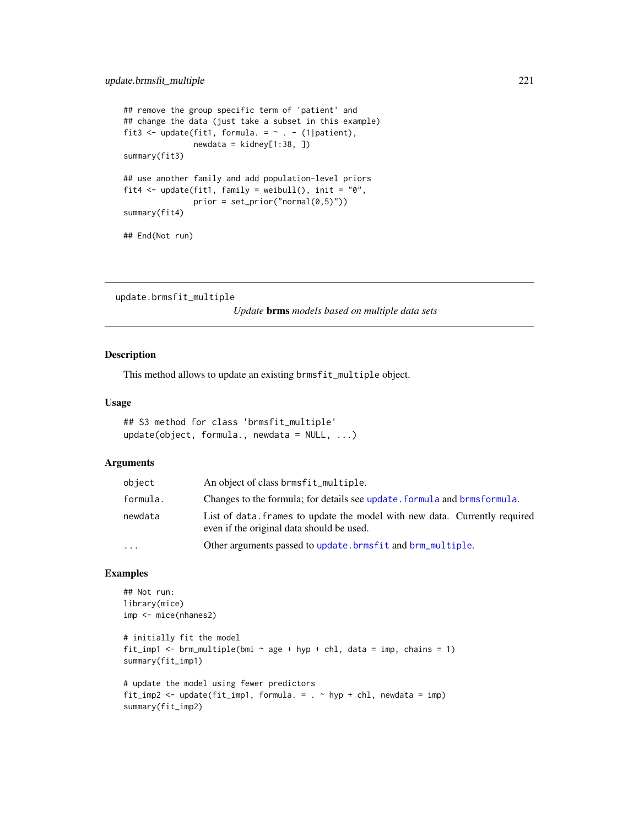```
## remove the group specific term of 'patient' and
## change the data (just take a subset in this example)
fit3 <- update(fit1, formula. = \sim . - (1|patient),
              newdata = kidney[1:38, ])summary(fit3)
## use another family and add population-level priors
fit4 <- update(fit1, family = weibull(), init = "0",prior = set\_prior("normal(0,5)")summary(fit4)
## End(Not run)
```
update.brmsfit\_multiple

*Update* brms *models based on multiple data sets*

#### Description

This method allows to update an existing brmsfit\_multiple object.

#### Usage

```
## S3 method for class 'brmsfit_multiple'
update(object, formula., newdata = NULL, ...)
```
#### Arguments

| object   | An object of class brmsfit_multiple.                                                                                    |  |
|----------|-------------------------------------------------------------------------------------------------------------------------|--|
| formula. | Changes to the formula; for details see update, formula and brms formula.                                               |  |
| newdata  | List of data, frames to update the model with new data. Currently required<br>even if the original data should be used. |  |
| .        | Other arguments passed to update. brmsfit and brm_multiple.                                                             |  |
|          |                                                                                                                         |  |

```
## Not run:
library(mice)
imp <- mice(nhanes2)
# initially fit the model
fit_imp1 <- brm_multiple(bmi \sim age + hyp + chl, data = imp, chains = 1)
summary(fit_imp1)
# update the model using fewer predictors
fit_imp2 <- update(fit_imp1, formula. = . \sim hyp + chl, newdata = imp)
summary(fit_imp2)
```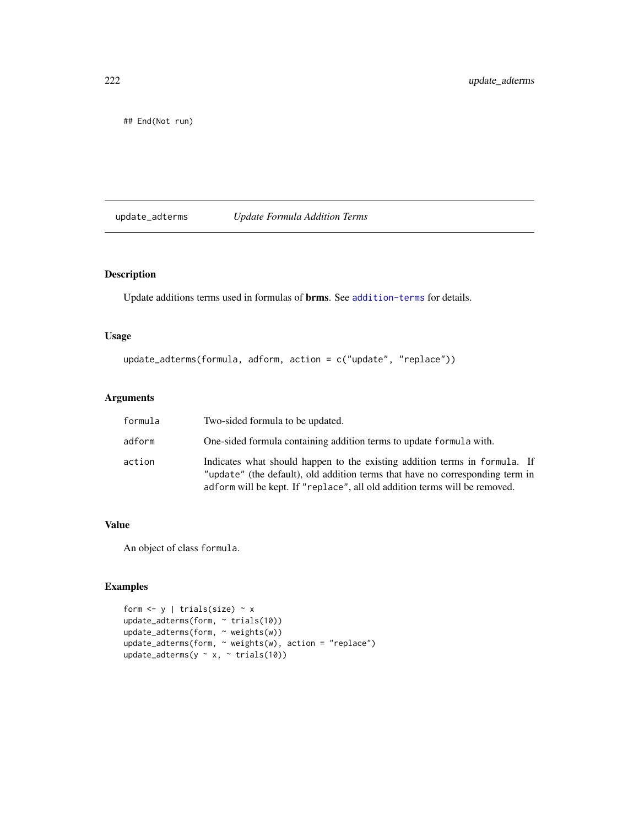<span id="page-221-0"></span>## End(Not run)

update\_adterms *Update Formula Addition Terms*

# Description

Update additions terms used in formulas of brms. See [addition-terms](#page-6-0) for details.

# Usage

update\_adterms(formula, adform, action = c("update", "replace"))

#### Arguments

| formula | Two-sided formula to be updated.                                                                                                                                                                                                          |
|---------|-------------------------------------------------------------------------------------------------------------------------------------------------------------------------------------------------------------------------------------------|
| adform  | One-sided formula containing addition terms to update formula with.                                                                                                                                                                       |
| action  | Indicates what should happen to the existing addition terms in formula. If<br>"update" (the default), old addition terms that have no corresponding term in<br>adform will be kept. If "replace", all old addition terms will be removed. |

#### Value

An object of class formula.

```
form \leftarrow y | trials(size) \sim x
update_adterms(form, ~ trials(10))
update_adterms(form, ~ weights(w))
update_adterms(form, ~ weights(w), action = "replace")
update_adterms(y \sim x, \sim trials(10))
```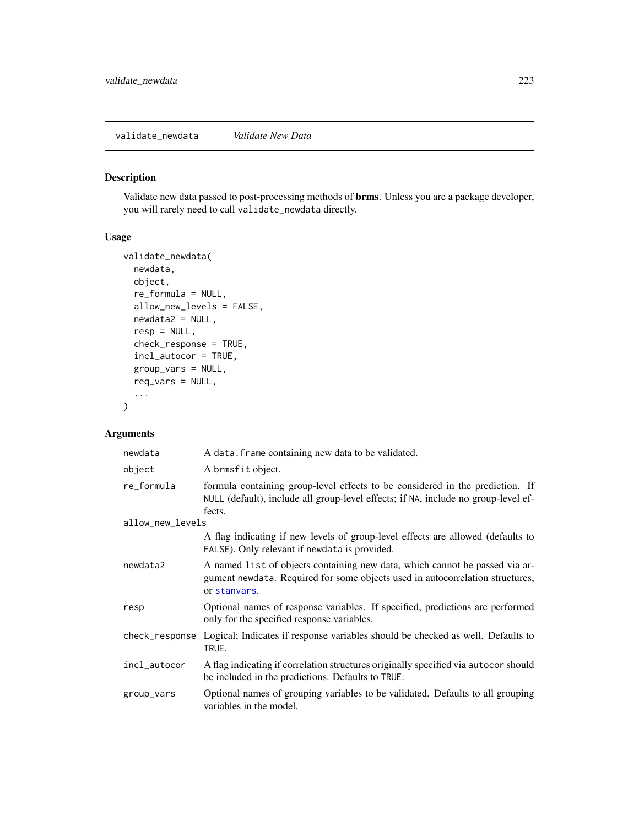<span id="page-222-0"></span>validate\_newdata *Validate New Data*

# Description

Validate new data passed to post-processing methods of brms. Unless you are a package developer, you will rarely need to call validate\_newdata directly.

#### Usage

```
validate_newdata(
  newdata,
 object,
  re_formula = NULL,
  allow_new_levels = FALSE,
  newdata2 = NULL,
  resp = NULL,
  check_response = TRUE,
  incl_autocor = TRUE,
  group_vars = NULL,
  req_vars = NULL,
  ...
)
```
# Arguments

| newdata          | A data. frame containing new data to be validated.                                                                                                                            |
|------------------|-------------------------------------------------------------------------------------------------------------------------------------------------------------------------------|
| object           | A brmsfit object.                                                                                                                                                             |
| re_formula       | formula containing group-level effects to be considered in the prediction. If<br>NULL (default), include all group-level effects; if NA, include no group-level ef-<br>fects. |
| allow_new_levels |                                                                                                                                                                               |
|                  | A flag indicating if new levels of group-level effects are allowed (defaults to<br>FALSE). Only relevant if newdata is provided.                                              |
| newdata2         | A named list of objects containing new data, which cannot be passed via ar-<br>gument newdata. Required for some objects used in autocorrelation structures,<br>or stanvars.  |
| resp             | Optional names of response variables. If specified, predictions are performed<br>only for the specified response variables.                                                   |
|                  | check_response Logical; Indicates if response variables should be checked as well. Defaults to<br>TRUE.                                                                       |
| incl_autocor     | A flag indicating if correlation structures originally specified via autocor should<br>be included in the predictions. Defaults to TRUE.                                      |
| group_vars       | Optional names of grouping variables to be validated. Defaults to all grouping<br>variables in the model.                                                                     |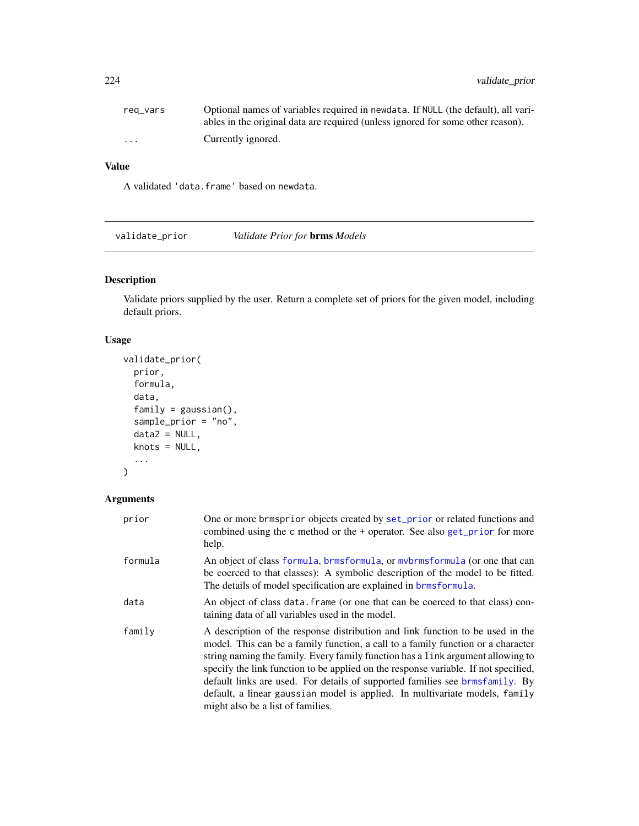<span id="page-223-0"></span>

| reg_vars | Optional names of variables required in newdata. If NULL (the default), all vari- |
|----------|-----------------------------------------------------------------------------------|
|          | ables in the original data are required (unless ignored for some other reason).   |
| $\cdots$ | Currently ignored.                                                                |

# Value

A validated 'data.frame' based on newdata.

validate\_prior *Validate Prior for* brms *Models*

# Description

Validate priors supplied by the user. Return a complete set of priors for the given model, including default priors.

# Usage

```
validate_prior(
  prior,
  formula,
  data,
  family = gaussian(),
  sample_prior = "no",
  data2 = NULL,knots = NULL,
  ...
\mathcal{L}
```
# Arguments

| prior   | One or more brmsprior objects created by set_prior or related functions and<br>combined using the c method or the + operator. See also get_prior for more<br>help.                                                                                                                                                                                                                                                                                                                                                                               |
|---------|--------------------------------------------------------------------------------------------------------------------------------------------------------------------------------------------------------------------------------------------------------------------------------------------------------------------------------------------------------------------------------------------------------------------------------------------------------------------------------------------------------------------------------------------------|
| formula | An object of class formula, brmsformula, or mybrmsformula (or one that can<br>be coerced to that classes): A symbolic description of the model to be fitted.<br>The details of model specification are explained in brmsformula.                                                                                                                                                                                                                                                                                                                 |
| data    | An object of class data, frame (or one that can be coerced to that class) con-<br>taining data of all variables used in the model.                                                                                                                                                                                                                                                                                                                                                                                                               |
| family  | A description of the response distribution and link function to be used in the<br>model. This can be a family function, a call to a family function or a character<br>string naming the family. Every family function has a link argument allowing to<br>specify the link function to be applied on the response variable. If not specified,<br>default links are used. For details of supported families see brmsfamily. By<br>default, a linear gaussian model is applied. In multivariate models, family<br>might also be a list of families. |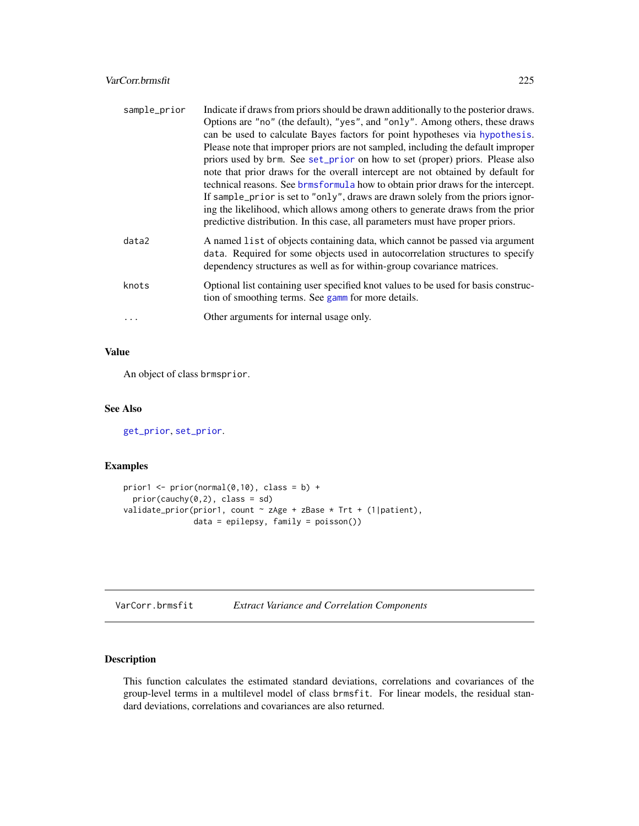#### <span id="page-224-1"></span>VarCorr.brmsfit 225

| sample_prior | Indicate if draws from priors should be drawn additionally to the posterior draws.                                                                                                                                                                                                                                                                                                                                                                                                                          |
|--------------|-------------------------------------------------------------------------------------------------------------------------------------------------------------------------------------------------------------------------------------------------------------------------------------------------------------------------------------------------------------------------------------------------------------------------------------------------------------------------------------------------------------|
|              | Options are "no" (the default), "yes", and "only". Among others, these draws                                                                                                                                                                                                                                                                                                                                                                                                                                |
|              | can be used to calculate Bayes factors for point hypotheses via hypothesis.                                                                                                                                                                                                                                                                                                                                                                                                                                 |
|              | Please note that improper priors are not sampled, including the default improper<br>priors used by brm. See set_prior on how to set (proper) priors. Please also<br>note that prior draws for the overall intercept are not obtained by default for<br>technical reasons. See brmsformula how to obtain prior draws for the intercept.<br>If sample_prior is set to "only", draws are drawn solely from the priors ignor-<br>ing the likelihood, which allows among others to generate draws from the prior |
|              | predictive distribution. In this case, all parameters must have proper priors.                                                                                                                                                                                                                                                                                                                                                                                                                              |
| data2        | A named list of objects containing data, which cannot be passed via argument<br>data. Required for some objects used in autocorrelation structures to specify<br>dependency structures as well as for within-group covariance matrices.                                                                                                                                                                                                                                                                     |
| knots        | Optional list containing user specified knot values to be used for basis construc-<br>tion of smoothing terms. See gamm for more details.                                                                                                                                                                                                                                                                                                                                                                   |
| .            | Other arguments for internal usage only.                                                                                                                                                                                                                                                                                                                                                                                                                                                                    |

#### Value

An object of class brmsprior.

#### See Also

[get\\_prior](#page-97-0), [set\\_prior](#page-203-0).

#### Examples

```
prior1 <- prior(normal(0,10), class = b) +
  prior(cauchy(0,2), class = sd)validate_prior(prior1, count ~ zAge + zBase * Trt + (1|patient),
               data = epilepsy, family = poisson())
```

| VarCorr.brmsfit |  | <b>Extract Variance and Correlation Components</b> |
|-----------------|--|----------------------------------------------------|
|-----------------|--|----------------------------------------------------|

# <span id="page-224-0"></span>Description

This function calculates the estimated standard deviations, correlations and covariances of the group-level terms in a multilevel model of class brmsfit. For linear models, the residual standard deviations, correlations and covariances are also returned.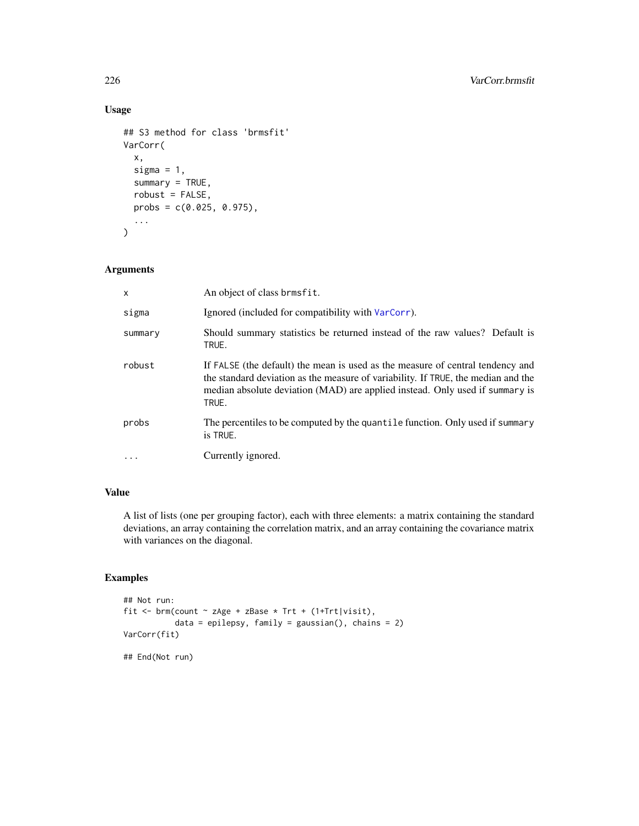# Usage

```
## S3 method for class 'brmsfit'
VarCorr(
  x,
  sigma = 1,
  summary = TRUE,
  robust = FALSE,probs = c(0.025, 0.975),
  ...
)
```
# Arguments

| $\mathsf{x}$ | An object of class brmsfit.                                                                                                                                                                                                                                  |
|--------------|--------------------------------------------------------------------------------------------------------------------------------------------------------------------------------------------------------------------------------------------------------------|
| sigma        | Ignored (included for compatibility with VarCorr).                                                                                                                                                                                                           |
| summary      | Should summary statistics be returned instead of the raw values? Default is<br>TRUE.                                                                                                                                                                         |
| robust       | If FALSE (the default) the mean is used as the measure of central tendency and<br>the standard deviation as the measure of variability. If TRUE, the median and the<br>median absolute deviation (MAD) are applied instead. Only used if summary is<br>TRUE. |
| probs        | The percentiles to be computed by the quantile function. Only used if summary<br>is TRUE.                                                                                                                                                                    |
| $\cdot$      | Currently ignored.                                                                                                                                                                                                                                           |

# Value

A list of lists (one per grouping factor), each with three elements: a matrix containing the standard deviations, an array containing the correlation matrix, and an array containing the covariance matrix with variances on the diagonal.

```
## Not run:
fit <- brm(count ~ zAge + zBase * Trt + (1+Trt|visit),
           data = epilepsy, family = gaussian(), chains = 2)
VarCorr(fit)
## End(Not run)
```
<span id="page-225-0"></span>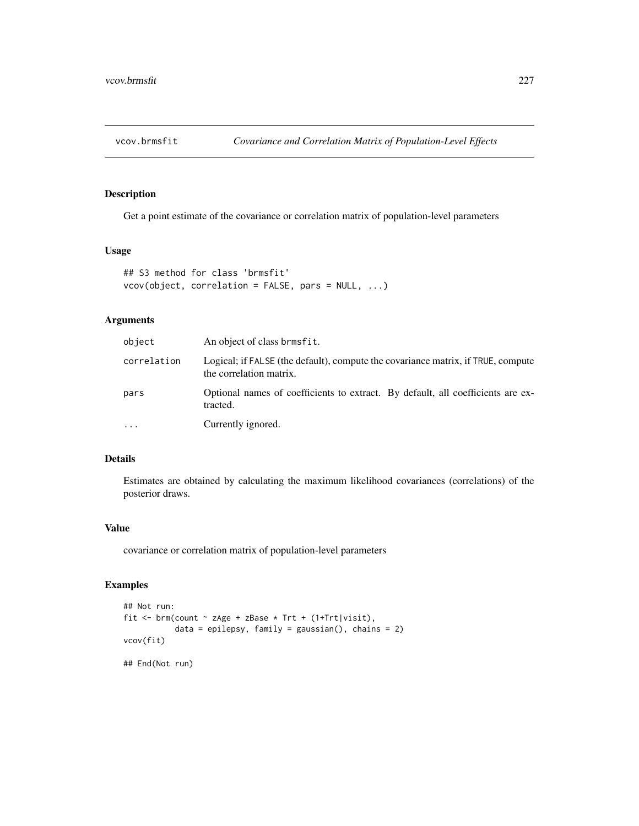<span id="page-226-0"></span>

# Description

Get a point estimate of the covariance or correlation matrix of population-level parameters

#### Usage

```
## S3 method for class 'brmsfit'
vcov(object, correlation = FALSE, pars = NULL, ...)
```
#### Arguments

| object      | An object of class brmsfit.                                                                                 |
|-------------|-------------------------------------------------------------------------------------------------------------|
| correlation | Logical; if FALSE (the default), compute the covariance matrix, if TRUE, compute<br>the correlation matrix. |
| pars        | Optional names of coefficients to extract. By default, all coefficients are ex-<br>tracted.                 |
| $\cdots$    | Currently ignored.                                                                                          |

# Details

Estimates are obtained by calculating the maximum likelihood covariances (correlations) of the posterior draws.

#### Value

covariance or correlation matrix of population-level parameters

```
## Not run:
fit <- brm(count \sim zAge + zBase \star Trt + (1+Trt|visit),
           data = epilepsy, family = gaussian(), chains = 2)
vcov(fit)
## End(Not run)
```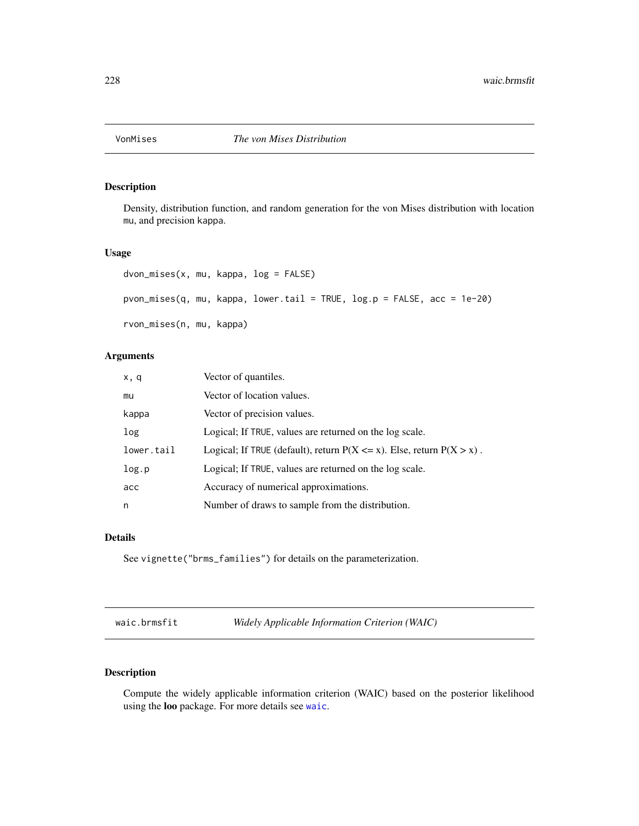<span id="page-227-1"></span>

# Description

Density, distribution function, and random generation for the von Mises distribution with location mu, and precision kappa.

### Usage

```
dvon_mises(x, mu, kappa, log = FALSE)
pvon_mises(q, mu, kappa, lower.tail = TRUE, log.p = FALSE, acc = 1e-20)
rvon_mises(n, mu, kappa)
```
# Arguments

| x, q       | Vector of quantiles.                                                        |
|------------|-----------------------------------------------------------------------------|
| mu         | Vector of location values.                                                  |
| kappa      | Vector of precision values.                                                 |
| log        | Logical; If TRUE, values are returned on the log scale.                     |
| lower.tail | Logical; If TRUE (default), return $P(X \le x)$ . Else, return $P(X > x)$ . |
| log.p      | Logical; If TRUE, values are returned on the log scale.                     |
| acc        | Accuracy of numerical approximations.                                       |
| n          | Number of draws to sample from the distribution.                            |

#### Details

See vignette("brms\_families") for details on the parameterization.

waic.brmsfit *Widely Applicable Information Criterion (WAIC)*

#### <span id="page-227-0"></span>Description

Compute the widely applicable information criterion (WAIC) based on the posterior likelihood using the loo package. For more details see [waic](#page-227-0).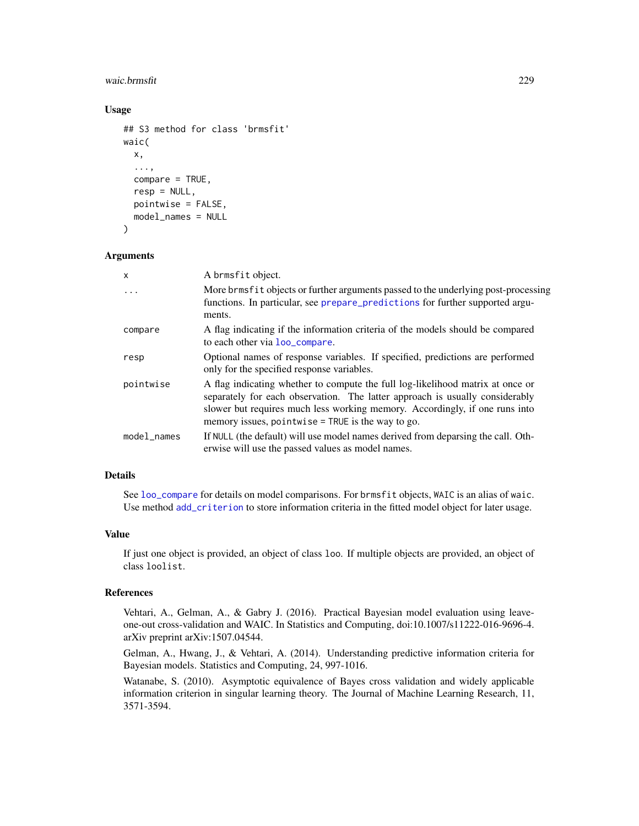#### <span id="page-228-0"></span>waic.brmsfit 229

#### Usage

```
## S3 method for class 'brmsfit'
waic(
  x,
  ...,
  compare = TRUE,
  resp = NULL,pointwise = FALSE,
  model_names = NULL
)
```

```
Arguments
```

| $\mathsf{x}$ | A brmsfit object.                                                                                                                                                                                                                                                                                    |
|--------------|------------------------------------------------------------------------------------------------------------------------------------------------------------------------------------------------------------------------------------------------------------------------------------------------------|
| $\cdot$      | More brms fit objects or further arguments passed to the underlying post-processing<br>functions. In particular, see prepare_predictions for further supported argu-<br>ments.                                                                                                                       |
| compare      | A flag indicating if the information criteria of the models should be compared<br>to each other via loo_compare.                                                                                                                                                                                     |
| resp         | Optional names of response variables. If specified, predictions are performed<br>only for the specified response variables.                                                                                                                                                                          |
| pointwise    | A flag indicating whether to compute the full log-likelihood matrix at once or<br>separately for each observation. The latter approach is usually considerably<br>slower but requires much less working memory. Accordingly, if one runs into<br>memory issues, pointwise $=$ TRUE is the way to go. |
| model_names  | If NULL (the default) will use model names derived from deparsing the call. Oth-<br>erwise will use the passed values as model names.                                                                                                                                                                |

#### Details

See [loo\\_compare](#page-127-0) for details on model comparisons. For brmsfit objects, WAIC is an alias of waic. Use method [add\\_criterion](#page-8-0) to store information criteria in the fitted model object for later usage.

# Value

If just one object is provided, an object of class loo. If multiple objects are provided, an object of class loolist.

#### References

Vehtari, A., Gelman, A., & Gabry J. (2016). Practical Bayesian model evaluation using leaveone-out cross-validation and WAIC. In Statistics and Computing, doi:10.1007/s11222-016-9696-4. arXiv preprint arXiv:1507.04544.

Gelman, A., Hwang, J., & Vehtari, A. (2014). Understanding predictive information criteria for Bayesian models. Statistics and Computing, 24, 997-1016.

Watanabe, S. (2010). Asymptotic equivalence of Bayes cross validation and widely applicable information criterion in singular learning theory. The Journal of Machine Learning Research, 11, 3571-3594.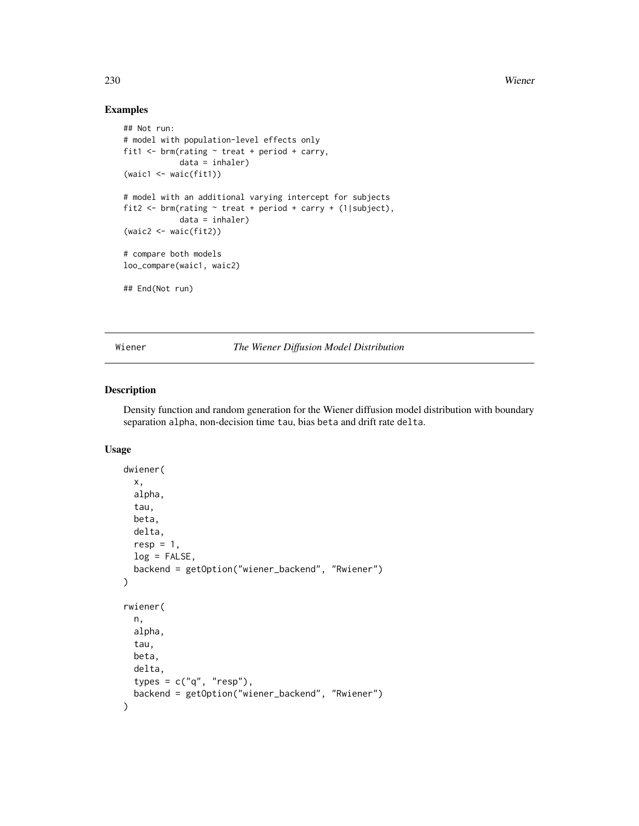# Examples

```
## Not run:
# model with population-level effects only
fit1 \le brm(rating \sim treat + period + carry,
            data = inhaler)
(waic1 <- waic(fit1))
# model with an additional varying intercept for subjects
fit2 <- brm(rating ~ treat + period + carry + (1|subject),
            data = inhaler)
(waic2 <- waic(fit2))
# compare both models
loo_compare(waic1, waic2)
## End(Not run)
```
Wiener *The Wiener Diffusion Model Distribution*

#### Description

Density function and random generation for the Wiener diffusion model distribution with boundary separation alpha, non-decision time tau, bias beta and drift rate delta.

#### Usage

```
dwiener(
  x,
  alpha,
  tau,
 beta,
 delta,
  resp = 1,log = FALSE,
 backend = getOption("wiener_backend", "Rwiener")
)
rwiener(
  n,
  alpha,
  tau,
 beta,
 delta,
  types = c("q", "resp"),backend = getOption("wiener_backend", "Rwiener")
)
```
<span id="page-229-0"></span>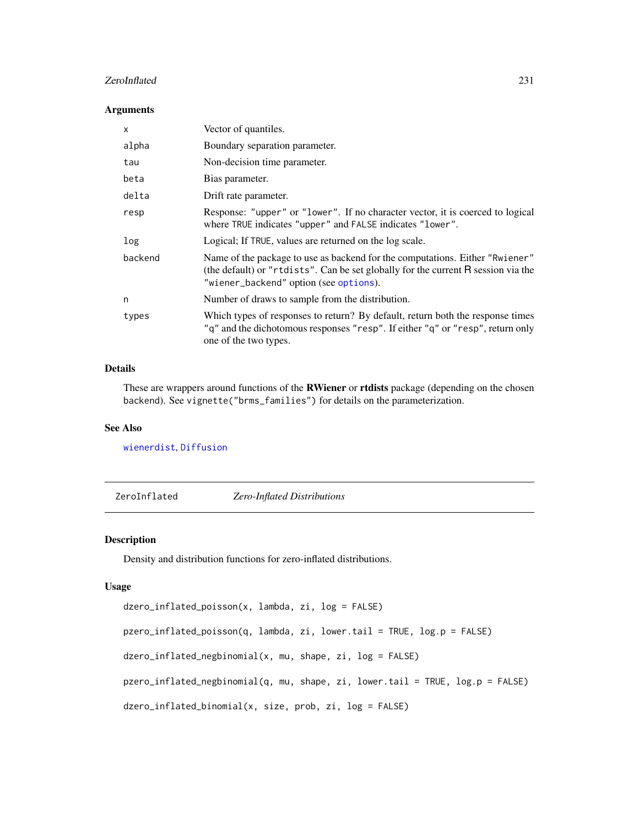#### <span id="page-230-0"></span>ZeroInflated 231

#### Arguments

| $\mathsf{x}$ | Vector of quantiles.                                                                                                                                                                                        |
|--------------|-------------------------------------------------------------------------------------------------------------------------------------------------------------------------------------------------------------|
| alpha        | Boundary separation parameter.                                                                                                                                                                              |
| tau          | Non-decision time parameter.                                                                                                                                                                                |
| beta         | Bias parameter.                                                                                                                                                                                             |
| delta        | Drift rate parameter.                                                                                                                                                                                       |
| resp         | Response: "upper" or "lower". If no character vector, it is coerced to logical<br>where TRUE indicates "upper" and FALSE indicates "lower".                                                                 |
| log          | Logical; If TRUE, values are returned on the log scale.                                                                                                                                                     |
| backend      | Name of the package to use as backend for the computations. Either "Rwiener"<br>(the default) or "rtdists". Can be set globally for the current R session via the<br>"wiener_backend" option (see options). |
| n            | Number of draws to sample from the distribution.                                                                                                                                                            |
| types        | Which types of responses to return? By default, return both the response times<br>"q" and the dichotomous responses "resp". If either "q" or "resp", return only<br>one of the two types.                   |

#### Details

These are wrappers around functions of the **RWiener** or **rtdists** package (depending on the chosen backend). See vignette("brms\_families") for details on the parameterization.

### See Also

[wienerdist](#page-0-0), [Diffusion](#page-0-0)

ZeroInflated *Zero-Inflated Distributions*

#### Description

Density and distribution functions for zero-inflated distributions.

#### Usage

```
dzero_inflated_poisson(x, lambda, zi, log = FALSE)
pzero_inflated_poisson(q, lambda, zi, lower.tail = TRUE, log.p = FALSE)
dzero_inflated_negbinomial(x, mu, shape, zi, log = FALSE)
pzero_inflated_negbinomial(q, mu, shape, zi, lower.tail = TRUE, log.p = FALSE)
dzero_inflated_binomial(x, size, prob, zi, log = FALSE)
```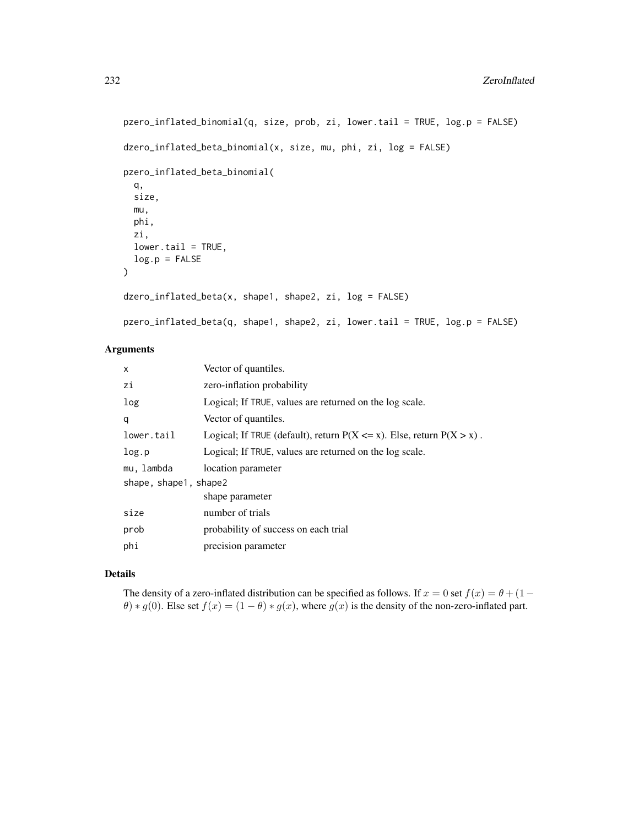```
pzero_inflated_binomial(q, size, prob, zi, lower.tail = TRUE, log.p = FALSE)
dzero_inflated_beta_binomial(x, size, mu, phi, zi, log = FALSE)
pzero_inflated_beta_binomial(
 q,
  size,
 mu,
 phi,
 zi,
  lower.tail = TRUE,log.p = FALSE\mathcal{L}dzero_inflated_beta(x, shape1, shape2, zi, log = FALSE)
pzero_inflated_beta(q, shape1, shape2, zi, lower.tail = TRUE, log.p = FALSE)
```
# Arguments

| X                     | Vector of quantiles.                                                        |  |
|-----------------------|-----------------------------------------------------------------------------|--|
| zi                    | zero-inflation probability                                                  |  |
| log                   | Logical; If TRUE, values are returned on the log scale.                     |  |
| q                     | Vector of quantiles.                                                        |  |
| lower.tail            | Logical; If TRUE (default), return $P(X \le x)$ . Else, return $P(X > x)$ . |  |
| log.p                 | Logical; If TRUE, values are returned on the log scale.                     |  |
| mu, lambda            | location parameter                                                          |  |
| shape, shape1, shape2 |                                                                             |  |
|                       | shape parameter                                                             |  |
| size                  | number of trials                                                            |  |
| prob                  | probability of success on each trial                                        |  |
| phi                   | precision parameter                                                         |  |

# Details

The density of a zero-inflated distribution can be specified as follows. If  $x = 0$  set  $f(x) = \theta + (1 \theta$ ) \* g(0). Else set  $f(x) = (1 - \theta) * g(x)$ , where  $g(x)$  is the density of the non-zero-inflated part.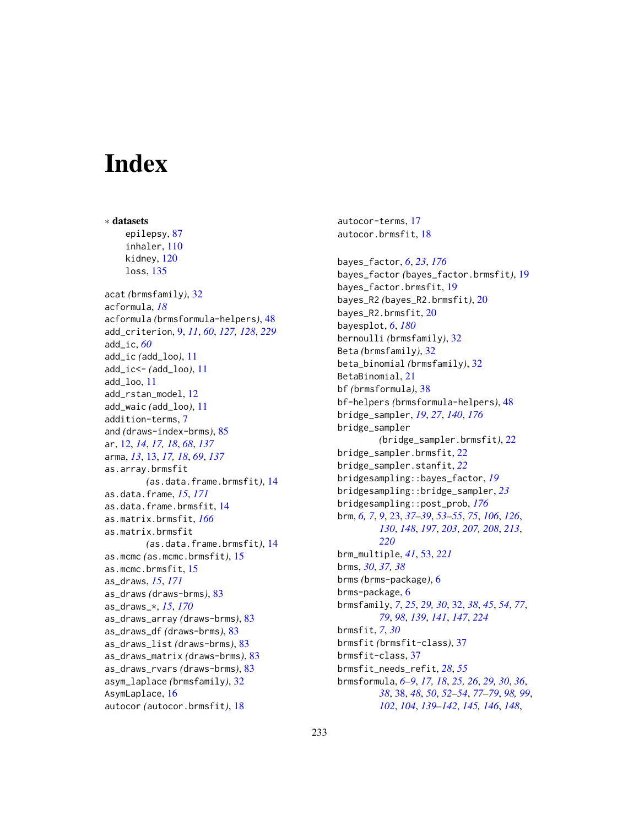# **Index**

∗ datasets epilepsy, [87](#page-86-0) inhaler, [110](#page-109-0) kidney, [120](#page-119-0) loss, [135](#page-134-0) acat *(*brmsfamily*)*, [32](#page-31-1) acformula, *[18](#page-17-0)* acformula *(*brmsformula-helpers*)*, [48](#page-47-0) add\_criterion, [9,](#page-8-1) *[11](#page-10-0)*, *[60](#page-59-0)*, *[127,](#page-126-0) [128](#page-127-1)*, *[229](#page-228-0)* add\_ic, *[60](#page-59-0)* add\_ic *(*add\_loo*)*, [11](#page-10-0) add\_ic<- *(*add\_loo*)*, [11](#page-10-0) add\_loo, [11](#page-10-0) add\_rstan\_model, [12](#page-11-0) add\_waic *(*add\_loo*)*, [11](#page-10-0) addition-terms, [7](#page-6-1) and *(*draws-index-brms*)*, [85](#page-84-0) ar, [12,](#page-11-0) *[14](#page-13-0)*, *[17,](#page-16-0) [18](#page-17-0)*, *[68](#page-67-0)*, *[137](#page-136-0)* arma, *[13](#page-12-0)*, [13,](#page-12-0) *[17,](#page-16-0) [18](#page-17-0)*, *[69](#page-68-0)*, *[137](#page-136-0)* as.array.brmsfit *(*as.data.frame.brmsfit*)*, [14](#page-13-0) as.data.frame, *[15](#page-14-0)*, *[171](#page-170-0)* as.data.frame.brmsfit, [14](#page-13-0) as.matrix.brmsfit, *[166](#page-165-0)* as.matrix.brmsfit *(*as.data.frame.brmsfit*)*, [14](#page-13-0) as.mcmc *(*as.mcmc.brmsfit*)*, [15](#page-14-0) as.mcmc.brmsfit, [15](#page-14-0) as\_draws, *[15](#page-14-0)*, *[171](#page-170-0)* as\_draws *(*draws-brms*)*, [83](#page-82-0) as\_draws\_\*, *[15](#page-14-0)*, *[170](#page-169-0)* as\_draws\_array *(*draws-brms*)*, [83](#page-82-0) as\_draws\_df *(*draws-brms*)*, [83](#page-82-0) as\_draws\_list *(*draws-brms*)*, [83](#page-82-0) as\_draws\_matrix *(*draws-brms*)*, [83](#page-82-0) as\_draws\_rvars *(*draws-brms*)*, [83](#page-82-0) asym\_laplace *(*brmsfamily*)*, [32](#page-31-1) AsymLaplace, [16](#page-15-0) autocor *(*autocor.brmsfit*)*, [18](#page-17-0)

autocor-terms, [17](#page-16-0) autocor.brmsfit, [18](#page-17-0) bayes\_factor, *[6](#page-5-0)*, *[23](#page-22-1)*, *[176](#page-175-0)* bayes\_factor *(*bayes\_factor.brmsfit*)*, [19](#page-18-0) bayes\_factor.brmsfit, [19](#page-18-0) bayes\_R2 *(*bayes\_R2.brmsfit*)*, [20](#page-19-0) bayes\_R2.brmsfit, [20](#page-19-0) bayesplot, *[6](#page-5-0)*, *[180](#page-179-0)* bernoulli *(*brmsfamily*)*, [32](#page-31-1) Beta *(*brmsfamily*)*, [32](#page-31-1) beta\_binomial *(*brmsfamily*)*, [32](#page-31-1) BetaBinomial, [21](#page-20-0) bf *(*brmsformula*)*, [38](#page-37-1) bf-helpers *(*brmsformula-helpers*)*, [48](#page-47-0) bridge\_sampler, *[19](#page-18-0)*, *[27](#page-26-0)*, *[140](#page-139-0)*, *[176](#page-175-0)* bridge\_sampler *(*bridge\_sampler.brmsfit*)*, [22](#page-21-0) bridge\_sampler.brmsfit, [22](#page-21-0) bridge\_sampler.stanfit, *[22](#page-21-0)* bridgesampling::bayes\_factor, *[19](#page-18-0)* bridgesampling::bridge\_sampler, *[23](#page-22-1)* bridgesampling::post\_prob, *[176](#page-175-0)* brm, *[6,](#page-5-0) [7](#page-6-1)*, *[9](#page-8-1)*, [23,](#page-22-1) *[37](#page-36-0)[–39](#page-38-0)*, *[53](#page-52-1)[–55](#page-54-0)*, *[75](#page-74-0)*, *[106](#page-105-0)*, *[126](#page-125-0)*, *[130](#page-129-0)*, *[148](#page-147-0)*, *[197](#page-196-0)*, *[203](#page-202-0)*, *[207,](#page-206-0) [208](#page-207-0)*, *[213](#page-212-0)*, *[220](#page-219-1)* brm\_multiple, *[41](#page-40-0)*, [53,](#page-52-1) *[221](#page-220-0)* brms, *[30](#page-29-0)*, *[37,](#page-36-0) [38](#page-37-1)* brms *(*brms-package*)*, [6](#page-5-0) brms-package, [6](#page-5-0) brmsfamily, *[7](#page-6-1)*, *[25](#page-24-0)*, *[29,](#page-28-0) [30](#page-29-0)*, [32,](#page-31-1) *[38](#page-37-1)*, *[45](#page-44-0)*, *[54](#page-53-0)*, *[77](#page-76-0)*, *[79](#page-78-0)*, *[98](#page-97-1)*, *[139](#page-138-0)*, *[141](#page-140-0)*, *[147](#page-146-0)*, *[224](#page-223-0)* brmsfit, *[7](#page-6-1)*, *[30](#page-29-0)* brmsfit *(*brmsfit-class*)*, [37](#page-36-0) brmsfit-class, [37](#page-36-0) brmsfit\_needs\_refit, *[28](#page-27-0)*, *[55](#page-54-0)* brmsformula, *[6](#page-5-0)[–9](#page-8-1)*, *[17,](#page-16-0) [18](#page-17-0)*, *[25,](#page-24-0) [26](#page-25-0)*, *[29,](#page-28-0) [30](#page-29-0)*, *[36](#page-35-0)*, *[38](#page-37-1)*, [38,](#page-37-1) *[48](#page-47-0)*, *[50](#page-49-0)*, *[52](#page-51-0)[–54](#page-53-0)*, *[77](#page-76-0)[–79](#page-78-0)*, *[98,](#page-97-1) [99](#page-98-0)*, *[102](#page-101-0)*, *[104](#page-103-0)*, *[139](#page-138-0)[–142](#page-141-0)*, *[145,](#page-144-0) [146](#page-145-0)*, *[148](#page-147-0)*,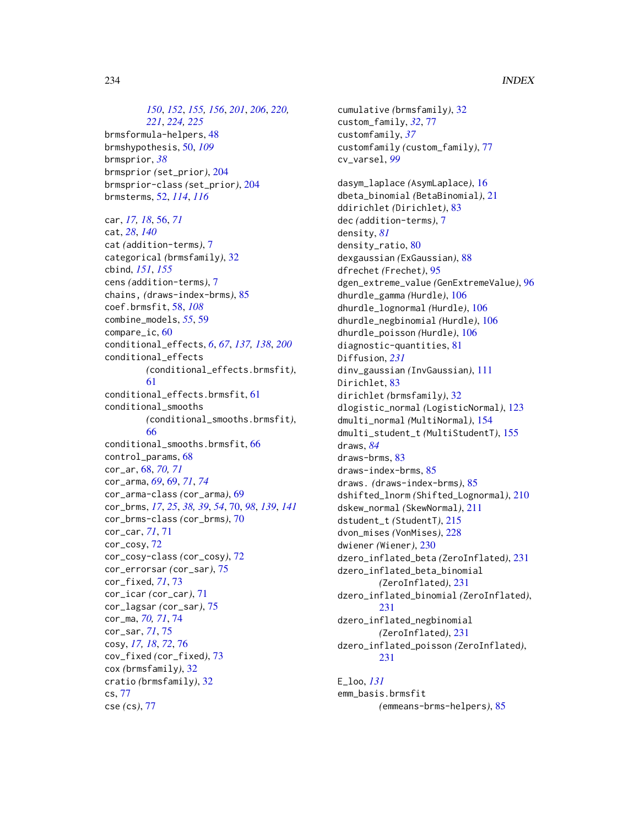*[150](#page-149-0)*, *[152](#page-151-0)*, *[155,](#page-154-0) [156](#page-155-1)*, *[201](#page-200-0)*, *[206](#page-205-0)*, *[220,](#page-219-1) [221](#page-220-0)*, *[224,](#page-223-0) [225](#page-224-1)* brmsformula-helpers, [48](#page-47-0) brmshypothesis, [50,](#page-49-0) *[109](#page-108-0)* brmsprior, *[38](#page-37-1)* brmsprior *(*set\_prior*)*, [204](#page-203-1) brmsprior-class *(*set\_prior*)*, [204](#page-203-1) brmsterms, [52,](#page-51-0) *[114](#page-113-0)*, *[116](#page-115-0)*

car, *[17,](#page-16-0) [18](#page-17-0)*, [56,](#page-55-0) *[71](#page-70-0)* cat, *[28](#page-27-0)*, *[140](#page-139-0)* cat *(*addition-terms*)*, [7](#page-6-1) categorical *(*brmsfamily*)*, [32](#page-31-1) cbind, *[151](#page-150-0)*, *[155](#page-154-0)* cens *(*addition-terms*)*, [7](#page-6-1) chains, *(*draws-index-brms*)*, [85](#page-84-0) coef.brmsfit, [58,](#page-57-0) *[108](#page-107-0)* combine\_models, *[55](#page-54-0)*, [59](#page-58-0) compare\_ic, [60](#page-59-0) conditional\_effects, *[6](#page-5-0)*, *[67](#page-66-0)*, *[137,](#page-136-0) [138](#page-137-0)*, *[200](#page-199-0)* conditional\_effects *(*conditional\_effects.brmsfit*)*, [61](#page-60-0) conditional\_effects.brmsfit, [61](#page-60-0) conditional\_smooths *(*conditional\_smooths.brmsfit*)*, [66](#page-65-0) conditional\_smooths.brmsfit, [66](#page-65-0) control\_params, [68](#page-67-0) cor\_ar, [68,](#page-67-0) *[70,](#page-69-0) [71](#page-70-0)* cor\_arma, *[69](#page-68-0)*, [69,](#page-68-0) *[71](#page-70-0)*, *[74](#page-73-0)* cor\_arma-class *(*cor\_arma*)*, [69](#page-68-0) cor\_brms, *[17](#page-16-0)*, *[25](#page-24-0)*, *[38,](#page-37-1) [39](#page-38-0)*, *[54](#page-53-0)*, [70,](#page-69-0) *[98](#page-97-1)*, *[139](#page-138-0)*, *[141](#page-140-0)* cor\_brms-class *(*cor\_brms*)*, [70](#page-69-0) cor\_car, *[71](#page-70-0)*, [71](#page-70-0) cor\_cosy, [72](#page-71-0) cor\_cosy-class *(*cor\_cosy*)*, [72](#page-71-0) cor\_errorsar *(*cor\_sar*)*, [75](#page-74-0) cor\_fixed, *[71](#page-70-0)*, [73](#page-72-0) cor\_icar *(*cor\_car*)*, [71](#page-70-0) cor\_lagsar *(*cor\_sar*)*, [75](#page-74-0) cor\_ma, *[70,](#page-69-0) [71](#page-70-0)*, [74](#page-73-0) cor\_sar, *[71](#page-70-0)*, [75](#page-74-0) cosy, *[17,](#page-16-0) [18](#page-17-0)*, *[72](#page-71-0)*, [76](#page-75-0) cov\_fixed *(*cor\_fixed*)*, [73](#page-72-0) cox *(*brmsfamily*)*, [32](#page-31-1) cratio *(*brmsfamily*)*, [32](#page-31-1) cs, [77](#page-76-0) cse *(*cs*)*, [77](#page-76-0)

cumulative *(*brmsfamily*)*, [32](#page-31-1) custom\_family, *[32](#page-31-1)*, [77](#page-76-0) customfamily, *[37](#page-36-0)* customfamily *(*custom\_family*)*, [77](#page-76-0) cv\_varsel, *[99](#page-98-0)* dasym\_laplace *(*AsymLaplace*)*, [16](#page-15-0) dbeta\_binomial *(*BetaBinomial*)*, [21](#page-20-0) ddirichlet *(*Dirichlet*)*, [83](#page-82-0) dec *(*addition-terms*)*, [7](#page-6-1) density, *[81](#page-80-0)* density\_ratio, [80](#page-79-0) dexgaussian *(*ExGaussian*)*, [88](#page-87-0) dfrechet *(*Frechet*)*, [95](#page-94-0) dgen\_extreme\_value *(*GenExtremeValue*)*, [96](#page-95-0) dhurdle\_gamma *(*Hurdle*)*, [106](#page-105-0) dhurdle\_lognormal *(*Hurdle*)*, [106](#page-105-0) dhurdle\_negbinomial *(*Hurdle*)*, [106](#page-105-0) dhurdle\_poisson *(*Hurdle*)*, [106](#page-105-0) diagnostic-quantities, [81](#page-80-0) Diffusion, *[231](#page-230-0)* dinv\_gaussian *(*InvGaussian*)*, [111](#page-110-0) Dirichlet, [83](#page-82-0) dirichlet *(*brmsfamily*)*, [32](#page-31-1) dlogistic\_normal *(*LogisticNormal*)*, [123](#page-122-0) dmulti\_normal *(*MultiNormal*)*, [154](#page-153-0) dmulti\_student\_t *(*MultiStudentT*)*, [155](#page-154-0) draws, *[84](#page-83-0)* draws-brms, [83](#page-82-0) draws-index-brms, [85](#page-84-0) draws. *(*draws-index-brms*)*, [85](#page-84-0) dshifted\_lnorm *(*Shifted\_Lognormal*)*, [210](#page-209-0) dskew\_normal *(*SkewNormal*)*, [211](#page-210-0) dstudent\_t *(*StudentT*)*, [215](#page-214-0) dvon\_mises *(*VonMises*)*, [228](#page-227-1) dwiener *(*Wiener*)*, [230](#page-229-0) dzero\_inflated\_beta *(*ZeroInflated*)*, [231](#page-230-0) dzero\_inflated\_beta\_binomial *(*ZeroInflated*)*, [231](#page-230-0) dzero\_inflated\_binomial *(*ZeroInflated*)*, [231](#page-230-0) dzero\_inflated\_negbinomial *(*ZeroInflated*)*, [231](#page-230-0) dzero\_inflated\_poisson *(*ZeroInflated*)*, [231](#page-230-0)

E\_loo, *[131](#page-130-0)* emm\_basis.brmsfit *(*emmeans-brms-helpers*)*, [85](#page-84-0)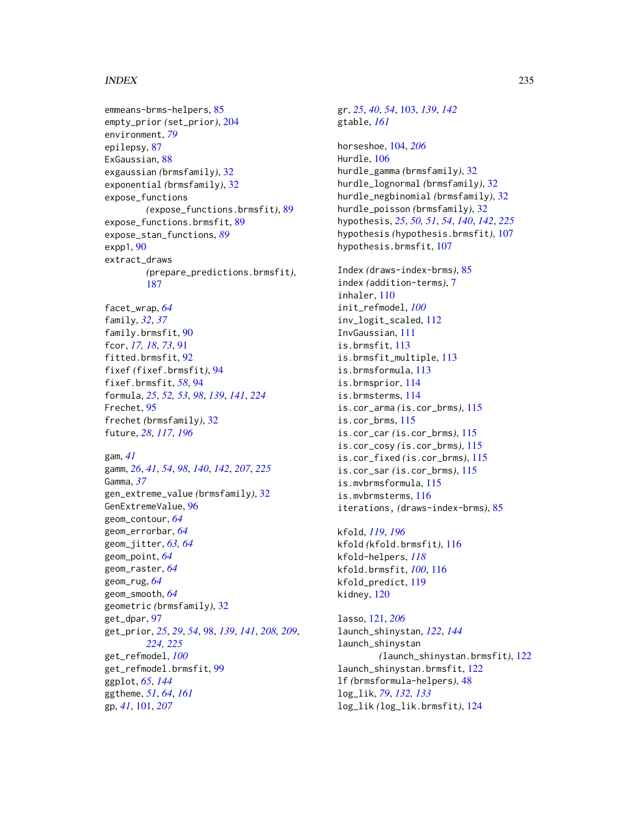#### INDEX 235

emmeans-brms-helpers, [85](#page-84-0) empty\_prior *(*set\_prior*)*, [204](#page-203-1) environment, *[79](#page-78-0)* epilepsy, [87](#page-86-0) ExGaussian, [88](#page-87-0) exgaussian *(*brmsfamily*)*, [32](#page-31-1) exponential *(*brmsfamily*)*, [32](#page-31-1) expose\_functions *(*expose\_functions.brmsfit*)*, [89](#page-88-0) expose\_functions.brmsfit, [89](#page-88-0) expose\_stan\_functions, *[89](#page-88-0)* expp1, [90](#page-89-0) extract\_draws *(*prepare\_predictions.brmsfit*)*, [187](#page-186-1) facet\_wrap, *[64](#page-63-0)* family, *[32](#page-31-1)*, *[37](#page-36-0)* family.brmsfit, [90](#page-89-0) fcor, *[17,](#page-16-0) [18](#page-17-0)*, *[73](#page-72-0)*, [91](#page-90-0) fitted.brmsfit, [92](#page-91-0) fixef *(*fixef.brmsfit*)*, [94](#page-93-0) fixef.brmsfit, *[58](#page-57-0)*, [94](#page-93-0) formula, *[25](#page-24-0)*, *[52,](#page-51-0) [53](#page-52-1)*, *[98](#page-97-1)*, *[139](#page-138-0)*, *[141](#page-140-0)*, *[224](#page-223-0)* Frechet, [95](#page-94-0) frechet *(*brmsfamily*)*, [32](#page-31-1) future, *[28](#page-27-0)*, *[117](#page-116-0)*, *[196](#page-195-0)* gam, *[41](#page-40-0)* gamm, *[26](#page-25-0)*, *[41](#page-40-0)*, *[54](#page-53-0)*, *[98](#page-97-1)*, *[140](#page-139-0)*, *[142](#page-141-0)*, *[207](#page-206-0)*, *[225](#page-224-1)* Gamma, *[37](#page-36-0)* gen\_extreme\_value *(*brmsfamily*)*, [32](#page-31-1) GenExtremeValue, [96](#page-95-0) geom\_contour, *[64](#page-63-0)* geom\_errorbar, *[64](#page-63-0)* geom\_jitter, *[63,](#page-62-0) [64](#page-63-0)* geom\_point, *[64](#page-63-0)* geom\_raster, *[64](#page-63-0)* geom\_rug, *[64](#page-63-0)* geom\_smooth, *[64](#page-63-0)* geometric *(*brmsfamily*)*, [32](#page-31-1) get\_dpar, [97](#page-96-0) get\_prior, *[25](#page-24-0)*, *[29](#page-28-0)*, *[54](#page-53-0)*, [98,](#page-97-1) *[139](#page-138-0)*, *[141](#page-140-0)*, *[208,](#page-207-0) [209](#page-208-0)*, *[224,](#page-223-0) [225](#page-224-1)* get\_refmodel, *[100](#page-99-0)* get\_refmodel.brmsfit, [99](#page-98-0) ggplot, *[65](#page-64-0)*, *[144](#page-143-0)* ggtheme, *[51](#page-50-0)*, *[64](#page-63-0)*, *[161](#page-160-0)* gp, *[41](#page-40-0)*, [101,](#page-100-0) *[207](#page-206-0)*

gr, *[25](#page-24-0)*, *[40](#page-39-0)*, *[54](#page-53-0)*, [103,](#page-102-0) *[139](#page-138-0)*, *[142](#page-141-0)* gtable, *[161](#page-160-0)* horseshoe, [104,](#page-103-0) *[206](#page-205-0)* Hurdle, [106](#page-105-0) hurdle\_gamma *(*brmsfamily*)*, [32](#page-31-1) hurdle\_lognormal *(*brmsfamily*)*, [32](#page-31-1) hurdle\_negbinomial *(*brmsfamily*)*, [32](#page-31-1) hurdle\_poisson *(*brmsfamily*)*, [32](#page-31-1) hypothesis, *[25](#page-24-0)*, *[50,](#page-49-0) [51](#page-50-0)*, *[54](#page-53-0)*, *[140](#page-139-0)*, *[142](#page-141-0)*, *[225](#page-224-1)* hypothesis *(*hypothesis.brmsfit*)*, [107](#page-106-1) hypothesis.brmsfit, [107](#page-106-1) Index *(*draws-index-brms*)*, [85](#page-84-0) index *(*addition-terms*)*, [7](#page-6-1) inhaler, [110](#page-109-0) init\_refmodel, *[100](#page-99-0)* inv\_logit\_scaled, [112](#page-111-0) InvGaussian, [111](#page-110-0) is.brmsfit, [113](#page-112-0) is.brmsfit\_multiple, [113](#page-112-0) is.brmsformula, [113](#page-112-0) is.brmsprior, [114](#page-113-0) is.brmsterms, [114](#page-113-0) is.cor\_arma *(*is.cor\_brms*)*, [115](#page-114-0) is.cor\_brms, [115](#page-114-0) is.cor\_car *(*is.cor\_brms*)*, [115](#page-114-0) is.cor\_cosy *(*is.cor\_brms*)*, [115](#page-114-0) is.cor\_fixed *(*is.cor\_brms*)*, [115](#page-114-0) is.cor\_sar *(*is.cor\_brms*)*, [115](#page-114-0) is.mvbrmsformula, [115](#page-114-0) is.mvbrmsterms, [116](#page-115-0) iterations, *(*draws-index-brms*)*, [85](#page-84-0) kfold, *[119](#page-118-0)*, *[196](#page-195-0)* kfold *(*kfold.brmsfit*)*, [116](#page-115-0) kfold-helpers, *[118](#page-117-0)* kfold.brmsfit, *[100](#page-99-0)*, [116](#page-115-0) kfold\_predict, [119](#page-118-0) kidney, [120](#page-119-0) lasso, [121,](#page-120-0) *[206](#page-205-0)* launch\_shinystan, *[122](#page-121-0)*, *[144](#page-143-0)* launch\_shinystan *(*launch\_shinystan.brmsfit*)*, [122](#page-121-0) launch\_shinystan.brmsfit, [122](#page-121-0) lf *(*brmsformula-helpers*)*, [48](#page-47-0) log\_lik, *[79](#page-78-0)*, *[132,](#page-131-0) [133](#page-132-0)*

log\_lik *(*log\_lik.brmsfit*)*, [124](#page-123-0)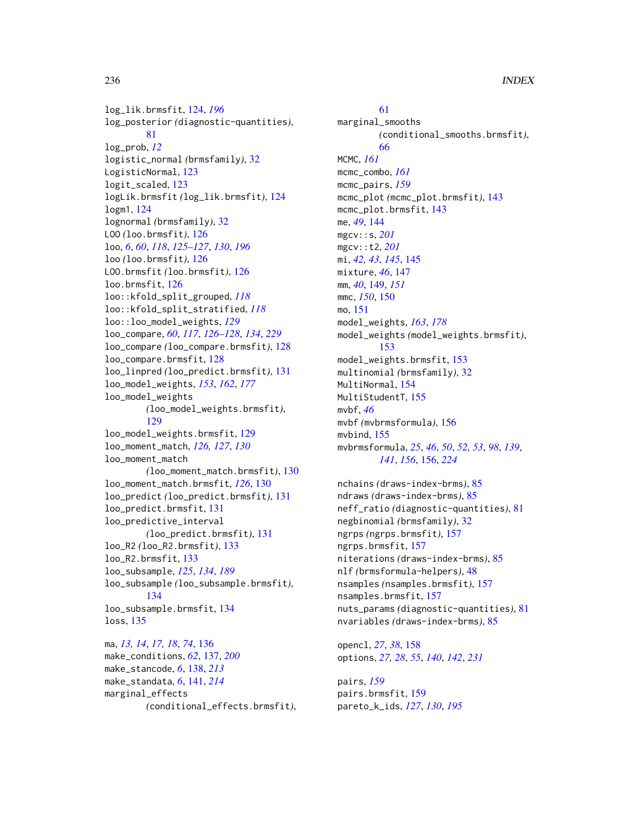log\_lik.brmsfit, [124,](#page-123-0) *[196](#page-195-0)* log\_posterior *(*diagnostic-quantities*)*, [81](#page-80-0) log\_prob, *[12](#page-11-0)* logistic\_normal *(*brmsfamily*)*, [32](#page-31-1) LogisticNormal, [123](#page-122-0) logit\_scaled, [123](#page-122-0) logLik.brmsfit *(*log\_lik.brmsfit*)*, [124](#page-123-0) logm1, [124](#page-123-0) lognormal *(*brmsfamily*)*, [32](#page-31-1) LOO *(*loo.brmsfit*)*, [126](#page-125-0) loo, *[6](#page-5-0)*, *[60](#page-59-0)*, *[118](#page-117-0)*, *[125](#page-124-0)[–127](#page-126-0)*, *[130](#page-129-0)*, *[196](#page-195-0)* loo *(*loo.brmsfit*)*, [126](#page-125-0) LOO.brmsfit *(*loo.brmsfit*)*, [126](#page-125-0) loo.brmsfit, [126](#page-125-0) loo::kfold\_split\_grouped, *[118](#page-117-0)* loo::kfold\_split\_stratified, *[118](#page-117-0)* loo::loo\_model\_weights, *[129](#page-128-0)* loo\_compare, *[60](#page-59-0)*, *[117](#page-116-0)*, *[126–](#page-125-0)[128](#page-127-1)*, *[134](#page-133-0)*, *[229](#page-228-0)* loo\_compare *(*loo\_compare.brmsfit*)*, [128](#page-127-1) loo\_compare.brmsfit, [128](#page-127-1) loo\_linpred *(*loo\_predict.brmsfit*)*, [131](#page-130-0) loo\_model\_weights, *[153](#page-152-0)*, *[162](#page-161-0)*, *[177](#page-176-0)* loo\_model\_weights *(*loo\_model\_weights.brmsfit*)*, [129](#page-128-0) loo\_model\_weights.brmsfit, [129](#page-128-0) loo\_moment\_match, *[126,](#page-125-0) [127](#page-126-0)*, *[130](#page-129-0)* loo\_moment\_match *(*loo\_moment\_match.brmsfit*)*, [130](#page-129-0) loo\_moment\_match.brmsfit, *[126](#page-125-0)*, [130](#page-129-0) loo\_predict *(*loo\_predict.brmsfit*)*, [131](#page-130-0) loo\_predict.brmsfit, [131](#page-130-0) loo\_predictive\_interval *(*loo\_predict.brmsfit*)*, [131](#page-130-0) loo\_R2 *(*loo\_R2.brmsfit*)*, [133](#page-132-0) loo\_R2.brmsfit, [133](#page-132-0) loo\_subsample, *[125](#page-124-0)*, *[134](#page-133-0)*, *[189](#page-188-0)* loo\_subsample *(*loo\_subsample.brmsfit*)*, [134](#page-133-0) loo\_subsample.brmsfit, [134](#page-133-0) loss, [135](#page-134-0) ma, *[13,](#page-12-0) [14](#page-13-0)*, *[17,](#page-16-0) [18](#page-17-0)*, *[74](#page-73-0)*, [136](#page-135-0)

make\_conditions, *[62](#page-61-0)*, [137,](#page-136-0) *[200](#page-199-0)* make\_stancode, *[6](#page-5-0)*, [138,](#page-137-0) *[213](#page-212-0)* make\_standata, *[6](#page-5-0)*, [141,](#page-140-0) *[214](#page-213-1)* marginal\_effects *(*conditional\_effects.brmsfit*)*,

[61](#page-60-0) marginal\_smooths *(*conditional\_smooths.brmsfit*)*, [66](#page-65-0) MCMC, *[161](#page-160-0)* mcmc\_combo, *[161](#page-160-0)* mcmc\_pairs, *[159](#page-158-0)* mcmc\_plot *(*mcmc\_plot.brmsfit*)*, [143](#page-142-0) mcmc\_plot.brmsfit, [143](#page-142-0) me, *[49](#page-48-0)*, [144](#page-143-0) mgcv::s, *[201](#page-200-0)* mgcv::t2, *[201](#page-200-0)* mi, *[42,](#page-41-0) [43](#page-42-0)*, *[145](#page-144-0)*, [145](#page-144-0) mixture, *[46](#page-45-0)*, [147](#page-146-0) mm, *[40](#page-39-0)*, [149,](#page-148-0) *[151](#page-150-0)* mmc, *[150](#page-149-0)*, [150](#page-149-0) mo, [151](#page-150-0) model\_weights, *[163](#page-162-0)*, *[178](#page-177-0)* model\_weights *(*model\_weights.brmsfit*)*, [153](#page-152-0) model\_weights.brmsfit, [153](#page-152-0) multinomial *(*brmsfamily*)*, [32](#page-31-1) MultiNormal, [154](#page-153-0) MultiStudentT, [155](#page-154-0) mvbf, *[46](#page-45-0)* mvbf *(*mvbrmsformula*)*, [156](#page-155-1) mvbind, [155](#page-154-0) mvbrmsformula, *[25](#page-24-0)*, *[46](#page-45-0)*, *[50](#page-49-0)*, *[52,](#page-51-0) [53](#page-52-1)*, *[98](#page-97-1)*, *[139](#page-138-0)*, *[141](#page-140-0)*, *[156](#page-155-1)*, [156,](#page-155-1) *[224](#page-223-0)*

nchains *(*draws-index-brms*)*, [85](#page-84-0) ndraws *(*draws-index-brms*)*, [85](#page-84-0) neff\_ratio *(*diagnostic-quantities*)*, [81](#page-80-0) negbinomial *(*brmsfamily*)*, [32](#page-31-1) ngrps *(*ngrps.brmsfit*)*, [157](#page-156-0) ngrps.brmsfit, [157](#page-156-0) niterations *(*draws-index-brms*)*, [85](#page-84-0) nlf *(*brmsformula-helpers*)*, [48](#page-47-0) nsamples *(*nsamples.brmsfit*)*, [157](#page-156-0) nsamples.brmsfit, [157](#page-156-0) nuts\_params *(*diagnostic-quantities*)*, [81](#page-80-0) nvariables *(*draws-index-brms*)*, [85](#page-84-0)

opencl, *[27](#page-26-0)*, *[38](#page-37-1)*, [158](#page-157-0) options, *[27,](#page-26-0) [28](#page-27-0)*, *[55](#page-54-0)*, *[140](#page-139-0)*, *[142](#page-141-0)*, *[231](#page-230-0)*

pairs, *[159](#page-158-0)* pairs.brmsfit, [159](#page-158-0) pareto\_k\_ids, *[127](#page-126-0)*, *[130](#page-129-0)*, *[195](#page-194-0)*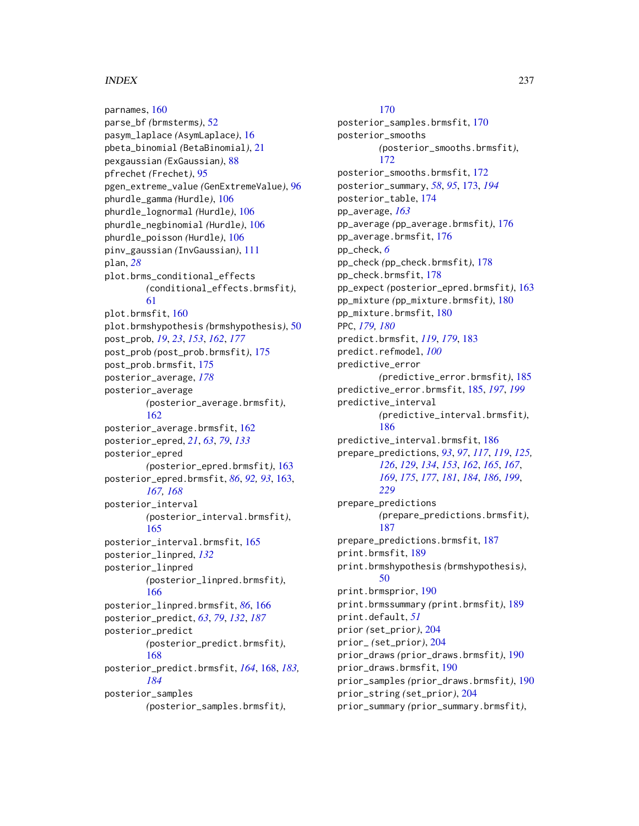#### INDEX  $237$

parnames, [160](#page-159-0) parse\_bf *(*brmsterms*)*, [52](#page-51-0) pasym\_laplace *(*AsymLaplace*)*, [16](#page-15-0) pbeta\_binomial *(*BetaBinomial*)*, [21](#page-20-0) pexgaussian *(*ExGaussian*)*, [88](#page-87-0) pfrechet *(*Frechet*)*, [95](#page-94-0) pgen\_extreme\_value *(*GenExtremeValue*)*, [96](#page-95-0) phurdle\_gamma *(*Hurdle*)*, [106](#page-105-0) phurdle\_lognormal *(*Hurdle*)*, [106](#page-105-0) phurdle\_negbinomial *(*Hurdle*)*, [106](#page-105-0) phurdle\_poisson *(*Hurdle*)*, [106](#page-105-0) pinv\_gaussian *(*InvGaussian*)*, [111](#page-110-0) plan, *[28](#page-27-0)* plot.brms\_conditional\_effects *(*conditional\_effects.brmsfit*)*, [61](#page-60-0) plot.brmsfit, [160](#page-159-0) plot.brmshypothesis *(*brmshypothesis*)*, [50](#page-49-0) post\_prob, *[19](#page-18-0)*, *[23](#page-22-1)*, *[153](#page-152-0)*, *[162](#page-161-0)*, *[177](#page-176-0)* post\_prob *(*post\_prob.brmsfit*)*, [175](#page-174-0) post\_prob.brmsfit, [175](#page-174-0) posterior\_average, *[178](#page-177-0)* posterior\_average *(*posterior\_average.brmsfit*)*, [162](#page-161-0) posterior\_average.brmsfit, [162](#page-161-0) posterior\_epred, *[21](#page-20-0)*, *[63](#page-62-0)*, *[79](#page-78-0)*, *[133](#page-132-0)* posterior\_epred *(*posterior\_epred.brmsfit*)*, [163](#page-162-0) posterior\_epred.brmsfit, *[86](#page-85-0)*, *[92,](#page-91-0) [93](#page-92-0)*, [163,](#page-162-0) *[167,](#page-166-0) [168](#page-167-0)* posterior\_interval *(*posterior\_interval.brmsfit*)*, [165](#page-164-0) posterior\_interval.brmsfit, [165](#page-164-0) posterior\_linpred, *[132](#page-131-0)* posterior\_linpred *(*posterior\_linpred.brmsfit*)*, [166](#page-165-0) posterior\_linpred.brmsfit, *[86](#page-85-0)*, [166](#page-165-0) posterior\_predict, *[63](#page-62-0)*, *[79](#page-78-0)*, *[132](#page-131-0)*, *[187](#page-186-1)* posterior\_predict *(*posterior\_predict.brmsfit*)*, [168](#page-167-0) posterior\_predict.brmsfit, *[164](#page-163-0)*, [168,](#page-167-0) *[183,](#page-182-0) [184](#page-183-0)* posterior\_samples *(*posterior\_samples.brmsfit*)*,

#### [170](#page-169-0)

posterior\_samples.brmsfit, [170](#page-169-0) posterior\_smooths *(*posterior\_smooths.brmsfit*)*, [172](#page-171-0) posterior\_smooths.brmsfit, [172](#page-171-0) posterior\_summary, *[58](#page-57-0)*, *[95](#page-94-0)*, [173,](#page-172-0) *[194](#page-193-0)* posterior\_table, [174](#page-173-0) pp\_average, *[163](#page-162-0)* pp\_average *(*pp\_average.brmsfit*)*, [176](#page-175-0) pp\_average.brmsfit, [176](#page-175-0) pp\_check, *[6](#page-5-0)* pp\_check *(*pp\_check.brmsfit*)*, [178](#page-177-0) pp\_check.brmsfit, [178](#page-177-0) pp\_expect *(*posterior\_epred.brmsfit*)*, [163](#page-162-0) pp\_mixture *(*pp\_mixture.brmsfit*)*, [180](#page-179-0) pp\_mixture.brmsfit, [180](#page-179-0) PPC, *[179,](#page-178-0) [180](#page-179-0)* predict.brmsfit, *[119](#page-118-0)*, *[179](#page-178-0)*, [183](#page-182-0) predict.refmodel, *[100](#page-99-0)* predictive\_error *(*predictive\_error.brmsfit*)*, [185](#page-184-0) predictive\_error.brmsfit, [185,](#page-184-0) *[197](#page-196-0)*, *[199](#page-198-0)* predictive\_interval *(*predictive\_interval.brmsfit*)*, [186](#page-185-0) predictive\_interval.brmsfit, [186](#page-185-0) prepare\_predictions, *[93](#page-92-0)*, *[97](#page-96-0)*, *[117](#page-116-0)*, *[119](#page-118-0)*, *[125,](#page-124-0) [126](#page-125-0)*, *[129](#page-128-0)*, *[134](#page-133-0)*, *[153](#page-152-0)*, *[162](#page-161-0)*, *[165](#page-164-0)*, *[167](#page-166-0)*, *[169](#page-168-0)*, *[175](#page-174-0)*, *[177](#page-176-0)*, *[181](#page-180-0)*, *[184](#page-183-0)*, *[186](#page-185-0)*, *[199](#page-198-0)*, *[229](#page-228-0)* prepare\_predictions *(*prepare\_predictions.brmsfit*)*, [187](#page-186-1) prepare\_predictions.brmsfit, [187](#page-186-1) print.brmsfit, [189](#page-188-0) print.brmshypothesis *(*brmshypothesis*)*, [50](#page-49-0) print.brmsprior, [190](#page-189-0) print.brmssummary *(*print.brmsfit*)*, [189](#page-188-0) print.default, *[51](#page-50-0)* prior *(*set\_prior*)*, [204](#page-203-1) prior\_ *(*set\_prior*)*, [204](#page-203-1) prior\_draws *(*prior\_draws.brmsfit*)*, [190](#page-189-0) prior\_draws.brmsfit, [190](#page-189-0) prior\_samples *(*prior\_draws.brmsfit*)*, [190](#page-189-0) prior\_string *(*set\_prior*)*, [204](#page-203-1) prior\_summary *(*prior\_summary.brmsfit*)*,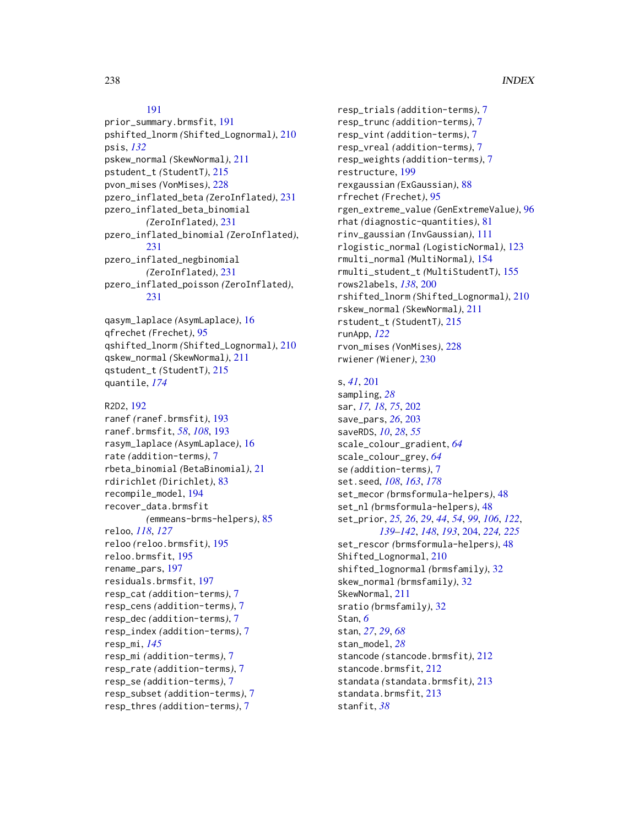#### [191](#page-190-0)

prior\_summary.brmsfit, [191](#page-190-0) pshifted\_lnorm *(*Shifted\_Lognormal*)*, [210](#page-209-0) psis, *[132](#page-131-0)* pskew\_normal *(*SkewNormal*)*, [211](#page-210-0) pstudent\_t *(*StudentT*)*, [215](#page-214-0) pvon\_mises *(*VonMises*)*, [228](#page-227-1) pzero\_inflated\_beta *(*ZeroInflated*)*, [231](#page-230-0) pzero\_inflated\_beta\_binomial *(*ZeroInflated*)*, [231](#page-230-0) pzero\_inflated\_binomial *(*ZeroInflated*)*, [231](#page-230-0) pzero\_inflated\_negbinomial *(*ZeroInflated*)*, [231](#page-230-0) pzero\_inflated\_poisson *(*ZeroInflated*)*, [231](#page-230-0)

qasym\_laplace *(*AsymLaplace*)*, [16](#page-15-0) qfrechet *(*Frechet*)*, [95](#page-94-0) qshifted\_lnorm *(*Shifted\_Lognormal*)*, [210](#page-209-0) qskew\_normal *(*SkewNormal*)*, [211](#page-210-0) qstudent\_t *(*StudentT*)*, [215](#page-214-0) quantile, *[174](#page-173-0)*

```
R2D2, 192
ranef (ranef.brmsfit), 193
ranef.brmsfit, 58, 108, 193
rasym_laplace (AsymLaplace), 16
rate (addition-terms), 7
rbeta_binomial (BetaBinomial), 21
rdirichlet (Dirichlet), 83
recompile_model, 194
recover_data.brmsfit
        (emmeans-brms-helpers), 85
reloo, 118, 127
reloo (reloo.brmsfit), 195
reloo.brmsfit, 195
rename_pars, 197
residuals.brmsfit, 197
resp_cat (addition-terms), 7
resp_cens (addition-terms), 7
resp_dec (addition-terms), 7
resp_index (addition-terms), 7
resp_mi, 145
resp_mi (addition-terms), 7
resp_rate (addition-terms), 7
resp_se (addition-terms), 7
resp_subset (addition-terms), 7
resp_thres (addition-terms), 7
```
resp\_trials *(*addition-terms*)*, [7](#page-6-1) resp\_trunc *(*addition-terms*)*, [7](#page-6-1) resp\_vint *(*addition-terms*)*, [7](#page-6-1) resp\_vreal *(*addition-terms*)*, [7](#page-6-1) resp\_weights *(*addition-terms*)*, [7](#page-6-1) restructure, [199](#page-198-0) rexgaussian *(*ExGaussian*)*, [88](#page-87-0) rfrechet *(*Frechet*)*, [95](#page-94-0) rgen\_extreme\_value *(*GenExtremeValue*)*, [96](#page-95-0) rhat *(*diagnostic-quantities*)*, [81](#page-80-0) rinv\_gaussian *(*InvGaussian*)*, [111](#page-110-0) rlogistic\_normal *(*LogisticNormal*)*, [123](#page-122-0) rmulti\_normal *(*MultiNormal*)*, [154](#page-153-0) rmulti\_student\_t *(*MultiStudentT*)*, [155](#page-154-0) rows2labels, *[138](#page-137-0)*, [200](#page-199-0) rshifted\_lnorm *(*Shifted\_Lognormal*)*, [210](#page-209-0) rskew\_normal *(*SkewNormal*)*, [211](#page-210-0) rstudent\_t *(*StudentT*)*, [215](#page-214-0) runApp, *[122](#page-121-0)* rvon\_mises *(*VonMises*)*, [228](#page-227-1) rwiener *(*Wiener*)*, [230](#page-229-0)

# s, *[41](#page-40-0)*, [201](#page-200-0)

sampling, *[28](#page-27-0)* sar, *[17,](#page-16-0) [18](#page-17-0)*, *[75](#page-74-0)*, [202](#page-201-0) save\_pars, *[26](#page-25-0)*, [203](#page-202-0) saveRDS, *[10](#page-9-0)*, *[28](#page-27-0)*, *[55](#page-54-0)* scale\_colour\_gradient, *[64](#page-63-0)* scale\_colour\_grey, *[64](#page-63-0)* se *(*addition-terms*)*, [7](#page-6-1) set.seed, *[108](#page-107-0)*, *[163](#page-162-0)*, *[178](#page-177-0)* set\_mecor *(*brmsformula-helpers*)*, [48](#page-47-0) set\_nl *(*brmsformula-helpers*)*, [48](#page-47-0) set\_prior, *[25,](#page-24-0) [26](#page-25-0)*, *[29](#page-28-0)*, *[44](#page-43-0)*, *[54](#page-53-0)*, *[99](#page-98-0)*, *[106](#page-105-0)*, *[122](#page-121-0)*, *[139](#page-138-0)[–142](#page-141-0)*, *[148](#page-147-0)*, *[193](#page-192-0)*, [204,](#page-203-1) *[224,](#page-223-0) [225](#page-224-1)* set\_rescor *(*brmsformula-helpers*)*, [48](#page-47-0) Shifted\_Lognormal, [210](#page-209-0) shifted\_lognormal *(*brmsfamily*)*, [32](#page-31-1) skew\_normal *(*brmsfamily*)*, [32](#page-31-1) SkewNormal, [211](#page-210-0) sratio *(*brmsfamily*)*, [32](#page-31-1) Stan, *[6](#page-5-0)* stan, *[27](#page-26-0)*, *[29](#page-28-0)*, *[68](#page-67-0)* stan\_model, *[28](#page-27-0)* stancode *(*stancode.brmsfit*)*, [212](#page-211-0) stancode.brmsfit, [212](#page-211-0) standata *(*standata.brmsfit*)*, [213](#page-212-0) standata.brmsfit, [213](#page-212-0) stanfit, *[38](#page-37-1)*